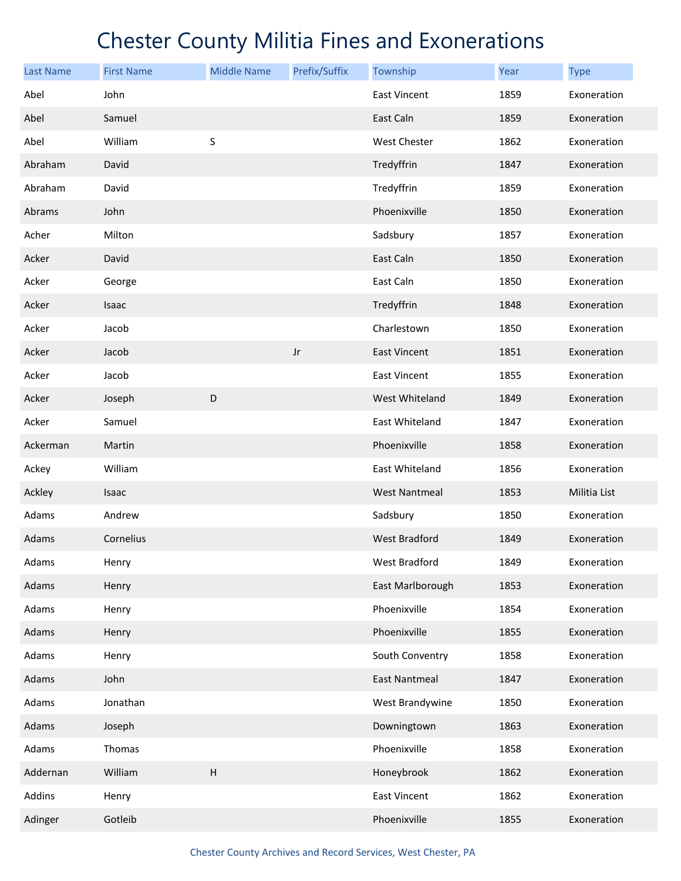| <b>Last Name</b> | <b>First Name</b> | <b>Middle Name</b> | Prefix/Suffix | Township             | Year | <b>Type</b>  |
|------------------|-------------------|--------------------|---------------|----------------------|------|--------------|
| Abel             | John              |                    |               | East Vincent         | 1859 | Exoneration  |
| Abel             | Samuel            |                    |               | East Caln            | 1859 | Exoneration  |
| Abel             | William           | S                  |               | West Chester         | 1862 | Exoneration  |
| Abraham          | David             |                    |               | Tredyffrin           | 1847 | Exoneration  |
| Abraham          | David             |                    |               | Tredyffrin           | 1859 | Exoneration  |
| Abrams           | John              |                    |               | Phoenixville         | 1850 | Exoneration  |
| Acher            | Milton            |                    |               | Sadsbury             | 1857 | Exoneration  |
| Acker            | David             |                    |               | East Caln            | 1850 | Exoneration  |
| Acker            | George            |                    |               | East Caln            | 1850 | Exoneration  |
| Acker            | Isaac             |                    |               | Tredyffrin           | 1848 | Exoneration  |
| Acker            | Jacob             |                    |               | Charlestown          | 1850 | Exoneration  |
| Acker            | Jacob             |                    | Jr            | <b>East Vincent</b>  | 1851 | Exoneration  |
| Acker            | Jacob             |                    |               | East Vincent         | 1855 | Exoneration  |
| Acker            | Joseph            | D                  |               | West Whiteland       | 1849 | Exoneration  |
| Acker            | Samuel            |                    |               | East Whiteland       | 1847 | Exoneration  |
| Ackerman         | Martin            |                    |               | Phoenixville         | 1858 | Exoneration  |
| Ackey            | William           |                    |               | East Whiteland       | 1856 | Exoneration  |
| Ackley           | Isaac             |                    |               | <b>West Nantmeal</b> | 1853 | Militia List |
| Adams            | Andrew            |                    |               | Sadsbury             | 1850 | Exoneration  |
| Adams            | Cornelius         |                    |               | <b>West Bradford</b> | 1849 | Exoneration  |
| Adams            | Henry             |                    |               | West Bradford        | 1849 | Exoneration  |
| Adams            | Henry             |                    |               | East Marlborough     | 1853 | Exoneration  |
| Adams            | Henry             |                    |               | Phoenixville         | 1854 | Exoneration  |
| Adams            | Henry             |                    |               | Phoenixville         | 1855 | Exoneration  |
| Adams            | Henry             |                    |               | South Conventry      | 1858 | Exoneration  |
| Adams            | John              |                    |               | <b>East Nantmeal</b> | 1847 | Exoneration  |
| Adams            | Jonathan          |                    |               | West Brandywine      | 1850 | Exoneration  |
| Adams            | Joseph            |                    |               | Downingtown          | 1863 | Exoneration  |
| Adams            | Thomas            |                    |               | Phoenixville         | 1858 | Exoneration  |
| Addernan         | William           | $\sf H$            |               | Honeybrook           | 1862 | Exoneration  |
| Addins           | Henry             |                    |               | <b>East Vincent</b>  | 1862 | Exoneration  |
| Adinger          | Gotleib           |                    |               | Phoenixville         | 1855 | Exoneration  |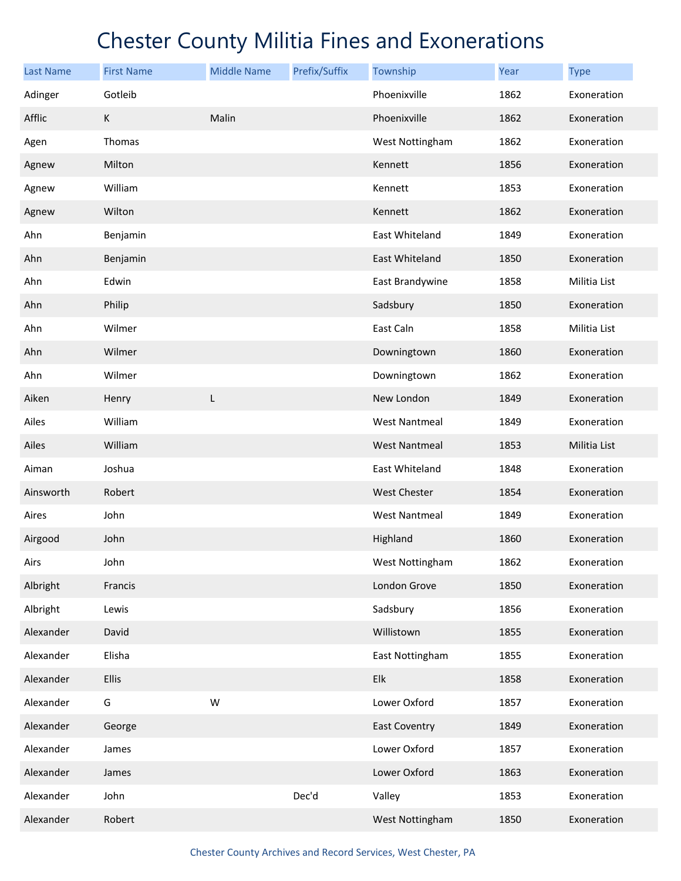| <b>Last Name</b> | <b>First Name</b> | <b>Middle Name</b> | Prefix/Suffix | Township             | Year | <b>Type</b>  |
|------------------|-------------------|--------------------|---------------|----------------------|------|--------------|
| Adinger          | Gotleib           |                    |               | Phoenixville         | 1862 | Exoneration  |
| Afflic           | K                 | Malin              |               | Phoenixville         | 1862 | Exoneration  |
| Agen             | Thomas            |                    |               | West Nottingham      | 1862 | Exoneration  |
| Agnew            | Milton            |                    |               | Kennett              | 1856 | Exoneration  |
| Agnew            | William           |                    |               | Kennett              | 1853 | Exoneration  |
| Agnew            | Wilton            |                    |               | Kennett              | 1862 | Exoneration  |
| Ahn              | Benjamin          |                    |               | East Whiteland       | 1849 | Exoneration  |
| Ahn              | Benjamin          |                    |               | East Whiteland       | 1850 | Exoneration  |
| Ahn              | Edwin             |                    |               | East Brandywine      | 1858 | Militia List |
| Ahn              | Philip            |                    |               | Sadsbury             | 1850 | Exoneration  |
| Ahn              | Wilmer            |                    |               | East Caln            | 1858 | Militia List |
| Ahn              | Wilmer            |                    |               | Downingtown          | 1860 | Exoneration  |
| Ahn              | Wilmer            |                    |               | Downingtown          | 1862 | Exoneration  |
| Aiken            | Henry             | L                  |               | New London           | 1849 | Exoneration  |
| Ailes            | William           |                    |               | <b>West Nantmeal</b> | 1849 | Exoneration  |
| Ailes            | William           |                    |               | <b>West Nantmeal</b> | 1853 | Militia List |
| Aiman            | Joshua            |                    |               | East Whiteland       | 1848 | Exoneration  |
| Ainsworth        | Robert            |                    |               | <b>West Chester</b>  | 1854 | Exoneration  |
| Aires            | John              |                    |               | <b>West Nantmeal</b> | 1849 | Exoneration  |
| Airgood          | John              |                    |               | Highland             | 1860 | Exoneration  |
| Airs             | John              |                    |               | West Nottingham      | 1862 | Exoneration  |
| Albright         | Francis           |                    |               | London Grove         | 1850 | Exoneration  |
| Albright         | Lewis             |                    |               | Sadsbury             | 1856 | Exoneration  |
| Alexander        | David             |                    |               | Willistown           | 1855 | Exoneration  |
| Alexander        | Elisha            |                    |               | East Nottingham      | 1855 | Exoneration  |
| Alexander        | <b>Ellis</b>      |                    |               | Elk                  | 1858 | Exoneration  |
| Alexander        | G                 | W                  |               | Lower Oxford         | 1857 | Exoneration  |
| Alexander        | George            |                    |               | <b>East Coventry</b> | 1849 | Exoneration  |
| Alexander        | James             |                    |               | Lower Oxford         | 1857 | Exoneration  |
| Alexander        | James             |                    |               | Lower Oxford         | 1863 | Exoneration  |
| Alexander        | John              |                    | Dec'd         | Valley               | 1853 | Exoneration  |
| Alexander        | Robert            |                    |               | West Nottingham      | 1850 | Exoneration  |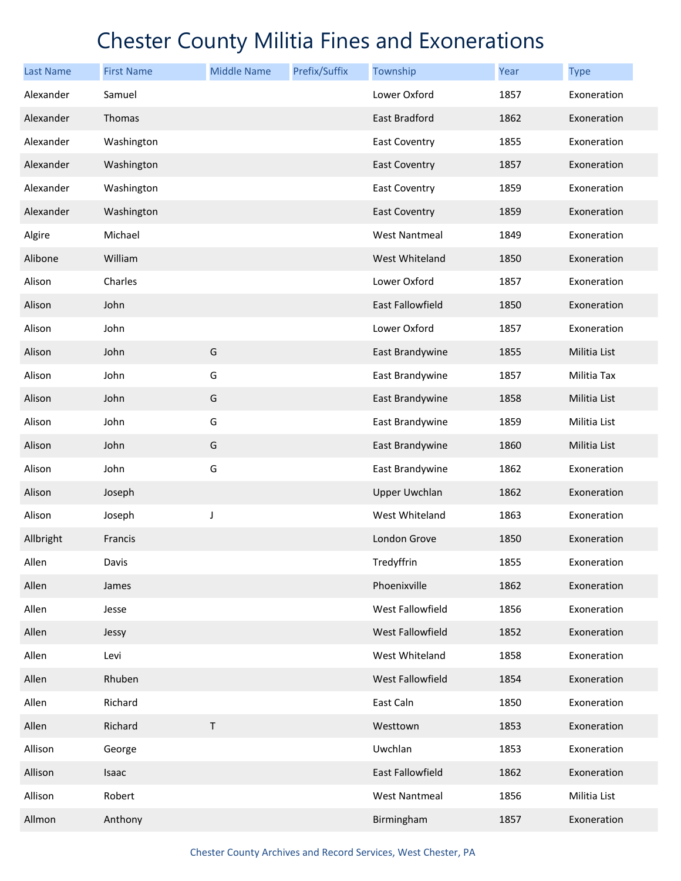| <b>Last Name</b> | <b>First Name</b> | <b>Middle Name</b> | Prefix/Suffix | Township             | Year | <b>Type</b>  |
|------------------|-------------------|--------------------|---------------|----------------------|------|--------------|
| Alexander        | Samuel            |                    |               | Lower Oxford         | 1857 | Exoneration  |
| Alexander        | Thomas            |                    |               | East Bradford        | 1862 | Exoneration  |
| Alexander        | Washington        |                    |               | <b>East Coventry</b> | 1855 | Exoneration  |
| Alexander        | Washington        |                    |               | <b>East Coventry</b> | 1857 | Exoneration  |
| Alexander        | Washington        |                    |               | <b>East Coventry</b> | 1859 | Exoneration  |
| Alexander        | Washington        |                    |               | <b>East Coventry</b> | 1859 | Exoneration  |
| Algire           | Michael           |                    |               | West Nantmeal        | 1849 | Exoneration  |
| Alibone          | William           |                    |               | West Whiteland       | 1850 | Exoneration  |
| Alison           | Charles           |                    |               | Lower Oxford         | 1857 | Exoneration  |
| Alison           | John              |                    |               | East Fallowfield     | 1850 | Exoneration  |
| Alison           | John              |                    |               | Lower Oxford         | 1857 | Exoneration  |
| Alison           | John              | G                  |               | East Brandywine      | 1855 | Militia List |
| Alison           | John              | G                  |               | East Brandywine      | 1857 | Militia Tax  |
| Alison           | John              | G                  |               | East Brandywine      | 1858 | Militia List |
| Alison           | John              | G                  |               | East Brandywine      | 1859 | Militia List |
| Alison           | John              | G                  |               | East Brandywine      | 1860 | Militia List |
| Alison           | John              | G                  |               | East Brandywine      | 1862 | Exoneration  |
| Alison           | Joseph            |                    |               | <b>Upper Uwchlan</b> | 1862 | Exoneration  |
| Alison           | Joseph            | J                  |               | West Whiteland       | 1863 | Exoneration  |
| Allbright        | Francis           |                    |               | London Grove         | 1850 | Exoneration  |
| Allen            | Davis             |                    |               | Tredyffrin           | 1855 | Exoneration  |
| Allen            | James             |                    |               | Phoenixville         | 1862 | Exoneration  |
| Allen            | Jesse             |                    |               | West Fallowfield     | 1856 | Exoneration  |
| Allen            | Jessy             |                    |               | West Fallowfield     | 1852 | Exoneration  |
| Allen            | Levi              |                    |               | West Whiteland       | 1858 | Exoneration  |
| Allen            | Rhuben            |                    |               | West Fallowfield     | 1854 | Exoneration  |
| Allen            | Richard           |                    |               | East Caln            | 1850 | Exoneration  |
| Allen            | Richard           | $\sf T$            |               | Westtown             | 1853 | Exoneration  |
| Allison          | George            |                    |               | Uwchlan              | 1853 | Exoneration  |
| Allison          | Isaac             |                    |               | East Fallowfield     | 1862 | Exoneration  |
| Allison          | Robert            |                    |               | West Nantmeal        | 1856 | Militia List |
| Allmon           | Anthony           |                    |               | Birmingham           | 1857 | Exoneration  |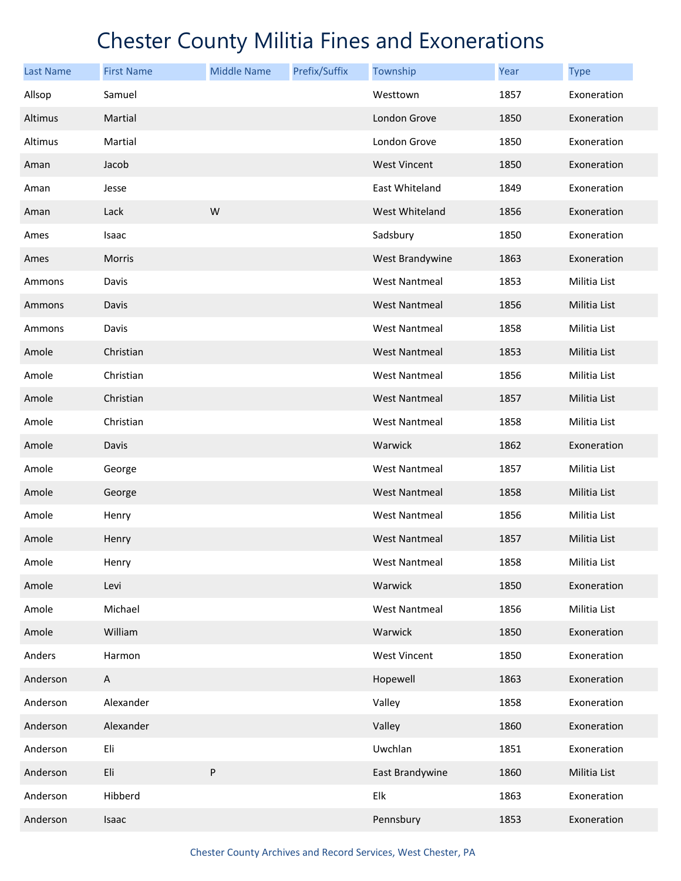| <b>Last Name</b> | <b>First Name</b> | <b>Middle Name</b> | Prefix/Suffix | Township             | Year | <b>Type</b>  |
|------------------|-------------------|--------------------|---------------|----------------------|------|--------------|
| Allsop           | Samuel            |                    |               | Westtown             | 1857 | Exoneration  |
| Altimus          | Martial           |                    |               | London Grove         | 1850 | Exoneration  |
| Altimus          | Martial           |                    |               | London Grove         | 1850 | Exoneration  |
| Aman             | Jacob             |                    |               | <b>West Vincent</b>  | 1850 | Exoneration  |
| Aman             | Jesse             |                    |               | East Whiteland       | 1849 | Exoneration  |
| Aman             | Lack              | W                  |               | West Whiteland       | 1856 | Exoneration  |
| Ames             | Isaac             |                    |               | Sadsbury             | 1850 | Exoneration  |
| Ames             | <b>Morris</b>     |                    |               | West Brandywine      | 1863 | Exoneration  |
| Ammons           | Davis             |                    |               | <b>West Nantmeal</b> | 1853 | Militia List |
| Ammons           | Davis             |                    |               | <b>West Nantmeal</b> | 1856 | Militia List |
| Ammons           | Davis             |                    |               | <b>West Nantmeal</b> | 1858 | Militia List |
| Amole            | Christian         |                    |               | <b>West Nantmeal</b> | 1853 | Militia List |
| Amole            | Christian         |                    |               | <b>West Nantmeal</b> | 1856 | Militia List |
| Amole            | Christian         |                    |               | <b>West Nantmeal</b> | 1857 | Militia List |
| Amole            | Christian         |                    |               | <b>West Nantmeal</b> | 1858 | Militia List |
| Amole            | Davis             |                    |               | Warwick              | 1862 | Exoneration  |
| Amole            | George            |                    |               | <b>West Nantmeal</b> | 1857 | Militia List |
| Amole            | George            |                    |               | <b>West Nantmeal</b> | 1858 | Militia List |
| Amole            | Henry             |                    |               | <b>West Nantmeal</b> | 1856 | Militia List |
| Amole            | Henry             |                    |               | <b>West Nantmeal</b> | 1857 | Militia List |
| Amole            | Henry             |                    |               | <b>West Nantmeal</b> | 1858 | Militia List |
| Amole            | Levi              |                    |               | Warwick              | 1850 | Exoneration  |
| Amole            | Michael           |                    |               | <b>West Nantmeal</b> | 1856 | Militia List |
| Amole            | William           |                    |               | Warwick              | 1850 | Exoneration  |
| Anders           | Harmon            |                    |               | <b>West Vincent</b>  | 1850 | Exoneration  |
| Anderson         | A                 |                    |               | Hopewell             | 1863 | Exoneration  |
| Anderson         | Alexander         |                    |               | Valley               | 1858 | Exoneration  |
| Anderson         | Alexander         |                    |               | Valley               | 1860 | Exoneration  |
| Anderson         | Eli               |                    |               | Uwchlan              | 1851 | Exoneration  |
| Anderson         | Eli               | ${\sf P}$          |               | East Brandywine      | 1860 | Militia List |
| Anderson         | Hibberd           |                    |               | Elk                  | 1863 | Exoneration  |
| Anderson         | Isaac             |                    |               | Pennsbury            | 1853 | Exoneration  |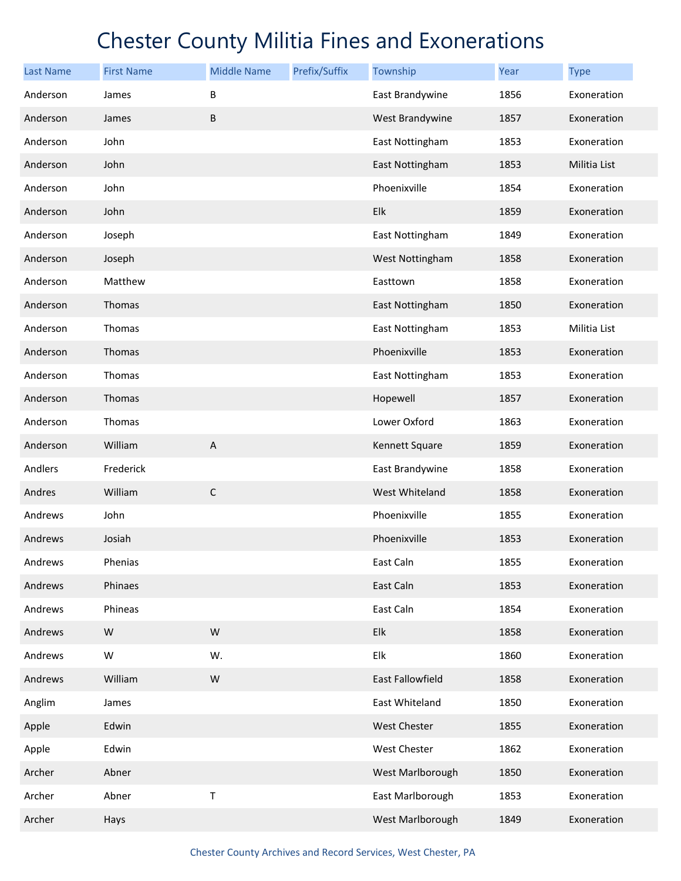| <b>Last Name</b> | <b>First Name</b> | <b>Middle Name</b> | Prefix/Suffix | Township                | <b>Year</b> | <b>Type</b>  |
|------------------|-------------------|--------------------|---------------|-------------------------|-------------|--------------|
| Anderson         | James             | B                  |               | East Brandywine         | 1856        | Exoneration  |
| Anderson         | James             | $\sf B$            |               | West Brandywine         | 1857        | Exoneration  |
| Anderson         | John              |                    |               | East Nottingham         | 1853        | Exoneration  |
| Anderson         | John              |                    |               | East Nottingham         | 1853        | Militia List |
| Anderson         | John              |                    |               | Phoenixville            | 1854        | Exoneration  |
| Anderson         | John              |                    |               | Elk                     | 1859        | Exoneration  |
| Anderson         | Joseph            |                    |               | East Nottingham         | 1849        | Exoneration  |
| Anderson         | Joseph            |                    |               | West Nottingham         | 1858        | Exoneration  |
| Anderson         | Matthew           |                    |               | Easttown                | 1858        | Exoneration  |
| Anderson         | Thomas            |                    |               | East Nottingham         | 1850        | Exoneration  |
| Anderson         | Thomas            |                    |               | East Nottingham         | 1853        | Militia List |
| Anderson         | Thomas            |                    |               | Phoenixville            | 1853        | Exoneration  |
| Anderson         | Thomas            |                    |               | East Nottingham         | 1853        | Exoneration  |
| Anderson         | Thomas            |                    |               | Hopewell                | 1857        | Exoneration  |
| Anderson         | Thomas            |                    |               | Lower Oxford            | 1863        | Exoneration  |
| Anderson         | William           | $\mathsf{A}$       |               | Kennett Square          | 1859        | Exoneration  |
| Andlers          | Frederick         |                    |               | East Brandywine         | 1858        | Exoneration  |
| Andres           | William           | $\mathsf C$        |               | West Whiteland          | 1858        | Exoneration  |
| Andrews          | John              |                    |               | Phoenixville            | 1855        | Exoneration  |
| Andrews          | Josiah            |                    |               | Phoenixville            | 1853        | Exoneration  |
| Andrews          | Phenias           |                    |               | East Caln               | 1855        | Exoneration  |
| Andrews          | Phinaes           |                    |               | East Caln               | 1853        | Exoneration  |
| Andrews          | Phineas           |                    |               | East Caln               | 1854        | Exoneration  |
| Andrews          | ${\sf W}$         | W                  |               | Elk                     | 1858        | Exoneration  |
| Andrews          | W                 | W.                 |               | Elk                     | 1860        | Exoneration  |
| Andrews          | William           | ${\sf W}$          |               | <b>East Fallowfield</b> | 1858        | Exoneration  |
| Anglim           | James             |                    |               | East Whiteland          | 1850        | Exoneration  |
| Apple            | Edwin             |                    |               | <b>West Chester</b>     | 1855        | Exoneration  |
| Apple            | Edwin             |                    |               | <b>West Chester</b>     | 1862        | Exoneration  |
| Archer           | Abner             |                    |               | West Marlborough        | 1850        | Exoneration  |
| Archer           | Abner             | T                  |               | East Marlborough        | 1853        | Exoneration  |
| Archer           | Hays              |                    |               | West Marlborough        | 1849        | Exoneration  |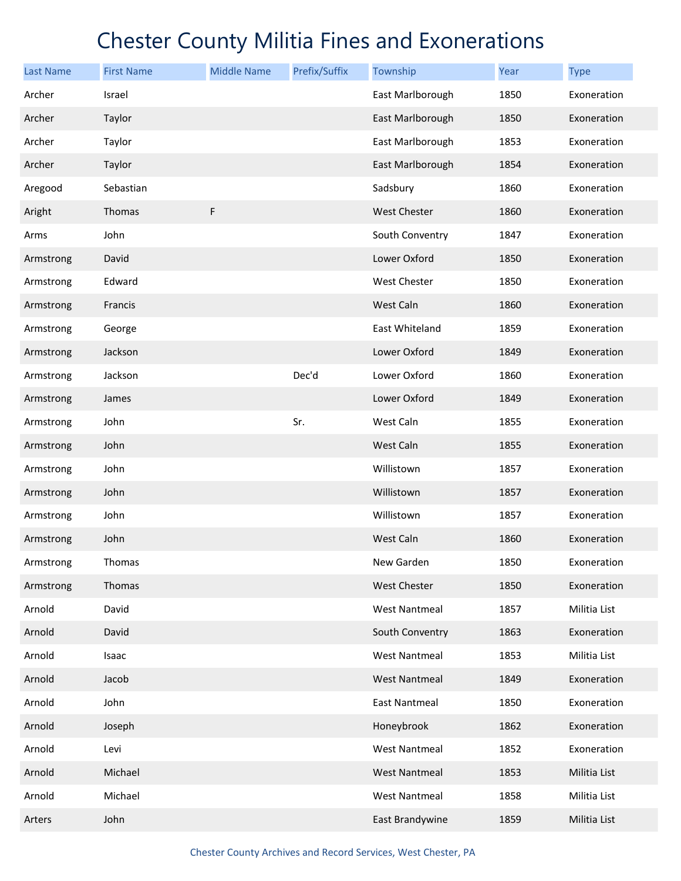| <b>Last Name</b> | <b>First Name</b> | <b>Middle Name</b> | Prefix/Suffix | Township             | Year | <b>Type</b>  |
|------------------|-------------------|--------------------|---------------|----------------------|------|--------------|
| Archer           | Israel            |                    |               | East Marlborough     | 1850 | Exoneration  |
| Archer           | Taylor            |                    |               | East Marlborough     | 1850 | Exoneration  |
| Archer           | Taylor            |                    |               | East Marlborough     | 1853 | Exoneration  |
| Archer           | Taylor            |                    |               | East Marlborough     | 1854 | Exoneration  |
| Aregood          | Sebastian         |                    |               | Sadsbury             | 1860 | Exoneration  |
| Aright           | Thomas            | $\mathsf F$        |               | <b>West Chester</b>  | 1860 | Exoneration  |
| Arms             | John              |                    |               | South Conventry      | 1847 | Exoneration  |
| Armstrong        | David             |                    |               | Lower Oxford         | 1850 | Exoneration  |
| Armstrong        | Edward            |                    |               | <b>West Chester</b>  | 1850 | Exoneration  |
| Armstrong        | Francis           |                    |               | West Caln            | 1860 | Exoneration  |
| Armstrong        | George            |                    |               | East Whiteland       | 1859 | Exoneration  |
| Armstrong        | Jackson           |                    |               | Lower Oxford         | 1849 | Exoneration  |
| Armstrong        | Jackson           |                    | Dec'd         | Lower Oxford         | 1860 | Exoneration  |
| Armstrong        | James             |                    |               | Lower Oxford         | 1849 | Exoneration  |
| Armstrong        | John              |                    | Sr.           | West Caln            | 1855 | Exoneration  |
| Armstrong        | John              |                    |               | West Caln            | 1855 | Exoneration  |
| Armstrong        | John              |                    |               | Willistown           | 1857 | Exoneration  |
| Armstrong        | John              |                    |               | Willistown           | 1857 | Exoneration  |
| Armstrong        | John              |                    |               | Willistown           | 1857 | Exoneration  |
| Armstrong        | John              |                    |               | West Caln            | 1860 | Exoneration  |
| Armstrong        | Thomas            |                    |               | New Garden           | 1850 | Exoneration  |
| Armstrong        | Thomas            |                    |               | West Chester         | 1850 | Exoneration  |
| Arnold           | David             |                    |               | <b>West Nantmeal</b> | 1857 | Militia List |
| Arnold           | David             |                    |               | South Conventry      | 1863 | Exoneration  |
| Arnold           | Isaac             |                    |               | West Nantmeal        | 1853 | Militia List |
| Arnold           | Jacob             |                    |               | <b>West Nantmeal</b> | 1849 | Exoneration  |
| Arnold           | John              |                    |               | <b>East Nantmeal</b> | 1850 | Exoneration  |
| Arnold           | Joseph            |                    |               | Honeybrook           | 1862 | Exoneration  |
| Arnold           | Levi              |                    |               | <b>West Nantmeal</b> | 1852 | Exoneration  |
| Arnold           | Michael           |                    |               | <b>West Nantmeal</b> | 1853 | Militia List |
| Arnold           | Michael           |                    |               | <b>West Nantmeal</b> | 1858 | Militia List |
| Arters           | John              |                    |               | East Brandywine      | 1859 | Militia List |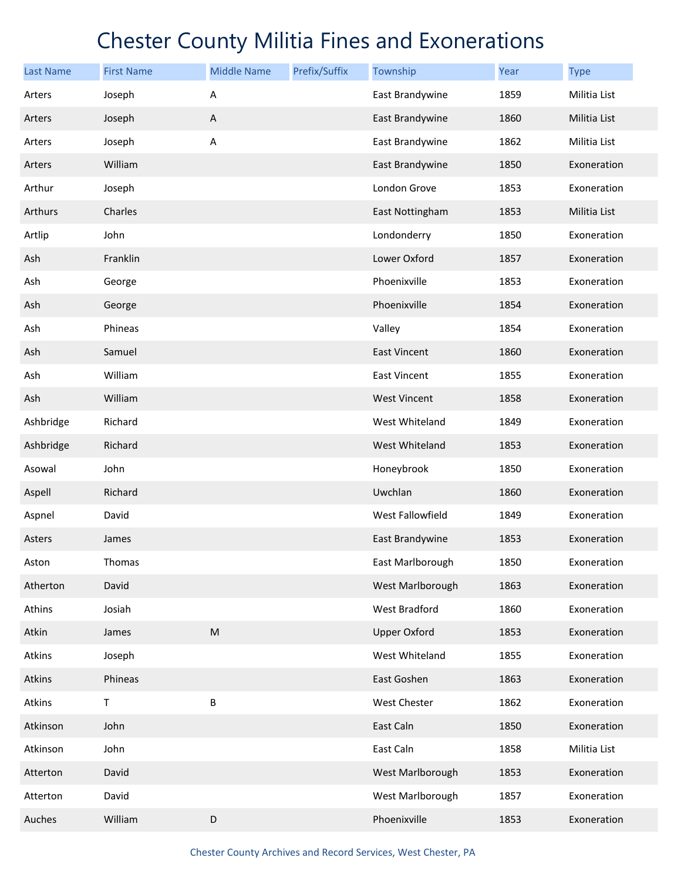| <b>Last Name</b> | <b>First Name</b> | <b>Middle Name</b> | Prefix/Suffix | Township            | Year | <b>Type</b>  |
|------------------|-------------------|--------------------|---------------|---------------------|------|--------------|
| Arters           | Joseph            | Α                  |               | East Brandywine     | 1859 | Militia List |
| Arters           | Joseph            | $\mathsf A$        |               | East Brandywine     | 1860 | Militia List |
| Arters           | Joseph            | Α                  |               | East Brandywine     | 1862 | Militia List |
| Arters           | William           |                    |               | East Brandywine     | 1850 | Exoneration  |
| Arthur           | Joseph            |                    |               | London Grove        | 1853 | Exoneration  |
| Arthurs          | Charles           |                    |               | East Nottingham     | 1853 | Militia List |
| Artlip           | John              |                    |               | Londonderry         | 1850 | Exoneration  |
| Ash              | Franklin          |                    |               | Lower Oxford        | 1857 | Exoneration  |
| Ash              | George            |                    |               | Phoenixville        | 1853 | Exoneration  |
| Ash              | George            |                    |               | Phoenixville        | 1854 | Exoneration  |
| Ash              | Phineas           |                    |               | Valley              | 1854 | Exoneration  |
| Ash              | Samuel            |                    |               | <b>East Vincent</b> | 1860 | Exoneration  |
| Ash              | William           |                    |               | <b>East Vincent</b> | 1855 | Exoneration  |
| Ash              | William           |                    |               | West Vincent        | 1858 | Exoneration  |
| Ashbridge        | Richard           |                    |               | West Whiteland      | 1849 | Exoneration  |
| Ashbridge        | Richard           |                    |               | West Whiteland      | 1853 | Exoneration  |
| Asowal           | John              |                    |               | Honeybrook          | 1850 | Exoneration  |
| Aspell           | Richard           |                    |               | Uwchlan             | 1860 | Exoneration  |
| Aspnel           | David             |                    |               | West Fallowfield    | 1849 | Exoneration  |
| Asters           | James             |                    |               | East Brandywine     | 1853 | Exoneration  |
| Aston            | Thomas            |                    |               | East Marlborough    | 1850 | Exoneration  |
| Atherton         | David             |                    |               | West Marlborough    | 1863 | Exoneration  |
| Athins           | Josiah            |                    |               | West Bradford       | 1860 | Exoneration  |
| Atkin            | James             | ${\sf M}$          |               | <b>Upper Oxford</b> | 1853 | Exoneration  |
| Atkins           | Joseph            |                    |               | West Whiteland      | 1855 | Exoneration  |
| Atkins           | Phineas           |                    |               | East Goshen         | 1863 | Exoneration  |
| Atkins           | T                 | B                  |               | West Chester        | 1862 | Exoneration  |
| Atkinson         | John              |                    |               | East Caln           | 1850 | Exoneration  |
| Atkinson         | John              |                    |               | East Caln           | 1858 | Militia List |
| Atterton         | David             |                    |               | West Marlborough    | 1853 | Exoneration  |
| Atterton         | David             |                    |               | West Marlborough    | 1857 | Exoneration  |
| Auches           | William           | $\mathsf D$        |               | Phoenixville        | 1853 | Exoneration  |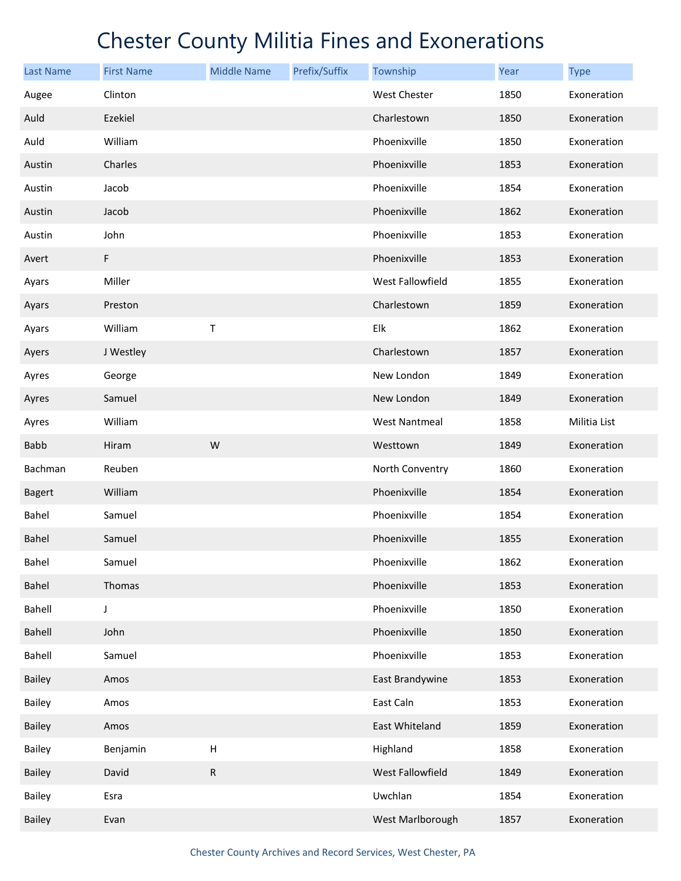| <b>Last Name</b> | <b>First Name</b> | <b>Middle Name</b> | Prefix/Suffix | Township             | Year | <b>Type</b>  |
|------------------|-------------------|--------------------|---------------|----------------------|------|--------------|
| Augee            | Clinton           |                    |               | <b>West Chester</b>  | 1850 | Exoneration  |
| Auld             | Ezekiel           |                    |               | Charlestown          | 1850 | Exoneration  |
| Auld             | William           |                    |               | Phoenixville         | 1850 | Exoneration  |
| Austin           | Charles           |                    |               | Phoenixville         | 1853 | Exoneration  |
| Austin           | Jacob             |                    |               | Phoenixville         | 1854 | Exoneration  |
| Austin           | Jacob             |                    |               | Phoenixville         | 1862 | Exoneration  |
| Austin           | John              |                    |               | Phoenixville         | 1853 | Exoneration  |
| Avert            | F                 |                    |               | Phoenixville         | 1853 | Exoneration  |
| Ayars            | Miller            |                    |               | West Fallowfield     | 1855 | Exoneration  |
| Ayars            | Preston           |                    |               | Charlestown          | 1859 | Exoneration  |
| Ayars            | William           | T                  |               | Elk                  | 1862 | Exoneration  |
| Ayers            | J Westley         |                    |               | Charlestown          | 1857 | Exoneration  |
| Ayres            | George            |                    |               | New London           | 1849 | Exoneration  |
| Ayres            | Samuel            |                    |               | New London           | 1849 | Exoneration  |
| Ayres            | William           |                    |               | <b>West Nantmeal</b> | 1858 | Militia List |
| <b>Babb</b>      | Hiram             | W                  |               | Westtown             | 1849 | Exoneration  |
| Bachman          | Reuben            |                    |               | North Conventry      | 1860 | Exoneration  |
| <b>Bagert</b>    | William           |                    |               | Phoenixville         | 1854 | Exoneration  |
| Bahel            | Samuel            |                    |               | Phoenixville         | 1854 | Exoneration  |
| <b>Bahel</b>     | Samuel            |                    |               | Phoenixville         | 1855 | Exoneration  |
| Bahel            | Samuel            |                    |               | Phoenixville         | 1862 | Exoneration  |
| Bahel            | Thomas            |                    |               | Phoenixville         | 1853 | Exoneration  |
| Bahell           | J                 |                    |               | Phoenixville         | 1850 | Exoneration  |
| Bahell           | John              |                    |               | Phoenixville         | 1850 | Exoneration  |
| Bahell           | Samuel            |                    |               | Phoenixville         | 1853 | Exoneration  |
| <b>Bailey</b>    | Amos              |                    |               | East Brandywine      | 1853 | Exoneration  |
| Bailey           | Amos              |                    |               | East Caln            | 1853 | Exoneration  |
| Bailey           | Amos              |                    |               | East Whiteland       | 1859 | Exoneration  |
| Bailey           | Benjamin          | $\mathsf{H}$       |               | Highland             | 1858 | Exoneration  |
| <b>Bailey</b>    | David             | ${\sf R}$          |               | West Fallowfield     | 1849 | Exoneration  |
| Bailey           | Esra              |                    |               | Uwchlan              | 1854 | Exoneration  |
| Bailey           | Evan              |                    |               | West Marlborough     | 1857 | Exoneration  |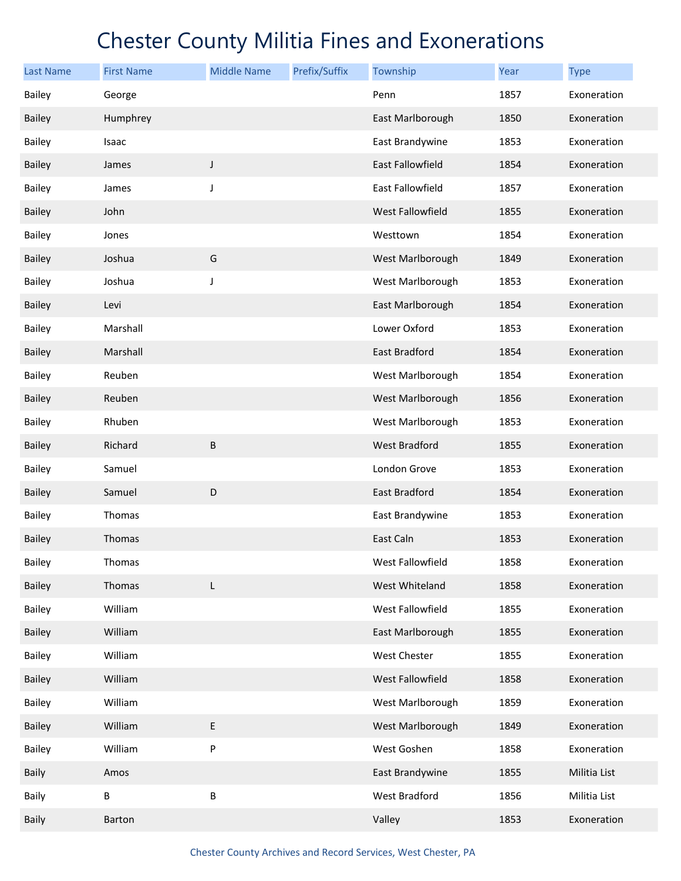| <b>Last Name</b> | <b>First Name</b> | <b>Middle Name</b> | Prefix/Suffix | Township                | Year | <b>Type</b>  |
|------------------|-------------------|--------------------|---------------|-------------------------|------|--------------|
| <b>Bailey</b>    | George            |                    |               | Penn                    | 1857 | Exoneration  |
| <b>Bailey</b>    | Humphrey          |                    |               | East Marlborough        | 1850 | Exoneration  |
| <b>Bailey</b>    | Isaac             |                    |               | East Brandywine         | 1853 | Exoneration  |
| <b>Bailey</b>    | James             | J                  |               | <b>East Fallowfield</b> | 1854 | Exoneration  |
| <b>Bailey</b>    | James             | J                  |               | East Fallowfield        | 1857 | Exoneration  |
| <b>Bailey</b>    | John              |                    |               | <b>West Fallowfield</b> | 1855 | Exoneration  |
| <b>Bailey</b>    | Jones             |                    |               | Westtown                | 1854 | Exoneration  |
| <b>Bailey</b>    | Joshua            | G                  |               | West Marlborough        | 1849 | Exoneration  |
| Bailey           | Joshua            | J                  |               | West Marlborough        | 1853 | Exoneration  |
| <b>Bailey</b>    | Levi              |                    |               | East Marlborough        | 1854 | Exoneration  |
| <b>Bailey</b>    | Marshall          |                    |               | Lower Oxford            | 1853 | Exoneration  |
| <b>Bailey</b>    | Marshall          |                    |               | East Bradford           | 1854 | Exoneration  |
| <b>Bailey</b>    | Reuben            |                    |               | West Marlborough        | 1854 | Exoneration  |
| <b>Bailey</b>    | Reuben            |                    |               | West Marlborough        | 1856 | Exoneration  |
| <b>Bailey</b>    | Rhuben            |                    |               | West Marlborough        | 1853 | Exoneration  |
| <b>Bailey</b>    | Richard           | B                  |               | <b>West Bradford</b>    | 1855 | Exoneration  |
| <b>Bailey</b>    | Samuel            |                    |               | London Grove            | 1853 | Exoneration  |
| <b>Bailey</b>    | Samuel            | D                  |               | East Bradford           | 1854 | Exoneration  |
| <b>Bailey</b>    | Thomas            |                    |               | East Brandywine         | 1853 | Exoneration  |
| <b>Bailey</b>    | Thomas            |                    |               | East Caln               | 1853 | Exoneration  |
| Bailey           | Thomas            |                    |               | West Fallowfield        | 1858 | Exoneration  |
| <b>Bailey</b>    | Thomas            | L                  |               | West Whiteland          | 1858 | Exoneration  |
| Bailey           | William           |                    |               | West Fallowfield        | 1855 | Exoneration  |
| <b>Bailey</b>    | William           |                    |               | East Marlborough        | 1855 | Exoneration  |
| Bailey           | William           |                    |               | West Chester            | 1855 | Exoneration  |
| <b>Bailey</b>    | William           |                    |               | West Fallowfield        | 1858 | Exoneration  |
| Bailey           | William           |                    |               | West Marlborough        | 1859 | Exoneration  |
| <b>Bailey</b>    | William           | E                  |               | West Marlborough        | 1849 | Exoneration  |
| Bailey           | William           | P                  |               | West Goshen             | 1858 | Exoneration  |
| <b>Baily</b>     | Amos              |                    |               | East Brandywine         | 1855 | Militia List |
| Baily            | B                 | B                  |               | West Bradford           | 1856 | Militia List |
| Baily            | Barton            |                    |               | Valley                  | 1853 | Exoneration  |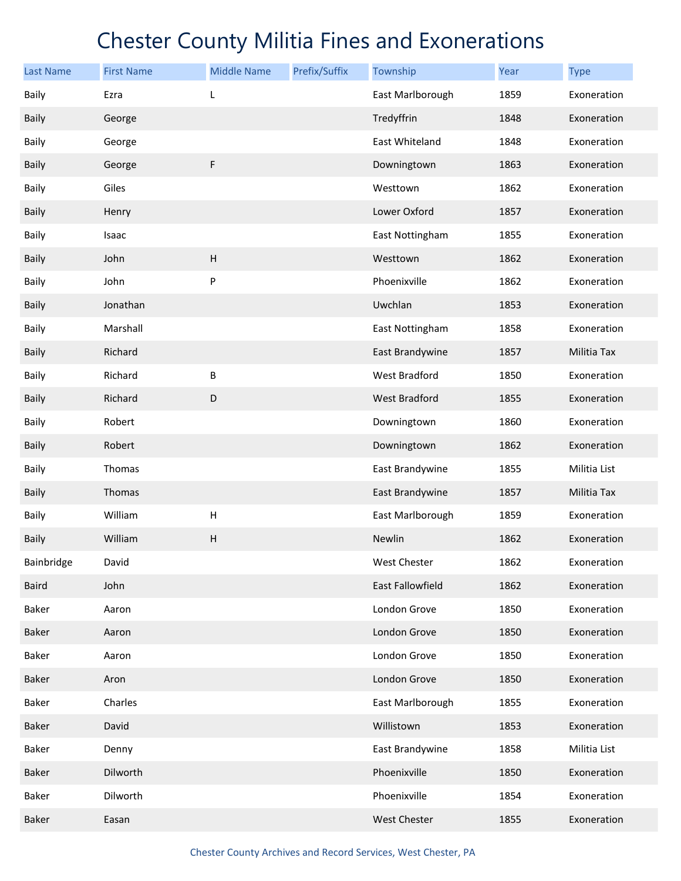| <b>Last Name</b> | <b>First Name</b> | <b>Middle Name</b>        | Prefix/Suffix | Township         | Year | <b>Type</b>  |
|------------------|-------------------|---------------------------|---------------|------------------|------|--------------|
| Baily            | Ezra              | L                         |               | East Marlborough | 1859 | Exoneration  |
| <b>Baily</b>     | George            |                           |               | Tredyffrin       | 1848 | Exoneration  |
| Baily            | George            |                           |               | East Whiteland   | 1848 | Exoneration  |
| <b>Baily</b>     | George            | F                         |               | Downingtown      | 1863 | Exoneration  |
| Baily            | Giles             |                           |               | Westtown         | 1862 | Exoneration  |
| Baily            | Henry             |                           |               | Lower Oxford     | 1857 | Exoneration  |
| Baily            | Isaac             |                           |               | East Nottingham  | 1855 | Exoneration  |
| <b>Baily</b>     | John              | $\boldsymbol{\mathsf{H}}$ |               | Westtown         | 1862 | Exoneration  |
| Baily            | John              | P                         |               | Phoenixville     | 1862 | Exoneration  |
| <b>Baily</b>     | Jonathan          |                           |               | Uwchlan          | 1853 | Exoneration  |
| Baily            | Marshall          |                           |               | East Nottingham  | 1858 | Exoneration  |
| Baily            | Richard           |                           |               | East Brandywine  | 1857 | Militia Tax  |
| Baily            | Richard           | B                         |               | West Bradford    | 1850 | Exoneration  |
| <b>Baily</b>     | Richard           | D                         |               | West Bradford    | 1855 | Exoneration  |
| Baily            | Robert            |                           |               | Downingtown      | 1860 | Exoneration  |
| Baily            | Robert            |                           |               | Downingtown      | 1862 | Exoneration  |
| Baily            | Thomas            |                           |               | East Brandywine  | 1855 | Militia List |
| <b>Baily</b>     | Thomas            |                           |               | East Brandywine  | 1857 | Militia Tax  |
| Baily            | William           | $\boldsymbol{\mathsf{H}}$ |               | East Marlborough | 1859 | Exoneration  |
| Baily            | William           | $\boldsymbol{\mathsf{H}}$ |               | Newlin           | 1862 | Exoneration  |
| Bainbridge       | David             |                           |               | West Chester     | 1862 | Exoneration  |
| Baird            | John              |                           |               | East Fallowfield | 1862 | Exoneration  |
| Baker            | Aaron             |                           |               | London Grove     | 1850 | Exoneration  |
| Baker            | Aaron             |                           |               | London Grove     | 1850 | Exoneration  |
| Baker            | Aaron             |                           |               | London Grove     | 1850 | Exoneration  |
| Baker            | Aron              |                           |               | London Grove     | 1850 | Exoneration  |
| Baker            | Charles           |                           |               | East Marlborough | 1855 | Exoneration  |
| Baker            | David             |                           |               | Willistown       | 1853 | Exoneration  |
| Baker            | Denny             |                           |               | East Brandywine  | 1858 | Militia List |
| Baker            | Dilworth          |                           |               | Phoenixville     | 1850 | Exoneration  |
| Baker            | Dilworth          |                           |               | Phoenixville     | 1854 | Exoneration  |
| Baker            | Easan             |                           |               | West Chester     | 1855 | Exoneration  |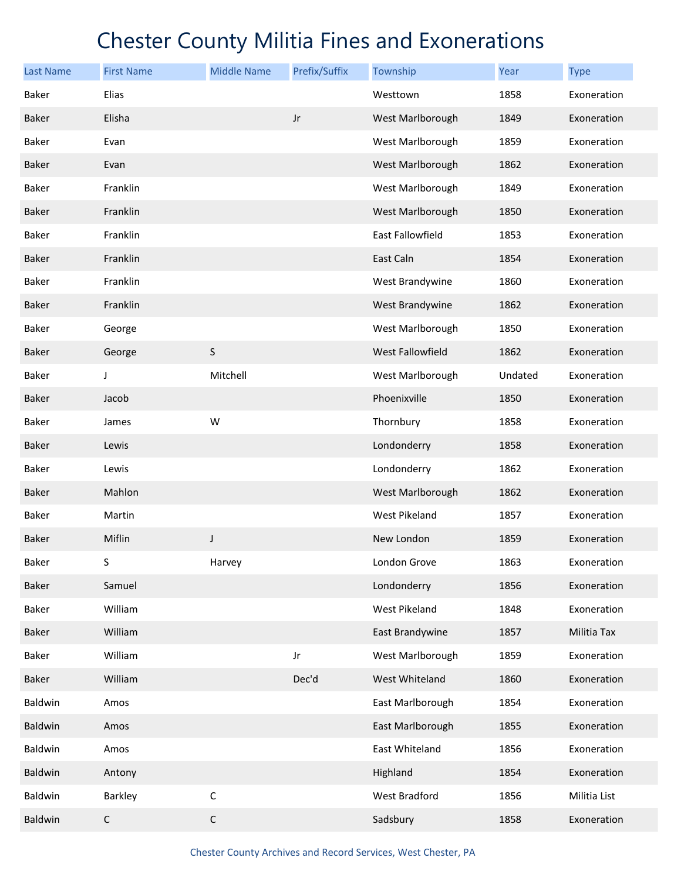| <b>Last Name</b> | <b>First Name</b> | <b>Middle Name</b> | Prefix/Suffix | Township         | Year    | <b>Type</b>  |
|------------------|-------------------|--------------------|---------------|------------------|---------|--------------|
| Baker            | Elias             |                    |               | Westtown         | 1858    | Exoneration  |
| <b>Baker</b>     | Elisha            |                    | $_{\rm Jr}$   | West Marlborough | 1849    | Exoneration  |
| Baker            | Evan              |                    |               | West Marlborough | 1859    | Exoneration  |
| <b>Baker</b>     | Evan              |                    |               | West Marlborough | 1862    | Exoneration  |
| Baker            | Franklin          |                    |               | West Marlborough | 1849    | Exoneration  |
| <b>Baker</b>     | Franklin          |                    |               | West Marlborough | 1850    | Exoneration  |
| Baker            | Franklin          |                    |               | East Fallowfield | 1853    | Exoneration  |
| <b>Baker</b>     | Franklin          |                    |               | East Caln        | 1854    | Exoneration  |
| Baker            | Franklin          |                    |               | West Brandywine  | 1860    | Exoneration  |
| Baker            | Franklin          |                    |               | West Brandywine  | 1862    | Exoneration  |
| Baker            | George            |                    |               | West Marlborough | 1850    | Exoneration  |
| <b>Baker</b>     | George            | S                  |               | West Fallowfield | 1862    | Exoneration  |
| Baker            | J                 | Mitchell           |               | West Marlborough | Undated | Exoneration  |
| Baker            | Jacob             |                    |               | Phoenixville     | 1850    | Exoneration  |
| Baker            | James             | W                  |               | Thornbury        | 1858    | Exoneration  |
| Baker            | Lewis             |                    |               | Londonderry      | 1858    | Exoneration  |
| Baker            | Lewis             |                    |               | Londonderry      | 1862    | Exoneration  |
| <b>Baker</b>     | Mahlon            |                    |               | West Marlborough | 1862    | Exoneration  |
| Baker            | Martin            |                    |               | West Pikeland    | 1857    | Exoneration  |
| <b>Baker</b>     | Miflin            | J                  |               | New London       | 1859    | Exoneration  |
| Baker            | S                 | Harvey             |               | London Grove     | 1863    | Exoneration  |
| Baker            | Samuel            |                    |               | Londonderry      | 1856    | Exoneration  |
| Baker            | William           |                    |               | West Pikeland    | 1848    | Exoneration  |
| <b>Baker</b>     | William           |                    |               | East Brandywine  | 1857    | Militia Tax  |
| <b>Baker</b>     | William           |                    | Jr            | West Marlborough | 1859    | Exoneration  |
| Baker            | William           |                    | Dec'd         | West Whiteland   | 1860    | Exoneration  |
| Baldwin          | Amos              |                    |               | East Marlborough | 1854    | Exoneration  |
| Baldwin          | Amos              |                    |               | East Marlborough | 1855    | Exoneration  |
| Baldwin          | Amos              |                    |               | East Whiteland   | 1856    | Exoneration  |
| Baldwin          | Antony            |                    |               | Highland         | 1854    | Exoneration  |
| Baldwin          | Barkley           | $\mathsf C$        |               | West Bradford    | 1856    | Militia List |
| Baldwin          | $\mathsf C$       | $\mathsf C$        |               | Sadsbury         | 1858    | Exoneration  |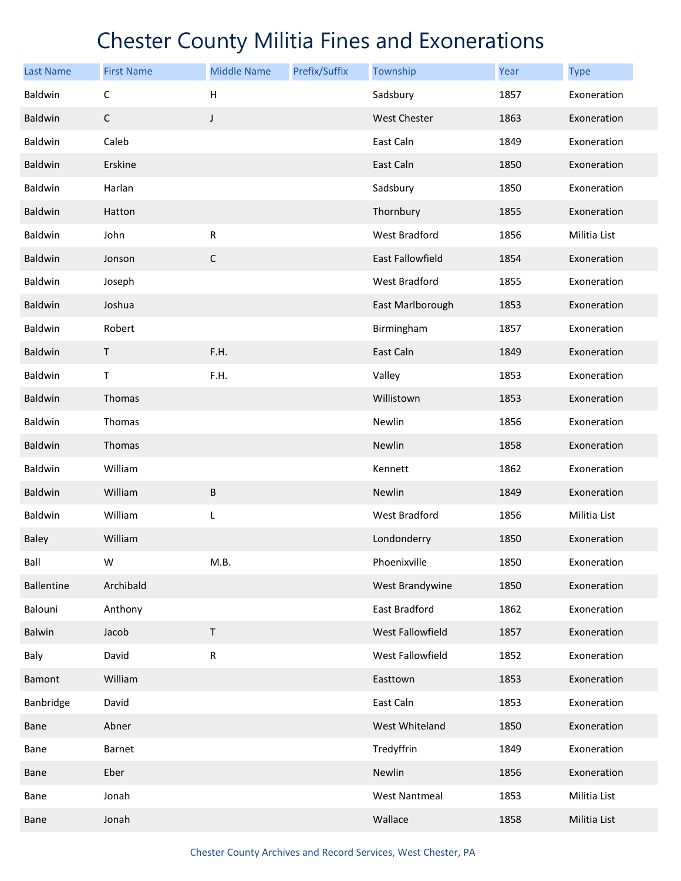| <b>Last Name</b>  | <b>First Name</b> | <b>Middle Name</b>        | Prefix/Suffix | Township             | Year | <b>Type</b>  |
|-------------------|-------------------|---------------------------|---------------|----------------------|------|--------------|
| Baldwin           | $\mathsf C$       | $\boldsymbol{\mathsf{H}}$ |               | Sadsbury             | 1857 | Exoneration  |
| Baldwin           | $\mathsf C$       | $\mathsf J$               |               | <b>West Chester</b>  | 1863 | Exoneration  |
| Baldwin           | Caleb             |                           |               | East Caln            | 1849 | Exoneration  |
| Baldwin           | Erskine           |                           |               | East Caln            | 1850 | Exoneration  |
| Baldwin           | Harlan            |                           |               | Sadsbury             | 1850 | Exoneration  |
| Baldwin           | Hatton            |                           |               | Thornbury            | 1855 | Exoneration  |
| Baldwin           | John              | ${\sf R}$                 |               | West Bradford        | 1856 | Militia List |
| Baldwin           | Jonson            | $\mathsf C$               |               | East Fallowfield     | 1854 | Exoneration  |
| Baldwin           | Joseph            |                           |               | West Bradford        | 1855 | Exoneration  |
| Baldwin           | Joshua            |                           |               | East Marlborough     | 1853 | Exoneration  |
| Baldwin           | Robert            |                           |               | Birmingham           | 1857 | Exoneration  |
| Baldwin           | T                 | F.H.                      |               | East Caln            | 1849 | Exoneration  |
| Baldwin           | T                 | F.H.                      |               | Valley               | 1853 | Exoneration  |
| Baldwin           | Thomas            |                           |               | Willistown           | 1853 | Exoneration  |
| Baldwin           | Thomas            |                           |               | Newlin               | 1856 | Exoneration  |
| Baldwin           | Thomas            |                           |               | Newlin               | 1858 | Exoneration  |
| Baldwin           | William           |                           |               | Kennett              | 1862 | Exoneration  |
| Baldwin           | William           | $\sf B$                   |               | Newlin               | 1849 | Exoneration  |
| Baldwin           | William           | L                         |               | West Bradford        | 1856 | Militia List |
| Baley             | William           |                           |               | Londonderry          | 1850 | Exoneration  |
| Ball              | W                 | M.B.                      |               | Phoenixville         | 1850 | Exoneration  |
| <b>Ballentine</b> | Archibald         |                           |               | West Brandywine      | 1850 | Exoneration  |
| Balouni           | Anthony           |                           |               | East Bradford        | 1862 | Exoneration  |
| Balwin            | Jacob             | $\mathsf T$               |               | West Fallowfield     | 1857 | Exoneration  |
| Baly              | David             | ${\sf R}$                 |               | West Fallowfield     | 1852 | Exoneration  |
| <b>Bamont</b>     | William           |                           |               | Easttown             | 1853 | Exoneration  |
| Banbridge         | David             |                           |               | East Caln            | 1853 | Exoneration  |
| Bane              | Abner             |                           |               | West Whiteland       | 1850 | Exoneration  |
| Bane              | Barnet            |                           |               | Tredyffrin           | 1849 | Exoneration  |
| Bane              | Eber              |                           |               | Newlin               | 1856 | Exoneration  |
| Bane              | Jonah             |                           |               | <b>West Nantmeal</b> | 1853 | Militia List |
| Bane              | Jonah             |                           |               | Wallace              | 1858 | Militia List |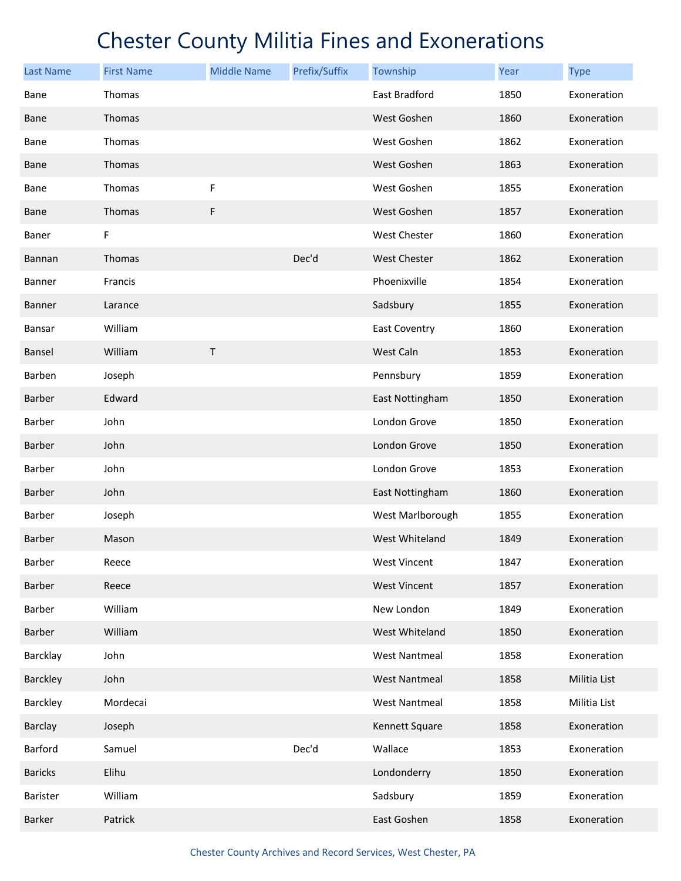| <b>Last Name</b> | <b>First Name</b> | <b>Middle Name</b> | Prefix/Suffix | Township             | Year | <b>Type</b>  |
|------------------|-------------------|--------------------|---------------|----------------------|------|--------------|
| Bane             | Thomas            |                    |               | East Bradford        | 1850 | Exoneration  |
| <b>Bane</b>      | Thomas            |                    |               | West Goshen          | 1860 | Exoneration  |
| Bane             | Thomas            |                    |               | West Goshen          | 1862 | Exoneration  |
| <b>Bane</b>      | Thomas            |                    |               | West Goshen          | 1863 | Exoneration  |
| Bane             | Thomas            | F                  |               | West Goshen          | 1855 | Exoneration  |
| <b>Bane</b>      | Thomas            | F                  |               | West Goshen          | 1857 | Exoneration  |
| Baner            | F.                |                    |               | West Chester         | 1860 | Exoneration  |
| Bannan           | Thomas            |                    | Dec'd         | <b>West Chester</b>  | 1862 | Exoneration  |
| Banner           | Francis           |                    |               | Phoenixville         | 1854 | Exoneration  |
| <b>Banner</b>    | Larance           |                    |               | Sadsbury             | 1855 | Exoneration  |
| Bansar           | William           |                    |               | <b>East Coventry</b> | 1860 | Exoneration  |
| Bansel           | William           | $\sf T$            |               | West Caln            | 1853 | Exoneration  |
| Barben           | Joseph            |                    |               | Pennsbury            | 1859 | Exoneration  |
| <b>Barber</b>    | Edward            |                    |               | East Nottingham      | 1850 | Exoneration  |
| Barber           | John              |                    |               | London Grove         | 1850 | Exoneration  |
| Barber           | John              |                    |               | London Grove         | 1850 | Exoneration  |
| Barber           | John              |                    |               | London Grove         | 1853 | Exoneration  |
| Barber           | John              |                    |               | East Nottingham      | 1860 | Exoneration  |
| Barber           | Joseph            |                    |               | West Marlborough     | 1855 | Exoneration  |
| <b>Barber</b>    | Mason             |                    |               | West Whiteland       | 1849 | Exoneration  |
| Barber           | Reece             |                    |               | <b>West Vincent</b>  | 1847 | Exoneration  |
| Barber           | Reece             |                    |               | <b>West Vincent</b>  | 1857 | Exoneration  |
| Barber           | William           |                    |               | New London           | 1849 | Exoneration  |
| Barber           | William           |                    |               | West Whiteland       | 1850 | Exoneration  |
| Barcklay         | John              |                    |               | <b>West Nantmeal</b> | 1858 | Exoneration  |
| Barckley         | John              |                    |               | <b>West Nantmeal</b> | 1858 | Militia List |
| Barckley         | Mordecai          |                    |               | <b>West Nantmeal</b> | 1858 | Militia List |
| Barclay          | Joseph            |                    |               | Kennett Square       | 1858 | Exoneration  |
| Barford          | Samuel            |                    | Dec'd         | Wallace              | 1853 | Exoneration  |
| <b>Baricks</b>   | Elihu             |                    |               | Londonderry          | 1850 | Exoneration  |
| Barister         | William           |                    |               | Sadsbury             | 1859 | Exoneration  |
| Barker           | Patrick           |                    |               | East Goshen          | 1858 | Exoneration  |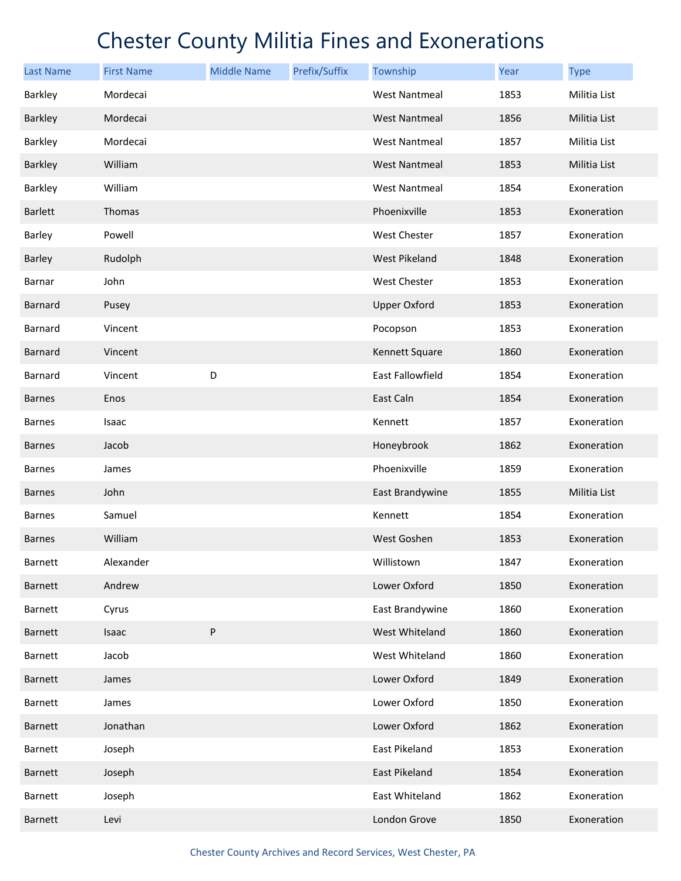| <b>Last Name</b> | <b>First Name</b> | <b>Middle Name</b> | Prefix/Suffix | Township             | Year | <b>Type</b>  |
|------------------|-------------------|--------------------|---------------|----------------------|------|--------------|
| Barkley          | Mordecai          |                    |               | <b>West Nantmeal</b> | 1853 | Militia List |
| Barkley          | Mordecai          |                    |               | <b>West Nantmeal</b> | 1856 | Militia List |
| Barkley          | Mordecai          |                    |               | <b>West Nantmeal</b> | 1857 | Militia List |
| Barkley          | William           |                    |               | <b>West Nantmeal</b> | 1853 | Militia List |
| Barkley          | William           |                    |               | <b>West Nantmeal</b> | 1854 | Exoneration  |
| <b>Barlett</b>   | Thomas            |                    |               | Phoenixville         | 1853 | Exoneration  |
| Barley           | Powell            |                    |               | West Chester         | 1857 | Exoneration  |
| Barley           | Rudolph           |                    |               | <b>West Pikeland</b> | 1848 | Exoneration  |
| Barnar           | John              |                    |               | West Chester         | 1853 | Exoneration  |
| <b>Barnard</b>   | Pusey             |                    |               | <b>Upper Oxford</b>  | 1853 | Exoneration  |
| Barnard          | Vincent           |                    |               | Pocopson             | 1853 | Exoneration  |
| Barnard          | Vincent           |                    |               | Kennett Square       | 1860 | Exoneration  |
| Barnard          | Vincent           | D                  |               | East Fallowfield     | 1854 | Exoneration  |
| <b>Barnes</b>    | Enos              |                    |               | East Caln            | 1854 | Exoneration  |
| <b>Barnes</b>    | Isaac             |                    |               | Kennett              | 1857 | Exoneration  |
| <b>Barnes</b>    | Jacob             |                    |               | Honeybrook           | 1862 | Exoneration  |
| <b>Barnes</b>    | James             |                    |               | Phoenixville         | 1859 | Exoneration  |
| <b>Barnes</b>    | John              |                    |               | East Brandywine      | 1855 | Militia List |
| <b>Barnes</b>    | Samuel            |                    |               | Kennett              | 1854 | Exoneration  |
| <b>Barnes</b>    | William           |                    |               | West Goshen          | 1853 | Exoneration  |
| Barnett          | Alexander         |                    |               | Willistown           | 1847 | Exoneration  |
| Barnett          | Andrew            |                    |               | Lower Oxford         | 1850 | Exoneration  |
| <b>Barnett</b>   | Cyrus             |                    |               | East Brandywine      | 1860 | Exoneration  |
| <b>Barnett</b>   | Isaac             | P                  |               | West Whiteland       | 1860 | Exoneration  |
| Barnett          | Jacob             |                    |               | West Whiteland       | 1860 | Exoneration  |
| <b>Barnett</b>   | James             |                    |               | Lower Oxford         | 1849 | Exoneration  |
| Barnett          | James             |                    |               | Lower Oxford         | 1850 | Exoneration  |
| <b>Barnett</b>   | Jonathan          |                    |               | Lower Oxford         | 1862 | Exoneration  |
| Barnett          | Joseph            |                    |               | East Pikeland        | 1853 | Exoneration  |
| <b>Barnett</b>   | Joseph            |                    |               | East Pikeland        | 1854 | Exoneration  |
| Barnett          | Joseph            |                    |               | East Whiteland       | 1862 | Exoneration  |
| <b>Barnett</b>   | Levi              |                    |               | London Grove         | 1850 | Exoneration  |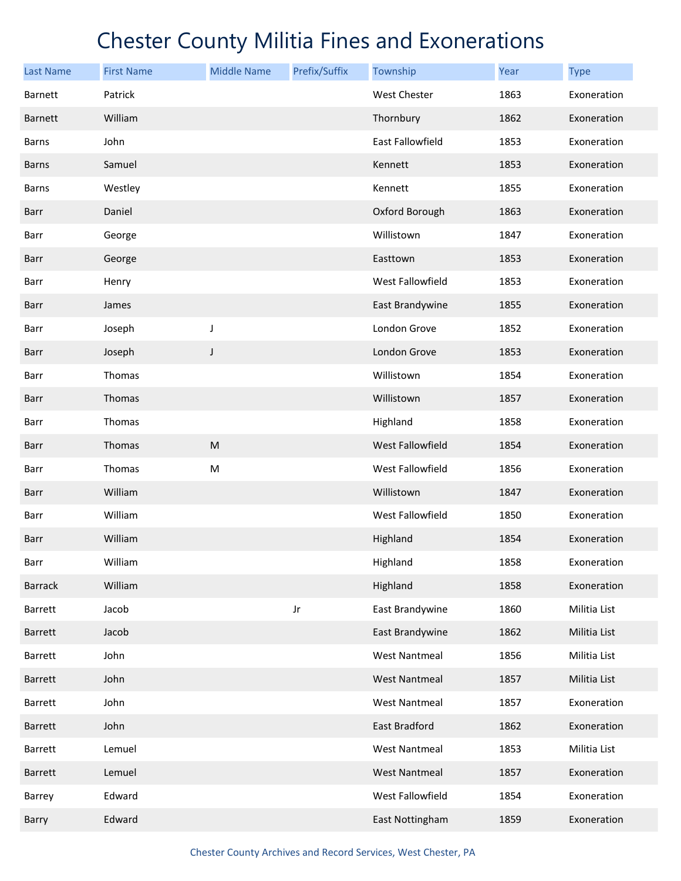| <b>Last Name</b> | <b>First Name</b> | <b>Middle Name</b> | Prefix/Suffix | Township             | Year | <b>Type</b>  |
|------------------|-------------------|--------------------|---------------|----------------------|------|--------------|
| Barnett          | Patrick           |                    |               | <b>West Chester</b>  | 1863 | Exoneration  |
| <b>Barnett</b>   | William           |                    |               | Thornbury            | 1862 | Exoneration  |
| <b>Barns</b>     | John              |                    |               | East Fallowfield     | 1853 | Exoneration  |
| <b>Barns</b>     | Samuel            |                    |               | Kennett              | 1853 | Exoneration  |
| <b>Barns</b>     | Westley           |                    |               | Kennett              | 1855 | Exoneration  |
| Barr             | Daniel            |                    |               | Oxford Borough       | 1863 | Exoneration  |
| Barr             | George            |                    |               | Willistown           | 1847 | Exoneration  |
| Barr             | George            |                    |               | Easttown             | 1853 | Exoneration  |
| Barr             | Henry             |                    |               | West Fallowfield     | 1853 | Exoneration  |
| Barr             | James             |                    |               | East Brandywine      | 1855 | Exoneration  |
| Barr             | Joseph            | J                  |               | London Grove         | 1852 | Exoneration  |
| Barr             | Joseph            | $\mathsf J$        |               | London Grove         | 1853 | Exoneration  |
| Barr             | Thomas            |                    |               | Willistown           | 1854 | Exoneration  |
| Barr             | Thomas            |                    |               | Willistown           | 1857 | Exoneration  |
| Barr             | Thomas            |                    |               | Highland             | 1858 | Exoneration  |
| Barr             | Thomas            | ${\sf M}$          |               | West Fallowfield     | 1854 | Exoneration  |
| Barr             | Thomas            | M                  |               | West Fallowfield     | 1856 | Exoneration  |
| Barr             | William           |                    |               | Willistown           | 1847 | Exoneration  |
| Barr             | William           |                    |               | West Fallowfield     | 1850 | Exoneration  |
| Barr             | William           |                    |               | Highland             | 1854 | Exoneration  |
| Barr             | William           |                    |               | Highland             | 1858 | Exoneration  |
| <b>Barrack</b>   | William           |                    |               | Highland             | 1858 | Exoneration  |
| Barrett          | Jacob             |                    | Jr            | East Brandywine      | 1860 | Militia List |
| Barrett          | Jacob             |                    |               | East Brandywine      | 1862 | Militia List |
| Barrett          | John              |                    |               | <b>West Nantmeal</b> | 1856 | Militia List |
| Barrett          | John              |                    |               | <b>West Nantmeal</b> | 1857 | Militia List |
| Barrett          | John              |                    |               | <b>West Nantmeal</b> | 1857 | Exoneration  |
| Barrett          | John              |                    |               | East Bradford        | 1862 | Exoneration  |
| Barrett          | Lemuel            |                    |               | <b>West Nantmeal</b> | 1853 | Militia List |
| Barrett          | Lemuel            |                    |               | <b>West Nantmeal</b> | 1857 | Exoneration  |
| Barrey           | Edward            |                    |               | West Fallowfield     | 1854 | Exoneration  |
| Barry            | Edward            |                    |               | East Nottingham      | 1859 | Exoneration  |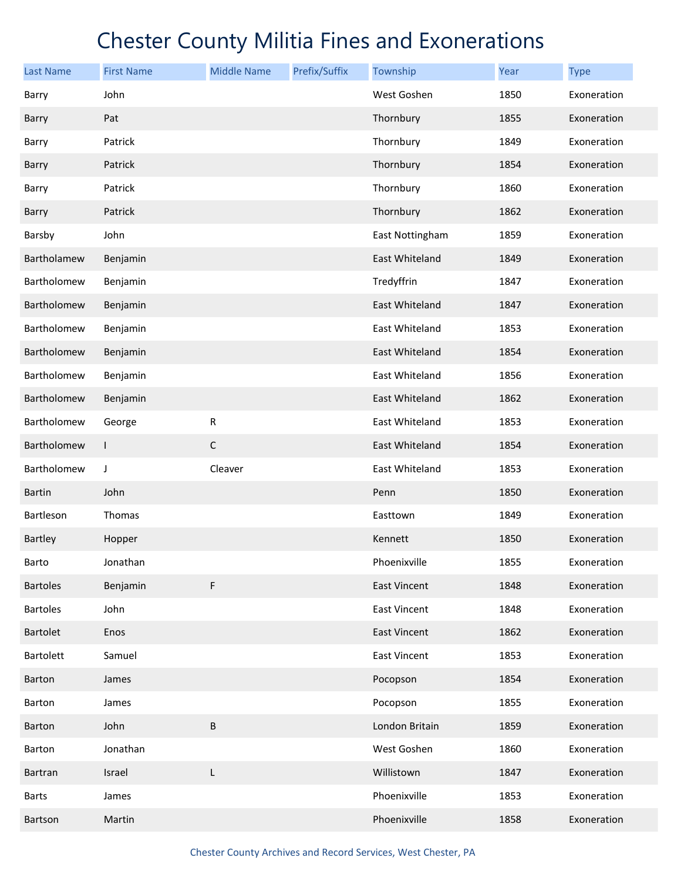| <b>Last Name</b> | <b>First Name</b> | <b>Middle Name</b> | Prefix/Suffix | Township            | Year | <b>Type</b> |
|------------------|-------------------|--------------------|---------------|---------------------|------|-------------|
| Barry            | John              |                    |               | West Goshen         | 1850 | Exoneration |
| Barry            | Pat               |                    |               | Thornbury           | 1855 | Exoneration |
| Barry            | Patrick           |                    |               | Thornbury           | 1849 | Exoneration |
| Barry            | Patrick           |                    |               | Thornbury           | 1854 | Exoneration |
| Barry            | Patrick           |                    |               | Thornbury           | 1860 | Exoneration |
| Barry            | Patrick           |                    |               | Thornbury           | 1862 | Exoneration |
| Barsby           | John              |                    |               | East Nottingham     | 1859 | Exoneration |
| Bartholamew      | Benjamin          |                    |               | East Whiteland      | 1849 | Exoneration |
| Bartholomew      | Benjamin          |                    |               | Tredyffrin          | 1847 | Exoneration |
| Bartholomew      | Benjamin          |                    |               | East Whiteland      | 1847 | Exoneration |
| Bartholomew      | Benjamin          |                    |               | East Whiteland      | 1853 | Exoneration |
| Bartholomew      | Benjamin          |                    |               | East Whiteland      | 1854 | Exoneration |
| Bartholomew      | Benjamin          |                    |               | East Whiteland      | 1856 | Exoneration |
| Bartholomew      | Benjamin          |                    |               | East Whiteland      | 1862 | Exoneration |
| Bartholomew      | George            | ${\sf R}$          |               | East Whiteland      | 1853 | Exoneration |
| Bartholomew      | L                 | $\mathsf C$        |               | East Whiteland      | 1854 | Exoneration |
| Bartholomew      | J                 | Cleaver            |               | East Whiteland      | 1853 | Exoneration |
| <b>Bartin</b>    | John              |                    |               | Penn                | 1850 | Exoneration |
| Bartleson        | Thomas            |                    |               | Easttown            | 1849 | Exoneration |
| <b>Bartley</b>   | Hopper            |                    |               | Kennett             | 1850 | Exoneration |
| Barto            | Jonathan          |                    |               | Phoenixville        | 1855 | Exoneration |
| <b>Bartoles</b>  | Benjamin          | F                  |               | <b>East Vincent</b> | 1848 | Exoneration |
| <b>Bartoles</b>  | John              |                    |               | East Vincent        | 1848 | Exoneration |
| Bartolet         | Enos              |                    |               | <b>East Vincent</b> | 1862 | Exoneration |
| Bartolett        | Samuel            |                    |               | <b>East Vincent</b> | 1853 | Exoneration |
| Barton           | James             |                    |               | Pocopson            | 1854 | Exoneration |
| Barton           | James             |                    |               | Pocopson            | 1855 | Exoneration |
| Barton           | John              | B                  |               | London Britain      | 1859 | Exoneration |
| Barton           | Jonathan          |                    |               | West Goshen         | 1860 | Exoneration |
| <b>Bartran</b>   | Israel            | L                  |               | Willistown          | 1847 | Exoneration |
| <b>Barts</b>     | James             |                    |               | Phoenixville        | 1853 | Exoneration |
| Bartson          | Martin            |                    |               | Phoenixville        | 1858 | Exoneration |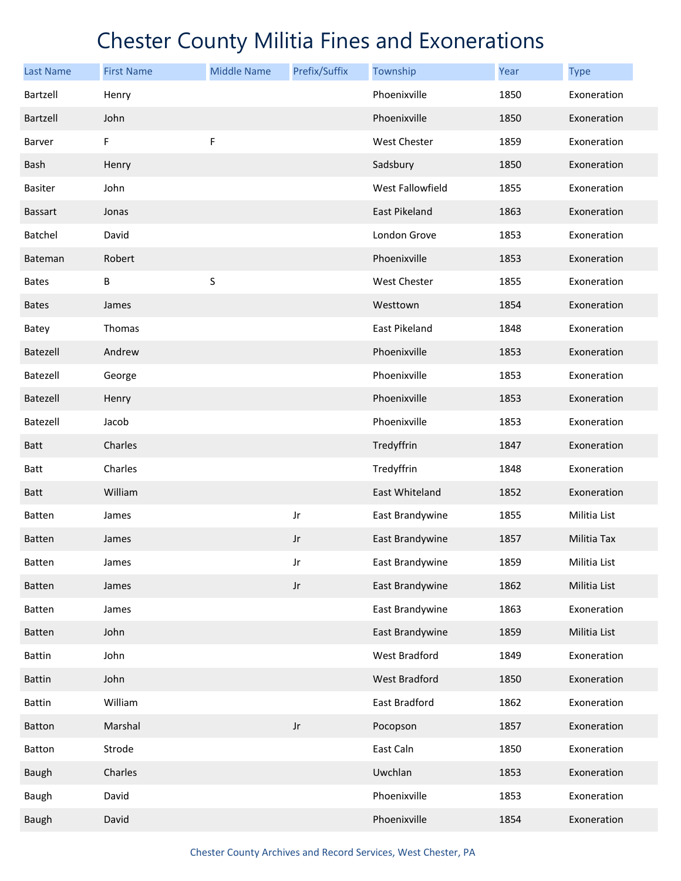| <b>Last Name</b> | <b>First Name</b> | <b>Middle Name</b> | Prefix/Suffix          | Township         | Year | <b>Type</b>  |
|------------------|-------------------|--------------------|------------------------|------------------|------|--------------|
| Bartzell         | Henry             |                    |                        | Phoenixville     | 1850 | Exoneration  |
| Bartzell         | John              |                    |                        | Phoenixville     | 1850 | Exoneration  |
| Barver           | F                 | F                  |                        | West Chester     | 1859 | Exoneration  |
| Bash             | Henry             |                    |                        | Sadsbury         | 1850 | Exoneration  |
| <b>Basiter</b>   | John              |                    |                        | West Fallowfield | 1855 | Exoneration  |
| <b>Bassart</b>   | Jonas             |                    |                        | East Pikeland    | 1863 | Exoneration  |
| Batchel          | David             |                    |                        | London Grove     | 1853 | Exoneration  |
| <b>Bateman</b>   | Robert            |                    |                        | Phoenixville     | 1853 | Exoneration  |
| <b>Bates</b>     | B                 | S                  |                        | West Chester     | 1855 | Exoneration  |
| <b>Bates</b>     | James             |                    |                        | Westtown         | 1854 | Exoneration  |
| Batey            | Thomas            |                    |                        | East Pikeland    | 1848 | Exoneration  |
| Batezell         | Andrew            |                    |                        | Phoenixville     | 1853 | Exoneration  |
| Batezell         | George            |                    |                        | Phoenixville     | 1853 | Exoneration  |
| <b>Batezell</b>  | Henry             |                    |                        | Phoenixville     | 1853 | Exoneration  |
| Batezell         | Jacob             |                    |                        | Phoenixville     | 1853 | Exoneration  |
| <b>Batt</b>      | Charles           |                    |                        | Tredyffrin       | 1847 | Exoneration  |
| <b>Batt</b>      | Charles           |                    |                        | Tredyffrin       | 1848 | Exoneration  |
| <b>Batt</b>      | William           |                    |                        | East Whiteland   | 1852 | Exoneration  |
| Batten           | James             |                    | Jr                     | East Brandywine  | 1855 | Militia List |
| <b>Batten</b>    | James             |                    | Jr                     | East Brandywine  | 1857 | Militia Tax  |
| Batten           | James             |                    | Jr                     | East Brandywine  | 1859 | Militia List |
| Batten           | James             |                    | $\mathsf{J}\mathsf{r}$ | East Brandywine  | 1862 | Militia List |
| Batten           | James             |                    |                        | East Brandywine  | 1863 | Exoneration  |
| Batten           | John              |                    |                        | East Brandywine  | 1859 | Militia List |
| <b>Battin</b>    | John              |                    |                        | West Bradford    | 1849 | Exoneration  |
| <b>Battin</b>    | John              |                    |                        | West Bradford    | 1850 | Exoneration  |
| <b>Battin</b>    | William           |                    |                        | East Bradford    | 1862 | Exoneration  |
| Batton           | Marshal           |                    | $_{\rm Jr}$            | Pocopson         | 1857 | Exoneration  |
| Batton           | Strode            |                    |                        | East Caln        | 1850 | Exoneration  |
| Baugh            | Charles           |                    |                        | Uwchlan          | 1853 | Exoneration  |
| Baugh            | David             |                    |                        | Phoenixville     | 1853 | Exoneration  |
| Baugh            | David             |                    |                        | Phoenixville     | 1854 | Exoneration  |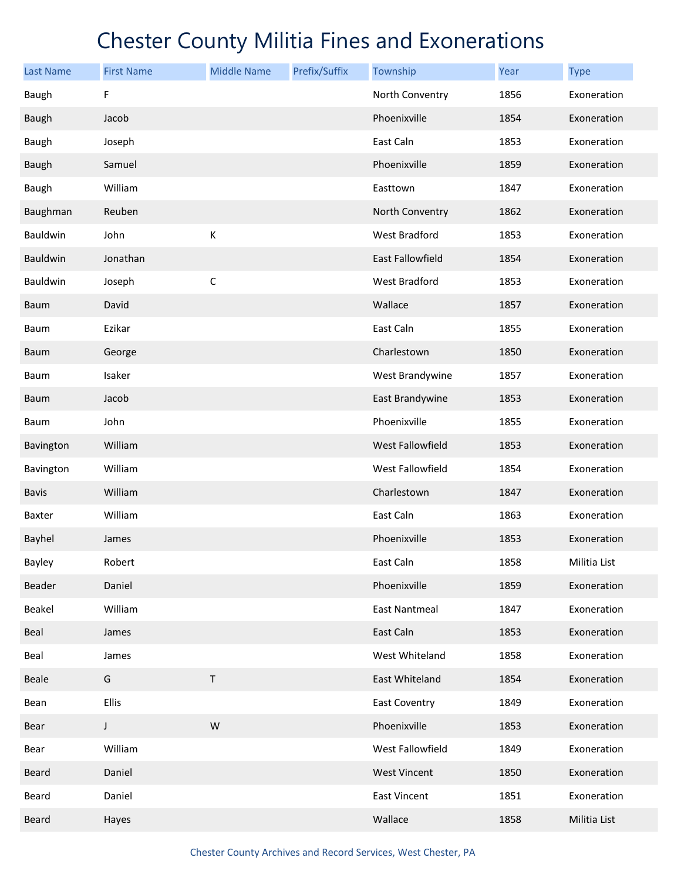| <b>Last Name</b> | <b>First Name</b> | <b>Middle Name</b> | Prefix/Suffix | Township                | Year | <b>Type</b>  |
|------------------|-------------------|--------------------|---------------|-------------------------|------|--------------|
| Baugh            | F                 |                    |               | North Conventry         | 1856 | Exoneration  |
| <b>Baugh</b>     | Jacob             |                    |               | Phoenixville            | 1854 | Exoneration  |
| Baugh            | Joseph            |                    |               | East Caln               | 1853 | Exoneration  |
| <b>Baugh</b>     | Samuel            |                    |               | Phoenixville            | 1859 | Exoneration  |
| Baugh            | William           |                    |               | Easttown                | 1847 | Exoneration  |
| Baughman         | Reuben            |                    |               | North Conventry         | 1862 | Exoneration  |
| Bauldwin         | John              | К                  |               | West Bradford           | 1853 | Exoneration  |
| Bauldwin         | Jonathan          |                    |               | <b>East Fallowfield</b> | 1854 | Exoneration  |
| Bauldwin         | Joseph            | $\mathsf C$        |               | West Bradford           | 1853 | Exoneration  |
| Baum             | David             |                    |               | Wallace                 | 1857 | Exoneration  |
| Baum             | Ezikar            |                    |               | East Caln               | 1855 | Exoneration  |
| <b>Baum</b>      | George            |                    |               | Charlestown             | 1850 | Exoneration  |
| Baum             | Isaker            |                    |               | West Brandywine         | 1857 | Exoneration  |
| <b>Baum</b>      | Jacob             |                    |               | East Brandywine         | 1853 | Exoneration  |
| Baum             | John              |                    |               | Phoenixville            | 1855 | Exoneration  |
| Bavington        | William           |                    |               | West Fallowfield        | 1853 | Exoneration  |
| Bavington        | William           |                    |               | West Fallowfield        | 1854 | Exoneration  |
| <b>Bavis</b>     | William           |                    |               | Charlestown             | 1847 | Exoneration  |
| Baxter           | William           |                    |               | East Caln               | 1863 | Exoneration  |
| <b>Bayhel</b>    | James             |                    |               | Phoenixville            | 1853 | Exoneration  |
| Bayley           | Robert            |                    |               | East Caln               | 1858 | Militia List |
| Beader           | Daniel            |                    |               | Phoenixville            | 1859 | Exoneration  |
| Beakel           | William           |                    |               | <b>East Nantmeal</b>    | 1847 | Exoneration  |
| <b>Beal</b>      | James             |                    |               | East Caln               | 1853 | Exoneration  |
| Beal             | James             |                    |               | West Whiteland          | 1858 | Exoneration  |
| Beale            | G                 | T                  |               | East Whiteland          | 1854 | Exoneration  |
| Bean             | Ellis             |                    |               | East Coventry           | 1849 | Exoneration  |
| Bear             | J                 | W                  |               | Phoenixville            | 1853 | Exoneration  |
| Bear             | William           |                    |               | West Fallowfield        | 1849 | Exoneration  |
| Beard            | Daniel            |                    |               | <b>West Vincent</b>     | 1850 | Exoneration  |
| Beard            | Daniel            |                    |               | East Vincent            | 1851 | Exoneration  |
| Beard            | Hayes             |                    |               | Wallace                 | 1858 | Militia List |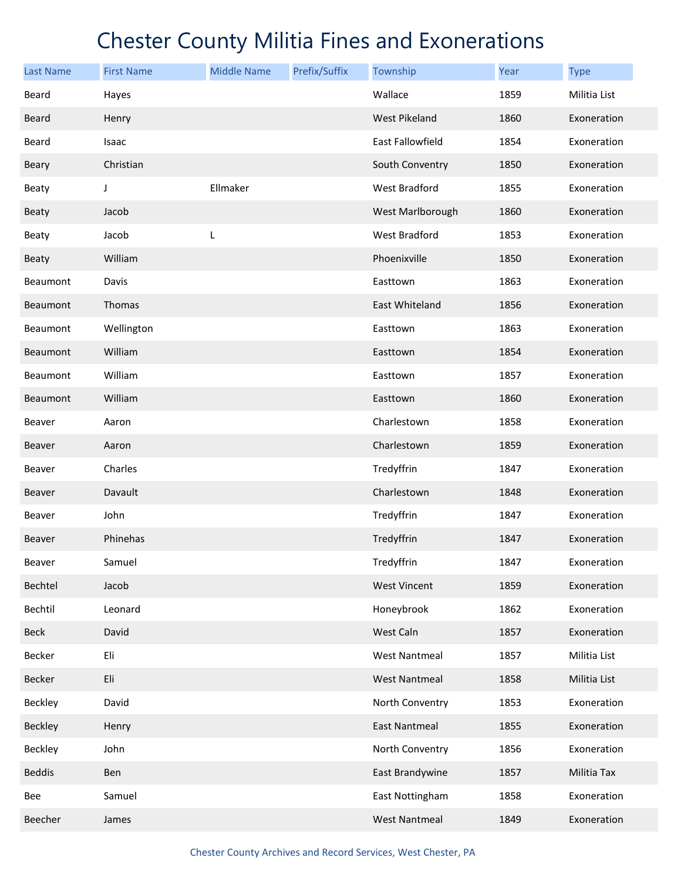| <b>Last Name</b> | <b>First Name</b> | <b>Middle Name</b> | Prefix/Suffix | Township             | Year | <b>Type</b>  |
|------------------|-------------------|--------------------|---------------|----------------------|------|--------------|
| Beard            | Hayes             |                    |               | Wallace              | 1859 | Militia List |
| <b>Beard</b>     | Henry             |                    |               | West Pikeland        | 1860 | Exoneration  |
| Beard            | Isaac             |                    |               | East Fallowfield     | 1854 | Exoneration  |
| Beary            | Christian         |                    |               | South Conventry      | 1850 | Exoneration  |
| Beaty            | J                 | Ellmaker           |               | West Bradford        | 1855 | Exoneration  |
| <b>Beaty</b>     | Jacob             |                    |               | West Marlborough     | 1860 | Exoneration  |
| <b>Beaty</b>     | Jacob             | L                  |               | West Bradford        | 1853 | Exoneration  |
| Beaty            | William           |                    |               | Phoenixville         | 1850 | Exoneration  |
| Beaumont         | Davis             |                    |               | Easttown             | 1863 | Exoneration  |
| Beaumont         | Thomas            |                    |               | East Whiteland       | 1856 | Exoneration  |
| Beaumont         | Wellington        |                    |               | Easttown             | 1863 | Exoneration  |
| Beaumont         | William           |                    |               | Easttown             | 1854 | Exoneration  |
| Beaumont         | William           |                    |               | Easttown             | 1857 | Exoneration  |
| <b>Beaumont</b>  | William           |                    |               | Easttown             | 1860 | Exoneration  |
| Beaver           | Aaron             |                    |               | Charlestown          | 1858 | Exoneration  |
| <b>Beaver</b>    | Aaron             |                    |               | Charlestown          | 1859 | Exoneration  |
| Beaver           | Charles           |                    |               | Tredyffrin           | 1847 | Exoneration  |
| <b>Beaver</b>    | Davault           |                    |               | Charlestown          | 1848 | Exoneration  |
| Beaver           | John              |                    |               | Tredyffrin           | 1847 | Exoneration  |
| <b>Beaver</b>    | Phinehas          |                    |               | Tredyffrin           | 1847 | Exoneration  |
| Beaver           | Samuel            |                    |               | Tredyffrin           | 1847 | Exoneration  |
| Bechtel          | Jacob             |                    |               | <b>West Vincent</b>  | 1859 | Exoneration  |
| Bechtil          | Leonard           |                    |               | Honeybrook           | 1862 | Exoneration  |
| <b>Beck</b>      | David             |                    |               | West Caln            | 1857 | Exoneration  |
| Becker           | Eli               |                    |               | <b>West Nantmeal</b> | 1857 | Militia List |
| Becker           | Eli               |                    |               | <b>West Nantmeal</b> | 1858 | Militia List |
| <b>Beckley</b>   | David             |                    |               | North Conventry      | 1853 | Exoneration  |
| Beckley          | Henry             |                    |               | <b>East Nantmeal</b> | 1855 | Exoneration  |
| Beckley          | John              |                    |               | North Conventry      | 1856 | Exoneration  |
| <b>Beddis</b>    | Ben               |                    |               | East Brandywine      | 1857 | Militia Tax  |
| Bee              | Samuel            |                    |               | East Nottingham      | 1858 | Exoneration  |
| Beecher          | James             |                    |               | <b>West Nantmeal</b> | 1849 | Exoneration  |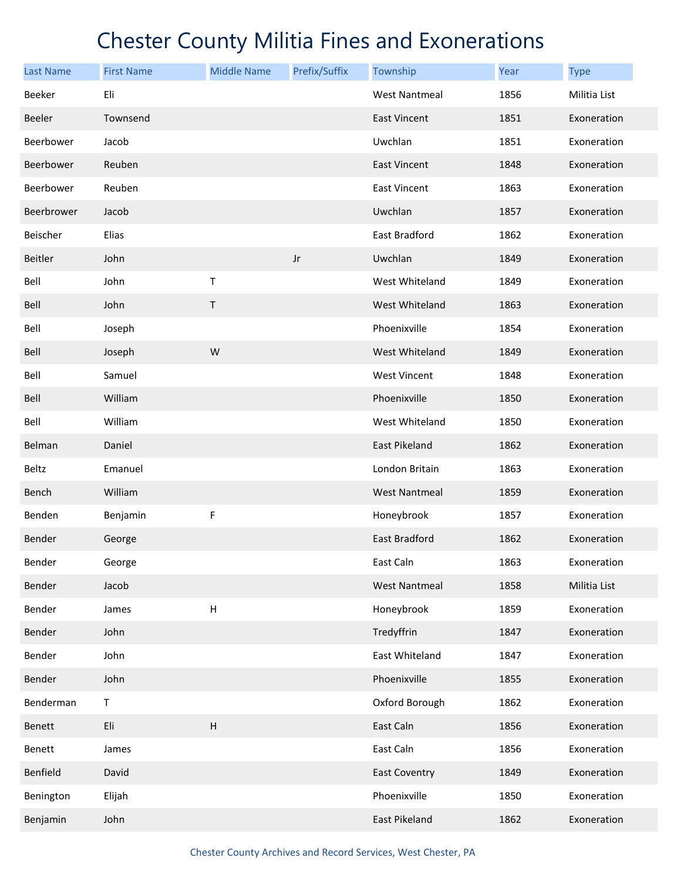| Last Name  | <b>First Name</b> | <b>Middle Name</b> | Prefix/Suffix          | Township             | Year | <b>Type</b>  |
|------------|-------------------|--------------------|------------------------|----------------------|------|--------------|
| Beeker     | Eli               |                    |                        | <b>West Nantmeal</b> | 1856 | Militia List |
| Beeler     | Townsend          |                    |                        | <b>East Vincent</b>  | 1851 | Exoneration  |
| Beerbower  | Jacob             |                    |                        | Uwchlan              | 1851 | Exoneration  |
| Beerbower  | Reuben            |                    |                        | <b>East Vincent</b>  | 1848 | Exoneration  |
| Beerbower  | Reuben            |                    |                        | <b>East Vincent</b>  | 1863 | Exoneration  |
| Beerbrower | Jacob             |                    |                        | Uwchlan              | 1857 | Exoneration  |
| Beischer   | Elias             |                    |                        | East Bradford        | 1862 | Exoneration  |
| Beitler    | John              |                    | $\mathsf{J}\mathsf{r}$ | Uwchlan              | 1849 | Exoneration  |
| Bell       | John              | Τ                  |                        | West Whiteland       | 1849 | Exoneration  |
| Bell       | John              | $\sf T$            |                        | West Whiteland       | 1863 | Exoneration  |
| Bell       | Joseph            |                    |                        | Phoenixville         | 1854 | Exoneration  |
| Bell       | Joseph            | W                  |                        | West Whiteland       | 1849 | Exoneration  |
| Bell       | Samuel            |                    |                        | <b>West Vincent</b>  | 1848 | Exoneration  |
| Bell       | William           |                    |                        | Phoenixville         | 1850 | Exoneration  |
| Bell       | William           |                    |                        | West Whiteland       | 1850 | Exoneration  |
| Belman     | Daniel            |                    |                        | East Pikeland        | 1862 | Exoneration  |
| Beltz      | Emanuel           |                    |                        | London Britain       | 1863 | Exoneration  |
| Bench      | William           |                    |                        | <b>West Nantmeal</b> | 1859 | Exoneration  |
| Benden     | Benjamin          | F                  |                        | Honeybrook           | 1857 | Exoneration  |
| Bender     | George            |                    |                        | <b>East Bradford</b> | 1862 | Exoneration  |
| Bender     | George            |                    |                        | East Caln            | 1863 | Exoneration  |
| Bender     | Jacob             |                    |                        | <b>West Nantmeal</b> | 1858 | Militia List |
| Bender     | James             | H                  |                        | Honeybrook           | 1859 | Exoneration  |
| Bender     | John              |                    |                        | Tredyffrin           | 1847 | Exoneration  |
| Bender     | John              |                    |                        | East Whiteland       | 1847 | Exoneration  |
| Bender     | John              |                    |                        | Phoenixville         | 1855 | Exoneration  |
| Benderman  | T                 |                    |                        | Oxford Borough       | 1862 | Exoneration  |
| Benett     | Eli               | $\overline{H}$     |                        | East Caln            | 1856 | Exoneration  |
| Benett     | James             |                    |                        | East Caln            | 1856 | Exoneration  |
| Benfield   | David             |                    |                        | <b>East Coventry</b> | 1849 | Exoneration  |
| Benington  | Elijah            |                    |                        | Phoenixville         | 1850 | Exoneration  |
| Benjamin   | John              |                    |                        | East Pikeland        | 1862 | Exoneration  |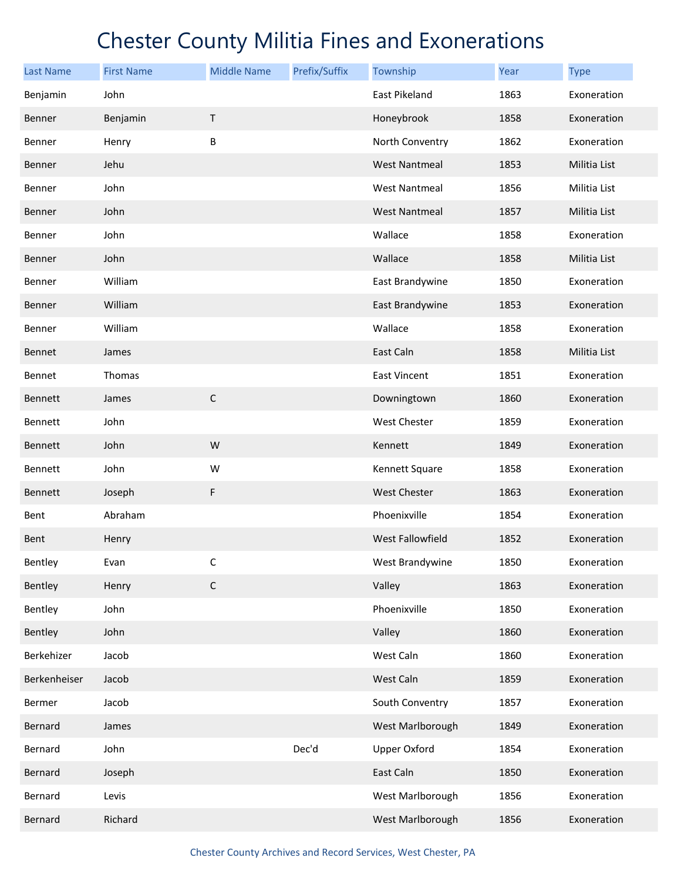| <b>Last Name</b> | <b>First Name</b> | <b>Middle Name</b> | Prefix/Suffix | Township             | Year | <b>Type</b>  |
|------------------|-------------------|--------------------|---------------|----------------------|------|--------------|
| Benjamin         | John              |                    |               | East Pikeland        | 1863 | Exoneration  |
| <b>Benner</b>    | Benjamin          | $\sf T$            |               | Honeybrook           | 1858 | Exoneration  |
| Benner           | Henry             | B                  |               | North Conventry      | 1862 | Exoneration  |
| Benner           | Jehu              |                    |               | <b>West Nantmeal</b> | 1853 | Militia List |
| Benner           | John              |                    |               | West Nantmeal        | 1856 | Militia List |
| Benner           | John              |                    |               | <b>West Nantmeal</b> | 1857 | Militia List |
| Benner           | John              |                    |               | Wallace              | 1858 | Exoneration  |
| Benner           | John              |                    |               | Wallace              | 1858 | Militia List |
| Benner           | William           |                    |               | East Brandywine      | 1850 | Exoneration  |
| Benner           | William           |                    |               | East Brandywine      | 1853 | Exoneration  |
| Benner           | William           |                    |               | Wallace              | 1858 | Exoneration  |
| Bennet           | James             |                    |               | East Caln            | 1858 | Militia List |
| Bennet           | Thomas            |                    |               | <b>East Vincent</b>  | 1851 | Exoneration  |
| Bennett          | James             | $\mathsf C$        |               | Downingtown          | 1860 | Exoneration  |
| Bennett          | John              |                    |               | West Chester         | 1859 | Exoneration  |
| Bennett          | John              | W                  |               | Kennett              | 1849 | Exoneration  |
| Bennett          | John              | W                  |               | Kennett Square       | 1858 | Exoneration  |
| Bennett          | Joseph            | F                  |               | <b>West Chester</b>  | 1863 | Exoneration  |
| Bent             | Abraham           |                    |               | Phoenixville         | 1854 | Exoneration  |
| Bent             | Henry             |                    |               | West Fallowfield     | 1852 | Exoneration  |
| Bentley          | Evan              | $\mathsf C$        |               | West Brandywine      | 1850 | Exoneration  |
| Bentley          | Henry             | $\mathsf C$        |               | Valley               | 1863 | Exoneration  |
| Bentley          | John              |                    |               | Phoenixville         | 1850 | Exoneration  |
| Bentley          | John              |                    |               | Valley               | 1860 | Exoneration  |
| Berkehizer       | Jacob             |                    |               | West Caln            | 1860 | Exoneration  |
| Berkenheiser     | Jacob             |                    |               | West Caln            | 1859 | Exoneration  |
| Bermer           | Jacob             |                    |               | South Conventry      | 1857 | Exoneration  |
| Bernard          | James             |                    |               | West Marlborough     | 1849 | Exoneration  |
| Bernard          | John              |                    | Dec'd         | <b>Upper Oxford</b>  | 1854 | Exoneration  |
| Bernard          | Joseph            |                    |               | East Caln            | 1850 | Exoneration  |
| Bernard          | Levis             |                    |               | West Marlborough     | 1856 | Exoneration  |
| Bernard          | Richard           |                    |               | West Marlborough     | 1856 | Exoneration  |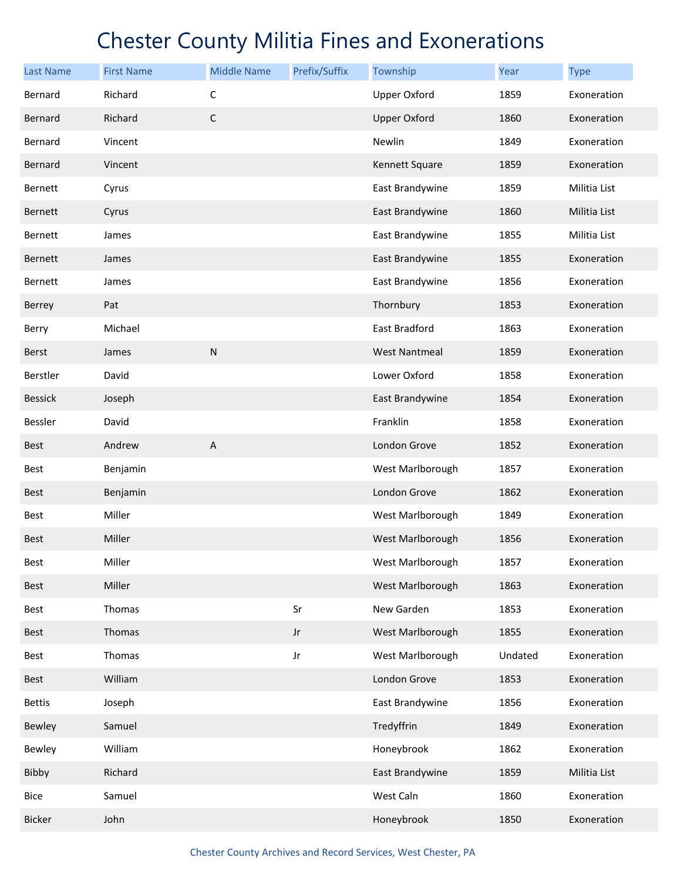| <b>Last Name</b> | <b>First Name</b> | <b>Middle Name</b> | Prefix/Suffix | Township             | Year    | <b>Type</b>  |
|------------------|-------------------|--------------------|---------------|----------------------|---------|--------------|
| Bernard          | Richard           | $\mathsf C$        |               | <b>Upper Oxford</b>  | 1859    | Exoneration  |
| Bernard          | Richard           | $\mathsf C$        |               | <b>Upper Oxford</b>  | 1860    | Exoneration  |
| Bernard          | Vincent           |                    |               | Newlin               | 1849    | Exoneration  |
| Bernard          | Vincent           |                    |               | Kennett Square       | 1859    | Exoneration  |
| Bernett          | Cyrus             |                    |               | East Brandywine      | 1859    | Militia List |
| Bernett          | Cyrus             |                    |               | East Brandywine      | 1860    | Militia List |
| Bernett          | James             |                    |               | East Brandywine      | 1855    | Militia List |
| Bernett          | James             |                    |               | East Brandywine      | 1855    | Exoneration  |
| Bernett          | James             |                    |               | East Brandywine      | 1856    | Exoneration  |
| Berrey           | Pat               |                    |               | Thornbury            | 1853    | Exoneration  |
| Berry            | Michael           |                    |               | East Bradford        | 1863    | Exoneration  |
| <b>Berst</b>     | James             | ${\sf N}$          |               | <b>West Nantmeal</b> | 1859    | Exoneration  |
| Berstler         | David             |                    |               | Lower Oxford         | 1858    | Exoneration  |
| <b>Bessick</b>   | Joseph            |                    |               | East Brandywine      | 1854    | Exoneration  |
| Bessler          | David             |                    |               | Franklin             | 1858    | Exoneration  |
| Best             | Andrew            | A                  |               | London Grove         | 1852    | Exoneration  |
| Best             | Benjamin          |                    |               | West Marlborough     | 1857    | Exoneration  |
| <b>Best</b>      | Benjamin          |                    |               | London Grove         | 1862    | Exoneration  |
| Best             | Miller            |                    |               | West Marlborough     | 1849    | Exoneration  |
| <b>Best</b>      | Miller            |                    |               | West Marlborough     | 1856    | Exoneration  |
| Best             | Miller            |                    |               | West Marlborough     | 1857    | Exoneration  |
| Best             | Miller            |                    |               | West Marlborough     | 1863    | Exoneration  |
| Best             | Thomas            |                    | Sr            | New Garden           | 1853    | Exoneration  |
| Best             | Thomas            |                    | $_{\rm Jr}$   | West Marlborough     | 1855    | Exoneration  |
| Best             | Thomas            |                    | Jr            | West Marlborough     | Undated | Exoneration  |
| Best             | William           |                    |               | London Grove         | 1853    | Exoneration  |
| <b>Bettis</b>    | Joseph            |                    |               | East Brandywine      | 1856    | Exoneration  |
| Bewley           | Samuel            |                    |               | Tredyffrin           | 1849    | Exoneration  |
| Bewley           | William           |                    |               | Honeybrook           | 1862    | Exoneration  |
| Bibby            | Richard           |                    |               | East Brandywine      | 1859    | Militia List |
| Bice             | Samuel            |                    |               | West Caln            | 1860    | Exoneration  |
| Bicker           | John              |                    |               | Honeybrook           | 1850    | Exoneration  |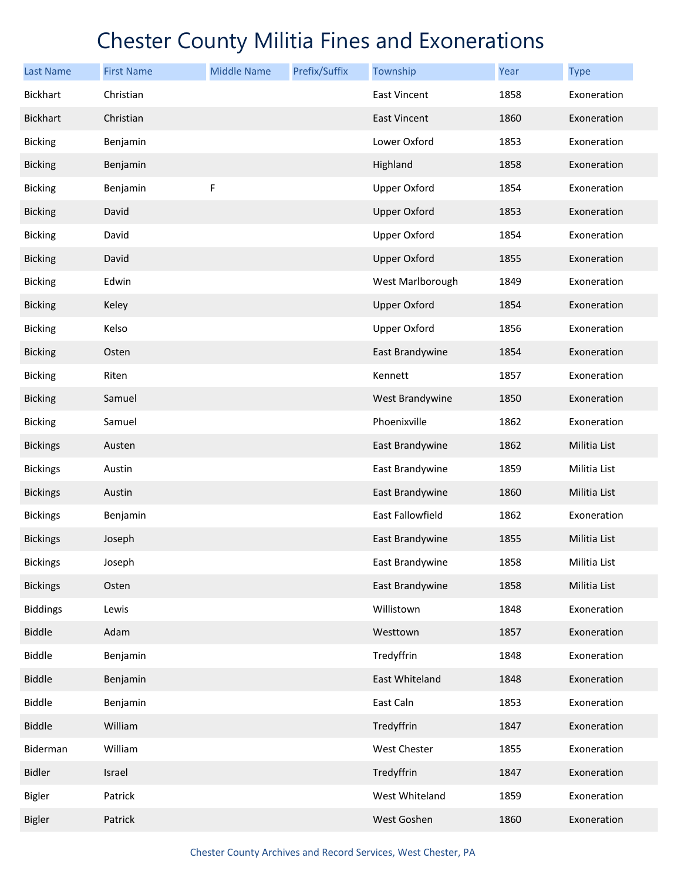| <b>Last Name</b> | <b>First Name</b> | <b>Middle Name</b> | Prefix/Suffix | Township            | Year | <b>Type</b>  |
|------------------|-------------------|--------------------|---------------|---------------------|------|--------------|
| <b>Bickhart</b>  | Christian         |                    |               | East Vincent        | 1858 | Exoneration  |
| <b>Bickhart</b>  | Christian         |                    |               | East Vincent        | 1860 | Exoneration  |
| <b>Bicking</b>   | Benjamin          |                    |               | Lower Oxford        | 1853 | Exoneration  |
| <b>Bicking</b>   | Benjamin          |                    |               | Highland            | 1858 | Exoneration  |
| <b>Bicking</b>   | Benjamin          | F                  |               | Upper Oxford        | 1854 | Exoneration  |
| <b>Bicking</b>   | David             |                    |               | <b>Upper Oxford</b> | 1853 | Exoneration  |
| <b>Bicking</b>   | David             |                    |               | <b>Upper Oxford</b> | 1854 | Exoneration  |
| <b>Bicking</b>   | David             |                    |               | <b>Upper Oxford</b> | 1855 | Exoneration  |
| <b>Bicking</b>   | Edwin             |                    |               | West Marlborough    | 1849 | Exoneration  |
| <b>Bicking</b>   | Keley             |                    |               | <b>Upper Oxford</b> | 1854 | Exoneration  |
| <b>Bicking</b>   | Kelso             |                    |               | <b>Upper Oxford</b> | 1856 | Exoneration  |
| <b>Bicking</b>   | Osten             |                    |               | East Brandywine     | 1854 | Exoneration  |
| <b>Bicking</b>   | Riten             |                    |               | Kennett             | 1857 | Exoneration  |
| <b>Bicking</b>   | Samuel            |                    |               | West Brandywine     | 1850 | Exoneration  |
| <b>Bicking</b>   | Samuel            |                    |               | Phoenixville        | 1862 | Exoneration  |
| <b>Bickings</b>  | Austen            |                    |               | East Brandywine     | 1862 | Militia List |
| <b>Bickings</b>  | Austin            |                    |               | East Brandywine     | 1859 | Militia List |
| <b>Bickings</b>  | Austin            |                    |               | East Brandywine     | 1860 | Militia List |
| <b>Bickings</b>  | Benjamin          |                    |               | East Fallowfield    | 1862 | Exoneration  |
| <b>Bickings</b>  | Joseph            |                    |               | East Brandywine     | 1855 | Militia List |
| <b>Bickings</b>  | Joseph            |                    |               | East Brandywine     | 1858 | Militia List |
| <b>Bickings</b>  | Osten             |                    |               | East Brandywine     | 1858 | Militia List |
| <b>Biddings</b>  | Lewis             |                    |               | Willistown          | 1848 | Exoneration  |
| <b>Biddle</b>    | Adam              |                    |               | Westtown            | 1857 | Exoneration  |
| <b>Biddle</b>    | Benjamin          |                    |               | Tredyffrin          | 1848 | Exoneration  |
| <b>Biddle</b>    | Benjamin          |                    |               | East Whiteland      | 1848 | Exoneration  |
| <b>Biddle</b>    | Benjamin          |                    |               | East Caln           | 1853 | Exoneration  |
| <b>Biddle</b>    | William           |                    |               | Tredyffrin          | 1847 | Exoneration  |
| Biderman         | William           |                    |               | West Chester        | 1855 | Exoneration  |
| <b>Bidler</b>    | Israel            |                    |               | Tredyffrin          | 1847 | Exoneration  |
| <b>Bigler</b>    | Patrick           |                    |               | West Whiteland      | 1859 | Exoneration  |
| <b>Bigler</b>    | Patrick           |                    |               | West Goshen         | 1860 | Exoneration  |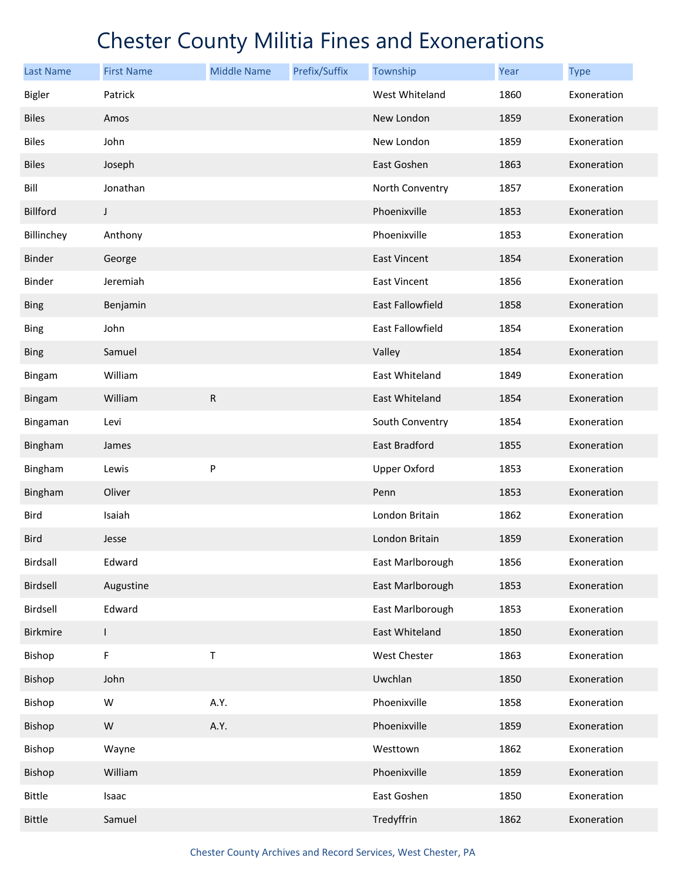| <b>Last Name</b> | <b>First Name</b> | <b>Middle Name</b> | Prefix/Suffix | Township                | Year | <b>Type</b> |
|------------------|-------------------|--------------------|---------------|-------------------------|------|-------------|
| <b>Bigler</b>    | Patrick           |                    |               | West Whiteland          | 1860 | Exoneration |
| <b>Biles</b>     | Amos              |                    |               | New London              | 1859 | Exoneration |
| <b>Biles</b>     | John              |                    |               | New London              | 1859 | Exoneration |
| <b>Biles</b>     | Joseph            |                    |               | East Goshen             | 1863 | Exoneration |
| Bill             | Jonathan          |                    |               | North Conventry         | 1857 | Exoneration |
| Billford         | J                 |                    |               | Phoenixville            | 1853 | Exoneration |
| Billinchey       | Anthony           |                    |               | Phoenixville            | 1853 | Exoneration |
| <b>Binder</b>    | George            |                    |               | <b>East Vincent</b>     | 1854 | Exoneration |
| Binder           | Jeremiah          |                    |               | East Vincent            | 1856 | Exoneration |
| <b>Bing</b>      | Benjamin          |                    |               | <b>East Fallowfield</b> | 1858 | Exoneration |
| <b>Bing</b>      | John              |                    |               | East Fallowfield        | 1854 | Exoneration |
| <b>Bing</b>      | Samuel            |                    |               | Valley                  | 1854 | Exoneration |
| Bingam           | William           |                    |               | East Whiteland          | 1849 | Exoneration |
| <b>Bingam</b>    | William           | R                  |               | East Whiteland          | 1854 | Exoneration |
| Bingaman         | Levi              |                    |               | South Conventry         | 1854 | Exoneration |
| Bingham          | James             |                    |               | East Bradford           | 1855 | Exoneration |
| Bingham          | Lewis             | P                  |               | <b>Upper Oxford</b>     | 1853 | Exoneration |
| Bingham          | Oliver            |                    |               | Penn                    | 1853 | Exoneration |
| <b>Bird</b>      | Isaiah            |                    |               | London Britain          | 1862 | Exoneration |
| <b>Bird</b>      | Jesse             |                    |               | London Britain          | 1859 | Exoneration |
| Birdsall         | Edward            |                    |               | East Marlborough        | 1856 | Exoneration |
| Birdsell         | Augustine         |                    |               | East Marlborough        | 1853 | Exoneration |
| Birdsell         | Edward            |                    |               | East Marlborough        | 1853 | Exoneration |
| <b>Birkmire</b>  | L                 |                    |               | East Whiteland          | 1850 | Exoneration |
| Bishop           | F                 | Т                  |               | West Chester            | 1863 | Exoneration |
| Bishop           | John              |                    |               | Uwchlan                 | 1850 | Exoneration |
| Bishop           | W                 | A.Y.               |               | Phoenixville            | 1858 | Exoneration |
| Bishop           | ${\sf W}$         | A.Y.               |               | Phoenixville            | 1859 | Exoneration |
| Bishop           | Wayne             |                    |               | Westtown                | 1862 | Exoneration |
| Bishop           | William           |                    |               | Phoenixville            | 1859 | Exoneration |
| <b>Bittle</b>    | Isaac             |                    |               | East Goshen             | 1850 | Exoneration |
| <b>Bittle</b>    | Samuel            |                    |               | Tredyffrin              | 1862 | Exoneration |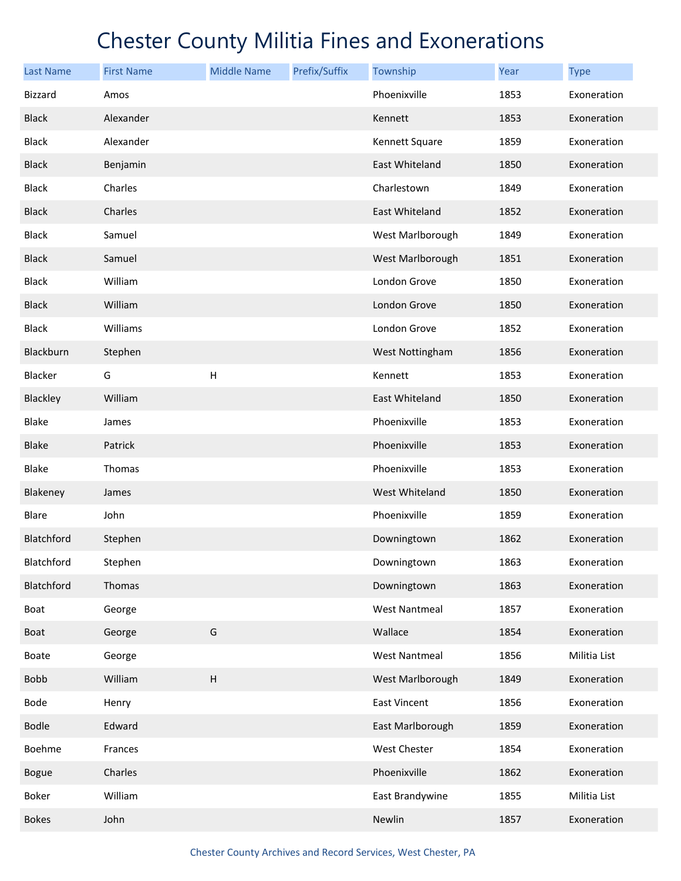| <b>Last Name</b> | <b>First Name</b> | <b>Middle Name</b> | Prefix/Suffix | Township             | Year | <b>Type</b>  |
|------------------|-------------------|--------------------|---------------|----------------------|------|--------------|
| <b>Bizzard</b>   | Amos              |                    |               | Phoenixville         | 1853 | Exoneration  |
| <b>Black</b>     | Alexander         |                    |               | Kennett              | 1853 | Exoneration  |
| <b>Black</b>     | Alexander         |                    |               | Kennett Square       | 1859 | Exoneration  |
| <b>Black</b>     | Benjamin          |                    |               | East Whiteland       | 1850 | Exoneration  |
| <b>Black</b>     | Charles           |                    |               | Charlestown          | 1849 | Exoneration  |
| <b>Black</b>     | Charles           |                    |               | East Whiteland       | 1852 | Exoneration  |
| <b>Black</b>     | Samuel            |                    |               | West Marlborough     | 1849 | Exoneration  |
| <b>Black</b>     | Samuel            |                    |               | West Marlborough     | 1851 | Exoneration  |
| <b>Black</b>     | William           |                    |               | London Grove         | 1850 | Exoneration  |
| <b>Black</b>     | William           |                    |               | London Grove         | 1850 | Exoneration  |
| <b>Black</b>     | Williams          |                    |               | London Grove         | 1852 | Exoneration  |
| Blackburn        | Stephen           |                    |               | West Nottingham      | 1856 | Exoneration  |
| Blacker          | G                 | Н                  |               | Kennett              | 1853 | Exoneration  |
| Blackley         | William           |                    |               | East Whiteland       | 1850 | Exoneration  |
| <b>Blake</b>     | James             |                    |               | Phoenixville         | 1853 | Exoneration  |
| <b>Blake</b>     | Patrick           |                    |               | Phoenixville         | 1853 | Exoneration  |
| <b>Blake</b>     | Thomas            |                    |               | Phoenixville         | 1853 | Exoneration  |
| Blakeney         | James             |                    |               | West Whiteland       | 1850 | Exoneration  |
| Blare            | John              |                    |               | Phoenixville         | 1859 | Exoneration  |
| Blatchford       | Stephen           |                    |               | Downingtown          | 1862 | Exoneration  |
| Blatchford       | Stephen           |                    |               | Downingtown          | 1863 | Exoneration  |
| Blatchford       | Thomas            |                    |               | Downingtown          | 1863 | Exoneration  |
| Boat             | George            |                    |               | <b>West Nantmeal</b> | 1857 | Exoneration  |
| Boat             | George            | G                  |               | Wallace              | 1854 | Exoneration  |
| Boate            | George            |                    |               | <b>West Nantmeal</b> | 1856 | Militia List |
| <b>Bobb</b>      | William           | H                  |               | West Marlborough     | 1849 | Exoneration  |
| Bode             | Henry             |                    |               | East Vincent         | 1856 | Exoneration  |
| <b>Bodle</b>     | Edward            |                    |               | East Marlborough     | 1859 | Exoneration  |
| Boehme           | Frances           |                    |               | West Chester         | 1854 | Exoneration  |
| <b>Bogue</b>     | Charles           |                    |               | Phoenixville         | 1862 | Exoneration  |
| Boker            | William           |                    |               | East Brandywine      | 1855 | Militia List |
| <b>Bokes</b>     | John              |                    |               | Newlin               | 1857 | Exoneration  |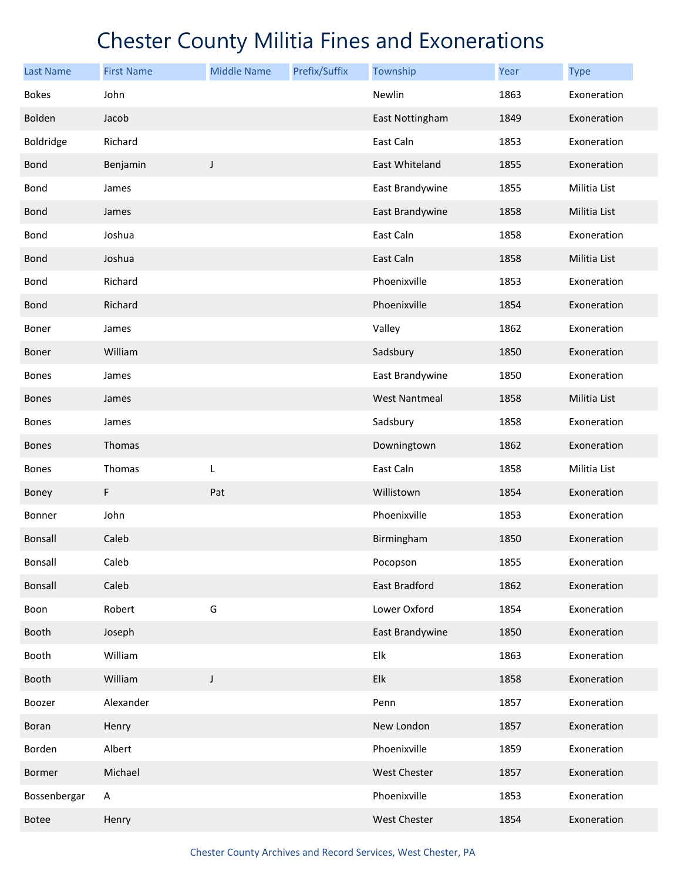| <b>Last Name</b> | <b>First Name</b> | <b>Middle Name</b> | Prefix/Suffix | Township             | Year | <b>Type</b>  |
|------------------|-------------------|--------------------|---------------|----------------------|------|--------------|
| <b>Bokes</b>     | John              |                    |               | Newlin               | 1863 | Exoneration  |
| Bolden           | Jacob             |                    |               | East Nottingham      | 1849 | Exoneration  |
| Boldridge        | Richard           |                    |               | East Caln            | 1853 | Exoneration  |
| <b>Bond</b>      | Benjamin          | J                  |               | East Whiteland       | 1855 | Exoneration  |
| Bond             | James             |                    |               | East Brandywine      | 1855 | Militia List |
| <b>Bond</b>      | James             |                    |               | East Brandywine      | 1858 | Militia List |
| Bond             | Joshua            |                    |               | East Caln            | 1858 | Exoneration  |
| <b>Bond</b>      | Joshua            |                    |               | East Caln            | 1858 | Militia List |
| Bond             | Richard           |                    |               | Phoenixville         | 1853 | Exoneration  |
| <b>Bond</b>      | Richard           |                    |               | Phoenixville         | 1854 | Exoneration  |
| Boner            | James             |                    |               | Valley               | 1862 | Exoneration  |
| Boner            | William           |                    |               | Sadsbury             | 1850 | Exoneration  |
| <b>Bones</b>     | James             |                    |               | East Brandywine      | 1850 | Exoneration  |
| <b>Bones</b>     | James             |                    |               | <b>West Nantmeal</b> | 1858 | Militia List |
| <b>Bones</b>     | James             |                    |               | Sadsbury             | 1858 | Exoneration  |
| <b>Bones</b>     | Thomas            |                    |               | Downingtown          | 1862 | Exoneration  |
| <b>Bones</b>     | Thomas            | L                  |               | East Caln            | 1858 | Militia List |
| Boney            | F                 | Pat                |               | Willistown           | 1854 | Exoneration  |
| Bonner           | John              |                    |               | Phoenixville         | 1853 | Exoneration  |
| <b>Bonsall</b>   | Caleb             |                    |               | Birmingham           | 1850 | Exoneration  |
| Bonsall          | Caleb             |                    |               | Pocopson             | 1855 | Exoneration  |
| Bonsall          | Caleb             |                    |               | East Bradford        | 1862 | Exoneration  |
| Boon             | Robert            | G                  |               | Lower Oxford         | 1854 | Exoneration  |
| Booth            | Joseph            |                    |               | East Brandywine      | 1850 | Exoneration  |
| Booth            | William           |                    |               | Elk                  | 1863 | Exoneration  |
| Booth            | William           | $\mathsf J$        |               | Elk                  | 1858 | Exoneration  |
| Boozer           | Alexander         |                    |               | Penn                 | 1857 | Exoneration  |
| Boran            | Henry             |                    |               | New London           | 1857 | Exoneration  |
| Borden           | Albert            |                    |               | Phoenixville         | 1859 | Exoneration  |
| Bormer           | Michael           |                    |               | <b>West Chester</b>  | 1857 | Exoneration  |
| Bossenbergar     | A                 |                    |               | Phoenixville         | 1853 | Exoneration  |
| <b>Botee</b>     | Henry             |                    |               | West Chester         | 1854 | Exoneration  |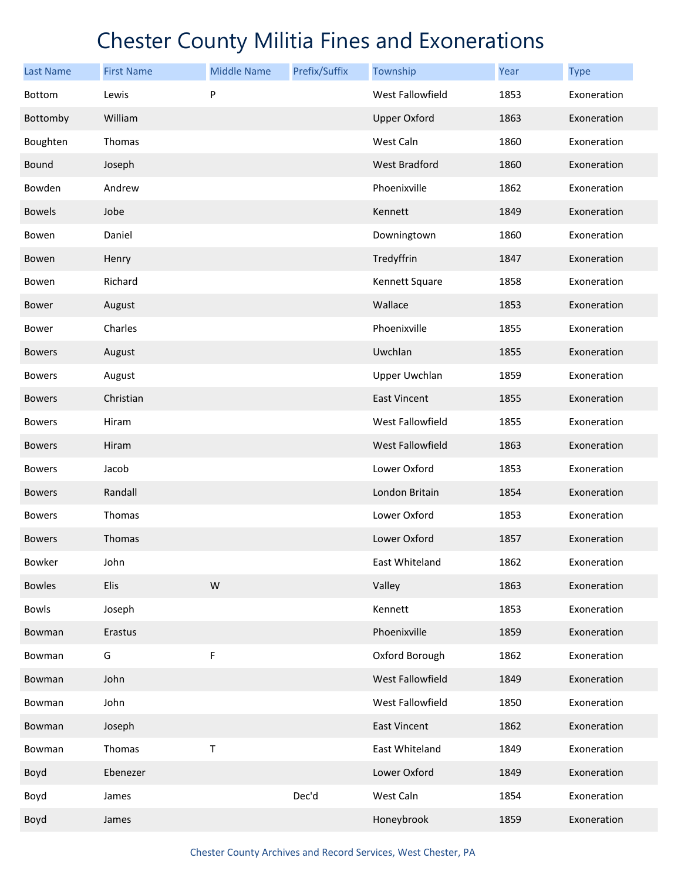| <b>Last Name</b> | <b>First Name</b> | <b>Middle Name</b> | Prefix/Suffix | Township             | Year | <b>Type</b> |
|------------------|-------------------|--------------------|---------------|----------------------|------|-------------|
| <b>Bottom</b>    | Lewis             | P                  |               | West Fallowfield     | 1853 | Exoneration |
| Bottomby         | William           |                    |               | <b>Upper Oxford</b>  | 1863 | Exoneration |
| Boughten         | Thomas            |                    |               | West Caln            | 1860 | Exoneration |
| <b>Bound</b>     | Joseph            |                    |               | West Bradford        | 1860 | Exoneration |
| Bowden           | Andrew            |                    |               | Phoenixville         | 1862 | Exoneration |
| <b>Bowels</b>    | Jobe              |                    |               | Kennett              | 1849 | Exoneration |
| Bowen            | Daniel            |                    |               | Downingtown          | 1860 | Exoneration |
| Bowen            | Henry             |                    |               | Tredyffrin           | 1847 | Exoneration |
| Bowen            | Richard           |                    |               | Kennett Square       | 1858 | Exoneration |
| Bower            | August            |                    |               | Wallace              | 1853 | Exoneration |
| Bower            | Charles           |                    |               | Phoenixville         | 1855 | Exoneration |
| <b>Bowers</b>    | August            |                    |               | Uwchlan              | 1855 | Exoneration |
| <b>Bowers</b>    | August            |                    |               | <b>Upper Uwchlan</b> | 1859 | Exoneration |
| <b>Bowers</b>    | Christian         |                    |               | East Vincent         | 1855 | Exoneration |
| <b>Bowers</b>    | Hiram             |                    |               | West Fallowfield     | 1855 | Exoneration |
| <b>Bowers</b>    | Hiram             |                    |               | West Fallowfield     | 1863 | Exoneration |
| <b>Bowers</b>    | Jacob             |                    |               | Lower Oxford         | 1853 | Exoneration |
| <b>Bowers</b>    | Randall           |                    |               | London Britain       | 1854 | Exoneration |
| <b>Bowers</b>    | Thomas            |                    |               | Lower Oxford         | 1853 | Exoneration |
| <b>Bowers</b>    | Thomas            |                    |               | Lower Oxford         | 1857 | Exoneration |
| Bowker           | John              |                    |               | East Whiteland       | 1862 | Exoneration |
| <b>Bowles</b>    | Elis              | W                  |               | Valley               | 1863 | Exoneration |
| <b>Bowls</b>     | Joseph            |                    |               | Kennett              | 1853 | Exoneration |
| Bowman           | Erastus           |                    |               | Phoenixville         | 1859 | Exoneration |
| Bowman           | G                 | F                  |               | Oxford Borough       | 1862 | Exoneration |
| Bowman           | John              |                    |               | West Fallowfield     | 1849 | Exoneration |
| Bowman           | John              |                    |               | West Fallowfield     | 1850 | Exoneration |
| Bowman           | Joseph            |                    |               | East Vincent         | 1862 | Exoneration |
| Bowman           | Thomas            | T                  |               | East Whiteland       | 1849 | Exoneration |
| Boyd             | Ebenezer          |                    |               | Lower Oxford         | 1849 | Exoneration |
| Boyd             | James             |                    | Dec'd         | West Caln            | 1854 | Exoneration |
| Boyd             | James             |                    |               | Honeybrook           | 1859 | Exoneration |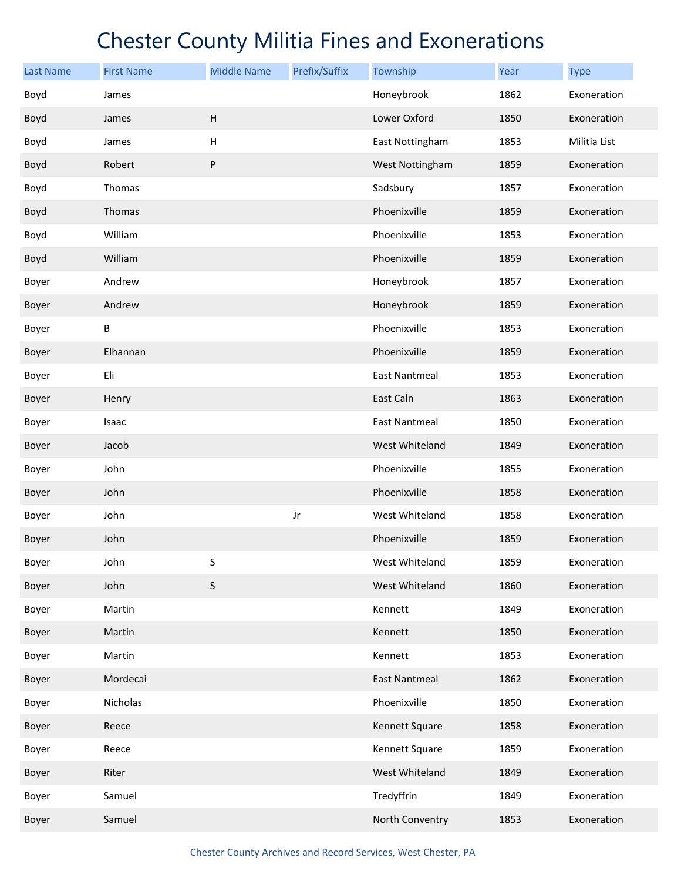| <b>Last Name</b> | <b>First Name</b> | <b>Middle Name</b> | Prefix/Suffix | Township             | Year | <b>Type</b>  |
|------------------|-------------------|--------------------|---------------|----------------------|------|--------------|
| Boyd             | James             |                    |               | Honeybrook           | 1862 | Exoneration  |
| Boyd             | James             | $\sf H$            |               | Lower Oxford         | 1850 | Exoneration  |
| Boyd             | James             | Н                  |               | East Nottingham      | 1853 | Militia List |
| Boyd             | Robert            | P                  |               | West Nottingham      | 1859 | Exoneration  |
| Boyd             | Thomas            |                    |               | Sadsbury             | 1857 | Exoneration  |
| Boyd             | Thomas            |                    |               | Phoenixville         | 1859 | Exoneration  |
| Boyd             | William           |                    |               | Phoenixville         | 1853 | Exoneration  |
| Boyd             | William           |                    |               | Phoenixville         | 1859 | Exoneration  |
| Boyer            | Andrew            |                    |               | Honeybrook           | 1857 | Exoneration  |
| Boyer            | Andrew            |                    |               | Honeybrook           | 1859 | Exoneration  |
| Boyer            | В                 |                    |               | Phoenixville         | 1853 | Exoneration  |
| Boyer            | Elhannan          |                    |               | Phoenixville         | 1859 | Exoneration  |
| Boyer            | Eli               |                    |               | <b>East Nantmeal</b> | 1853 | Exoneration  |
| Boyer            | Henry             |                    |               | East Caln            | 1863 | Exoneration  |
| Boyer            | Isaac             |                    |               | <b>East Nantmeal</b> | 1850 | Exoneration  |
| Boyer            | Jacob             |                    |               | West Whiteland       | 1849 | Exoneration  |
| Boyer            | John              |                    |               | Phoenixville         | 1855 | Exoneration  |
| Boyer            | John              |                    |               | Phoenixville         | 1858 | Exoneration  |
| Boyer            | John              |                    | Jr            | West Whiteland       | 1858 | Exoneration  |
| Boyer            | John              |                    |               | Phoenixville         | 1859 | Exoneration  |
| Boyer            | John              | S                  |               | West Whiteland       | 1859 | Exoneration  |
| Boyer            | John              | $\mathsf S$        |               | West Whiteland       | 1860 | Exoneration  |
| Boyer            | Martin            |                    |               | Kennett              | 1849 | Exoneration  |
| Boyer            | Martin            |                    |               | Kennett              | 1850 | Exoneration  |
| Boyer            | Martin            |                    |               | Kennett              | 1853 | Exoneration  |
| Boyer            | Mordecai          |                    |               | <b>East Nantmeal</b> | 1862 | Exoneration  |
| Boyer            | Nicholas          |                    |               | Phoenixville         | 1850 | Exoneration  |
| Boyer            | Reece             |                    |               | Kennett Square       | 1858 | Exoneration  |
| Boyer            | Reece             |                    |               | Kennett Square       | 1859 | Exoneration  |
| Boyer            | Riter             |                    |               | West Whiteland       | 1849 | Exoneration  |
| Boyer            | Samuel            |                    |               | Tredyffrin           | 1849 | Exoneration  |
| Boyer            | Samuel            |                    |               | North Conventry      | 1853 | Exoneration  |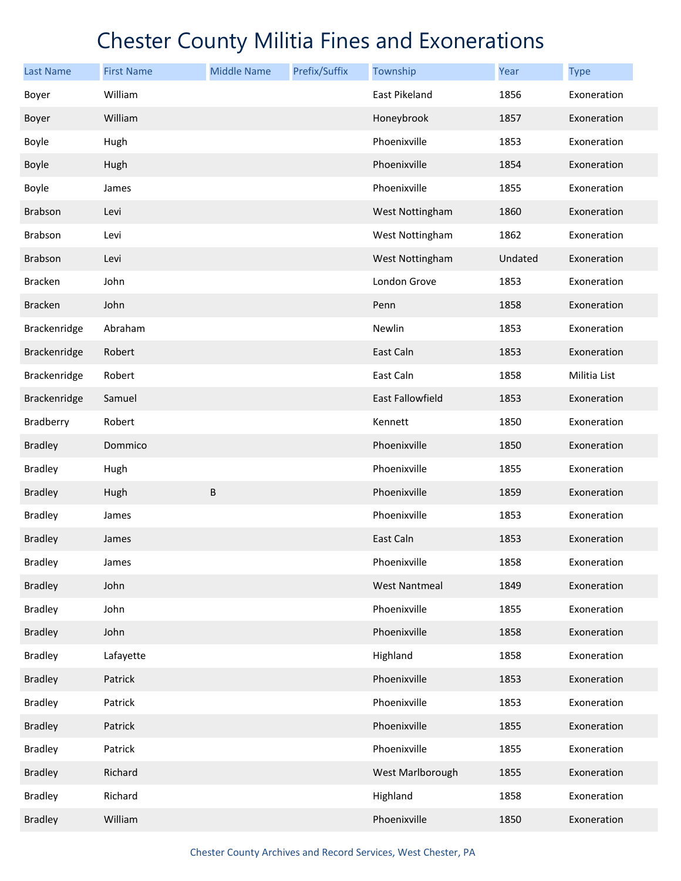| <b>Last Name</b> | <b>First Name</b> | <b>Middle Name</b> | Prefix/Suffix | Township             | Year    | <b>Type</b>  |
|------------------|-------------------|--------------------|---------------|----------------------|---------|--------------|
| Boyer            | William           |                    |               | <b>East Pikeland</b> | 1856    | Exoneration  |
| Boyer            | William           |                    |               | Honeybrook           | 1857    | Exoneration  |
| Boyle            | Hugh              |                    |               | Phoenixville         | 1853    | Exoneration  |
| Boyle            | Hugh              |                    |               | Phoenixville         | 1854    | Exoneration  |
| Boyle            | James             |                    |               | Phoenixville         | 1855    | Exoneration  |
| <b>Brabson</b>   | Levi              |                    |               | West Nottingham      | 1860    | Exoneration  |
| Brabson          | Levi              |                    |               | West Nottingham      | 1862    | Exoneration  |
| <b>Brabson</b>   | Levi              |                    |               | West Nottingham      | Undated | Exoneration  |
| <b>Bracken</b>   | John              |                    |               | London Grove         | 1853    | Exoneration  |
| <b>Bracken</b>   | John              |                    |               | Penn                 | 1858    | Exoneration  |
| Brackenridge     | Abraham           |                    |               | Newlin               | 1853    | Exoneration  |
| Brackenridge     | Robert            |                    |               | East Caln            | 1853    | Exoneration  |
| Brackenridge     | Robert            |                    |               | East Caln            | 1858    | Militia List |
| Brackenridge     | Samuel            |                    |               | East Fallowfield     | 1853    | Exoneration  |
| Bradberry        | Robert            |                    |               | Kennett              | 1850    | Exoneration  |
| <b>Bradley</b>   | Dommico           |                    |               | Phoenixville         | 1850    | Exoneration  |
| <b>Bradley</b>   | Hugh              |                    |               | Phoenixville         | 1855    | Exoneration  |
| <b>Bradley</b>   | Hugh              | $\sf B$            |               | Phoenixville         | 1859    | Exoneration  |
| <b>Bradley</b>   | James             |                    |               | Phoenixville         | 1853    | Exoneration  |
| <b>Bradley</b>   | James             |                    |               | East Caln            | 1853    | Exoneration  |
| <b>Bradley</b>   | James             |                    |               | Phoenixville         | 1858    | Exoneration  |
| <b>Bradley</b>   | John              |                    |               | <b>West Nantmeal</b> | 1849    | Exoneration  |
| <b>Bradley</b>   | John              |                    |               | Phoenixville         | 1855    | Exoneration  |
| <b>Bradley</b>   | John              |                    |               | Phoenixville         | 1858    | Exoneration  |
| <b>Bradley</b>   | Lafayette         |                    |               | Highland             | 1858    | Exoneration  |
| <b>Bradley</b>   | Patrick           |                    |               | Phoenixville         | 1853    | Exoneration  |
| <b>Bradley</b>   | Patrick           |                    |               | Phoenixville         | 1853    | Exoneration  |
| <b>Bradley</b>   | Patrick           |                    |               | Phoenixville         | 1855    | Exoneration  |
| <b>Bradley</b>   | Patrick           |                    |               | Phoenixville         | 1855    | Exoneration  |
| <b>Bradley</b>   | Richard           |                    |               | West Marlborough     | 1855    | Exoneration  |
| <b>Bradley</b>   | Richard           |                    |               | Highland             | 1858    | Exoneration  |
| <b>Bradley</b>   | William           |                    |               | Phoenixville         | 1850    | Exoneration  |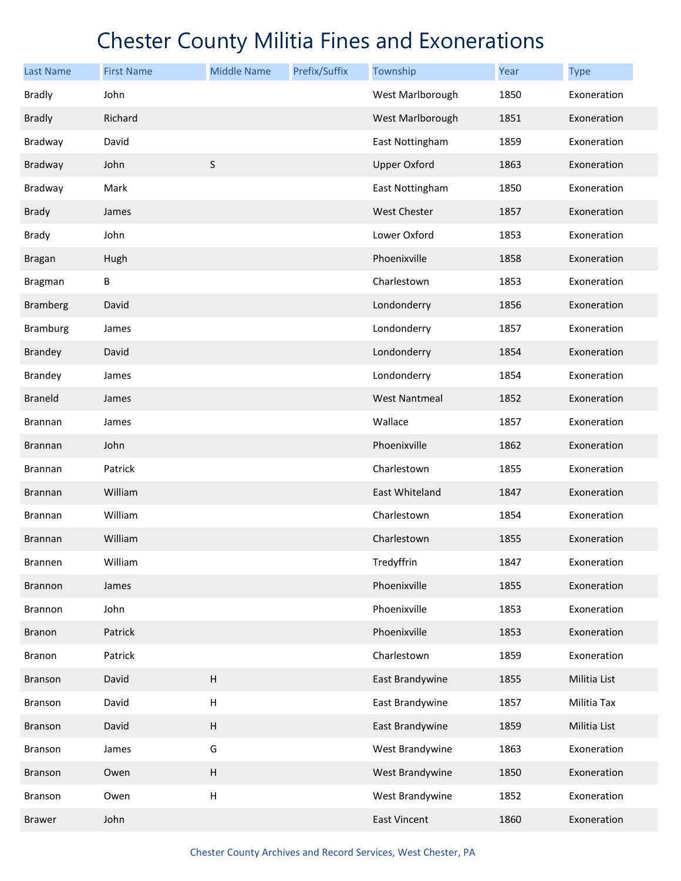| <b>Last Name</b> | <b>First Name</b> | <b>Middle Name</b> | Prefix/Suffix | Township             | Year | <b>Type</b>  |
|------------------|-------------------|--------------------|---------------|----------------------|------|--------------|
| <b>Bradly</b>    | John              |                    |               | West Marlborough     | 1850 | Exoneration  |
| <b>Bradly</b>    | Richard           |                    |               | West Marlborough     | 1851 | Exoneration  |
| Bradway          | David             |                    |               | East Nottingham      | 1859 | Exoneration  |
| Bradway          | John              | $\sf S$            |               | <b>Upper Oxford</b>  | 1863 | Exoneration  |
| Bradway          | Mark              |                    |               | East Nottingham      | 1850 | Exoneration  |
| <b>Brady</b>     | James             |                    |               | <b>West Chester</b>  | 1857 | Exoneration  |
| <b>Brady</b>     | John              |                    |               | Lower Oxford         | 1853 | Exoneration  |
| <b>Bragan</b>    | Hugh              |                    |               | Phoenixville         | 1858 | Exoneration  |
| <b>Bragman</b>   | B                 |                    |               | Charlestown          | 1853 | Exoneration  |
| <b>Bramberg</b>  | David             |                    |               | Londonderry          | 1856 | Exoneration  |
| <b>Bramburg</b>  | James             |                    |               | Londonderry          | 1857 | Exoneration  |
| <b>Brandey</b>   | David             |                    |               | Londonderry          | 1854 | Exoneration  |
| <b>Brandey</b>   | James             |                    |               | Londonderry          | 1854 | Exoneration  |
| <b>Braneld</b>   | James             |                    |               | <b>West Nantmeal</b> | 1852 | Exoneration  |
| Brannan          | James             |                    |               | Wallace              | 1857 | Exoneration  |
| <b>Brannan</b>   | John              |                    |               | Phoenixville         | 1862 | Exoneration  |
| <b>Brannan</b>   | Patrick           |                    |               | Charlestown          | 1855 | Exoneration  |
| Brannan          | William           |                    |               | East Whiteland       | 1847 | Exoneration  |
| <b>Brannan</b>   | William           |                    |               | Charlestown          | 1854 | Exoneration  |
| <b>Brannan</b>   | William           |                    |               | Charlestown          | 1855 | Exoneration  |
| Brannen          | William           |                    |               | Tredyffrin           | 1847 | Exoneration  |
| <b>Brannon</b>   | James             |                    |               | Phoenixville         | 1855 | Exoneration  |
| Brannon          | John              |                    |               | Phoenixville         | 1853 | Exoneration  |
| <b>Branon</b>    | Patrick           |                    |               | Phoenixville         | 1853 | Exoneration  |
| Branon           | Patrick           |                    |               | Charlestown          | 1859 | Exoneration  |
| <b>Branson</b>   | David             | H                  |               | East Brandywine      | 1855 | Militia List |
| Branson          | David             | Н                  |               | East Brandywine      | 1857 | Militia Tax  |
| <b>Branson</b>   | David             | $\sf H$            |               | East Brandywine      | 1859 | Militia List |
| Branson          | James             | G                  |               | West Brandywine      | 1863 | Exoneration  |
| Branson          | Owen              | $\sf H$            |               | West Brandywine      | 1850 | Exoneration  |
| Branson          | Owen              | $\sf H$            |               | West Brandywine      | 1852 | Exoneration  |
| <b>Brawer</b>    | John              |                    |               | <b>East Vincent</b>  | 1860 | Exoneration  |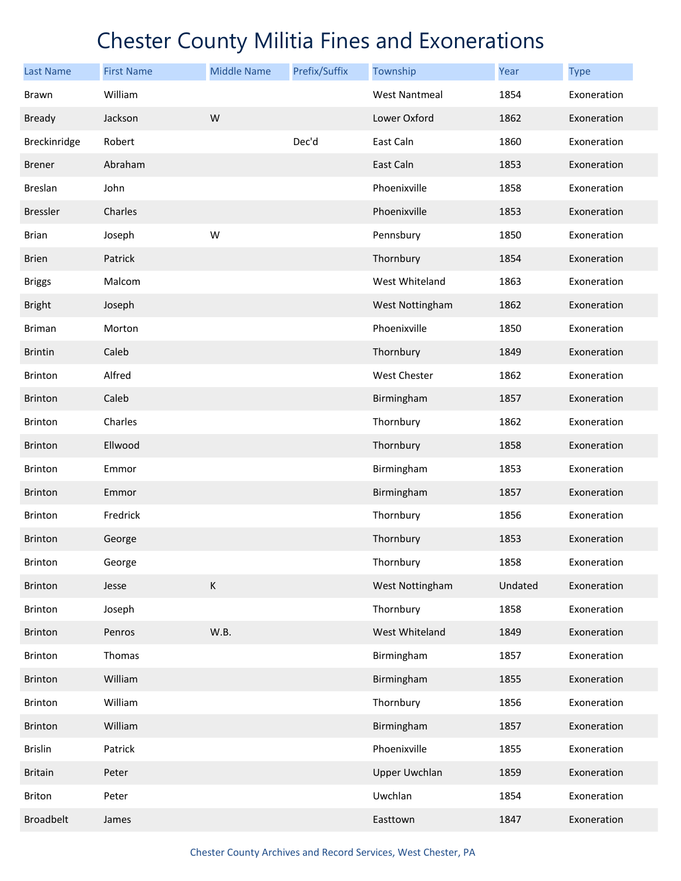| <b>Last Name</b> | <b>First Name</b> | <b>Middle Name</b> | Prefix/Suffix | Township             | Year    | <b>Type</b> |
|------------------|-------------------|--------------------|---------------|----------------------|---------|-------------|
| Brawn            | William           |                    |               | <b>West Nantmeal</b> | 1854    | Exoneration |
| <b>Bready</b>    | Jackson           | W                  |               | Lower Oxford         | 1862    | Exoneration |
| Breckinridge     | Robert            |                    | Dec'd         | East Caln            | 1860    | Exoneration |
| <b>Brener</b>    | Abraham           |                    |               | East Caln            | 1853    | Exoneration |
| <b>Breslan</b>   | John              |                    |               | Phoenixville         | 1858    | Exoneration |
| <b>Bressler</b>  | Charles           |                    |               | Phoenixville         | 1853    | Exoneration |
| <b>Brian</b>     | Joseph            | W                  |               | Pennsbury            | 1850    | Exoneration |
| <b>Brien</b>     | Patrick           |                    |               | Thornbury            | 1854    | Exoneration |
| <b>Briggs</b>    | Malcom            |                    |               | West Whiteland       | 1863    | Exoneration |
| <b>Bright</b>    | Joseph            |                    |               | West Nottingham      | 1862    | Exoneration |
| <b>Briman</b>    | Morton            |                    |               | Phoenixville         | 1850    | Exoneration |
| <b>Brintin</b>   | Caleb             |                    |               | Thornbury            | 1849    | Exoneration |
| <b>Brinton</b>   | Alfred            |                    |               | <b>West Chester</b>  | 1862    | Exoneration |
| <b>Brinton</b>   | Caleb             |                    |               | Birmingham           | 1857    | Exoneration |
| <b>Brinton</b>   | Charles           |                    |               | Thornbury            | 1862    | Exoneration |
| <b>Brinton</b>   | Ellwood           |                    |               | Thornbury            | 1858    | Exoneration |
| <b>Brinton</b>   | Emmor             |                    |               | Birmingham           | 1853    | Exoneration |
| <b>Brinton</b>   | Emmor             |                    |               | Birmingham           | 1857    | Exoneration |
| <b>Brinton</b>   | Fredrick          |                    |               | Thornbury            | 1856    | Exoneration |
| <b>Brinton</b>   | George            |                    |               | Thornbury            | 1853    | Exoneration |
| <b>Brinton</b>   | George            |                    |               | Thornbury            | 1858    | Exoneration |
| <b>Brinton</b>   | Jesse             | К                  |               | West Nottingham      | Undated | Exoneration |
| <b>Brinton</b>   | Joseph            |                    |               | Thornbury            | 1858    | Exoneration |
| <b>Brinton</b>   | Penros            | W.B.               |               | West Whiteland       | 1849    | Exoneration |
| Brinton          | Thomas            |                    |               | Birmingham           | 1857    | Exoneration |
| <b>Brinton</b>   | William           |                    |               | Birmingham           | 1855    | Exoneration |
| Brinton          | William           |                    |               | Thornbury            | 1856    | Exoneration |
| <b>Brinton</b>   | William           |                    |               | Birmingham           | 1857    | Exoneration |
| <b>Brislin</b>   | Patrick           |                    |               | Phoenixville         | 1855    | Exoneration |
| <b>Britain</b>   | Peter             |                    |               | <b>Upper Uwchlan</b> | 1859    | Exoneration |
| Briton           | Peter             |                    |               | Uwchlan              | 1854    | Exoneration |
| <b>Broadbelt</b> | James             |                    |               | Easttown             | 1847    | Exoneration |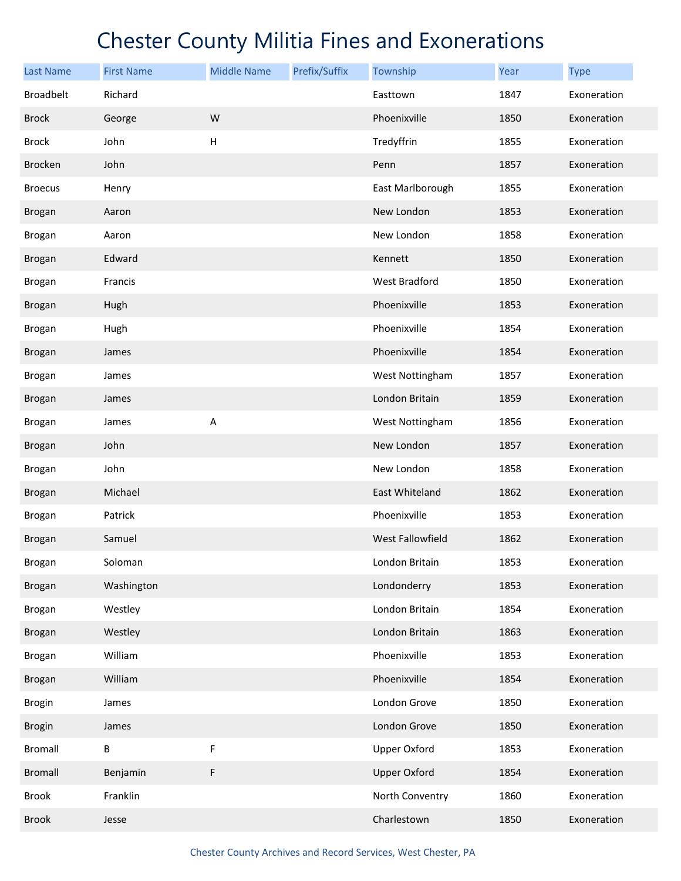| <b>Last Name</b> | <b>First Name</b> | <b>Middle Name</b>        | Prefix/Suffix | Township            | Year | <b>Type</b> |
|------------------|-------------------|---------------------------|---------------|---------------------|------|-------------|
| <b>Broadbelt</b> | Richard           |                           |               | Easttown            | 1847 | Exoneration |
| <b>Brock</b>     | George            | W                         |               | Phoenixville        | 1850 | Exoneration |
| <b>Brock</b>     | John              | $\boldsymbol{\mathsf{H}}$ |               | Tredyffrin          | 1855 | Exoneration |
| <b>Brocken</b>   | John              |                           |               | Penn                | 1857 | Exoneration |
| <b>Broecus</b>   | Henry             |                           |               | East Marlborough    | 1855 | Exoneration |
| <b>Brogan</b>    | Aaron             |                           |               | New London          | 1853 | Exoneration |
| <b>Brogan</b>    | Aaron             |                           |               | New London          | 1858 | Exoneration |
| <b>Brogan</b>    | Edward            |                           |               | Kennett             | 1850 | Exoneration |
| <b>Brogan</b>    | Francis           |                           |               | West Bradford       | 1850 | Exoneration |
| <b>Brogan</b>    | Hugh              |                           |               | Phoenixville        | 1853 | Exoneration |
| <b>Brogan</b>    | Hugh              |                           |               | Phoenixville        | 1854 | Exoneration |
| <b>Brogan</b>    | James             |                           |               | Phoenixville        | 1854 | Exoneration |
| Brogan           | James             |                           |               | West Nottingham     | 1857 | Exoneration |
| <b>Brogan</b>    | James             |                           |               | London Britain      | 1859 | Exoneration |
| <b>Brogan</b>    | James             | Α                         |               | West Nottingham     | 1856 | Exoneration |
| <b>Brogan</b>    | John              |                           |               | New London          | 1857 | Exoneration |
| <b>Brogan</b>    | John              |                           |               | New London          | 1858 | Exoneration |
| <b>Brogan</b>    | Michael           |                           |               | East Whiteland      | 1862 | Exoneration |
| <b>Brogan</b>    | Patrick           |                           |               | Phoenixville        | 1853 | Exoneration |
| <b>Brogan</b>    | Samuel            |                           |               | West Fallowfield    | 1862 | Exoneration |
| Brogan           | Soloman           |                           |               | London Britain      | 1853 | Exoneration |
| Brogan           | Washington        |                           |               | Londonderry         | 1853 | Exoneration |
| Brogan           | Westley           |                           |               | London Britain      | 1854 | Exoneration |
| <b>Brogan</b>    | Westley           |                           |               | London Britain      | 1863 | Exoneration |
| <b>Brogan</b>    | William           |                           |               | Phoenixville        | 1853 | Exoneration |
| <b>Brogan</b>    | William           |                           |               | Phoenixville        | 1854 | Exoneration |
| <b>Brogin</b>    | James             |                           |               | London Grove        | 1850 | Exoneration |
| <b>Brogin</b>    | James             |                           |               | London Grove        | 1850 | Exoneration |
| <b>Bromall</b>   | B                 | F                         |               | <b>Upper Oxford</b> | 1853 | Exoneration |
| <b>Bromall</b>   | Benjamin          | F                         |               | <b>Upper Oxford</b> | 1854 | Exoneration |
| <b>Brook</b>     | Franklin          |                           |               | North Conventry     | 1860 | Exoneration |
| <b>Brook</b>     | Jesse             |                           |               | Charlestown         | 1850 | Exoneration |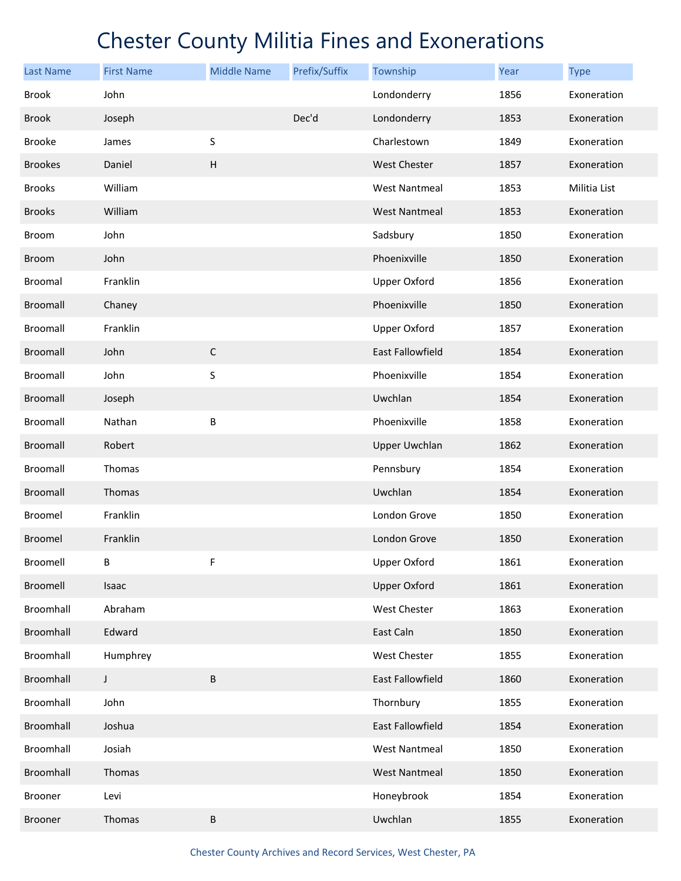| <b>Last Name</b> | <b>First Name</b> | <b>Middle Name</b> | Prefix/Suffix | Township                | Year | <b>Type</b>  |
|------------------|-------------------|--------------------|---------------|-------------------------|------|--------------|
| <b>Brook</b>     | John              |                    |               | Londonderry             | 1856 | Exoneration  |
| <b>Brook</b>     | Joseph            |                    | Dec'd         | Londonderry             | 1853 | Exoneration  |
| <b>Brooke</b>    | James             | S                  |               | Charlestown             | 1849 | Exoneration  |
| <b>Brookes</b>   | Daniel            | $\sf H$            |               | <b>West Chester</b>     | 1857 | Exoneration  |
| <b>Brooks</b>    | William           |                    |               | <b>West Nantmeal</b>    | 1853 | Militia List |
| <b>Brooks</b>    | William           |                    |               | <b>West Nantmeal</b>    | 1853 | Exoneration  |
| Broom            | John              |                    |               | Sadsbury                | 1850 | Exoneration  |
| <b>Broom</b>     | John              |                    |               | Phoenixville            | 1850 | Exoneration  |
| <b>Broomal</b>   | Franklin          |                    |               | <b>Upper Oxford</b>     | 1856 | Exoneration  |
| <b>Broomall</b>  | Chaney            |                    |               | Phoenixville            | 1850 | Exoneration  |
| <b>Broomall</b>  | Franklin          |                    |               | <b>Upper Oxford</b>     | 1857 | Exoneration  |
| <b>Broomall</b>  | John              | $\mathsf C$        |               | <b>East Fallowfield</b> | 1854 | Exoneration  |
| Broomall         | John              | S                  |               | Phoenixville            | 1854 | Exoneration  |
| <b>Broomall</b>  | Joseph            |                    |               | Uwchlan                 | 1854 | Exoneration  |
| <b>Broomall</b>  | Nathan            | B                  |               | Phoenixville            | 1858 | Exoneration  |
| <b>Broomall</b>  | Robert            |                    |               | <b>Upper Uwchlan</b>    | 1862 | Exoneration  |
| <b>Broomall</b>  | Thomas            |                    |               | Pennsbury               | 1854 | Exoneration  |
| <b>Broomall</b>  | Thomas            |                    |               | Uwchlan                 | 1854 | Exoneration  |
| Broomel          | Franklin          |                    |               | London Grove            | 1850 | Exoneration  |
| <b>Broomel</b>   | Franklin          |                    |               | London Grove            | 1850 | Exoneration  |
| Broomell         | В                 | F                  |               | <b>Upper Oxford</b>     | 1861 | Exoneration  |
| Broomell         | Isaac             |                    |               | <b>Upper Oxford</b>     | 1861 | Exoneration  |
| Broomhall        | Abraham           |                    |               | West Chester            | 1863 | Exoneration  |
| Broomhall        | Edward            |                    |               | East Caln               | 1850 | Exoneration  |
| Broomhall        | Humphrey          |                    |               | West Chester            | 1855 | Exoneration  |
| Broomhall        | $\mathsf J$       | B                  |               | <b>East Fallowfield</b> | 1860 | Exoneration  |
| Broomhall        | John              |                    |               | Thornbury               | 1855 | Exoneration  |
| Broomhall        | Joshua            |                    |               | East Fallowfield        | 1854 | Exoneration  |
| Broomhall        | Josiah            |                    |               | <b>West Nantmeal</b>    | 1850 | Exoneration  |
| Broomhall        | Thomas            |                    |               | <b>West Nantmeal</b>    | 1850 | Exoneration  |
| Brooner          | Levi              |                    |               | Honeybrook              | 1854 | Exoneration  |
| Brooner          | Thomas            | B                  |               | Uwchlan                 | 1855 | Exoneration  |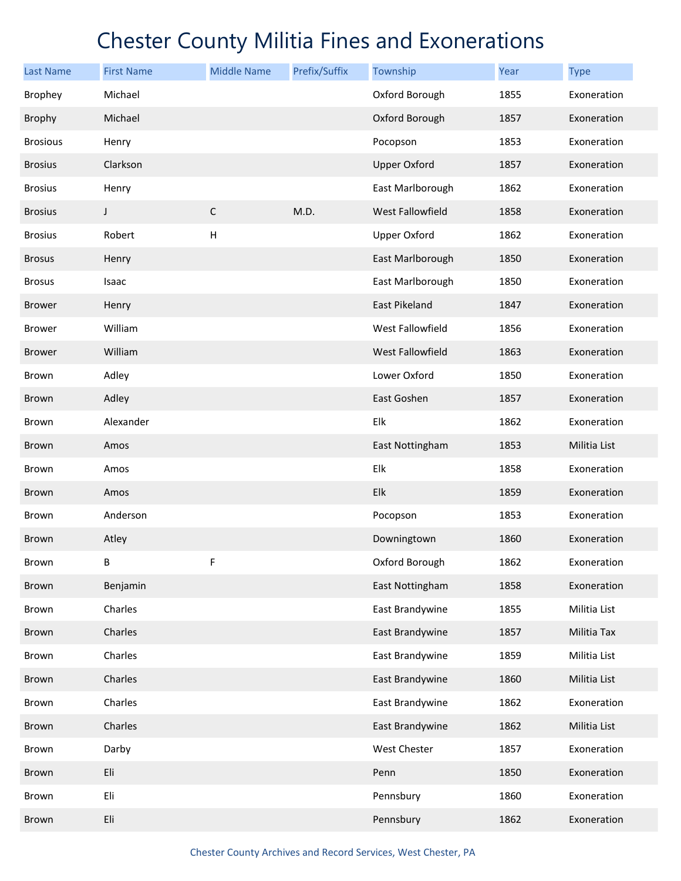| <b>Last Name</b> | <b>First Name</b> | <b>Middle Name</b>        | Prefix/Suffix | Township                | Year | <b>Type</b>  |
|------------------|-------------------|---------------------------|---------------|-------------------------|------|--------------|
| <b>Brophey</b>   | Michael           |                           |               | Oxford Borough          | 1855 | Exoneration  |
| <b>Brophy</b>    | Michael           |                           |               | Oxford Borough          | 1857 | Exoneration  |
| <b>Brosious</b>  | Henry             |                           |               | Pocopson                | 1853 | Exoneration  |
| <b>Brosius</b>   | Clarkson          |                           |               | <b>Upper Oxford</b>     | 1857 | Exoneration  |
| <b>Brosius</b>   | Henry             |                           |               | East Marlborough        | 1862 | Exoneration  |
| <b>Brosius</b>   | J                 | $\mathsf C$               | M.D.          | <b>West Fallowfield</b> | 1858 | Exoneration  |
| <b>Brosius</b>   | Robert            | $\boldsymbol{\mathsf{H}}$ |               | <b>Upper Oxford</b>     | 1862 | Exoneration  |
| <b>Brosus</b>    | Henry             |                           |               | East Marlborough        | 1850 | Exoneration  |
| <b>Brosus</b>    | Isaac             |                           |               | East Marlborough        | 1850 | Exoneration  |
| <b>Brower</b>    | Henry             |                           |               | East Pikeland           | 1847 | Exoneration  |
| <b>Brower</b>    | William           |                           |               | West Fallowfield        | 1856 | Exoneration  |
| <b>Brower</b>    | William           |                           |               | West Fallowfield        | 1863 | Exoneration  |
| Brown            | Adley             |                           |               | Lower Oxford            | 1850 | Exoneration  |
| <b>Brown</b>     | Adley             |                           |               | East Goshen             | 1857 | Exoneration  |
| Brown            | Alexander         |                           |               | Elk                     | 1862 | Exoneration  |
| <b>Brown</b>     | Amos              |                           |               | East Nottingham         | 1853 | Militia List |
| Brown            | Amos              |                           |               | Elk                     | 1858 | Exoneration  |
| <b>Brown</b>     | Amos              |                           |               | Elk                     | 1859 | Exoneration  |
| Brown            | Anderson          |                           |               | Pocopson                | 1853 | Exoneration  |
| <b>Brown</b>     | Atley             |                           |               | Downingtown             | 1860 | Exoneration  |
| Brown            | B                 | F                         |               | Oxford Borough          | 1862 | Exoneration  |
| Brown            | Benjamin          |                           |               | East Nottingham         | 1858 | Exoneration  |
| Brown            | Charles           |                           |               | East Brandywine         | 1855 | Militia List |
| Brown            | Charles           |                           |               | East Brandywine         | 1857 | Militia Tax  |
| Brown            | Charles           |                           |               | East Brandywine         | 1859 | Militia List |
| Brown            | Charles           |                           |               | East Brandywine         | 1860 | Militia List |
| Brown            | Charles           |                           |               | East Brandywine         | 1862 | Exoneration  |
| Brown            | Charles           |                           |               | East Brandywine         | 1862 | Militia List |
| Brown            | Darby             |                           |               | West Chester            | 1857 | Exoneration  |
| Brown            | Eli               |                           |               | Penn                    | 1850 | Exoneration  |
| Brown            | Eli               |                           |               | Pennsbury               | 1860 | Exoneration  |
| Brown            | Eli               |                           |               | Pennsbury               | 1862 | Exoneration  |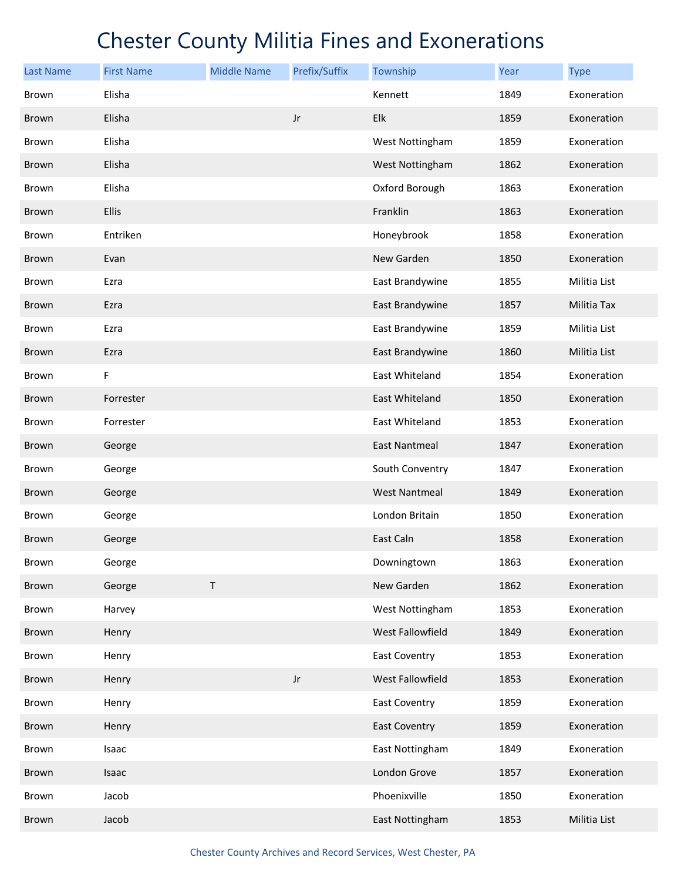| <b>Last Name</b> | <b>First Name</b> | <b>Middle Name</b> | Prefix/Suffix          | Township             | Year | <b>Type</b>  |
|------------------|-------------------|--------------------|------------------------|----------------------|------|--------------|
| Brown            | Elisha            |                    |                        | Kennett              | 1849 | Exoneration  |
| <b>Brown</b>     | Elisha            |                    | $\mathsf{J}\mathsf{r}$ | Elk                  | 1859 | Exoneration  |
| Brown            | Elisha            |                    |                        | West Nottingham      | 1859 | Exoneration  |
| <b>Brown</b>     | Elisha            |                    |                        | West Nottingham      | 1862 | Exoneration  |
| Brown            | Elisha            |                    |                        | Oxford Borough       | 1863 | Exoneration  |
| <b>Brown</b>     | Ellis             |                    |                        | Franklin             | 1863 | Exoneration  |
| Brown            | Entriken          |                    |                        | Honeybrook           | 1858 | Exoneration  |
| <b>Brown</b>     | Evan              |                    |                        | New Garden           | 1850 | Exoneration  |
| Brown            | Ezra              |                    |                        | East Brandywine      | 1855 | Militia List |
| Brown            | Ezra              |                    |                        | East Brandywine      | 1857 | Militia Tax  |
| Brown            | Ezra              |                    |                        | East Brandywine      | 1859 | Militia List |
| Brown            | Ezra              |                    |                        | East Brandywine      | 1860 | Militia List |
| Brown            | F                 |                    |                        | East Whiteland       | 1854 | Exoneration  |
| Brown            | Forrester         |                    |                        | East Whiteland       | 1850 | Exoneration  |
| Brown            | Forrester         |                    |                        | East Whiteland       | 1853 | Exoneration  |
| Brown            | George            |                    |                        | <b>East Nantmeal</b> | 1847 | Exoneration  |
| Brown            | George            |                    |                        | South Conventry      | 1847 | Exoneration  |
| Brown            | George            |                    |                        | <b>West Nantmeal</b> | 1849 | Exoneration  |
| Brown            | George            |                    |                        | London Britain       | 1850 | Exoneration  |
| Brown            | George            |                    |                        | East Caln            | 1858 | Exoneration  |
| Brown            | George            |                    |                        | Downingtown          | 1863 | Exoneration  |
| Brown            | George            | $\sf T$            |                        | New Garden           | 1862 | Exoneration  |
| Brown            | Harvey            |                    |                        | West Nottingham      | 1853 | Exoneration  |
| Brown            | Henry             |                    |                        | West Fallowfield     | 1849 | Exoneration  |
| Brown            | Henry             |                    |                        | <b>East Coventry</b> | 1853 | Exoneration  |
| Brown            | Henry             |                    | $\mathsf{J}\mathsf{r}$ | West Fallowfield     | 1853 | Exoneration  |
| Brown            | Henry             |                    |                        | <b>East Coventry</b> | 1859 | Exoneration  |
| Brown            | Henry             |                    |                        | <b>East Coventry</b> | 1859 | Exoneration  |
| Brown            | Isaac             |                    |                        | East Nottingham      | 1849 | Exoneration  |
| Brown            | Isaac             |                    |                        | London Grove         | 1857 | Exoneration  |
| Brown            | Jacob             |                    |                        | Phoenixville         | 1850 | Exoneration  |
| Brown            | Jacob             |                    |                        | East Nottingham      | 1853 | Militia List |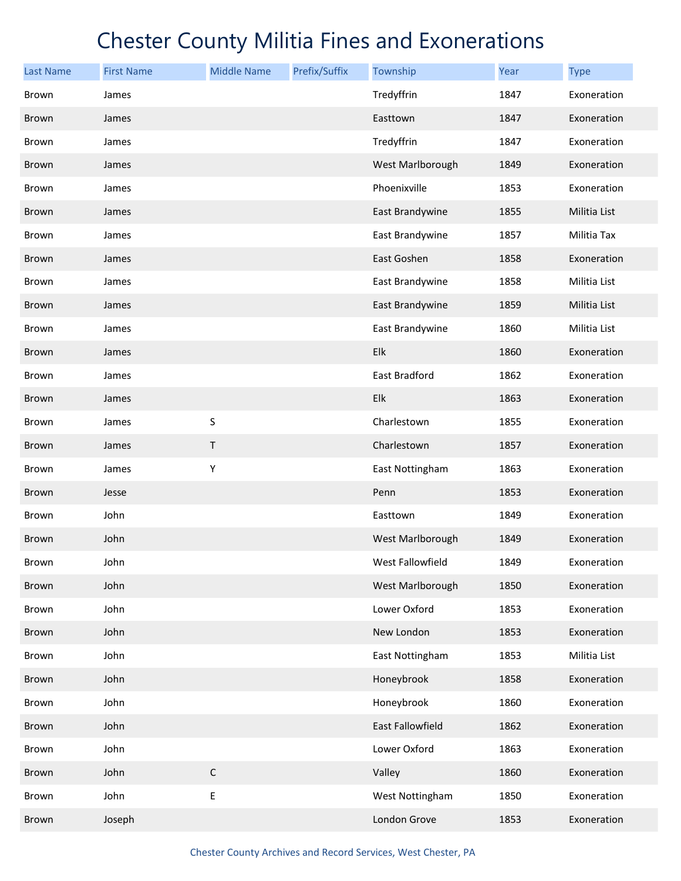| <b>Last Name</b> | <b>First Name</b> | <b>Middle Name</b> | Prefix/Suffix | Township         | <b>Year</b> | <b>Type</b>  |
|------------------|-------------------|--------------------|---------------|------------------|-------------|--------------|
| Brown            | James             |                    |               | Tredyffrin       | 1847        | Exoneration  |
| <b>Brown</b>     | James             |                    |               | Easttown         | 1847        | Exoneration  |
| Brown            | James             |                    |               | Tredyffrin       | 1847        | Exoneration  |
| <b>Brown</b>     | James             |                    |               | West Marlborough | 1849        | Exoneration  |
| Brown            | James             |                    |               | Phoenixville     | 1853        | Exoneration  |
| Brown            | James             |                    |               | East Brandywine  | 1855        | Militia List |
| Brown            | James             |                    |               | East Brandywine  | 1857        | Militia Tax  |
| Brown            | James             |                    |               | East Goshen      | 1858        | Exoneration  |
| Brown            | James             |                    |               | East Brandywine  | 1858        | Militia List |
| <b>Brown</b>     | James             |                    |               | East Brandywine  | 1859        | Militia List |
| <b>Brown</b>     | James             |                    |               | East Brandywine  | 1860        | Militia List |
| <b>Brown</b>     | James             |                    |               | Elk              | 1860        | Exoneration  |
| Brown            | James             |                    |               | East Bradford    | 1862        | Exoneration  |
| <b>Brown</b>     | James             |                    |               | Elk              | 1863        | Exoneration  |
| <b>Brown</b>     | James             | $\sf S$            |               | Charlestown      | 1855        | Exoneration  |
| Brown            | James             | $\sf T$            |               | Charlestown      | 1857        | Exoneration  |
| Brown            | James             | Υ                  |               | East Nottingham  | 1863        | Exoneration  |
| Brown            | Jesse             |                    |               | Penn             | 1853        | Exoneration  |
| Brown            | John              |                    |               | Easttown         | 1849        | Exoneration  |
| <b>Brown</b>     | John              |                    |               | West Marlborough | 1849        | Exoneration  |
| Brown            | John              |                    |               | West Fallowfield | 1849        | Exoneration  |
| Brown            | John              |                    |               | West Marlborough | 1850        | Exoneration  |
| Brown            | John              |                    |               | Lower Oxford     | 1853        | Exoneration  |
| <b>Brown</b>     | John              |                    |               | New London       | 1853        | Exoneration  |
| Brown            | John              |                    |               | East Nottingham  | 1853        | Militia List |
| Brown            | John              |                    |               | Honeybrook       | 1858        | Exoneration  |
| Brown            | John              |                    |               | Honeybrook       | 1860        | Exoneration  |
| Brown            | John              |                    |               | East Fallowfield | 1862        | Exoneration  |
| Brown            | John              |                    |               | Lower Oxford     | 1863        | Exoneration  |
| Brown            | John              | $\mathsf C$        |               | Valley           | 1860        | Exoneration  |
| Brown            | John              | Ε                  |               | West Nottingham  | 1850        | Exoneration  |
| Brown            | Joseph            |                    |               | London Grove     | 1853        | Exoneration  |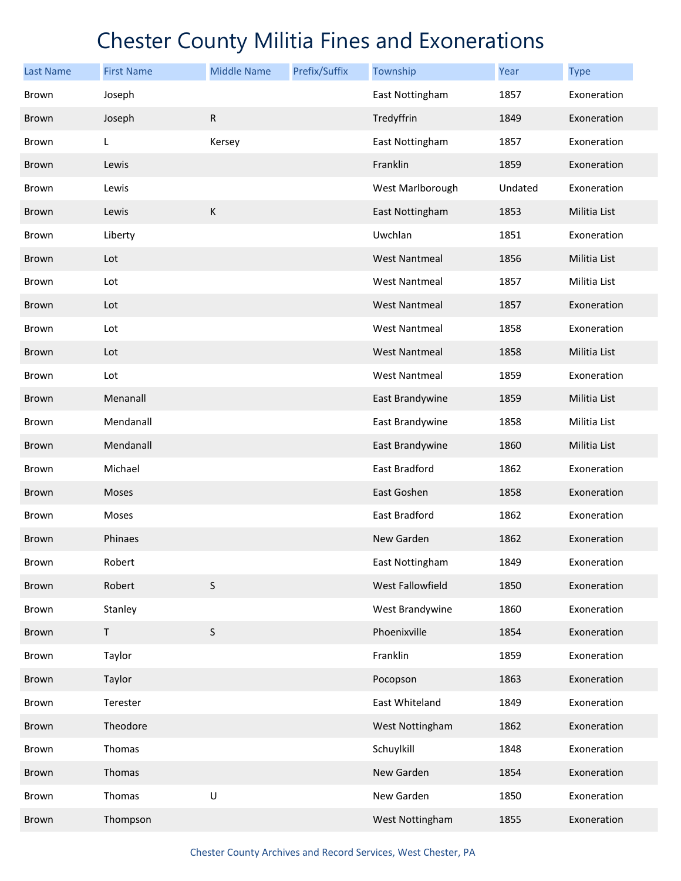| Last Name    | <b>First Name</b> | <b>Middle Name</b> | Prefix/Suffix | Township             | Year    | <b>Type</b>  |
|--------------|-------------------|--------------------|---------------|----------------------|---------|--------------|
| Brown        | Joseph            |                    |               | East Nottingham      | 1857    | Exoneration  |
| Brown        | Joseph            | ${\sf R}$          |               | Tredyffrin           | 1849    | Exoneration  |
| Brown        | L                 | Kersey             |               | East Nottingham      | 1857    | Exoneration  |
| <b>Brown</b> | Lewis             |                    |               | Franklin             | 1859    | Exoneration  |
| Brown        | Lewis             |                    |               | West Marlborough     | Undated | Exoneration  |
| Brown        | Lewis             | $\mathsf K$        |               | East Nottingham      | 1853    | Militia List |
| Brown        | Liberty           |                    |               | Uwchlan              | 1851    | Exoneration  |
| <b>Brown</b> | Lot               |                    |               | <b>West Nantmeal</b> | 1856    | Militia List |
| <b>Brown</b> | Lot               |                    |               | <b>West Nantmeal</b> | 1857    | Militia List |
| <b>Brown</b> | Lot               |                    |               | <b>West Nantmeal</b> | 1857    | Exoneration  |
| <b>Brown</b> | Lot               |                    |               | <b>West Nantmeal</b> | 1858    | Exoneration  |
| <b>Brown</b> | Lot               |                    |               | <b>West Nantmeal</b> | 1858    | Militia List |
| Brown        | Lot               |                    |               | <b>West Nantmeal</b> | 1859    | Exoneration  |
| <b>Brown</b> | Menanall          |                    |               | East Brandywine      | 1859    | Militia List |
| <b>Brown</b> | Mendanall         |                    |               | East Brandywine      | 1858    | Militia List |
| Brown        | Mendanall         |                    |               | East Brandywine      | 1860    | Militia List |
| <b>Brown</b> | Michael           |                    |               | East Bradford        | 1862    | Exoneration  |
| <b>Brown</b> | Moses             |                    |               | East Goshen          | 1858    | Exoneration  |
| <b>Brown</b> | Moses             |                    |               | East Bradford        | 1862    | Exoneration  |
| <b>Brown</b> | Phinaes           |                    |               | New Garden           | 1862    | Exoneration  |
| Brown        | Robert            |                    |               | East Nottingham      | 1849    | Exoneration  |
| Brown        | Robert            | $\sf S$            |               | West Fallowfield     | 1850    | Exoneration  |
| Brown        | Stanley           |                    |               | West Brandywine      | 1860    | Exoneration  |
| <b>Brown</b> | $\mathsf T$       | $\sf S$            |               | Phoenixville         | 1854    | Exoneration  |
| Brown        | Taylor            |                    |               | Franklin             | 1859    | Exoneration  |
| Brown        | Taylor            |                    |               | Pocopson             | 1863    | Exoneration  |
| Brown        | Terester          |                    |               | East Whiteland       | 1849    | Exoneration  |
| Brown        | Theodore          |                    |               | West Nottingham      | 1862    | Exoneration  |
| Brown        | Thomas            |                    |               | Schuylkill           | 1848    | Exoneration  |
| Brown        | Thomas            |                    |               | New Garden           | 1854    | Exoneration  |
| Brown        | Thomas            | $\sf U$            |               | New Garden           | 1850    | Exoneration  |
| Brown        | Thompson          |                    |               | West Nottingham      | 1855    | Exoneration  |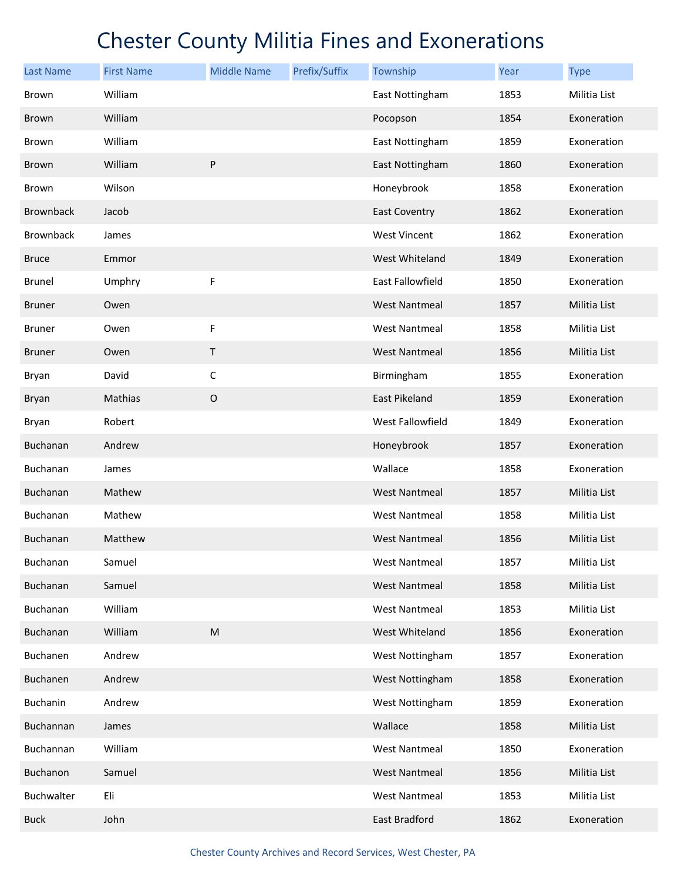| <b>Last Name</b> | <b>First Name</b> | <b>Middle Name</b> | Prefix/Suffix | Township             | Year | <b>Type</b>  |
|------------------|-------------------|--------------------|---------------|----------------------|------|--------------|
| Brown            | William           |                    |               | East Nottingham      | 1853 | Militia List |
| <b>Brown</b>     | William           |                    |               | Pocopson             | 1854 | Exoneration  |
| Brown            | William           |                    |               | East Nottingham      | 1859 | Exoneration  |
| <b>Brown</b>     | William           | P                  |               | East Nottingham      | 1860 | Exoneration  |
| Brown            | Wilson            |                    |               | Honeybrook           | 1858 | Exoneration  |
| <b>Brownback</b> | Jacob             |                    |               | <b>East Coventry</b> | 1862 | Exoneration  |
| Brownback        | James             |                    |               | <b>West Vincent</b>  | 1862 | Exoneration  |
| <b>Bruce</b>     | Emmor             |                    |               | West Whiteland       | 1849 | Exoneration  |
| <b>Brunel</b>    | Umphry            | F                  |               | East Fallowfield     | 1850 | Exoneration  |
| <b>Bruner</b>    | Owen              |                    |               | <b>West Nantmeal</b> | 1857 | Militia List |
| <b>Bruner</b>    | Owen              | F                  |               | West Nantmeal        | 1858 | Militia List |
| <b>Bruner</b>    | Owen              | Τ                  |               | <b>West Nantmeal</b> | 1856 | Militia List |
| Bryan            | David             | $\mathsf C$        |               | Birmingham           | 1855 | Exoneration  |
| <b>Bryan</b>     | Mathias           | $\mathsf O$        |               | East Pikeland        | 1859 | Exoneration  |
| Bryan            | Robert            |                    |               | West Fallowfield     | 1849 | Exoneration  |
| <b>Buchanan</b>  | Andrew            |                    |               | Honeybrook           | 1857 | Exoneration  |
| Buchanan         | James             |                    |               | Wallace              | 1858 | Exoneration  |
| Buchanan         | Mathew            |                    |               | <b>West Nantmeal</b> | 1857 | Militia List |
| Buchanan         | Mathew            |                    |               | <b>West Nantmeal</b> | 1858 | Militia List |
| Buchanan         | Matthew           |                    |               | <b>West Nantmeal</b> | 1856 | Militia List |
| Buchanan         | Samuel            |                    |               | <b>West Nantmeal</b> | 1857 | Militia List |
| Buchanan         | Samuel            |                    |               | <b>West Nantmeal</b> | 1858 | Militia List |
| Buchanan         | William           |                    |               | <b>West Nantmeal</b> | 1853 | Militia List |
| Buchanan         | William           | ${\sf M}$          |               | West Whiteland       | 1856 | Exoneration  |
| Buchanen         | Andrew            |                    |               | West Nottingham      | 1857 | Exoneration  |
| Buchanen         | Andrew            |                    |               | West Nottingham      | 1858 | Exoneration  |
| Buchanin         | Andrew            |                    |               | West Nottingham      | 1859 | Exoneration  |
| Buchannan        | James             |                    |               | Wallace              | 1858 | Militia List |
| Buchannan        | William           |                    |               | <b>West Nantmeal</b> | 1850 | Exoneration  |
| Buchanon         | Samuel            |                    |               | <b>West Nantmeal</b> | 1856 | Militia List |
| Buchwalter       | Eli               |                    |               | <b>West Nantmeal</b> | 1853 | Militia List |
| <b>Buck</b>      | John              |                    |               | East Bradford        | 1862 | Exoneration  |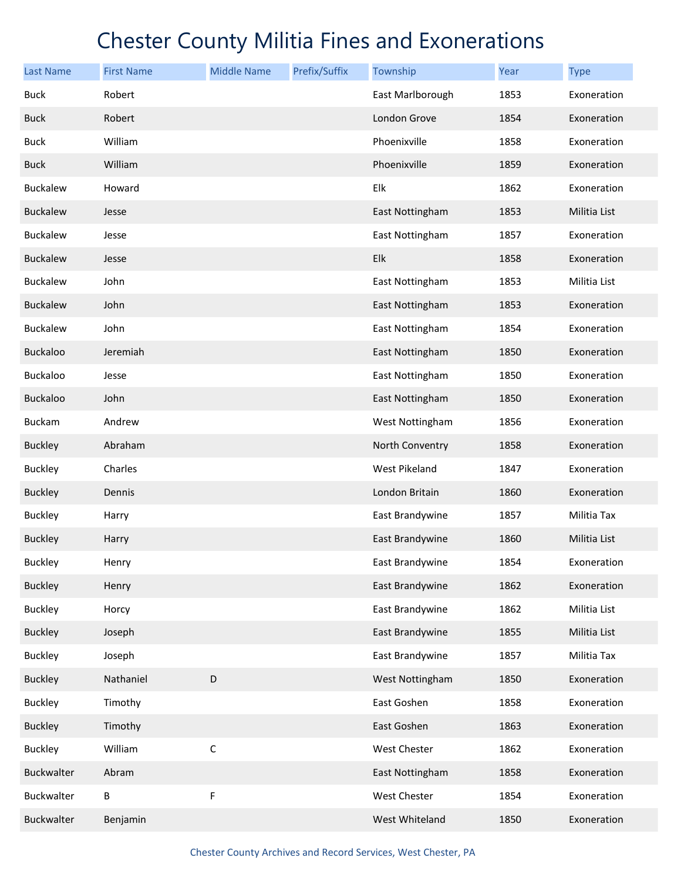| <b>Last Name</b> | <b>First Name</b> | <b>Middle Name</b> | Prefix/Suffix | Township         | Year | <b>Type</b>  |
|------------------|-------------------|--------------------|---------------|------------------|------|--------------|
| <b>Buck</b>      | Robert            |                    |               | East Marlborough | 1853 | Exoneration  |
| <b>Buck</b>      | Robert            |                    |               | London Grove     | 1854 | Exoneration  |
| <b>Buck</b>      | William           |                    |               | Phoenixville     | 1858 | Exoneration  |
| <b>Buck</b>      | William           |                    |               | Phoenixville     | 1859 | Exoneration  |
| <b>Buckalew</b>  | Howard            |                    |               | Elk              | 1862 | Exoneration  |
| <b>Buckalew</b>  | Jesse             |                    |               | East Nottingham  | 1853 | Militia List |
| <b>Buckalew</b>  | Jesse             |                    |               | East Nottingham  | 1857 | Exoneration  |
| <b>Buckalew</b>  | Jesse             |                    |               | Elk              | 1858 | Exoneration  |
| <b>Buckalew</b>  | John              |                    |               | East Nottingham  | 1853 | Militia List |
| <b>Buckalew</b>  | John              |                    |               | East Nottingham  | 1853 | Exoneration  |
| <b>Buckalew</b>  | John              |                    |               | East Nottingham  | 1854 | Exoneration  |
| <b>Buckaloo</b>  | Jeremiah          |                    |               | East Nottingham  | 1850 | Exoneration  |
| Buckaloo         | Jesse             |                    |               | East Nottingham  | 1850 | Exoneration  |
| <b>Buckaloo</b>  | John              |                    |               | East Nottingham  | 1850 | Exoneration  |
| <b>Buckam</b>    | Andrew            |                    |               | West Nottingham  | 1856 | Exoneration  |
| <b>Buckley</b>   | Abraham           |                    |               | North Conventry  | 1858 | Exoneration  |
| <b>Buckley</b>   | Charles           |                    |               | West Pikeland    | 1847 | Exoneration  |
| <b>Buckley</b>   | Dennis            |                    |               | London Britain   | 1860 | Exoneration  |
| <b>Buckley</b>   | Harry             |                    |               | East Brandywine  | 1857 | Militia Tax  |
| <b>Buckley</b>   | Harry             |                    |               | East Brandywine  | 1860 | Militia List |
| <b>Buckley</b>   | Henry             |                    |               | East Brandywine  | 1854 | Exoneration  |
| <b>Buckley</b>   | Henry             |                    |               | East Brandywine  | 1862 | Exoneration  |
| <b>Buckley</b>   | Horcy             |                    |               | East Brandywine  | 1862 | Militia List |
| <b>Buckley</b>   | Joseph            |                    |               | East Brandywine  | 1855 | Militia List |
| <b>Buckley</b>   | Joseph            |                    |               | East Brandywine  | 1857 | Militia Tax  |
| <b>Buckley</b>   | Nathaniel         | D                  |               | West Nottingham  | 1850 | Exoneration  |
| <b>Buckley</b>   | Timothy           |                    |               | East Goshen      | 1858 | Exoneration  |
| <b>Buckley</b>   | Timothy           |                    |               | East Goshen      | 1863 | Exoneration  |
| <b>Buckley</b>   | William           | $\mathsf C$        |               | West Chester     | 1862 | Exoneration  |
| Buckwalter       | Abram             |                    |               | East Nottingham  | 1858 | Exoneration  |
| Buckwalter       | Β                 | F                  |               | West Chester     | 1854 | Exoneration  |
| Buckwalter       | Benjamin          |                    |               | West Whiteland   | 1850 | Exoneration  |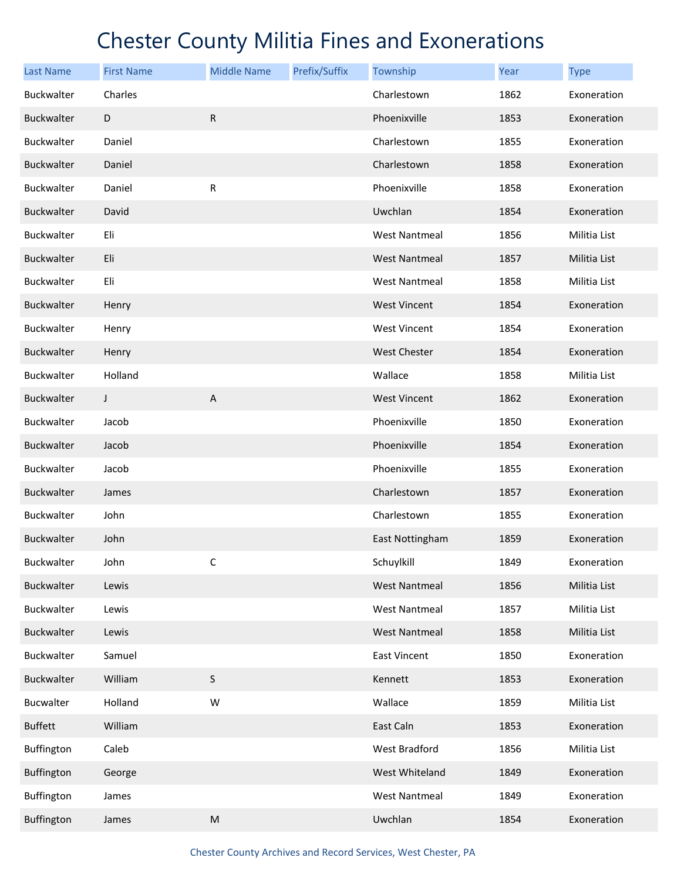| <b>Last Name</b>  | <b>First Name</b> | <b>Middle Name</b> | Prefix/Suffix | Township             | Year | <b>Type</b>  |
|-------------------|-------------------|--------------------|---------------|----------------------|------|--------------|
| Buckwalter        | Charles           |                    |               | Charlestown          | 1862 | Exoneration  |
| <b>Buckwalter</b> | D                 | ${\sf R}$          |               | Phoenixville         | 1853 | Exoneration  |
| Buckwalter        | Daniel            |                    |               | Charlestown          | 1855 | Exoneration  |
| <b>Buckwalter</b> | Daniel            |                    |               | Charlestown          | 1858 | Exoneration  |
| Buckwalter        | Daniel            | ${\sf R}$          |               | Phoenixville         | 1858 | Exoneration  |
| <b>Buckwalter</b> | David             |                    |               | Uwchlan              | 1854 | Exoneration  |
| Buckwalter        | Eli               |                    |               | <b>West Nantmeal</b> | 1856 | Militia List |
| <b>Buckwalter</b> | Eli               |                    |               | <b>West Nantmeal</b> | 1857 | Militia List |
| Buckwalter        | Eli               |                    |               | <b>West Nantmeal</b> | 1858 | Militia List |
| <b>Buckwalter</b> | Henry             |                    |               | <b>West Vincent</b>  | 1854 | Exoneration  |
| <b>Buckwalter</b> | Henry             |                    |               | <b>West Vincent</b>  | 1854 | Exoneration  |
| Buckwalter        | Henry             |                    |               | <b>West Chester</b>  | 1854 | Exoneration  |
| Buckwalter        | Holland           |                    |               | Wallace              | 1858 | Militia List |
| <b>Buckwalter</b> | J                 | $\mathsf{A}$       |               | <b>West Vincent</b>  | 1862 | Exoneration  |
| <b>Buckwalter</b> | Jacob             |                    |               | Phoenixville         | 1850 | Exoneration  |
| Buckwalter        | Jacob             |                    |               | Phoenixville         | 1854 | Exoneration  |
| Buckwalter        | Jacob             |                    |               | Phoenixville         | 1855 | Exoneration  |
| <b>Buckwalter</b> | James             |                    |               | Charlestown          | 1857 | Exoneration  |
| Buckwalter        | John              |                    |               | Charlestown          | 1855 | Exoneration  |
| Buckwalter        | John              |                    |               | East Nottingham      | 1859 | Exoneration  |
| Buckwalter        | John              | C                  |               | Schuylkill           | 1849 | Exoneration  |
| Buckwalter        | Lewis             |                    |               | <b>West Nantmeal</b> | 1856 | Militia List |
| Buckwalter        | Lewis             |                    |               | <b>West Nantmeal</b> | 1857 | Militia List |
| Buckwalter        | Lewis             |                    |               | <b>West Nantmeal</b> | 1858 | Militia List |
| Buckwalter        | Samuel            |                    |               | East Vincent         | 1850 | Exoneration  |
| Buckwalter        | William           | $\mathsf S$        |               | Kennett              | 1853 | Exoneration  |
| Bucwalter         | Holland           | W                  |               | Wallace              | 1859 | Militia List |
| <b>Buffett</b>    | William           |                    |               | East Caln            | 1853 | Exoneration  |
| Buffington        | Caleb             |                    |               | West Bradford        | 1856 | Militia List |
| Buffington        | George            |                    |               | West Whiteland       | 1849 | Exoneration  |
| Buffington        | James             |                    |               | <b>West Nantmeal</b> | 1849 | Exoneration  |
| Buffington        | James             | ${\sf M}$          |               | Uwchlan              | 1854 | Exoneration  |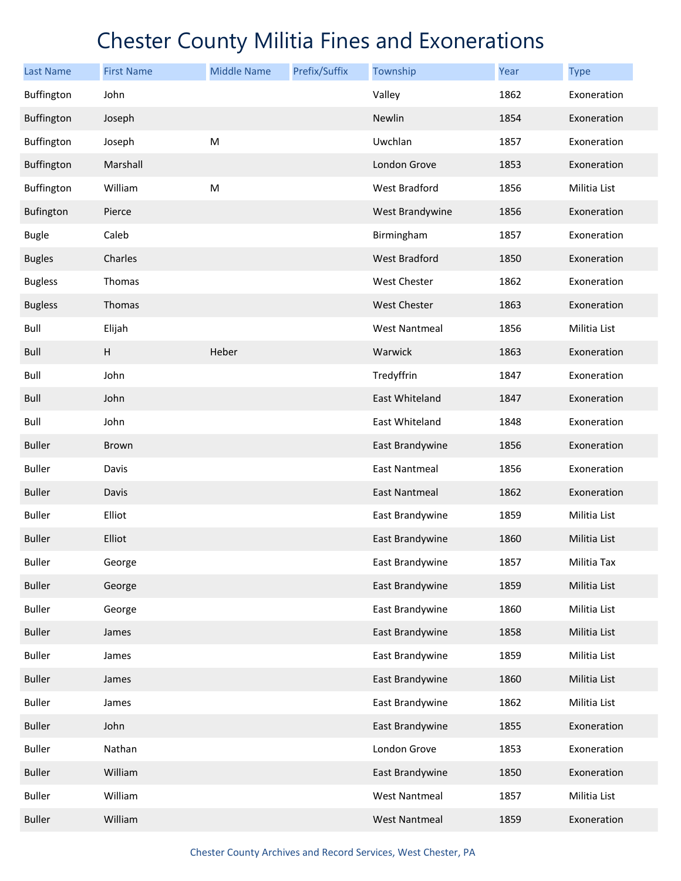| <b>Last Name</b> | <b>First Name</b>         | <b>Middle Name</b> | Prefix/Suffix | Township             | Year | <b>Type</b>  |
|------------------|---------------------------|--------------------|---------------|----------------------|------|--------------|
| Buffington       | John                      |                    |               | Valley               | 1862 | Exoneration  |
| Buffington       | Joseph                    |                    |               | Newlin               | 1854 | Exoneration  |
| Buffington       | Joseph                    | M                  |               | Uwchlan              | 1857 | Exoneration  |
| Buffington       | Marshall                  |                    |               | London Grove         | 1853 | Exoneration  |
| Buffington       | William                   | M                  |               | West Bradford        | 1856 | Militia List |
| Bufington        | Pierce                    |                    |               | West Brandywine      | 1856 | Exoneration  |
| <b>Bugle</b>     | Caleb                     |                    |               | Birmingham           | 1857 | Exoneration  |
| <b>Bugles</b>    | Charles                   |                    |               | West Bradford        | 1850 | Exoneration  |
| <b>Bugless</b>   | Thomas                    |                    |               | West Chester         | 1862 | Exoneration  |
| <b>Bugless</b>   | Thomas                    |                    |               | <b>West Chester</b>  | 1863 | Exoneration  |
| Bull             | Elijah                    |                    |               | West Nantmeal        | 1856 | Militia List |
| Bull             | $\boldsymbol{\mathsf{H}}$ | Heber              |               | Warwick              | 1863 | Exoneration  |
| Bull             | John                      |                    |               | Tredyffrin           | 1847 | Exoneration  |
| Bull             | John                      |                    |               | East Whiteland       | 1847 | Exoneration  |
| Bull             | John                      |                    |               | East Whiteland       | 1848 | Exoneration  |
| <b>Buller</b>    | Brown                     |                    |               | East Brandywine      | 1856 | Exoneration  |
| <b>Buller</b>    | Davis                     |                    |               | <b>East Nantmeal</b> | 1856 | Exoneration  |
| <b>Buller</b>    | Davis                     |                    |               | East Nantmeal        | 1862 | Exoneration  |
| <b>Buller</b>    | Elliot                    |                    |               | East Brandywine      | 1859 | Militia List |
| <b>Buller</b>    | Elliot                    |                    |               | East Brandywine      | 1860 | Militia List |
| <b>Buller</b>    | George                    |                    |               | East Brandywine      | 1857 | Militia Tax  |
| <b>Buller</b>    | George                    |                    |               | East Brandywine      | 1859 | Militia List |
| <b>Buller</b>    | George                    |                    |               | East Brandywine      | 1860 | Militia List |
| <b>Buller</b>    | James                     |                    |               | East Brandywine      | 1858 | Militia List |
| <b>Buller</b>    | James                     |                    |               | East Brandywine      | 1859 | Militia List |
| <b>Buller</b>    | James                     |                    |               | East Brandywine      | 1860 | Militia List |
| <b>Buller</b>    | James                     |                    |               | East Brandywine      | 1862 | Militia List |
| <b>Buller</b>    | John                      |                    |               | East Brandywine      | 1855 | Exoneration  |
| <b>Buller</b>    | Nathan                    |                    |               | London Grove         | 1853 | Exoneration  |
| <b>Buller</b>    | William                   |                    |               | East Brandywine      | 1850 | Exoneration  |
| <b>Buller</b>    | William                   |                    |               | <b>West Nantmeal</b> | 1857 | Militia List |
| <b>Buller</b>    | William                   |                    |               | West Nantmeal        | 1859 | Exoneration  |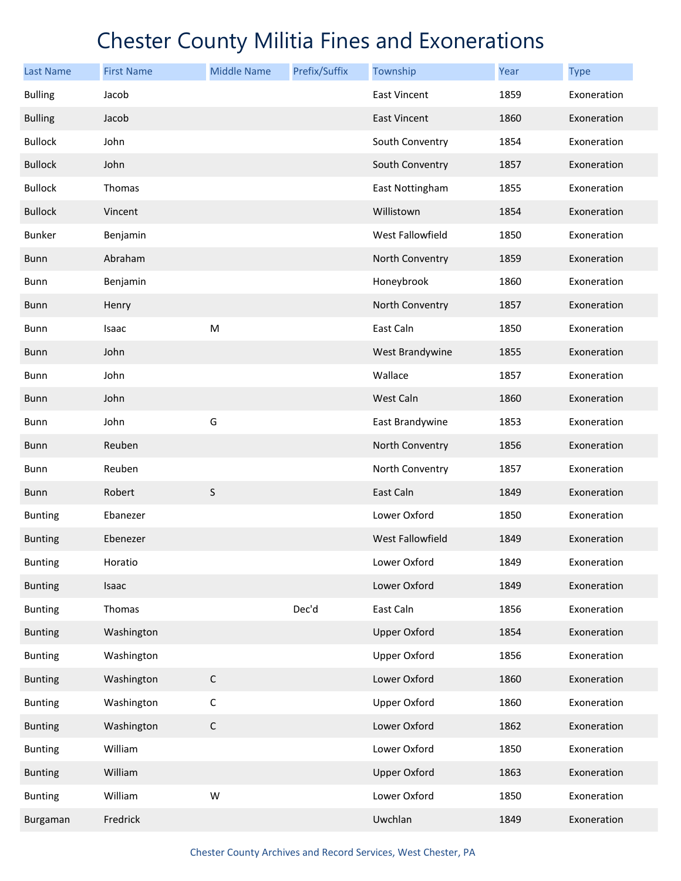| <b>Last Name</b> | <b>First Name</b> | <b>Middle Name</b> | Prefix/Suffix | Township                | Year | <b>Type</b> |
|------------------|-------------------|--------------------|---------------|-------------------------|------|-------------|
| <b>Bulling</b>   | Jacob             |                    |               | <b>East Vincent</b>     | 1859 | Exoneration |
| <b>Bulling</b>   | Jacob             |                    |               | <b>East Vincent</b>     | 1860 | Exoneration |
| <b>Bullock</b>   | John              |                    |               | South Conventry         | 1854 | Exoneration |
| <b>Bullock</b>   | John              |                    |               | South Conventry         | 1857 | Exoneration |
| <b>Bullock</b>   | Thomas            |                    |               | East Nottingham         | 1855 | Exoneration |
| <b>Bullock</b>   | Vincent           |                    |               | Willistown              | 1854 | Exoneration |
| <b>Bunker</b>    | Benjamin          |                    |               | West Fallowfield        | 1850 | Exoneration |
| <b>Bunn</b>      | Abraham           |                    |               | North Conventry         | 1859 | Exoneration |
| Bunn             | Benjamin          |                    |               | Honeybrook              | 1860 | Exoneration |
| <b>Bunn</b>      | Henry             |                    |               | North Conventry         | 1857 | Exoneration |
| Bunn             | Isaac             | ${\sf M}$          |               | East Caln               | 1850 | Exoneration |
| <b>Bunn</b>      | John              |                    |               | West Brandywine         | 1855 | Exoneration |
| Bunn             | John              |                    |               | Wallace                 | 1857 | Exoneration |
| <b>Bunn</b>      | John              |                    |               | West Caln               | 1860 | Exoneration |
| Bunn             | John              | G                  |               | East Brandywine         | 1853 | Exoneration |
| <b>Bunn</b>      | Reuben            |                    |               | North Conventry         | 1856 | Exoneration |
| Bunn             | Reuben            |                    |               | North Conventry         | 1857 | Exoneration |
| <b>Bunn</b>      | Robert            | S                  |               | East Caln               | 1849 | Exoneration |
| <b>Bunting</b>   | Ebanezer          |                    |               | Lower Oxford            | 1850 | Exoneration |
| <b>Bunting</b>   | Ebenezer          |                    |               | <b>West Fallowfield</b> | 1849 | Exoneration |
| <b>Bunting</b>   | Horatio           |                    |               | Lower Oxford            | 1849 | Exoneration |
| <b>Bunting</b>   | Isaac             |                    |               | Lower Oxford            | 1849 | Exoneration |
| <b>Bunting</b>   | Thomas            |                    | Dec'd         | East Caln               | 1856 | Exoneration |
| <b>Bunting</b>   | Washington        |                    |               | <b>Upper Oxford</b>     | 1854 | Exoneration |
| <b>Bunting</b>   | Washington        |                    |               | <b>Upper Oxford</b>     | 1856 | Exoneration |
| <b>Bunting</b>   | Washington        | $\mathsf C$        |               | Lower Oxford            | 1860 | Exoneration |
| <b>Bunting</b>   | Washington        | $\mathsf C$        |               | <b>Upper Oxford</b>     | 1860 | Exoneration |
| <b>Bunting</b>   | Washington        | $\mathsf C$        |               | Lower Oxford            | 1862 | Exoneration |
| <b>Bunting</b>   | William           |                    |               | Lower Oxford            | 1850 | Exoneration |
| <b>Bunting</b>   | William           |                    |               | <b>Upper Oxford</b>     | 1863 | Exoneration |
| <b>Bunting</b>   | William           | W                  |               | Lower Oxford            | 1850 | Exoneration |
| Burgaman         | Fredrick          |                    |               | Uwchlan                 | 1849 | Exoneration |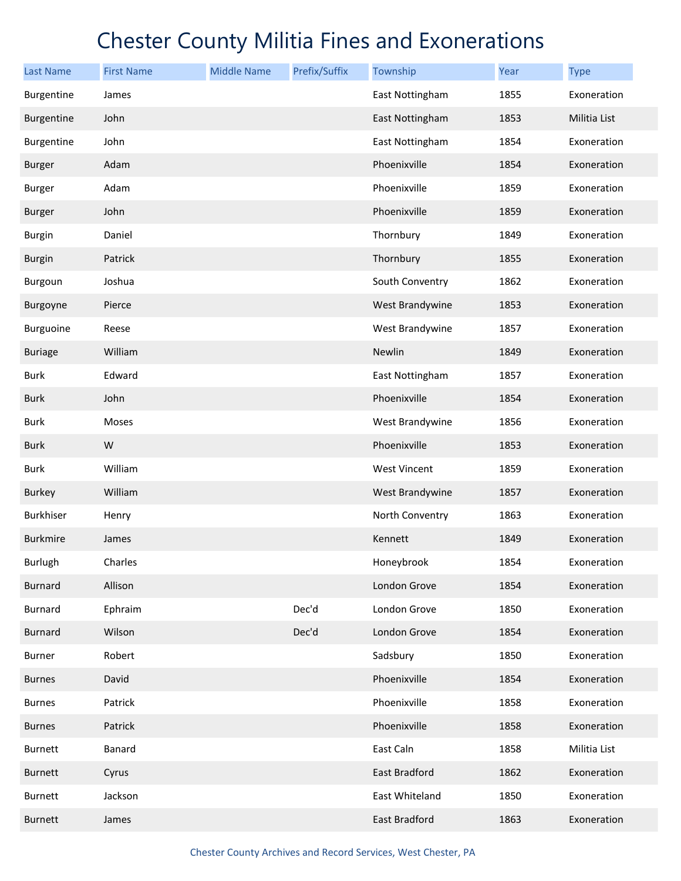| <b>Last Name</b> | <b>First Name</b> | <b>Middle Name</b> | Prefix/Suffix | Township        | Year | <b>Type</b>  |
|------------------|-------------------|--------------------|---------------|-----------------|------|--------------|
| Burgentine       | James             |                    |               | East Nottingham | 1855 | Exoneration  |
| Burgentine       | John              |                    |               | East Nottingham | 1853 | Militia List |
| Burgentine       | John              |                    |               | East Nottingham | 1854 | Exoneration  |
| <b>Burger</b>    | Adam              |                    |               | Phoenixville    | 1854 | Exoneration  |
| <b>Burger</b>    | Adam              |                    |               | Phoenixville    | 1859 | Exoneration  |
| <b>Burger</b>    | John              |                    |               | Phoenixville    | 1859 | Exoneration  |
| <b>Burgin</b>    | Daniel            |                    |               | Thornbury       | 1849 | Exoneration  |
| <b>Burgin</b>    | Patrick           |                    |               | Thornbury       | 1855 | Exoneration  |
| Burgoun          | Joshua            |                    |               | South Conventry | 1862 | Exoneration  |
| Burgoyne         | Pierce            |                    |               | West Brandywine | 1853 | Exoneration  |
| Burguoine        | Reese             |                    |               | West Brandywine | 1857 | Exoneration  |
| <b>Buriage</b>   | William           |                    |               | Newlin          | 1849 | Exoneration  |
| Burk             | Edward            |                    |               | East Nottingham | 1857 | Exoneration  |
| Burk             | John              |                    |               | Phoenixville    | 1854 | Exoneration  |
| Burk             | Moses             |                    |               | West Brandywine | 1856 | Exoneration  |
| <b>Burk</b>      | W                 |                    |               | Phoenixville    | 1853 | Exoneration  |
| Burk             | William           |                    |               | West Vincent    | 1859 | Exoneration  |
| <b>Burkey</b>    | William           |                    |               | West Brandywine | 1857 | Exoneration  |
| Burkhiser        | Henry             |                    |               | North Conventry | 1863 | Exoneration  |
| <b>Burkmire</b>  | James             |                    |               | Kennett         | 1849 | Exoneration  |
| <b>Burlugh</b>   | Charles           |                    |               | Honeybrook      | 1854 | Exoneration  |
| <b>Burnard</b>   | Allison           |                    |               | London Grove    | 1854 | Exoneration  |
| <b>Burnard</b>   | Ephraim           |                    | Dec'd         | London Grove    | 1850 | Exoneration  |
| <b>Burnard</b>   | Wilson            |                    | Dec'd         | London Grove    | 1854 | Exoneration  |
| Burner           | Robert            |                    |               | Sadsbury        | 1850 | Exoneration  |
| <b>Burnes</b>    | David             |                    |               | Phoenixville    | 1854 | Exoneration  |
| <b>Burnes</b>    | Patrick           |                    |               | Phoenixville    | 1858 | Exoneration  |
| <b>Burnes</b>    | Patrick           |                    |               | Phoenixville    | 1858 | Exoneration  |
| Burnett          | Banard            |                    |               | East Caln       | 1858 | Militia List |
| Burnett          | Cyrus             |                    |               | East Bradford   | 1862 | Exoneration  |
| Burnett          | Jackson           |                    |               | East Whiteland  | 1850 | Exoneration  |
| Burnett          | James             |                    |               | East Bradford   | 1863 | Exoneration  |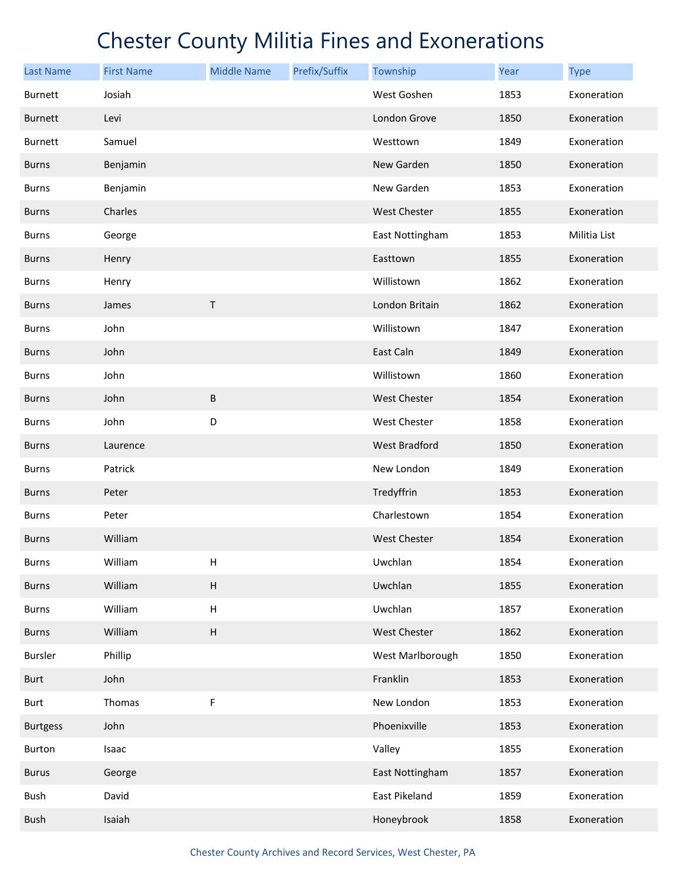| <b>Last Name</b> | <b>First Name</b> | <b>Middle Name</b>        | Prefix/Suffix | Township             | Year | <b>Type</b>  |
|------------------|-------------------|---------------------------|---------------|----------------------|------|--------------|
| <b>Burnett</b>   | Josiah            |                           |               | West Goshen          | 1853 | Exoneration  |
| <b>Burnett</b>   | Levi              |                           |               | London Grove         | 1850 | Exoneration  |
| <b>Burnett</b>   | Samuel            |                           |               | Westtown             | 1849 | Exoneration  |
| <b>Burns</b>     | Benjamin          |                           |               | New Garden           | 1850 | Exoneration  |
| <b>Burns</b>     | Benjamin          |                           |               | New Garden           | 1853 | Exoneration  |
| <b>Burns</b>     | Charles           |                           |               | <b>West Chester</b>  | 1855 | Exoneration  |
| <b>Burns</b>     | George            |                           |               | East Nottingham      | 1853 | Militia List |
| <b>Burns</b>     | Henry             |                           |               | Easttown             | 1855 | Exoneration  |
| <b>Burns</b>     | Henry             |                           |               | Willistown           | 1862 | Exoneration  |
| <b>Burns</b>     | James             | Τ                         |               | London Britain       | 1862 | Exoneration  |
| <b>Burns</b>     | John              |                           |               | Willistown           | 1847 | Exoneration  |
| <b>Burns</b>     | John              |                           |               | East Caln            | 1849 | Exoneration  |
| <b>Burns</b>     | John              |                           |               | Willistown           | 1860 | Exoneration  |
| <b>Burns</b>     | John              | B                         |               | <b>West Chester</b>  | 1854 | Exoneration  |
| <b>Burns</b>     | John              | D                         |               | West Chester         | 1858 | Exoneration  |
| <b>Burns</b>     | Laurence          |                           |               | <b>West Bradford</b> | 1850 | Exoneration  |
| <b>Burns</b>     | Patrick           |                           |               | New London           | 1849 | Exoneration  |
| <b>Burns</b>     | Peter             |                           |               | Tredyffrin           | 1853 | Exoneration  |
| <b>Burns</b>     | Peter             |                           |               | Charlestown          | 1854 | Exoneration  |
| <b>Burns</b>     | William           |                           |               | <b>West Chester</b>  | 1854 | Exoneration  |
| <b>Burns</b>     | William           | $\sf H$                   |               | Uwchlan              | 1854 | Exoneration  |
| <b>Burns</b>     | William           | $\sf H$                   |               | Uwchlan              | 1855 | Exoneration  |
| <b>Burns</b>     | William           | $\boldsymbol{\mathsf{H}}$ |               | Uwchlan              | 1857 | Exoneration  |
| <b>Burns</b>     | William           | $\sf H$                   |               | West Chester         | 1862 | Exoneration  |
| <b>Bursler</b>   | Phillip           |                           |               | West Marlborough     | 1850 | Exoneration  |
| Burt             | John              |                           |               | Franklin             | 1853 | Exoneration  |
| <b>Burt</b>      | Thomas            | F                         |               | New London           | 1853 | Exoneration  |
| <b>Burtgess</b>  | John              |                           |               | Phoenixville         | 1853 | Exoneration  |
| Burton           | Isaac             |                           |               | Valley               | 1855 | Exoneration  |
| <b>Burus</b>     | George            |                           |               | East Nottingham      | 1857 | Exoneration  |
| Bush             | David             |                           |               | East Pikeland        | 1859 | Exoneration  |
| <b>Bush</b>      | Isaiah            |                           |               | Honeybrook           | 1858 | Exoneration  |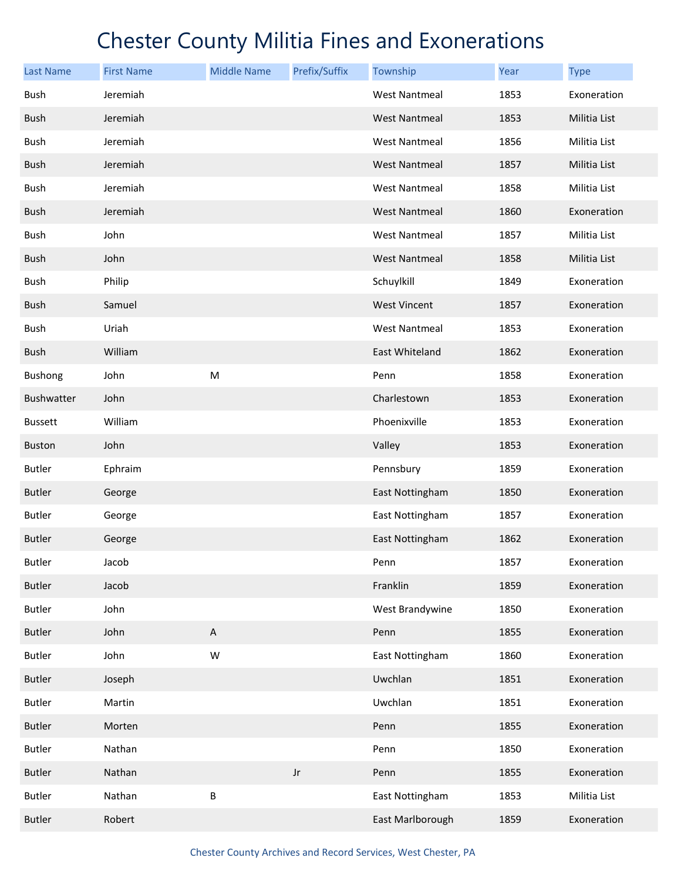| <b>Last Name</b>  | <b>First Name</b> | <b>Middle Name</b>        | Prefix/Suffix | Township             | <b>Year</b> | <b>Type</b>  |
|-------------------|-------------------|---------------------------|---------------|----------------------|-------------|--------------|
| Bush              | Jeremiah          |                           |               | <b>West Nantmeal</b> | 1853        | Exoneration  |
| <b>Bush</b>       | Jeremiah          |                           |               | <b>West Nantmeal</b> | 1853        | Militia List |
| Bush              | Jeremiah          |                           |               | <b>West Nantmeal</b> | 1856        | Militia List |
| <b>Bush</b>       | Jeremiah          |                           |               | <b>West Nantmeal</b> | 1857        | Militia List |
| Bush              | Jeremiah          |                           |               | <b>West Nantmeal</b> | 1858        | Militia List |
| <b>Bush</b>       | Jeremiah          |                           |               | <b>West Nantmeal</b> | 1860        | Exoneration  |
| Bush              | John              |                           |               | <b>West Nantmeal</b> | 1857        | Militia List |
| <b>Bush</b>       | John              |                           |               | <b>West Nantmeal</b> | 1858        | Militia List |
| Bush              | Philip            |                           |               | Schuylkill           | 1849        | Exoneration  |
| <b>Bush</b>       | Samuel            |                           |               | <b>West Vincent</b>  | 1857        | Exoneration  |
| Bush              | Uriah             |                           |               | <b>West Nantmeal</b> | 1853        | Exoneration  |
| <b>Bush</b>       | William           |                           |               | East Whiteland       | 1862        | Exoneration  |
| Bushong           | John              | ${\sf M}$                 |               | Penn                 | 1858        | Exoneration  |
| <b>Bushwatter</b> | John              |                           |               | Charlestown          | 1853        | Exoneration  |
| <b>Bussett</b>    | William           |                           |               | Phoenixville         | 1853        | Exoneration  |
| <b>Buston</b>     | John              |                           |               | Valley               | 1853        | Exoneration  |
| <b>Butler</b>     | Ephraim           |                           |               | Pennsbury            | 1859        | Exoneration  |
| <b>Butler</b>     | George            |                           |               | East Nottingham      | 1850        | Exoneration  |
| <b>Butler</b>     | George            |                           |               | East Nottingham      | 1857        | Exoneration  |
| <b>Butler</b>     | George            |                           |               | East Nottingham      | 1862        | Exoneration  |
| <b>Butler</b>     | Jacob             |                           |               | Penn                 | 1857        | Exoneration  |
| <b>Butler</b>     | Jacob             |                           |               | Franklin             | 1859        | Exoneration  |
| <b>Butler</b>     | John              |                           |               | West Brandywine      | 1850        | Exoneration  |
| <b>Butler</b>     | John              | $\boldsymbol{\mathsf{A}}$ |               | Penn                 | 1855        | Exoneration  |
| <b>Butler</b>     | John              | W                         |               | East Nottingham      | 1860        | Exoneration  |
| <b>Butler</b>     | Joseph            |                           |               | Uwchlan              | 1851        | Exoneration  |
| <b>Butler</b>     | Martin            |                           |               | Uwchlan              | 1851        | Exoneration  |
| <b>Butler</b>     | Morten            |                           |               | Penn                 | 1855        | Exoneration  |
| <b>Butler</b>     | Nathan            |                           |               | Penn                 | 1850        | Exoneration  |
| <b>Butler</b>     | Nathan            |                           | $_{\rm Jr}$   | Penn                 | 1855        | Exoneration  |
| <b>Butler</b>     | Nathan            | B                         |               | East Nottingham      | 1853        | Militia List |
| <b>Butler</b>     | Robert            |                           |               | East Marlborough     | 1859        | Exoneration  |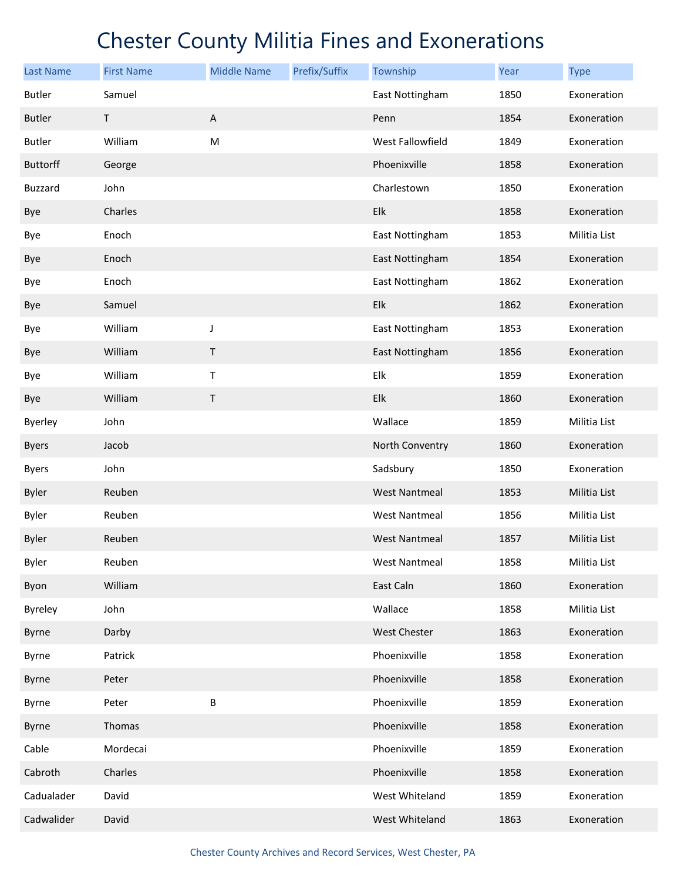| <b>Last Name</b> | <b>First Name</b> | <b>Middle Name</b>        | Prefix/Suffix | Township             | Year | <b>Type</b>  |
|------------------|-------------------|---------------------------|---------------|----------------------|------|--------------|
| <b>Butler</b>    | Samuel            |                           |               | East Nottingham      | 1850 | Exoneration  |
| <b>Butler</b>    | T                 | $\boldsymbol{\mathsf{A}}$ |               | Penn                 | 1854 | Exoneration  |
| <b>Butler</b>    | William           | ${\sf M}$                 |               | West Fallowfield     | 1849 | Exoneration  |
| <b>Buttorff</b>  | George            |                           |               | Phoenixville         | 1858 | Exoneration  |
| <b>Buzzard</b>   | John              |                           |               | Charlestown          | 1850 | Exoneration  |
| Bye              | Charles           |                           |               | Elk                  | 1858 | Exoneration  |
| Bye              | Enoch             |                           |               | East Nottingham      | 1853 | Militia List |
| Bye              | Enoch             |                           |               | East Nottingham      | 1854 | Exoneration  |
| Bye              | Enoch             |                           |               | East Nottingham      | 1862 | Exoneration  |
| Bye              | Samuel            |                           |               | Elk                  | 1862 | Exoneration  |
| Bye              | William           | J                         |               | East Nottingham      | 1853 | Exoneration  |
| Bye              | William           | Τ                         |               | East Nottingham      | 1856 | Exoneration  |
| Bye              | William           | Τ                         |               | Elk                  | 1859 | Exoneration  |
| Bye              | William           | Τ                         |               | Elk                  | 1860 | Exoneration  |
| <b>Byerley</b>   | John              |                           |               | Wallace              | 1859 | Militia List |
| <b>Byers</b>     | Jacob             |                           |               | North Conventry      | 1860 | Exoneration  |
| <b>Byers</b>     | John              |                           |               | Sadsbury             | 1850 | Exoneration  |
| <b>Byler</b>     | Reuben            |                           |               | <b>West Nantmeal</b> | 1853 | Militia List |
| <b>Byler</b>     | Reuben            |                           |               | <b>West Nantmeal</b> | 1856 | Militia List |
| <b>Byler</b>     | Reuben            |                           |               | <b>West Nantmeal</b> | 1857 | Militia List |
| <b>Byler</b>     | Reuben            |                           |               | West Nantmeal        | 1858 | Militia List |
| Byon             | William           |                           |               | East Caln            | 1860 | Exoneration  |
| <b>Byreley</b>   | John              |                           |               | Wallace              | 1858 | Militia List |
| Byrne            | Darby             |                           |               | <b>West Chester</b>  | 1863 | Exoneration  |
| Byrne            | Patrick           |                           |               | Phoenixville         | 1858 | Exoneration  |
| Byrne            | Peter             |                           |               | Phoenixville         | 1858 | Exoneration  |
| Byrne            | Peter             | B                         |               | Phoenixville         | 1859 | Exoneration  |
| Byrne            | Thomas            |                           |               | Phoenixville         | 1858 | Exoneration  |
| Cable            | Mordecai          |                           |               | Phoenixville         | 1859 | Exoneration  |
| Cabroth          | Charles           |                           |               | Phoenixville         | 1858 | Exoneration  |
| Cadualader       | David             |                           |               | West Whiteland       | 1859 | Exoneration  |
| Cadwalider       | David             |                           |               | West Whiteland       | 1863 | Exoneration  |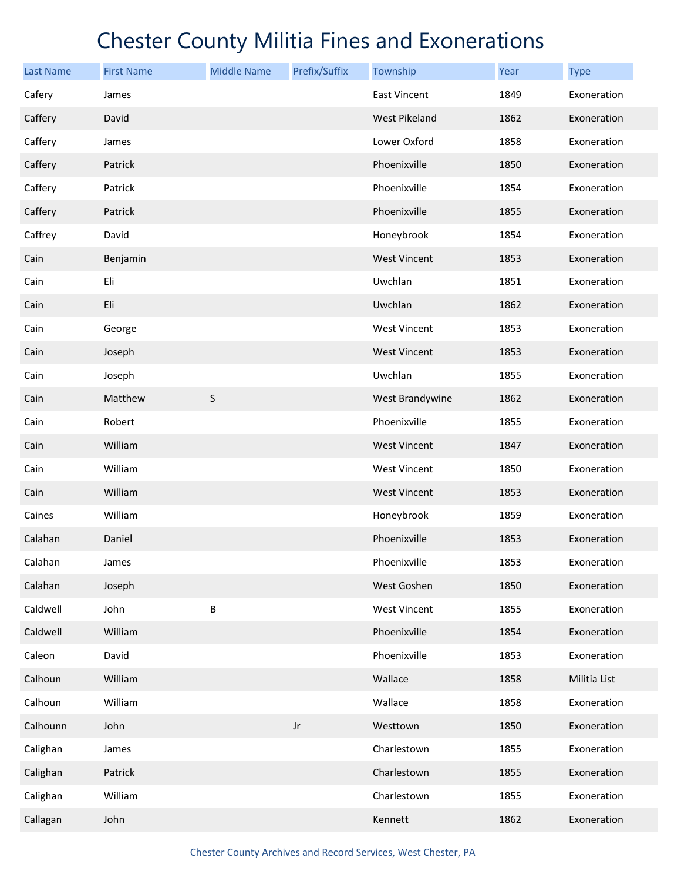| <b>Last Name</b> | <b>First Name</b> | <b>Middle Name</b> | Prefix/Suffix | Township             | <b>Year</b> | <b>Type</b>  |
|------------------|-------------------|--------------------|---------------|----------------------|-------------|--------------|
| Cafery           | James             |                    |               | East Vincent         | 1849        | Exoneration  |
| Caffery          | David             |                    |               | <b>West Pikeland</b> | 1862        | Exoneration  |
| Caffery          | James             |                    |               | Lower Oxford         | 1858        | Exoneration  |
| Caffery          | Patrick           |                    |               | Phoenixville         | 1850        | Exoneration  |
| Caffery          | Patrick           |                    |               | Phoenixville         | 1854        | Exoneration  |
| Caffery          | Patrick           |                    |               | Phoenixville         | 1855        | Exoneration  |
| Caffrey          | David             |                    |               | Honeybrook           | 1854        | Exoneration  |
| Cain             | Benjamin          |                    |               | <b>West Vincent</b>  | 1853        | Exoneration  |
| Cain             | Eli               |                    |               | Uwchlan              | 1851        | Exoneration  |
| Cain             | Eli               |                    |               | Uwchlan              | 1862        | Exoneration  |
| Cain             | George            |                    |               | West Vincent         | 1853        | Exoneration  |
| Cain             | Joseph            |                    |               | <b>West Vincent</b>  | 1853        | Exoneration  |
| Cain             | Joseph            |                    |               | Uwchlan              | 1855        | Exoneration  |
| Cain             | Matthew           | $\sf S$            |               | West Brandywine      | 1862        | Exoneration  |
| Cain             | Robert            |                    |               | Phoenixville         | 1855        | Exoneration  |
| Cain             | William           |                    |               | <b>West Vincent</b>  | 1847        | Exoneration  |
| Cain             | William           |                    |               | <b>West Vincent</b>  | 1850        | Exoneration  |
| Cain             | William           |                    |               | <b>West Vincent</b>  | 1853        | Exoneration  |
| Caines           | William           |                    |               | Honeybrook           | 1859        | Exoneration  |
| Calahan          | Daniel            |                    |               | Phoenixville         | 1853        | Exoneration  |
| Calahan          | James             |                    |               | Phoenixville         | 1853        | Exoneration  |
| Calahan          | Joseph            |                    |               | West Goshen          | 1850        | Exoneration  |
| Caldwell         | John              | B                  |               | <b>West Vincent</b>  | 1855        | Exoneration  |
| Caldwell         | William           |                    |               | Phoenixville         | 1854        | Exoneration  |
| Caleon           | David             |                    |               | Phoenixville         | 1853        | Exoneration  |
| Calhoun          | William           |                    |               | Wallace              | 1858        | Militia List |
| Calhoun          | William           |                    |               | Wallace              | 1858        | Exoneration  |
| Calhounn         | John              |                    | $_{\rm Jr}$   | Westtown             | 1850        | Exoneration  |
| Calighan         | James             |                    |               | Charlestown          | 1855        | Exoneration  |
| Calighan         | Patrick           |                    |               | Charlestown          | 1855        | Exoneration  |
| Calighan         | William           |                    |               | Charlestown          | 1855        | Exoneration  |
| Callagan         | John              |                    |               | Kennett              | 1862        | Exoneration  |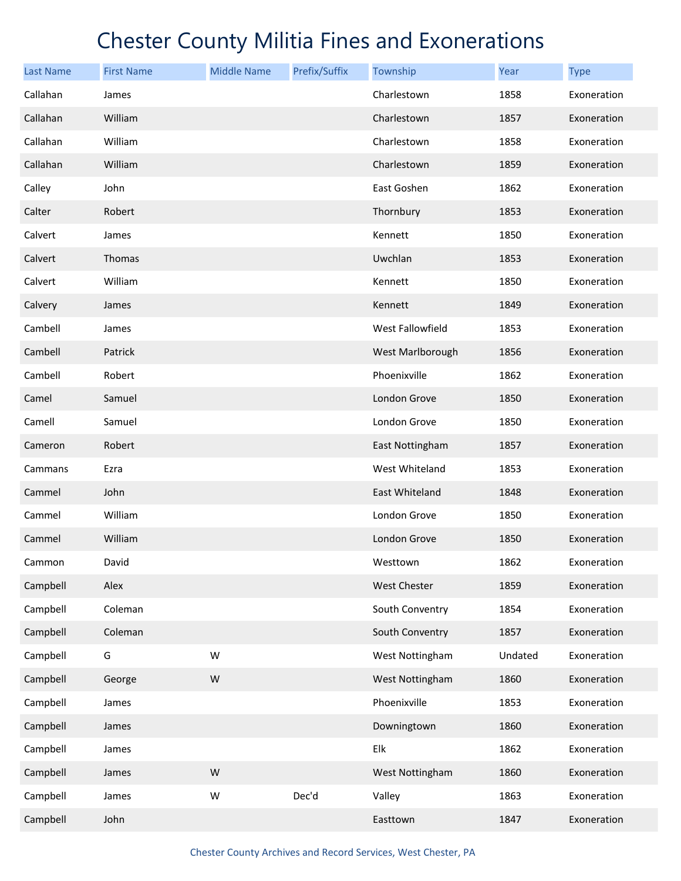| <b>Last Name</b> | <b>First Name</b> | <b>Middle Name</b> | Prefix/Suffix | Township         | Year    | <b>Type</b> |
|------------------|-------------------|--------------------|---------------|------------------|---------|-------------|
| Callahan         | James             |                    |               | Charlestown      | 1858    | Exoneration |
| Callahan         | William           |                    |               | Charlestown      | 1857    | Exoneration |
| Callahan         | William           |                    |               | Charlestown      | 1858    | Exoneration |
| Callahan         | William           |                    |               | Charlestown      | 1859    | Exoneration |
| Calley           | John              |                    |               | East Goshen      | 1862    | Exoneration |
| Calter           | Robert            |                    |               | Thornbury        | 1853    | Exoneration |
| Calvert          | James             |                    |               | Kennett          | 1850    | Exoneration |
| Calvert          | Thomas            |                    |               | Uwchlan          | 1853    | Exoneration |
| Calvert          | William           |                    |               | Kennett          | 1850    | Exoneration |
| Calvery          | James             |                    |               | Kennett          | 1849    | Exoneration |
| Cambell          | James             |                    |               | West Fallowfield | 1853    | Exoneration |
| Cambell          | Patrick           |                    |               | West Marlborough | 1856    | Exoneration |
| Cambell          | Robert            |                    |               | Phoenixville     | 1862    | Exoneration |
| Camel            | Samuel            |                    |               | London Grove     | 1850    | Exoneration |
| Camell           | Samuel            |                    |               | London Grove     | 1850    | Exoneration |
| Cameron          | Robert            |                    |               | East Nottingham  | 1857    | Exoneration |
| Cammans          | Ezra              |                    |               | West Whiteland   | 1853    | Exoneration |
| Cammel           | John              |                    |               | East Whiteland   | 1848    | Exoneration |
| Cammel           | William           |                    |               | London Grove     | 1850    | Exoneration |
| Cammel           | William           |                    |               | London Grove     | 1850    | Exoneration |
| Cammon           | David             |                    |               | Westtown         | 1862    | Exoneration |
| Campbell         | Alex              |                    |               | West Chester     | 1859    | Exoneration |
| Campbell         | Coleman           |                    |               | South Conventry  | 1854    | Exoneration |
| Campbell         | Coleman           |                    |               | South Conventry  | 1857    | Exoneration |
| Campbell         | G                 | W                  |               | West Nottingham  | Undated | Exoneration |
| Campbell         | George            | W                  |               | West Nottingham  | 1860    | Exoneration |
| Campbell         | James             |                    |               | Phoenixville     | 1853    | Exoneration |
| Campbell         | James             |                    |               | Downingtown      | 1860    | Exoneration |
| Campbell         | James             |                    |               | Elk              | 1862    | Exoneration |
| Campbell         | James             | W                  |               | West Nottingham  | 1860    | Exoneration |
| Campbell         | James             | W                  | Dec'd         | Valley           | 1863    | Exoneration |
| Campbell         | John              |                    |               | Easttown         | 1847    | Exoneration |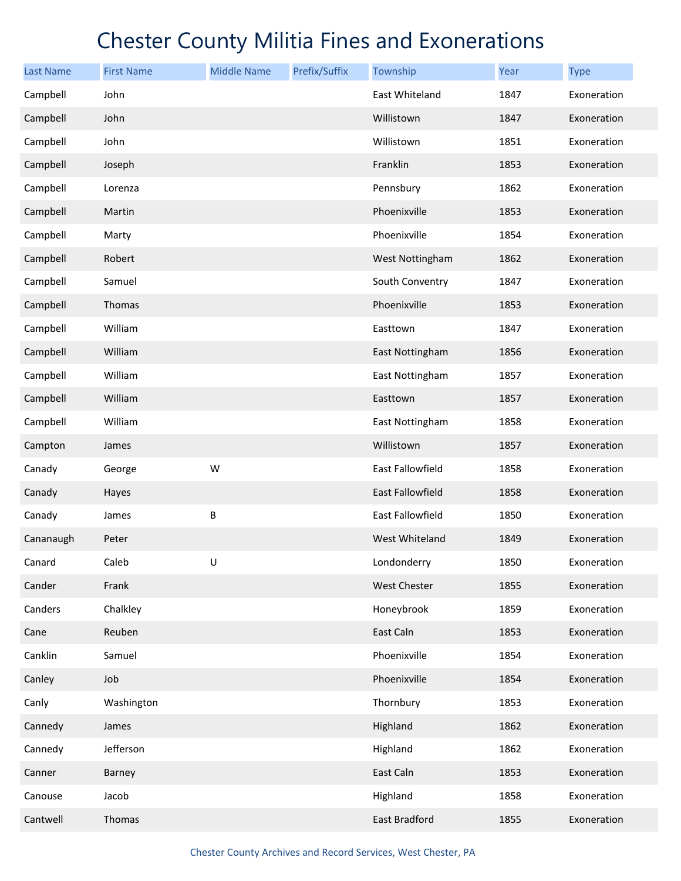| <b>Last Name</b> | <b>First Name</b> | <b>Middle Name</b> | Prefix/Suffix | Township         | Year | <b>Type</b> |
|------------------|-------------------|--------------------|---------------|------------------|------|-------------|
| Campbell         | John              |                    |               | East Whiteland   | 1847 | Exoneration |
| Campbell         | John              |                    |               | Willistown       | 1847 | Exoneration |
| Campbell         | John              |                    |               | Willistown       | 1851 | Exoneration |
| Campbell         | Joseph            |                    |               | Franklin         | 1853 | Exoneration |
| Campbell         | Lorenza           |                    |               | Pennsbury        | 1862 | Exoneration |
| Campbell         | Martin            |                    |               | Phoenixville     | 1853 | Exoneration |
| Campbell         | Marty             |                    |               | Phoenixville     | 1854 | Exoneration |
| Campbell         | Robert            |                    |               | West Nottingham  | 1862 | Exoneration |
| Campbell         | Samuel            |                    |               | South Conventry  | 1847 | Exoneration |
| Campbell         | Thomas            |                    |               | Phoenixville     | 1853 | Exoneration |
| Campbell         | William           |                    |               | Easttown         | 1847 | Exoneration |
| Campbell         | William           |                    |               | East Nottingham  | 1856 | Exoneration |
| Campbell         | William           |                    |               | East Nottingham  | 1857 | Exoneration |
| Campbell         | William           |                    |               | Easttown         | 1857 | Exoneration |
| Campbell         | William           |                    |               | East Nottingham  | 1858 | Exoneration |
| Campton          | James             |                    |               | Willistown       | 1857 | Exoneration |
| Canady           | George            | W                  |               | East Fallowfield | 1858 | Exoneration |
| Canady           | Hayes             |                    |               | East Fallowfield | 1858 | Exoneration |
| Canady           | James             | B                  |               | East Fallowfield | 1850 | Exoneration |
| Cananaugh        | Peter             |                    |               | West Whiteland   | 1849 | Exoneration |
| Canard           | Caleb             | U                  |               | Londonderry      | 1850 | Exoneration |
| Cander           | Frank             |                    |               | West Chester     | 1855 | Exoneration |
| Canders          | Chalkley          |                    |               | Honeybrook       | 1859 | Exoneration |
| Cane             | Reuben            |                    |               | East Caln        | 1853 | Exoneration |
| Canklin          | Samuel            |                    |               | Phoenixville     | 1854 | Exoneration |
| Canley           | Job               |                    |               | Phoenixville     | 1854 | Exoneration |
| Canly            | Washington        |                    |               | Thornbury        | 1853 | Exoneration |
| Cannedy          | James             |                    |               | Highland         | 1862 | Exoneration |
| Cannedy          | Jefferson         |                    |               | Highland         | 1862 | Exoneration |
| Canner           | Barney            |                    |               | East Caln        | 1853 | Exoneration |
| Canouse          | Jacob             |                    |               | Highland         | 1858 | Exoneration |
| Cantwell         | Thomas            |                    |               | East Bradford    | 1855 | Exoneration |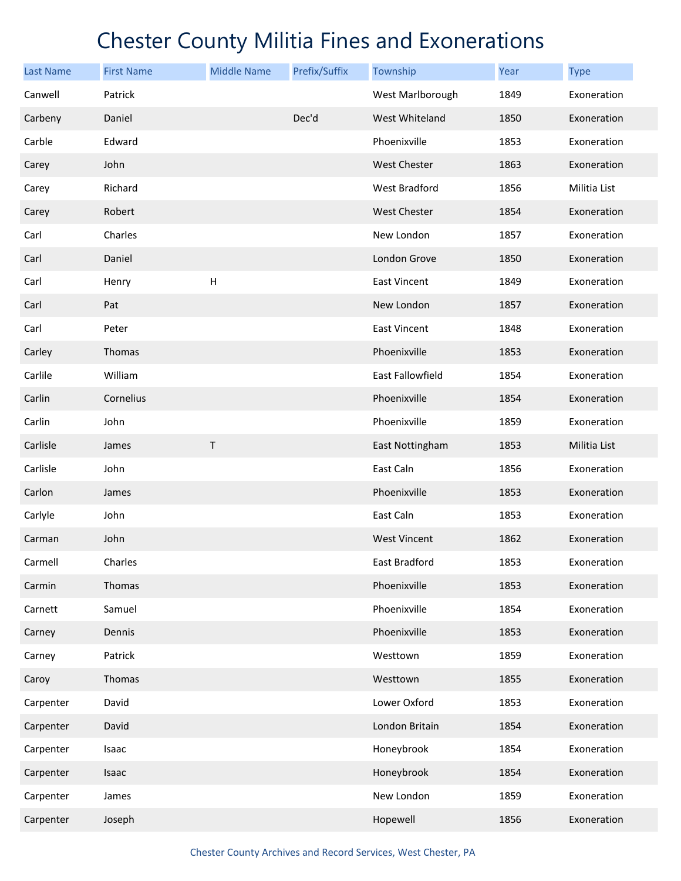| <b>Last Name</b> | <b>First Name</b> | <b>Middle Name</b>        | Prefix/Suffix | Township            | Year | <b>Type</b>  |
|------------------|-------------------|---------------------------|---------------|---------------------|------|--------------|
| Canwell          | Patrick           |                           |               | West Marlborough    | 1849 | Exoneration  |
| Carbeny          | Daniel            |                           | Dec'd         | West Whiteland      | 1850 | Exoneration  |
| Carble           | Edward            |                           |               | Phoenixville        | 1853 | Exoneration  |
| Carey            | John              |                           |               | <b>West Chester</b> | 1863 | Exoneration  |
| Carey            | Richard           |                           |               | West Bradford       | 1856 | Militia List |
| Carey            | Robert            |                           |               | <b>West Chester</b> | 1854 | Exoneration  |
| Carl             | Charles           |                           |               | New London          | 1857 | Exoneration  |
| Carl             | Daniel            |                           |               | London Grove        | 1850 | Exoneration  |
| Carl             | Henry             | $\boldsymbol{\mathsf{H}}$ |               | East Vincent        | 1849 | Exoneration  |
| Carl             | Pat               |                           |               | New London          | 1857 | Exoneration  |
| Carl             | Peter             |                           |               | East Vincent        | 1848 | Exoneration  |
| Carley           | Thomas            |                           |               | Phoenixville        | 1853 | Exoneration  |
| Carlile          | William           |                           |               | East Fallowfield    | 1854 | Exoneration  |
| Carlin           | Cornelius         |                           |               | Phoenixville        | 1854 | Exoneration  |
| Carlin           | John              |                           |               | Phoenixville        | 1859 | Exoneration  |
| Carlisle         | James             | Τ                         |               | East Nottingham     | 1853 | Militia List |
| Carlisle         | John              |                           |               | East Caln           | 1856 | Exoneration  |
| Carlon           | James             |                           |               | Phoenixville        | 1853 | Exoneration  |
| Carlyle          | John              |                           |               | East Caln           | 1853 | Exoneration  |
| Carman           | John              |                           |               | <b>West Vincent</b> | 1862 | Exoneration  |
| Carmell          | Charles           |                           |               | East Bradford       | 1853 | Exoneration  |
| Carmin           | Thomas            |                           |               | Phoenixville        | 1853 | Exoneration  |
| Carnett          | Samuel            |                           |               | Phoenixville        | 1854 | Exoneration  |
| Carney           | Dennis            |                           |               | Phoenixville        | 1853 | Exoneration  |
| Carney           | Patrick           |                           |               | Westtown            | 1859 | Exoneration  |
| Caroy            | Thomas            |                           |               | Westtown            | 1855 | Exoneration  |
| Carpenter        | David             |                           |               | Lower Oxford        | 1853 | Exoneration  |
| Carpenter        | David             |                           |               | London Britain      | 1854 | Exoneration  |
| Carpenter        | Isaac             |                           |               | Honeybrook          | 1854 | Exoneration  |
| Carpenter        | Isaac             |                           |               | Honeybrook          | 1854 | Exoneration  |
| Carpenter        | James             |                           |               | New London          | 1859 | Exoneration  |
| Carpenter        | Joseph            |                           |               | Hopewell            | 1856 | Exoneration  |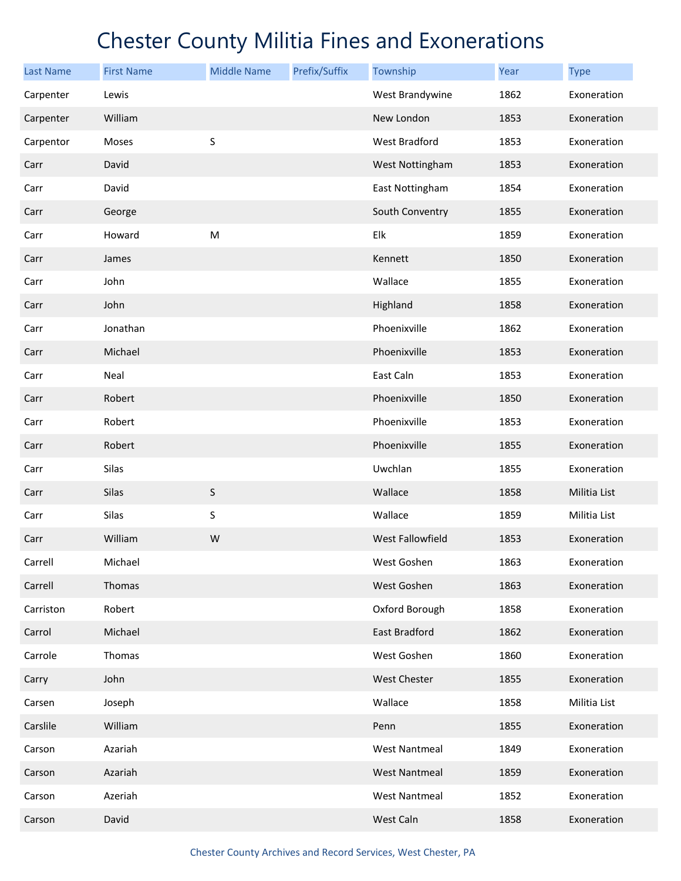| <b>Last Name</b> | <b>First Name</b> | <b>Middle Name</b> | Prefix/Suffix | Township             | Year | <b>Type</b>  |
|------------------|-------------------|--------------------|---------------|----------------------|------|--------------|
| Carpenter        | Lewis             |                    |               | West Brandywine      | 1862 | Exoneration  |
| Carpenter        | William           |                    |               | New London           | 1853 | Exoneration  |
| Carpentor        | Moses             | S                  |               | West Bradford        | 1853 | Exoneration  |
| Carr             | David             |                    |               | West Nottingham      | 1853 | Exoneration  |
| Carr             | David             |                    |               | East Nottingham      | 1854 | Exoneration  |
| Carr             | George            |                    |               | South Conventry      | 1855 | Exoneration  |
| Carr             | Howard            | ${\sf M}$          |               | Elk                  | 1859 | Exoneration  |
| Carr             | James             |                    |               | Kennett              | 1850 | Exoneration  |
| Carr             | John              |                    |               | Wallace              | 1855 | Exoneration  |
| Carr             | John              |                    |               | Highland             | 1858 | Exoneration  |
| Carr             | Jonathan          |                    |               | Phoenixville         | 1862 | Exoneration  |
| Carr             | Michael           |                    |               | Phoenixville         | 1853 | Exoneration  |
| Carr             | Neal              |                    |               | East Caln            | 1853 | Exoneration  |
| Carr             | Robert            |                    |               | Phoenixville         | 1850 | Exoneration  |
| Carr             | Robert            |                    |               | Phoenixville         | 1853 | Exoneration  |
| Carr             | Robert            |                    |               | Phoenixville         | 1855 | Exoneration  |
| Carr             | Silas             |                    |               | Uwchlan              | 1855 | Exoneration  |
| Carr             | Silas             | $\sf S$            |               | Wallace              | 1858 | Militia List |
| Carr             | Silas             | S                  |               | Wallace              | 1859 | Militia List |
| Carr             | William           | W                  |               | West Fallowfield     | 1853 | Exoneration  |
| Carrell          | Michael           |                    |               | West Goshen          | 1863 | Exoneration  |
| Carrell          | Thomas            |                    |               | West Goshen          | 1863 | Exoneration  |
| Carriston        | Robert            |                    |               | Oxford Borough       | 1858 | Exoneration  |
| Carrol           | Michael           |                    |               | East Bradford        | 1862 | Exoneration  |
| Carrole          | Thomas            |                    |               | West Goshen          | 1860 | Exoneration  |
| Carry            | John              |                    |               | West Chester         | 1855 | Exoneration  |
| Carsen           | Joseph            |                    |               | Wallace              | 1858 | Militia List |
| Carslile         | William           |                    |               | Penn                 | 1855 | Exoneration  |
| Carson           | Azariah           |                    |               | <b>West Nantmeal</b> | 1849 | Exoneration  |
| Carson           | Azariah           |                    |               | <b>West Nantmeal</b> | 1859 | Exoneration  |
| Carson           | Azeriah           |                    |               | <b>West Nantmeal</b> | 1852 | Exoneration  |
| Carson           | David             |                    |               | West Caln            | 1858 | Exoneration  |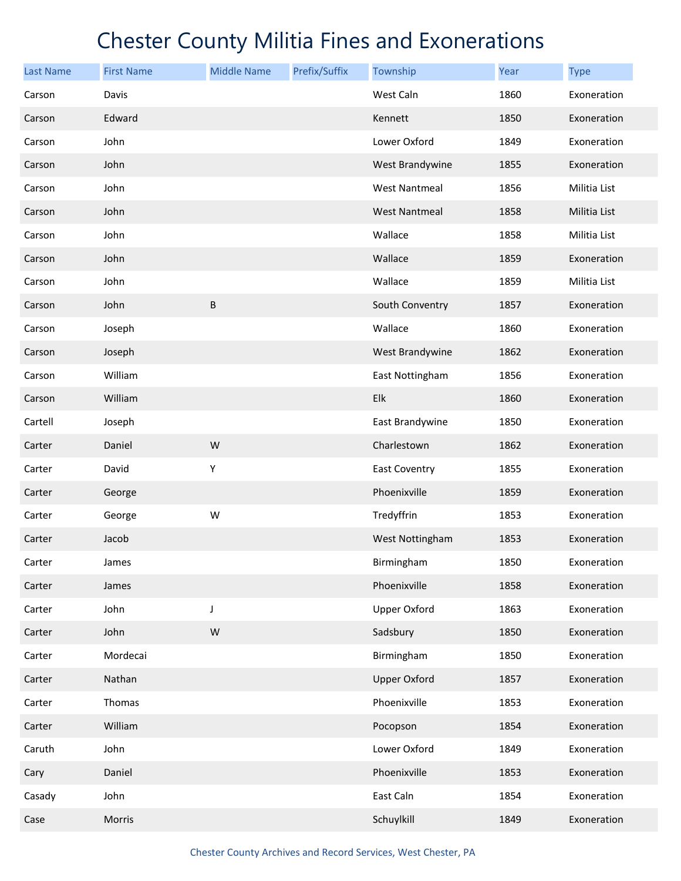| <b>Last Name</b> | <b>First Name</b> | <b>Middle Name</b> | Prefix/Suffix | Township             | <b>Year</b> | <b>Type</b>  |
|------------------|-------------------|--------------------|---------------|----------------------|-------------|--------------|
| Carson           | Davis             |                    |               | West Caln            | 1860        | Exoneration  |
| Carson           | Edward            |                    |               | Kennett              | 1850        | Exoneration  |
| Carson           | John              |                    |               | Lower Oxford         | 1849        | Exoneration  |
| Carson           | John              |                    |               | West Brandywine      | 1855        | Exoneration  |
| Carson           | John              |                    |               | <b>West Nantmeal</b> | 1856        | Militia List |
| Carson           | John              |                    |               | <b>West Nantmeal</b> | 1858        | Militia List |
| Carson           | John              |                    |               | Wallace              | 1858        | Militia List |
| Carson           | John              |                    |               | Wallace              | 1859        | Exoneration  |
| Carson           | John              |                    |               | Wallace              | 1859        | Militia List |
| Carson           | John              | $\sf B$            |               | South Conventry      | 1857        | Exoneration  |
| Carson           | Joseph            |                    |               | Wallace              | 1860        | Exoneration  |
| Carson           | Joseph            |                    |               | West Brandywine      | 1862        | Exoneration  |
| Carson           | William           |                    |               | East Nottingham      | 1856        | Exoneration  |
| Carson           | William           |                    |               | Elk                  | 1860        | Exoneration  |
| Cartell          | Joseph            |                    |               | East Brandywine      | 1850        | Exoneration  |
| Carter           | Daniel            | W                  |               | Charlestown          | 1862        | Exoneration  |
| Carter           | David             | Υ                  |               | East Coventry        | 1855        | Exoneration  |
| Carter           | George            |                    |               | Phoenixville         | 1859        | Exoneration  |
| Carter           | George            | W                  |               | Tredyffrin           | 1853        | Exoneration  |
| Carter           | Jacob             |                    |               | West Nottingham      | 1853        | Exoneration  |
| Carter           | James             |                    |               | Birmingham           | 1850        | Exoneration  |
| Carter           | James             |                    |               | Phoenixville         | 1858        | Exoneration  |
| Carter           | John              | J                  |               | <b>Upper Oxford</b>  | 1863        | Exoneration  |
| Carter           | John              | ${\sf W}$          |               | Sadsbury             | 1850        | Exoneration  |
| Carter           | Mordecai          |                    |               | Birmingham           | 1850        | Exoneration  |
| Carter           | Nathan            |                    |               | <b>Upper Oxford</b>  | 1857        | Exoneration  |
| Carter           | Thomas            |                    |               | Phoenixville         | 1853        | Exoneration  |
| Carter           | William           |                    |               | Pocopson             | 1854        | Exoneration  |
| Caruth           | John              |                    |               | Lower Oxford         | 1849        | Exoneration  |
| Cary             | Daniel            |                    |               | Phoenixville         | 1853        | Exoneration  |
| Casady           | John              |                    |               | East Caln            | 1854        | Exoneration  |
| Case             | Morris            |                    |               | Schuylkill           | 1849        | Exoneration  |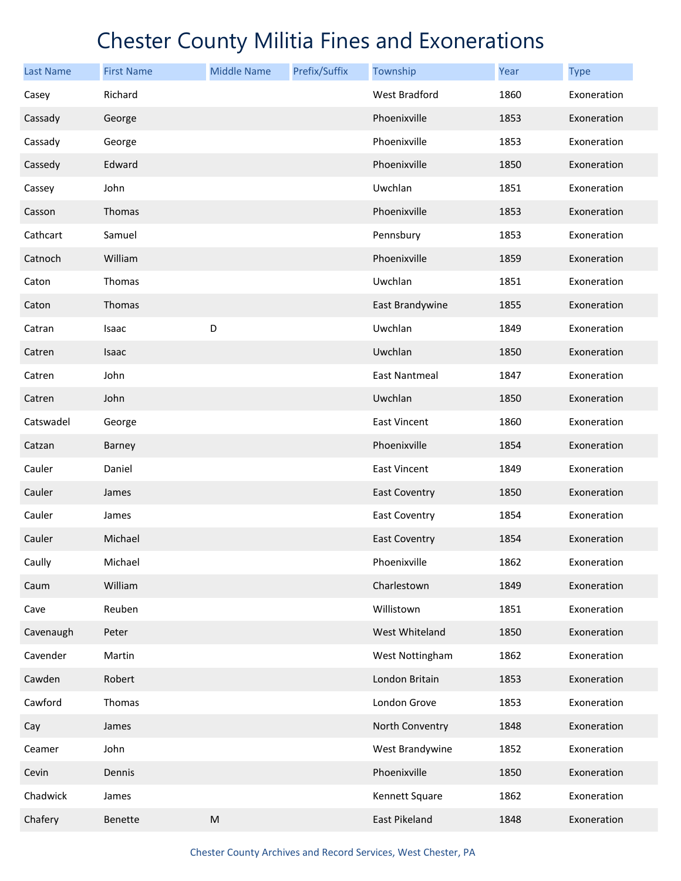| <b>Last Name</b> | <b>First Name</b> | <b>Middle Name</b> | Prefix/Suffix | Township             | <b>Year</b> | <b>Type</b> |
|------------------|-------------------|--------------------|---------------|----------------------|-------------|-------------|
| Casey            | Richard           |                    |               | West Bradford        | 1860        | Exoneration |
| Cassady          | George            |                    |               | Phoenixville         | 1853        | Exoneration |
| Cassady          | George            |                    |               | Phoenixville         | 1853        | Exoneration |
| Cassedy          | Edward            |                    |               | Phoenixville         | 1850        | Exoneration |
| Cassey           | John              |                    |               | Uwchlan              | 1851        | Exoneration |
| Casson           | Thomas            |                    |               | Phoenixville         | 1853        | Exoneration |
| Cathcart         | Samuel            |                    |               | Pennsbury            | 1853        | Exoneration |
| Catnoch          | William           |                    |               | Phoenixville         | 1859        | Exoneration |
| Caton            | Thomas            |                    |               | Uwchlan              | 1851        | Exoneration |
| Caton            | Thomas            |                    |               | East Brandywine      | 1855        | Exoneration |
| Catran           | Isaac             | D                  |               | Uwchlan              | 1849        | Exoneration |
| Catren           | Isaac             |                    |               | Uwchlan              | 1850        | Exoneration |
| Catren           | John              |                    |               | <b>East Nantmeal</b> | 1847        | Exoneration |
| Catren           | John              |                    |               | Uwchlan              | 1850        | Exoneration |
| Catswadel        | George            |                    |               | <b>East Vincent</b>  | 1860        | Exoneration |
| Catzan           | Barney            |                    |               | Phoenixville         | 1854        | Exoneration |
| Cauler           | Daniel            |                    |               | <b>East Vincent</b>  | 1849        | Exoneration |
| Cauler           | James             |                    |               | <b>East Coventry</b> | 1850        | Exoneration |
| Cauler           | James             |                    |               | <b>East Coventry</b> | 1854        | Exoneration |
| Cauler           | Michael           |                    |               | <b>East Coventry</b> | 1854        | Exoneration |
| Caully           | Michael           |                    |               | Phoenixville         | 1862        | Exoneration |
| Caum             | William           |                    |               | Charlestown          | 1849        | Exoneration |
| Cave             | Reuben            |                    |               | Willistown           | 1851        | Exoneration |
| Cavenaugh        | Peter             |                    |               | West Whiteland       | 1850        | Exoneration |
| Cavender         | Martin            |                    |               | West Nottingham      | 1862        | Exoneration |
| Cawden           | Robert            |                    |               | London Britain       | 1853        | Exoneration |
| Cawford          | Thomas            |                    |               | London Grove         | 1853        | Exoneration |
| Cay              | James             |                    |               | North Conventry      | 1848        | Exoneration |
| Ceamer           | John              |                    |               | West Brandywine      | 1852        | Exoneration |
| Cevin            | Dennis            |                    |               | Phoenixville         | 1850        | Exoneration |
| Chadwick         | James             |                    |               | Kennett Square       | 1862        | Exoneration |
| Chafery          | Benette           | ${\sf M}$          |               | East Pikeland        | 1848        | Exoneration |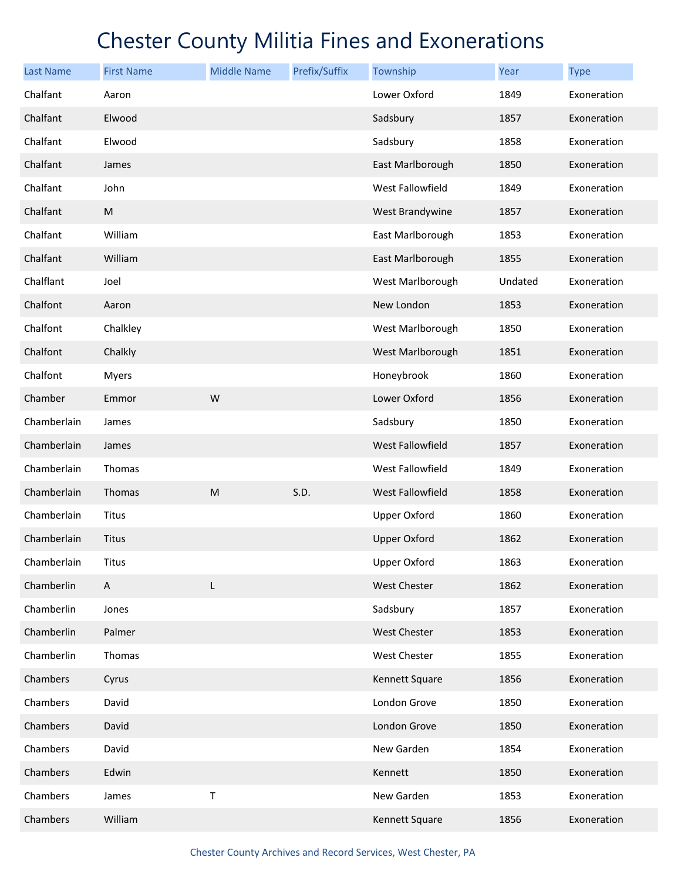| <b>Last Name</b> | <b>First Name</b> | <b>Middle Name</b> | Prefix/Suffix | Township                | Year    | <b>Type</b> |
|------------------|-------------------|--------------------|---------------|-------------------------|---------|-------------|
| Chalfant         | Aaron             |                    |               | Lower Oxford            | 1849    | Exoneration |
| Chalfant         | Elwood            |                    |               | Sadsbury                | 1857    | Exoneration |
| Chalfant         | Elwood            |                    |               | Sadsbury                | 1858    | Exoneration |
| Chalfant         | James             |                    |               | East Marlborough        | 1850    | Exoneration |
| Chalfant         | John              |                    |               | West Fallowfield        | 1849    | Exoneration |
| Chalfant         | ${\sf M}$         |                    |               | West Brandywine         | 1857    | Exoneration |
| Chalfant         | William           |                    |               | East Marlborough        | 1853    | Exoneration |
| Chalfant         | William           |                    |               | East Marlborough        | 1855    | Exoneration |
| Chalflant        | Joel              |                    |               | West Marlborough        | Undated | Exoneration |
| Chalfont         | Aaron             |                    |               | New London              | 1853    | Exoneration |
| Chalfont         | Chalkley          |                    |               | West Marlborough        | 1850    | Exoneration |
| Chalfont         | Chalkly           |                    |               | West Marlborough        | 1851    | Exoneration |
| Chalfont         | <b>Myers</b>      |                    |               | Honeybrook              | 1860    | Exoneration |
| Chamber          | Emmor             | W                  |               | Lower Oxford            | 1856    | Exoneration |
| Chamberlain      | James             |                    |               | Sadsbury                | 1850    | Exoneration |
| Chamberlain      | James             |                    |               | <b>West Fallowfield</b> | 1857    | Exoneration |
| Chamberlain      | Thomas            |                    |               | West Fallowfield        | 1849    | Exoneration |
| Chamberlain      | Thomas            | M                  | S.D.          | <b>West Fallowfield</b> | 1858    | Exoneration |
| Chamberlain      | Titus             |                    |               | <b>Upper Oxford</b>     | 1860    | Exoneration |
| Chamberlain      | Titus             |                    |               | <b>Upper Oxford</b>     | 1862    | Exoneration |
| Chamberlain      | Titus             |                    |               | <b>Upper Oxford</b>     | 1863    | Exoneration |
| Chamberlin       | A                 | L                  |               | <b>West Chester</b>     | 1862    | Exoneration |
| Chamberlin       | Jones             |                    |               | Sadsbury                | 1857    | Exoneration |
| Chamberlin       | Palmer            |                    |               | <b>West Chester</b>     | 1853    | Exoneration |
| Chamberlin       | Thomas            |                    |               | West Chester            | 1855    | Exoneration |
| Chambers         | Cyrus             |                    |               | Kennett Square          | 1856    | Exoneration |
| Chambers         | David             |                    |               | London Grove            | 1850    | Exoneration |
| Chambers         | David             |                    |               | London Grove            | 1850    | Exoneration |
| Chambers         | David             |                    |               | New Garden              | 1854    | Exoneration |
| Chambers         | Edwin             |                    |               | Kennett                 | 1850    | Exoneration |
| Chambers         | James             | Τ                  |               | New Garden              | 1853    | Exoneration |
| Chambers         | William           |                    |               | Kennett Square          | 1856    | Exoneration |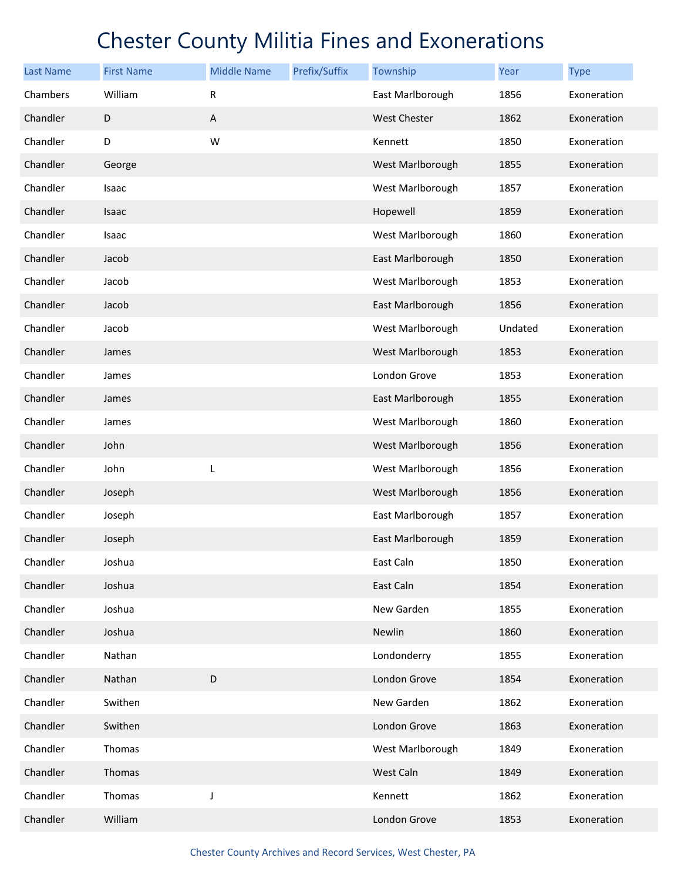| <b>Last Name</b> | <b>First Name</b> | <b>Middle Name</b>        | Prefix/Suffix | Township            | <b>Year</b> | <b>Type</b> |
|------------------|-------------------|---------------------------|---------------|---------------------|-------------|-------------|
| Chambers         | William           | ${\sf R}$                 |               | East Marlborough    | 1856        | Exoneration |
| Chandler         | $\mathsf D$       | $\boldsymbol{\mathsf{A}}$ |               | <b>West Chester</b> | 1862        | Exoneration |
| Chandler         | D                 | W                         |               | Kennett             | 1850        | Exoneration |
| Chandler         | George            |                           |               | West Marlborough    | 1855        | Exoneration |
| Chandler         | Isaac             |                           |               | West Marlborough    | 1857        | Exoneration |
| Chandler         | Isaac             |                           |               | Hopewell            | 1859        | Exoneration |
| Chandler         | Isaac             |                           |               | West Marlborough    | 1860        | Exoneration |
| Chandler         | Jacob             |                           |               | East Marlborough    | 1850        | Exoneration |
| Chandler         | Jacob             |                           |               | West Marlborough    | 1853        | Exoneration |
| Chandler         | Jacob             |                           |               | East Marlborough    | 1856        | Exoneration |
| Chandler         | Jacob             |                           |               | West Marlborough    | Undated     | Exoneration |
| Chandler         | James             |                           |               | West Marlborough    | 1853        | Exoneration |
| Chandler         | James             |                           |               | London Grove        | 1853        | Exoneration |
| Chandler         | James             |                           |               | East Marlborough    | 1855        | Exoneration |
| Chandler         | James             |                           |               | West Marlborough    | 1860        | Exoneration |
| Chandler         | John              |                           |               | West Marlborough    | 1856        | Exoneration |
| Chandler         | John              | L                         |               | West Marlborough    | 1856        | Exoneration |
| Chandler         | Joseph            |                           |               | West Marlborough    | 1856        | Exoneration |
| Chandler         | Joseph            |                           |               | East Marlborough    | 1857        | Exoneration |
| Chandler         | Joseph            |                           |               | East Marlborough    | 1859        | Exoneration |
| Chandler         | Joshua            |                           |               | East Caln           | 1850        | Exoneration |
| Chandler         | Joshua            |                           |               | East Caln           | 1854        | Exoneration |
| Chandler         | Joshua            |                           |               | New Garden          | 1855        | Exoneration |
| Chandler         | Joshua            |                           |               | Newlin              | 1860        | Exoneration |
| Chandler         | Nathan            |                           |               | Londonderry         | 1855        | Exoneration |
| Chandler         | Nathan            | $\mathsf D$               |               | London Grove        | 1854        | Exoneration |
| Chandler         | Swithen           |                           |               | New Garden          | 1862        | Exoneration |
| Chandler         | Swithen           |                           |               | London Grove        | 1863        | Exoneration |
| Chandler         | Thomas            |                           |               | West Marlborough    | 1849        | Exoneration |
| Chandler         | Thomas            |                           |               | West Caln           | 1849        | Exoneration |
| Chandler         | Thomas            | J                         |               | Kennett             | 1862        | Exoneration |
| Chandler         | William           |                           |               | London Grove        | 1853        | Exoneration |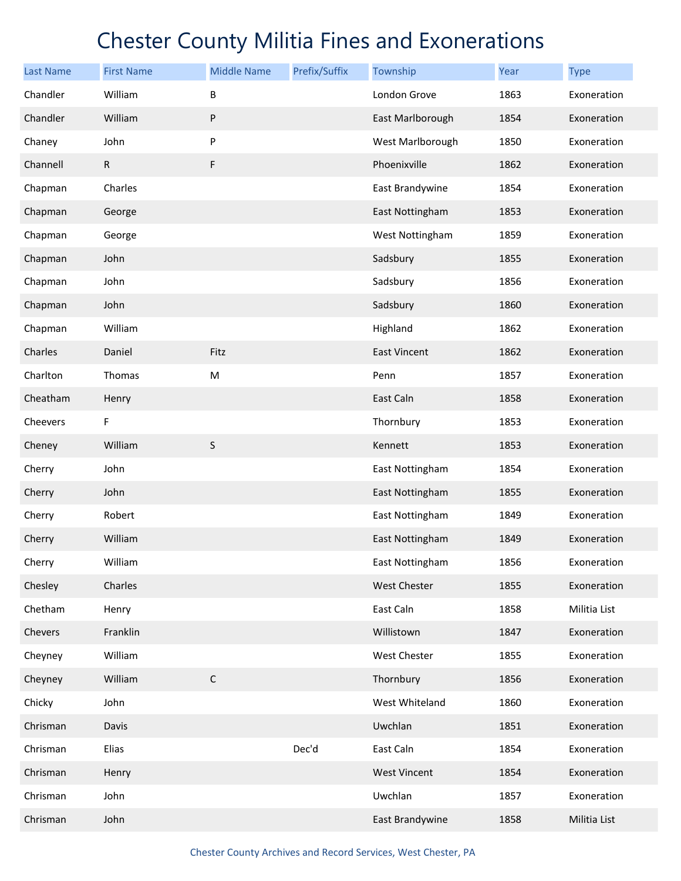| <b>Last Name</b> | <b>First Name</b> | <b>Middle Name</b> | Prefix/Suffix | Township            | Year | <b>Type</b>  |
|------------------|-------------------|--------------------|---------------|---------------------|------|--------------|
| Chandler         | William           | В                  |               | London Grove        | 1863 | Exoneration  |
| Chandler         | William           | ${\sf P}$          |               | East Marlborough    | 1854 | Exoneration  |
| Chaney           | John              | P                  |               | West Marlborough    | 1850 | Exoneration  |
| Channell         | $\mathsf{R}$      | F                  |               | Phoenixville        | 1862 | Exoneration  |
| Chapman          | Charles           |                    |               | East Brandywine     | 1854 | Exoneration  |
| Chapman          | George            |                    |               | East Nottingham     | 1853 | Exoneration  |
| Chapman          | George            |                    |               | West Nottingham     | 1859 | Exoneration  |
| Chapman          | John              |                    |               | Sadsbury            | 1855 | Exoneration  |
| Chapman          | John              |                    |               | Sadsbury            | 1856 | Exoneration  |
| Chapman          | John              |                    |               | Sadsbury            | 1860 | Exoneration  |
| Chapman          | William           |                    |               | Highland            | 1862 | Exoneration  |
| Charles          | Daniel            | Fitz               |               | <b>East Vincent</b> | 1862 | Exoneration  |
| Charlton         | Thomas            | M                  |               | Penn                | 1857 | Exoneration  |
| Cheatham         | Henry             |                    |               | East Caln           | 1858 | Exoneration  |
| Cheevers         | F                 |                    |               | Thornbury           | 1853 | Exoneration  |
| Cheney           | William           | $\sf S$            |               | Kennett             | 1853 | Exoneration  |
| Cherry           | John              |                    |               | East Nottingham     | 1854 | Exoneration  |
| Cherry           | John              |                    |               | East Nottingham     | 1855 | Exoneration  |
| Cherry           | Robert            |                    |               | East Nottingham     | 1849 | Exoneration  |
| Cherry           | William           |                    |               | East Nottingham     | 1849 | Exoneration  |
| Cherry           | William           |                    |               | East Nottingham     | 1856 | Exoneration  |
| Chesley          | Charles           |                    |               | West Chester        | 1855 | Exoneration  |
| Chetham          | Henry             |                    |               | East Caln           | 1858 | Militia List |
| Chevers          | Franklin          |                    |               | Willistown          | 1847 | Exoneration  |
| Cheyney          | William           |                    |               | West Chester        | 1855 | Exoneration  |
| Cheyney          | William           | $\mathsf C$        |               | Thornbury           | 1856 | Exoneration  |
| Chicky           | John              |                    |               | West Whiteland      | 1860 | Exoneration  |
| Chrisman         | Davis             |                    |               | Uwchlan             | 1851 | Exoneration  |
| Chrisman         | Elias             |                    | Dec'd         | East Caln           | 1854 | Exoneration  |
| Chrisman         | Henry             |                    |               | <b>West Vincent</b> | 1854 | Exoneration  |
| Chrisman         | John              |                    |               | Uwchlan             | 1857 | Exoneration  |
| Chrisman         | John              |                    |               | East Brandywine     | 1858 | Militia List |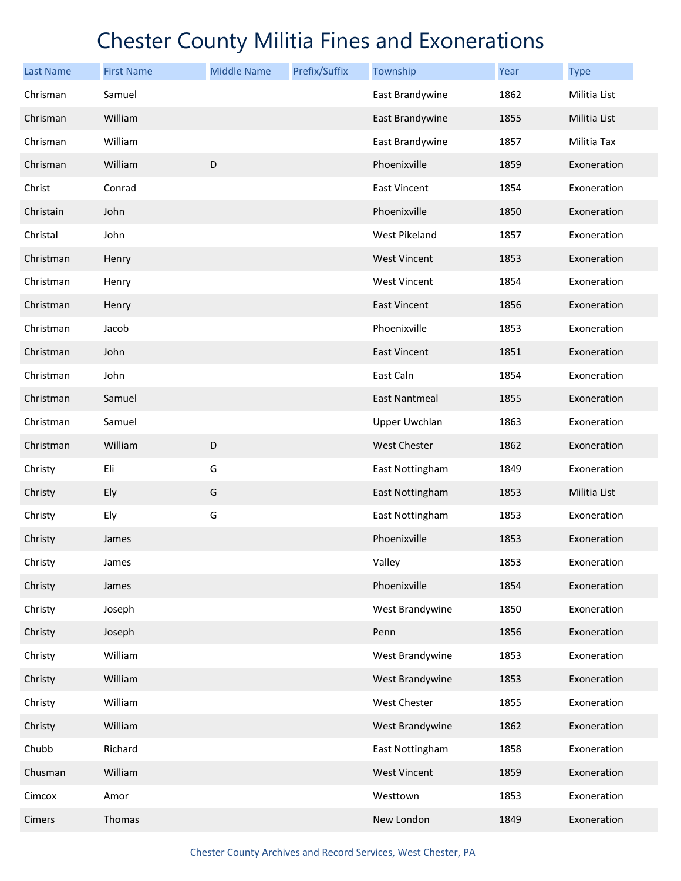| <b>Last Name</b> | <b>First Name</b> | <b>Middle Name</b> | Prefix/Suffix | Township             | Year | <b>Type</b>  |
|------------------|-------------------|--------------------|---------------|----------------------|------|--------------|
| Chrisman         | Samuel            |                    |               | East Brandywine      | 1862 | Militia List |
| Chrisman         | William           |                    |               | East Brandywine      | 1855 | Militia List |
| Chrisman         | William           |                    |               | East Brandywine      | 1857 | Militia Tax  |
| Chrisman         | William           | D                  |               | Phoenixville         | 1859 | Exoneration  |
| Christ           | Conrad            |                    |               | East Vincent         | 1854 | Exoneration  |
| Christain        | John              |                    |               | Phoenixville         | 1850 | Exoneration  |
| Christal         | John              |                    |               | West Pikeland        | 1857 | Exoneration  |
| Christman        | Henry             |                    |               | <b>West Vincent</b>  | 1853 | Exoneration  |
| Christman        | Henry             |                    |               | <b>West Vincent</b>  | 1854 | Exoneration  |
| Christman        | Henry             |                    |               | East Vincent         | 1856 | Exoneration  |
| Christman        | Jacob             |                    |               | Phoenixville         | 1853 | Exoneration  |
| Christman        | John              |                    |               | East Vincent         | 1851 | Exoneration  |
| Christman        | John              |                    |               | East Caln            | 1854 | Exoneration  |
| Christman        | Samuel            |                    |               | <b>East Nantmeal</b> | 1855 | Exoneration  |
| Christman        | Samuel            |                    |               | <b>Upper Uwchlan</b> | 1863 | Exoneration  |
| Christman        | William           | $\mathsf D$        |               | <b>West Chester</b>  | 1862 | Exoneration  |
| Christy          | Eli               | G                  |               | East Nottingham      | 1849 | Exoneration  |
| Christy          | Ely               | G                  |               | East Nottingham      | 1853 | Militia List |
| Christy          | Ely               | G                  |               | East Nottingham      | 1853 | Exoneration  |
| Christy          | James             |                    |               | Phoenixville         | 1853 | Exoneration  |
| Christy          | James             |                    |               | Valley               | 1853 | Exoneration  |
| Christy          | James             |                    |               | Phoenixville         | 1854 | Exoneration  |
| Christy          | Joseph            |                    |               | West Brandywine      | 1850 | Exoneration  |
| Christy          | Joseph            |                    |               | Penn                 | 1856 | Exoneration  |
| Christy          | William           |                    |               | West Brandywine      | 1853 | Exoneration  |
| Christy          | William           |                    |               | West Brandywine      | 1853 | Exoneration  |
| Christy          | William           |                    |               | West Chester         | 1855 | Exoneration  |
| Christy          | William           |                    |               | West Brandywine      | 1862 | Exoneration  |
| Chubb            | Richard           |                    |               | East Nottingham      | 1858 | Exoneration  |
| Chusman          | William           |                    |               | <b>West Vincent</b>  | 1859 | Exoneration  |
| Cimcox           | Amor              |                    |               | Westtown             | 1853 | Exoneration  |
| Cimers           | Thomas            |                    |               | New London           | 1849 | Exoneration  |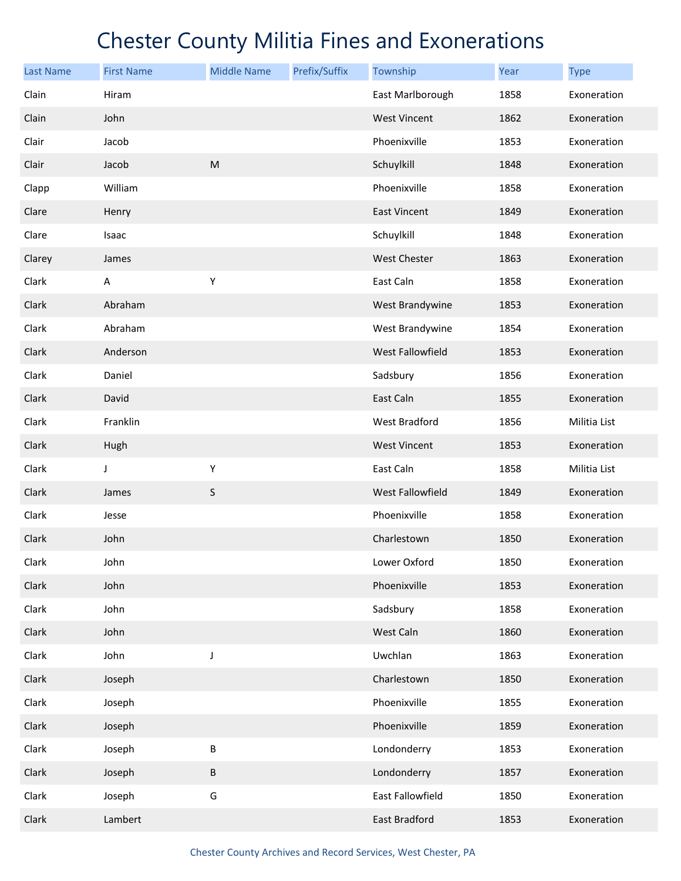| <b>Last Name</b> | <b>First Name</b> | <b>Middle Name</b> | Prefix/Suffix | Township                | Year | <b>Type</b>  |
|------------------|-------------------|--------------------|---------------|-------------------------|------|--------------|
| Clain            | Hiram             |                    |               | East Marlborough        | 1858 | Exoneration  |
| Clain            | John              |                    |               | <b>West Vincent</b>     | 1862 | Exoneration  |
| Clair            | Jacob             |                    |               | Phoenixville            | 1853 | Exoneration  |
| Clair            | Jacob             | ${\sf M}$          |               | Schuylkill              | 1848 | Exoneration  |
| Clapp            | William           |                    |               | Phoenixville            | 1858 | Exoneration  |
| Clare            | Henry             |                    |               | <b>East Vincent</b>     | 1849 | Exoneration  |
| Clare            | Isaac             |                    |               | Schuylkill              | 1848 | Exoneration  |
| Clarey           | James             |                    |               | <b>West Chester</b>     | 1863 | Exoneration  |
| Clark            | A                 | Υ                  |               | East Caln               | 1858 | Exoneration  |
| Clark            | Abraham           |                    |               | West Brandywine         | 1853 | Exoneration  |
| Clark            | Abraham           |                    |               | West Brandywine         | 1854 | Exoneration  |
| Clark            | Anderson          |                    |               | West Fallowfield        | 1853 | Exoneration  |
| Clark            | Daniel            |                    |               | Sadsbury                | 1856 | Exoneration  |
| Clark            | David             |                    |               | East Caln               | 1855 | Exoneration  |
| Clark            | Franklin          |                    |               | West Bradford           | 1856 | Militia List |
| Clark            | Hugh              |                    |               | <b>West Vincent</b>     | 1853 | Exoneration  |
| Clark            | J                 | Υ                  |               | East Caln               | 1858 | Militia List |
| Clark            | James             | S                  |               | <b>West Fallowfield</b> | 1849 | Exoneration  |
| Clark            | Jesse             |                    |               | Phoenixville            | 1858 | Exoneration  |
| Clark            | John              |                    |               | Charlestown             | 1850 | Exoneration  |
| Clark            | John              |                    |               | Lower Oxford            | 1850 | Exoneration  |
| Clark            | John              |                    |               | Phoenixville            | 1853 | Exoneration  |
| Clark            | John              |                    |               | Sadsbury                | 1858 | Exoneration  |
| Clark            | John              |                    |               | West Caln               | 1860 | Exoneration  |
| Clark            | John              | J                  |               | Uwchlan                 | 1863 | Exoneration  |
| Clark            | Joseph            |                    |               | Charlestown             | 1850 | Exoneration  |
| Clark            | Joseph            |                    |               | Phoenixville            | 1855 | Exoneration  |
| Clark            | Joseph            |                    |               | Phoenixville            | 1859 | Exoneration  |
| Clark            | Joseph            | B                  |               | Londonderry             | 1853 | Exoneration  |
| Clark            | Joseph            | B                  |               | Londonderry             | 1857 | Exoneration  |
| Clark            | Joseph            | G                  |               | East Fallowfield        | 1850 | Exoneration  |
| Clark            | Lambert           |                    |               | East Bradford           | 1853 | Exoneration  |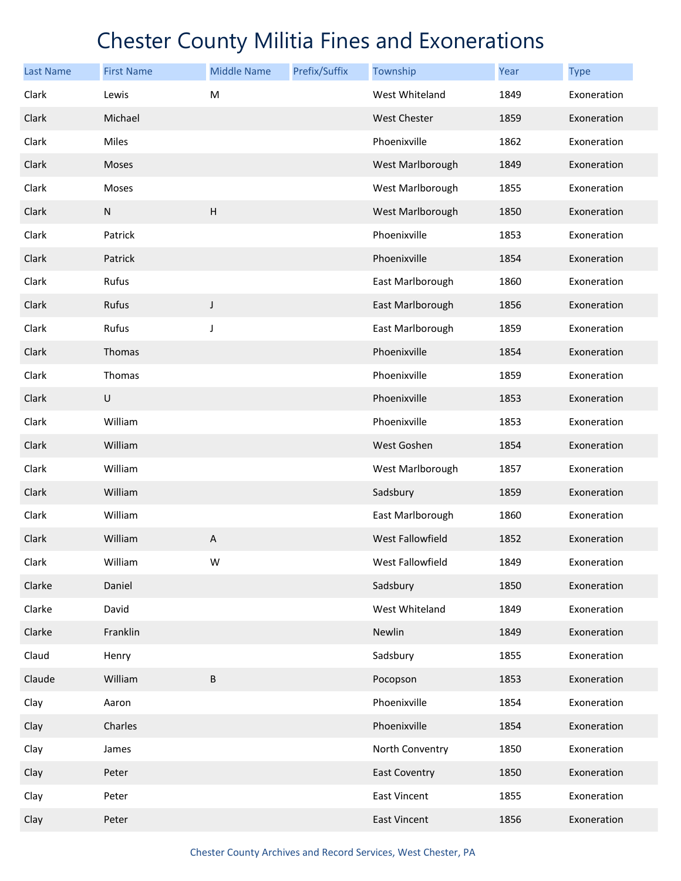| <b>Last Name</b> | <b>First Name</b> | <b>Middle Name</b> | Prefix/Suffix | Township             | Year | <b>Type</b> |
|------------------|-------------------|--------------------|---------------|----------------------|------|-------------|
| Clark            | Lewis             | M                  |               | West Whiteland       | 1849 | Exoneration |
| Clark            | Michael           |                    |               | <b>West Chester</b>  | 1859 | Exoneration |
| Clark            | Miles             |                    |               | Phoenixville         | 1862 | Exoneration |
| Clark            | <b>Moses</b>      |                    |               | West Marlborough     | 1849 | Exoneration |
| Clark            | Moses             |                    |               | West Marlborough     | 1855 | Exoneration |
| Clark            | N                 | $\overline{H}$     |               | West Marlborough     | 1850 | Exoneration |
| Clark            | Patrick           |                    |               | Phoenixville         | 1853 | Exoneration |
| Clark            | Patrick           |                    |               | Phoenixville         | 1854 | Exoneration |
| Clark            | Rufus             |                    |               | East Marlborough     | 1860 | Exoneration |
| Clark            | Rufus             | $\mathsf J$        |               | East Marlborough     | 1856 | Exoneration |
| Clark            | Rufus             | J                  |               | East Marlborough     | 1859 | Exoneration |
| Clark            | Thomas            |                    |               | Phoenixville         | 1854 | Exoneration |
| Clark            | Thomas            |                    |               | Phoenixville         | 1859 | Exoneration |
| Clark            | U                 |                    |               | Phoenixville         | 1853 | Exoneration |
| Clark            | William           |                    |               | Phoenixville         | 1853 | Exoneration |
| Clark            | William           |                    |               | West Goshen          | 1854 | Exoneration |
| Clark            | William           |                    |               | West Marlborough     | 1857 | Exoneration |
| Clark            | William           |                    |               | Sadsbury             | 1859 | Exoneration |
| Clark            | William           |                    |               | East Marlborough     | 1860 | Exoneration |
| Clark            | William           | А                  |               | West Fallowfield     | 1852 | Exoneration |
| Clark            | William           | W                  |               | West Fallowfield     | 1849 | Exoneration |
| Clarke           | Daniel            |                    |               | Sadsbury             | 1850 | Exoneration |
| Clarke           | David             |                    |               | West Whiteland       | 1849 | Exoneration |
| Clarke           | Franklin          |                    |               | Newlin               | 1849 | Exoneration |
| Claud            | Henry             |                    |               | Sadsbury             | 1855 | Exoneration |
| Claude           | William           | B                  |               | Pocopson             | 1853 | Exoneration |
| Clay             | Aaron             |                    |               | Phoenixville         | 1854 | Exoneration |
| Clay             | Charles           |                    |               | Phoenixville         | 1854 | Exoneration |
| Clay             | James             |                    |               | North Conventry      | 1850 | Exoneration |
| Clay             | Peter             |                    |               | <b>East Coventry</b> | 1850 | Exoneration |
| Clay             | Peter             |                    |               | East Vincent         | 1855 | Exoneration |
| Clay             | Peter             |                    |               | East Vincent         | 1856 | Exoneration |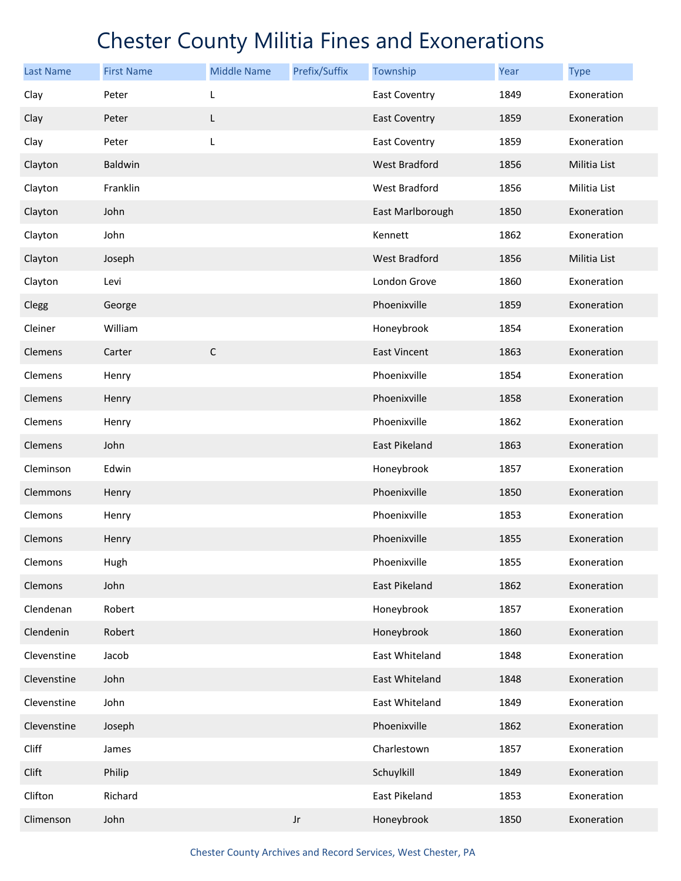| <b>Last Name</b> | <b>First Name</b> | <b>Middle Name</b> | Prefix/Suffix | Township             | Year | <b>Type</b>  |
|------------------|-------------------|--------------------|---------------|----------------------|------|--------------|
| Clay             | Peter             | L                  |               | <b>East Coventry</b> | 1849 | Exoneration  |
| Clay             | Peter             | L                  |               | <b>East Coventry</b> | 1859 | Exoneration  |
| Clay             | Peter             | L                  |               | <b>East Coventry</b> | 1859 | Exoneration  |
| Clayton          | Baldwin           |                    |               | West Bradford        | 1856 | Militia List |
| Clayton          | Franklin          |                    |               | <b>West Bradford</b> | 1856 | Militia List |
| Clayton          | John              |                    |               | East Marlborough     | 1850 | Exoneration  |
| Clayton          | John              |                    |               | Kennett              | 1862 | Exoneration  |
| Clayton          | Joseph            |                    |               | West Bradford        | 1856 | Militia List |
| Clayton          | Levi              |                    |               | London Grove         | 1860 | Exoneration  |
| Clegg            | George            |                    |               | Phoenixville         | 1859 | Exoneration  |
| Cleiner          | William           |                    |               | Honeybrook           | 1854 | Exoneration  |
| Clemens          | Carter            | $\mathsf C$        |               | <b>East Vincent</b>  | 1863 | Exoneration  |
| Clemens          | Henry             |                    |               | Phoenixville         | 1854 | Exoneration  |
| Clemens          | Henry             |                    |               | Phoenixville         | 1858 | Exoneration  |
| Clemens          | Henry             |                    |               | Phoenixville         | 1862 | Exoneration  |
| Clemens          | John              |                    |               | East Pikeland        | 1863 | Exoneration  |
| Cleminson        | Edwin             |                    |               | Honeybrook           | 1857 | Exoneration  |
| Clemmons         | Henry             |                    |               | Phoenixville         | 1850 | Exoneration  |
| Clemons          | Henry             |                    |               | Phoenixville         | 1853 | Exoneration  |
| Clemons          | Henry             |                    |               | Phoenixville         | 1855 | Exoneration  |
| Clemons          | Hugh              |                    |               | Phoenixville         | 1855 | Exoneration  |
| Clemons          | John              |                    |               | <b>East Pikeland</b> | 1862 | Exoneration  |
| Clendenan        | Robert            |                    |               | Honeybrook           | 1857 | Exoneration  |
| Clendenin        | Robert            |                    |               | Honeybrook           | 1860 | Exoneration  |
| Clevenstine      | Jacob             |                    |               | East Whiteland       | 1848 | Exoneration  |
| Clevenstine      | John              |                    |               | East Whiteland       | 1848 | Exoneration  |
| Clevenstine      | John              |                    |               | East Whiteland       | 1849 | Exoneration  |
| Clevenstine      | Joseph            |                    |               | Phoenixville         | 1862 | Exoneration  |
| Cliff            | James             |                    |               | Charlestown          | 1857 | Exoneration  |
| Clift            | Philip            |                    |               | Schuylkill           | 1849 | Exoneration  |
| Clifton          | Richard           |                    |               | East Pikeland        | 1853 | Exoneration  |
| Climenson        | John              |                    | Jr            | Honeybrook           | 1850 | Exoneration  |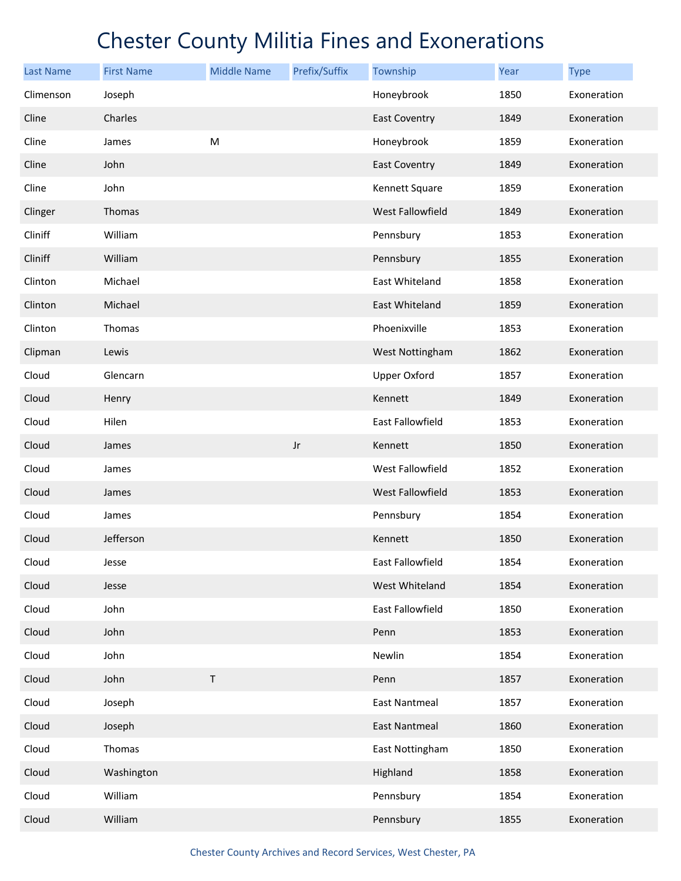| <b>Last Name</b> | <b>First Name</b> | <b>Middle Name</b> | Prefix/Suffix          | Township                | Year | <b>Type</b> |
|------------------|-------------------|--------------------|------------------------|-------------------------|------|-------------|
| Climenson        | Joseph            |                    |                        | Honeybrook              | 1850 | Exoneration |
| Cline            | Charles           |                    |                        | <b>East Coventry</b>    | 1849 | Exoneration |
| Cline            | James             | ${\sf M}$          |                        | Honeybrook              | 1859 | Exoneration |
| Cline            | John              |                    |                        | <b>East Coventry</b>    | 1849 | Exoneration |
| Cline            | John              |                    |                        | Kennett Square          | 1859 | Exoneration |
| Clinger          | Thomas            |                    |                        | <b>West Fallowfield</b> | 1849 | Exoneration |
| Cliniff          | William           |                    |                        | Pennsbury               | 1853 | Exoneration |
| Cliniff          | William           |                    |                        | Pennsbury               | 1855 | Exoneration |
| Clinton          | Michael           |                    |                        | East Whiteland          | 1858 | Exoneration |
| Clinton          | Michael           |                    |                        | East Whiteland          | 1859 | Exoneration |
| Clinton          | Thomas            |                    |                        | Phoenixville            | 1853 | Exoneration |
| Clipman          | Lewis             |                    |                        | West Nottingham         | 1862 | Exoneration |
| Cloud            | Glencarn          |                    |                        | <b>Upper Oxford</b>     | 1857 | Exoneration |
| Cloud            | Henry             |                    |                        | Kennett                 | 1849 | Exoneration |
| Cloud            | Hilen             |                    |                        | East Fallowfield        | 1853 | Exoneration |
| Cloud            | James             |                    | $\mathsf{J}\mathsf{r}$ | Kennett                 | 1850 | Exoneration |
| Cloud            | James             |                    |                        | West Fallowfield        | 1852 | Exoneration |
| Cloud            | James             |                    |                        | <b>West Fallowfield</b> | 1853 | Exoneration |
| Cloud            | James             |                    |                        | Pennsbury               | 1854 | Exoneration |
| Cloud            | Jefferson         |                    |                        | Kennett                 | 1850 | Exoneration |
| Cloud            | Jesse             |                    |                        | East Fallowfield        | 1854 | Exoneration |
| Cloud            | Jesse             |                    |                        | West Whiteland          | 1854 | Exoneration |
| Cloud            | John              |                    |                        | East Fallowfield        | 1850 | Exoneration |
| Cloud            | John              |                    |                        | Penn                    | 1853 | Exoneration |
| Cloud            | John              |                    |                        | Newlin                  | 1854 | Exoneration |
| Cloud            | John              | $\sf T$            |                        | Penn                    | 1857 | Exoneration |
| Cloud            | Joseph            |                    |                        | <b>East Nantmeal</b>    | 1857 | Exoneration |
| Cloud            | Joseph            |                    |                        | <b>East Nantmeal</b>    | 1860 | Exoneration |
| Cloud            | Thomas            |                    |                        | East Nottingham         | 1850 | Exoneration |
| Cloud            | Washington        |                    |                        | Highland                | 1858 | Exoneration |
| Cloud            | William           |                    |                        | Pennsbury               | 1854 | Exoneration |
| Cloud            | William           |                    |                        | Pennsbury               | 1855 | Exoneration |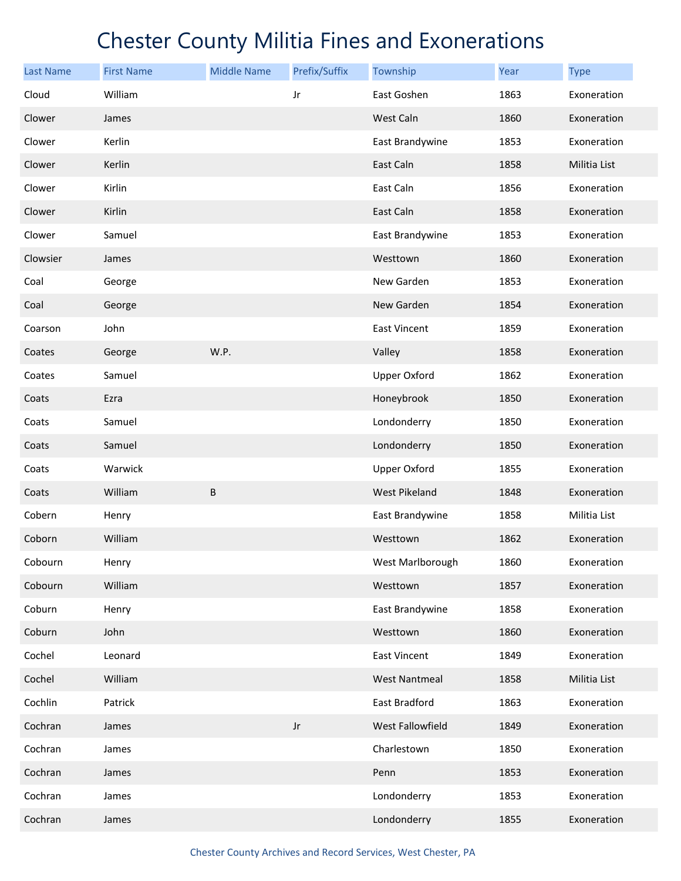| <b>Last Name</b> | <b>First Name</b> | <b>Middle Name</b> | Prefix/Suffix          | Township             | <b>Year</b> | <b>Type</b>  |
|------------------|-------------------|--------------------|------------------------|----------------------|-------------|--------------|
| Cloud            | William           |                    | Jr                     | East Goshen          | 1863        | Exoneration  |
| Clower           | James             |                    |                        | West Caln            | 1860        | Exoneration  |
| Clower           | Kerlin            |                    |                        | East Brandywine      | 1853        | Exoneration  |
| Clower           | Kerlin            |                    |                        | East Caln            | 1858        | Militia List |
| Clower           | Kirlin            |                    |                        | East Caln            | 1856        | Exoneration  |
| Clower           | Kirlin            |                    |                        | East Caln            | 1858        | Exoneration  |
| Clower           | Samuel            |                    |                        | East Brandywine      | 1853        | Exoneration  |
| Clowsier         | James             |                    |                        | Westtown             | 1860        | Exoneration  |
| Coal             | George            |                    |                        | New Garden           | 1853        | Exoneration  |
| Coal             | George            |                    |                        | New Garden           | 1854        | Exoneration  |
| Coarson          | John              |                    |                        | East Vincent         | 1859        | Exoneration  |
| Coates           | George            | W.P.               |                        | Valley               | 1858        | Exoneration  |
| Coates           | Samuel            |                    |                        | <b>Upper Oxford</b>  | 1862        | Exoneration  |
| Coats            | Ezra              |                    |                        | Honeybrook           | 1850        | Exoneration  |
| Coats            | Samuel            |                    |                        | Londonderry          | 1850        | Exoneration  |
| Coats            | Samuel            |                    |                        | Londonderry          | 1850        | Exoneration  |
| Coats            | Warwick           |                    |                        | <b>Upper Oxford</b>  | 1855        | Exoneration  |
| Coats            | William           | B                  |                        | West Pikeland        | 1848        | Exoneration  |
| Cobern           | Henry             |                    |                        | East Brandywine      | 1858        | Militia List |
| Coborn           | William           |                    |                        | Westtown             | 1862        | Exoneration  |
| Cobourn          | Henry             |                    |                        | West Marlborough     | 1860        | Exoneration  |
| Cobourn          | William           |                    |                        | Westtown             | 1857        | Exoneration  |
| Coburn           | Henry             |                    |                        | East Brandywine      | 1858        | Exoneration  |
| Coburn           | John              |                    |                        | Westtown             | 1860        | Exoneration  |
| Cochel           | Leonard           |                    |                        | East Vincent         | 1849        | Exoneration  |
| Cochel           | William           |                    |                        | <b>West Nantmeal</b> | 1858        | Militia List |
| Cochlin          | Patrick           |                    |                        | East Bradford        | 1863        | Exoneration  |
| Cochran          | James             |                    | $\mathsf{J}\mathsf{r}$ | West Fallowfield     | 1849        | Exoneration  |
| Cochran          | James             |                    |                        | Charlestown          | 1850        | Exoneration  |
| Cochran          | James             |                    |                        | Penn                 | 1853        | Exoneration  |
| Cochran          | James             |                    |                        | Londonderry          | 1853        | Exoneration  |
| Cochran          | James             |                    |                        | Londonderry          | 1855        | Exoneration  |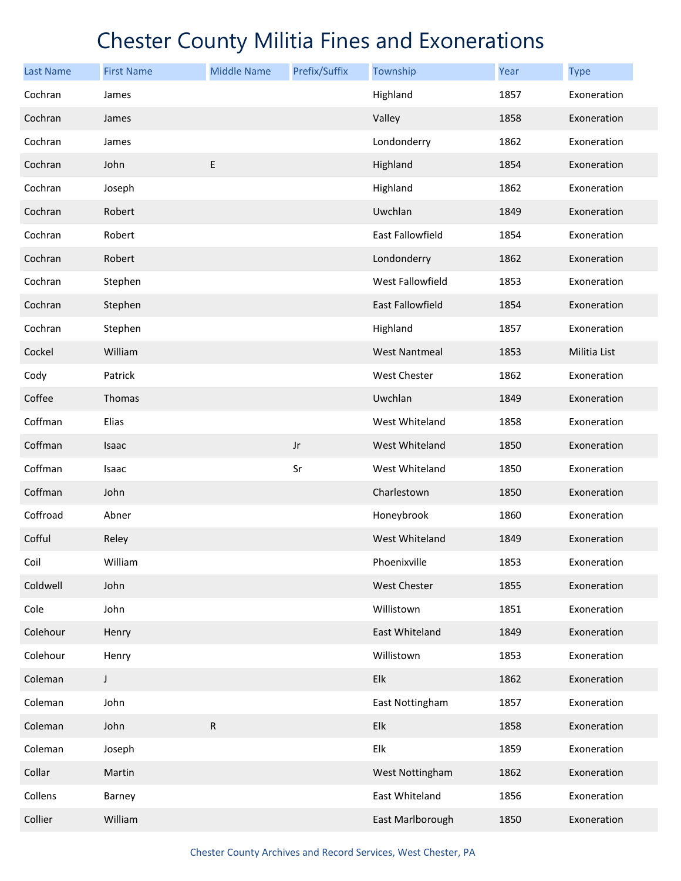| <b>Last Name</b> | <b>First Name</b> | <b>Middle Name</b> | Prefix/Suffix | Township             | Year | <b>Type</b>  |
|------------------|-------------------|--------------------|---------------|----------------------|------|--------------|
| Cochran          | James             |                    |               | Highland             | 1857 | Exoneration  |
| Cochran          | James             |                    |               | Valley               | 1858 | Exoneration  |
| Cochran          | James             |                    |               | Londonderry          | 1862 | Exoneration  |
| Cochran          | John              | E                  |               | Highland             | 1854 | Exoneration  |
| Cochran          | Joseph            |                    |               | Highland             | 1862 | Exoneration  |
| Cochran          | Robert            |                    |               | Uwchlan              | 1849 | Exoneration  |
| Cochran          | Robert            |                    |               | East Fallowfield     | 1854 | Exoneration  |
| Cochran          | Robert            |                    |               | Londonderry          | 1862 | Exoneration  |
| Cochran          | Stephen           |                    |               | West Fallowfield     | 1853 | Exoneration  |
| Cochran          | Stephen           |                    |               | East Fallowfield     | 1854 | Exoneration  |
| Cochran          | Stephen           |                    |               | Highland             | 1857 | Exoneration  |
| Cockel           | William           |                    |               | <b>West Nantmeal</b> | 1853 | Militia List |
| Cody             | Patrick           |                    |               | West Chester         | 1862 | Exoneration  |
| Coffee           | Thomas            |                    |               | Uwchlan              | 1849 | Exoneration  |
| Coffman          | Elias             |                    |               | West Whiteland       | 1858 | Exoneration  |
| Coffman          | Isaac             |                    | Jr            | West Whiteland       | 1850 | Exoneration  |
| Coffman          | Isaac             |                    | Sr            | West Whiteland       | 1850 | Exoneration  |
| Coffman          | John              |                    |               | Charlestown          | 1850 | Exoneration  |
| Coffroad         | Abner             |                    |               | Honeybrook           | 1860 | Exoneration  |
| Cofful           | Reley             |                    |               | West Whiteland       | 1849 | Exoneration  |
| Coil             | William           |                    |               | Phoenixville         | 1853 | Exoneration  |
| Coldwell         | John              |                    |               | West Chester         | 1855 | Exoneration  |
| Cole             | John              |                    |               | Willistown           | 1851 | Exoneration  |
| Colehour         | Henry             |                    |               | East Whiteland       | 1849 | Exoneration  |
| Colehour         | Henry             |                    |               | Willistown           | 1853 | Exoneration  |
| Coleman          | $\mathsf J$       |                    |               | Elk                  | 1862 | Exoneration  |
| Coleman          | John              |                    |               | East Nottingham      | 1857 | Exoneration  |
| Coleman          | John              | ${\sf R}$          |               | Elk                  | 1858 | Exoneration  |
| Coleman          | Joseph            |                    |               | Elk                  | 1859 | Exoneration  |
| Collar           | Martin            |                    |               | West Nottingham      | 1862 | Exoneration  |
| Collens          | Barney            |                    |               | East Whiteland       | 1856 | Exoneration  |
| Collier          | William           |                    |               | East Marlborough     | 1850 | Exoneration  |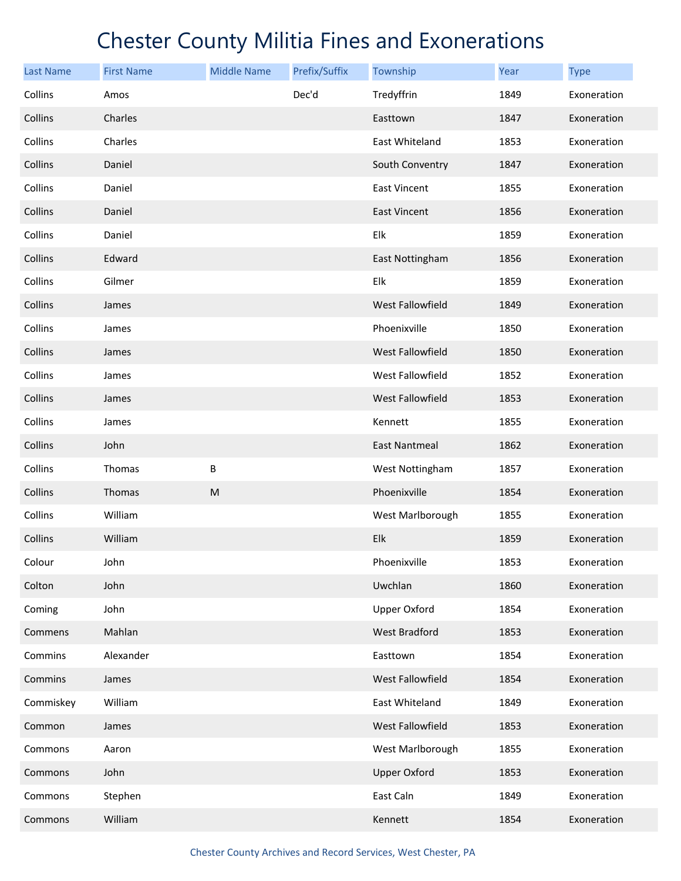| <b>Last Name</b> | <b>First Name</b> | <b>Middle Name</b> | Prefix/Suffix | Township                | Year | <b>Type</b> |
|------------------|-------------------|--------------------|---------------|-------------------------|------|-------------|
| Collins          | Amos              |                    | Dec'd         | Tredyffrin              | 1849 | Exoneration |
| Collins          | Charles           |                    |               | Easttown                | 1847 | Exoneration |
| Collins          | Charles           |                    |               | East Whiteland          | 1853 | Exoneration |
| Collins          | Daniel            |                    |               | South Conventry         | 1847 | Exoneration |
| Collins          | Daniel            |                    |               | <b>East Vincent</b>     | 1855 | Exoneration |
| Collins          | Daniel            |                    |               | East Vincent            | 1856 | Exoneration |
| Collins          | Daniel            |                    |               | Elk                     | 1859 | Exoneration |
| Collins          | Edward            |                    |               | East Nottingham         | 1856 | Exoneration |
| Collins          | Gilmer            |                    |               | Elk                     | 1859 | Exoneration |
| Collins          | James             |                    |               | <b>West Fallowfield</b> | 1849 | Exoneration |
| Collins          | James             |                    |               | Phoenixville            | 1850 | Exoneration |
| Collins          | James             |                    |               | West Fallowfield        | 1850 | Exoneration |
| Collins          | James             |                    |               | West Fallowfield        | 1852 | Exoneration |
| Collins          | James             |                    |               | <b>West Fallowfield</b> | 1853 | Exoneration |
| Collins          | James             |                    |               | Kennett                 | 1855 | Exoneration |
| Collins          | John              |                    |               | <b>East Nantmeal</b>    | 1862 | Exoneration |
| Collins          | Thomas            | В                  |               | West Nottingham         | 1857 | Exoneration |
| Collins          | Thomas            | M                  |               | Phoenixville            | 1854 | Exoneration |
| Collins          | William           |                    |               | West Marlborough        | 1855 | Exoneration |
| Collins          | William           |                    |               | Elk                     | 1859 | Exoneration |
| Colour           | John              |                    |               | Phoenixville            | 1853 | Exoneration |
| Colton           | John              |                    |               | Uwchlan                 | 1860 | Exoneration |
| Coming           | John              |                    |               | <b>Upper Oxford</b>     | 1854 | Exoneration |
| Commens          | Mahlan            |                    |               | West Bradford           | 1853 | Exoneration |
| Commins          | Alexander         |                    |               | Easttown                | 1854 | Exoneration |
| Commins          | James             |                    |               | West Fallowfield        | 1854 | Exoneration |
| Commiskey        | William           |                    |               | East Whiteland          | 1849 | Exoneration |
| Common           | James             |                    |               | West Fallowfield        | 1853 | Exoneration |
| Commons          | Aaron             |                    |               | West Marlborough        | 1855 | Exoneration |
| Commons          | John              |                    |               | <b>Upper Oxford</b>     | 1853 | Exoneration |
| Commons          | Stephen           |                    |               | East Caln               | 1849 | Exoneration |
| Commons          | William           |                    |               | Kennett                 | 1854 | Exoneration |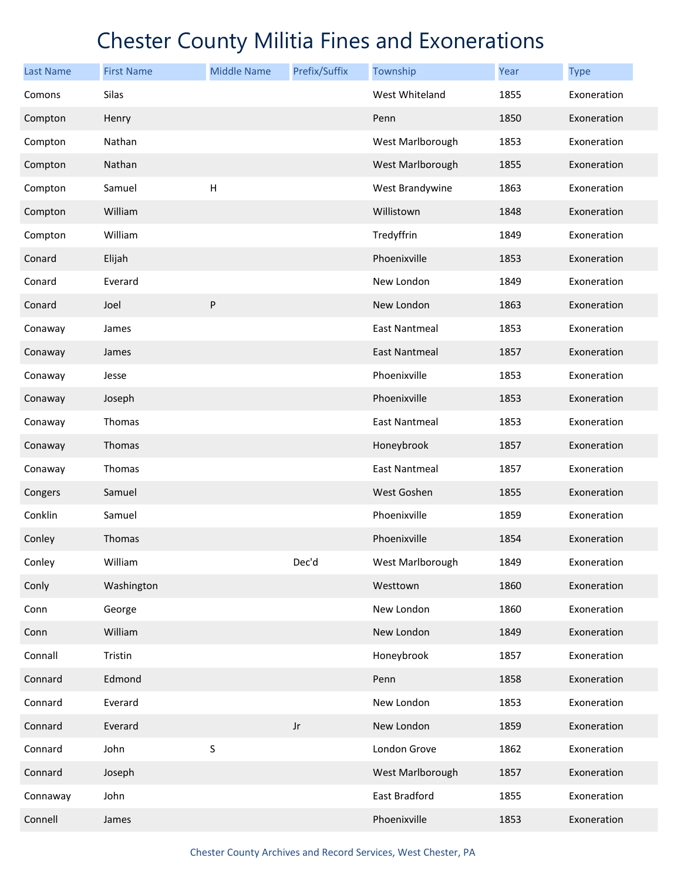| <b>Last Name</b> | <b>First Name</b> | <b>Middle Name</b>        | Prefix/Suffix          | Township             | Year | <b>Type</b> |
|------------------|-------------------|---------------------------|------------------------|----------------------|------|-------------|
| Comons           | Silas             |                           |                        | West Whiteland       | 1855 | Exoneration |
| Compton          | Henry             |                           |                        | Penn                 | 1850 | Exoneration |
| Compton          | Nathan            |                           |                        | West Marlborough     | 1853 | Exoneration |
| Compton          | Nathan            |                           |                        | West Marlborough     | 1855 | Exoneration |
| Compton          | Samuel            | $\boldsymbol{\mathsf{H}}$ |                        | West Brandywine      | 1863 | Exoneration |
| Compton          | William           |                           |                        | Willistown           | 1848 | Exoneration |
| Compton          | William           |                           |                        | Tredyffrin           | 1849 | Exoneration |
| Conard           | Elijah            |                           |                        | Phoenixville         | 1853 | Exoneration |
| Conard           | Everard           |                           |                        | New London           | 1849 | Exoneration |
| Conard           | Joel              | ${\sf P}$                 |                        | New London           | 1863 | Exoneration |
| Conaway          | James             |                           |                        | <b>East Nantmeal</b> | 1853 | Exoneration |
| Conaway          | James             |                           |                        | <b>East Nantmeal</b> | 1857 | Exoneration |
| Conaway          | Jesse             |                           |                        | Phoenixville         | 1853 | Exoneration |
| Conaway          | Joseph            |                           |                        | Phoenixville         | 1853 | Exoneration |
| Conaway          | Thomas            |                           |                        | <b>East Nantmeal</b> | 1853 | Exoneration |
| Conaway          | Thomas            |                           |                        | Honeybrook           | 1857 | Exoneration |
| Conaway          | Thomas            |                           |                        | <b>East Nantmeal</b> | 1857 | Exoneration |
| Congers          | Samuel            |                           |                        | West Goshen          | 1855 | Exoneration |
| Conklin          | Samuel            |                           |                        | Phoenixville         | 1859 | Exoneration |
| Conley           | Thomas            |                           |                        | Phoenixville         | 1854 | Exoneration |
| Conley           | William           |                           | Dec'd                  | West Marlborough     | 1849 | Exoneration |
| Conly            | Washington        |                           |                        | Westtown             | 1860 | Exoneration |
| Conn             | George            |                           |                        | New London           | 1860 | Exoneration |
| Conn             | William           |                           |                        | New London           | 1849 | Exoneration |
| Connall          | Tristin           |                           |                        | Honeybrook           | 1857 | Exoneration |
| Connard          | Edmond            |                           |                        | Penn                 | 1858 | Exoneration |
| Connard          | Everard           |                           |                        | New London           | 1853 | Exoneration |
| Connard          | Everard           |                           | $\mathsf{J}\mathsf{r}$ | New London           | 1859 | Exoneration |
| Connard          | John              | $\sf S$                   |                        | London Grove         | 1862 | Exoneration |
| Connard          | Joseph            |                           |                        | West Marlborough     | 1857 | Exoneration |
| Connaway         | John              |                           |                        | East Bradford        | 1855 | Exoneration |
| Connell          | James             |                           |                        | Phoenixville         | 1853 | Exoneration |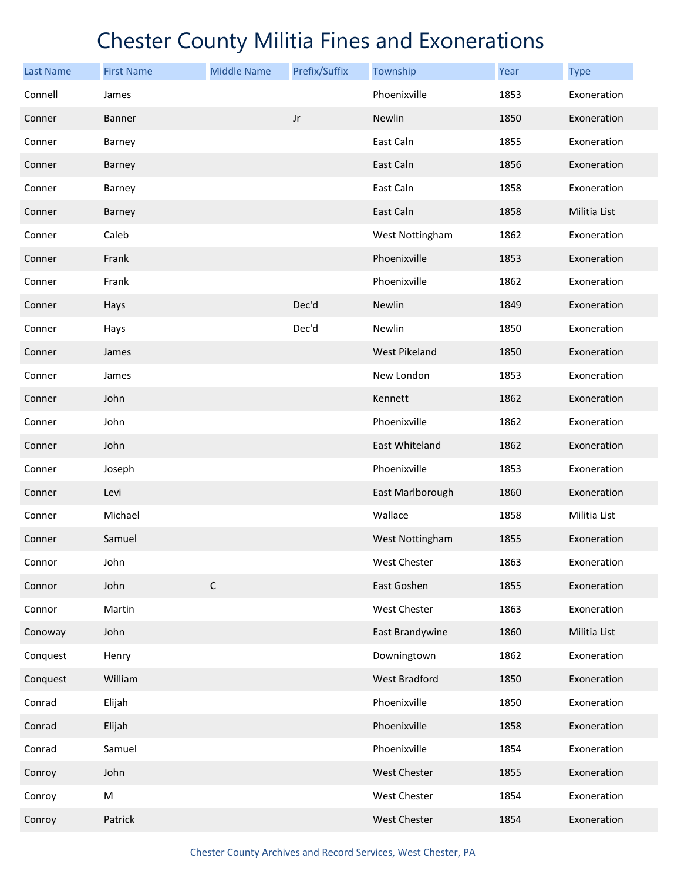| <b>Last Name</b> | <b>First Name</b> | <b>Middle Name</b> | Prefix/Suffix          | Township            | Year | <b>Type</b>  |
|------------------|-------------------|--------------------|------------------------|---------------------|------|--------------|
| Connell          | James             |                    |                        | Phoenixville        | 1853 | Exoneration  |
| Conner           | <b>Banner</b>     |                    | $\mathsf{J}\mathsf{r}$ | <b>Newlin</b>       | 1850 | Exoneration  |
| Conner           | Barney            |                    |                        | East Caln           | 1855 | Exoneration  |
| Conner           | Barney            |                    |                        | East Caln           | 1856 | Exoneration  |
| Conner           | Barney            |                    |                        | East Caln           | 1858 | Exoneration  |
| Conner           | Barney            |                    |                        | East Caln           | 1858 | Militia List |
| Conner           | Caleb             |                    |                        | West Nottingham     | 1862 | Exoneration  |
| Conner           | Frank             |                    |                        | Phoenixville        | 1853 | Exoneration  |
| Conner           | Frank             |                    |                        | Phoenixville        | 1862 | Exoneration  |
| Conner           | Hays              |                    | Dec'd                  | Newlin              | 1849 | Exoneration  |
| Conner           | Hays              |                    | Dec'd                  | Newlin              | 1850 | Exoneration  |
| Conner           | James             |                    |                        | West Pikeland       | 1850 | Exoneration  |
| Conner           | James             |                    |                        | New London          | 1853 | Exoneration  |
| Conner           | John              |                    |                        | Kennett             | 1862 | Exoneration  |
| Conner           | John              |                    |                        | Phoenixville        | 1862 | Exoneration  |
| Conner           | John              |                    |                        | East Whiteland      | 1862 | Exoneration  |
| Conner           | Joseph            |                    |                        | Phoenixville        | 1853 | Exoneration  |
| Conner           | Levi              |                    |                        | East Marlborough    | 1860 | Exoneration  |
| Conner           | Michael           |                    |                        | Wallace             | 1858 | Militia List |
| Conner           | Samuel            |                    |                        | West Nottingham     | 1855 | Exoneration  |
| Connor           | John              |                    |                        | West Chester        | 1863 | Exoneration  |
| Connor           | John              | $\mathsf C$        |                        | East Goshen         | 1855 | Exoneration  |
| Connor           | Martin            |                    |                        | West Chester        | 1863 | Exoneration  |
| Conoway          | John              |                    |                        | East Brandywine     | 1860 | Militia List |
| Conquest         | Henry             |                    |                        | Downingtown         | 1862 | Exoneration  |
| Conquest         | William           |                    |                        | West Bradford       | 1850 | Exoneration  |
| Conrad           | Elijah            |                    |                        | Phoenixville        | 1850 | Exoneration  |
| Conrad           | Elijah            |                    |                        | Phoenixville        | 1858 | Exoneration  |
| Conrad           | Samuel            |                    |                        | Phoenixville        | 1854 | Exoneration  |
| Conroy           | John              |                    |                        | <b>West Chester</b> | 1855 | Exoneration  |
| Conroy           | M                 |                    |                        | West Chester        | 1854 | Exoneration  |
| Conroy           | Patrick           |                    |                        | West Chester        | 1854 | Exoneration  |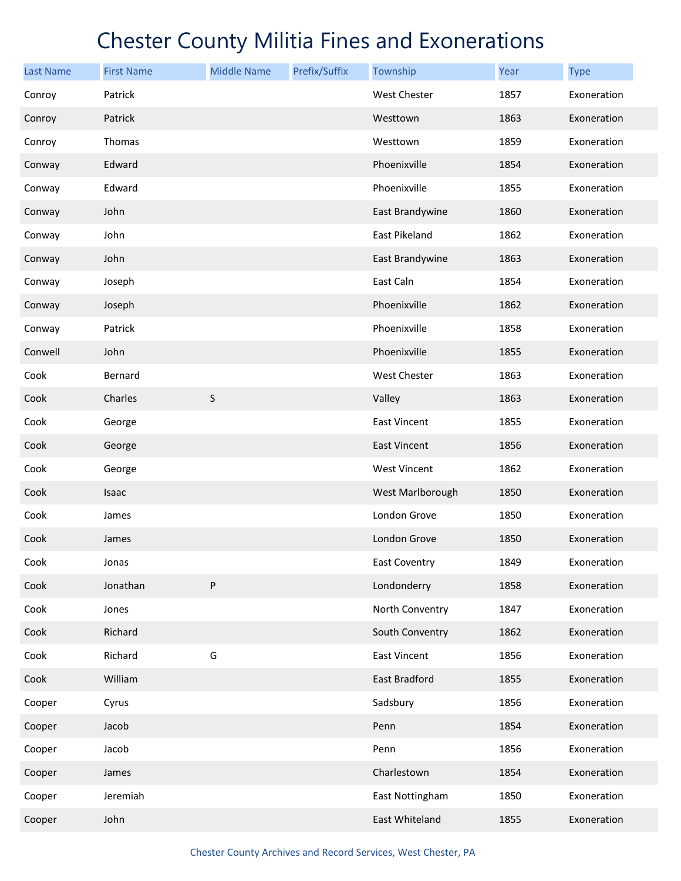| <b>Last Name</b> | <b>First Name</b> | <b>Middle Name</b> | Prefix/Suffix | Township             | <b>Year</b> | <b>Type</b> |
|------------------|-------------------|--------------------|---------------|----------------------|-------------|-------------|
| Conroy           | Patrick           |                    |               | West Chester         | 1857        | Exoneration |
| Conroy           | Patrick           |                    |               | Westtown             | 1863        | Exoneration |
| Conroy           | Thomas            |                    |               | Westtown             | 1859        | Exoneration |
| Conway           | Edward            |                    |               | Phoenixville         | 1854        | Exoneration |
| Conway           | Edward            |                    |               | Phoenixville         | 1855        | Exoneration |
| Conway           | John              |                    |               | East Brandywine      | 1860        | Exoneration |
| Conway           | John              |                    |               | East Pikeland        | 1862        | Exoneration |
| Conway           | John              |                    |               | East Brandywine      | 1863        | Exoneration |
| Conway           | Joseph            |                    |               | East Caln            | 1854        | Exoneration |
| Conway           | Joseph            |                    |               | Phoenixville         | 1862        | Exoneration |
| Conway           | Patrick           |                    |               | Phoenixville         | 1858        | Exoneration |
| Conwell          | John              |                    |               | Phoenixville         | 1855        | Exoneration |
| Cook             | Bernard           |                    |               | West Chester         | 1863        | Exoneration |
| Cook             | Charles           | $\sf S$            |               | Valley               | 1863        | Exoneration |
| Cook             | George            |                    |               | <b>East Vincent</b>  | 1855        | Exoneration |
| Cook             | George            |                    |               | <b>East Vincent</b>  | 1856        | Exoneration |
| Cook             | George            |                    |               | West Vincent         | 1862        | Exoneration |
| Cook             | Isaac             |                    |               | West Marlborough     | 1850        | Exoneration |
| Cook             | James             |                    |               | London Grove         | 1850        | Exoneration |
| Cook             | James             |                    |               | London Grove         | 1850        | Exoneration |
| Cook             | Jonas             |                    |               | <b>East Coventry</b> | 1849        | Exoneration |
| Cook             | Jonathan          | ${\sf P}$          |               | Londonderry          | 1858        | Exoneration |
| Cook             | Jones             |                    |               | North Conventry      | 1847        | Exoneration |
| Cook             | Richard           |                    |               | South Conventry      | 1862        | Exoneration |
| Cook             | Richard           | G                  |               | <b>East Vincent</b>  | 1856        | Exoneration |
| Cook             | William           |                    |               | East Bradford        | 1855        | Exoneration |
| Cooper           | Cyrus             |                    |               | Sadsbury             | 1856        | Exoneration |
| Cooper           | Jacob             |                    |               | Penn                 | 1854        | Exoneration |
| Cooper           | Jacob             |                    |               | Penn                 | 1856        | Exoneration |
| Cooper           | James             |                    |               | Charlestown          | 1854        | Exoneration |
| Cooper           | Jeremiah          |                    |               | East Nottingham      | 1850        | Exoneration |
| Cooper           | John              |                    |               | East Whiteland       | 1855        | Exoneration |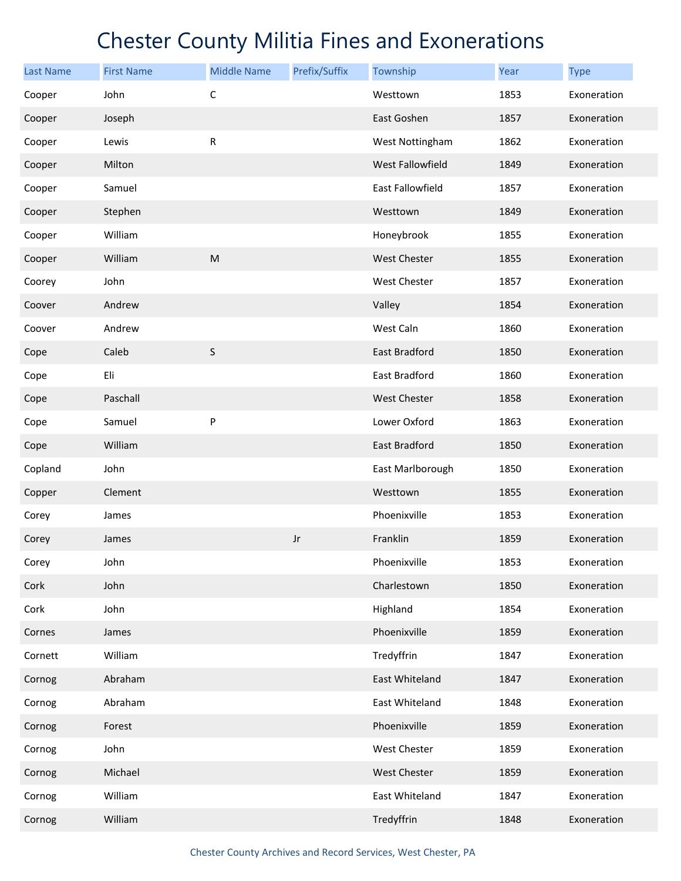| <b>Last Name</b> | <b>First Name</b> | <b>Middle Name</b>                                                                                         | Prefix/Suffix | Township             | Year | <b>Type</b> |
|------------------|-------------------|------------------------------------------------------------------------------------------------------------|---------------|----------------------|------|-------------|
| Cooper           | John              | $\mathsf{C}$                                                                                               |               | Westtown             | 1853 | Exoneration |
| Cooper           | Joseph            |                                                                                                            |               | East Goshen          | 1857 | Exoneration |
| Cooper           | Lewis             | ${\sf R}$                                                                                                  |               | West Nottingham      | 1862 | Exoneration |
| Cooper           | Milton            |                                                                                                            |               | West Fallowfield     | 1849 | Exoneration |
| Cooper           | Samuel            |                                                                                                            |               | East Fallowfield     | 1857 | Exoneration |
| Cooper           | Stephen           |                                                                                                            |               | Westtown             | 1849 | Exoneration |
| Cooper           | William           |                                                                                                            |               | Honeybrook           | 1855 | Exoneration |
| Cooper           | William           | $\mathsf{M}% _{T}=\mathsf{M}_{T}\!\left( a,b\right) ,\ \mathsf{M}_{T}=\mathsf{M}_{T}\!\left( a,b\right) ,$ |               | West Chester         | 1855 | Exoneration |
| Coorey           | John              |                                                                                                            |               | West Chester         | 1857 | Exoneration |
| Coover           | Andrew            |                                                                                                            |               | Valley               | 1854 | Exoneration |
| Coover           | Andrew            |                                                                                                            |               | West Caln            | 1860 | Exoneration |
| Cope             | Caleb             | $\sf S$                                                                                                    |               | <b>East Bradford</b> | 1850 | Exoneration |
| Cope             | Eli               |                                                                                                            |               | East Bradford        | 1860 | Exoneration |
| Cope             | Paschall          |                                                                                                            |               | <b>West Chester</b>  | 1858 | Exoneration |
| Cope             | Samuel            | P                                                                                                          |               | Lower Oxford         | 1863 | Exoneration |
| Cope             | William           |                                                                                                            |               | East Bradford        | 1850 | Exoneration |
| Copland          | John              |                                                                                                            |               | East Marlborough     | 1850 | Exoneration |
| Copper           | Clement           |                                                                                                            |               | Westtown             | 1855 | Exoneration |
| Corey            | James             |                                                                                                            |               | Phoenixville         | 1853 | Exoneration |
| Corey            | James             |                                                                                                            | Jr            | Franklin             | 1859 | Exoneration |
| Corey            | John              |                                                                                                            |               | Phoenixville         | 1853 | Exoneration |
| Cork             | John              |                                                                                                            |               | Charlestown          | 1850 | Exoneration |
| Cork             | John              |                                                                                                            |               | Highland             | 1854 | Exoneration |
| Cornes           | James             |                                                                                                            |               | Phoenixville         | 1859 | Exoneration |
| Cornett          | William           |                                                                                                            |               | Tredyffrin           | 1847 | Exoneration |
| Cornog           | Abraham           |                                                                                                            |               | East Whiteland       | 1847 | Exoneration |
| Cornog           | Abraham           |                                                                                                            |               | East Whiteland       | 1848 | Exoneration |
| Cornog           | Forest            |                                                                                                            |               | Phoenixville         | 1859 | Exoneration |
| Cornog           | John              |                                                                                                            |               | West Chester         | 1859 | Exoneration |
| Cornog           | Michael           |                                                                                                            |               | <b>West Chester</b>  | 1859 | Exoneration |
| Cornog           | William           |                                                                                                            |               | East Whiteland       | 1847 | Exoneration |
| Cornog           | William           |                                                                                                            |               | Tredyffrin           | 1848 | Exoneration |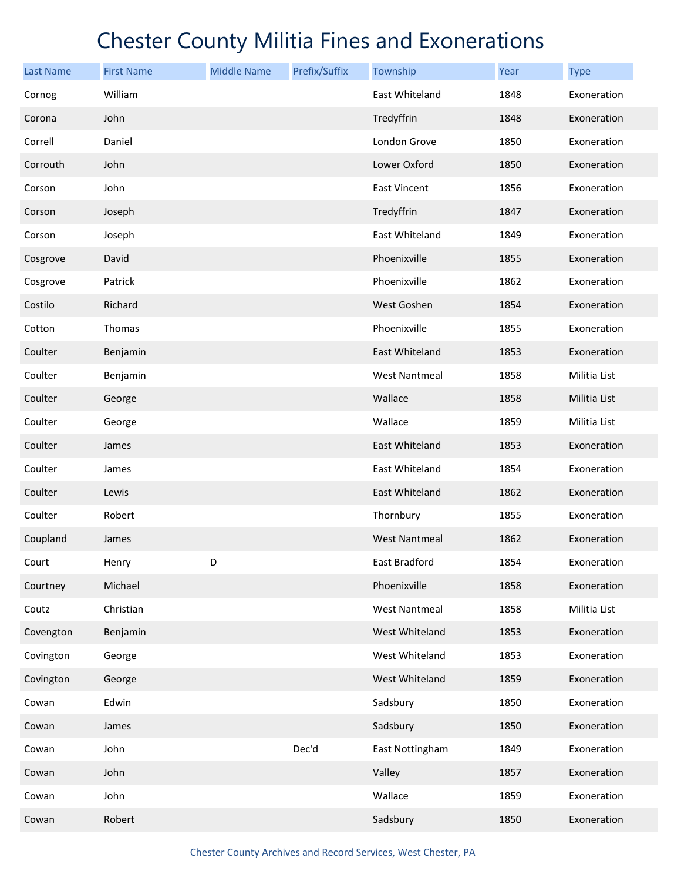| <b>Last Name</b> | <b>First Name</b> | <b>Middle Name</b> | Prefix/Suffix | Township             | Year | <b>Type</b>  |
|------------------|-------------------|--------------------|---------------|----------------------|------|--------------|
| Cornog           | William           |                    |               | East Whiteland       | 1848 | Exoneration  |
| Corona           | John              |                    |               | Tredyffrin           | 1848 | Exoneration  |
| Correll          | Daniel            |                    |               | London Grove         | 1850 | Exoneration  |
| Corrouth         | John              |                    |               | Lower Oxford         | 1850 | Exoneration  |
| Corson           | John              |                    |               | East Vincent         | 1856 | Exoneration  |
| Corson           | Joseph            |                    |               | Tredyffrin           | 1847 | Exoneration  |
| Corson           | Joseph            |                    |               | East Whiteland       | 1849 | Exoneration  |
| Cosgrove         | David             |                    |               | Phoenixville         | 1855 | Exoneration  |
| Cosgrove         | Patrick           |                    |               | Phoenixville         | 1862 | Exoneration  |
| Costilo          | Richard           |                    |               | West Goshen          | 1854 | Exoneration  |
| Cotton           | Thomas            |                    |               | Phoenixville         | 1855 | Exoneration  |
| Coulter          | Benjamin          |                    |               | East Whiteland       | 1853 | Exoneration  |
| Coulter          | Benjamin          |                    |               | <b>West Nantmeal</b> | 1858 | Militia List |
| Coulter          | George            |                    |               | Wallace              | 1858 | Militia List |
| Coulter          | George            |                    |               | Wallace              | 1859 | Militia List |
| Coulter          | James             |                    |               | East Whiteland       | 1853 | Exoneration  |
| Coulter          | James             |                    |               | East Whiteland       | 1854 | Exoneration  |
| Coulter          | Lewis             |                    |               | East Whiteland       | 1862 | Exoneration  |
| Coulter          | Robert            |                    |               | Thornbury            | 1855 | Exoneration  |
| Coupland         | James             |                    |               | <b>West Nantmeal</b> | 1862 | Exoneration  |
| Court            | Henry             | D                  |               | East Bradford        | 1854 | Exoneration  |
| Courtney         | Michael           |                    |               | Phoenixville         | 1858 | Exoneration  |
| Coutz            | Christian         |                    |               | <b>West Nantmeal</b> | 1858 | Militia List |
| Covengton        | Benjamin          |                    |               | West Whiteland       | 1853 | Exoneration  |
| Covington        | George            |                    |               | West Whiteland       | 1853 | Exoneration  |
| Covington        | George            |                    |               | West Whiteland       | 1859 | Exoneration  |
| Cowan            | Edwin             |                    |               | Sadsbury             | 1850 | Exoneration  |
| Cowan            | James             |                    |               | Sadsbury             | 1850 | Exoneration  |
| Cowan            | John              |                    | Dec'd         | East Nottingham      | 1849 | Exoneration  |
| Cowan            | John              |                    |               | Valley               | 1857 | Exoneration  |
| Cowan            | John              |                    |               | Wallace              | 1859 | Exoneration  |
| Cowan            | Robert            |                    |               | Sadsbury             | 1850 | Exoneration  |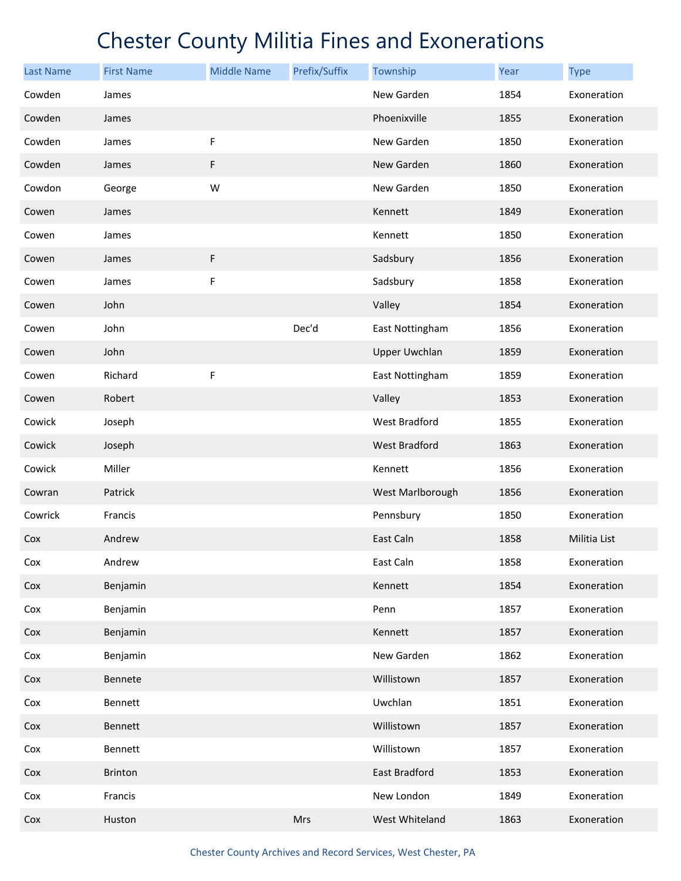| <b>Last Name</b> | <b>First Name</b> | <b>Middle Name</b> | Prefix/Suffix | Township             | Year | <b>Type</b>  |
|------------------|-------------------|--------------------|---------------|----------------------|------|--------------|
| Cowden           | James             |                    |               | New Garden           | 1854 | Exoneration  |
| Cowden           | James             |                    |               | Phoenixville         | 1855 | Exoneration  |
| Cowden           | James             | F                  |               | New Garden           | 1850 | Exoneration  |
| Cowden           | James             | F                  |               | New Garden           | 1860 | Exoneration  |
| Cowdon           | George            | W                  |               | New Garden           | 1850 | Exoneration  |
| Cowen            | James             |                    |               | Kennett              | 1849 | Exoneration  |
| Cowen            | James             |                    |               | Kennett              | 1850 | Exoneration  |
| Cowen            | James             | F                  |               | Sadsbury             | 1856 | Exoneration  |
| Cowen            | James             | F                  |               | Sadsbury             | 1858 | Exoneration  |
| Cowen            | John              |                    |               | Valley               | 1854 | Exoneration  |
| Cowen            | John              |                    | Dec'd         | East Nottingham      | 1856 | Exoneration  |
| Cowen            | John              |                    |               | <b>Upper Uwchlan</b> | 1859 | Exoneration  |
| Cowen            | Richard           | F                  |               | East Nottingham      | 1859 | Exoneration  |
| Cowen            | Robert            |                    |               | Valley               | 1853 | Exoneration  |
| Cowick           | Joseph            |                    |               | West Bradford        | 1855 | Exoneration  |
| Cowick           | Joseph            |                    |               | <b>West Bradford</b> | 1863 | Exoneration  |
| Cowick           | Miller            |                    |               | Kennett              | 1856 | Exoneration  |
| Cowran           | Patrick           |                    |               | West Marlborough     | 1856 | Exoneration  |
| Cowrick          | Francis           |                    |               | Pennsbury            | 1850 | Exoneration  |
| Cox              | Andrew            |                    |               | East Caln            | 1858 | Militia List |
| Cox              | Andrew            |                    |               | East Caln            | 1858 | Exoneration  |
| Cox              | Benjamin          |                    |               | Kennett              | 1854 | Exoneration  |
| Cox              | Benjamin          |                    |               | Penn                 | 1857 | Exoneration  |
| Cox              | Benjamin          |                    |               | Kennett              | 1857 | Exoneration  |
| Cox              | Benjamin          |                    |               | New Garden           | 1862 | Exoneration  |
| Cox              | Bennete           |                    |               | Willistown           | 1857 | Exoneration  |
| Cox              | Bennett           |                    |               | Uwchlan              | 1851 | Exoneration  |
| Cox              | Bennett           |                    |               | Willistown           | 1857 | Exoneration  |
| Cox              | Bennett           |                    |               | Willistown           | 1857 | Exoneration  |
| Cox              | Brinton           |                    |               | East Bradford        | 1853 | Exoneration  |
| Cox              | Francis           |                    |               | New London           | 1849 | Exoneration  |
| Cox              | Huston            |                    | Mrs           | West Whiteland       | 1863 | Exoneration  |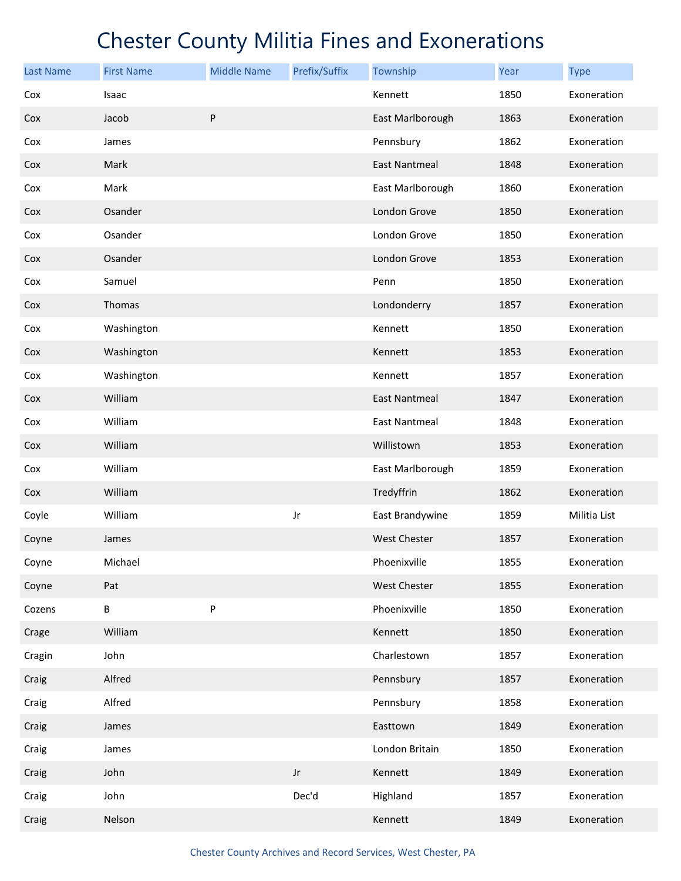| <b>Last Name</b> | <b>First Name</b> | <b>Middle Name</b> | Prefix/Suffix | Township             | Year | <b>Type</b>  |
|------------------|-------------------|--------------------|---------------|----------------------|------|--------------|
| Cox              | Isaac             |                    |               | Kennett              | 1850 | Exoneration  |
| Cox              | Jacob             | P                  |               | East Marlborough     | 1863 | Exoneration  |
| Cox              | James             |                    |               | Pennsbury            | 1862 | Exoneration  |
| Cox              | Mark              |                    |               | <b>East Nantmeal</b> | 1848 | Exoneration  |
| Cox              | Mark              |                    |               | East Marlborough     | 1860 | Exoneration  |
| Cox              | Osander           |                    |               | London Grove         | 1850 | Exoneration  |
| Cox              | Osander           |                    |               | London Grove         | 1850 | Exoneration  |
| Cox              | Osander           |                    |               | London Grove         | 1853 | Exoneration  |
| Cox              | Samuel            |                    |               | Penn                 | 1850 | Exoneration  |
| Cox              | Thomas            |                    |               | Londonderry          | 1857 | Exoneration  |
| Cox              | Washington        |                    |               | Kennett              | 1850 | Exoneration  |
| Cox              | Washington        |                    |               | Kennett              | 1853 | Exoneration  |
| Cox              | Washington        |                    |               | Kennett              | 1857 | Exoneration  |
| Cox              | William           |                    |               | East Nantmeal        | 1847 | Exoneration  |
| Cox              | William           |                    |               | <b>East Nantmeal</b> | 1848 | Exoneration  |
| Cox              | William           |                    |               | Willistown           | 1853 | Exoneration  |
| Cox              | William           |                    |               | East Marlborough     | 1859 | Exoneration  |
| Cox              | William           |                    |               | Tredyffrin           | 1862 | Exoneration  |
| Coyle            | William           |                    | Jr            | East Brandywine      | 1859 | Militia List |
| Coyne            | James             |                    |               | <b>West Chester</b>  | 1857 | Exoneration  |
| Coyne            | Michael           |                    |               | Phoenixville         | 1855 | Exoneration  |
| Coyne            | Pat               |                    |               | <b>West Chester</b>  | 1855 | Exoneration  |
| Cozens           | В                 | P                  |               | Phoenixville         | 1850 | Exoneration  |
| Crage            | William           |                    |               | Kennett              | 1850 | Exoneration  |
| Cragin           | John              |                    |               | Charlestown          | 1857 | Exoneration  |
| Craig            | Alfred            |                    |               | Pennsbury            | 1857 | Exoneration  |
| Craig            | Alfred            |                    |               | Pennsbury            | 1858 | Exoneration  |
| Craig            | James             |                    |               | Easttown             | 1849 | Exoneration  |
| Craig            | James             |                    |               | London Britain       | 1850 | Exoneration  |
| Craig            | John              |                    | $_{\rm Jr}$   | Kennett              | 1849 | Exoneration  |
| Craig            | John              |                    | Dec'd         | Highland             | 1857 | Exoneration  |
| Craig            | Nelson            |                    |               | Kennett              | 1849 | Exoneration  |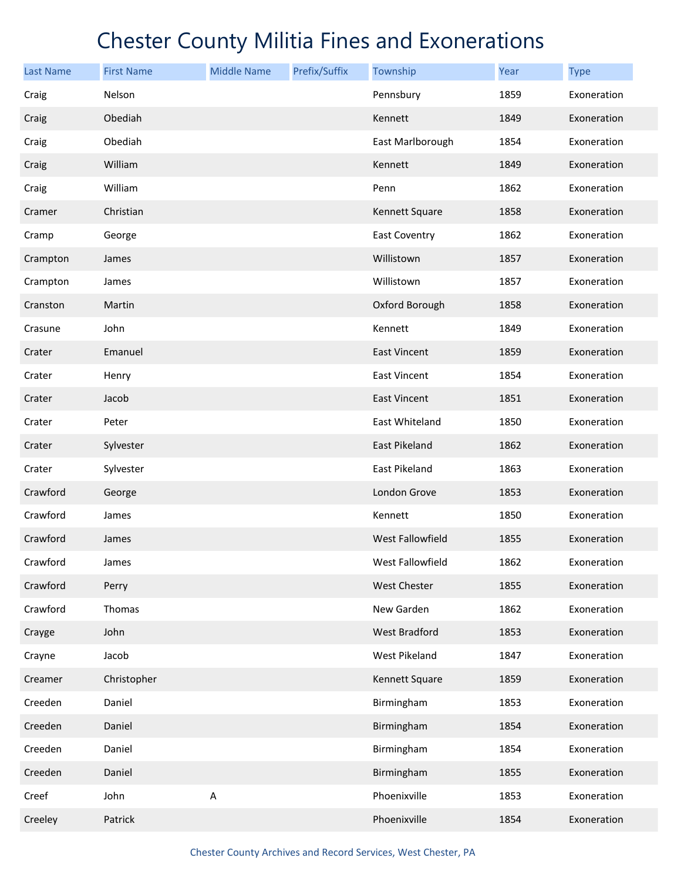| <b>Last Name</b> | <b>First Name</b> | <b>Middle Name</b> | Prefix/Suffix | Township             | Year | <b>Type</b> |
|------------------|-------------------|--------------------|---------------|----------------------|------|-------------|
| Craig            | Nelson            |                    |               | Pennsbury            | 1859 | Exoneration |
| Craig            | Obediah           |                    |               | Kennett              | 1849 | Exoneration |
| Craig            | Obediah           |                    |               | East Marlborough     | 1854 | Exoneration |
| Craig            | William           |                    |               | Kennett              | 1849 | Exoneration |
| Craig            | William           |                    |               | Penn                 | 1862 | Exoneration |
| Cramer           | Christian         |                    |               | Kennett Square       | 1858 | Exoneration |
| Cramp            | George            |                    |               | <b>East Coventry</b> | 1862 | Exoneration |
| Crampton         | James             |                    |               | Willistown           | 1857 | Exoneration |
| Crampton         | James             |                    |               | Willistown           | 1857 | Exoneration |
| Cranston         | Martin            |                    |               | Oxford Borough       | 1858 | Exoneration |
| Crasune          | John              |                    |               | Kennett              | 1849 | Exoneration |
| Crater           | Emanuel           |                    |               | <b>East Vincent</b>  | 1859 | Exoneration |
| Crater           | Henry             |                    |               | <b>East Vincent</b>  | 1854 | Exoneration |
| Crater           | Jacob             |                    |               | <b>East Vincent</b>  | 1851 | Exoneration |
| Crater           | Peter             |                    |               | East Whiteland       | 1850 | Exoneration |
| Crater           | Sylvester         |                    |               | East Pikeland        | 1862 | Exoneration |
| Crater           | Sylvester         |                    |               | East Pikeland        | 1863 | Exoneration |
| Crawford         | George            |                    |               | London Grove         | 1853 | Exoneration |
| Crawford         | James             |                    |               | Kennett              | 1850 | Exoneration |
| Crawford         | James             |                    |               | West Fallowfield     | 1855 | Exoneration |
| Crawford         | James             |                    |               | West Fallowfield     | 1862 | Exoneration |
| Crawford         | Perry             |                    |               | West Chester         | 1855 | Exoneration |
| Crawford         | Thomas            |                    |               | New Garden           | 1862 | Exoneration |
| Crayge           | John              |                    |               | West Bradford        | 1853 | Exoneration |
| Crayne           | Jacob             |                    |               | West Pikeland        | 1847 | Exoneration |
| Creamer          | Christopher       |                    |               | Kennett Square       | 1859 | Exoneration |
| Creeden          | Daniel            |                    |               | Birmingham           | 1853 | Exoneration |
| Creeden          | Daniel            |                    |               | Birmingham           | 1854 | Exoneration |
| Creeden          | Daniel            |                    |               | Birmingham           | 1854 | Exoneration |
| Creeden          | Daniel            |                    |               | Birmingham           | 1855 | Exoneration |
| Creef            | John              | A                  |               | Phoenixville         | 1853 | Exoneration |
| Creeley          | Patrick           |                    |               | Phoenixville         | 1854 | Exoneration |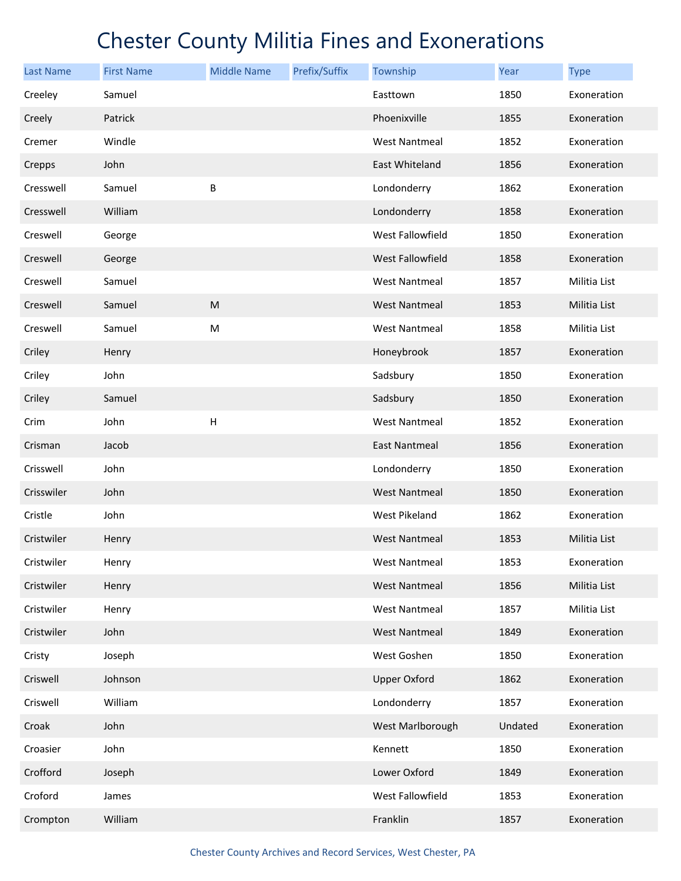| <b>Last Name</b> | <b>First Name</b> | <b>Middle Name</b>        | Prefix/Suffix | Township             | Year    | <b>Type</b>  |
|------------------|-------------------|---------------------------|---------------|----------------------|---------|--------------|
| Creeley          | Samuel            |                           |               | Easttown             | 1850    | Exoneration  |
| Creely           | Patrick           |                           |               | Phoenixville         | 1855    | Exoneration  |
| Cremer           | Windle            |                           |               | <b>West Nantmeal</b> | 1852    | Exoneration  |
| Crepps           | John              |                           |               | East Whiteland       | 1856    | Exoneration  |
| Cresswell        | Samuel            | В                         |               | Londonderry          | 1862    | Exoneration  |
| Cresswell        | William           |                           |               | Londonderry          | 1858    | Exoneration  |
| Creswell         | George            |                           |               | West Fallowfield     | 1850    | Exoneration  |
| Creswell         | George            |                           |               | West Fallowfield     | 1858    | Exoneration  |
| Creswell         | Samuel            |                           |               | West Nantmeal        | 1857    | Militia List |
| Creswell         | Samuel            | ${\sf M}$                 |               | <b>West Nantmeal</b> | 1853    | Militia List |
| Creswell         | Samuel            | M                         |               | <b>West Nantmeal</b> | 1858    | Militia List |
| Criley           | Henry             |                           |               | Honeybrook           | 1857    | Exoneration  |
| Criley           | John              |                           |               | Sadsbury             | 1850    | Exoneration  |
| Criley           | Samuel            |                           |               | Sadsbury             | 1850    | Exoneration  |
| Crim             | John              | $\boldsymbol{\mathsf{H}}$ |               | <b>West Nantmeal</b> | 1852    | Exoneration  |
| Crisman          | Jacob             |                           |               | <b>East Nantmeal</b> | 1856    | Exoneration  |
| Crisswell        | John              |                           |               | Londonderry          | 1850    | Exoneration  |
| Crisswiler       | John              |                           |               | <b>West Nantmeal</b> | 1850    | Exoneration  |
| Cristle          | John              |                           |               | <b>West Pikeland</b> | 1862    | Exoneration  |
| Cristwiler       | Henry             |                           |               | <b>West Nantmeal</b> | 1853    | Militia List |
| Cristwiler       | Henry             |                           |               | <b>West Nantmeal</b> | 1853    | Exoneration  |
| Cristwiler       | Henry             |                           |               | <b>West Nantmeal</b> | 1856    | Militia List |
| Cristwiler       | Henry             |                           |               | <b>West Nantmeal</b> | 1857    | Militia List |
| Cristwiler       | John              |                           |               | <b>West Nantmeal</b> | 1849    | Exoneration  |
| Cristy           | Joseph            |                           |               | West Goshen          | 1850    | Exoneration  |
| Criswell         | Johnson           |                           |               | <b>Upper Oxford</b>  | 1862    | Exoneration  |
| Criswell         | William           |                           |               | Londonderry          | 1857    | Exoneration  |
| Croak            | John              |                           |               | West Marlborough     | Undated | Exoneration  |
| Croasier         | John              |                           |               | Kennett              | 1850    | Exoneration  |
| Crofford         | Joseph            |                           |               | Lower Oxford         | 1849    | Exoneration  |
| Croford          | James             |                           |               | West Fallowfield     | 1853    | Exoneration  |
| Crompton         | William           |                           |               | Franklin             | 1857    | Exoneration  |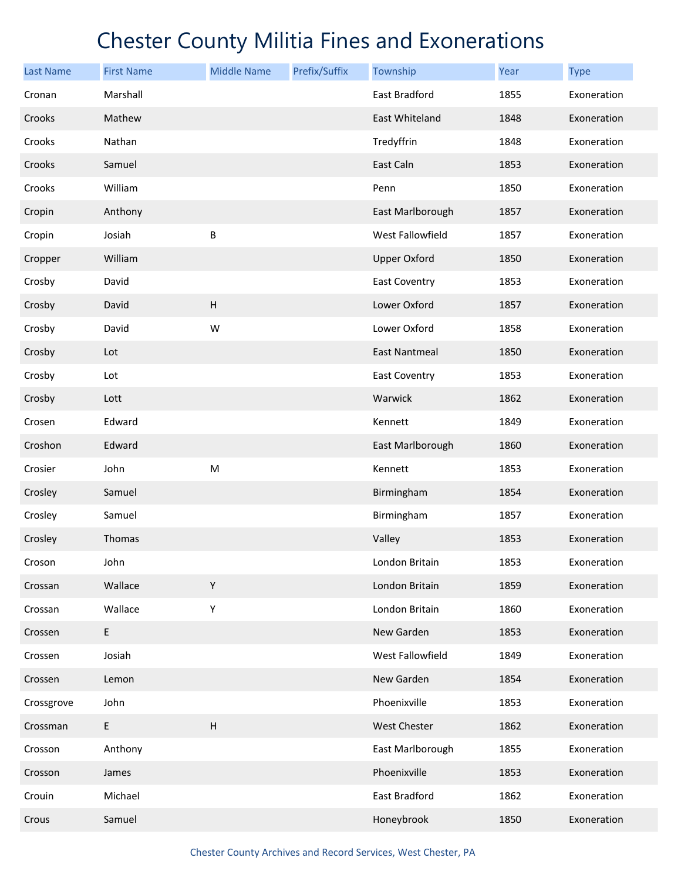| <b>Last Name</b> | <b>First Name</b> | <b>Middle Name</b> | Prefix/Suffix | Township             | Year | <b>Type</b> |
|------------------|-------------------|--------------------|---------------|----------------------|------|-------------|
| Cronan           | Marshall          |                    |               | East Bradford        | 1855 | Exoneration |
| Crooks           | Mathew            |                    |               | East Whiteland       | 1848 | Exoneration |
| Crooks           | Nathan            |                    |               | Tredyffrin           | 1848 | Exoneration |
| Crooks           | Samuel            |                    |               | East Caln            | 1853 | Exoneration |
| Crooks           | William           |                    |               | Penn                 | 1850 | Exoneration |
| Cropin           | Anthony           |                    |               | East Marlborough     | 1857 | Exoneration |
| Cropin           | Josiah            | B                  |               | West Fallowfield     | 1857 | Exoneration |
| Cropper          | William           |                    |               | <b>Upper Oxford</b>  | 1850 | Exoneration |
| Crosby           | David             |                    |               | <b>East Coventry</b> | 1853 | Exoneration |
| Crosby           | David             | $\sf H$            |               | Lower Oxford         | 1857 | Exoneration |
| Crosby           | David             | W                  |               | Lower Oxford         | 1858 | Exoneration |
| Crosby           | Lot               |                    |               | <b>East Nantmeal</b> | 1850 | Exoneration |
| Crosby           | Lot               |                    |               | <b>East Coventry</b> | 1853 | Exoneration |
| Crosby           | Lott              |                    |               | Warwick              | 1862 | Exoneration |
| Crosen           | Edward            |                    |               | Kennett              | 1849 | Exoneration |
| Croshon          | Edward            |                    |               | East Marlborough     | 1860 | Exoneration |
| Crosier          | John              | ${\sf M}$          |               | Kennett              | 1853 | Exoneration |
| Crosley          | Samuel            |                    |               | Birmingham           | 1854 | Exoneration |
| Crosley          | Samuel            |                    |               | Birmingham           | 1857 | Exoneration |
| Crosley          | Thomas            |                    |               | Valley               | 1853 | Exoneration |
| Croson           | John              |                    |               | London Britain       | 1853 | Exoneration |
| Crossan          | Wallace           | Υ                  |               | London Britain       | 1859 | Exoneration |
| Crossan          | Wallace           | Υ                  |               | London Britain       | 1860 | Exoneration |
| Crossen          | E                 |                    |               | New Garden           | 1853 | Exoneration |
| Crossen          | Josiah            |                    |               | West Fallowfield     | 1849 | Exoneration |
| Crossen          | Lemon             |                    |               | New Garden           | 1854 | Exoneration |
| Crossgrove       | John              |                    |               | Phoenixville         | 1853 | Exoneration |
| Crossman         | E                 | $\sf H$            |               | <b>West Chester</b>  | 1862 | Exoneration |
| Crosson          | Anthony           |                    |               | East Marlborough     | 1855 | Exoneration |
| Crosson          | James             |                    |               | Phoenixville         | 1853 | Exoneration |
| Crouin           | Michael           |                    |               | East Bradford        | 1862 | Exoneration |
| Crous            | Samuel            |                    |               | Honeybrook           | 1850 | Exoneration |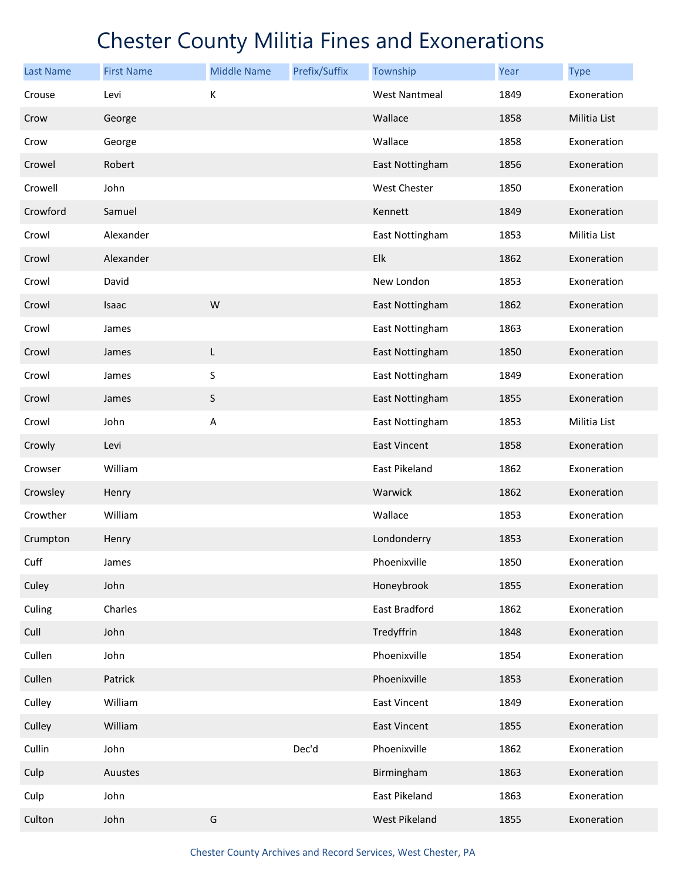| <b>Last Name</b> | <b>First Name</b> | <b>Middle Name</b> | Prefix/Suffix | Township             | Year | <b>Type</b>  |
|------------------|-------------------|--------------------|---------------|----------------------|------|--------------|
| Crouse           | Levi              | К                  |               | <b>West Nantmeal</b> | 1849 | Exoneration  |
| Crow             | George            |                    |               | Wallace              | 1858 | Militia List |
| Crow             | George            |                    |               | Wallace              | 1858 | Exoneration  |
| Crowel           | Robert            |                    |               | East Nottingham      | 1856 | Exoneration  |
| Crowell          | John              |                    |               | West Chester         | 1850 | Exoneration  |
| Crowford         | Samuel            |                    |               | Kennett              | 1849 | Exoneration  |
| Crowl            | Alexander         |                    |               | East Nottingham      | 1853 | Militia List |
| Crowl            | Alexander         |                    |               | Elk                  | 1862 | Exoneration  |
| Crowl            | David             |                    |               | New London           | 1853 | Exoneration  |
| Crowl            | Isaac             | W                  |               | East Nottingham      | 1862 | Exoneration  |
| Crowl            | James             |                    |               | East Nottingham      | 1863 | Exoneration  |
| Crowl            | James             | L                  |               | East Nottingham      | 1850 | Exoneration  |
| Crowl            | James             | S                  |               | East Nottingham      | 1849 | Exoneration  |
| Crowl            | James             | $\sf S$            |               | East Nottingham      | 1855 | Exoneration  |
| Crowl            | John              | A                  |               | East Nottingham      | 1853 | Militia List |
| Crowly           | Levi              |                    |               | East Vincent         | 1858 | Exoneration  |
| Crowser          | William           |                    |               | East Pikeland        | 1862 | Exoneration  |
| Crowsley         | Henry             |                    |               | Warwick              | 1862 | Exoneration  |
| Crowther         | William           |                    |               | Wallace              | 1853 | Exoneration  |
| Crumpton         | Henry             |                    |               | Londonderry          | 1853 | Exoneration  |
| Cuff             | James             |                    |               | Phoenixville         | 1850 | Exoneration  |
| Culey            | John              |                    |               | Honeybrook           | 1855 | Exoneration  |
| Culing           | Charles           |                    |               | East Bradford        | 1862 | Exoneration  |
| Cull             | John              |                    |               | Tredyffrin           | 1848 | Exoneration  |
| Cullen           | John              |                    |               | Phoenixville         | 1854 | Exoneration  |
| Cullen           | Patrick           |                    |               | Phoenixville         | 1853 | Exoneration  |
| Culley           | William           |                    |               | East Vincent         | 1849 | Exoneration  |
| Culley           | William           |                    |               | East Vincent         | 1855 | Exoneration  |
| Cullin           | John              |                    | Dec'd         | Phoenixville         | 1862 | Exoneration  |
| Culp             | Auustes           |                    |               | Birmingham           | 1863 | Exoneration  |
| Culp             | John              |                    |               | East Pikeland        | 1863 | Exoneration  |
| Culton           | John              | G                  |               | West Pikeland        | 1855 | Exoneration  |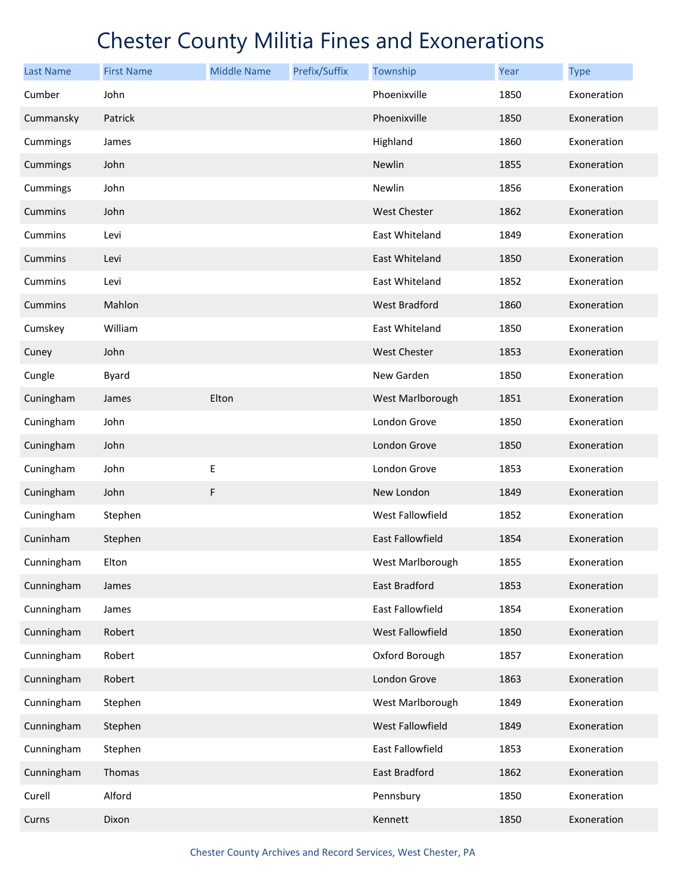| Last Name      | <b>First Name</b> | <b>Middle Name</b> | Prefix/Suffix | Township                | <b>Year</b> | <b>Type</b> |
|----------------|-------------------|--------------------|---------------|-------------------------|-------------|-------------|
| Cumber         | John              |                    |               | Phoenixville            | 1850        | Exoneration |
| Cummansky      | Patrick           |                    |               | Phoenixville            | 1850        | Exoneration |
| Cummings       | James             |                    |               | Highland                | 1860        | Exoneration |
| Cummings       | John              |                    |               | Newlin                  | 1855        | Exoneration |
| Cummings       | John              |                    |               | Newlin                  | 1856        | Exoneration |
| <b>Cummins</b> | John              |                    |               | <b>West Chester</b>     | 1862        | Exoneration |
| Cummins        | Levi              |                    |               | East Whiteland          | 1849        | Exoneration |
| Cummins        | Levi              |                    |               | East Whiteland          | 1850        | Exoneration |
| Cummins        | Levi              |                    |               | East Whiteland          | 1852        | Exoneration |
| Cummins        | Mahlon            |                    |               | <b>West Bradford</b>    | 1860        | Exoneration |
| Cumskey        | William           |                    |               | East Whiteland          | 1850        | Exoneration |
| Cuney          | John              |                    |               | <b>West Chester</b>     | 1853        | Exoneration |
| Cungle         | <b>Byard</b>      |                    |               | New Garden              | 1850        | Exoneration |
| Cuningham      | James             | Elton              |               | West Marlborough        | 1851        | Exoneration |
| Cuningham      | John              |                    |               | London Grove            | 1850        | Exoneration |
| Cuningham      | John              |                    |               | London Grove            | 1850        | Exoneration |
| Cuningham      | John              | Ε                  |               | London Grove            | 1853        | Exoneration |
| Cuningham      | John              | F                  |               | New London              | 1849        | Exoneration |
| Cuningham      | Stephen           |                    |               | West Fallowfield        | 1852        | Exoneration |
| Cuninham       | Stephen           |                    |               | <b>East Fallowfield</b> | 1854        | Exoneration |
| Cunningham     | Elton             |                    |               | West Marlborough        | 1855        | Exoneration |
| Cunningham     | James             |                    |               | East Bradford           | 1853        | Exoneration |
| Cunningham     | James             |                    |               | East Fallowfield        | 1854        | Exoneration |
| Cunningham     | Robert            |                    |               | West Fallowfield        | 1850        | Exoneration |
| Cunningham     | Robert            |                    |               | Oxford Borough          | 1857        | Exoneration |
| Cunningham     | Robert            |                    |               | London Grove            | 1863        | Exoneration |
| Cunningham     | Stephen           |                    |               | West Marlborough        | 1849        | Exoneration |
| Cunningham     | Stephen           |                    |               | West Fallowfield        | 1849        | Exoneration |
| Cunningham     | Stephen           |                    |               | East Fallowfield        | 1853        | Exoneration |
| Cunningham     | Thomas            |                    |               | East Bradford           | 1862        | Exoneration |
| Curell         | Alford            |                    |               | Pennsbury               | 1850        | Exoneration |
| Curns          | Dixon             |                    |               | Kennett                 | 1850        | Exoneration |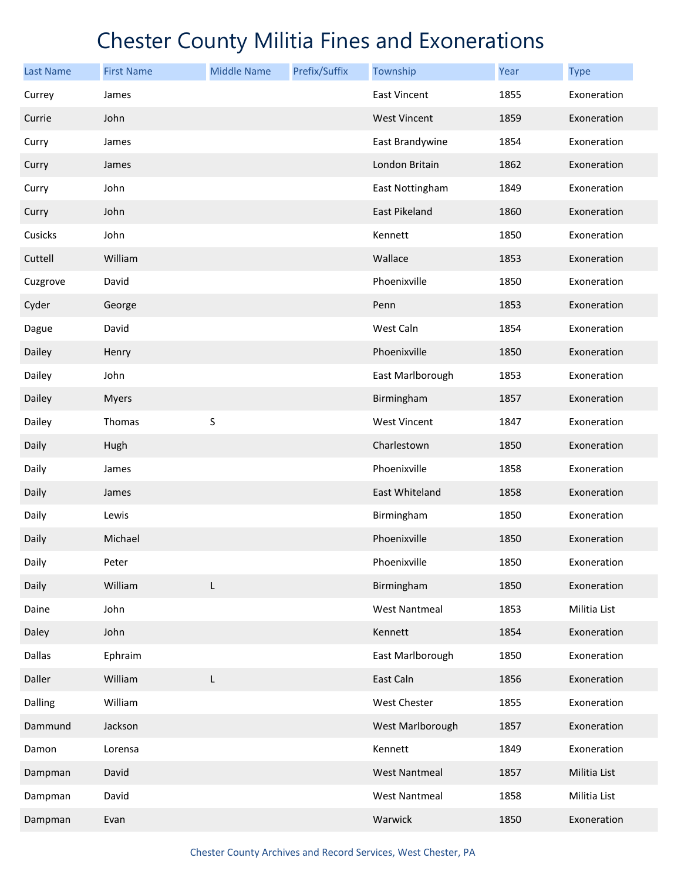| <b>Last Name</b> | <b>First Name</b> | <b>Middle Name</b> | Prefix/Suffix | Township             | Year | <b>Type</b>  |
|------------------|-------------------|--------------------|---------------|----------------------|------|--------------|
| Currey           | James             |                    |               | <b>East Vincent</b>  | 1855 | Exoneration  |
| Currie           | John              |                    |               | <b>West Vincent</b>  | 1859 | Exoneration  |
| Curry            | James             |                    |               | East Brandywine      | 1854 | Exoneration  |
| Curry            | James             |                    |               | London Britain       | 1862 | Exoneration  |
| Curry            | John              |                    |               | East Nottingham      | 1849 | Exoneration  |
| Curry            | John              |                    |               | East Pikeland        | 1860 | Exoneration  |
| Cusicks          | John              |                    |               | Kennett              | 1850 | Exoneration  |
| Cuttell          | William           |                    |               | Wallace              | 1853 | Exoneration  |
| Cuzgrove         | David             |                    |               | Phoenixville         | 1850 | Exoneration  |
| Cyder            | George            |                    |               | Penn                 | 1853 | Exoneration  |
| Dague            | David             |                    |               | West Caln            | 1854 | Exoneration  |
| Dailey           | Henry             |                    |               | Phoenixville         | 1850 | Exoneration  |
| Dailey           | John              |                    |               | East Marlborough     | 1853 | Exoneration  |
| Dailey           | <b>Myers</b>      |                    |               | Birmingham           | 1857 | Exoneration  |
| Dailey           | Thomas            | S                  |               | <b>West Vincent</b>  | 1847 | Exoneration  |
| Daily            | Hugh              |                    |               | Charlestown          | 1850 | Exoneration  |
| Daily            | James             |                    |               | Phoenixville         | 1858 | Exoneration  |
| Daily            | James             |                    |               | East Whiteland       | 1858 | Exoneration  |
| Daily            | Lewis             |                    |               | Birmingham           | 1850 | Exoneration  |
| Daily            | Michael           |                    |               | Phoenixville         | 1850 | Exoneration  |
| Daily            | Peter             |                    |               | Phoenixville         | 1850 | Exoneration  |
| Daily            | William           | L                  |               | Birmingham           | 1850 | Exoneration  |
| Daine            | John              |                    |               | <b>West Nantmeal</b> | 1853 | Militia List |
| Daley            | John              |                    |               | Kennett              | 1854 | Exoneration  |
| Dallas           | Ephraim           |                    |               | East Marlborough     | 1850 | Exoneration  |
| Daller           | William           | L                  |               | East Caln            | 1856 | Exoneration  |
| Dalling          | William           |                    |               | West Chester         | 1855 | Exoneration  |
| Dammund          | Jackson           |                    |               | West Marlborough     | 1857 | Exoneration  |
| Damon            | Lorensa           |                    |               | Kennett              | 1849 | Exoneration  |
| Dampman          | David             |                    |               | <b>West Nantmeal</b> | 1857 | Militia List |
| Dampman          | David             |                    |               | <b>West Nantmeal</b> | 1858 | Militia List |
| Dampman          | Evan              |                    |               | Warwick              | 1850 | Exoneration  |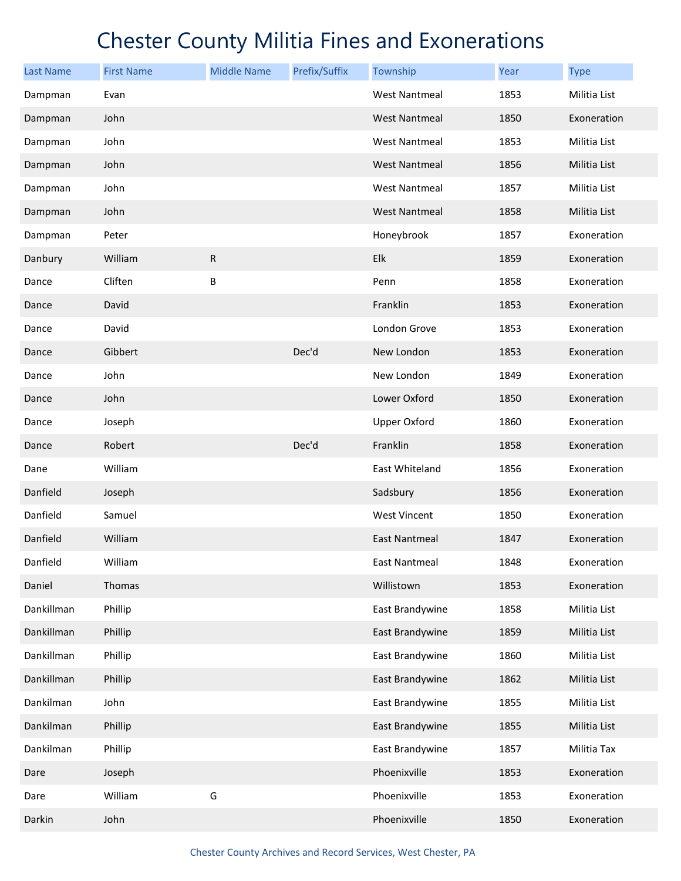| <b>Last Name</b> | <b>First Name</b> | <b>Middle Name</b> | Prefix/Suffix | Township             | Year | <b>Type</b>  |
|------------------|-------------------|--------------------|---------------|----------------------|------|--------------|
| Dampman          | Evan              |                    |               | <b>West Nantmeal</b> | 1853 | Militia List |
| Dampman          | John              |                    |               | <b>West Nantmeal</b> | 1850 | Exoneration  |
| Dampman          | John              |                    |               | <b>West Nantmeal</b> | 1853 | Militia List |
| Dampman          | John              |                    |               | <b>West Nantmeal</b> | 1856 | Militia List |
| Dampman          | John              |                    |               | <b>West Nantmeal</b> | 1857 | Militia List |
| Dampman          | John              |                    |               | <b>West Nantmeal</b> | 1858 | Militia List |
| Dampman          | Peter             |                    |               | Honeybrook           | 1857 | Exoneration  |
| Danbury          | William           | ${\sf R}$          |               | Elk                  | 1859 | Exoneration  |
| Dance            | Cliften           | B                  |               | Penn                 | 1858 | Exoneration  |
| Dance            | David             |                    |               | Franklin             | 1853 | Exoneration  |
| Dance            | David             |                    |               | London Grove         | 1853 | Exoneration  |
| Dance            | Gibbert           |                    | Dec'd         | New London           | 1853 | Exoneration  |
| Dance            | John              |                    |               | New London           | 1849 | Exoneration  |
| Dance            | John              |                    |               | Lower Oxford         | 1850 | Exoneration  |
| Dance            | Joseph            |                    |               | <b>Upper Oxford</b>  | 1860 | Exoneration  |
| Dance            | Robert            |                    | Dec'd         | Franklin             | 1858 | Exoneration  |
| Dane             | William           |                    |               | East Whiteland       | 1856 | Exoneration  |
| Danfield         | Joseph            |                    |               | Sadsbury             | 1856 | Exoneration  |
| Danfield         | Samuel            |                    |               | West Vincent         | 1850 | Exoneration  |
| Danfield         | William           |                    |               | <b>East Nantmeal</b> | 1847 | Exoneration  |
| Danfield         | William           |                    |               | East Nantmeal        | 1848 | Exoneration  |
| Daniel           | Thomas            |                    |               | Willistown           | 1853 | Exoneration  |
| Dankillman       | Phillip           |                    |               | East Brandywine      | 1858 | Militia List |
| Dankillman       | Phillip           |                    |               | East Brandywine      | 1859 | Militia List |
| Dankillman       | Phillip           |                    |               | East Brandywine      | 1860 | Militia List |
| Dankillman       | Phillip           |                    |               | East Brandywine      | 1862 | Militia List |
| Dankilman        | John              |                    |               | East Brandywine      | 1855 | Militia List |
| Dankilman        | Phillip           |                    |               | East Brandywine      | 1855 | Militia List |
| Dankilman        | Phillip           |                    |               | East Brandywine      | 1857 | Militia Tax  |
| Dare             | Joseph            |                    |               | Phoenixville         | 1853 | Exoneration  |
| Dare             | William           | G                  |               | Phoenixville         | 1853 | Exoneration  |
| Darkin           | John              |                    |               | Phoenixville         | 1850 | Exoneration  |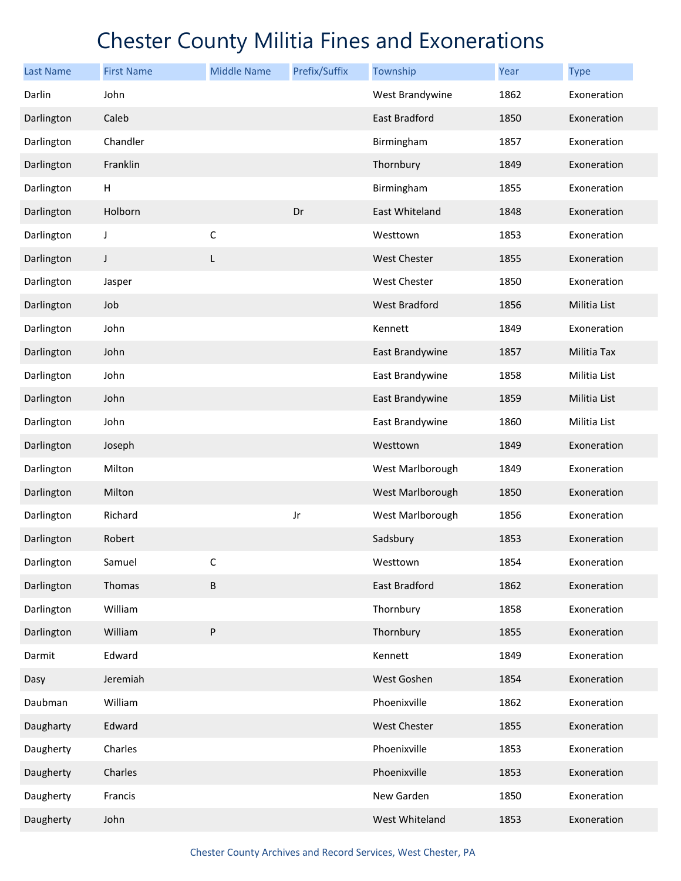| <b>Last Name</b> | <b>First Name</b> | <b>Middle Name</b> | Prefix/Suffix | Township             | Year | <b>Type</b>  |
|------------------|-------------------|--------------------|---------------|----------------------|------|--------------|
| Darlin           | John              |                    |               | West Brandywine      | 1862 | Exoneration  |
| Darlington       | Caleb             |                    |               | <b>East Bradford</b> | 1850 | Exoneration  |
| Darlington       | Chandler          |                    |               | Birmingham           | 1857 | Exoneration  |
| Darlington       | Franklin          |                    |               | Thornbury            | 1849 | Exoneration  |
| Darlington       | H                 |                    |               | Birmingham           | 1855 | Exoneration  |
| Darlington       | Holborn           |                    | Dr            | East Whiteland       | 1848 | Exoneration  |
| Darlington       | J                 | $\mathsf C$        |               | Westtown             | 1853 | Exoneration  |
| Darlington       | J                 | L                  |               | <b>West Chester</b>  | 1855 | Exoneration  |
| Darlington       | Jasper            |                    |               | <b>West Chester</b>  | 1850 | Exoneration  |
| Darlington       | Job               |                    |               | <b>West Bradford</b> | 1856 | Militia List |
| Darlington       | John              |                    |               | Kennett              | 1849 | Exoneration  |
| Darlington       | John              |                    |               | East Brandywine      | 1857 | Militia Tax  |
| Darlington       | John              |                    |               | East Brandywine      | 1858 | Militia List |
| Darlington       | John              |                    |               | East Brandywine      | 1859 | Militia List |
| Darlington       | John              |                    |               | East Brandywine      | 1860 | Militia List |
| Darlington       | Joseph            |                    |               | Westtown             | 1849 | Exoneration  |
| Darlington       | Milton            |                    |               | West Marlborough     | 1849 | Exoneration  |
| Darlington       | Milton            |                    |               | West Marlborough     | 1850 | Exoneration  |
| Darlington       | Richard           |                    | Jr            | West Marlborough     | 1856 | Exoneration  |
| Darlington       | Robert            |                    |               | Sadsbury             | 1853 | Exoneration  |
| Darlington       | Samuel            | С                  |               | Westtown             | 1854 | Exoneration  |
| Darlington       | Thomas            | $\sf B$            |               | East Bradford        | 1862 | Exoneration  |
| Darlington       | William           |                    |               | Thornbury            | 1858 | Exoneration  |
| Darlington       | William           | ${\sf P}$          |               | Thornbury            | 1855 | Exoneration  |
| Darmit           | Edward            |                    |               | Kennett              | 1849 | Exoneration  |
| Dasy             | Jeremiah          |                    |               | West Goshen          | 1854 | Exoneration  |
| Daubman          | William           |                    |               | Phoenixville         | 1862 | Exoneration  |
| Daugharty        | Edward            |                    |               | <b>West Chester</b>  | 1855 | Exoneration  |
| Daugherty        | Charles           |                    |               | Phoenixville         | 1853 | Exoneration  |
| Daugherty        | Charles           |                    |               | Phoenixville         | 1853 | Exoneration  |
| Daugherty        | Francis           |                    |               | New Garden           | 1850 | Exoneration  |
| Daugherty        | John              |                    |               | West Whiteland       | 1853 | Exoneration  |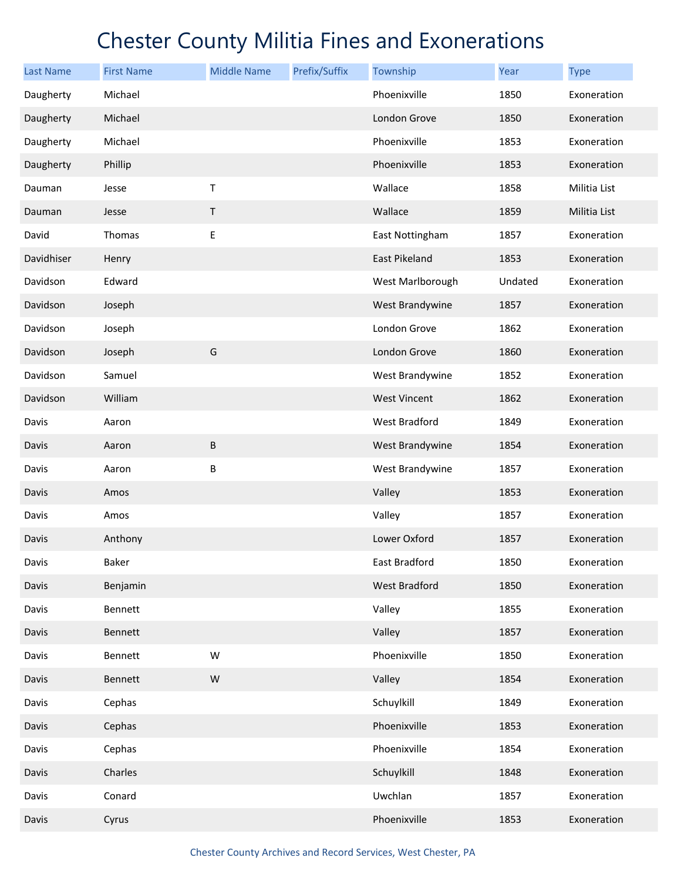| <b>Last Name</b> | <b>First Name</b> | <b>Middle Name</b> | Prefix/Suffix | Township             | Year    | <b>Type</b>  |
|------------------|-------------------|--------------------|---------------|----------------------|---------|--------------|
| Daugherty        | Michael           |                    |               | Phoenixville         | 1850    | Exoneration  |
| Daugherty        | Michael           |                    |               | London Grove         | 1850    | Exoneration  |
| Daugherty        | Michael           |                    |               | Phoenixville         | 1853    | Exoneration  |
| Daugherty        | Phillip           |                    |               | Phoenixville         | 1853    | Exoneration  |
| Dauman           | Jesse             | Τ                  |               | Wallace              | 1858    | Militia List |
| Dauman           | Jesse             | Τ                  |               | Wallace              | 1859    | Militia List |
| David            | Thomas            | Е                  |               | East Nottingham      | 1857    | Exoneration  |
| Davidhiser       | Henry             |                    |               | <b>East Pikeland</b> | 1853    | Exoneration  |
| Davidson         | Edward            |                    |               | West Marlborough     | Undated | Exoneration  |
| Davidson         | Joseph            |                    |               | West Brandywine      | 1857    | Exoneration  |
| Davidson         | Joseph            |                    |               | London Grove         | 1862    | Exoneration  |
| Davidson         | Joseph            | G                  |               | London Grove         | 1860    | Exoneration  |
| Davidson         | Samuel            |                    |               | West Brandywine      | 1852    | Exoneration  |
| Davidson         | William           |                    |               | <b>West Vincent</b>  | 1862    | Exoneration  |
| Davis            | Aaron             |                    |               | West Bradford        | 1849    | Exoneration  |
| Davis            | Aaron             | $\sf B$            |               | West Brandywine      | 1854    | Exoneration  |
| Davis            | Aaron             | B                  |               | West Brandywine      | 1857    | Exoneration  |
| Davis            | Amos              |                    |               | Valley               | 1853    | Exoneration  |
| Davis            | Amos              |                    |               | Valley               | 1857    | Exoneration  |
| Davis            | Anthony           |                    |               | Lower Oxford         | 1857    | Exoneration  |
| Davis            | Baker             |                    |               | East Bradford        | 1850    | Exoneration  |
| Davis            | Benjamin          |                    |               | <b>West Bradford</b> | 1850    | Exoneration  |
| Davis            | Bennett           |                    |               | Valley               | 1855    | Exoneration  |
| Davis            | Bennett           |                    |               | Valley               | 1857    | Exoneration  |
| Davis            | Bennett           | W                  |               | Phoenixville         | 1850    | Exoneration  |
| Davis            | Bennett           | ${\sf W}$          |               | Valley               | 1854    | Exoneration  |
| Davis            | Cephas            |                    |               | Schuylkill           | 1849    | Exoneration  |
| Davis            | Cephas            |                    |               | Phoenixville         | 1853    | Exoneration  |
| Davis            | Cephas            |                    |               | Phoenixville         | 1854    | Exoneration  |
| Davis            | Charles           |                    |               | Schuylkill           | 1848    | Exoneration  |
| Davis            | Conard            |                    |               | Uwchlan              | 1857    | Exoneration  |
| Davis            | Cyrus             |                    |               | Phoenixville         | 1853    | Exoneration  |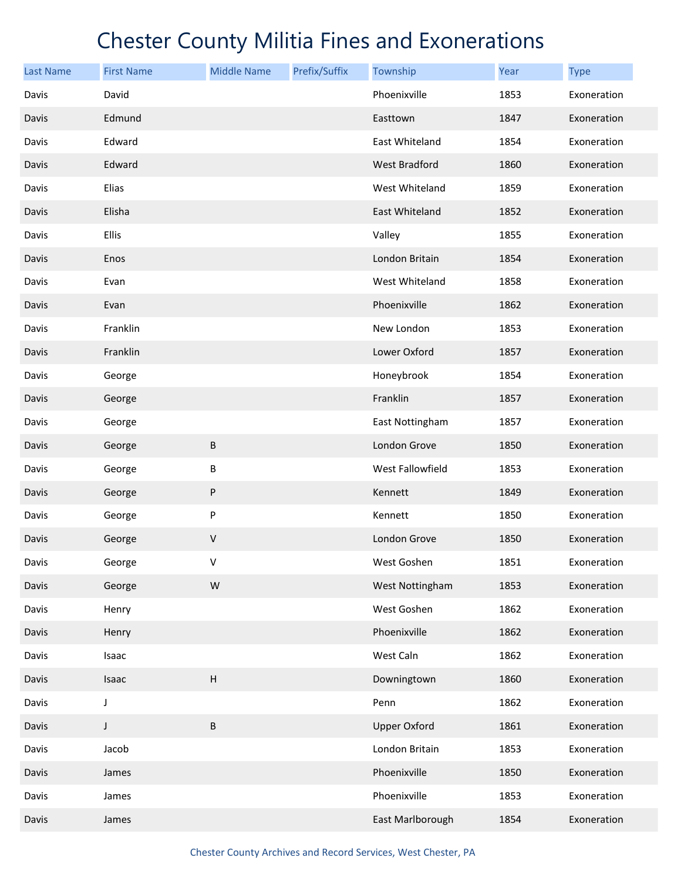| <b>Last Name</b> | <b>First Name</b> | <b>Middle Name</b> | Prefix/Suffix | Township            | Year | <b>Type</b> |
|------------------|-------------------|--------------------|---------------|---------------------|------|-------------|
| Davis            | David             |                    |               | Phoenixville        | 1853 | Exoneration |
| Davis            | Edmund            |                    |               | Easttown            | 1847 | Exoneration |
| Davis            | Edward            |                    |               | East Whiteland      | 1854 | Exoneration |
| Davis            | Edward            |                    |               | West Bradford       | 1860 | Exoneration |
| Davis            | Elias             |                    |               | West Whiteland      | 1859 | Exoneration |
| Davis            | Elisha            |                    |               | East Whiteland      | 1852 | Exoneration |
| Davis            | Ellis             |                    |               | Valley              | 1855 | Exoneration |
| Davis            | Enos              |                    |               | London Britain      | 1854 | Exoneration |
| Davis            | Evan              |                    |               | West Whiteland      | 1858 | Exoneration |
| Davis            | Evan              |                    |               | Phoenixville        | 1862 | Exoneration |
| Davis            | Franklin          |                    |               | New London          | 1853 | Exoneration |
| Davis            | Franklin          |                    |               | Lower Oxford        | 1857 | Exoneration |
| Davis            | George            |                    |               | Honeybrook          | 1854 | Exoneration |
| Davis            | George            |                    |               | Franklin            | 1857 | Exoneration |
| Davis            | George            |                    |               | East Nottingham     | 1857 | Exoneration |
| Davis            | George            | B                  |               | London Grove        | 1850 | Exoneration |
| Davis            | George            | Β                  |               | West Fallowfield    | 1853 | Exoneration |
| Davis            | George            | P                  |               | Kennett             | 1849 | Exoneration |
| Davis            | George            | P                  |               | Kennett             | 1850 | Exoneration |
| Davis            | George            | V                  |               | London Grove        | 1850 | Exoneration |
| Davis            | George            | v                  |               | West Goshen         | 1851 | Exoneration |
| Davis            | George            | ${\sf W}$          |               | West Nottingham     | 1853 | Exoneration |
| Davis            | Henry             |                    |               | West Goshen         | 1862 | Exoneration |
| Davis            | Henry             |                    |               | Phoenixville        | 1862 | Exoneration |
| Davis            | Isaac             |                    |               | West Caln           | 1862 | Exoneration |
| Davis            | Isaac             | $\sf H$            |               | Downingtown         | 1860 | Exoneration |
| Davis            | J                 |                    |               | Penn                | 1862 | Exoneration |
| Davis            | J                 | $\sf B$            |               | <b>Upper Oxford</b> | 1861 | Exoneration |
| Davis            | Jacob             |                    |               | London Britain      | 1853 | Exoneration |
| Davis            | James             |                    |               | Phoenixville        | 1850 | Exoneration |
| Davis            | James             |                    |               | Phoenixville        | 1853 | Exoneration |
| Davis            | James             |                    |               | East Marlborough    | 1854 | Exoneration |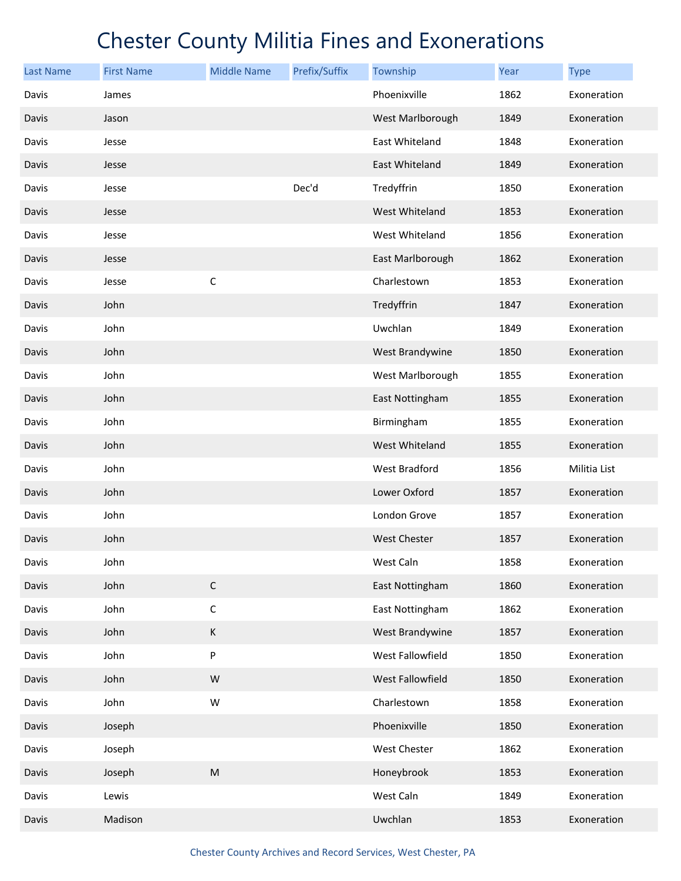| <b>Last Name</b> | <b>First Name</b> | <b>Middle Name</b> | Prefix/Suffix | Township            | Year | <b>Type</b>  |
|------------------|-------------------|--------------------|---------------|---------------------|------|--------------|
| Davis            | James             |                    |               | Phoenixville        | 1862 | Exoneration  |
| Davis            | Jason             |                    |               | West Marlborough    | 1849 | Exoneration  |
| Davis            | Jesse             |                    |               | East Whiteland      | 1848 | Exoneration  |
| Davis            | Jesse             |                    |               | East Whiteland      | 1849 | Exoneration  |
| Davis            | Jesse             |                    | Dec'd         | Tredyffrin          | 1850 | Exoneration  |
| Davis            | Jesse             |                    |               | West Whiteland      | 1853 | Exoneration  |
| Davis            | Jesse             |                    |               | West Whiteland      | 1856 | Exoneration  |
| Davis            | Jesse             |                    |               | East Marlborough    | 1862 | Exoneration  |
| Davis            | Jesse             | $\mathsf{C}$       |               | Charlestown         | 1853 | Exoneration  |
| Davis            | John              |                    |               | Tredyffrin          | 1847 | Exoneration  |
| Davis            | John              |                    |               | Uwchlan             | 1849 | Exoneration  |
| Davis            | John              |                    |               | West Brandywine     | 1850 | Exoneration  |
| Davis            | John              |                    |               | West Marlborough    | 1855 | Exoneration  |
| Davis            | John              |                    |               | East Nottingham     | 1855 | Exoneration  |
| Davis            | John              |                    |               | Birmingham          | 1855 | Exoneration  |
| Davis            | John              |                    |               | West Whiteland      | 1855 | Exoneration  |
| Davis            | John              |                    |               | West Bradford       | 1856 | Militia List |
| Davis            | John              |                    |               | Lower Oxford        | 1857 | Exoneration  |
| Davis            | John              |                    |               | London Grove        | 1857 | Exoneration  |
| Davis            | John              |                    |               | <b>West Chester</b> | 1857 | Exoneration  |
| Davis            | John              |                    |               | West Caln           | 1858 | Exoneration  |
| Davis            | John              | $\mathsf C$        |               | East Nottingham     | 1860 | Exoneration  |
| Davis            | John              | $\mathsf C$        |               | East Nottingham     | 1862 | Exoneration  |
| Davis            | John              | $\sf K$            |               | West Brandywine     | 1857 | Exoneration  |
| Davis            | John              | P                  |               | West Fallowfield    | 1850 | Exoneration  |
| Davis            | John              | ${\sf W}$          |               | West Fallowfield    | 1850 | Exoneration  |
| Davis            | John              | W                  |               | Charlestown         | 1858 | Exoneration  |
| Davis            | Joseph            |                    |               | Phoenixville        | 1850 | Exoneration  |
| Davis            | Joseph            |                    |               | West Chester        | 1862 | Exoneration  |
| Davis            | Joseph            | ${\sf M}$          |               | Honeybrook          | 1853 | Exoneration  |
| Davis            | Lewis             |                    |               | West Caln           | 1849 | Exoneration  |
| Davis            | Madison           |                    |               | Uwchlan             | 1853 | Exoneration  |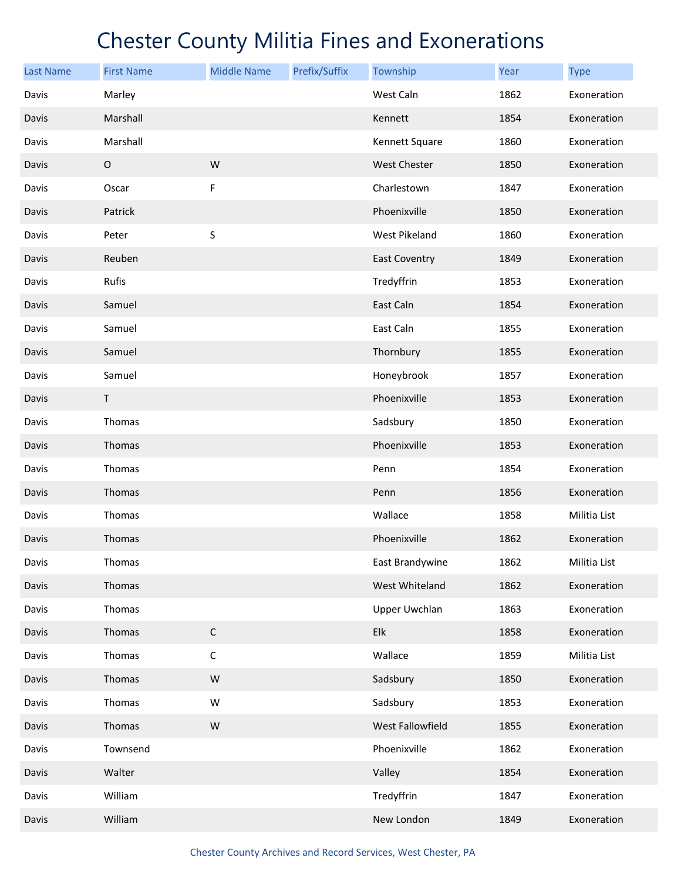| <b>Last Name</b> | <b>First Name</b> | <b>Middle Name</b> | Prefix/Suffix | Township             | Year | <b>Type</b>  |
|------------------|-------------------|--------------------|---------------|----------------------|------|--------------|
| Davis            | Marley            |                    |               | West Caln            | 1862 | Exoneration  |
| Davis            | Marshall          |                    |               | Kennett              | 1854 | Exoneration  |
| Davis            | Marshall          |                    |               | Kennett Square       | 1860 | Exoneration  |
| Davis            | $\mathsf O$       | W                  |               | <b>West Chester</b>  | 1850 | Exoneration  |
| Davis            | Oscar             | F                  |               | Charlestown          | 1847 | Exoneration  |
| Davis            | Patrick           |                    |               | Phoenixville         | 1850 | Exoneration  |
| Davis            | Peter             | S                  |               | West Pikeland        | 1860 | Exoneration  |
| Davis            | Reuben            |                    |               | <b>East Coventry</b> | 1849 | Exoneration  |
| Davis            | Rufis             |                    |               | Tredyffrin           | 1853 | Exoneration  |
| Davis            | Samuel            |                    |               | East Caln            | 1854 | Exoneration  |
| Davis            | Samuel            |                    |               | East Caln            | 1855 | Exoneration  |
| Davis            | Samuel            |                    |               | Thornbury            | 1855 | Exoneration  |
| Davis            | Samuel            |                    |               | Honeybrook           | 1857 | Exoneration  |
| Davis            | $\sf T$           |                    |               | Phoenixville         | 1853 | Exoneration  |
| Davis            | Thomas            |                    |               | Sadsbury             | 1850 | Exoneration  |
| Davis            | Thomas            |                    |               | Phoenixville         | 1853 | Exoneration  |
| Davis            | Thomas            |                    |               | Penn                 | 1854 | Exoneration  |
| Davis            | Thomas            |                    |               | Penn                 | 1856 | Exoneration  |
| Davis            | Thomas            |                    |               | Wallace              | 1858 | Militia List |
| Davis            | Thomas            |                    |               | Phoenixville         | 1862 | Exoneration  |
| Davis            | Thomas            |                    |               | East Brandywine      | 1862 | Militia List |
| Davis            | Thomas            |                    |               | West Whiteland       | 1862 | Exoneration  |
| Davis            | Thomas            |                    |               | <b>Upper Uwchlan</b> | 1863 | Exoneration  |
| Davis            | Thomas            | $\mathsf C$        |               | Elk                  | 1858 | Exoneration  |
| Davis            | Thomas            | $\mathsf C$        |               | Wallace              | 1859 | Militia List |
| Davis            | Thomas            | ${\sf W}$          |               | Sadsbury             | 1850 | Exoneration  |
| Davis            | Thomas            | W                  |               | Sadsbury             | 1853 | Exoneration  |
| Davis            | Thomas            | ${\sf W}$          |               | West Fallowfield     | 1855 | Exoneration  |
| Davis            | Townsend          |                    |               | Phoenixville         | 1862 | Exoneration  |
| Davis            | Walter            |                    |               | Valley               | 1854 | Exoneration  |
| Davis            | William           |                    |               | Tredyffrin           | 1847 | Exoneration  |
| Davis            | William           |                    |               | New London           | 1849 | Exoneration  |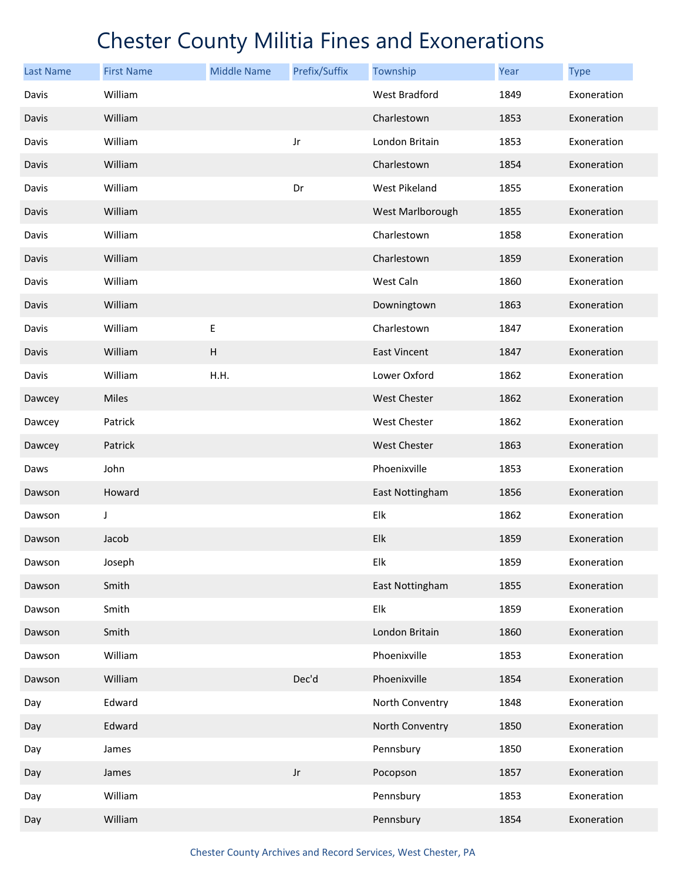| <b>Last Name</b> | <b>First Name</b> | <b>Middle Name</b> | Prefix/Suffix | Township            | Year | <b>Type</b> |
|------------------|-------------------|--------------------|---------------|---------------------|------|-------------|
| Davis            | William           |                    |               | West Bradford       | 1849 | Exoneration |
| Davis            | William           |                    |               | Charlestown         | 1853 | Exoneration |
| Davis            | William           |                    | Jr            | London Britain      | 1853 | Exoneration |
| Davis            | William           |                    |               | Charlestown         | 1854 | Exoneration |
| Davis            | William           |                    | Dr            | West Pikeland       | 1855 | Exoneration |
| Davis            | William           |                    |               | West Marlborough    | 1855 | Exoneration |
| Davis            | William           |                    |               | Charlestown         | 1858 | Exoneration |
| Davis            | William           |                    |               | Charlestown         | 1859 | Exoneration |
| Davis            | William           |                    |               | West Caln           | 1860 | Exoneration |
| Davis            | William           |                    |               | Downingtown         | 1863 | Exoneration |
| Davis            | William           | Ε                  |               | Charlestown         | 1847 | Exoneration |
| Davis            | William           | $\sf H$            |               | <b>East Vincent</b> | 1847 | Exoneration |
| Davis            | William           | H.H.               |               | Lower Oxford        | 1862 | Exoneration |
| Dawcey           | Miles             |                    |               | <b>West Chester</b> | 1862 | Exoneration |
| Dawcey           | Patrick           |                    |               | West Chester        | 1862 | Exoneration |
| Dawcey           | Patrick           |                    |               | <b>West Chester</b> | 1863 | Exoneration |
| Daws             | John              |                    |               | Phoenixville        | 1853 | Exoneration |
| Dawson           | Howard            |                    |               | East Nottingham     | 1856 | Exoneration |
| Dawson           | J                 |                    |               | Elk                 | 1862 | Exoneration |
| Dawson           | Jacob             |                    |               | Elk                 | 1859 | Exoneration |
| Dawson           | Joseph            |                    |               | Elk                 | 1859 | Exoneration |
| Dawson           | Smith             |                    |               | East Nottingham     | 1855 | Exoneration |
| Dawson           | Smith             |                    |               | Elk                 | 1859 | Exoneration |
| Dawson           | Smith             |                    |               | London Britain      | 1860 | Exoneration |
| Dawson           | William           |                    |               | Phoenixville        | 1853 | Exoneration |
| Dawson           | William           |                    | Dec'd         | Phoenixville        | 1854 | Exoneration |
| Day              | Edward            |                    |               | North Conventry     | 1848 | Exoneration |
| Day              | Edward            |                    |               | North Conventry     | 1850 | Exoneration |
| Day              | James             |                    |               | Pennsbury           | 1850 | Exoneration |
| Day              | James             |                    | $_{\rm Jr}$   | Pocopson            | 1857 | Exoneration |
| Day              | William           |                    |               | Pennsbury           | 1853 | Exoneration |
| Day              | William           |                    |               | Pennsbury           | 1854 | Exoneration |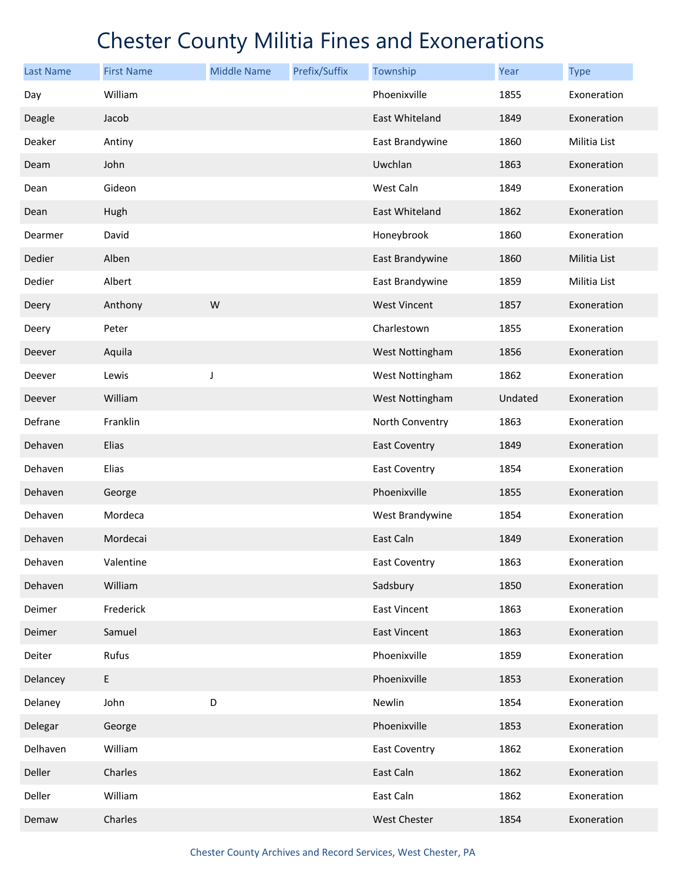| <b>Last Name</b> | <b>First Name</b> | <b>Middle Name</b> | Prefix/Suffix | Township             | Year    | <b>Type</b>  |
|------------------|-------------------|--------------------|---------------|----------------------|---------|--------------|
| Day              | William           |                    |               | Phoenixville         | 1855    | Exoneration  |
| Deagle           | Jacob             |                    |               | East Whiteland       | 1849    | Exoneration  |
| Deaker           | Antiny            |                    |               | East Brandywine      | 1860    | Militia List |
| Deam             | John              |                    |               | Uwchlan              | 1863    | Exoneration  |
| Dean             | Gideon            |                    |               | West Caln            | 1849    | Exoneration  |
| Dean             | Hugh              |                    |               | East Whiteland       | 1862    | Exoneration  |
| Dearmer          | David             |                    |               | Honeybrook           | 1860    | Exoneration  |
| Dedier           | Alben             |                    |               | East Brandywine      | 1860    | Militia List |
| Dedier           | Albert            |                    |               | East Brandywine      | 1859    | Militia List |
| Deery            | Anthony           | W                  |               | <b>West Vincent</b>  | 1857    | Exoneration  |
| Deery            | Peter             |                    |               | Charlestown          | 1855    | Exoneration  |
| Deever           | Aquila            |                    |               | West Nottingham      | 1856    | Exoneration  |
| Deever           | Lewis             | J                  |               | West Nottingham      | 1862    | Exoneration  |
| Deever           | William           |                    |               | West Nottingham      | Undated | Exoneration  |
| Defrane          | Franklin          |                    |               | North Conventry      | 1863    | Exoneration  |
| Dehaven          | Elias             |                    |               | <b>East Coventry</b> | 1849    | Exoneration  |
| Dehaven          | Elias             |                    |               | <b>East Coventry</b> | 1854    | Exoneration  |
| Dehaven          | George            |                    |               | Phoenixville         | 1855    | Exoneration  |
| Dehaven          | Mordeca           |                    |               | West Brandywine      | 1854    | Exoneration  |
| Dehaven          | Mordecai          |                    |               | East Caln            | 1849    | Exoneration  |
| Dehaven          | Valentine         |                    |               | East Coventry        | 1863    | Exoneration  |
| Dehaven          | William           |                    |               | Sadsbury             | 1850    | Exoneration  |
| Deimer           | Frederick         |                    |               | <b>East Vincent</b>  | 1863    | Exoneration  |
| Deimer           | Samuel            |                    |               | <b>East Vincent</b>  | 1863    | Exoneration  |
| Deiter           | Rufus             |                    |               | Phoenixville         | 1859    | Exoneration  |
| Delancey         | E                 |                    |               | Phoenixville         | 1853    | Exoneration  |
| Delaney          | John              | D                  |               | Newlin               | 1854    | Exoneration  |
| Delegar          | George            |                    |               | Phoenixville         | 1853    | Exoneration  |
| Delhaven         | William           |                    |               | <b>East Coventry</b> | 1862    | Exoneration  |
| Deller           | Charles           |                    |               | East Caln            | 1862    | Exoneration  |
| Deller           | William           |                    |               | East Caln            | 1862    | Exoneration  |
| Demaw            | Charles           |                    |               | West Chester         | 1854    | Exoneration  |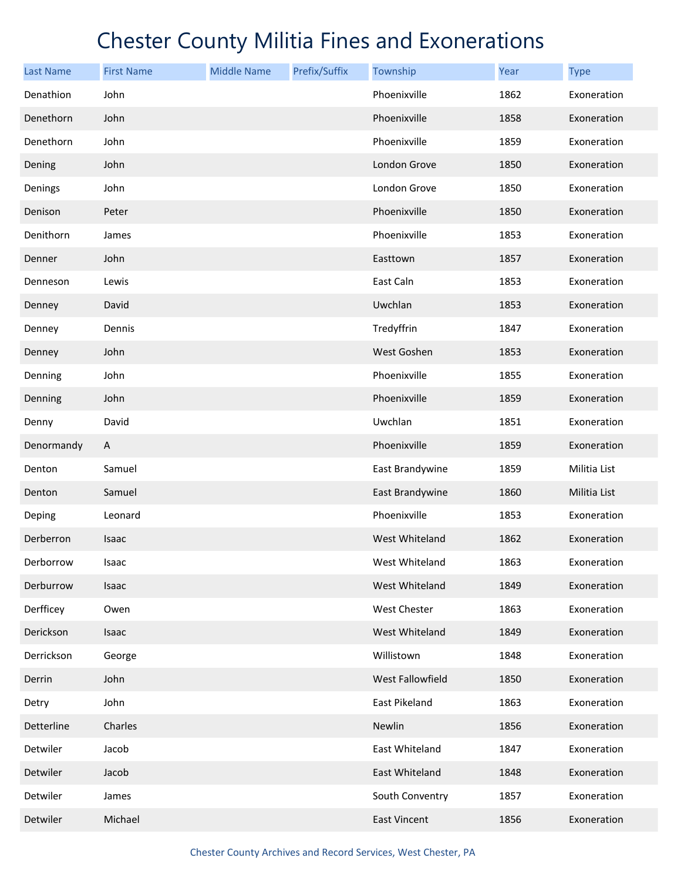| <b>Last Name</b> | <b>First Name</b> | <b>Middle Name</b> | Prefix/Suffix | Township         | Year | <b>Type</b>  |
|------------------|-------------------|--------------------|---------------|------------------|------|--------------|
| Denathion        | John              |                    |               | Phoenixville     | 1862 | Exoneration  |
| Denethorn        | John              |                    |               | Phoenixville     | 1858 | Exoneration  |
| Denethorn        | John              |                    |               | Phoenixville     | 1859 | Exoneration  |
| Dening           | John              |                    |               | London Grove     | 1850 | Exoneration  |
| Denings          | John              |                    |               | London Grove     | 1850 | Exoneration  |
| Denison          | Peter             |                    |               | Phoenixville     | 1850 | Exoneration  |
| Denithorn        | James             |                    |               | Phoenixville     | 1853 | Exoneration  |
| Denner           | John              |                    |               | Easttown         | 1857 | Exoneration  |
| Denneson         | Lewis             |                    |               | East Caln        | 1853 | Exoneration  |
| Denney           | David             |                    |               | Uwchlan          | 1853 | Exoneration  |
| Denney           | Dennis            |                    |               | Tredyffrin       | 1847 | Exoneration  |
| Denney           | John              |                    |               | West Goshen      | 1853 | Exoneration  |
| Denning          | John              |                    |               | Phoenixville     | 1855 | Exoneration  |
| Denning          | John              |                    |               | Phoenixville     | 1859 | Exoneration  |
| Denny            | David             |                    |               | Uwchlan          | 1851 | Exoneration  |
| Denormandy       | A                 |                    |               | Phoenixville     | 1859 | Exoneration  |
| Denton           | Samuel            |                    |               | East Brandywine  | 1859 | Militia List |
| Denton           | Samuel            |                    |               | East Brandywine  | 1860 | Militia List |
| Deping           | Leonard           |                    |               | Phoenixville     | 1853 | Exoneration  |
| Derberron        | Isaac             |                    |               | West Whiteland   | 1862 | Exoneration  |
| Derborrow        | Isaac             |                    |               | West Whiteland   | 1863 | Exoneration  |
| Derburrow        | Isaac             |                    |               | West Whiteland   | 1849 | Exoneration  |
| Derfficey        | Owen              |                    |               | West Chester     | 1863 | Exoneration  |
| Derickson        | Isaac             |                    |               | West Whiteland   | 1849 | Exoneration  |
| Derrickson       | George            |                    |               | Willistown       | 1848 | Exoneration  |
| Derrin           | John              |                    |               | West Fallowfield | 1850 | Exoneration  |
| Detry            | John              |                    |               | East Pikeland    | 1863 | Exoneration  |
| Detterline       | Charles           |                    |               | Newlin           | 1856 | Exoneration  |
| Detwiler         | Jacob             |                    |               | East Whiteland   | 1847 | Exoneration  |
| Detwiler         | Jacob             |                    |               | East Whiteland   | 1848 | Exoneration  |
| Detwiler         | James             |                    |               | South Conventry  | 1857 | Exoneration  |
| Detwiler         | Michael           |                    |               | East Vincent     | 1856 | Exoneration  |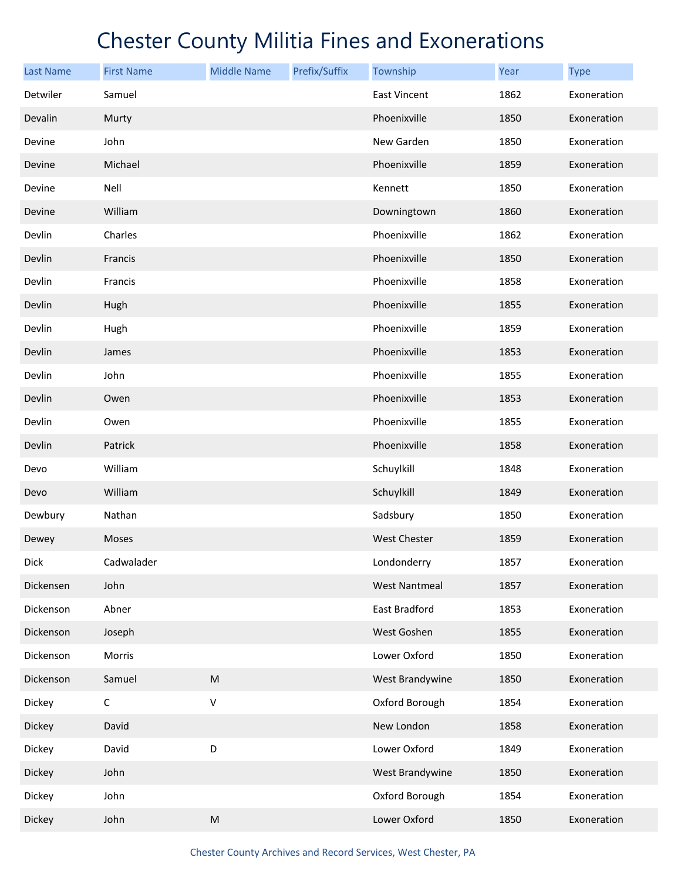| <b>Last Name</b> | <b>First Name</b> | <b>Middle Name</b>                                                                                         | Prefix/Suffix | Township             | Year | <b>Type</b> |
|------------------|-------------------|------------------------------------------------------------------------------------------------------------|---------------|----------------------|------|-------------|
| Detwiler         | Samuel            |                                                                                                            |               | <b>East Vincent</b>  | 1862 | Exoneration |
| Devalin          | Murty             |                                                                                                            |               | Phoenixville         | 1850 | Exoneration |
| Devine           | John              |                                                                                                            |               | New Garden           | 1850 | Exoneration |
| Devine           | Michael           |                                                                                                            |               | Phoenixville         | 1859 | Exoneration |
| Devine           | Nell              |                                                                                                            |               | Kennett              | 1850 | Exoneration |
| Devine           | William           |                                                                                                            |               | Downingtown          | 1860 | Exoneration |
| Devlin           | Charles           |                                                                                                            |               | Phoenixville         | 1862 | Exoneration |
| Devlin           | Francis           |                                                                                                            |               | Phoenixville         | 1850 | Exoneration |
| Devlin           | Francis           |                                                                                                            |               | Phoenixville         | 1858 | Exoneration |
| Devlin           | Hugh              |                                                                                                            |               | Phoenixville         | 1855 | Exoneration |
| Devlin           | Hugh              |                                                                                                            |               | Phoenixville         | 1859 | Exoneration |
| Devlin           | James             |                                                                                                            |               | Phoenixville         | 1853 | Exoneration |
| Devlin           | John              |                                                                                                            |               | Phoenixville         | 1855 | Exoneration |
| Devlin           | Owen              |                                                                                                            |               | Phoenixville         | 1853 | Exoneration |
| Devlin           | Owen              |                                                                                                            |               | Phoenixville         | 1855 | Exoneration |
| Devlin           | Patrick           |                                                                                                            |               | Phoenixville         | 1858 | Exoneration |
| Devo             | William           |                                                                                                            |               | Schuylkill           | 1848 | Exoneration |
| Devo             | William           |                                                                                                            |               | Schuylkill           | 1849 | Exoneration |
| Dewbury          | Nathan            |                                                                                                            |               | Sadsbury             | 1850 | Exoneration |
| Dewey            | Moses             |                                                                                                            |               | <b>West Chester</b>  | 1859 | Exoneration |
| Dick             | Cadwalader        |                                                                                                            |               | Londonderry          | 1857 | Exoneration |
| Dickensen        | John              |                                                                                                            |               | <b>West Nantmeal</b> | 1857 | Exoneration |
| Dickenson        | Abner             |                                                                                                            |               | East Bradford        | 1853 | Exoneration |
| Dickenson        | Joseph            |                                                                                                            |               | West Goshen          | 1855 | Exoneration |
| Dickenson        | Morris            |                                                                                                            |               | Lower Oxford         | 1850 | Exoneration |
| Dickenson        | Samuel            | $\mathsf{M}% _{T}=\mathsf{M}_{T}\!\left( a,b\right) ,\ \mathsf{M}_{T}=\mathsf{M}_{T}\!\left( a,b\right) ,$ |               | West Brandywine      | 1850 | Exoneration |
| Dickey           | $\mathsf C$       | V                                                                                                          |               | Oxford Borough       | 1854 | Exoneration |
| Dickey           | David             |                                                                                                            |               | New London           | 1858 | Exoneration |
| Dickey           | David             | D                                                                                                          |               | Lower Oxford         | 1849 | Exoneration |
| Dickey           | John              |                                                                                                            |               | West Brandywine      | 1850 | Exoneration |
| Dickey           | John              |                                                                                                            |               | Oxford Borough       | 1854 | Exoneration |
| Dickey           | John              | $\mathsf{M}% _{T}=\mathsf{M}_{T}\!\left( a,b\right) ,\ \mathsf{M}_{T}=\mathsf{M}_{T}\!\left( a,b\right) ,$ |               | Lower Oxford         | 1850 | Exoneration |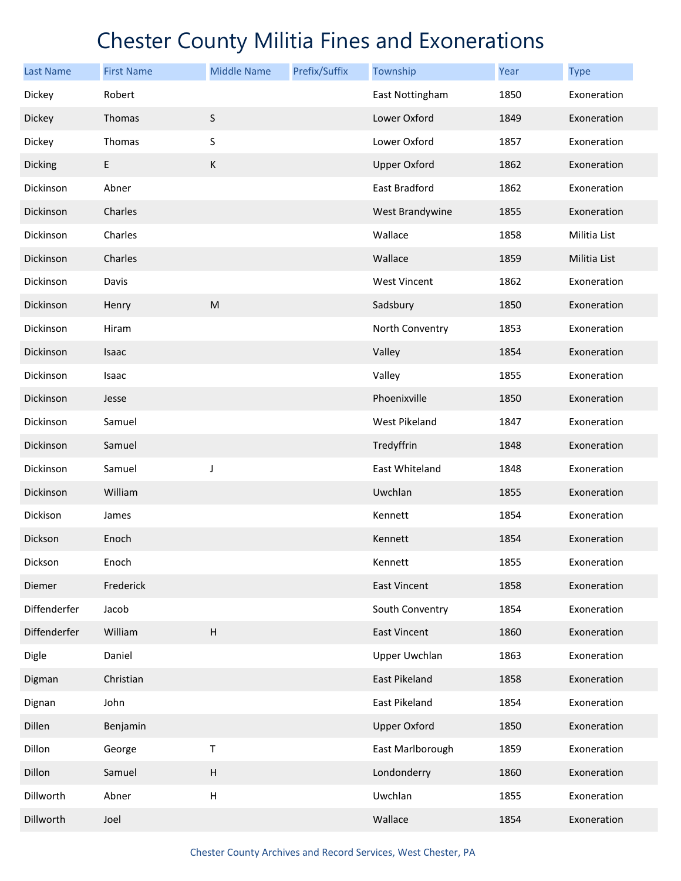| <b>Last Name</b> | <b>First Name</b> | <b>Middle Name</b>        | Prefix/Suffix | Township             | Year | <b>Type</b>  |
|------------------|-------------------|---------------------------|---------------|----------------------|------|--------------|
| Dickey           | Robert            |                           |               | East Nottingham      | 1850 | Exoneration  |
| Dickey           | Thomas            | $\sf S$                   |               | Lower Oxford         | 1849 | Exoneration  |
| Dickey           | Thomas            | S                         |               | Lower Oxford         | 1857 | Exoneration  |
| Dicking          | $\mathsf E$       | K                         |               | <b>Upper Oxford</b>  | 1862 | Exoneration  |
| Dickinson        | Abner             |                           |               | East Bradford        | 1862 | Exoneration  |
| Dickinson        | Charles           |                           |               | West Brandywine      | 1855 | Exoneration  |
| Dickinson        | Charles           |                           |               | Wallace              | 1858 | Militia List |
| Dickinson        | Charles           |                           |               | Wallace              | 1859 | Militia List |
| Dickinson        | Davis             |                           |               | <b>West Vincent</b>  | 1862 | Exoneration  |
| Dickinson        | Henry             | ${\sf M}$                 |               | Sadsbury             | 1850 | Exoneration  |
| Dickinson        | Hiram             |                           |               | North Conventry      | 1853 | Exoneration  |
| Dickinson        | Isaac             |                           |               | Valley               | 1854 | Exoneration  |
| Dickinson        | Isaac             |                           |               | Valley               | 1855 | Exoneration  |
| Dickinson        | Jesse             |                           |               | Phoenixville         | 1850 | Exoneration  |
| Dickinson        | Samuel            |                           |               | West Pikeland        | 1847 | Exoneration  |
| Dickinson        | Samuel            |                           |               | Tredyffrin           | 1848 | Exoneration  |
| Dickinson        | Samuel            | J                         |               | East Whiteland       | 1848 | Exoneration  |
| Dickinson        | William           |                           |               | Uwchlan              | 1855 | Exoneration  |
| Dickison         | James             |                           |               | Kennett              | 1854 | Exoneration  |
| Dickson          | Enoch             |                           |               | Kennett              | 1854 | Exoneration  |
| Dickson          | Enoch             |                           |               | Kennett              | 1855 | Exoneration  |
| Diemer           | Frederick         |                           |               | <b>East Vincent</b>  | 1858 | Exoneration  |
| Diffenderfer     | Jacob             |                           |               | South Conventry      | 1854 | Exoneration  |
| Diffenderfer     | William           | $\overline{H}$            |               | <b>East Vincent</b>  | 1860 | Exoneration  |
| Digle            | Daniel            |                           |               | Upper Uwchlan        | 1863 | Exoneration  |
| Digman           | Christian         |                           |               | <b>East Pikeland</b> | 1858 | Exoneration  |
| Dignan           | John              |                           |               | East Pikeland        | 1854 | Exoneration  |
| Dillen           | Benjamin          |                           |               | <b>Upper Oxford</b>  | 1850 | Exoneration  |
| Dillon           | George            | Τ                         |               | East Marlborough     | 1859 | Exoneration  |
| Dillon           | Samuel            | $\boldsymbol{\mathsf{H}}$ |               | Londonderry          | 1860 | Exoneration  |
| Dillworth        | Abner             | $\boldsymbol{\mathsf{H}}$ |               | Uwchlan              | 1855 | Exoneration  |
| Dillworth        | Joel              |                           |               | Wallace              | 1854 | Exoneration  |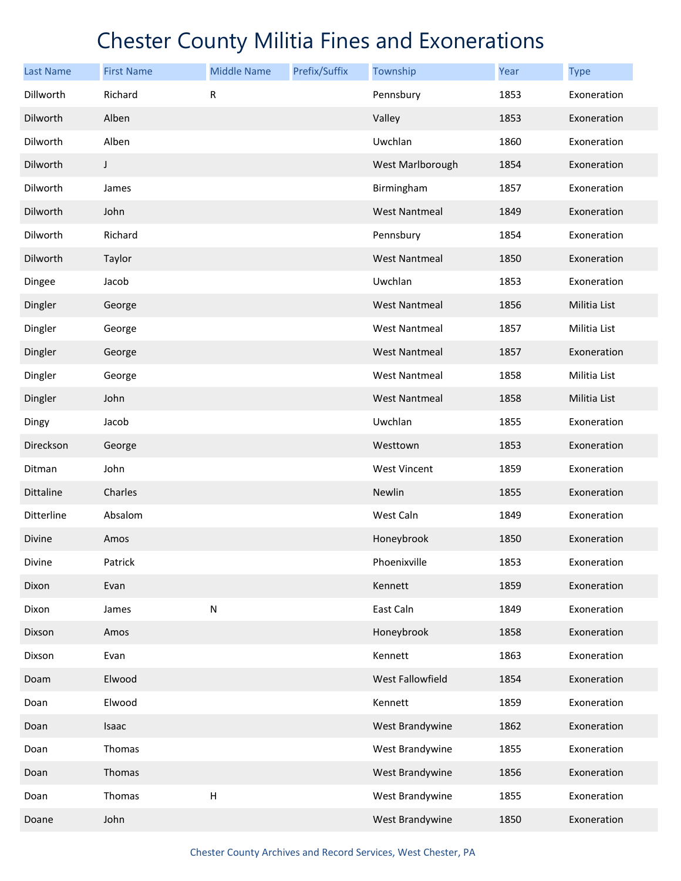| <b>Last Name</b> | <b>First Name</b> | <b>Middle Name</b>        | Prefix/Suffix | Township             | Year | <b>Type</b>  |
|------------------|-------------------|---------------------------|---------------|----------------------|------|--------------|
| Dillworth        | Richard           | ${\sf R}$                 |               | Pennsbury            | 1853 | Exoneration  |
| Dilworth         | Alben             |                           |               | Valley               | 1853 | Exoneration  |
| Dilworth         | Alben             |                           |               | Uwchlan              | 1860 | Exoneration  |
| Dilworth         | $\mathsf J$       |                           |               | West Marlborough     | 1854 | Exoneration  |
| Dilworth         | James             |                           |               | Birmingham           | 1857 | Exoneration  |
| Dilworth         | John              |                           |               | <b>West Nantmeal</b> | 1849 | Exoneration  |
| Dilworth         | Richard           |                           |               | Pennsbury            | 1854 | Exoneration  |
| Dilworth         | Taylor            |                           |               | <b>West Nantmeal</b> | 1850 | Exoneration  |
| Dingee           | Jacob             |                           |               | Uwchlan              | 1853 | Exoneration  |
| Dingler          | George            |                           |               | <b>West Nantmeal</b> | 1856 | Militia List |
| Dingler          | George            |                           |               | <b>West Nantmeal</b> | 1857 | Militia List |
| Dingler          | George            |                           |               | <b>West Nantmeal</b> | 1857 | Exoneration  |
| Dingler          | George            |                           |               | <b>West Nantmeal</b> | 1858 | Militia List |
| Dingler          | John              |                           |               | <b>West Nantmeal</b> | 1858 | Militia List |
| Dingy            | Jacob             |                           |               | Uwchlan              | 1855 | Exoneration  |
| Direckson        | George            |                           |               | Westtown             | 1853 | Exoneration  |
| Ditman           | John              |                           |               | <b>West Vincent</b>  | 1859 | Exoneration  |
| Dittaline        | Charles           |                           |               | Newlin               | 1855 | Exoneration  |
| Ditterline       | Absalom           |                           |               | West Caln            | 1849 | Exoneration  |
| Divine           | Amos              |                           |               | Honeybrook           | 1850 | Exoneration  |
| Divine           | Patrick           |                           |               | Phoenixville         | 1853 | Exoneration  |
| Dixon            | Evan              |                           |               | Kennett              | 1859 | Exoneration  |
| Dixon            | James             | ${\sf N}$                 |               | East Caln            | 1849 | Exoneration  |
| Dixson           | Amos              |                           |               | Honeybrook           | 1858 | Exoneration  |
| Dixson           | Evan              |                           |               | Kennett              | 1863 | Exoneration  |
| Doam             | Elwood            |                           |               | West Fallowfield     | 1854 | Exoneration  |
| Doan             | Elwood            |                           |               | Kennett              | 1859 | Exoneration  |
| Doan             | Isaac             |                           |               | West Brandywine      | 1862 | Exoneration  |
| Doan             | Thomas            |                           |               | West Brandywine      | 1855 | Exoneration  |
| Doan             | Thomas            |                           |               | West Brandywine      | 1856 | Exoneration  |
| Doan             | Thomas            | $\boldsymbol{\mathsf{H}}$ |               | West Brandywine      | 1855 | Exoneration  |
| Doane            | John              |                           |               | West Brandywine      | 1850 | Exoneration  |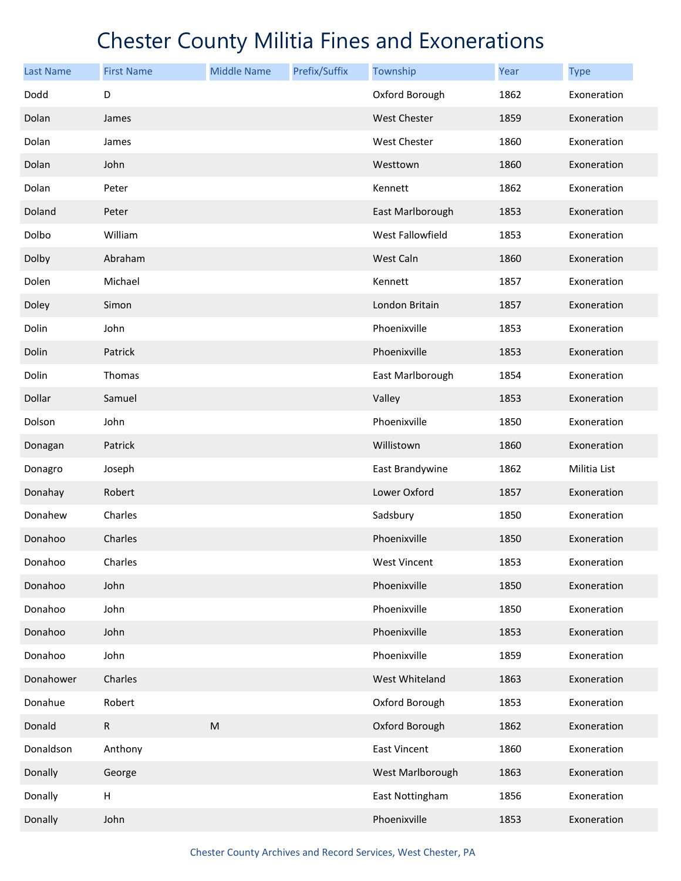| <b>Last Name</b> | <b>First Name</b> | <b>Middle Name</b>                                                                                         | Prefix/Suffix | Township            | Year | <b>Type</b>  |
|------------------|-------------------|------------------------------------------------------------------------------------------------------------|---------------|---------------------|------|--------------|
| Dodd             | D                 |                                                                                                            |               | Oxford Borough      | 1862 | Exoneration  |
| Dolan            | James             |                                                                                                            |               | West Chester        | 1859 | Exoneration  |
| Dolan            | James             |                                                                                                            |               | West Chester        | 1860 | Exoneration  |
| Dolan            | John              |                                                                                                            |               | Westtown            | 1860 | Exoneration  |
| Dolan            | Peter             |                                                                                                            |               | Kennett             | 1862 | Exoneration  |
| Doland           | Peter             |                                                                                                            |               | East Marlborough    | 1853 | Exoneration  |
| Dolbo            | William           |                                                                                                            |               | West Fallowfield    | 1853 | Exoneration  |
| Dolby            | Abraham           |                                                                                                            |               | West Caln           | 1860 | Exoneration  |
| Dolen            | Michael           |                                                                                                            |               | Kennett             | 1857 | Exoneration  |
| Doley            | Simon             |                                                                                                            |               | London Britain      | 1857 | Exoneration  |
| Dolin            | John              |                                                                                                            |               | Phoenixville        | 1853 | Exoneration  |
| Dolin            | Patrick           |                                                                                                            |               | Phoenixville        | 1853 | Exoneration  |
| Dolin            | Thomas            |                                                                                                            |               | East Marlborough    | 1854 | Exoneration  |
| Dollar           | Samuel            |                                                                                                            |               | Valley              | 1853 | Exoneration  |
| Dolson           | John              |                                                                                                            |               | Phoenixville        | 1850 | Exoneration  |
| Donagan          | Patrick           |                                                                                                            |               | Willistown          | 1860 | Exoneration  |
| Donagro          | Joseph            |                                                                                                            |               | East Brandywine     | 1862 | Militia List |
| Donahay          | Robert            |                                                                                                            |               | Lower Oxford        | 1857 | Exoneration  |
| Donahew          | Charles           |                                                                                                            |               | Sadsbury            | 1850 | Exoneration  |
| Donahoo          | Charles           |                                                                                                            |               | Phoenixville        | 1850 | Exoneration  |
| Donahoo          | Charles           |                                                                                                            |               | West Vincent        | 1853 | Exoneration  |
| Donahoo          | John              |                                                                                                            |               | Phoenixville        | 1850 | Exoneration  |
| Donahoo          | John              |                                                                                                            |               | Phoenixville        | 1850 | Exoneration  |
| Donahoo          | John              |                                                                                                            |               | Phoenixville        | 1853 | Exoneration  |
| Donahoo          | John              |                                                                                                            |               | Phoenixville        | 1859 | Exoneration  |
| Donahower        | Charles           |                                                                                                            |               | West Whiteland      | 1863 | Exoneration  |
| Donahue          | Robert            |                                                                                                            |               | Oxford Borough      | 1853 | Exoneration  |
| Donald           | $\mathsf{R}$      | $\mathsf{M}% _{T}=\mathsf{M}_{T}\!\left( a,b\right) ,\ \mathsf{M}_{T}=\mathsf{M}_{T}\!\left( a,b\right) ,$ |               | Oxford Borough      | 1862 | Exoneration  |
| Donaldson        | Anthony           |                                                                                                            |               | <b>East Vincent</b> | 1860 | Exoneration  |
| Donally          | George            |                                                                                                            |               | West Marlborough    | 1863 | Exoneration  |
| Donally          | Н                 |                                                                                                            |               | East Nottingham     | 1856 | Exoneration  |
| Donally          | John              |                                                                                                            |               | Phoenixville        | 1853 | Exoneration  |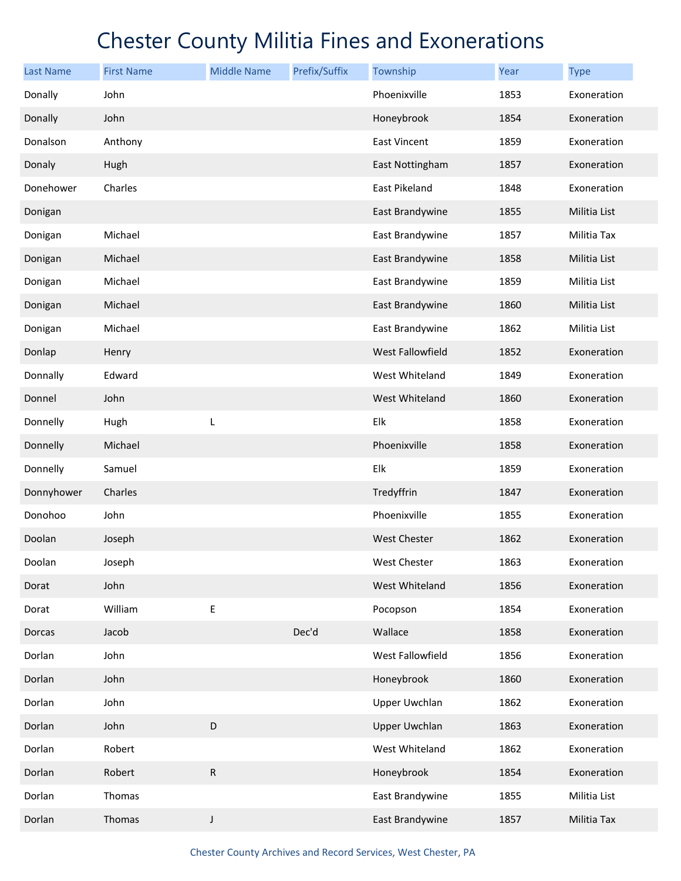| <b>Last Name</b> | <b>First Name</b> | <b>Middle Name</b> | Prefix/Suffix | Township             | Year | <b>Type</b>  |
|------------------|-------------------|--------------------|---------------|----------------------|------|--------------|
| Donally          | John              |                    |               | Phoenixville         | 1853 | Exoneration  |
| Donally          | John              |                    |               | Honeybrook           | 1854 | Exoneration  |
| Donalson         | Anthony           |                    |               | East Vincent         | 1859 | Exoneration  |
| Donaly           | Hugh              |                    |               | East Nottingham      | 1857 | Exoneration  |
| Donehower        | Charles           |                    |               | East Pikeland        | 1848 | Exoneration  |
| Donigan          |                   |                    |               | East Brandywine      | 1855 | Militia List |
| Donigan          | Michael           |                    |               | East Brandywine      | 1857 | Militia Tax  |
| Donigan          | Michael           |                    |               | East Brandywine      | 1858 | Militia List |
| Donigan          | Michael           |                    |               | East Brandywine      | 1859 | Militia List |
| Donigan          | Michael           |                    |               | East Brandywine      | 1860 | Militia List |
| Donigan          | Michael           |                    |               | East Brandywine      | 1862 | Militia List |
| Donlap           | Henry             |                    |               | West Fallowfield     | 1852 | Exoneration  |
| Donnally         | Edward            |                    |               | West Whiteland       | 1849 | Exoneration  |
| Donnel           | John              |                    |               | West Whiteland       | 1860 | Exoneration  |
| Donnelly         | Hugh              | L                  |               | Elk                  | 1858 | Exoneration  |
| Donnelly         | Michael           |                    |               | Phoenixville         | 1858 | Exoneration  |
| Donnelly         | Samuel            |                    |               | Elk                  | 1859 | Exoneration  |
| Donnyhower       | Charles           |                    |               | Tredyffrin           | 1847 | Exoneration  |
| Donohoo          | John              |                    |               | Phoenixville         | 1855 | Exoneration  |
| Doolan           | Joseph            |                    |               | West Chester         | 1862 | Exoneration  |
| Doolan           | Joseph            |                    |               | West Chester         | 1863 | Exoneration  |
| Dorat            | John              |                    |               | West Whiteland       | 1856 | Exoneration  |
| Dorat            | William           | Е                  |               | Pocopson             | 1854 | Exoneration  |
| Dorcas           | Jacob             |                    | Dec'd         | Wallace              | 1858 | Exoneration  |
| Dorlan           | John              |                    |               | West Fallowfield     | 1856 | Exoneration  |
| Dorlan           | John              |                    |               | Honeybrook           | 1860 | Exoneration  |
| Dorlan           | John              |                    |               | <b>Upper Uwchlan</b> | 1862 | Exoneration  |
| Dorlan           | John              | D                  |               | <b>Upper Uwchlan</b> | 1863 | Exoneration  |
| Dorlan           | Robert            |                    |               | West Whiteland       | 1862 | Exoneration  |
| Dorlan           | Robert            | ${\sf R}$          |               | Honeybrook           | 1854 | Exoneration  |
| Dorlan           | Thomas            |                    |               | East Brandywine      | 1855 | Militia List |
| Dorlan           | Thomas            | J                  |               | East Brandywine      | 1857 | Militia Tax  |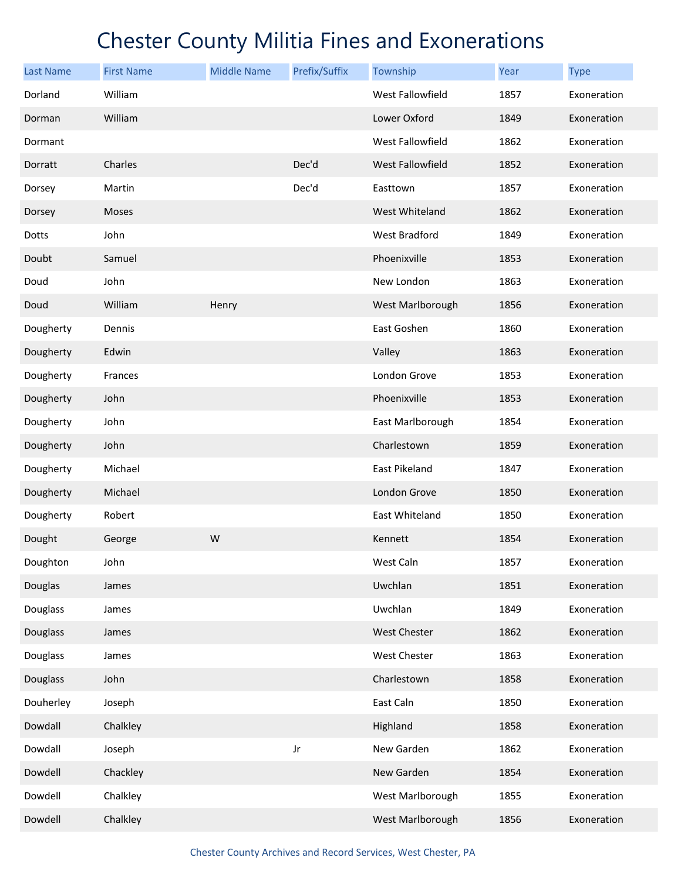| <b>Last Name</b> | <b>First Name</b> | <b>Middle Name</b> | Prefix/Suffix | Township              | Year | <b>Type</b> |
|------------------|-------------------|--------------------|---------------|-----------------------|------|-------------|
| Dorland          | William           |                    |               | West Fallowfield      | 1857 | Exoneration |
| Dorman           | William           |                    |               | Lower Oxford          | 1849 | Exoneration |
| Dormant          |                   |                    |               | West Fallowfield      | 1862 | Exoneration |
| Dorratt          | Charles           |                    | Dec'd         | West Fallowfield      | 1852 | Exoneration |
| Dorsey           | Martin            |                    | Dec'd         | Easttown              | 1857 | Exoneration |
| Dorsey           | Moses             |                    |               | West Whiteland        | 1862 | Exoneration |
| Dotts            | John              |                    |               | West Bradford         | 1849 | Exoneration |
| Doubt            | Samuel            |                    |               | Phoenixville          | 1853 | Exoneration |
| Doud             | John              |                    |               | New London            | 1863 | Exoneration |
| Doud             | William           | Henry              |               | West Marlborough      | 1856 | Exoneration |
| Dougherty        | Dennis            |                    |               | East Goshen           | 1860 | Exoneration |
| Dougherty        | Edwin             |                    |               | Valley                | 1863 | Exoneration |
| Dougherty        | Frances           |                    |               | London Grove          | 1853 | Exoneration |
| Dougherty        | John              |                    |               | Phoenixville          | 1853 | Exoneration |
| Dougherty        | John              |                    |               | East Marlborough      | 1854 | Exoneration |
| Dougherty        | John              |                    |               | Charlestown           | 1859 | Exoneration |
| Dougherty        | Michael           |                    |               | East Pikeland         | 1847 | Exoneration |
| Dougherty        | Michael           |                    |               | London Grove          | 1850 | Exoneration |
| Dougherty        | Robert            |                    |               | <b>East Whiteland</b> | 1850 | Exoneration |
| Dought           | George            | W                  |               | Kennett               | 1854 | Exoneration |
| Doughton         | John              |                    |               | West Caln             | 1857 | Exoneration |
| Douglas          | James             |                    |               | Uwchlan               | 1851 | Exoneration |
| Douglass         | James             |                    |               | Uwchlan               | 1849 | Exoneration |
| Douglass         | James             |                    |               | <b>West Chester</b>   | 1862 | Exoneration |
| Douglass         | James             |                    |               | West Chester          | 1863 | Exoneration |
| Douglass         | John              |                    |               | Charlestown           | 1858 | Exoneration |
| Douherley        | Joseph            |                    |               | East Caln             | 1850 | Exoneration |
| Dowdall          | Chalkley          |                    |               | Highland              | 1858 | Exoneration |
| Dowdall          | Joseph            |                    | Jr            | New Garden            | 1862 | Exoneration |
| Dowdell          | Chackley          |                    |               | New Garden            | 1854 | Exoneration |
| Dowdell          | Chalkley          |                    |               | West Marlborough      | 1855 | Exoneration |
| Dowdell          | Chalkley          |                    |               | West Marlborough      | 1856 | Exoneration |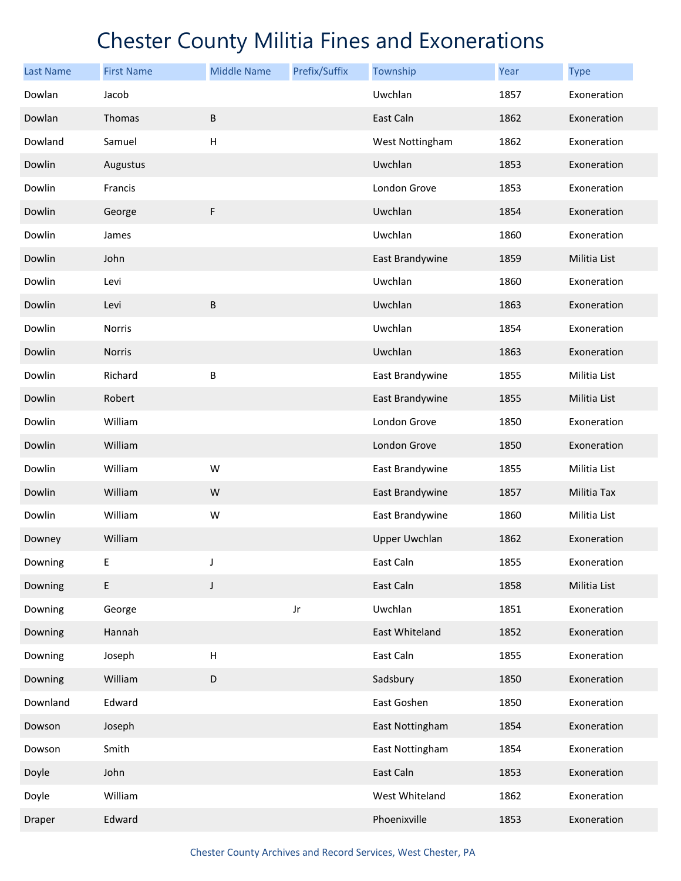| <b>Last Name</b> | <b>First Name</b> | <b>Middle Name</b>        | Prefix/Suffix | Township             | Year | <b>Type</b>  |
|------------------|-------------------|---------------------------|---------------|----------------------|------|--------------|
| Dowlan           | Jacob             |                           |               | Uwchlan              | 1857 | Exoneration  |
| Dowlan           | Thomas            | B                         |               | East Caln            | 1862 | Exoneration  |
| Dowland          | Samuel            | $\boldsymbol{\mathsf{H}}$ |               | West Nottingham      | 1862 | Exoneration  |
| Dowlin           | Augustus          |                           |               | Uwchlan              | 1853 | Exoneration  |
| Dowlin           | Francis           |                           |               | London Grove         | 1853 | Exoneration  |
| Dowlin           | George            | F                         |               | Uwchlan              | 1854 | Exoneration  |
| Dowlin           | James             |                           |               | Uwchlan              | 1860 | Exoneration  |
| Dowlin           | John              |                           |               | East Brandywine      | 1859 | Militia List |
| Dowlin           | Levi              |                           |               | Uwchlan              | 1860 | Exoneration  |
| Dowlin           | Levi              | $\sf B$                   |               | Uwchlan              | 1863 | Exoneration  |
| Dowlin           | <b>Norris</b>     |                           |               | Uwchlan              | 1854 | Exoneration  |
| Dowlin           | Norris            |                           |               | Uwchlan              | 1863 | Exoneration  |
| Dowlin           | Richard           | B                         |               | East Brandywine      | 1855 | Militia List |
| Dowlin           | Robert            |                           |               | East Brandywine      | 1855 | Militia List |
| Dowlin           | William           |                           |               | London Grove         | 1850 | Exoneration  |
| Dowlin           | William           |                           |               | London Grove         | 1850 | Exoneration  |
| Dowlin           | William           | W                         |               | East Brandywine      | 1855 | Militia List |
| Dowlin           | William           | W                         |               | East Brandywine      | 1857 | Militia Tax  |
| Dowlin           | William           | W                         |               | East Brandywine      | 1860 | Militia List |
| Downey           | William           |                           |               | <b>Upper Uwchlan</b> | 1862 | Exoneration  |
| Downing          | E                 |                           |               | East Caln            | 1855 | Exoneration  |
| Downing          | E                 | $\mathsf J$               |               | East Caln            | 1858 | Militia List |
| Downing          | George            |                           | Jr            | Uwchlan              | 1851 | Exoneration  |
| Downing          | Hannah            |                           |               | East Whiteland       | 1852 | Exoneration  |
| Downing          | Joseph            | $\sf H$                   |               | East Caln            | 1855 | Exoneration  |
| Downing          | William           | D                         |               | Sadsbury             | 1850 | Exoneration  |
| Downland         | Edward            |                           |               | East Goshen          | 1850 | Exoneration  |
| Dowson           | Joseph            |                           |               | East Nottingham      | 1854 | Exoneration  |
| Dowson           | Smith             |                           |               | East Nottingham      | 1854 | Exoneration  |
| Doyle            | John              |                           |               | East Caln            | 1853 | Exoneration  |
| Doyle            | William           |                           |               | West Whiteland       | 1862 | Exoneration  |
| Draper           | Edward            |                           |               | Phoenixville         | 1853 | Exoneration  |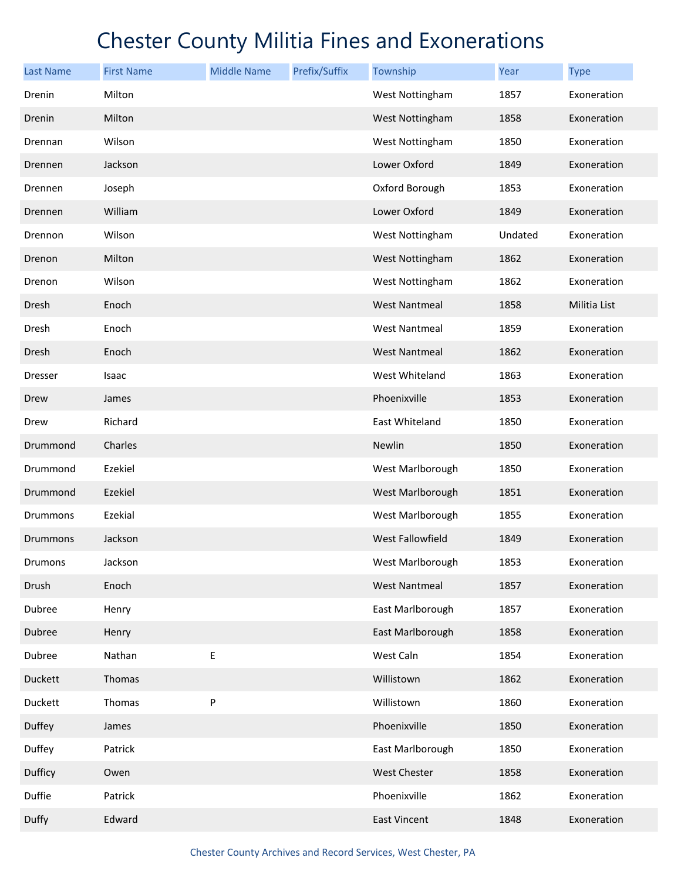| <b>Last Name</b> | <b>First Name</b> | <b>Middle Name</b> | Prefix/Suffix | Township             | Year    | <b>Type</b>  |
|------------------|-------------------|--------------------|---------------|----------------------|---------|--------------|
| Drenin           | Milton            |                    |               | West Nottingham      | 1857    | Exoneration  |
| Drenin           | Milton            |                    |               | West Nottingham      | 1858    | Exoneration  |
| Drennan          | Wilson            |                    |               | West Nottingham      | 1850    | Exoneration  |
| Drennen          | Jackson           |                    |               | Lower Oxford         | 1849    | Exoneration  |
| Drennen          | Joseph            |                    |               | Oxford Borough       | 1853    | Exoneration  |
| Drennen          | William           |                    |               | Lower Oxford         | 1849    | Exoneration  |
| Drennon          | Wilson            |                    |               | West Nottingham      | Undated | Exoneration  |
| Drenon           | Milton            |                    |               | West Nottingham      | 1862    | Exoneration  |
| Drenon           | Wilson            |                    |               | West Nottingham      | 1862    | Exoneration  |
| Dresh            | Enoch             |                    |               | <b>West Nantmeal</b> | 1858    | Militia List |
| Dresh            | Enoch             |                    |               | <b>West Nantmeal</b> | 1859    | Exoneration  |
| Dresh            | Enoch             |                    |               | <b>West Nantmeal</b> | 1862    | Exoneration  |
| <b>Dresser</b>   | Isaac             |                    |               | West Whiteland       | 1863    | Exoneration  |
| Drew             | James             |                    |               | Phoenixville         | 1853    | Exoneration  |
| Drew             | Richard           |                    |               | East Whiteland       | 1850    | Exoneration  |
| Drummond         | Charles           |                    |               | Newlin               | 1850    | Exoneration  |
| Drummond         | Ezekiel           |                    |               | West Marlborough     | 1850    | Exoneration  |
| Drummond         | Ezekiel           |                    |               | West Marlborough     | 1851    | Exoneration  |
| Drummons         | Ezekial           |                    |               | West Marlborough     | 1855    | Exoneration  |
| Drummons         | Jackson           |                    |               | West Fallowfield     | 1849    | Exoneration  |
| Drumons          | Jackson           |                    |               | West Marlborough     | 1853    | Exoneration  |
| Drush            | Enoch             |                    |               | <b>West Nantmeal</b> | 1857    | Exoneration  |
| Dubree           | Henry             |                    |               | East Marlborough     | 1857    | Exoneration  |
| Dubree           | Henry             |                    |               | East Marlborough     | 1858    | Exoneration  |
| Dubree           | Nathan            | $\sf E$            |               | West Caln            | 1854    | Exoneration  |
| Duckett          | Thomas            |                    |               | Willistown           | 1862    | Exoneration  |
| Duckett          | Thomas            | P                  |               | Willistown           | 1860    | Exoneration  |
| Duffey           | James             |                    |               | Phoenixville         | 1850    | Exoneration  |
| Duffey           | Patrick           |                    |               | East Marlborough     | 1850    | Exoneration  |
| Dufficy          | Owen              |                    |               | <b>West Chester</b>  | 1858    | Exoneration  |
| Duffie           | Patrick           |                    |               | Phoenixville         | 1862    | Exoneration  |
| Duffy            | Edward            |                    |               | East Vincent         | 1848    | Exoneration  |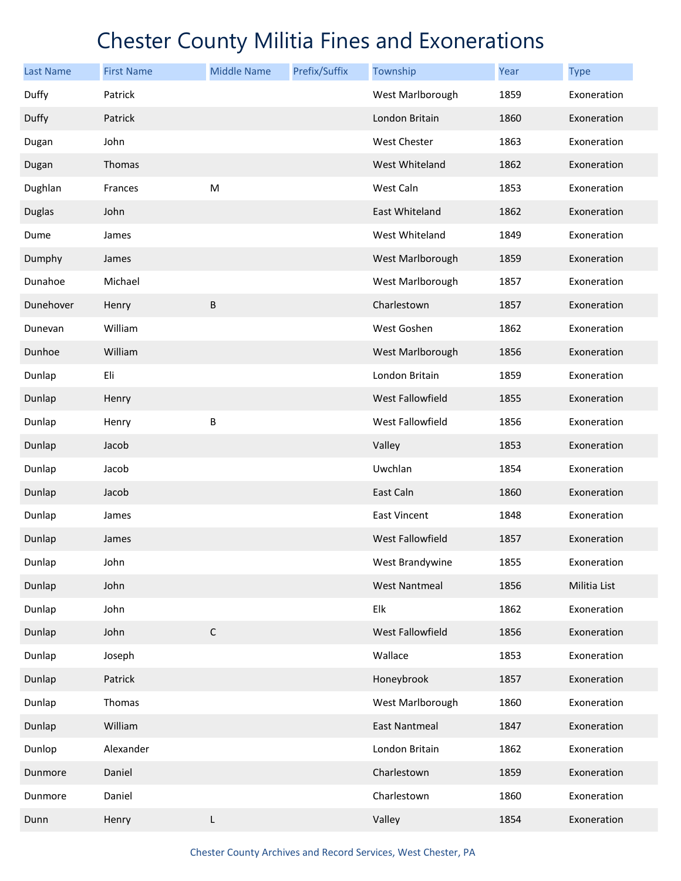| <b>Last Name</b> | <b>First Name</b> | <b>Middle Name</b> | Prefix/Suffix | Township             | Year | <b>Type</b>  |
|------------------|-------------------|--------------------|---------------|----------------------|------|--------------|
| Duffy            | Patrick           |                    |               | West Marlborough     | 1859 | Exoneration  |
| Duffy            | Patrick           |                    |               | London Britain       | 1860 | Exoneration  |
| Dugan            | John              |                    |               | West Chester         | 1863 | Exoneration  |
| Dugan            | Thomas            |                    |               | West Whiteland       | 1862 | Exoneration  |
| Dughlan          | Frances           | M                  |               | West Caln            | 1853 | Exoneration  |
| <b>Duglas</b>    | John              |                    |               | East Whiteland       | 1862 | Exoneration  |
| Dume             | James             |                    |               | West Whiteland       | 1849 | Exoneration  |
| Dumphy           | James             |                    |               | West Marlborough     | 1859 | Exoneration  |
| Dunahoe          | Michael           |                    |               | West Marlborough     | 1857 | Exoneration  |
| Dunehover        | Henry             | B                  |               | Charlestown          | 1857 | Exoneration  |
| Dunevan          | William           |                    |               | West Goshen          | 1862 | Exoneration  |
| Dunhoe           | William           |                    |               | West Marlborough     | 1856 | Exoneration  |
| Dunlap           | Eli               |                    |               | London Britain       | 1859 | Exoneration  |
| Dunlap           | Henry             |                    |               | West Fallowfield     | 1855 | Exoneration  |
| Dunlap           | Henry             | B                  |               | West Fallowfield     | 1856 | Exoneration  |
| Dunlap           | Jacob             |                    |               | Valley               | 1853 | Exoneration  |
| Dunlap           | Jacob             |                    |               | Uwchlan              | 1854 | Exoneration  |
| Dunlap           | Jacob             |                    |               | East Caln            | 1860 | Exoneration  |
| Dunlap           | James             |                    |               | East Vincent         | 1848 | Exoneration  |
| Dunlap           | James             |                    |               | West Fallowfield     | 1857 | Exoneration  |
| Dunlap           | John              |                    |               | West Brandywine      | 1855 | Exoneration  |
| Dunlap           | John              |                    |               | <b>West Nantmeal</b> | 1856 | Militia List |
| Dunlap           | John              |                    |               | Elk                  | 1862 | Exoneration  |
| Dunlap           | John              | $\mathsf C$        |               | West Fallowfield     | 1856 | Exoneration  |
| Dunlap           | Joseph            |                    |               | Wallace              | 1853 | Exoneration  |
| Dunlap           | Patrick           |                    |               | Honeybrook           | 1857 | Exoneration  |
| Dunlap           | Thomas            |                    |               | West Marlborough     | 1860 | Exoneration  |
| Dunlap           | William           |                    |               | <b>East Nantmeal</b> | 1847 | Exoneration  |
| Dunlop           | Alexander         |                    |               | London Britain       | 1862 | Exoneration  |
| Dunmore          | Daniel            |                    |               | Charlestown          | 1859 | Exoneration  |
| Dunmore          | Daniel            |                    |               | Charlestown          | 1860 | Exoneration  |
| Dunn             | Henry             | L                  |               | Valley               | 1854 | Exoneration  |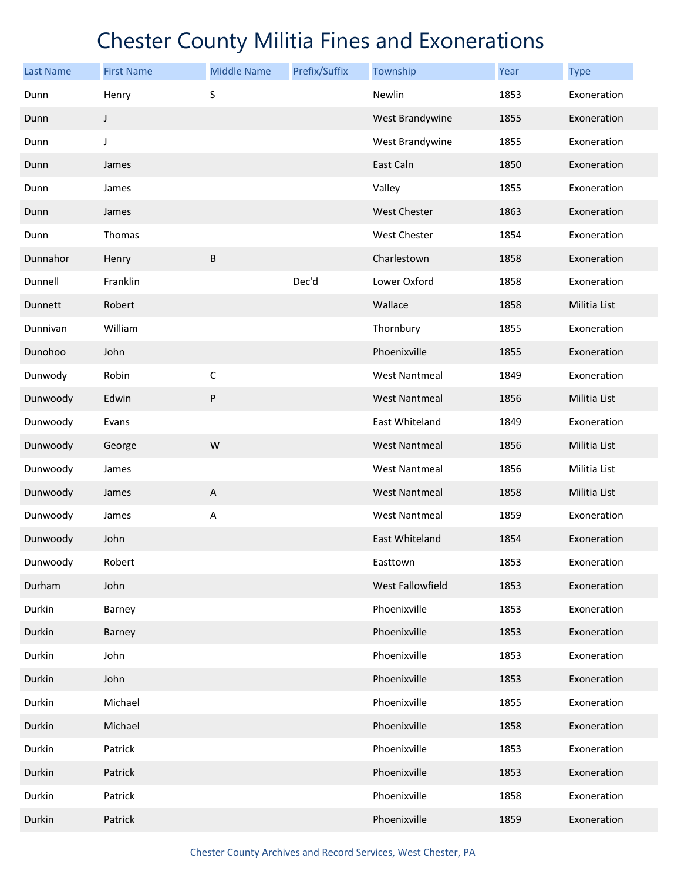| <b>Last Name</b> | <b>First Name</b> | <b>Middle Name</b>        | Prefix/Suffix | Township             | <b>Year</b> | <b>Type</b>  |
|------------------|-------------------|---------------------------|---------------|----------------------|-------------|--------------|
| Dunn             | Henry             | S                         |               | Newlin               | 1853        | Exoneration  |
| Dunn             | J                 |                           |               | West Brandywine      | 1855        | Exoneration  |
| Dunn             | J                 |                           |               | West Brandywine      | 1855        | Exoneration  |
| Dunn             | James             |                           |               | East Caln            | 1850        | Exoneration  |
| Dunn             | James             |                           |               | Valley               | 1855        | Exoneration  |
| Dunn             | James             |                           |               | <b>West Chester</b>  | 1863        | Exoneration  |
| Dunn             | Thomas            |                           |               | West Chester         | 1854        | Exoneration  |
| Dunnahor         | Henry             | B                         |               | Charlestown          | 1858        | Exoneration  |
| Dunnell          | Franklin          |                           | Dec'd         | Lower Oxford         | 1858        | Exoneration  |
| Dunnett          | Robert            |                           |               | Wallace              | 1858        | Militia List |
| Dunnivan         | William           |                           |               | Thornbury            | 1855        | Exoneration  |
| Dunohoo          | John              |                           |               | Phoenixville         | 1855        | Exoneration  |
| Dunwody          | Robin             | $\mathsf C$               |               | <b>West Nantmeal</b> | 1849        | Exoneration  |
| Dunwoody         | Edwin             | ${\sf P}$                 |               | <b>West Nantmeal</b> | 1856        | Militia List |
| Dunwoody         | Evans             |                           |               | East Whiteland       | 1849        | Exoneration  |
| Dunwoody         | George            | ${\sf W}$                 |               | <b>West Nantmeal</b> | 1856        | Militia List |
| Dunwoody         | James             |                           |               | <b>West Nantmeal</b> | 1856        | Militia List |
| Dunwoody         | James             | $\boldsymbol{\mathsf{A}}$ |               | <b>West Nantmeal</b> | 1858        | Militia List |
| Dunwoody         | James             | A                         |               | <b>West Nantmeal</b> | 1859        | Exoneration  |
| Dunwoody         | John              |                           |               | East Whiteland       | 1854        | Exoneration  |
| Dunwoody         | Robert            |                           |               | Easttown             | 1853        | Exoneration  |
| Durham           | John              |                           |               | West Fallowfield     | 1853        | Exoneration  |
| Durkin           | Barney            |                           |               | Phoenixville         | 1853        | Exoneration  |
| Durkin           | Barney            |                           |               | Phoenixville         | 1853        | Exoneration  |
| Durkin           | John              |                           |               | Phoenixville         | 1853        | Exoneration  |
| Durkin           | John              |                           |               | Phoenixville         | 1853        | Exoneration  |
| Durkin           | Michael           |                           |               | Phoenixville         | 1855        | Exoneration  |
| Durkin           | Michael           |                           |               | Phoenixville         | 1858        | Exoneration  |
| Durkin           | Patrick           |                           |               | Phoenixville         | 1853        | Exoneration  |
| Durkin           | Patrick           |                           |               | Phoenixville         | 1853        | Exoneration  |
| Durkin           | Patrick           |                           |               | Phoenixville         | 1858        | Exoneration  |
| Durkin           | Patrick           |                           |               | Phoenixville         | 1859        | Exoneration  |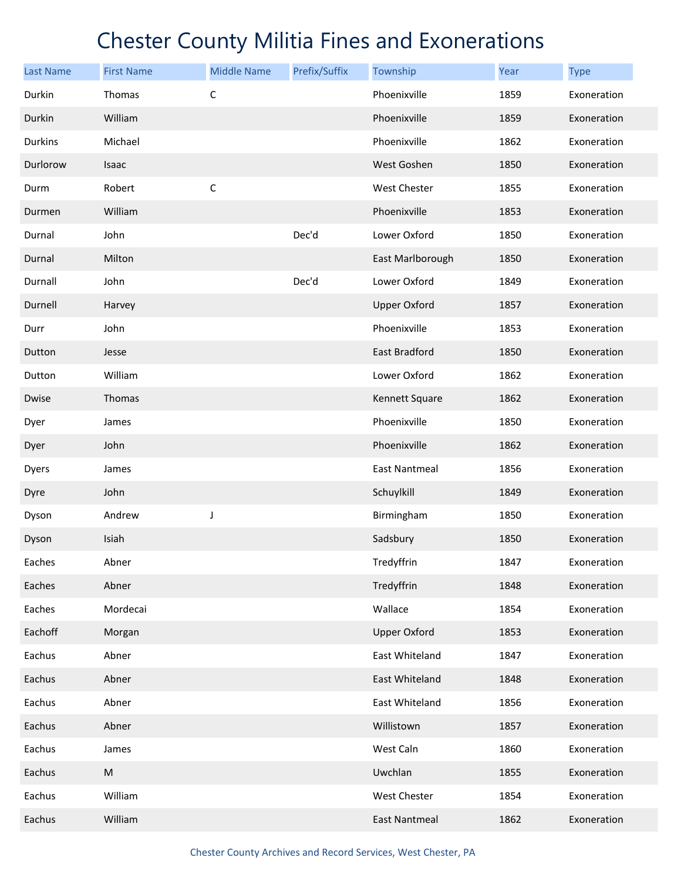| <b>Last Name</b> | <b>First Name</b> | <b>Middle Name</b> | Prefix/Suffix | Township             | Year | <b>Type</b> |
|------------------|-------------------|--------------------|---------------|----------------------|------|-------------|
| Durkin           | Thomas            | $\mathsf{C}$       |               | Phoenixville         | 1859 | Exoneration |
| Durkin           | William           |                    |               | Phoenixville         | 1859 | Exoneration |
| <b>Durkins</b>   | Michael           |                    |               | Phoenixville         | 1862 | Exoneration |
| Durlorow         | Isaac             |                    |               | West Goshen          | 1850 | Exoneration |
| Durm             | Robert            | $\mathsf{C}$       |               | West Chester         | 1855 | Exoneration |
| Durmen           | William           |                    |               | Phoenixville         | 1853 | Exoneration |
| Durnal           | John              |                    | Dec'd         | Lower Oxford         | 1850 | Exoneration |
| Durnal           | Milton            |                    |               | East Marlborough     | 1850 | Exoneration |
| Durnall          | John              |                    | Dec'd         | Lower Oxford         | 1849 | Exoneration |
| Durnell          | Harvey            |                    |               | <b>Upper Oxford</b>  | 1857 | Exoneration |
| Durr             | John              |                    |               | Phoenixville         | 1853 | Exoneration |
| Dutton           | Jesse             |                    |               | East Bradford        | 1850 | Exoneration |
| Dutton           | William           |                    |               | Lower Oxford         | 1862 | Exoneration |
| Dwise            | Thomas            |                    |               | Kennett Square       | 1862 | Exoneration |
| Dyer             | James             |                    |               | Phoenixville         | 1850 | Exoneration |
| Dyer             | John              |                    |               | Phoenixville         | 1862 | Exoneration |
| Dyers            | James             |                    |               | <b>East Nantmeal</b> | 1856 | Exoneration |
| Dyre             | John              |                    |               | Schuylkill           | 1849 | Exoneration |
| Dyson            | Andrew            | J                  |               | Birmingham           | 1850 | Exoneration |
| Dyson            | Isiah             |                    |               | Sadsbury             | 1850 | Exoneration |
| Eaches           | Abner             |                    |               | Tredyffrin           | 1847 | Exoneration |
| Eaches           | Abner             |                    |               | Tredyffrin           | 1848 | Exoneration |
| Eaches           | Mordecai          |                    |               | Wallace              | 1854 | Exoneration |
| Eachoff          | Morgan            |                    |               | <b>Upper Oxford</b>  | 1853 | Exoneration |
| Eachus           | Abner             |                    |               | East Whiteland       | 1847 | Exoneration |
| Eachus           | Abner             |                    |               | East Whiteland       | 1848 | Exoneration |
| Eachus           | Abner             |                    |               | East Whiteland       | 1856 | Exoneration |
| Eachus           | Abner             |                    |               | Willistown           | 1857 | Exoneration |
| Eachus           | James             |                    |               | West Caln            | 1860 | Exoneration |
| Eachus           | M                 |                    |               | Uwchlan              | 1855 | Exoneration |
| Eachus           | William           |                    |               | West Chester         | 1854 | Exoneration |
| Eachus           | William           |                    |               | <b>East Nantmeal</b> | 1862 | Exoneration |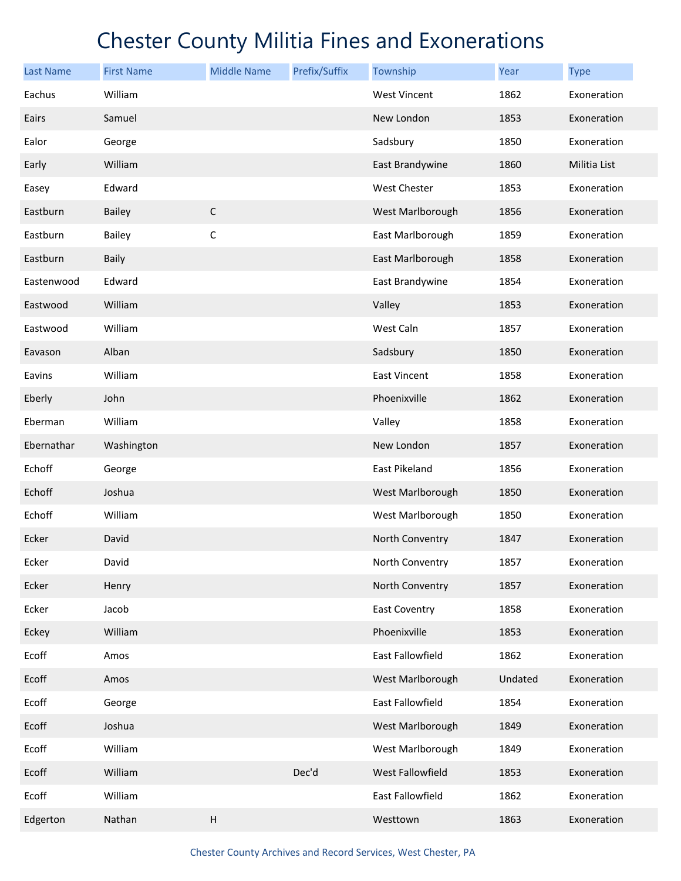| <b>Last Name</b> | <b>First Name</b> | <b>Middle Name</b> | Prefix/Suffix | Township             | Year    | <b>Type</b>  |
|------------------|-------------------|--------------------|---------------|----------------------|---------|--------------|
| Eachus           | William           |                    |               | <b>West Vincent</b>  | 1862    | Exoneration  |
| Eairs            | Samuel            |                    |               | New London           | 1853    | Exoneration  |
| Ealor            | George            |                    |               | Sadsbury             | 1850    | Exoneration  |
| Early            | William           |                    |               | East Brandywine      | 1860    | Militia List |
| Easey            | Edward            |                    |               | West Chester         | 1853    | Exoneration  |
| Eastburn         | <b>Bailey</b>     | $\mathsf C$        |               | West Marlborough     | 1856    | Exoneration  |
| Eastburn         | <b>Bailey</b>     | C                  |               | East Marlborough     | 1859    | Exoneration  |
| Eastburn         | <b>Baily</b>      |                    |               | East Marlborough     | 1858    | Exoneration  |
| Eastenwood       | Edward            |                    |               | East Brandywine      | 1854    | Exoneration  |
| Eastwood         | William           |                    |               | Valley               | 1853    | Exoneration  |
| Eastwood         | William           |                    |               | West Caln            | 1857    | Exoneration  |
| Eavason          | Alban             |                    |               | Sadsbury             | 1850    | Exoneration  |
| Eavins           | William           |                    |               | <b>East Vincent</b>  | 1858    | Exoneration  |
| Eberly           | John              |                    |               | Phoenixville         | 1862    | Exoneration  |
| Eberman          | William           |                    |               | Valley               | 1858    | Exoneration  |
| Ebernathar       | Washington        |                    |               | New London           | 1857    | Exoneration  |
| Echoff           | George            |                    |               | East Pikeland        | 1856    | Exoneration  |
| Echoff           | Joshua            |                    |               | West Marlborough     | 1850    | Exoneration  |
| Echoff           | William           |                    |               | West Marlborough     | 1850    | Exoneration  |
| Ecker            | David             |                    |               | North Conventry      | 1847    | Exoneration  |
| Ecker            | David             |                    |               | North Conventry      | 1857    | Exoneration  |
| Ecker            | Henry             |                    |               | North Conventry      | 1857    | Exoneration  |
| Ecker            | Jacob             |                    |               | <b>East Coventry</b> | 1858    | Exoneration  |
| Eckey            | William           |                    |               | Phoenixville         | 1853    | Exoneration  |
| Ecoff            | Amos              |                    |               | East Fallowfield     | 1862    | Exoneration  |
| Ecoff            | Amos              |                    |               | West Marlborough     | Undated | Exoneration  |
| Ecoff            | George            |                    |               | East Fallowfield     | 1854    | Exoneration  |
| Ecoff            | Joshua            |                    |               | West Marlborough     | 1849    | Exoneration  |
| Ecoff            | William           |                    |               | West Marlborough     | 1849    | Exoneration  |
| Ecoff            | William           |                    | Dec'd         | West Fallowfield     | 1853    | Exoneration  |
| Ecoff            | William           |                    |               | East Fallowfield     | 1862    | Exoneration  |
| Edgerton         | Nathan            | Н                  |               | Westtown             | 1863    | Exoneration  |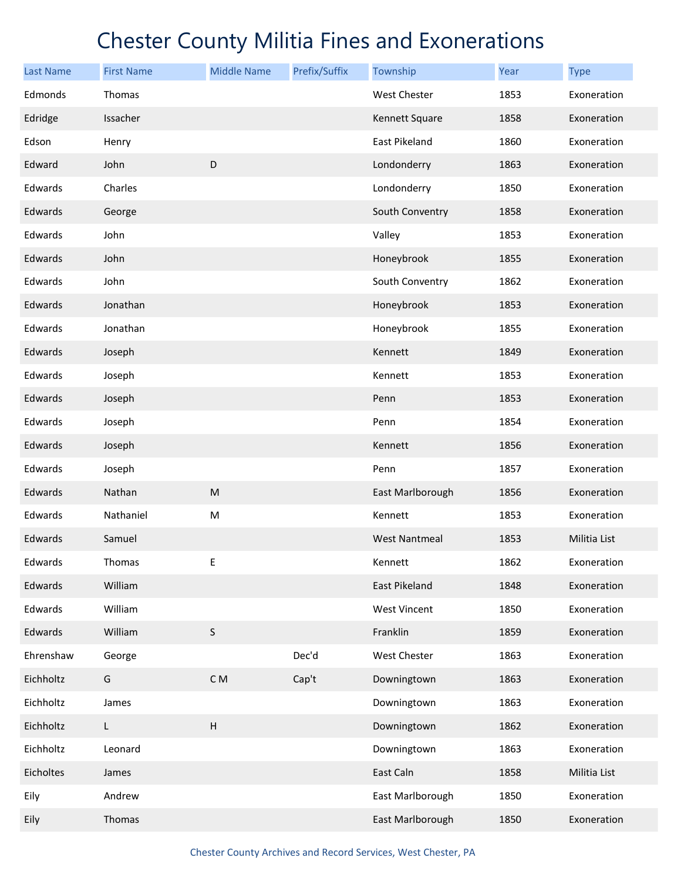| <b>Last Name</b> | <b>First Name</b> | <b>Middle Name</b>                                                                                         | Prefix/Suffix | Township             | Year | <b>Type</b>  |
|------------------|-------------------|------------------------------------------------------------------------------------------------------------|---------------|----------------------|------|--------------|
| Edmonds          | Thomas            |                                                                                                            |               | West Chester         | 1853 | Exoneration  |
| Edridge          | Issacher          |                                                                                                            |               | Kennett Square       | 1858 | Exoneration  |
| Edson            | Henry             |                                                                                                            |               | East Pikeland        | 1860 | Exoneration  |
| Edward           | John              | D                                                                                                          |               | Londonderry          | 1863 | Exoneration  |
| Edwards          | Charles           |                                                                                                            |               | Londonderry          | 1850 | Exoneration  |
| Edwards          | George            |                                                                                                            |               | South Conventry      | 1858 | Exoneration  |
| Edwards          | John              |                                                                                                            |               | Valley               | 1853 | Exoneration  |
| Edwards          | John              |                                                                                                            |               | Honeybrook           | 1855 | Exoneration  |
| Edwards          | John              |                                                                                                            |               | South Conventry      | 1862 | Exoneration  |
| Edwards          | Jonathan          |                                                                                                            |               | Honeybrook           | 1853 | Exoneration  |
| Edwards          | Jonathan          |                                                                                                            |               | Honeybrook           | 1855 | Exoneration  |
| Edwards          | Joseph            |                                                                                                            |               | Kennett              | 1849 | Exoneration  |
| Edwards          | Joseph            |                                                                                                            |               | Kennett              | 1853 | Exoneration  |
| Edwards          | Joseph            |                                                                                                            |               | Penn                 | 1853 | Exoneration  |
| Edwards          | Joseph            |                                                                                                            |               | Penn                 | 1854 | Exoneration  |
| Edwards          | Joseph            |                                                                                                            |               | Kennett              | 1856 | Exoneration  |
| Edwards          | Joseph            |                                                                                                            |               | Penn                 | 1857 | Exoneration  |
| Edwards          | Nathan            | $\mathsf{M}% _{T}=\mathsf{M}_{T}\!\left( a,b\right) ,\ \mathsf{M}_{T}=\mathsf{M}_{T}\!\left( a,b\right) ,$ |               | East Marlborough     | 1856 | Exoneration  |
| Edwards          | Nathaniel         | M                                                                                                          |               | Kennett              | 1853 | Exoneration  |
| Edwards          | Samuel            |                                                                                                            |               | <b>West Nantmeal</b> | 1853 | Militia List |
| Edwards          | Thomas            | Ε                                                                                                          |               | Kennett              | 1862 | Exoneration  |
| Edwards          | William           |                                                                                                            |               | East Pikeland        | 1848 | Exoneration  |
| Edwards          | William           |                                                                                                            |               | <b>West Vincent</b>  | 1850 | Exoneration  |
| Edwards          | William           | $\sf S$                                                                                                    |               | Franklin             | 1859 | Exoneration  |
| Ehrenshaw        | George            |                                                                                                            | Dec'd         | West Chester         | 1863 | Exoneration  |
| Eichholtz        | G                 | C M                                                                                                        | Cap't         | Downingtown          | 1863 | Exoneration  |
| Eichholtz        | James             |                                                                                                            |               | Downingtown          | 1863 | Exoneration  |
| Eichholtz        | L.                | $\sf H$                                                                                                    |               | Downingtown          | 1862 | Exoneration  |
| Eichholtz        | Leonard           |                                                                                                            |               | Downingtown          | 1863 | Exoneration  |
| Eicholtes        | James             |                                                                                                            |               | East Caln            | 1858 | Militia List |
| Eily             | Andrew            |                                                                                                            |               | East Marlborough     | 1850 | Exoneration  |
| Eily             | Thomas            |                                                                                                            |               | East Marlborough     | 1850 | Exoneration  |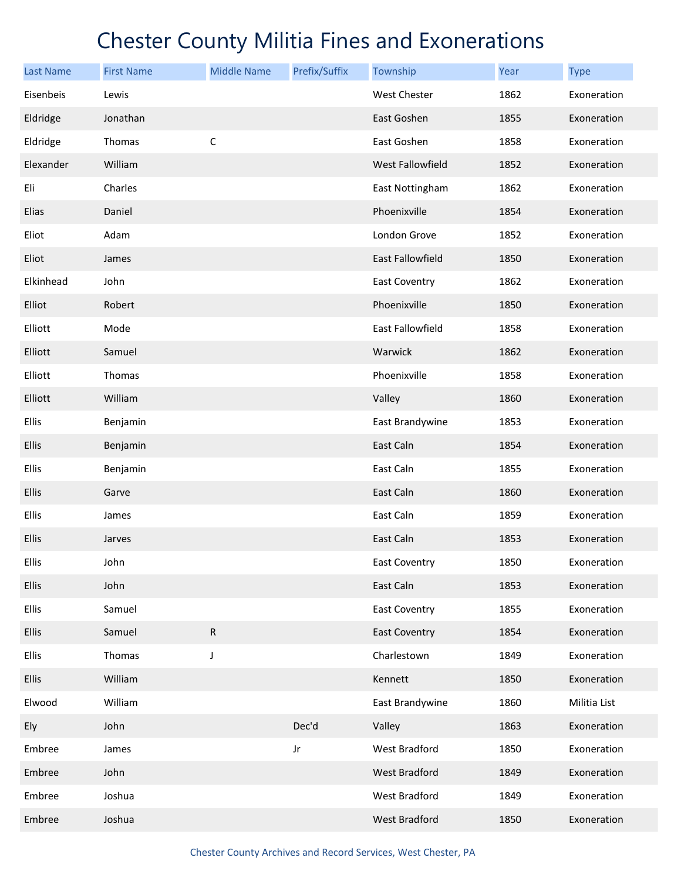| <b>Last Name</b> | <b>First Name</b> | <b>Middle Name</b> | Prefix/Suffix | Township             | Year | <b>Type</b>  |
|------------------|-------------------|--------------------|---------------|----------------------|------|--------------|
| Eisenbeis        | Lewis             |                    |               | <b>West Chester</b>  | 1862 | Exoneration  |
| Eldridge         | Jonathan          |                    |               | East Goshen          | 1855 | Exoneration  |
| Eldridge         | Thomas            | C                  |               | East Goshen          | 1858 | Exoneration  |
| Elexander        | William           |                    |               | West Fallowfield     | 1852 | Exoneration  |
| Eli              | Charles           |                    |               | East Nottingham      | 1862 | Exoneration  |
| Elias            | Daniel            |                    |               | Phoenixville         | 1854 | Exoneration  |
| Eliot            | Adam              |                    |               | London Grove         | 1852 | Exoneration  |
| Eliot            | James             |                    |               | East Fallowfield     | 1850 | Exoneration  |
| Elkinhead        | John              |                    |               | East Coventry        | 1862 | Exoneration  |
| Elliot           | Robert            |                    |               | Phoenixville         | 1850 | Exoneration  |
| Elliott          | Mode              |                    |               | East Fallowfield     | 1858 | Exoneration  |
| Elliott          | Samuel            |                    |               | Warwick              | 1862 | Exoneration  |
| Elliott          | Thomas            |                    |               | Phoenixville         | 1858 | Exoneration  |
| Elliott          | William           |                    |               | Valley               | 1860 | Exoneration  |
| Ellis            | Benjamin          |                    |               | East Brandywine      | 1853 | Exoneration  |
| Ellis            | Benjamin          |                    |               | East Caln            | 1854 | Exoneration  |
| Ellis            | Benjamin          |                    |               | East Caln            | 1855 | Exoneration  |
| Ellis            | Garve             |                    |               | East Caln            | 1860 | Exoneration  |
| Ellis            | James             |                    |               | East Caln            | 1859 | Exoneration  |
| Ellis            | Jarves            |                    |               | East Caln            | 1853 | Exoneration  |
| Ellis            | John              |                    |               | <b>East Coventry</b> | 1850 | Exoneration  |
| Ellis            | John              |                    |               | East Caln            | 1853 | Exoneration  |
| Ellis            | Samuel            |                    |               | <b>East Coventry</b> | 1855 | Exoneration  |
| <b>Ellis</b>     | Samuel            | ${\sf R}$          |               | <b>East Coventry</b> | 1854 | Exoneration  |
| Ellis            | Thomas            | J                  |               | Charlestown          | 1849 | Exoneration  |
| Ellis            | William           |                    |               | Kennett              | 1850 | Exoneration  |
| Elwood           | William           |                    |               | East Brandywine      | 1860 | Militia List |
| Ely              | John              |                    | Dec'd         | Valley               | 1863 | Exoneration  |
| Embree           | James             |                    | Jr            | West Bradford        | 1850 | Exoneration  |
| Embree           | John              |                    |               | West Bradford        | 1849 | Exoneration  |
| Embree           | Joshua            |                    |               | West Bradford        | 1849 | Exoneration  |
| Embree           | Joshua            |                    |               | West Bradford        | 1850 | Exoneration  |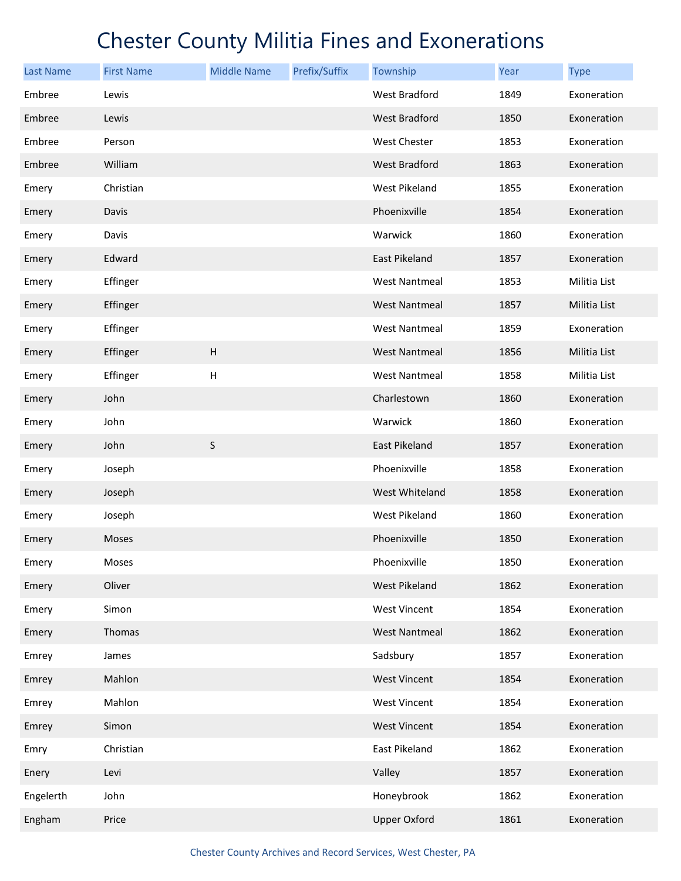| Last Name | <b>First Name</b> | <b>Middle Name</b> | Prefix/Suffix | Township             | Year | <b>Type</b>  |
|-----------|-------------------|--------------------|---------------|----------------------|------|--------------|
| Embree    | Lewis             |                    |               | West Bradford        | 1849 | Exoneration  |
| Embree    | Lewis             |                    |               | West Bradford        | 1850 | Exoneration  |
| Embree    | Person            |                    |               | West Chester         | 1853 | Exoneration  |
| Embree    | William           |                    |               | West Bradford        | 1863 | Exoneration  |
| Emery     | Christian         |                    |               | West Pikeland        | 1855 | Exoneration  |
| Emery     | Davis             |                    |               | Phoenixville         | 1854 | Exoneration  |
| Emery     | Davis             |                    |               | Warwick              | 1860 | Exoneration  |
| Emery     | Edward            |                    |               | East Pikeland        | 1857 | Exoneration  |
| Emery     | Effinger          |                    |               | <b>West Nantmeal</b> | 1853 | Militia List |
| Emery     | Effinger          |                    |               | <b>West Nantmeal</b> | 1857 | Militia List |
| Emery     | Effinger          |                    |               | <b>West Nantmeal</b> | 1859 | Exoneration  |
| Emery     | Effinger          | $\mathsf H$        |               | <b>West Nantmeal</b> | 1856 | Militia List |
| Emery     | Effinger          | Н                  |               | <b>West Nantmeal</b> | 1858 | Militia List |
| Emery     | John              |                    |               | Charlestown          | 1860 | Exoneration  |
| Emery     | John              |                    |               | Warwick              | 1860 | Exoneration  |
| Emery     | John              | S                  |               | East Pikeland        | 1857 | Exoneration  |
| Emery     | Joseph            |                    |               | Phoenixville         | 1858 | Exoneration  |
| Emery     | Joseph            |                    |               | West Whiteland       | 1858 | Exoneration  |
| Emery     | Joseph            |                    |               | West Pikeland        | 1860 | Exoneration  |
| Emery     | Moses             |                    |               | Phoenixville         | 1850 | Exoneration  |
| Emery     | Moses             |                    |               | Phoenixville         | 1850 | Exoneration  |
| Emery     | Oliver            |                    |               | West Pikeland        | 1862 | Exoneration  |
| Emery     | Simon             |                    |               | <b>West Vincent</b>  | 1854 | Exoneration  |
| Emery     | Thomas            |                    |               | <b>West Nantmeal</b> | 1862 | Exoneration  |
| Emrey     | James             |                    |               | Sadsbury             | 1857 | Exoneration  |
| Emrey     | Mahlon            |                    |               | <b>West Vincent</b>  | 1854 | Exoneration  |
| Emrey     | Mahlon            |                    |               | West Vincent         | 1854 | Exoneration  |
| Emrey     | Simon             |                    |               | <b>West Vincent</b>  | 1854 | Exoneration  |
| Emry      | Christian         |                    |               | East Pikeland        | 1862 | Exoneration  |
| Enery     | Levi              |                    |               | Valley               | 1857 | Exoneration  |
| Engelerth | John              |                    |               | Honeybrook           | 1862 | Exoneration  |
| Engham    | Price             |                    |               | <b>Upper Oxford</b>  | 1861 | Exoneration  |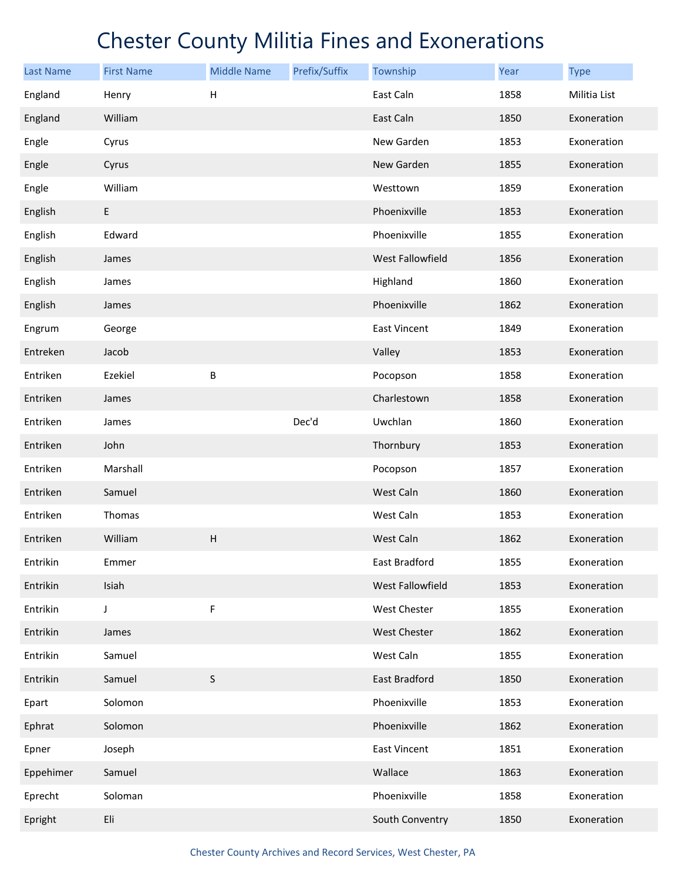| <b>Last Name</b> | <b>First Name</b> | <b>Middle Name</b>        | Prefix/Suffix | Township                | Year | <b>Type</b>  |
|------------------|-------------------|---------------------------|---------------|-------------------------|------|--------------|
| England          | Henry             | $\boldsymbol{\mathsf{H}}$ |               | East Caln               | 1858 | Militia List |
| England          | William           |                           |               | East Caln               | 1850 | Exoneration  |
| Engle            | Cyrus             |                           |               | New Garden              | 1853 | Exoneration  |
| Engle            | Cyrus             |                           |               | New Garden              | 1855 | Exoneration  |
| Engle            | William           |                           |               | Westtown                | 1859 | Exoneration  |
| English          | $\mathsf E$       |                           |               | Phoenixville            | 1853 | Exoneration  |
| English          | Edward            |                           |               | Phoenixville            | 1855 | Exoneration  |
| English          | James             |                           |               | <b>West Fallowfield</b> | 1856 | Exoneration  |
| English          | James             |                           |               | Highland                | 1860 | Exoneration  |
| English          | James             |                           |               | Phoenixville            | 1862 | Exoneration  |
| Engrum           | George            |                           |               | <b>East Vincent</b>     | 1849 | Exoneration  |
| Entreken         | Jacob             |                           |               | Valley                  | 1853 | Exoneration  |
| Entriken         | Ezekiel           | B                         |               | Pocopson                | 1858 | Exoneration  |
| Entriken         | James             |                           |               | Charlestown             | 1858 | Exoneration  |
| Entriken         | James             |                           | Dec'd         | Uwchlan                 | 1860 | Exoneration  |
| Entriken         | John              |                           |               | Thornbury               | 1853 | Exoneration  |
| Entriken         | Marshall          |                           |               | Pocopson                | 1857 | Exoneration  |
| Entriken         | Samuel            |                           |               | West Caln               | 1860 | Exoneration  |
| Entriken         | Thomas            |                           |               | West Caln               | 1853 | Exoneration  |
| Entriken         | William           | $\boldsymbol{\mathsf{H}}$ |               | West Caln               | 1862 | Exoneration  |
| Entrikin         | Emmer             |                           |               | East Bradford           | 1855 | Exoneration  |
| Entrikin         | Isiah             |                           |               | West Fallowfield        | 1853 | Exoneration  |
| Entrikin         | J                 | F                         |               | West Chester            | 1855 | Exoneration  |
| Entrikin         | James             |                           |               | <b>West Chester</b>     | 1862 | Exoneration  |
| Entrikin         | Samuel            |                           |               | West Caln               | 1855 | Exoneration  |
| Entrikin         | Samuel            | S                         |               | East Bradford           | 1850 | Exoneration  |
| Epart            | Solomon           |                           |               | Phoenixville            | 1853 | Exoneration  |
| Ephrat           | Solomon           |                           |               | Phoenixville            | 1862 | Exoneration  |
| Epner            | Joseph            |                           |               | <b>East Vincent</b>     | 1851 | Exoneration  |
| Eppehimer        | Samuel            |                           |               | Wallace                 | 1863 | Exoneration  |
| Eprecht          | Soloman           |                           |               | Phoenixville            | 1858 | Exoneration  |
| Epright          | Eli               |                           |               | South Conventry         | 1850 | Exoneration  |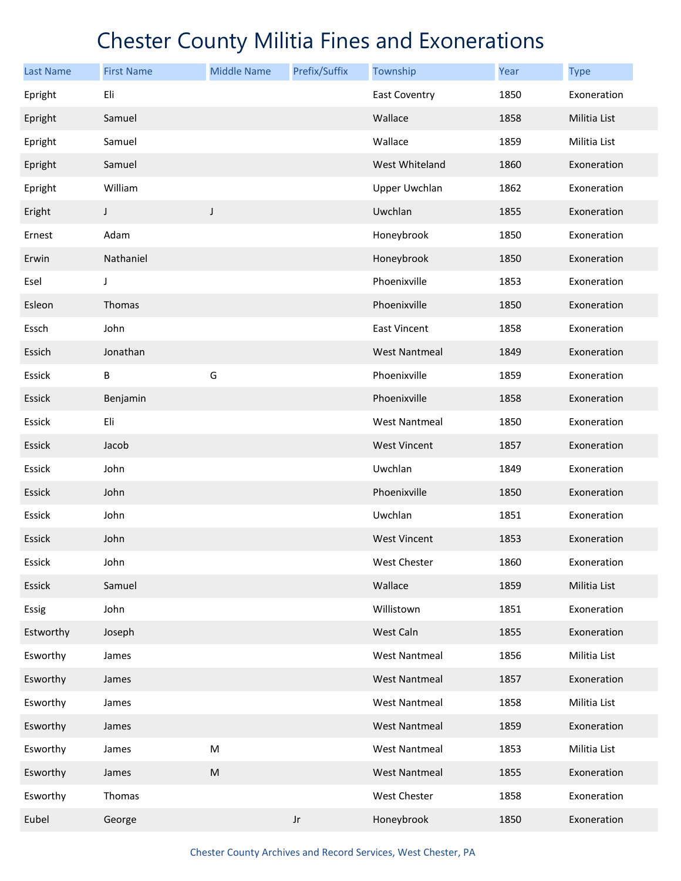| <b>Last Name</b> | <b>First Name</b> | <b>Middle Name</b> | Prefix/Suffix          | Township             | Year | <b>Type</b>  |
|------------------|-------------------|--------------------|------------------------|----------------------|------|--------------|
| Epright          | Eli               |                    |                        | <b>East Coventry</b> | 1850 | Exoneration  |
| Epright          | Samuel            |                    |                        | Wallace              | 1858 | Militia List |
| Epright          | Samuel            |                    |                        | Wallace              | 1859 | Militia List |
| Epright          | Samuel            |                    |                        | West Whiteland       | 1860 | Exoneration  |
| Epright          | William           |                    |                        | <b>Upper Uwchlan</b> | 1862 | Exoneration  |
| Eright           | J                 | $\mathsf J$        |                        | Uwchlan              | 1855 | Exoneration  |
| Ernest           | Adam              |                    |                        | Honeybrook           | 1850 | Exoneration  |
| Erwin            | Nathaniel         |                    |                        | Honeybrook           | 1850 | Exoneration  |
| Esel             | J                 |                    |                        | Phoenixville         | 1853 | Exoneration  |
| Esleon           | Thomas            |                    |                        | Phoenixville         | 1850 | Exoneration  |
| Essch            | John              |                    |                        | <b>East Vincent</b>  | 1858 | Exoneration  |
| Essich           | Jonathan          |                    |                        | <b>West Nantmeal</b> | 1849 | Exoneration  |
| Essick           | B                 | G                  |                        | Phoenixville         | 1859 | Exoneration  |
| Essick           | Benjamin          |                    |                        | Phoenixville         | 1858 | Exoneration  |
| Essick           | Eli               |                    |                        | <b>West Nantmeal</b> | 1850 | Exoneration  |
| Essick           | Jacob             |                    |                        | <b>West Vincent</b>  | 1857 | Exoneration  |
| Essick           | John              |                    |                        | Uwchlan              | 1849 | Exoneration  |
| Essick           | John              |                    |                        | Phoenixville         | 1850 | Exoneration  |
| Essick           | John              |                    |                        | Uwchlan              | 1851 | Exoneration  |
| Essick           | John              |                    |                        | <b>West Vincent</b>  | 1853 | Exoneration  |
| Essick           | John              |                    |                        | West Chester         | 1860 | Exoneration  |
| Essick           | Samuel            |                    |                        | Wallace              | 1859 | Militia List |
| Essig            | John              |                    |                        | Willistown           | 1851 | Exoneration  |
| Estworthy        | Joseph            |                    |                        | West Caln            | 1855 | Exoneration  |
| Esworthy         | James             |                    |                        | <b>West Nantmeal</b> | 1856 | Militia List |
| Esworthy         | James             |                    |                        | <b>West Nantmeal</b> | 1857 | Exoneration  |
| Esworthy         | James             |                    |                        | <b>West Nantmeal</b> | 1858 | Militia List |
| Esworthy         | James             |                    |                        | <b>West Nantmeal</b> | 1859 | Exoneration  |
| Esworthy         | James             | ${\sf M}$          |                        | <b>West Nantmeal</b> | 1853 | Militia List |
| Esworthy         | James             | ${\sf M}$          |                        | <b>West Nantmeal</b> | 1855 | Exoneration  |
| Esworthy         | Thomas            |                    |                        | West Chester         | 1858 | Exoneration  |
| Eubel            | George            |                    | $\mathsf{J}\mathsf{r}$ | Honeybrook           | 1850 | Exoneration  |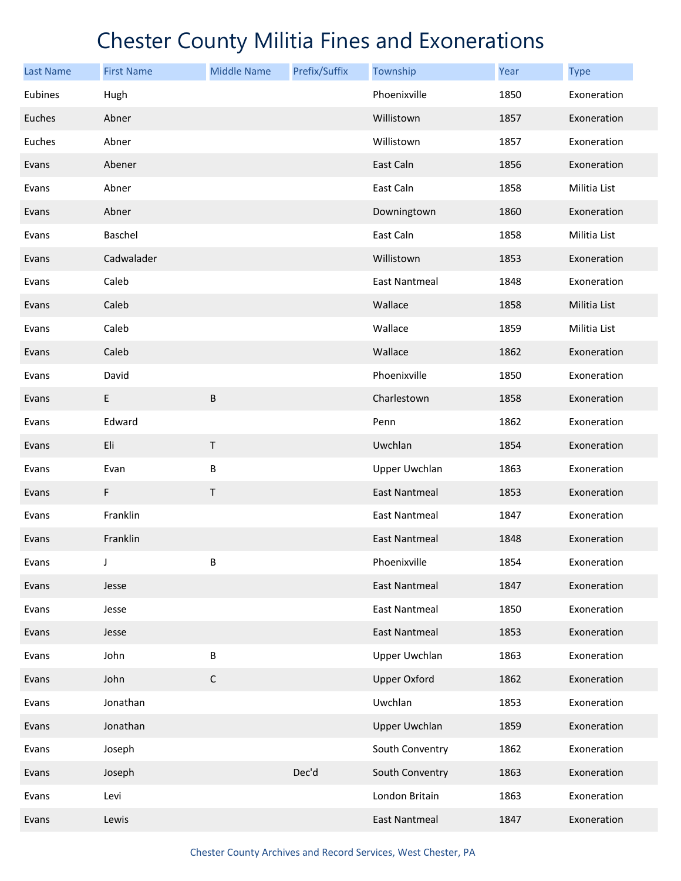| <b>Last Name</b> | <b>First Name</b> | <b>Middle Name</b> | Prefix/Suffix | Township             | Year | <b>Type</b>  |
|------------------|-------------------|--------------------|---------------|----------------------|------|--------------|
| Eubines          | Hugh              |                    |               | Phoenixville         | 1850 | Exoneration  |
| Euches           | Abner             |                    |               | Willistown           | 1857 | Exoneration  |
| Euches           | Abner             |                    |               | Willistown           | 1857 | Exoneration  |
| Evans            | Abener            |                    |               | East Caln            | 1856 | Exoneration  |
| Evans            | Abner             |                    |               | East Caln            | 1858 | Militia List |
| Evans            | Abner             |                    |               | Downingtown          | 1860 | Exoneration  |
| Evans            | Baschel           |                    |               | East Caln            | 1858 | Militia List |
| Evans            | Cadwalader        |                    |               | Willistown           | 1853 | Exoneration  |
| Evans            | Caleb             |                    |               | <b>East Nantmeal</b> | 1848 | Exoneration  |
| Evans            | Caleb             |                    |               | Wallace              | 1858 | Militia List |
| Evans            | Caleb             |                    |               | Wallace              | 1859 | Militia List |
| Evans            | Caleb             |                    |               | Wallace              | 1862 | Exoneration  |
| Evans            | David             |                    |               | Phoenixville         | 1850 | Exoneration  |
| Evans            | E                 | $\sf B$            |               | Charlestown          | 1858 | Exoneration  |
| Evans            | Edward            |                    |               | Penn                 | 1862 | Exoneration  |
| Evans            | Eli               | $\sf T$            |               | Uwchlan              | 1854 | Exoneration  |
| Evans            | Evan              | B                  |               | <b>Upper Uwchlan</b> | 1863 | Exoneration  |
| Evans            | F                 | Τ                  |               | <b>East Nantmeal</b> | 1853 | Exoneration  |
| Evans            | Franklin          |                    |               | <b>East Nantmeal</b> | 1847 | Exoneration  |
| Evans            | Franklin          |                    |               | <b>East Nantmeal</b> | 1848 | Exoneration  |
| Evans            | J                 | B                  |               | Phoenixville         | 1854 | Exoneration  |
| Evans            | Jesse             |                    |               | <b>East Nantmeal</b> | 1847 | Exoneration  |
| Evans            | Jesse             |                    |               | <b>East Nantmeal</b> | 1850 | Exoneration  |
| Evans            | Jesse             |                    |               | <b>East Nantmeal</b> | 1853 | Exoneration  |
| Evans            | John              | B                  |               | <b>Upper Uwchlan</b> | 1863 | Exoneration  |
| Evans            | John              | $\mathsf C$        |               | <b>Upper Oxford</b>  | 1862 | Exoneration  |
| Evans            | Jonathan          |                    |               | Uwchlan              | 1853 | Exoneration  |
| Evans            | Jonathan          |                    |               | <b>Upper Uwchlan</b> | 1859 | Exoneration  |
| Evans            | Joseph            |                    |               | South Conventry      | 1862 | Exoneration  |
| Evans            | Joseph            |                    | Dec'd         | South Conventry      | 1863 | Exoneration  |
| Evans            | Levi              |                    |               | London Britain       | 1863 | Exoneration  |
| Evans            | Lewis             |                    |               | <b>East Nantmeal</b> | 1847 | Exoneration  |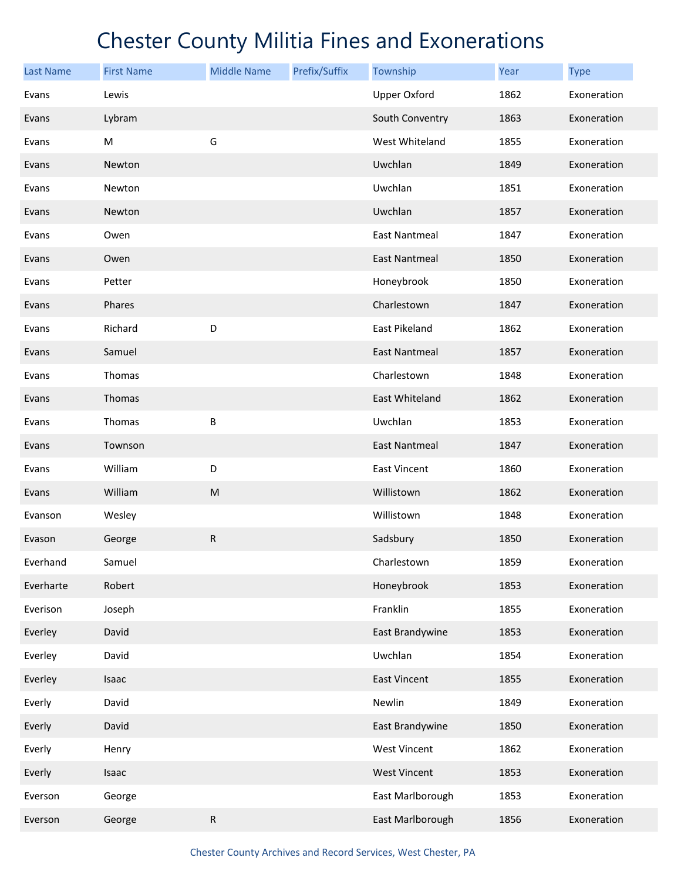| <b>Last Name</b> | <b>First Name</b> | <b>Middle Name</b> | Prefix/Suffix | Township             | Year | <b>Type</b> |
|------------------|-------------------|--------------------|---------------|----------------------|------|-------------|
| Evans            | Lewis             |                    |               | <b>Upper Oxford</b>  | 1862 | Exoneration |
| Evans            | Lybram            |                    |               | South Conventry      | 1863 | Exoneration |
| Evans            | M                 | G                  |               | West Whiteland       | 1855 | Exoneration |
| Evans            | Newton            |                    |               | Uwchlan              | 1849 | Exoneration |
| Evans            | Newton            |                    |               | Uwchlan              | 1851 | Exoneration |
| Evans            | Newton            |                    |               | Uwchlan              | 1857 | Exoneration |
| Evans            | Owen              |                    |               | <b>East Nantmeal</b> | 1847 | Exoneration |
| Evans            | Owen              |                    |               | <b>East Nantmeal</b> | 1850 | Exoneration |
| Evans            | Petter            |                    |               | Honeybrook           | 1850 | Exoneration |
| Evans            | Phares            |                    |               | Charlestown          | 1847 | Exoneration |
| Evans            | Richard           | D                  |               | East Pikeland        | 1862 | Exoneration |
| Evans            | Samuel            |                    |               | <b>East Nantmeal</b> | 1857 | Exoneration |
| Evans            | Thomas            |                    |               | Charlestown          | 1848 | Exoneration |
| Evans            | Thomas            |                    |               | East Whiteland       | 1862 | Exoneration |
| Evans            | Thomas            | B                  |               | Uwchlan              | 1853 | Exoneration |
| Evans            | Townson           |                    |               | <b>East Nantmeal</b> | 1847 | Exoneration |
| Evans            | William           | D                  |               | East Vincent         | 1860 | Exoneration |
| Evans            | William           | ${\sf M}$          |               | Willistown           | 1862 | Exoneration |
| Evanson          | Wesley            |                    |               | Willistown           | 1848 | Exoneration |
| Evason           | George            | ${\sf R}$          |               | Sadsbury             | 1850 | Exoneration |
| Everhand         | Samuel            |                    |               | Charlestown          | 1859 | Exoneration |
| Everharte        | Robert            |                    |               | Honeybrook           | 1853 | Exoneration |
| Everison         | Joseph            |                    |               | Franklin             | 1855 | Exoneration |
| Everley          | David             |                    |               | East Brandywine      | 1853 | Exoneration |
| Everley          | David             |                    |               | Uwchlan              | 1854 | Exoneration |
| Everley          | Isaac             |                    |               | East Vincent         | 1855 | Exoneration |
| Everly           | David             |                    |               | Newlin               | 1849 | Exoneration |
| Everly           | David             |                    |               | East Brandywine      | 1850 | Exoneration |
| Everly           | Henry             |                    |               | <b>West Vincent</b>  | 1862 | Exoneration |
| Everly           | Isaac             |                    |               | <b>West Vincent</b>  | 1853 | Exoneration |
| Everson          | George            |                    |               | East Marlborough     | 1853 | Exoneration |
| Everson          | George            | ${\sf R}$          |               | East Marlborough     | 1856 | Exoneration |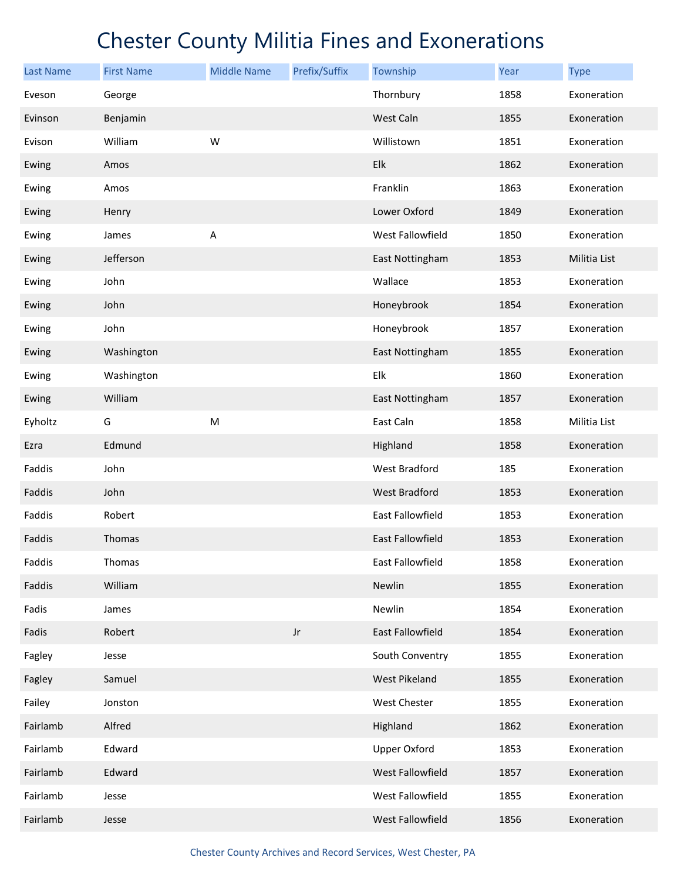| <b>Last Name</b> | <b>First Name</b> | <b>Middle Name</b> | Prefix/Suffix | Township                | <b>Year</b> | <b>Type</b>  |
|------------------|-------------------|--------------------|---------------|-------------------------|-------------|--------------|
| Eveson           | George            |                    |               | Thornbury               | 1858        | Exoneration  |
| Evinson          | Benjamin          |                    |               | West Caln               | 1855        | Exoneration  |
| Evison           | William           | W                  |               | Willistown              | 1851        | Exoneration  |
| Ewing            | Amos              |                    |               | Elk                     | 1862        | Exoneration  |
| Ewing            | Amos              |                    |               | Franklin                | 1863        | Exoneration  |
| Ewing            | Henry             |                    |               | Lower Oxford            | 1849        | Exoneration  |
| Ewing            | James             | Α                  |               | West Fallowfield        | 1850        | Exoneration  |
| Ewing            | Jefferson         |                    |               | East Nottingham         | 1853        | Militia List |
| Ewing            | John              |                    |               | Wallace                 | 1853        | Exoneration  |
| Ewing            | John              |                    |               | Honeybrook              | 1854        | Exoneration  |
| Ewing            | John              |                    |               | Honeybrook              | 1857        | Exoneration  |
| Ewing            | Washington        |                    |               | East Nottingham         | 1855        | Exoneration  |
| Ewing            | Washington        |                    |               | Elk                     | 1860        | Exoneration  |
| Ewing            | William           |                    |               | East Nottingham         | 1857        | Exoneration  |
| Eyholtz          | G                 | ${\sf M}$          |               | East Caln               | 1858        | Militia List |
| Ezra             | Edmund            |                    |               | Highland                | 1858        | Exoneration  |
| Faddis           | John              |                    |               | West Bradford           | 185         | Exoneration  |
| Faddis           | John              |                    |               | <b>West Bradford</b>    | 1853        | Exoneration  |
| Faddis           | Robert            |                    |               | East Fallowfield        | 1853        | Exoneration  |
| Faddis           | Thomas            |                    |               | <b>East Fallowfield</b> | 1853        | Exoneration  |
| Faddis           | Thomas            |                    |               | East Fallowfield        | 1858        | Exoneration  |
| Faddis           | William           |                    |               | Newlin                  | 1855        | Exoneration  |
| Fadis            | James             |                    |               | Newlin                  | 1854        | Exoneration  |
| Fadis            | Robert            |                    | $_{\rm Jr}$   | East Fallowfield        | 1854        | Exoneration  |
| Fagley           | Jesse             |                    |               | South Conventry         | 1855        | Exoneration  |
| Fagley           | Samuel            |                    |               | West Pikeland           | 1855        | Exoneration  |
| Failey           | Jonston           |                    |               | West Chester            | 1855        | Exoneration  |
| Fairlamb         | Alfred            |                    |               | Highland                | 1862        | Exoneration  |
| Fairlamb         | Edward            |                    |               | <b>Upper Oxford</b>     | 1853        | Exoneration  |
| Fairlamb         | Edward            |                    |               | <b>West Fallowfield</b> | 1857        | Exoneration  |
| Fairlamb         | Jesse             |                    |               | West Fallowfield        | 1855        | Exoneration  |
| Fairlamb         | Jesse             |                    |               | West Fallowfield        | 1856        | Exoneration  |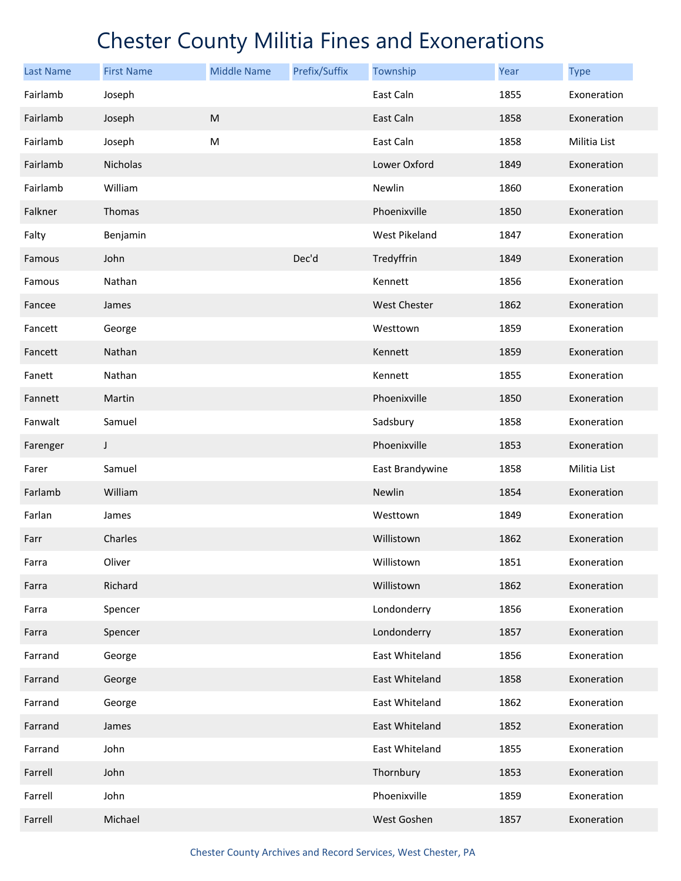| <b>Last Name</b> | <b>First Name</b> | <b>Middle Name</b> | Prefix/Suffix | Township            | Year | <b>Type</b>  |
|------------------|-------------------|--------------------|---------------|---------------------|------|--------------|
| Fairlamb         | Joseph            |                    |               | East Caln           | 1855 | Exoneration  |
| Fairlamb         | Joseph            | ${\sf M}$          |               | East Caln           | 1858 | Exoneration  |
| Fairlamb         | Joseph            | M                  |               | East Caln           | 1858 | Militia List |
| Fairlamb         | Nicholas          |                    |               | Lower Oxford        | 1849 | Exoneration  |
| Fairlamb         | William           |                    |               | Newlin              | 1860 | Exoneration  |
| Falkner          | Thomas            |                    |               | Phoenixville        | 1850 | Exoneration  |
| Falty            | Benjamin          |                    |               | West Pikeland       | 1847 | Exoneration  |
| Famous           | John              |                    | Dec'd         | Tredyffrin          | 1849 | Exoneration  |
| Famous           | Nathan            |                    |               | Kennett             | 1856 | Exoneration  |
| Fancee           | James             |                    |               | <b>West Chester</b> | 1862 | Exoneration  |
| Fancett          | George            |                    |               | Westtown            | 1859 | Exoneration  |
| Fancett          | Nathan            |                    |               | Kennett             | 1859 | Exoneration  |
| Fanett           | Nathan            |                    |               | Kennett             | 1855 | Exoneration  |
| Fannett          | Martin            |                    |               | Phoenixville        | 1850 | Exoneration  |
| Fanwalt          | Samuel            |                    |               | Sadsbury            | 1858 | Exoneration  |
| Farenger         | $\mathsf{I}$      |                    |               | Phoenixville        | 1853 | Exoneration  |
| Farer            | Samuel            |                    |               | East Brandywine     | 1858 | Militia List |
| Farlamb          | William           |                    |               | Newlin              | 1854 | Exoneration  |
| Farlan           | James             |                    |               | Westtown            | 1849 | Exoneration  |
| Farr             | Charles           |                    |               | Willistown          | 1862 | Exoneration  |
| Farra            | Oliver            |                    |               | Willistown          | 1851 | Exoneration  |
| Farra            | Richard           |                    |               | Willistown          | 1862 | Exoneration  |
| Farra            | Spencer           |                    |               | Londonderry         | 1856 | Exoneration  |
| Farra            | Spencer           |                    |               | Londonderry         | 1857 | Exoneration  |
| Farrand          | George            |                    |               | East Whiteland      | 1856 | Exoneration  |
| Farrand          | George            |                    |               | East Whiteland      | 1858 | Exoneration  |
| Farrand          | George            |                    |               | East Whiteland      | 1862 | Exoneration  |
| Farrand          | James             |                    |               | East Whiteland      | 1852 | Exoneration  |
| Farrand          | John              |                    |               | East Whiteland      | 1855 | Exoneration  |
| Farrell          | John              |                    |               | Thornbury           | 1853 | Exoneration  |
| Farrell          | John              |                    |               | Phoenixville        | 1859 | Exoneration  |
| Farrell          | Michael           |                    |               | West Goshen         | 1857 | Exoneration  |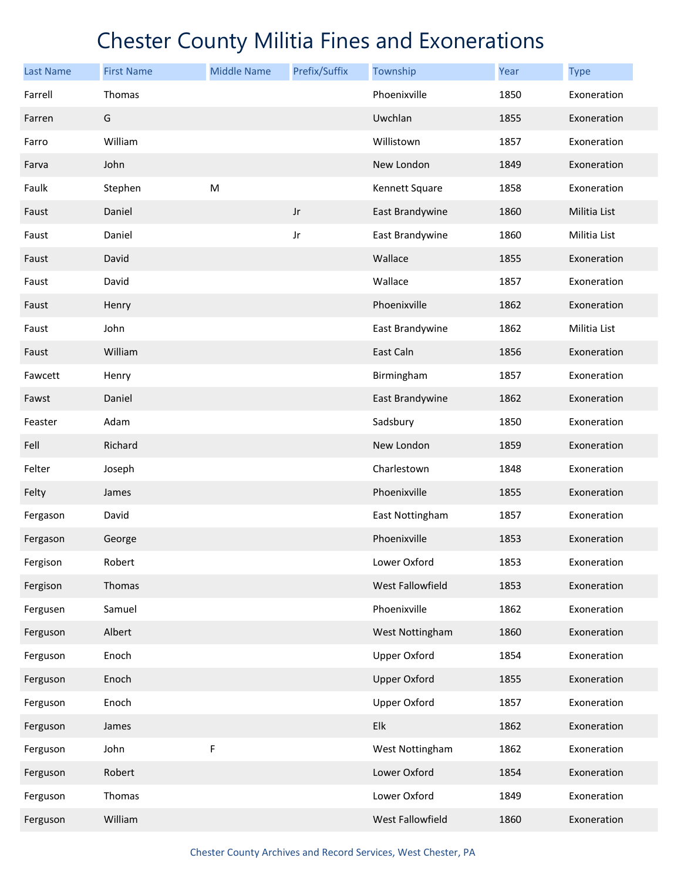| <b>Last Name</b> | <b>First Name</b> | <b>Middle Name</b> | Prefix/Suffix | Township            | Year | <b>Type</b>  |
|------------------|-------------------|--------------------|---------------|---------------------|------|--------------|
| Farrell          | Thomas            |                    |               | Phoenixville        | 1850 | Exoneration  |
| Farren           | G                 |                    |               | Uwchlan             | 1855 | Exoneration  |
| Farro            | William           |                    |               | Willistown          | 1857 | Exoneration  |
| Farva            | John              |                    |               | New London          | 1849 | Exoneration  |
| Faulk            | Stephen           | M                  |               | Kennett Square      | 1858 | Exoneration  |
| Faust            | Daniel            |                    | Jr            | East Brandywine     | 1860 | Militia List |
| Faust            | Daniel            |                    | Jr            | East Brandywine     | 1860 | Militia List |
| Faust            | David             |                    |               | Wallace             | 1855 | Exoneration  |
| Faust            | David             |                    |               | Wallace             | 1857 | Exoneration  |
| Faust            | Henry             |                    |               | Phoenixville        | 1862 | Exoneration  |
| Faust            | John              |                    |               | East Brandywine     | 1862 | Militia List |
| Faust            | William           |                    |               | East Caln           | 1856 | Exoneration  |
| Fawcett          | Henry             |                    |               | Birmingham          | 1857 | Exoneration  |
| Fawst            | Daniel            |                    |               | East Brandywine     | 1862 | Exoneration  |
| Feaster          | Adam              |                    |               | Sadsbury            | 1850 | Exoneration  |
| Fell             | Richard           |                    |               | New London          | 1859 | Exoneration  |
| Felter           | Joseph            |                    |               | Charlestown         | 1848 | Exoneration  |
| Felty            | James             |                    |               | Phoenixville        | 1855 | Exoneration  |
| Fergason         | David             |                    |               | East Nottingham     | 1857 | Exoneration  |
| Fergason         | George            |                    |               | Phoenixville        | 1853 | Exoneration  |
| Fergison         | Robert            |                    |               | Lower Oxford        | 1853 | Exoneration  |
| Fergison         | Thomas            |                    |               | West Fallowfield    | 1853 | Exoneration  |
| Fergusen         | Samuel            |                    |               | Phoenixville        | 1862 | Exoneration  |
| Ferguson         | Albert            |                    |               | West Nottingham     | 1860 | Exoneration  |
| Ferguson         | Enoch             |                    |               | <b>Upper Oxford</b> | 1854 | Exoneration  |
| Ferguson         | Enoch             |                    |               | <b>Upper Oxford</b> | 1855 | Exoneration  |
| Ferguson         | Enoch             |                    |               | <b>Upper Oxford</b> | 1857 | Exoneration  |
| Ferguson         | James             |                    |               | Elk                 | 1862 | Exoneration  |
| Ferguson         | John              | F                  |               | West Nottingham     | 1862 | Exoneration  |
| Ferguson         | Robert            |                    |               | Lower Oxford        | 1854 | Exoneration  |
| Ferguson         | Thomas            |                    |               | Lower Oxford        | 1849 | Exoneration  |
| Ferguson         | William           |                    |               | West Fallowfield    | 1860 | Exoneration  |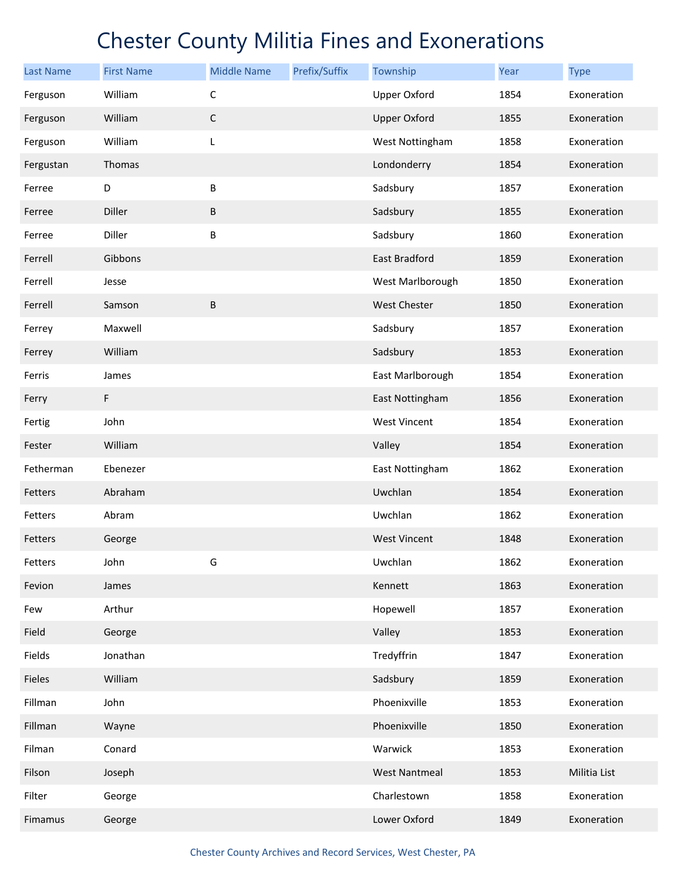| <b>Last Name</b> | <b>First Name</b> | <b>Middle Name</b> | Prefix/Suffix | Township             | Year | <b>Type</b>  |
|------------------|-------------------|--------------------|---------------|----------------------|------|--------------|
| Ferguson         | William           | $\mathsf C$        |               | <b>Upper Oxford</b>  | 1854 | Exoneration  |
| Ferguson         | William           | $\mathsf C$        |               | <b>Upper Oxford</b>  | 1855 | Exoneration  |
| Ferguson         | William           | L                  |               | West Nottingham      | 1858 | Exoneration  |
| Fergustan        | Thomas            |                    |               | Londonderry          | 1854 | Exoneration  |
| Ferree           | D                 | $\sf B$            |               | Sadsbury             | 1857 | Exoneration  |
| Ferree           | Diller            | $\sf B$            |               | Sadsbury             | 1855 | Exoneration  |
| Ferree           | Diller            | B                  |               | Sadsbury             | 1860 | Exoneration  |
| Ferrell          | Gibbons           |                    |               | East Bradford        | 1859 | Exoneration  |
| Ferrell          | Jesse             |                    |               | West Marlborough     | 1850 | Exoneration  |
| Ferrell          | Samson            | B                  |               | <b>West Chester</b>  | 1850 | Exoneration  |
| Ferrey           | Maxwell           |                    |               | Sadsbury             | 1857 | Exoneration  |
| Ferrey           | William           |                    |               | Sadsbury             | 1853 | Exoneration  |
| Ferris           | James             |                    |               | East Marlborough     | 1854 | Exoneration  |
| Ferry            | F                 |                    |               | East Nottingham      | 1856 | Exoneration  |
| Fertig           | John              |                    |               | <b>West Vincent</b>  | 1854 | Exoneration  |
| Fester           | William           |                    |               | Valley               | 1854 | Exoneration  |
| Fetherman        | Ebenezer          |                    |               | East Nottingham      | 1862 | Exoneration  |
| Fetters          | Abraham           |                    |               | Uwchlan              | 1854 | Exoneration  |
| Fetters          | Abram             |                    |               | Uwchlan              | 1862 | Exoneration  |
| Fetters          | George            |                    |               | <b>West Vincent</b>  | 1848 | Exoneration  |
| Fetters          | John              | G                  |               | Uwchlan              | 1862 | Exoneration  |
| Fevion           | James             |                    |               | Kennett              | 1863 | Exoneration  |
| Few              | Arthur            |                    |               | Hopewell             | 1857 | Exoneration  |
| Field            | George            |                    |               | Valley               | 1853 | Exoneration  |
| Fields           | Jonathan          |                    |               | Tredyffrin           | 1847 | Exoneration  |
| Fieles           | William           |                    |               | Sadsbury             | 1859 | Exoneration  |
| Fillman          | John              |                    |               | Phoenixville         | 1853 | Exoneration  |
| Fillman          | Wayne             |                    |               | Phoenixville         | 1850 | Exoneration  |
| Filman           | Conard            |                    |               | Warwick              | 1853 | Exoneration  |
| Filson           | Joseph            |                    |               | <b>West Nantmeal</b> | 1853 | Militia List |
| Filter           | George            |                    |               | Charlestown          | 1858 | Exoneration  |
| Fimamus          | George            |                    |               | Lower Oxford         | 1849 | Exoneration  |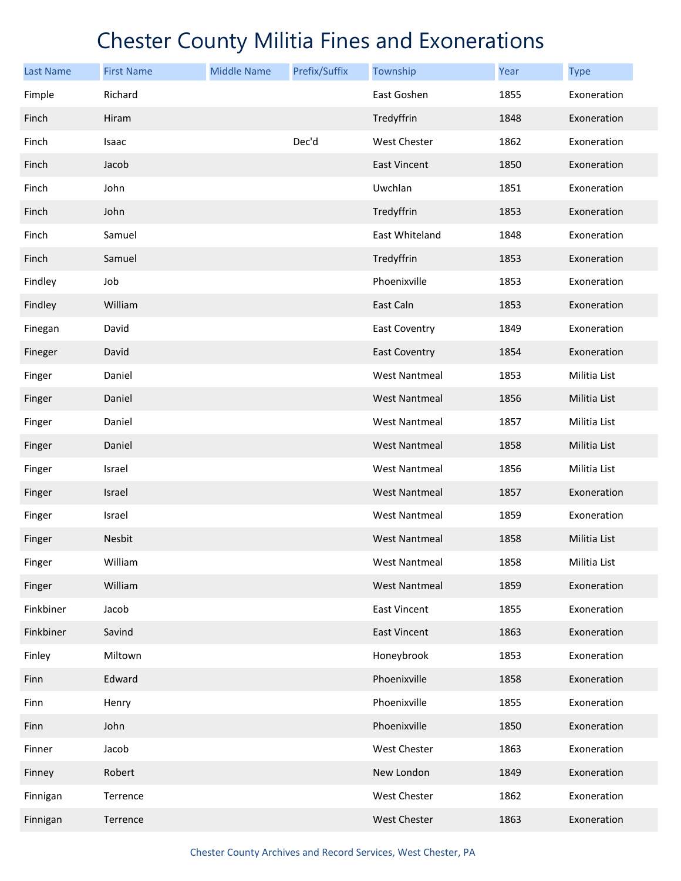| <b>Last Name</b> | <b>First Name</b> | <b>Middle Name</b> | Prefix/Suffix | Township             | Year | <b>Type</b>  |
|------------------|-------------------|--------------------|---------------|----------------------|------|--------------|
| Fimple           | Richard           |                    |               | East Goshen          | 1855 | Exoneration  |
| Finch            | Hiram             |                    |               | Tredyffrin           | 1848 | Exoneration  |
| Finch            | Isaac             |                    | Dec'd         | <b>West Chester</b>  | 1862 | Exoneration  |
| Finch            | Jacob             |                    |               | <b>East Vincent</b>  | 1850 | Exoneration  |
| Finch            | John              |                    |               | Uwchlan              | 1851 | Exoneration  |
| Finch            | John              |                    |               | Tredyffrin           | 1853 | Exoneration  |
| Finch            | Samuel            |                    |               | East Whiteland       | 1848 | Exoneration  |
| Finch            | Samuel            |                    |               | Tredyffrin           | 1853 | Exoneration  |
| Findley          | Job               |                    |               | Phoenixville         | 1853 | Exoneration  |
| Findley          | William           |                    |               | East Caln            | 1853 | Exoneration  |
| Finegan          | David             |                    |               | <b>East Coventry</b> | 1849 | Exoneration  |
| Fineger          | David             |                    |               | <b>East Coventry</b> | 1854 | Exoneration  |
| Finger           | Daniel            |                    |               | West Nantmeal        | 1853 | Militia List |
| Finger           | Daniel            |                    |               | <b>West Nantmeal</b> | 1856 | Militia List |
| Finger           | Daniel            |                    |               | <b>West Nantmeal</b> | 1857 | Militia List |
| Finger           | Daniel            |                    |               | <b>West Nantmeal</b> | 1858 | Militia List |
| Finger           | Israel            |                    |               | <b>West Nantmeal</b> | 1856 | Militia List |
| Finger           | Israel            |                    |               | <b>West Nantmeal</b> | 1857 | Exoneration  |
| Finger           | Israel            |                    |               | <b>West Nantmeal</b> | 1859 | Exoneration  |
| Finger           | Nesbit            |                    |               | <b>West Nantmeal</b> | 1858 | Militia List |
| Finger           | William           |                    |               | <b>West Nantmeal</b> | 1858 | Militia List |
| Finger           | William           |                    |               | <b>West Nantmeal</b> | 1859 | Exoneration  |
| Finkbiner        | Jacob             |                    |               | <b>East Vincent</b>  | 1855 | Exoneration  |
| Finkbiner        | Savind            |                    |               | <b>East Vincent</b>  | 1863 | Exoneration  |
| Finley           | Miltown           |                    |               | Honeybrook           | 1853 | Exoneration  |
| Finn             | Edward            |                    |               | Phoenixville         | 1858 | Exoneration  |
| Finn             | Henry             |                    |               | Phoenixville         | 1855 | Exoneration  |
| Finn             | John              |                    |               | Phoenixville         | 1850 | Exoneration  |
| Finner           | Jacob             |                    |               | West Chester         | 1863 | Exoneration  |
| Finney           | Robert            |                    |               | New London           | 1849 | Exoneration  |
| Finnigan         | Terrence          |                    |               | West Chester         | 1862 | Exoneration  |
| Finnigan         | Terrence          |                    |               | West Chester         | 1863 | Exoneration  |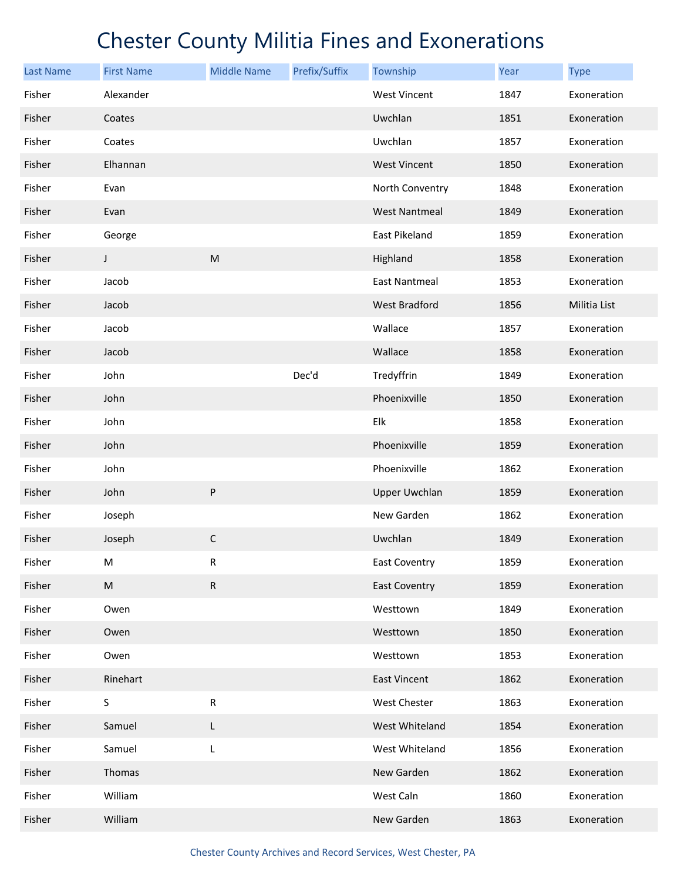| <b>Last Name</b> | <b>First Name</b> | <b>Middle Name</b> | Prefix/Suffix | Township             | Year | <b>Type</b>  |
|------------------|-------------------|--------------------|---------------|----------------------|------|--------------|
| Fisher           | Alexander         |                    |               | <b>West Vincent</b>  | 1847 | Exoneration  |
| Fisher           | Coates            |                    |               | Uwchlan              | 1851 | Exoneration  |
| Fisher           | Coates            |                    |               | Uwchlan              | 1857 | Exoneration  |
| Fisher           | Elhannan          |                    |               | <b>West Vincent</b>  | 1850 | Exoneration  |
| Fisher           | Evan              |                    |               | North Conventry      | 1848 | Exoneration  |
| Fisher           | Evan              |                    |               | <b>West Nantmeal</b> | 1849 | Exoneration  |
| Fisher           | George            |                    |               | East Pikeland        | 1859 | Exoneration  |
| Fisher           | $\mathsf{I}$      | ${\sf M}$          |               | Highland             | 1858 | Exoneration  |
| Fisher           | Jacob             |                    |               | <b>East Nantmeal</b> | 1853 | Exoneration  |
| Fisher           | Jacob             |                    |               | <b>West Bradford</b> | 1856 | Militia List |
| Fisher           | Jacob             |                    |               | Wallace              | 1857 | Exoneration  |
| Fisher           | Jacob             |                    |               | Wallace              | 1858 | Exoneration  |
| Fisher           | John              |                    | Dec'd         | Tredyffrin           | 1849 | Exoneration  |
| Fisher           | John              |                    |               | Phoenixville         | 1850 | Exoneration  |
| Fisher           | John              |                    |               | Elk                  | 1858 | Exoneration  |
| Fisher           | John              |                    |               | Phoenixville         | 1859 | Exoneration  |
| Fisher           | John              |                    |               | Phoenixville         | 1862 | Exoneration  |
| Fisher           | John              | ${\sf P}$          |               | <b>Upper Uwchlan</b> | 1859 | Exoneration  |
| Fisher           | Joseph            |                    |               | New Garden           | 1862 | Exoneration  |
| Fisher           | Joseph            | $\mathsf C$        |               | Uwchlan              | 1849 | Exoneration  |
| Fisher           | M                 | $\mathsf R$        |               | <b>East Coventry</b> | 1859 | Exoneration  |
| Fisher           | ${\sf M}$         | ${\sf R}$          |               | <b>East Coventry</b> | 1859 | Exoneration  |
| Fisher           | Owen              |                    |               | Westtown             | 1849 | Exoneration  |
| Fisher           | Owen              |                    |               | Westtown             | 1850 | Exoneration  |
| Fisher           | Owen              |                    |               | Westtown             | 1853 | Exoneration  |
| Fisher           | Rinehart          |                    |               | <b>East Vincent</b>  | 1862 | Exoneration  |
| Fisher           | S                 | ${\sf R}$          |               | West Chester         | 1863 | Exoneration  |
| Fisher           | Samuel            | L                  |               | West Whiteland       | 1854 | Exoneration  |
| Fisher           | Samuel            | L                  |               | West Whiteland       | 1856 | Exoneration  |
| Fisher           | Thomas            |                    |               | New Garden           | 1862 | Exoneration  |
| Fisher           | William           |                    |               | West Caln            | 1860 | Exoneration  |
| Fisher           | William           |                    |               | New Garden           | 1863 | Exoneration  |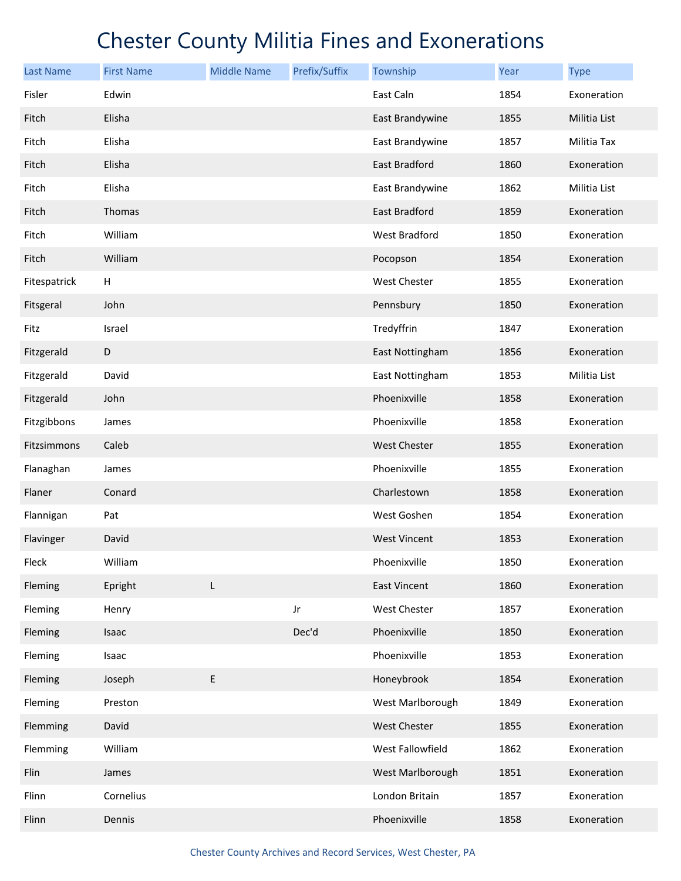| <b>Last Name</b> | <b>First Name</b> | <b>Middle Name</b> | Prefix/Suffix | Township            | Year | <b>Type</b>  |
|------------------|-------------------|--------------------|---------------|---------------------|------|--------------|
| Fisler           | Edwin             |                    |               | East Caln           | 1854 | Exoneration  |
| Fitch            | Elisha            |                    |               | East Brandywine     | 1855 | Militia List |
| Fitch            | Elisha            |                    |               | East Brandywine     | 1857 | Militia Tax  |
| Fitch            | Elisha            |                    |               | East Bradford       | 1860 | Exoneration  |
| Fitch            | Elisha            |                    |               | East Brandywine     | 1862 | Militia List |
| Fitch            | Thomas            |                    |               | East Bradford       | 1859 | Exoneration  |
| Fitch            | William           |                    |               | West Bradford       | 1850 | Exoneration  |
| Fitch            | William           |                    |               | Pocopson            | 1854 | Exoneration  |
| Fitespatrick     | н                 |                    |               | West Chester        | 1855 | Exoneration  |
| Fitsgeral        | John              |                    |               | Pennsbury           | 1850 | Exoneration  |
| Fitz             | Israel            |                    |               | Tredyffrin          | 1847 | Exoneration  |
| Fitzgerald       | D                 |                    |               | East Nottingham     | 1856 | Exoneration  |
| Fitzgerald       | David             |                    |               | East Nottingham     | 1853 | Militia List |
| Fitzgerald       | John              |                    |               | Phoenixville        | 1858 | Exoneration  |
| Fitzgibbons      | James             |                    |               | Phoenixville        | 1858 | Exoneration  |
| Fitzsimmons      | Caleb             |                    |               | <b>West Chester</b> | 1855 | Exoneration  |
| Flanaghan        | James             |                    |               | Phoenixville        | 1855 | Exoneration  |
| Flaner           | Conard            |                    |               | Charlestown         | 1858 | Exoneration  |
| Flannigan        | Pat               |                    |               | West Goshen         | 1854 | Exoneration  |
| Flavinger        | David             |                    |               | <b>West Vincent</b> | 1853 | Exoneration  |
| Fleck            | William           |                    |               | Phoenixville        | 1850 | Exoneration  |
| Fleming          | Epright           | L                  |               | <b>East Vincent</b> | 1860 | Exoneration  |
| Fleming          | Henry             |                    | Jr            | West Chester        | 1857 | Exoneration  |
| Fleming          | Isaac             |                    | Dec'd         | Phoenixville        | 1850 | Exoneration  |
| Fleming          | Isaac             |                    |               | Phoenixville        | 1853 | Exoneration  |
| Fleming          | Joseph            | E                  |               | Honeybrook          | 1854 | Exoneration  |
| Fleming          | Preston           |                    |               | West Marlborough    | 1849 | Exoneration  |
| Flemming         | David             |                    |               | West Chester        | 1855 | Exoneration  |
| Flemming         | William           |                    |               | West Fallowfield    | 1862 | Exoneration  |
| Flin             | James             |                    |               | West Marlborough    | 1851 | Exoneration  |
| Flinn            | Cornelius         |                    |               | London Britain      | 1857 | Exoneration  |
| Flinn            | Dennis            |                    |               | Phoenixville        | 1858 | Exoneration  |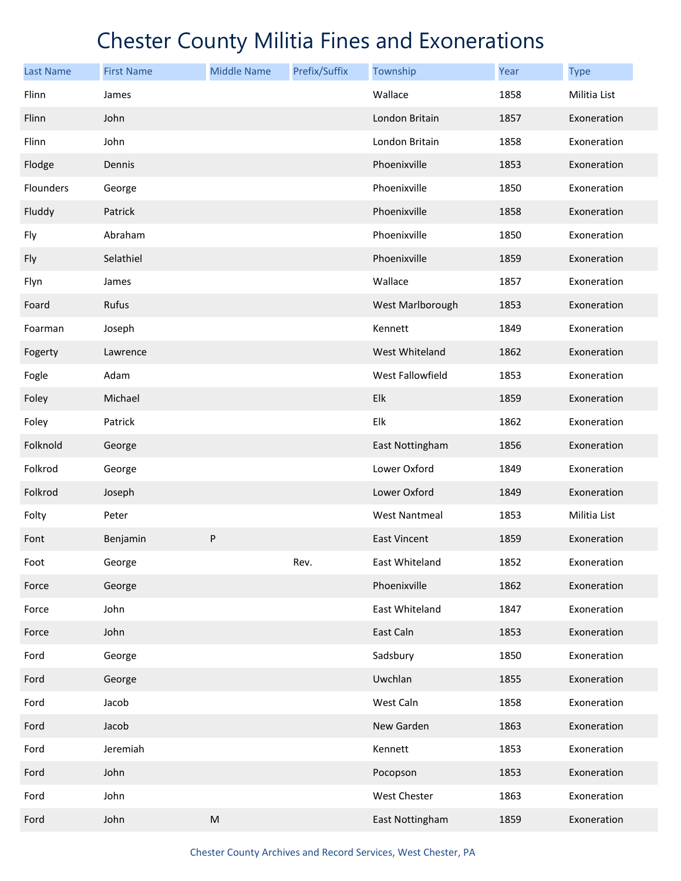| <b>Last Name</b> | <b>First Name</b> | <b>Middle Name</b>                                                                                         | Prefix/Suffix | Township             | Year | <b>Type</b>  |
|------------------|-------------------|------------------------------------------------------------------------------------------------------------|---------------|----------------------|------|--------------|
| Flinn            | James             |                                                                                                            |               | Wallace              | 1858 | Militia List |
| Flinn            | John              |                                                                                                            |               | London Britain       | 1857 | Exoneration  |
| Flinn            | John              |                                                                                                            |               | London Britain       | 1858 | Exoneration  |
| Flodge           | Dennis            |                                                                                                            |               | Phoenixville         | 1853 | Exoneration  |
| Flounders        | George            |                                                                                                            |               | Phoenixville         | 1850 | Exoneration  |
| Fluddy           | Patrick           |                                                                                                            |               | Phoenixville         | 1858 | Exoneration  |
| Fly              | Abraham           |                                                                                                            |               | Phoenixville         | 1850 | Exoneration  |
| Fly              | Selathiel         |                                                                                                            |               | Phoenixville         | 1859 | Exoneration  |
| Flyn             | James             |                                                                                                            |               | Wallace              | 1857 | Exoneration  |
| Foard            | Rufus             |                                                                                                            |               | West Marlborough     | 1853 | Exoneration  |
| Foarman          | Joseph            |                                                                                                            |               | Kennett              | 1849 | Exoneration  |
| Fogerty          | Lawrence          |                                                                                                            |               | West Whiteland       | 1862 | Exoneration  |
| Fogle            | Adam              |                                                                                                            |               | West Fallowfield     | 1853 | Exoneration  |
| Foley            | Michael           |                                                                                                            |               | Elk                  | 1859 | Exoneration  |
| Foley            | Patrick           |                                                                                                            |               | Elk                  | 1862 | Exoneration  |
| Folknold         | George            |                                                                                                            |               | East Nottingham      | 1856 | Exoneration  |
| Folkrod          | George            |                                                                                                            |               | Lower Oxford         | 1849 | Exoneration  |
| Folkrod          | Joseph            |                                                                                                            |               | Lower Oxford         | 1849 | Exoneration  |
| Folty            | Peter             |                                                                                                            |               | <b>West Nantmeal</b> | 1853 | Militia List |
| Font             | Benjamin          | P                                                                                                          |               | <b>East Vincent</b>  | 1859 | Exoneration  |
| Foot             | George            |                                                                                                            | Rev.          | East Whiteland       | 1852 | Exoneration  |
| Force            | George            |                                                                                                            |               | Phoenixville         | 1862 | Exoneration  |
| Force            | John              |                                                                                                            |               | East Whiteland       | 1847 | Exoneration  |
| Force            | John              |                                                                                                            |               | East Caln            | 1853 | Exoneration  |
| Ford             | George            |                                                                                                            |               | Sadsbury             | 1850 | Exoneration  |
| Ford             | George            |                                                                                                            |               | Uwchlan              | 1855 | Exoneration  |
| Ford             | Jacob             |                                                                                                            |               | West Caln            | 1858 | Exoneration  |
| Ford             | Jacob             |                                                                                                            |               | New Garden           | 1863 | Exoneration  |
| Ford             | Jeremiah          |                                                                                                            |               | Kennett              | 1853 | Exoneration  |
| Ford             | John              |                                                                                                            |               | Pocopson             | 1853 | Exoneration  |
| Ford             | John              |                                                                                                            |               | West Chester         | 1863 | Exoneration  |
| Ford             | John              | $\mathsf{M}% _{T}=\mathsf{M}_{T}\!\left( a,b\right) ,\ \mathsf{M}_{T}=\mathsf{M}_{T}\!\left( a,b\right) ,$ |               | East Nottingham      | 1859 | Exoneration  |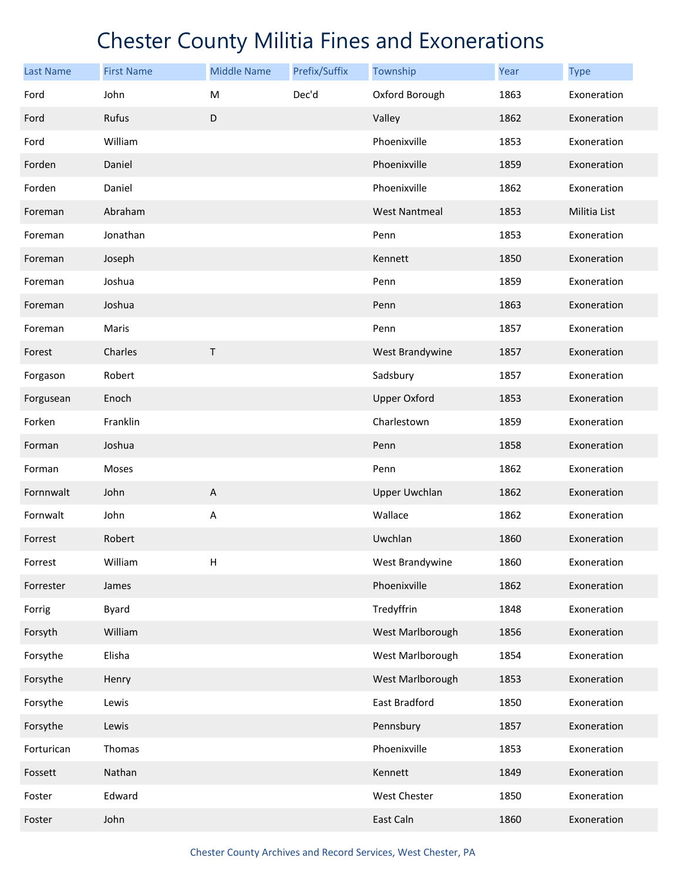| <b>Last Name</b> | <b>First Name</b> | <b>Middle Name</b> | Prefix/Suffix | Township             | Year | <b>Type</b>  |
|------------------|-------------------|--------------------|---------------|----------------------|------|--------------|
| Ford             | John              | M                  | Dec'd         | Oxford Borough       | 1863 | Exoneration  |
| Ford             | Rufus             | D                  |               | Valley               | 1862 | Exoneration  |
| Ford             | William           |                    |               | Phoenixville         | 1853 | Exoneration  |
| Forden           | Daniel            |                    |               | Phoenixville         | 1859 | Exoneration  |
| Forden           | Daniel            |                    |               | Phoenixville         | 1862 | Exoneration  |
| Foreman          | Abraham           |                    |               | <b>West Nantmeal</b> | 1853 | Militia List |
| Foreman          | Jonathan          |                    |               | Penn                 | 1853 | Exoneration  |
| Foreman          | Joseph            |                    |               | Kennett              | 1850 | Exoneration  |
| Foreman          | Joshua            |                    |               | Penn                 | 1859 | Exoneration  |
| Foreman          | Joshua            |                    |               | Penn                 | 1863 | Exoneration  |
| Foreman          | Maris             |                    |               | Penn                 | 1857 | Exoneration  |
| Forest           | Charles           | Τ                  |               | West Brandywine      | 1857 | Exoneration  |
| Forgason         | Robert            |                    |               | Sadsbury             | 1857 | Exoneration  |
| Forgusean        | Enoch             |                    |               | <b>Upper Oxford</b>  | 1853 | Exoneration  |
| Forken           | Franklin          |                    |               | Charlestown          | 1859 | Exoneration  |
| Forman           | Joshua            |                    |               | Penn                 | 1858 | Exoneration  |
| Forman           | Moses             |                    |               | Penn                 | 1862 | Exoneration  |
| Fornnwalt        | John              | $\mathsf A$        |               | <b>Upper Uwchlan</b> | 1862 | Exoneration  |
| Fornwalt         | John              | A                  |               | Wallace              | 1862 | Exoneration  |
| Forrest          | Robert            |                    |               | Uwchlan              | 1860 | Exoneration  |
| Forrest          | William           | н                  |               | West Brandywine      | 1860 | Exoneration  |
| Forrester        | James             |                    |               | Phoenixville         | 1862 | Exoneration  |
| Forrig           | Byard             |                    |               | Tredyffrin           | 1848 | Exoneration  |
| Forsyth          | William           |                    |               | West Marlborough     | 1856 | Exoneration  |
| Forsythe         | Elisha            |                    |               | West Marlborough     | 1854 | Exoneration  |
| Forsythe         | Henry             |                    |               | West Marlborough     | 1853 | Exoneration  |
| Forsythe         | Lewis             |                    |               | East Bradford        | 1850 | Exoneration  |
| Forsythe         | Lewis             |                    |               | Pennsbury            | 1857 | Exoneration  |
| Forturican       | Thomas            |                    |               | Phoenixville         | 1853 | Exoneration  |
| Fossett          | Nathan            |                    |               | Kennett              | 1849 | Exoneration  |
| Foster           | Edward            |                    |               | West Chester         | 1850 | Exoneration  |
| Foster           | John              |                    |               | East Caln            | 1860 | Exoneration  |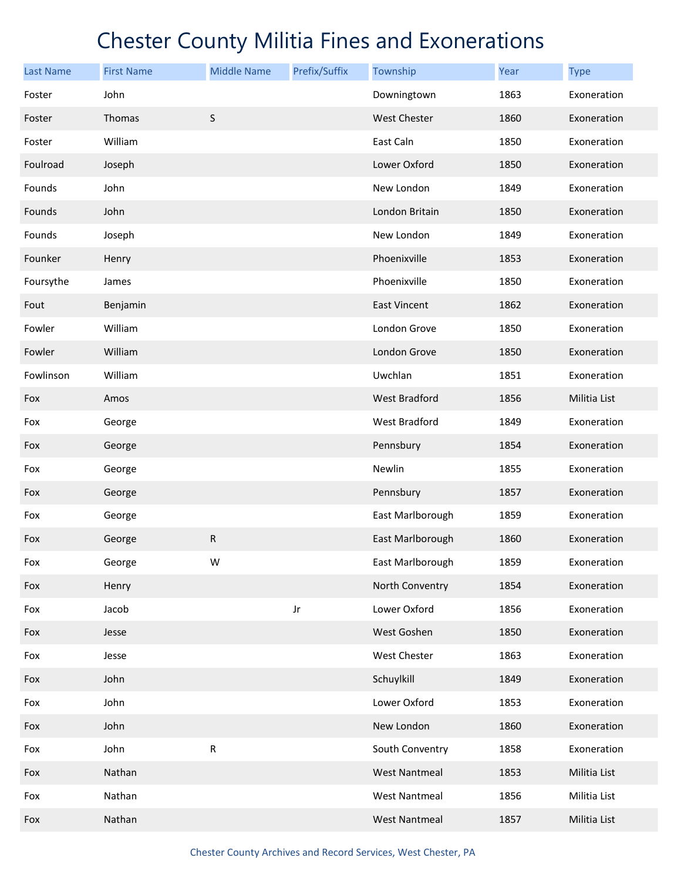| <b>Last Name</b> | <b>First Name</b> | <b>Middle Name</b> | Prefix/Suffix | Township             | <b>Year</b> | <b>Type</b>  |
|------------------|-------------------|--------------------|---------------|----------------------|-------------|--------------|
| Foster           | John              |                    |               | Downingtown          | 1863        | Exoneration  |
| Foster           | Thomas            | $\sf S$            |               | <b>West Chester</b>  | 1860        | Exoneration  |
| Foster           | William           |                    |               | East Caln            | 1850        | Exoneration  |
| Foulroad         | Joseph            |                    |               | Lower Oxford         | 1850        | Exoneration  |
| Founds           | John              |                    |               | New London           | 1849        | Exoneration  |
| Founds           | John              |                    |               | London Britain       | 1850        | Exoneration  |
| Founds           | Joseph            |                    |               | New London           | 1849        | Exoneration  |
| Founker          | Henry             |                    |               | Phoenixville         | 1853        | Exoneration  |
| Foursythe        | James             |                    |               | Phoenixville         | 1850        | Exoneration  |
| Fout             | Benjamin          |                    |               | <b>East Vincent</b>  | 1862        | Exoneration  |
| Fowler           | William           |                    |               | London Grove         | 1850        | Exoneration  |
| Fowler           | William           |                    |               | London Grove         | 1850        | Exoneration  |
| Fowlinson        | William           |                    |               | Uwchlan              | 1851        | Exoneration  |
| Fox              | Amos              |                    |               | West Bradford        | 1856        | Militia List |
| Fox              | George            |                    |               | West Bradford        | 1849        | Exoneration  |
| Fox              | George            |                    |               | Pennsbury            | 1854        | Exoneration  |
| Fox              | George            |                    |               | Newlin               | 1855        | Exoneration  |
| Fox              | George            |                    |               | Pennsbury            | 1857        | Exoneration  |
| Fox              | George            |                    |               | East Marlborough     | 1859        | Exoneration  |
| Fox              | George            | ${\sf R}$          |               | East Marlborough     | 1860        | Exoneration  |
| Fox              | George            | W                  |               | East Marlborough     | 1859        | Exoneration  |
| Fox              | Henry             |                    |               | North Conventry      | 1854        | Exoneration  |
| Fox              | Jacob             |                    | Jr            | Lower Oxford         | 1856        | Exoneration  |
| Fox              | Jesse             |                    |               | West Goshen          | 1850        | Exoneration  |
| Fox              | Jesse             |                    |               | West Chester         | 1863        | Exoneration  |
| Fox              | John              |                    |               | Schuylkill           | 1849        | Exoneration  |
| Fox              | John              |                    |               | Lower Oxford         | 1853        | Exoneration  |
| Fox              | John              |                    |               | New London           | 1860        | Exoneration  |
| Fox              | John              | ${\sf R}$          |               | South Conventry      | 1858        | Exoneration  |
| Fox              | Nathan            |                    |               | <b>West Nantmeal</b> | 1853        | Militia List |
| Fox              | Nathan            |                    |               | <b>West Nantmeal</b> | 1856        | Militia List |
| Fox              | Nathan            |                    |               | <b>West Nantmeal</b> | 1857        | Militia List |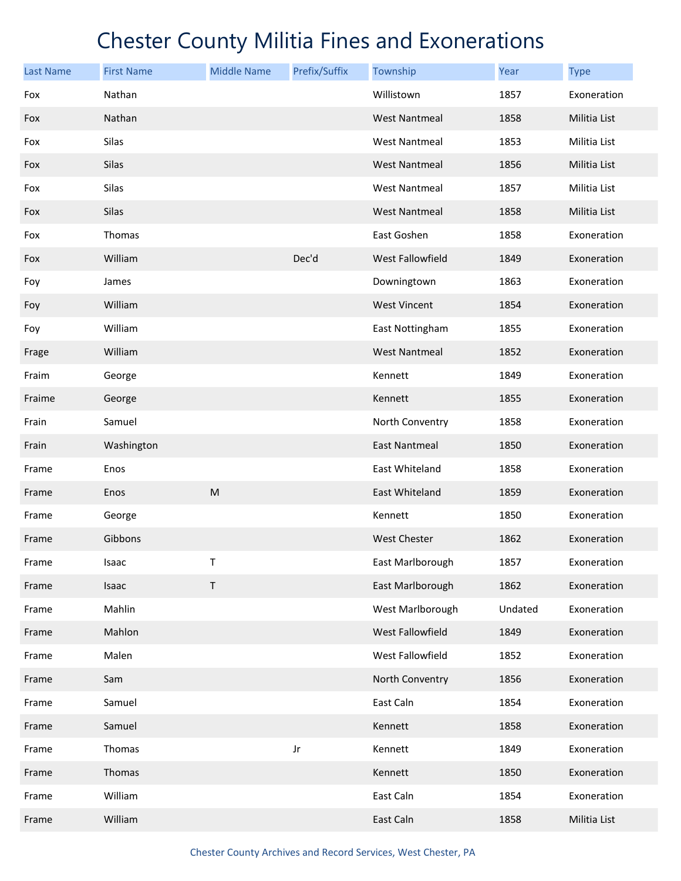| <b>Last Name</b> | <b>First Name</b> | <b>Middle Name</b> | Prefix/Suffix | Township                | Year    | <b>Type</b>  |
|------------------|-------------------|--------------------|---------------|-------------------------|---------|--------------|
| Fox              | Nathan            |                    |               | Willistown              | 1857    | Exoneration  |
| Fox              | Nathan            |                    |               | <b>West Nantmeal</b>    | 1858    | Militia List |
| Fox              | Silas             |                    |               | <b>West Nantmeal</b>    | 1853    | Militia List |
| Fox              | <b>Silas</b>      |                    |               | <b>West Nantmeal</b>    | 1856    | Militia List |
| Fox              | Silas             |                    |               | <b>West Nantmeal</b>    | 1857    | Militia List |
| Fox              | Silas             |                    |               | <b>West Nantmeal</b>    | 1858    | Militia List |
| Fox              | Thomas            |                    |               | East Goshen             | 1858    | Exoneration  |
| Fox              | William           |                    | Dec'd         | <b>West Fallowfield</b> | 1849    | Exoneration  |
| Foy              | James             |                    |               | Downingtown             | 1863    | Exoneration  |
| Foy              | William           |                    |               | <b>West Vincent</b>     | 1854    | Exoneration  |
| Foy              | William           |                    |               | East Nottingham         | 1855    | Exoneration  |
| Frage            | William           |                    |               | <b>West Nantmeal</b>    | 1852    | Exoneration  |
| Fraim            | George            |                    |               | Kennett                 | 1849    | Exoneration  |
| Fraime           | George            |                    |               | Kennett                 | 1855    | Exoneration  |
| Frain            | Samuel            |                    |               | North Conventry         | 1858    | Exoneration  |
| Frain            | Washington        |                    |               | <b>East Nantmeal</b>    | 1850    | Exoneration  |
| Frame            | Enos              |                    |               | East Whiteland          | 1858    | Exoneration  |
| Frame            | Enos              | M                  |               | East Whiteland          | 1859    | Exoneration  |
| Frame            | George            |                    |               | Kennett                 | 1850    | Exoneration  |
| Frame            | Gibbons           |                    |               | <b>West Chester</b>     | 1862    | Exoneration  |
| Frame            | Isaac             | T                  |               | East Marlborough        | 1857    | Exoneration  |
| Frame            | Isaac             | $\mathsf T$        |               | East Marlborough        | 1862    | Exoneration  |
| Frame            | Mahlin            |                    |               | West Marlborough        | Undated | Exoneration  |
| Frame            | Mahlon            |                    |               | West Fallowfield        | 1849    | Exoneration  |
| Frame            | Malen             |                    |               | West Fallowfield        | 1852    | Exoneration  |
| Frame            | Sam               |                    |               | North Conventry         | 1856    | Exoneration  |
| Frame            | Samuel            |                    |               | East Caln               | 1854    | Exoneration  |
| Frame            | Samuel            |                    |               | Kennett                 | 1858    | Exoneration  |
| Frame            | Thomas            |                    | Jr            | Kennett                 | 1849    | Exoneration  |
| Frame            | Thomas            |                    |               | Kennett                 | 1850    | Exoneration  |
| Frame            | William           |                    |               | East Caln               | 1854    | Exoneration  |
| Frame            | William           |                    |               | East Caln               | 1858    | Militia List |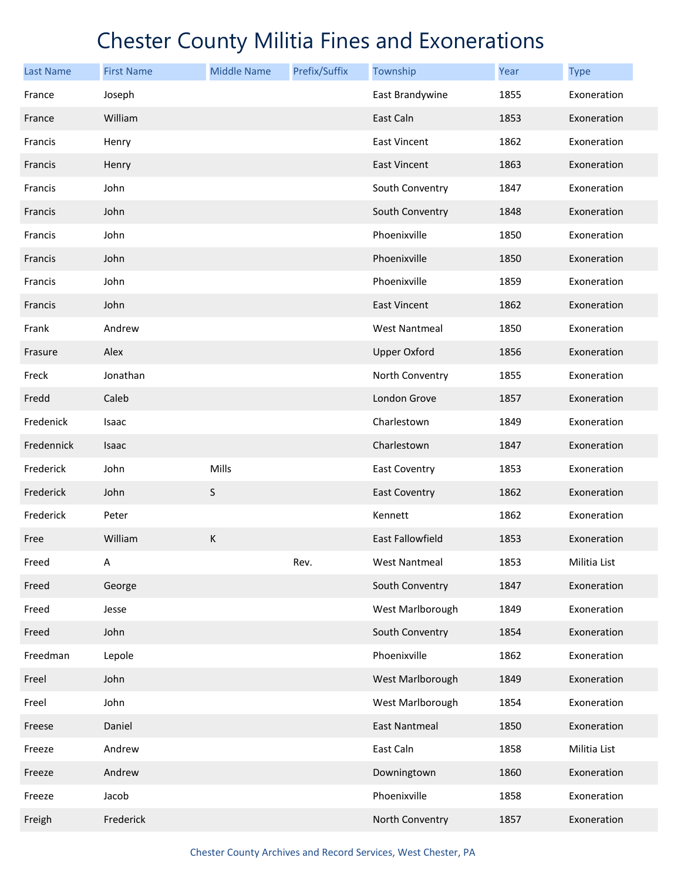| Last Name  | <b>First Name</b> | <b>Middle Name</b> | Prefix/Suffix | Township             | Year | <b>Type</b>  |
|------------|-------------------|--------------------|---------------|----------------------|------|--------------|
| France     | Joseph            |                    |               | East Brandywine      | 1855 | Exoneration  |
| France     | William           |                    |               | East Caln            | 1853 | Exoneration  |
| Francis    | Henry             |                    |               | <b>East Vincent</b>  | 1862 | Exoneration  |
| Francis    | Henry             |                    |               | <b>East Vincent</b>  | 1863 | Exoneration  |
| Francis    | John              |                    |               | South Conventry      | 1847 | Exoneration  |
| Francis    | John              |                    |               | South Conventry      | 1848 | Exoneration  |
| Francis    | John              |                    |               | Phoenixville         | 1850 | Exoneration  |
| Francis    | John              |                    |               | Phoenixville         | 1850 | Exoneration  |
| Francis    | John              |                    |               | Phoenixville         | 1859 | Exoneration  |
| Francis    | John              |                    |               | <b>East Vincent</b>  | 1862 | Exoneration  |
| Frank      | Andrew            |                    |               | <b>West Nantmeal</b> | 1850 | Exoneration  |
| Frasure    | Alex              |                    |               | <b>Upper Oxford</b>  | 1856 | Exoneration  |
| Freck      | Jonathan          |                    |               | North Conventry      | 1855 | Exoneration  |
| Fredd      | Caleb             |                    |               | London Grove         | 1857 | Exoneration  |
| Fredenick  | Isaac             |                    |               | Charlestown          | 1849 | Exoneration  |
| Fredennick | Isaac             |                    |               | Charlestown          | 1847 | Exoneration  |
| Frederick  | John              | Mills              |               | East Coventry        | 1853 | Exoneration  |
| Frederick  | John              | S                  |               | <b>East Coventry</b> | 1862 | Exoneration  |
| Frederick  | Peter             |                    |               | Kennett              | 1862 | Exoneration  |
| Free       | William           | $\sf K$            |               | East Fallowfield     | 1853 | Exoneration  |
| Freed      | А                 |                    | Rev.          | <b>West Nantmeal</b> | 1853 | Militia List |
| Freed      | George            |                    |               | South Conventry      | 1847 | Exoneration  |
| Freed      | Jesse             |                    |               | West Marlborough     | 1849 | Exoneration  |
| Freed      | John              |                    |               | South Conventry      | 1854 | Exoneration  |
| Freedman   | Lepole            |                    |               | Phoenixville         | 1862 | Exoneration  |
| Freel      | John              |                    |               | West Marlborough     | 1849 | Exoneration  |
| Freel      | John              |                    |               | West Marlborough     | 1854 | Exoneration  |
| Freese     | Daniel            |                    |               | <b>East Nantmeal</b> | 1850 | Exoneration  |
| Freeze     | Andrew            |                    |               | East Caln            | 1858 | Militia List |
| Freeze     | Andrew            |                    |               | Downingtown          | 1860 | Exoneration  |
| Freeze     | Jacob             |                    |               | Phoenixville         | 1858 | Exoneration  |
| Freigh     | Frederick         |                    |               | North Conventry      | 1857 | Exoneration  |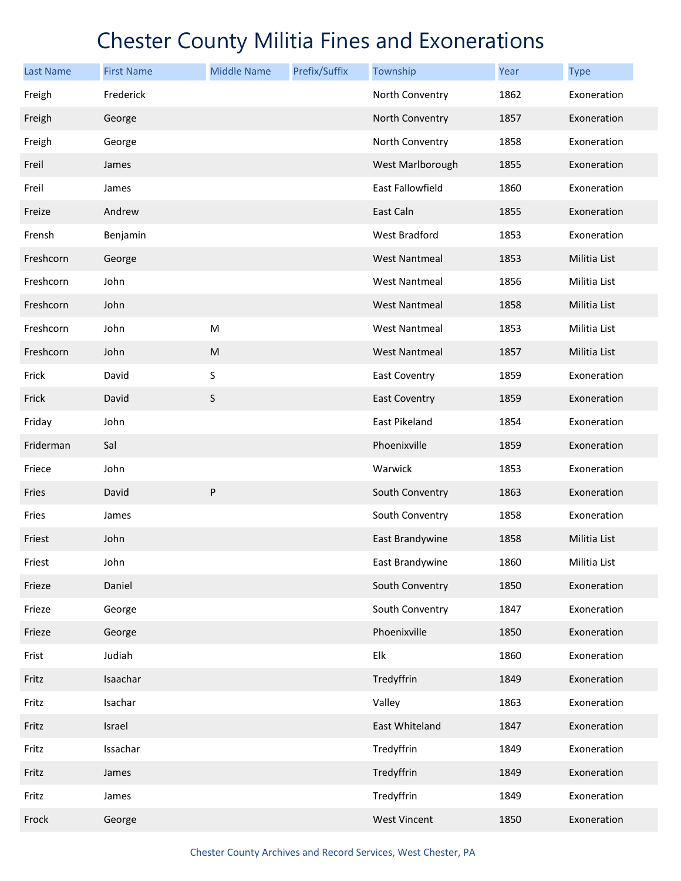| <b>Last Name</b> | <b>First Name</b> | <b>Middle Name</b> | Prefix/Suffix | Township             | Year | <b>Type</b>  |
|------------------|-------------------|--------------------|---------------|----------------------|------|--------------|
| Freigh           | Frederick         |                    |               | North Conventry      | 1862 | Exoneration  |
| Freigh           | George            |                    |               | North Conventry      | 1857 | Exoneration  |
| Freigh           | George            |                    |               | North Conventry      | 1858 | Exoneration  |
| Freil            | James             |                    |               | West Marlborough     | 1855 | Exoneration  |
| Freil            | James             |                    |               | East Fallowfield     | 1860 | Exoneration  |
| Freize           | Andrew            |                    |               | East Caln            | 1855 | Exoneration  |
| Frensh           | Benjamin          |                    |               | West Bradford        | 1853 | Exoneration  |
| Freshcorn        | George            |                    |               | <b>West Nantmeal</b> | 1853 | Militia List |
| Freshcorn        | John              |                    |               | <b>West Nantmeal</b> | 1856 | Militia List |
| Freshcorn        | John              |                    |               | <b>West Nantmeal</b> | 1858 | Militia List |
| Freshcorn        | John              | ${\sf M}$          |               | <b>West Nantmeal</b> | 1853 | Militia List |
| Freshcorn        | John              | ${\sf M}$          |               | <b>West Nantmeal</b> | 1857 | Militia List |
| Frick            | David             | S                  |               | <b>East Coventry</b> | 1859 | Exoneration  |
| Frick            | David             | $\sf S$            |               | <b>East Coventry</b> | 1859 | Exoneration  |
| Friday           | John              |                    |               | East Pikeland        | 1854 | Exoneration  |
| Friderman        | Sal               |                    |               | Phoenixville         | 1859 | Exoneration  |
| Friece           | John              |                    |               | Warwick              | 1853 | Exoneration  |
| Fries            | David             | ${\sf P}$          |               | South Conventry      | 1863 | Exoneration  |
| Fries            | James             |                    |               | South Conventry      | 1858 | Exoneration  |
| Friest           | John              |                    |               | East Brandywine      | 1858 | Militia List |
| Friest           | John              |                    |               | East Brandywine      | 1860 | Militia List |
| Frieze           | Daniel            |                    |               | South Conventry      | 1850 | Exoneration  |
| Frieze           | George            |                    |               | South Conventry      | 1847 | Exoneration  |
| Frieze           | George            |                    |               | Phoenixville         | 1850 | Exoneration  |
| Frist            | Judiah            |                    |               | Elk                  | 1860 | Exoneration  |
| Fritz            | Isaachar          |                    |               | Tredyffrin           | 1849 | Exoneration  |
| Fritz            | Isachar           |                    |               | Valley               | 1863 | Exoneration  |
| Fritz            | Israel            |                    |               | East Whiteland       | 1847 | Exoneration  |
| Fritz            | Issachar          |                    |               | Tredyffrin           | 1849 | Exoneration  |
| Fritz            | James             |                    |               | Tredyffrin           | 1849 | Exoneration  |
| Fritz            | James             |                    |               | Tredyffrin           | 1849 | Exoneration  |
| Frock            | George            |                    |               | <b>West Vincent</b>  | 1850 | Exoneration  |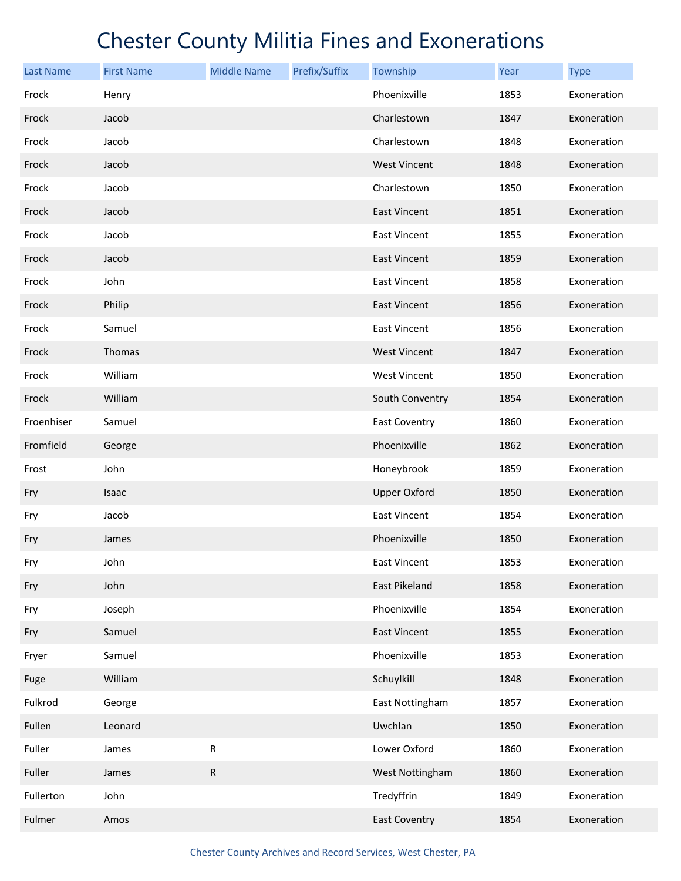| <b>Last Name</b> | <b>First Name</b> | <b>Middle Name</b> | Prefix/Suffix | Township             | Year | <b>Type</b> |
|------------------|-------------------|--------------------|---------------|----------------------|------|-------------|
| Frock            | Henry             |                    |               | Phoenixville         | 1853 | Exoneration |
| Frock            | Jacob             |                    |               | Charlestown          | 1847 | Exoneration |
| Frock            | Jacob             |                    |               | Charlestown          | 1848 | Exoneration |
| Frock            | Jacob             |                    |               | <b>West Vincent</b>  | 1848 | Exoneration |
| Frock            | Jacob             |                    |               | Charlestown          | 1850 | Exoneration |
| Frock            | Jacob             |                    |               | <b>East Vincent</b>  | 1851 | Exoneration |
| Frock            | Jacob             |                    |               | <b>East Vincent</b>  | 1855 | Exoneration |
| Frock            | Jacob             |                    |               | <b>East Vincent</b>  | 1859 | Exoneration |
| Frock            | John              |                    |               | <b>East Vincent</b>  | 1858 | Exoneration |
| Frock            | Philip            |                    |               | <b>East Vincent</b>  | 1856 | Exoneration |
| Frock            | Samuel            |                    |               | <b>East Vincent</b>  | 1856 | Exoneration |
| Frock            | Thomas            |                    |               | <b>West Vincent</b>  | 1847 | Exoneration |
| Frock            | William           |                    |               | <b>West Vincent</b>  | 1850 | Exoneration |
| Frock            | William           |                    |               | South Conventry      | 1854 | Exoneration |
| Froenhiser       | Samuel            |                    |               | East Coventry        | 1860 | Exoneration |
| Fromfield        | George            |                    |               | Phoenixville         | 1862 | Exoneration |
| Frost            | John              |                    |               | Honeybrook           | 1859 | Exoneration |
| Fry              | Isaac             |                    |               | <b>Upper Oxford</b>  | 1850 | Exoneration |
| Fry              | Jacob             |                    |               | <b>East Vincent</b>  | 1854 | Exoneration |
| Fry              | James             |                    |               | Phoenixville         | 1850 | Exoneration |
| Fry              | John              |                    |               | <b>East Vincent</b>  | 1853 | Exoneration |
| Fry              | John              |                    |               | East Pikeland        | 1858 | Exoneration |
| Fry              | Joseph            |                    |               | Phoenixville         | 1854 | Exoneration |
| Fry              | Samuel            |                    |               | <b>East Vincent</b>  | 1855 | Exoneration |
| Fryer            | Samuel            |                    |               | Phoenixville         | 1853 | Exoneration |
| Fuge             | William           |                    |               | Schuylkill           | 1848 | Exoneration |
| Fulkrod          | George            |                    |               | East Nottingham      | 1857 | Exoneration |
| Fullen           | Leonard           |                    |               | Uwchlan              | 1850 | Exoneration |
| Fuller           | James             | ${\sf R}$          |               | Lower Oxford         | 1860 | Exoneration |
| Fuller           | James             | ${\sf R}$          |               | West Nottingham      | 1860 | Exoneration |
| Fullerton        | John              |                    |               | Tredyffrin           | 1849 | Exoneration |
| Fulmer           | Amos              |                    |               | <b>East Coventry</b> | 1854 | Exoneration |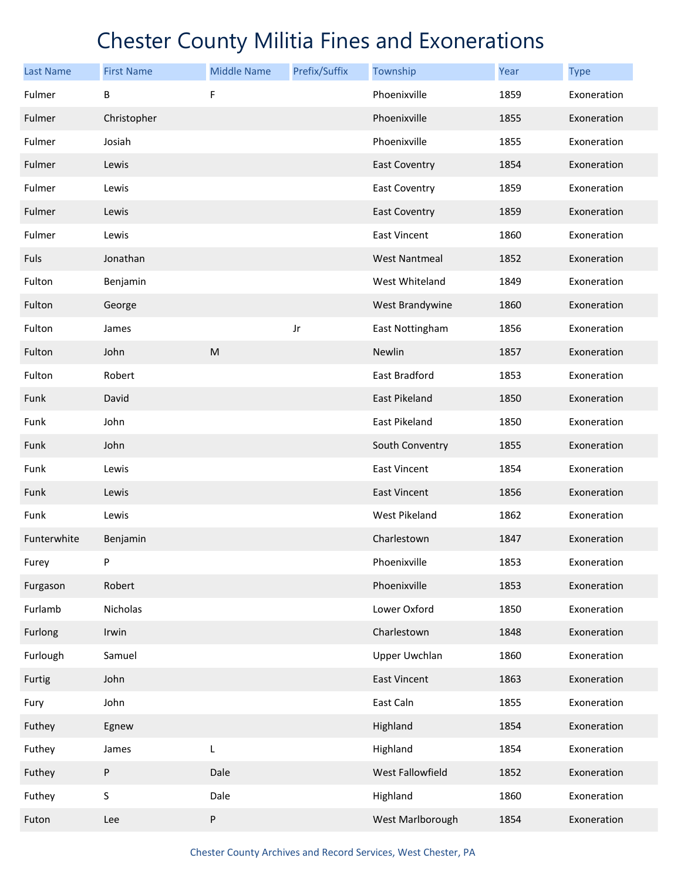| <b>Last Name</b> | <b>First Name</b> | <b>Middle Name</b> | Prefix/Suffix | Township             | Year | <b>Type</b> |
|------------------|-------------------|--------------------|---------------|----------------------|------|-------------|
| Fulmer           | В                 | F                  |               | Phoenixville         | 1859 | Exoneration |
| Fulmer           | Christopher       |                    |               | Phoenixville         | 1855 | Exoneration |
| Fulmer           | Josiah            |                    |               | Phoenixville         | 1855 | Exoneration |
| Fulmer           | Lewis             |                    |               | <b>East Coventry</b> | 1854 | Exoneration |
| Fulmer           | Lewis             |                    |               | <b>East Coventry</b> | 1859 | Exoneration |
| Fulmer           | Lewis             |                    |               | <b>East Coventry</b> | 1859 | Exoneration |
| Fulmer           | Lewis             |                    |               | <b>East Vincent</b>  | 1860 | Exoneration |
| Fuls             | Jonathan          |                    |               | <b>West Nantmeal</b> | 1852 | Exoneration |
| Fulton           | Benjamin          |                    |               | West Whiteland       | 1849 | Exoneration |
| Fulton           | George            |                    |               | West Brandywine      | 1860 | Exoneration |
| Fulton           | James             |                    | Jr            | East Nottingham      | 1856 | Exoneration |
| Fulton           | John              | ${\sf M}$          |               | Newlin               | 1857 | Exoneration |
| Fulton           | Robert            |                    |               | East Bradford        | 1853 | Exoneration |
| Funk             | David             |                    |               | East Pikeland        | 1850 | Exoneration |
| Funk             | John              |                    |               | East Pikeland        | 1850 | Exoneration |
| Funk             | John              |                    |               | South Conventry      | 1855 | Exoneration |
| Funk             | Lewis             |                    |               | <b>East Vincent</b>  | 1854 | Exoneration |
| Funk             | Lewis             |                    |               | East Vincent         | 1856 | Exoneration |
| Funk             | Lewis             |                    |               | West Pikeland        | 1862 | Exoneration |
| Funterwhite      | Benjamin          |                    |               | Charlestown          | 1847 | Exoneration |
| Furey            | P                 |                    |               | Phoenixville         | 1853 | Exoneration |
| Furgason         | Robert            |                    |               | Phoenixville         | 1853 | Exoneration |
| Furlamb          | Nicholas          |                    |               | Lower Oxford         | 1850 | Exoneration |
| Furlong          | Irwin             |                    |               | Charlestown          | 1848 | Exoneration |
| Furlough         | Samuel            |                    |               | <b>Upper Uwchlan</b> | 1860 | Exoneration |
| Furtig           | John              |                    |               | <b>East Vincent</b>  | 1863 | Exoneration |
| Fury             | John              |                    |               | East Caln            | 1855 | Exoneration |
| Futhey           | Egnew             |                    |               | Highland             | 1854 | Exoneration |
| Futhey           | James             | L                  |               | Highland             | 1854 | Exoneration |
| Futhey           | P                 | Dale               |               | West Fallowfield     | 1852 | Exoneration |
| Futhey           | S                 | Dale               |               | Highland             | 1860 | Exoneration |
| Futon            | Lee               | ${\sf P}$          |               | West Marlborough     | 1854 | Exoneration |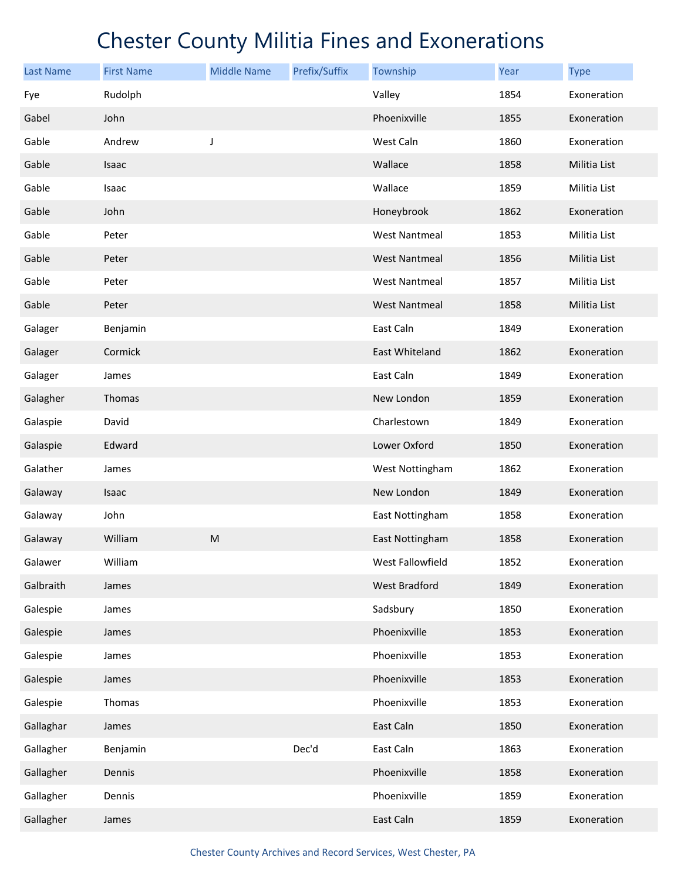| <b>Last Name</b> | <b>First Name</b> | <b>Middle Name</b>                                                                    | Prefix/Suffix | Township             | Year | <b>Type</b>  |
|------------------|-------------------|---------------------------------------------------------------------------------------|---------------|----------------------|------|--------------|
| Fye              | Rudolph           |                                                                                       |               | Valley               | 1854 | Exoneration  |
| Gabel            | John              |                                                                                       |               | Phoenixville         | 1855 | Exoneration  |
| Gable            | Andrew            | J                                                                                     |               | West Caln            | 1860 | Exoneration  |
| Gable            | Isaac             |                                                                                       |               | Wallace              | 1858 | Militia List |
| Gable            | Isaac             |                                                                                       |               | Wallace              | 1859 | Militia List |
| Gable            | John              |                                                                                       |               | Honeybrook           | 1862 | Exoneration  |
| Gable            | Peter             |                                                                                       |               | <b>West Nantmeal</b> | 1853 | Militia List |
| Gable            | Peter             |                                                                                       |               | <b>West Nantmeal</b> | 1856 | Militia List |
| Gable            | Peter             |                                                                                       |               | <b>West Nantmeal</b> | 1857 | Militia List |
| Gable            | Peter             |                                                                                       |               | <b>West Nantmeal</b> | 1858 | Militia List |
| Galager          | Benjamin          |                                                                                       |               | East Caln            | 1849 | Exoneration  |
| Galager          | Cormick           |                                                                                       |               | East Whiteland       | 1862 | Exoneration  |
| Galager          | James             |                                                                                       |               | East Caln            | 1849 | Exoneration  |
| Galagher         | Thomas            |                                                                                       |               | New London           | 1859 | Exoneration  |
| Galaspie         | David             |                                                                                       |               | Charlestown          | 1849 | Exoneration  |
| Galaspie         | Edward            |                                                                                       |               | Lower Oxford         | 1850 | Exoneration  |
| Galather         | James             |                                                                                       |               | West Nottingham      | 1862 | Exoneration  |
| Galaway          | Isaac             |                                                                                       |               | New London           | 1849 | Exoneration  |
| Galaway          | John              |                                                                                       |               | East Nottingham      | 1858 | Exoneration  |
| Galaway          | William           | $\mathsf{M}% _{T}=\mathsf{M}_{T}\!\left( a,b\right) ,\ \mathsf{M}_{T}=\mathsf{M}_{T}$ |               | East Nottingham      | 1858 | Exoneration  |
| Galawer          | William           |                                                                                       |               | West Fallowfield     | 1852 | Exoneration  |
| Galbraith        | James             |                                                                                       |               | West Bradford        | 1849 | Exoneration  |
| Galespie         | James             |                                                                                       |               | Sadsbury             | 1850 | Exoneration  |
| Galespie         | James             |                                                                                       |               | Phoenixville         | 1853 | Exoneration  |
| Galespie         | James             |                                                                                       |               | Phoenixville         | 1853 | Exoneration  |
| Galespie         | James             |                                                                                       |               | Phoenixville         | 1853 | Exoneration  |
| Galespie         | Thomas            |                                                                                       |               | Phoenixville         | 1853 | Exoneration  |
| Gallaghar        | James             |                                                                                       |               | East Caln            | 1850 | Exoneration  |
| Gallagher        | Benjamin          |                                                                                       | Dec'd         | East Caln            | 1863 | Exoneration  |
| Gallagher        | Dennis            |                                                                                       |               | Phoenixville         | 1858 | Exoneration  |
| Gallagher        | Dennis            |                                                                                       |               | Phoenixville         | 1859 | Exoneration  |
| Gallagher        | James             |                                                                                       |               | East Caln            | 1859 | Exoneration  |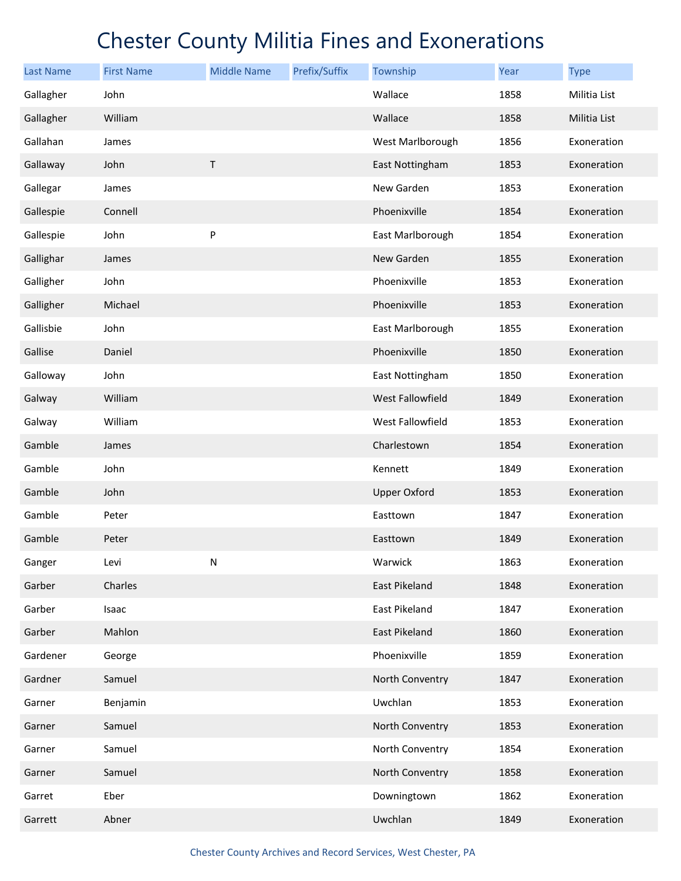| <b>Last Name</b> | <b>First Name</b> | <b>Middle Name</b> | Prefix/Suffix | Township            | Year | <b>Type</b>  |
|------------------|-------------------|--------------------|---------------|---------------------|------|--------------|
| Gallagher        | John              |                    |               | Wallace             | 1858 | Militia List |
| Gallagher        | William           |                    |               | Wallace             | 1858 | Militia List |
| Gallahan         | James             |                    |               | West Marlborough    | 1856 | Exoneration  |
| Gallaway         | John              | $\top$             |               | East Nottingham     | 1853 | Exoneration  |
| Gallegar         | James             |                    |               | New Garden          | 1853 | Exoneration  |
| Gallespie        | Connell           |                    |               | Phoenixville        | 1854 | Exoneration  |
| Gallespie        | John              | P                  |               | East Marlborough    | 1854 | Exoneration  |
| Gallighar        | James             |                    |               | New Garden          | 1855 | Exoneration  |
| Galligher        | John              |                    |               | Phoenixville        | 1853 | Exoneration  |
| Galligher        | Michael           |                    |               | Phoenixville        | 1853 | Exoneration  |
| Gallisbie        | John              |                    |               | East Marlborough    | 1855 | Exoneration  |
| Gallise          | Daniel            |                    |               | Phoenixville        | 1850 | Exoneration  |
| Galloway         | John              |                    |               | East Nottingham     | 1850 | Exoneration  |
| Galway           | William           |                    |               | West Fallowfield    | 1849 | Exoneration  |
| Galway           | William           |                    |               | West Fallowfield    | 1853 | Exoneration  |
| Gamble           | James             |                    |               | Charlestown         | 1854 | Exoneration  |
| Gamble           | John              |                    |               | Kennett             | 1849 | Exoneration  |
| Gamble           | John              |                    |               | <b>Upper Oxford</b> | 1853 | Exoneration  |
| Gamble           | Peter             |                    |               | Easttown            | 1847 | Exoneration  |
| Gamble           | Peter             |                    |               | Easttown            | 1849 | Exoneration  |
| Ganger           | Levi              | $\mathsf{N}$       |               | Warwick             | 1863 | Exoneration  |
| Garber           | Charles           |                    |               | East Pikeland       | 1848 | Exoneration  |
| Garber           | Isaac             |                    |               | East Pikeland       | 1847 | Exoneration  |
| Garber           | Mahlon            |                    |               | East Pikeland       | 1860 | Exoneration  |
| Gardener         | George            |                    |               | Phoenixville        | 1859 | Exoneration  |
| Gardner          | Samuel            |                    |               | North Conventry     | 1847 | Exoneration  |
| Garner           | Benjamin          |                    |               | Uwchlan             | 1853 | Exoneration  |
| Garner           | Samuel            |                    |               | North Conventry     | 1853 | Exoneration  |
| Garner           | Samuel            |                    |               | North Conventry     | 1854 | Exoneration  |
| Garner           | Samuel            |                    |               | North Conventry     | 1858 | Exoneration  |
| Garret           | Eber              |                    |               | Downingtown         | 1862 | Exoneration  |
| Garrett          | Abner             |                    |               | Uwchlan             | 1849 | Exoneration  |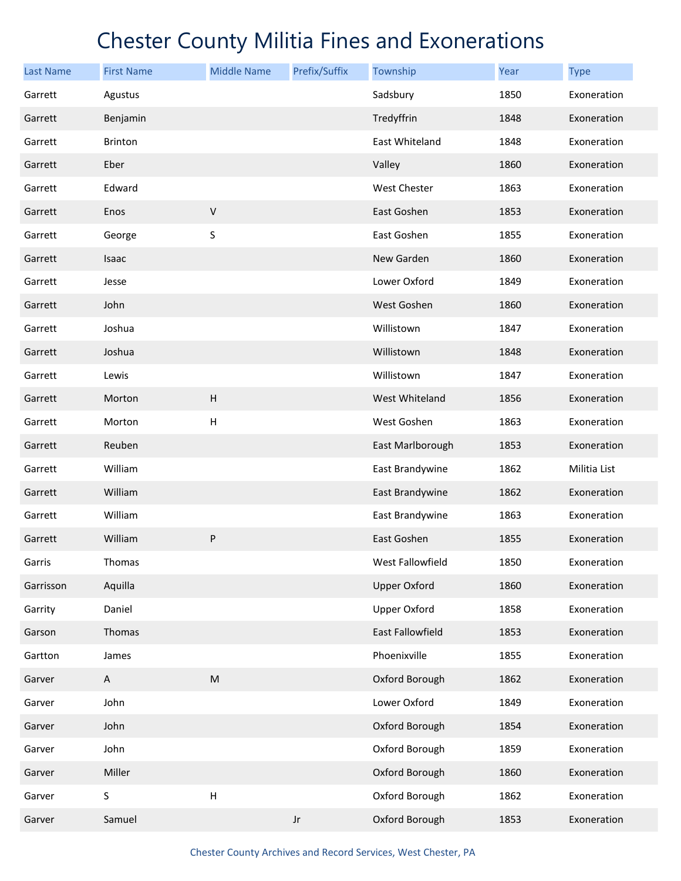| <b>Last Name</b> | <b>First Name</b> | <b>Middle Name</b>        | Prefix/Suffix | Township                | Year | <b>Type</b>  |
|------------------|-------------------|---------------------------|---------------|-------------------------|------|--------------|
| Garrett          | Agustus           |                           |               | Sadsbury                | 1850 | Exoneration  |
| Garrett          | Benjamin          |                           |               | Tredyffrin              | 1848 | Exoneration  |
| Garrett          | Brinton           |                           |               | East Whiteland          | 1848 | Exoneration  |
| Garrett          | Eber              |                           |               | Valley                  | 1860 | Exoneration  |
| Garrett          | Edward            |                           |               | West Chester            | 1863 | Exoneration  |
| Garrett          | Enos              | $\sf V$                   |               | East Goshen             | 1853 | Exoneration  |
| Garrett          | George            | S                         |               | East Goshen             | 1855 | Exoneration  |
| Garrett          | Isaac             |                           |               | New Garden              | 1860 | Exoneration  |
| Garrett          | Jesse             |                           |               | Lower Oxford            | 1849 | Exoneration  |
| Garrett          | John              |                           |               | West Goshen             | 1860 | Exoneration  |
| Garrett          | Joshua            |                           |               | Willistown              | 1847 | Exoneration  |
| Garrett          | Joshua            |                           |               | Willistown              | 1848 | Exoneration  |
| Garrett          | Lewis             |                           |               | Willistown              | 1847 | Exoneration  |
| Garrett          | Morton            | $\sf H$                   |               | West Whiteland          | 1856 | Exoneration  |
| Garrett          | Morton            | $\boldsymbol{\mathsf{H}}$ |               | West Goshen             | 1863 | Exoneration  |
| Garrett          | Reuben            |                           |               | East Marlborough        | 1853 | Exoneration  |
| Garrett          | William           |                           |               | East Brandywine         | 1862 | Militia List |
| Garrett          | William           |                           |               | East Brandywine         | 1862 | Exoneration  |
| Garrett          | William           |                           |               | East Brandywine         | 1863 | Exoneration  |
| Garrett          | William           | P                         |               | East Goshen             | 1855 | Exoneration  |
| Garris           | Thomas            |                           |               | West Fallowfield        | 1850 | Exoneration  |
| Garrisson        | Aquilla           |                           |               | <b>Upper Oxford</b>     | 1860 | Exoneration  |
| Garrity          | Daniel            |                           |               | <b>Upper Oxford</b>     | 1858 | Exoneration  |
| Garson           | Thomas            |                           |               | <b>East Fallowfield</b> | 1853 | Exoneration  |
| Gartton          | James             |                           |               | Phoenixville            | 1855 | Exoneration  |
| Garver           | A                 | ${\sf M}$                 |               | Oxford Borough          | 1862 | Exoneration  |
| Garver           | John              |                           |               | Lower Oxford            | 1849 | Exoneration  |
| Garver           | John              |                           |               | Oxford Borough          | 1854 | Exoneration  |
| Garver           | John              |                           |               | Oxford Borough          | 1859 | Exoneration  |
| Garver           | Miller            |                           |               | Oxford Borough          | 1860 | Exoneration  |
| Garver           | S                 | $\boldsymbol{\mathsf{H}}$ |               | Oxford Borough          | 1862 | Exoneration  |
| Garver           | Samuel            |                           | Jr            | Oxford Borough          | 1853 | Exoneration  |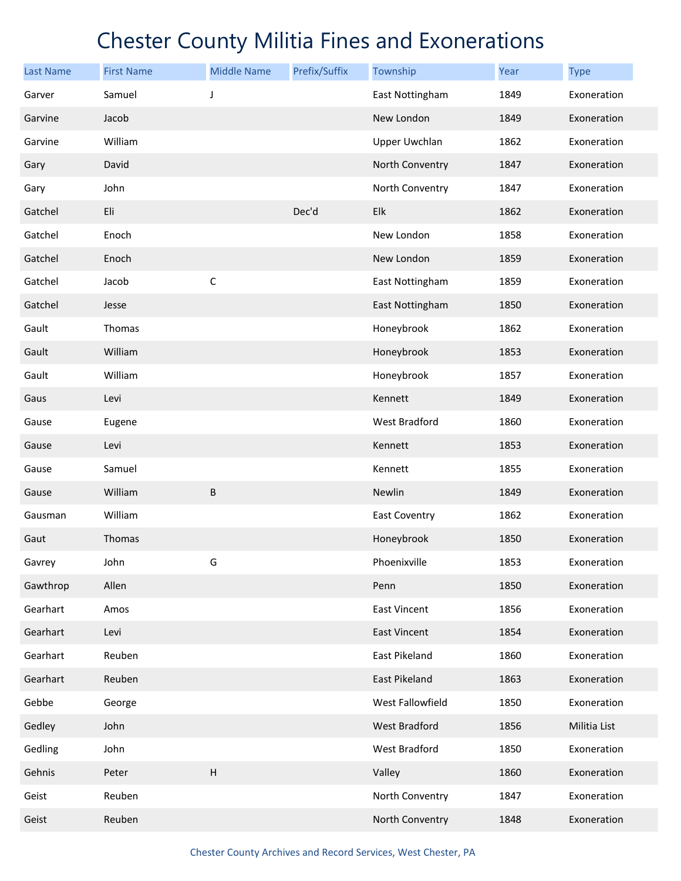| <b>Last Name</b> | <b>First Name</b> | <b>Middle Name</b> | Prefix/Suffix | Township            | Year | <b>Type</b>  |
|------------------|-------------------|--------------------|---------------|---------------------|------|--------------|
| Garver           | Samuel            | J                  |               | East Nottingham     | 1849 | Exoneration  |
| Garvine          | Jacob             |                    |               | New London          | 1849 | Exoneration  |
| Garvine          | William           |                    |               | Upper Uwchlan       | 1862 | Exoneration  |
| Gary             | David             |                    |               | North Conventry     | 1847 | Exoneration  |
| Gary             | John              |                    |               | North Conventry     | 1847 | Exoneration  |
| Gatchel          | Eli               |                    | Dec'd         | Elk                 | 1862 | Exoneration  |
| Gatchel          | Enoch             |                    |               | New London          | 1858 | Exoneration  |
| Gatchel          | Enoch             |                    |               | New London          | 1859 | Exoneration  |
| Gatchel          | Jacob             | $\mathsf C$        |               | East Nottingham     | 1859 | Exoneration  |
| Gatchel          | Jesse             |                    |               | East Nottingham     | 1850 | Exoneration  |
| Gault            | Thomas            |                    |               | Honeybrook          | 1862 | Exoneration  |
| Gault            | William           |                    |               | Honeybrook          | 1853 | Exoneration  |
| Gault            | William           |                    |               | Honeybrook          | 1857 | Exoneration  |
| Gaus             | Levi              |                    |               | Kennett             | 1849 | Exoneration  |
| Gause            | Eugene            |                    |               | West Bradford       | 1860 | Exoneration  |
| Gause            | Levi              |                    |               | Kennett             | 1853 | Exoneration  |
| Gause            | Samuel            |                    |               | Kennett             | 1855 | Exoneration  |
| Gause            | William           | B                  |               | Newlin              | 1849 | Exoneration  |
| Gausman          | William           |                    |               | East Coventry       | 1862 | Exoneration  |
| Gaut             | Thomas            |                    |               | Honeybrook          | 1850 | Exoneration  |
| Gavrey           | John              | G                  |               | Phoenixville        | 1853 | Exoneration  |
| Gawthrop         | Allen             |                    |               | Penn                | 1850 | Exoneration  |
| Gearhart         | Amos              |                    |               | <b>East Vincent</b> | 1856 | Exoneration  |
| Gearhart         | Levi              |                    |               | East Vincent        | 1854 | Exoneration  |
| Gearhart         | Reuben            |                    |               | East Pikeland       | 1860 | Exoneration  |
| Gearhart         | Reuben            |                    |               | East Pikeland       | 1863 | Exoneration  |
| Gebbe            | George            |                    |               | West Fallowfield    | 1850 | Exoneration  |
| Gedley           | John              |                    |               | West Bradford       | 1856 | Militia List |
| Gedling          | John              |                    |               | West Bradford       | 1850 | Exoneration  |
| Gehnis           | Peter             | $\sf H$            |               | Valley              | 1860 | Exoneration  |
| Geist            | Reuben            |                    |               | North Conventry     | 1847 | Exoneration  |
| Geist            | Reuben            |                    |               | North Conventry     | 1848 | Exoneration  |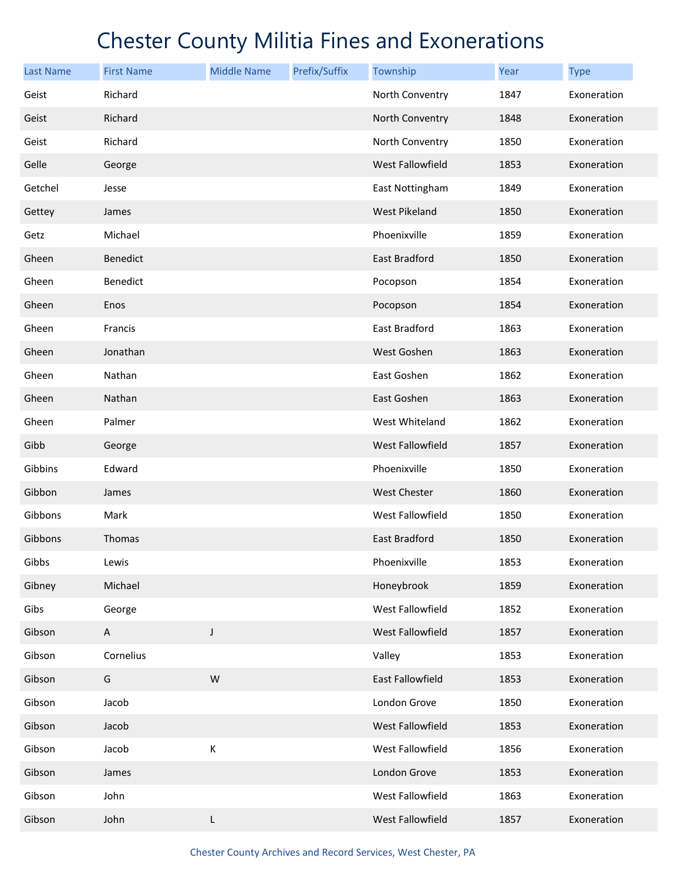| <b>Last Name</b> | <b>First Name</b> | <b>Middle Name</b> | Prefix/Suffix | Township                | Year | <b>Type</b> |
|------------------|-------------------|--------------------|---------------|-------------------------|------|-------------|
| Geist            | Richard           |                    |               | North Conventry         | 1847 | Exoneration |
| Geist            | Richard           |                    |               | North Conventry         | 1848 | Exoneration |
| Geist            | Richard           |                    |               | North Conventry         | 1850 | Exoneration |
| Gelle            | George            |                    |               | West Fallowfield        | 1853 | Exoneration |
| Getchel          | Jesse             |                    |               | East Nottingham         | 1849 | Exoneration |
| Gettey           | James             |                    |               | <b>West Pikeland</b>    | 1850 | Exoneration |
| Getz             | Michael           |                    |               | Phoenixville            | 1859 | Exoneration |
| Gheen            | Benedict          |                    |               | East Bradford           | 1850 | Exoneration |
| Gheen            | Benedict          |                    |               | Pocopson                | 1854 | Exoneration |
| Gheen            | Enos              |                    |               | Pocopson                | 1854 | Exoneration |
| Gheen            | Francis           |                    |               | East Bradford           | 1863 | Exoneration |
| Gheen            | Jonathan          |                    |               | West Goshen             | 1863 | Exoneration |
| Gheen            | Nathan            |                    |               | East Goshen             | 1862 | Exoneration |
| Gheen            | Nathan            |                    |               | East Goshen             | 1863 | Exoneration |
| Gheen            | Palmer            |                    |               | West Whiteland          | 1862 | Exoneration |
| Gibb             | George            |                    |               | <b>West Fallowfield</b> | 1857 | Exoneration |
| Gibbins          | Edward            |                    |               | Phoenixville            | 1850 | Exoneration |
| Gibbon           | James             |                    |               | <b>West Chester</b>     | 1860 | Exoneration |
| Gibbons          | Mark              |                    |               | West Fallowfield        | 1850 | Exoneration |
| Gibbons          | Thomas            |                    |               | <b>East Bradford</b>    | 1850 | Exoneration |
| Gibbs            | Lewis             |                    |               | Phoenixville            | 1853 | Exoneration |
| Gibney           | Michael           |                    |               | Honeybrook              | 1859 | Exoneration |
| Gibs             | George            |                    |               | West Fallowfield        | 1852 | Exoneration |
| Gibson           | A                 | J                  |               | West Fallowfield        | 1857 | Exoneration |
| Gibson           | Cornelius         |                    |               | Valley                  | 1853 | Exoneration |
| Gibson           | G                 | W                  |               | <b>East Fallowfield</b> | 1853 | Exoneration |
| Gibson           | Jacob             |                    |               | London Grove            | 1850 | Exoneration |
| Gibson           | Jacob             |                    |               | West Fallowfield        | 1853 | Exoneration |
| Gibson           | Jacob             | К                  |               | West Fallowfield        | 1856 | Exoneration |
| Gibson           | James             |                    |               | London Grove            | 1853 | Exoneration |
| Gibson           | John              |                    |               | West Fallowfield        | 1863 | Exoneration |
| Gibson           | John              | L                  |               | West Fallowfield        | 1857 | Exoneration |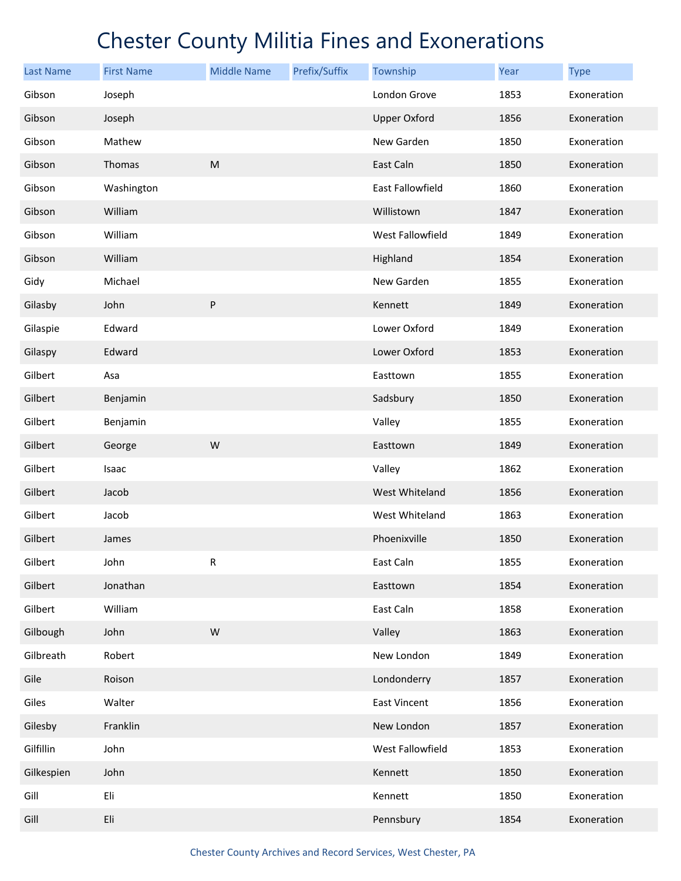| <b>Last Name</b> | <b>First Name</b> | <b>Middle Name</b> | Prefix/Suffix | Township            | Year | <b>Type</b> |
|------------------|-------------------|--------------------|---------------|---------------------|------|-------------|
| Gibson           | Joseph            |                    |               | London Grove        | 1853 | Exoneration |
| Gibson           | Joseph            |                    |               | <b>Upper Oxford</b> | 1856 | Exoneration |
| Gibson           | Mathew            |                    |               | New Garden          | 1850 | Exoneration |
| Gibson           | Thomas            | ${\sf M}$          |               | East Caln           | 1850 | Exoneration |
| Gibson           | Washington        |                    |               | East Fallowfield    | 1860 | Exoneration |
| Gibson           | William           |                    |               | Willistown          | 1847 | Exoneration |
| Gibson           | William           |                    |               | West Fallowfield    | 1849 | Exoneration |
| Gibson           | William           |                    |               | Highland            | 1854 | Exoneration |
| Gidy             | Michael           |                    |               | New Garden          | 1855 | Exoneration |
| Gilasby          | John              | ${\sf P}$          |               | Kennett             | 1849 | Exoneration |
| Gilaspie         | Edward            |                    |               | Lower Oxford        | 1849 | Exoneration |
| Gilaspy          | Edward            |                    |               | Lower Oxford        | 1853 | Exoneration |
| Gilbert          | Asa               |                    |               | Easttown            | 1855 | Exoneration |
| Gilbert          | Benjamin          |                    |               | Sadsbury            | 1850 | Exoneration |
| Gilbert          | Benjamin          |                    |               | Valley              | 1855 | Exoneration |
| Gilbert          | George            | W                  |               | Easttown            | 1849 | Exoneration |
| Gilbert          | Isaac             |                    |               | Valley              | 1862 | Exoneration |
| Gilbert          | Jacob             |                    |               | West Whiteland      | 1856 | Exoneration |
| Gilbert          | Jacob             |                    |               | West Whiteland      | 1863 | Exoneration |
| Gilbert          | James             |                    |               | Phoenixville        | 1850 | Exoneration |
| Gilbert          | John              | R                  |               | East Caln           | 1855 | Exoneration |
| Gilbert          | Jonathan          |                    |               | Easttown            | 1854 | Exoneration |
| Gilbert          | William           |                    |               | East Caln           | 1858 | Exoneration |
| Gilbough         | John              | W                  |               | Valley              | 1863 | Exoneration |
| Gilbreath        | Robert            |                    |               | New London          | 1849 | Exoneration |
| Gile             | Roison            |                    |               | Londonderry         | 1857 | Exoneration |
| Giles            | Walter            |                    |               | <b>East Vincent</b> | 1856 | Exoneration |
| Gilesby          | Franklin          |                    |               | New London          | 1857 | Exoneration |
| Gilfillin        | John              |                    |               | West Fallowfield    | 1853 | Exoneration |
| Gilkespien       | John              |                    |               | Kennett             | 1850 | Exoneration |
| Gill             | Eli               |                    |               | Kennett             | 1850 | Exoneration |
| Gill             | Eli               |                    |               | Pennsbury           | 1854 | Exoneration |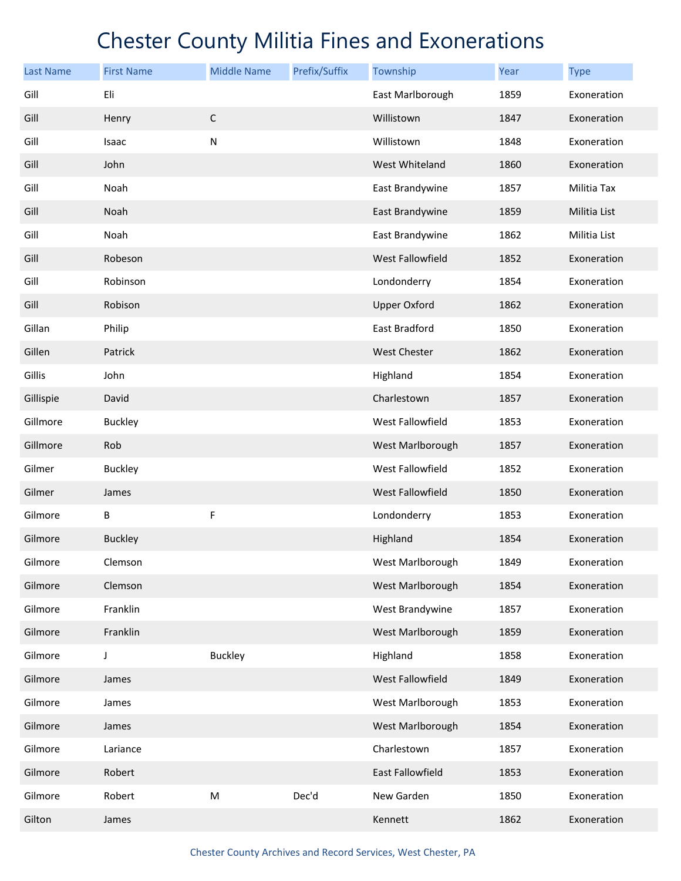| <b>Last Name</b> | <b>First Name</b> | <b>Middle Name</b> | Prefix/Suffix | Township                | Year | <b>Type</b>  |
|------------------|-------------------|--------------------|---------------|-------------------------|------|--------------|
| Gill             | Eli               |                    |               | East Marlborough        | 1859 | Exoneration  |
| Gill             | Henry             | $\mathsf C$        |               | Willistown              | 1847 | Exoneration  |
| Gill             | Isaac             | N                  |               | Willistown              | 1848 | Exoneration  |
| Gill             | John              |                    |               | West Whiteland          | 1860 | Exoneration  |
| Gill             | Noah              |                    |               | East Brandywine         | 1857 | Militia Tax  |
| Gill             | Noah              |                    |               | East Brandywine         | 1859 | Militia List |
| Gill             | Noah              |                    |               | East Brandywine         | 1862 | Militia List |
| Gill             | Robeson           |                    |               | <b>West Fallowfield</b> | 1852 | Exoneration  |
| Gill             | Robinson          |                    |               | Londonderry             | 1854 | Exoneration  |
| Gill             | Robison           |                    |               | <b>Upper Oxford</b>     | 1862 | Exoneration  |
| Gillan           | Philip            |                    |               | East Bradford           | 1850 | Exoneration  |
| Gillen           | Patrick           |                    |               | <b>West Chester</b>     | 1862 | Exoneration  |
| Gillis           | John              |                    |               | Highland                | 1854 | Exoneration  |
| Gillispie        | David             |                    |               | Charlestown             | 1857 | Exoneration  |
| Gillmore         | <b>Buckley</b>    |                    |               | West Fallowfield        | 1853 | Exoneration  |
| Gillmore         | Rob               |                    |               | West Marlborough        | 1857 | Exoneration  |
| Gilmer           | <b>Buckley</b>    |                    |               | West Fallowfield        | 1852 | Exoneration  |
| Gilmer           | James             |                    |               | West Fallowfield        | 1850 | Exoneration  |
| Gilmore          | В                 | F                  |               | Londonderry             | 1853 | Exoneration  |
| Gilmore          | <b>Buckley</b>    |                    |               | Highland                | 1854 | Exoneration  |
| Gilmore          | Clemson           |                    |               | West Marlborough        | 1849 | Exoneration  |
| Gilmore          | Clemson           |                    |               | West Marlborough        | 1854 | Exoneration  |
| Gilmore          | Franklin          |                    |               | West Brandywine         | 1857 | Exoneration  |
| Gilmore          | Franklin          |                    |               | West Marlborough        | 1859 | Exoneration  |
| Gilmore          | J                 | <b>Buckley</b>     |               | Highland                | 1858 | Exoneration  |
| Gilmore          | James             |                    |               | West Fallowfield        | 1849 | Exoneration  |
| Gilmore          | James             |                    |               | West Marlborough        | 1853 | Exoneration  |
| Gilmore          | James             |                    |               | West Marlborough        | 1854 | Exoneration  |
| Gilmore          | Lariance          |                    |               | Charlestown             | 1857 | Exoneration  |
| Gilmore          | Robert            |                    |               | East Fallowfield        | 1853 | Exoneration  |
| Gilmore          | Robert            | ${\sf M}$          | Dec'd         | New Garden              | 1850 | Exoneration  |
| Gilton           | James             |                    |               | Kennett                 | 1862 | Exoneration  |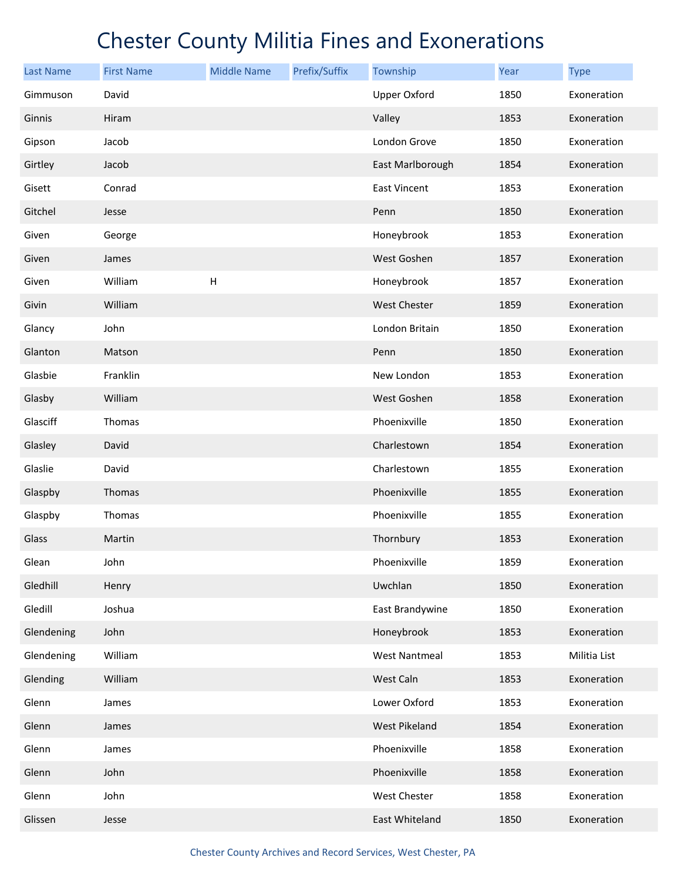| <b>Last Name</b> | <b>First Name</b> | <b>Middle Name</b>        | Prefix/Suffix | Township             | Year | <b>Type</b>  |
|------------------|-------------------|---------------------------|---------------|----------------------|------|--------------|
| Gimmuson         | David             |                           |               | <b>Upper Oxford</b>  | 1850 | Exoneration  |
| Ginnis           | Hiram             |                           |               | Valley               | 1853 | Exoneration  |
| Gipson           | Jacob             |                           |               | London Grove         | 1850 | Exoneration  |
| Girtley          | Jacob             |                           |               | East Marlborough     | 1854 | Exoneration  |
| Gisett           | Conrad            |                           |               | <b>East Vincent</b>  | 1853 | Exoneration  |
| Gitchel          | Jesse             |                           |               | Penn                 | 1850 | Exoneration  |
| Given            | George            |                           |               | Honeybrook           | 1853 | Exoneration  |
| Given            | James             |                           |               | West Goshen          | 1857 | Exoneration  |
| Given            | William           | $\boldsymbol{\mathsf{H}}$ |               | Honeybrook           | 1857 | Exoneration  |
| Givin            | William           |                           |               | <b>West Chester</b>  | 1859 | Exoneration  |
| Glancy           | John              |                           |               | London Britain       | 1850 | Exoneration  |
| Glanton          | Matson            |                           |               | Penn                 | 1850 | Exoneration  |
| Glasbie          | Franklin          |                           |               | New London           | 1853 | Exoneration  |
| Glasby           | William           |                           |               | West Goshen          | 1858 | Exoneration  |
| Glasciff         | Thomas            |                           |               | Phoenixville         | 1850 | Exoneration  |
| Glasley          | David             |                           |               | Charlestown          | 1854 | Exoneration  |
| Glaslie          | David             |                           |               | Charlestown          | 1855 | Exoneration  |
| Glaspby          | Thomas            |                           |               | Phoenixville         | 1855 | Exoneration  |
| Glaspby          | Thomas            |                           |               | Phoenixville         | 1855 | Exoneration  |
| Glass            | Martin            |                           |               | Thornbury            | 1853 | Exoneration  |
| Glean            | John              |                           |               | Phoenixville         | 1859 | Exoneration  |
| Gledhill         | Henry             |                           |               | Uwchlan              | 1850 | Exoneration  |
| Gledill          | Joshua            |                           |               | East Brandywine      | 1850 | Exoneration  |
| Glendening       | John              |                           |               | Honeybrook           | 1853 | Exoneration  |
| Glendening       | William           |                           |               | <b>West Nantmeal</b> | 1853 | Militia List |
| Glending         | William           |                           |               | West Caln            | 1853 | Exoneration  |
| Glenn            | James             |                           |               | Lower Oxford         | 1853 | Exoneration  |
| Glenn            | James             |                           |               | West Pikeland        | 1854 | Exoneration  |
| Glenn            | James             |                           |               | Phoenixville         | 1858 | Exoneration  |
| Glenn            | John              |                           |               | Phoenixville         | 1858 | Exoneration  |
| Glenn            | John              |                           |               | West Chester         | 1858 | Exoneration  |
| Glissen          | Jesse             |                           |               | East Whiteland       | 1850 | Exoneration  |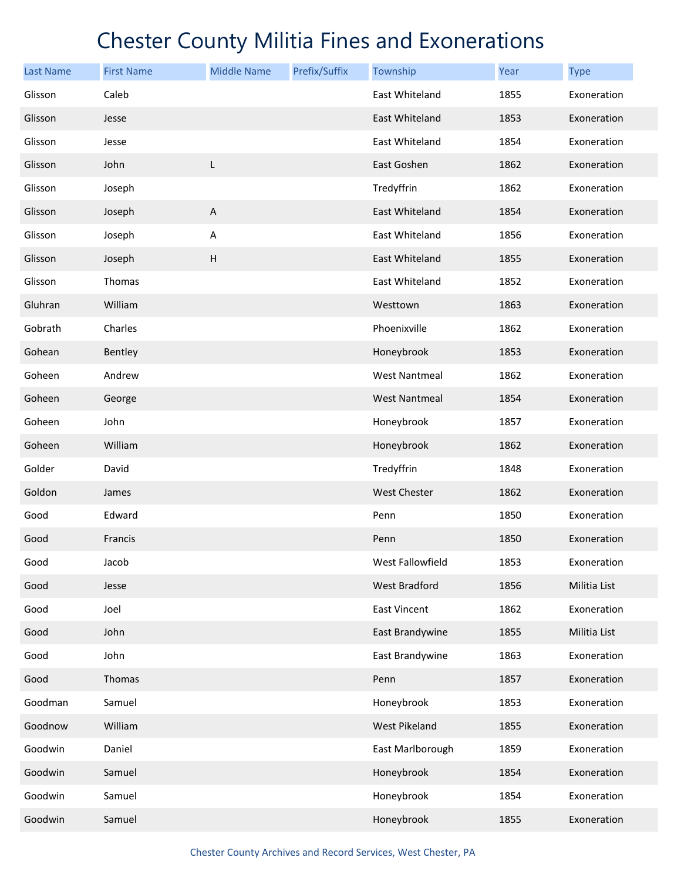| <b>Last Name</b> | <b>First Name</b> | <b>Middle Name</b>        | Prefix/Suffix | Township             | Year | <b>Type</b>  |
|------------------|-------------------|---------------------------|---------------|----------------------|------|--------------|
| Glisson          | Caleb             |                           |               | East Whiteland       | 1855 | Exoneration  |
| Glisson          | Jesse             |                           |               | East Whiteland       | 1853 | Exoneration  |
| Glisson          | Jesse             |                           |               | East Whiteland       | 1854 | Exoneration  |
| Glisson          | John              | L                         |               | East Goshen          | 1862 | Exoneration  |
| Glisson          | Joseph            |                           |               | Tredyffrin           | 1862 | Exoneration  |
| Glisson          | Joseph            | $\boldsymbol{\mathsf{A}}$ |               | East Whiteland       | 1854 | Exoneration  |
| Glisson          | Joseph            | A                         |               | East Whiteland       | 1856 | Exoneration  |
| Glisson          | Joseph            | $\sf H$                   |               | East Whiteland       | 1855 | Exoneration  |
| Glisson          | Thomas            |                           |               | East Whiteland       | 1852 | Exoneration  |
| Gluhran          | William           |                           |               | Westtown             | 1863 | Exoneration  |
| Gobrath          | Charles           |                           |               | Phoenixville         | 1862 | Exoneration  |
| Gohean           | Bentley           |                           |               | Honeybrook           | 1853 | Exoneration  |
| Goheen           | Andrew            |                           |               | West Nantmeal        | 1862 | Exoneration  |
| Goheen           | George            |                           |               | <b>West Nantmeal</b> | 1854 | Exoneration  |
| Goheen           | John              |                           |               | Honeybrook           | 1857 | Exoneration  |
| Goheen           | William           |                           |               | Honeybrook           | 1862 | Exoneration  |
| Golder           | David             |                           |               | Tredyffrin           | 1848 | Exoneration  |
| Goldon           | James             |                           |               | <b>West Chester</b>  | 1862 | Exoneration  |
| Good             | Edward            |                           |               | Penn                 | 1850 | Exoneration  |
| Good             | Francis           |                           |               | Penn                 | 1850 | Exoneration  |
| Good             | Jacob             |                           |               | West Fallowfield     | 1853 | Exoneration  |
| Good             | Jesse             |                           |               | West Bradford        | 1856 | Militia List |
| Good             | Joel              |                           |               | East Vincent         | 1862 | Exoneration  |
| Good             | John              |                           |               | East Brandywine      | 1855 | Militia List |
| Good             | John              |                           |               | East Brandywine      | 1863 | Exoneration  |
| Good             | Thomas            |                           |               | Penn                 | 1857 | Exoneration  |
| Goodman          | Samuel            |                           |               | Honeybrook           | 1853 | Exoneration  |
| Goodnow          | William           |                           |               | West Pikeland        | 1855 | Exoneration  |
| Goodwin          | Daniel            |                           |               | East Marlborough     | 1859 | Exoneration  |
| Goodwin          | Samuel            |                           |               | Honeybrook           | 1854 | Exoneration  |
| Goodwin          | Samuel            |                           |               | Honeybrook           | 1854 | Exoneration  |
| Goodwin          | Samuel            |                           |               | Honeybrook           | 1855 | Exoneration  |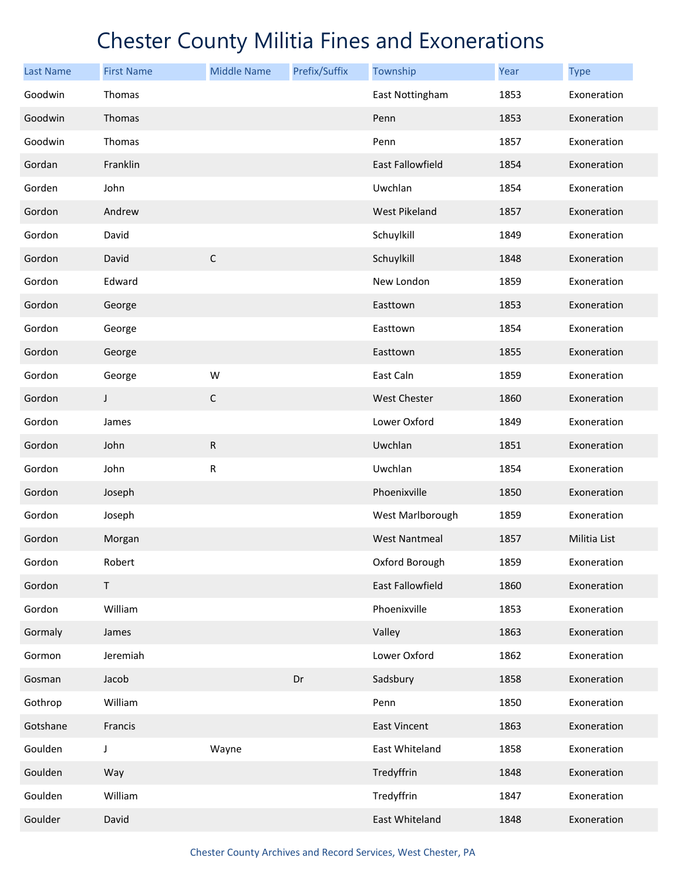| <b>Last Name</b> | <b>First Name</b> | <b>Middle Name</b> | Prefix/Suffix | Township                | Year | <b>Type</b>  |
|------------------|-------------------|--------------------|---------------|-------------------------|------|--------------|
| Goodwin          | Thomas            |                    |               | East Nottingham         | 1853 | Exoneration  |
| Goodwin          | Thomas            |                    |               | Penn                    | 1853 | Exoneration  |
| Goodwin          | Thomas            |                    |               | Penn                    | 1857 | Exoneration  |
| Gordan           | Franklin          |                    |               | East Fallowfield        | 1854 | Exoneration  |
| Gorden           | John              |                    |               | Uwchlan                 | 1854 | Exoneration  |
| Gordon           | Andrew            |                    |               | <b>West Pikeland</b>    | 1857 | Exoneration  |
| Gordon           | David             |                    |               | Schuylkill              | 1849 | Exoneration  |
| Gordon           | David             | $\mathsf C$        |               | Schuylkill              | 1848 | Exoneration  |
| Gordon           | Edward            |                    |               | New London              | 1859 | Exoneration  |
| Gordon           | George            |                    |               | Easttown                | 1853 | Exoneration  |
| Gordon           | George            |                    |               | Easttown                | 1854 | Exoneration  |
| Gordon           | George            |                    |               | Easttown                | 1855 | Exoneration  |
| Gordon           | George            | W                  |               | East Caln               | 1859 | Exoneration  |
| Gordon           | J                 | $\mathsf C$        |               | <b>West Chester</b>     | 1860 | Exoneration  |
| Gordon           | James             |                    |               | Lower Oxford            | 1849 | Exoneration  |
| Gordon           | John              | ${\sf R}$          |               | Uwchlan                 | 1851 | Exoneration  |
| Gordon           | John              | ${\sf R}$          |               | Uwchlan                 | 1854 | Exoneration  |
| Gordon           | Joseph            |                    |               | Phoenixville            | 1850 | Exoneration  |
| Gordon           | Joseph            |                    |               | West Marlborough        | 1859 | Exoneration  |
| Gordon           | Morgan            |                    |               | <b>West Nantmeal</b>    | 1857 | Militia List |
| Gordon           | Robert            |                    |               | Oxford Borough          | 1859 | Exoneration  |
| Gordon           | $\mathsf T$       |                    |               | <b>East Fallowfield</b> | 1860 | Exoneration  |
| Gordon           | William           |                    |               | Phoenixville            | 1853 | Exoneration  |
| Gormaly          | James             |                    |               | Valley                  | 1863 | Exoneration  |
| Gormon           | Jeremiah          |                    |               | Lower Oxford            | 1862 | Exoneration  |
| Gosman           | Jacob             |                    | Dr            | Sadsbury                | 1858 | Exoneration  |
| Gothrop          | William           |                    |               | Penn                    | 1850 | Exoneration  |
| Gotshane         | Francis           |                    |               | <b>East Vincent</b>     | 1863 | Exoneration  |
| Goulden          | J                 | Wayne              |               | East Whiteland          | 1858 | Exoneration  |
| Goulden          | Way               |                    |               | Tredyffrin              | 1848 | Exoneration  |
| Goulden          | William           |                    |               | Tredyffrin              | 1847 | Exoneration  |
| Goulder          | David             |                    |               | East Whiteland          | 1848 | Exoneration  |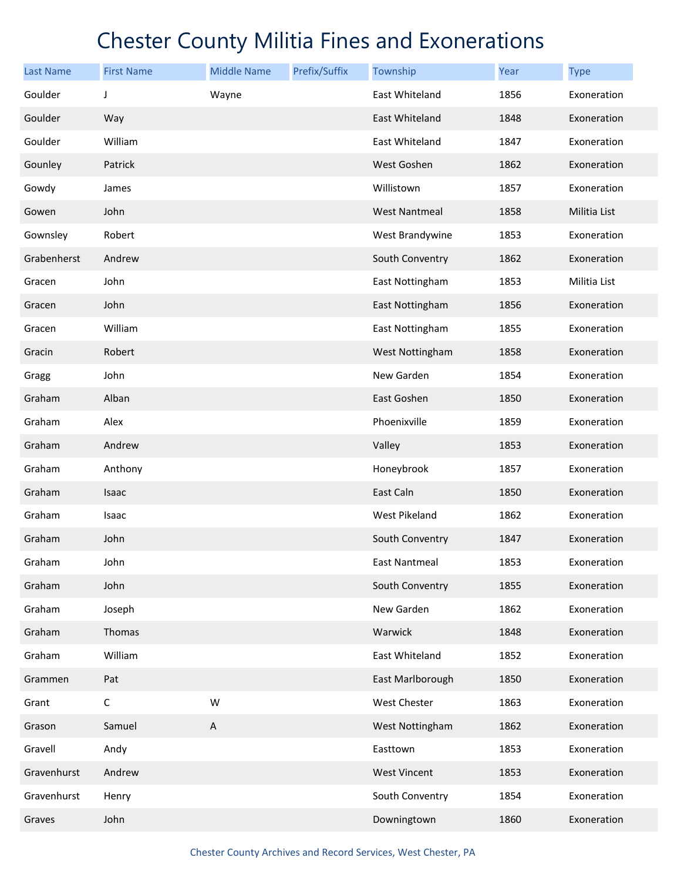| <b>Last Name</b> | <b>First Name</b> | <b>Middle Name</b>        | Prefix/Suffix | Township             | Year | <b>Type</b>  |
|------------------|-------------------|---------------------------|---------------|----------------------|------|--------------|
| Goulder          | J                 | Wayne                     |               | East Whiteland       | 1856 | Exoneration  |
| Goulder          | Way               |                           |               | East Whiteland       | 1848 | Exoneration  |
| Goulder          | William           |                           |               | East Whiteland       | 1847 | Exoneration  |
| Gounley          | Patrick           |                           |               | West Goshen          | 1862 | Exoneration  |
| Gowdy            | James             |                           |               | Willistown           | 1857 | Exoneration  |
| Gowen            | John              |                           |               | <b>West Nantmeal</b> | 1858 | Militia List |
| Gownsley         | Robert            |                           |               | West Brandywine      | 1853 | Exoneration  |
| Grabenherst      | Andrew            |                           |               | South Conventry      | 1862 | Exoneration  |
| Gracen           | John              |                           |               | East Nottingham      | 1853 | Militia List |
| Gracen           | John              |                           |               | East Nottingham      | 1856 | Exoneration  |
| Gracen           | William           |                           |               | East Nottingham      | 1855 | Exoneration  |
| Gracin           | Robert            |                           |               | West Nottingham      | 1858 | Exoneration  |
| Gragg            | John              |                           |               | New Garden           | 1854 | Exoneration  |
| Graham           | Alban             |                           |               | East Goshen          | 1850 | Exoneration  |
| Graham           | Alex              |                           |               | Phoenixville         | 1859 | Exoneration  |
| Graham           | Andrew            |                           |               | Valley               | 1853 | Exoneration  |
| Graham           | Anthony           |                           |               | Honeybrook           | 1857 | Exoneration  |
| Graham           | Isaac             |                           |               | East Caln            | 1850 | Exoneration  |
| Graham           | Isaac             |                           |               | West Pikeland        | 1862 | Exoneration  |
| Graham           | John              |                           |               | South Conventry      | 1847 | Exoneration  |
| Graham           | John              |                           |               | East Nantmeal        | 1853 | Exoneration  |
| Graham           | John              |                           |               | South Conventry      | 1855 | Exoneration  |
| Graham           | Joseph            |                           |               | New Garden           | 1862 | Exoneration  |
| Graham           | Thomas            |                           |               | Warwick              | 1848 | Exoneration  |
| Graham           | William           |                           |               | East Whiteland       | 1852 | Exoneration  |
| Grammen          | Pat               |                           |               | East Marlborough     | 1850 | Exoneration  |
| Grant            | $\mathsf C$       | W                         |               | West Chester         | 1863 | Exoneration  |
| Grason           | Samuel            | $\boldsymbol{\mathsf{A}}$ |               | West Nottingham      | 1862 | Exoneration  |
| Gravell          | Andy              |                           |               | Easttown             | 1853 | Exoneration  |
| Gravenhurst      | Andrew            |                           |               | <b>West Vincent</b>  | 1853 | Exoneration  |
| Gravenhurst      | Henry             |                           |               | South Conventry      | 1854 | Exoneration  |
| Graves           | John              |                           |               | Downingtown          | 1860 | Exoneration  |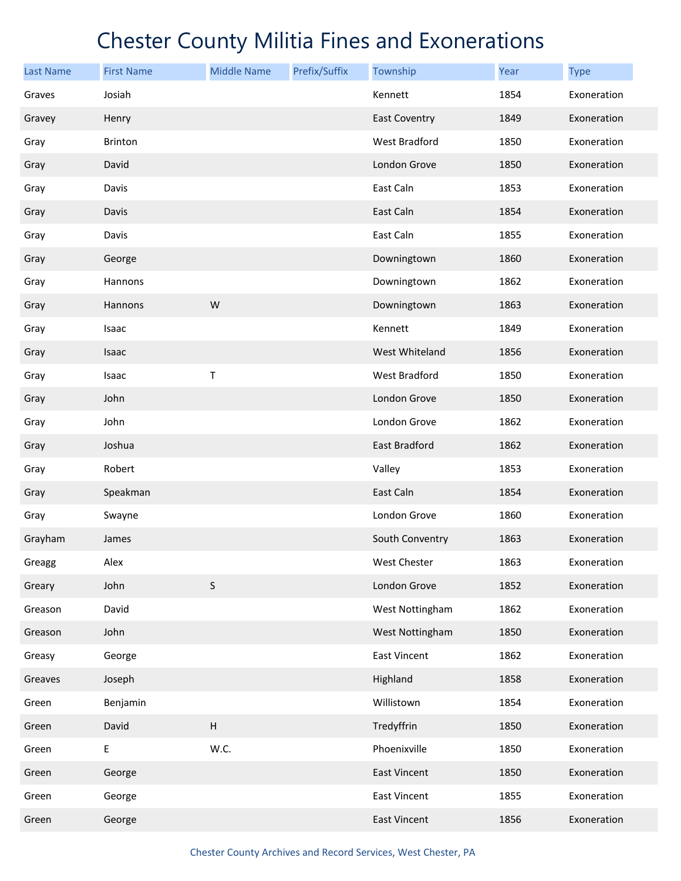| <b>Last Name</b> | <b>First Name</b> | <b>Middle Name</b> | Prefix/Suffix | Township             | Year | <b>Type</b> |
|------------------|-------------------|--------------------|---------------|----------------------|------|-------------|
| Graves           | Josiah            |                    |               | Kennett              | 1854 | Exoneration |
| Gravey           | Henry             |                    |               | <b>East Coventry</b> | 1849 | Exoneration |
| Gray             | Brinton           |                    |               | <b>West Bradford</b> | 1850 | Exoneration |
| Gray             | David             |                    |               | London Grove         | 1850 | Exoneration |
| Gray             | Davis             |                    |               | East Caln            | 1853 | Exoneration |
| Gray             | Davis             |                    |               | East Caln            | 1854 | Exoneration |
| Gray             | Davis             |                    |               | East Caln            | 1855 | Exoneration |
| Gray             | George            |                    |               | Downingtown          | 1860 | Exoneration |
| Gray             | Hannons           |                    |               | Downingtown          | 1862 | Exoneration |
| Gray             | Hannons           | W                  |               | Downingtown          | 1863 | Exoneration |
| Gray             | Isaac             |                    |               | Kennett              | 1849 | Exoneration |
| Gray             | Isaac             |                    |               | West Whiteland       | 1856 | Exoneration |
| Gray             | Isaac             | Т                  |               | <b>West Bradford</b> | 1850 | Exoneration |
| Gray             | John              |                    |               | London Grove         | 1850 | Exoneration |
| Gray             | John              |                    |               | London Grove         | 1862 | Exoneration |
| Gray             | Joshua            |                    |               | <b>East Bradford</b> | 1862 | Exoneration |
| Gray             | Robert            |                    |               | Valley               | 1853 | Exoneration |
| Gray             | Speakman          |                    |               | East Caln            | 1854 | Exoneration |
| Gray             | Swayne            |                    |               | London Grove         | 1860 | Exoneration |
| Grayham          | James             |                    |               | South Conventry      | 1863 | Exoneration |
| Greagg           | Alex              |                    |               | West Chester         | 1863 | Exoneration |
| Greary           | John              | $\sf S$            |               | London Grove         | 1852 | Exoneration |
| Greason          | David             |                    |               | West Nottingham      | 1862 | Exoneration |
| Greason          | John              |                    |               | West Nottingham      | 1850 | Exoneration |
| Greasy           | George            |                    |               | <b>East Vincent</b>  | 1862 | Exoneration |
| Greaves          | Joseph            |                    |               | Highland             | 1858 | Exoneration |
| Green            | Benjamin          |                    |               | Willistown           | 1854 | Exoneration |
| Green            | David             | $\sf H$            |               | Tredyffrin           | 1850 | Exoneration |
| Green            | E                 | W.C.               |               | Phoenixville         | 1850 | Exoneration |
| Green            | George            |                    |               | <b>East Vincent</b>  | 1850 | Exoneration |
| Green            | George            |                    |               | East Vincent         | 1855 | Exoneration |
| Green            | George            |                    |               | East Vincent         | 1856 | Exoneration |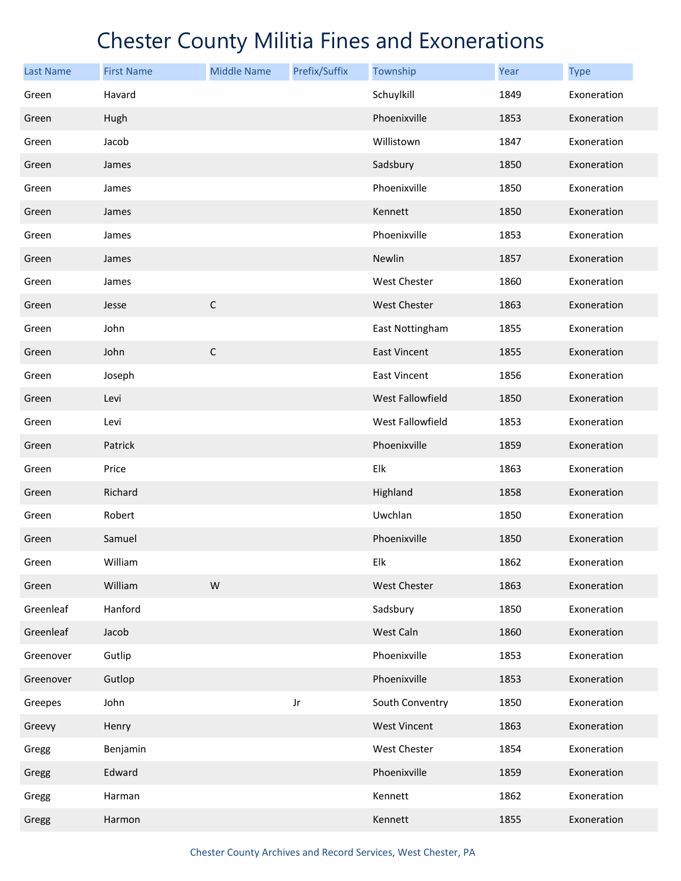| <b>Last Name</b> | <b>First Name</b> | <b>Middle Name</b> | Prefix/Suffix | Township            | Year | <b>Type</b> |
|------------------|-------------------|--------------------|---------------|---------------------|------|-------------|
| Green            | Havard            |                    |               | Schuylkill          | 1849 | Exoneration |
| Green            | Hugh              |                    |               | Phoenixville        | 1853 | Exoneration |
| Green            | Jacob             |                    |               | Willistown          | 1847 | Exoneration |
| Green            | James             |                    |               | Sadsbury            | 1850 | Exoneration |
| Green            | James             |                    |               | Phoenixville        | 1850 | Exoneration |
| Green            | James             |                    |               | Kennett             | 1850 | Exoneration |
| Green            | James             |                    |               | Phoenixville        | 1853 | Exoneration |
| Green            | James             |                    |               | Newlin              | 1857 | Exoneration |
| Green            | James             |                    |               | West Chester        | 1860 | Exoneration |
| Green            | Jesse             | $\mathsf C$        |               | <b>West Chester</b> | 1863 | Exoneration |
| Green            | John              |                    |               | East Nottingham     | 1855 | Exoneration |
| Green            | John              | $\mathsf C$        |               | <b>East Vincent</b> | 1855 | Exoneration |
| Green            | Joseph            |                    |               | <b>East Vincent</b> | 1856 | Exoneration |
| Green            | Levi              |                    |               | West Fallowfield    | 1850 | Exoneration |
| Green            | Levi              |                    |               | West Fallowfield    | 1853 | Exoneration |
| Green            | Patrick           |                    |               | Phoenixville        | 1859 | Exoneration |
| Green            | Price             |                    |               | Elk                 | 1863 | Exoneration |
| Green            | Richard           |                    |               | Highland            | 1858 | Exoneration |
| Green            | Robert            |                    |               | Uwchlan             | 1850 | Exoneration |
| Green            | Samuel            |                    |               | Phoenixville        | 1850 | Exoneration |
| Green            | William           |                    |               | Elk                 | 1862 | Exoneration |
| Green            | William           | ${\sf W}$          |               | West Chester        | 1863 | Exoneration |
| Greenleaf        | Hanford           |                    |               | Sadsbury            | 1850 | Exoneration |
| Greenleaf        | Jacob             |                    |               | West Caln           | 1860 | Exoneration |
| Greenover        | Gutlip            |                    |               | Phoenixville        | 1853 | Exoneration |
| Greenover        | Gutlop            |                    |               | Phoenixville        | 1853 | Exoneration |
| Greepes          | John              |                    | Jr            | South Conventry     | 1850 | Exoneration |
| Greevy           | Henry             |                    |               | <b>West Vincent</b> | 1863 | Exoneration |
| Gregg            | Benjamin          |                    |               | West Chester        | 1854 | Exoneration |
| Gregg            | Edward            |                    |               | Phoenixville        | 1859 | Exoneration |
| Gregg            | Harman            |                    |               | Kennett             | 1862 | Exoneration |
| Gregg            | Harmon            |                    |               | Kennett             | 1855 | Exoneration |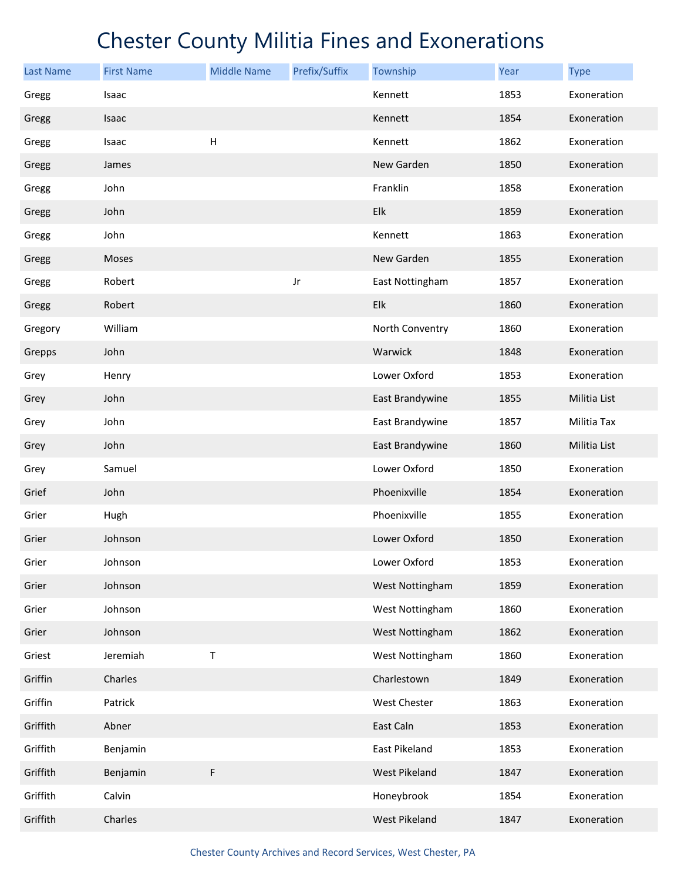| <b>Last Name</b> | <b>First Name</b> | <b>Middle Name</b> | Prefix/Suffix | Township             | Year | <b>Type</b>  |
|------------------|-------------------|--------------------|---------------|----------------------|------|--------------|
| Gregg            | Isaac             |                    |               | Kennett              | 1853 | Exoneration  |
| Gregg            | Isaac             |                    |               | Kennett              | 1854 | Exoneration  |
| Gregg            | Isaac             | Н                  |               | Kennett              | 1862 | Exoneration  |
| Gregg            | James             |                    |               | New Garden           | 1850 | Exoneration  |
| Gregg            | John              |                    |               | Franklin             | 1858 | Exoneration  |
| Gregg            | John              |                    |               | Elk                  | 1859 | Exoneration  |
| Gregg            | John              |                    |               | Kennett              | 1863 | Exoneration  |
| Gregg            | Moses             |                    |               | New Garden           | 1855 | Exoneration  |
| Gregg            | Robert            |                    | Jr            | East Nottingham      | 1857 | Exoneration  |
| Gregg            | Robert            |                    |               | Elk                  | 1860 | Exoneration  |
| Gregory          | William           |                    |               | North Conventry      | 1860 | Exoneration  |
| Grepps           | John              |                    |               | Warwick              | 1848 | Exoneration  |
| Grey             | Henry             |                    |               | Lower Oxford         | 1853 | Exoneration  |
| Grey             | John              |                    |               | East Brandywine      | 1855 | Militia List |
| Grey             | John              |                    |               | East Brandywine      | 1857 | Militia Tax  |
| Grey             | John              |                    |               | East Brandywine      | 1860 | Militia List |
| Grey             | Samuel            |                    |               | Lower Oxford         | 1850 | Exoneration  |
| Grief            | John              |                    |               | Phoenixville         | 1854 | Exoneration  |
| Grier            | Hugh              |                    |               | Phoenixville         | 1855 | Exoneration  |
| Grier            | Johnson           |                    |               | Lower Oxford         | 1850 | Exoneration  |
| Grier            | Johnson           |                    |               | Lower Oxford         | 1853 | Exoneration  |
| Grier            | Johnson           |                    |               | West Nottingham      | 1859 | Exoneration  |
| Grier            | Johnson           |                    |               | West Nottingham      | 1860 | Exoneration  |
| Grier            | Johnson           |                    |               | West Nottingham      | 1862 | Exoneration  |
| Griest           | Jeremiah          | T                  |               | West Nottingham      | 1860 | Exoneration  |
| Griffin          | Charles           |                    |               | Charlestown          | 1849 | Exoneration  |
| Griffin          | Patrick           |                    |               | West Chester         | 1863 | Exoneration  |
| Griffith         | Abner             |                    |               | East Caln            | 1853 | Exoneration  |
| Griffith         | Benjamin          |                    |               | East Pikeland        | 1853 | Exoneration  |
| Griffith         | Benjamin          | F                  |               | <b>West Pikeland</b> | 1847 | Exoneration  |
| Griffith         | Calvin            |                    |               | Honeybrook           | 1854 | Exoneration  |
| Griffith         | Charles           |                    |               | West Pikeland        | 1847 | Exoneration  |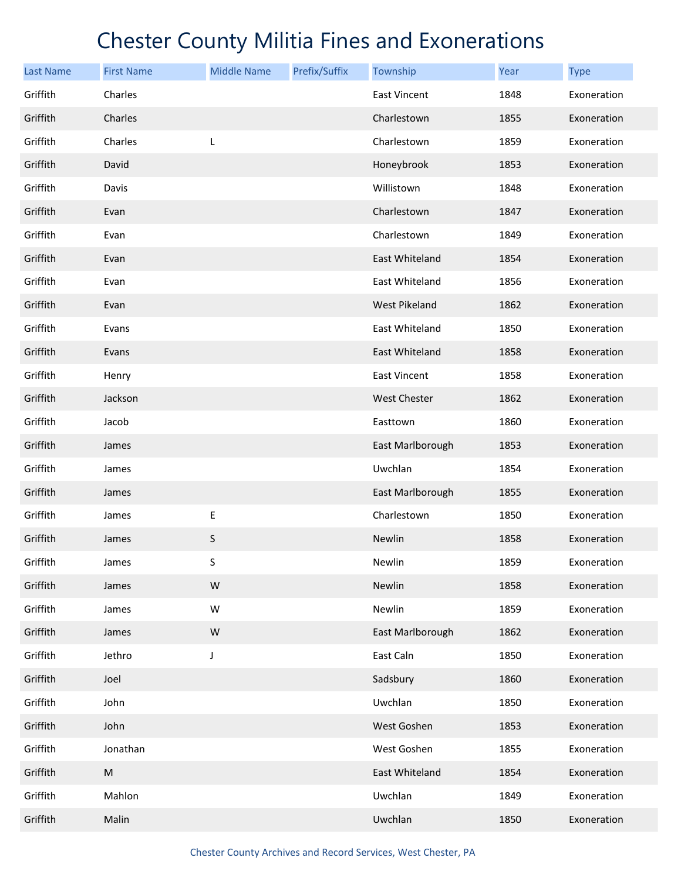| <b>Last Name</b> | <b>First Name</b> | <b>Middle Name</b> | Prefix/Suffix | Township            | <b>Year</b> | <b>Type</b> |
|------------------|-------------------|--------------------|---------------|---------------------|-------------|-------------|
| Griffith         | Charles           |                    |               | <b>East Vincent</b> | 1848        | Exoneration |
| Griffith         | Charles           |                    |               | Charlestown         | 1855        | Exoneration |
| Griffith         | Charles           | L                  |               | Charlestown         | 1859        | Exoneration |
| Griffith         | David             |                    |               | Honeybrook          | 1853        | Exoneration |
| Griffith         | Davis             |                    |               | Willistown          | 1848        | Exoneration |
| Griffith         | Evan              |                    |               | Charlestown         | 1847        | Exoneration |
| Griffith         | Evan              |                    |               | Charlestown         | 1849        | Exoneration |
| Griffith         | Evan              |                    |               | East Whiteland      | 1854        | Exoneration |
| Griffith         | Evan              |                    |               | East Whiteland      | 1856        | Exoneration |
| Griffith         | Evan              |                    |               | West Pikeland       | 1862        | Exoneration |
| Griffith         | Evans             |                    |               | East Whiteland      | 1850        | Exoneration |
| Griffith         | Evans             |                    |               | East Whiteland      | 1858        | Exoneration |
| Griffith         | Henry             |                    |               | <b>East Vincent</b> | 1858        | Exoneration |
| Griffith         | Jackson           |                    |               | <b>West Chester</b> | 1862        | Exoneration |
| Griffith         | Jacob             |                    |               | Easttown            | 1860        | Exoneration |
| Griffith         | James             |                    |               | East Marlborough    | 1853        | Exoneration |
| Griffith         | James             |                    |               | Uwchlan             | 1854        | Exoneration |
| Griffith         | James             |                    |               | East Marlborough    | 1855        | Exoneration |
| Griffith         | James             | E                  |               | Charlestown         | 1850        | Exoneration |
| Griffith         | James             | S                  |               | Newlin              | 1858        | Exoneration |
| Griffith         | James             | S                  |               | Newlin              | 1859        | Exoneration |
| Griffith         | James             | ${\sf W}$          |               | Newlin              | 1858        | Exoneration |
| Griffith         | James             | W                  |               | Newlin              | 1859        | Exoneration |
| Griffith         | James             | ${\sf W}$          |               | East Marlborough    | 1862        | Exoneration |
| Griffith         | Jethro            | J                  |               | East Caln           | 1850        | Exoneration |
| Griffith         | Joel              |                    |               | Sadsbury            | 1860        | Exoneration |
| Griffith         | John              |                    |               | Uwchlan             | 1850        | Exoneration |
| Griffith         | John              |                    |               | West Goshen         | 1853        | Exoneration |
| Griffith         | Jonathan          |                    |               | West Goshen         | 1855        | Exoneration |
| Griffith         | ${\sf M}$         |                    |               | East Whiteland      | 1854        | Exoneration |
| Griffith         | Mahlon            |                    |               | Uwchlan             | 1849        | Exoneration |
| Griffith         | Malin             |                    |               | Uwchlan             | 1850        | Exoneration |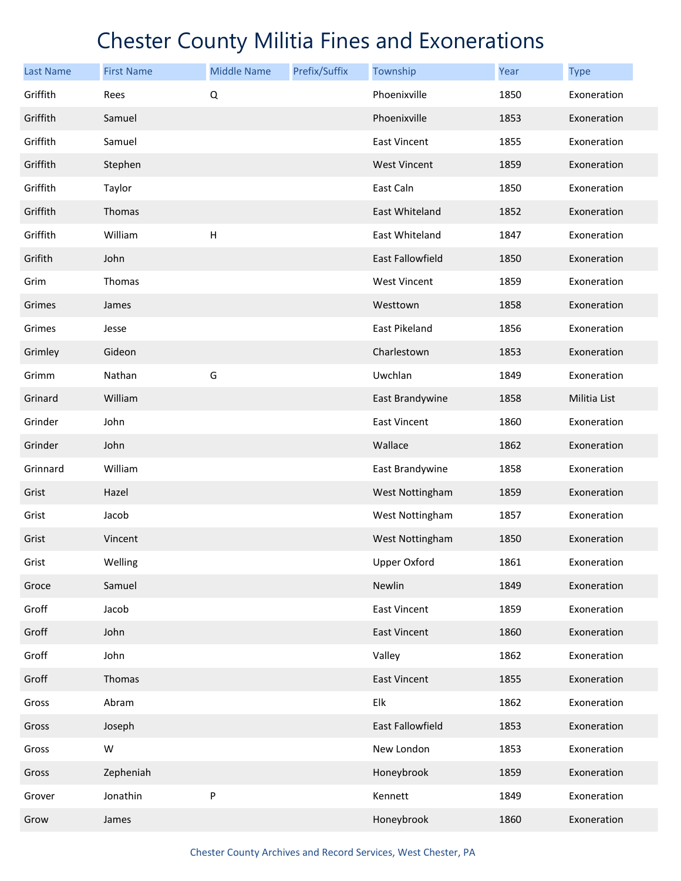| <b>Last Name</b> | <b>First Name</b> | <b>Middle Name</b>        | Prefix/Suffix | Township            | Year | <b>Type</b>  |
|------------------|-------------------|---------------------------|---------------|---------------------|------|--------------|
| Griffith         | Rees              | Q                         |               | Phoenixville        | 1850 | Exoneration  |
| Griffith         | Samuel            |                           |               | Phoenixville        | 1853 | Exoneration  |
| Griffith         | Samuel            |                           |               | <b>East Vincent</b> | 1855 | Exoneration  |
| Griffith         | Stephen           |                           |               | <b>West Vincent</b> | 1859 | Exoneration  |
| Griffith         | Taylor            |                           |               | East Caln           | 1850 | Exoneration  |
| Griffith         | Thomas            |                           |               | East Whiteland      | 1852 | Exoneration  |
| Griffith         | William           | $\boldsymbol{\mathsf{H}}$ |               | East Whiteland      | 1847 | Exoneration  |
| Grifith          | John              |                           |               | East Fallowfield    | 1850 | Exoneration  |
| Grim             | Thomas            |                           |               | <b>West Vincent</b> | 1859 | Exoneration  |
| Grimes           | James             |                           |               | Westtown            | 1858 | Exoneration  |
| Grimes           | Jesse             |                           |               | East Pikeland       | 1856 | Exoneration  |
| Grimley          | Gideon            |                           |               | Charlestown         | 1853 | Exoneration  |
| Grimm            | Nathan            | G                         |               | Uwchlan             | 1849 | Exoneration  |
| Grinard          | William           |                           |               | East Brandywine     | 1858 | Militia List |
| Grinder          | John              |                           |               | <b>East Vincent</b> | 1860 | Exoneration  |
| Grinder          | John              |                           |               | Wallace             | 1862 | Exoneration  |
| Grinnard         | William           |                           |               | East Brandywine     | 1858 | Exoneration  |
| Grist            | Hazel             |                           |               | West Nottingham     | 1859 | Exoneration  |
| Grist            | Jacob             |                           |               | West Nottingham     | 1857 | Exoneration  |
| Grist            | Vincent           |                           |               | West Nottingham     | 1850 | Exoneration  |
| Grist            | Welling           |                           |               | <b>Upper Oxford</b> | 1861 | Exoneration  |
| Groce            | Samuel            |                           |               | Newlin              | 1849 | Exoneration  |
| Groff            | Jacob             |                           |               | <b>East Vincent</b> | 1859 | Exoneration  |
| Groff            | John              |                           |               | <b>East Vincent</b> | 1860 | Exoneration  |
| Groff            | John              |                           |               | Valley              | 1862 | Exoneration  |
| Groff            | Thomas            |                           |               | <b>East Vincent</b> | 1855 | Exoneration  |
| Gross            | Abram             |                           |               | Elk                 | 1862 | Exoneration  |
| Gross            | Joseph            |                           |               | East Fallowfield    | 1853 | Exoneration  |
| Gross            | W                 |                           |               | New London          | 1853 | Exoneration  |
| Gross            | Zepheniah         |                           |               | Honeybrook          | 1859 | Exoneration  |
| Grover           | Jonathin          | P                         |               | Kennett             | 1849 | Exoneration  |
| Grow             | James             |                           |               | Honeybrook          | 1860 | Exoneration  |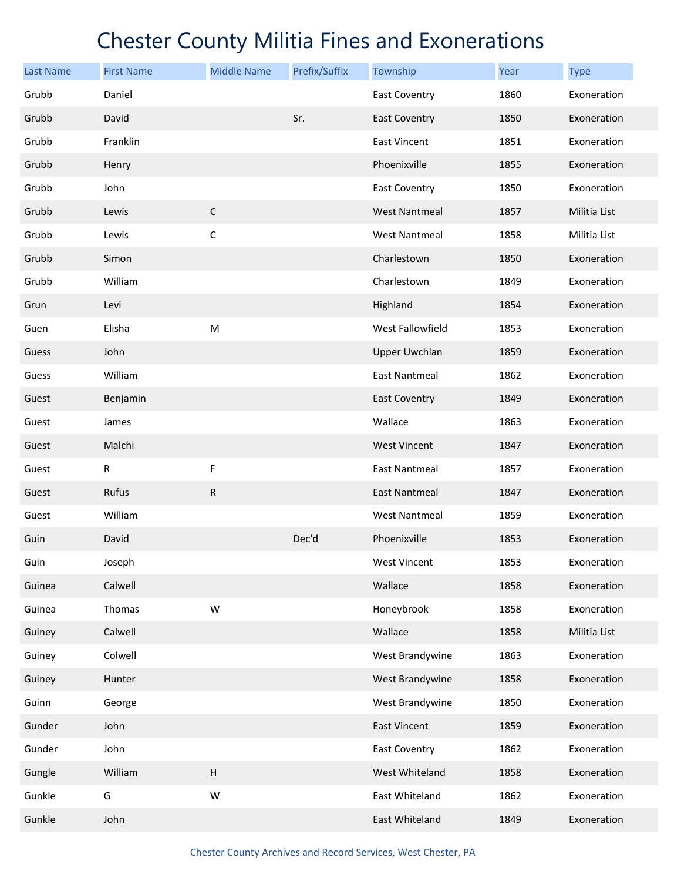| <b>Last Name</b> | <b>First Name</b> | <b>Middle Name</b> | Prefix/Suffix | Township             | Year | <b>Type</b>  |
|------------------|-------------------|--------------------|---------------|----------------------|------|--------------|
| Grubb            | Daniel            |                    |               | <b>East Coventry</b> | 1860 | Exoneration  |
| Grubb            | David             |                    | Sr.           | <b>East Coventry</b> | 1850 | Exoneration  |
| Grubb            | Franklin          |                    |               | <b>East Vincent</b>  | 1851 | Exoneration  |
| Grubb            | Henry             |                    |               | Phoenixville         | 1855 | Exoneration  |
| Grubb            | John              |                    |               | <b>East Coventry</b> | 1850 | Exoneration  |
| Grubb            | Lewis             | $\mathsf C$        |               | <b>West Nantmeal</b> | 1857 | Militia List |
| Grubb            | Lewis             | $\mathsf C$        |               | <b>West Nantmeal</b> | 1858 | Militia List |
| Grubb            | Simon             |                    |               | Charlestown          | 1850 | Exoneration  |
| Grubb            | William           |                    |               | Charlestown          | 1849 | Exoneration  |
| Grun             | Levi              |                    |               | Highland             | 1854 | Exoneration  |
| Guen             | Elisha            | M                  |               | West Fallowfield     | 1853 | Exoneration  |
| Guess            | John              |                    |               | <b>Upper Uwchlan</b> | 1859 | Exoneration  |
| Guess            | William           |                    |               | <b>East Nantmeal</b> | 1862 | Exoneration  |
| Guest            | Benjamin          |                    |               | <b>East Coventry</b> | 1849 | Exoneration  |
| Guest            | James             |                    |               | Wallace              | 1863 | Exoneration  |
| Guest            | Malchi            |                    |               | <b>West Vincent</b>  | 1847 | Exoneration  |
| Guest            | $\mathsf R$       | F                  |               | <b>East Nantmeal</b> | 1857 | Exoneration  |
| Guest            | Rufus             | ${\sf R}$          |               | East Nantmeal        | 1847 | Exoneration  |
| Guest            | William           |                    |               | West Nantmeal        | 1859 | Exoneration  |
| Guin             | David             |                    | Dec'd         | Phoenixville         | 1853 | Exoneration  |
| Guin             | Joseph            |                    |               | <b>West Vincent</b>  | 1853 | Exoneration  |
| Guinea           | Calwell           |                    |               | Wallace              | 1858 | Exoneration  |
| Guinea           | Thomas            | W                  |               | Honeybrook           | 1858 | Exoneration  |
| Guiney           | Calwell           |                    |               | Wallace              | 1858 | Militia List |
| Guiney           | Colwell           |                    |               | West Brandywine      | 1863 | Exoneration  |
| Guiney           | Hunter            |                    |               | West Brandywine      | 1858 | Exoneration  |
| Guinn            | George            |                    |               | West Brandywine      | 1850 | Exoneration  |
| Gunder           | John              |                    |               | <b>East Vincent</b>  | 1859 | Exoneration  |
| Gunder           | John              |                    |               | <b>East Coventry</b> | 1862 | Exoneration  |
| Gungle           | William           | $\sf H$            |               | West Whiteland       | 1858 | Exoneration  |
| Gunkle           | G                 | W                  |               | East Whiteland       | 1862 | Exoneration  |
| Gunkle           | John              |                    |               | East Whiteland       | 1849 | Exoneration  |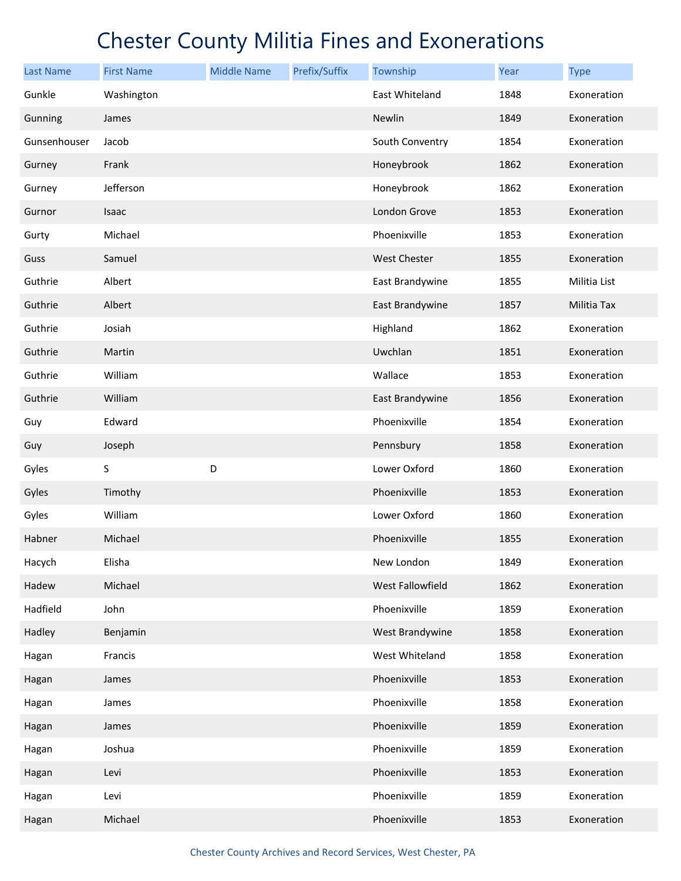| <b>Last Name</b> | <b>First Name</b> | <b>Middle Name</b> | Prefix/Suffix | Township         | Year | <b>Type</b>  |
|------------------|-------------------|--------------------|---------------|------------------|------|--------------|
| Gunkle           | Washington        |                    |               | East Whiteland   | 1848 | Exoneration  |
| Gunning          | James             |                    |               | Newlin           | 1849 | Exoneration  |
| Gunsenhouser     | Jacob             |                    |               | South Conventry  | 1854 | Exoneration  |
| Gurney           | Frank             |                    |               | Honeybrook       | 1862 | Exoneration  |
| Gurney           | Jefferson         |                    |               | Honeybrook       | 1862 | Exoneration  |
| Gurnor           | Isaac             |                    |               | London Grove     | 1853 | Exoneration  |
| Gurty            | Michael           |                    |               | Phoenixville     | 1853 | Exoneration  |
| Guss             | Samuel            |                    |               | West Chester     | 1855 | Exoneration  |
| Guthrie          | Albert            |                    |               | East Brandywine  | 1855 | Militia List |
| Guthrie          | Albert            |                    |               | East Brandywine  | 1857 | Militia Tax  |
| Guthrie          | Josiah            |                    |               | Highland         | 1862 | Exoneration  |
| Guthrie          | Martin            |                    |               | Uwchlan          | 1851 | Exoneration  |
| Guthrie          | William           |                    |               | Wallace          | 1853 | Exoneration  |
| Guthrie          | William           |                    |               | East Brandywine  | 1856 | Exoneration  |
| Guy              | Edward            |                    |               | Phoenixville     | 1854 | Exoneration  |
| Guy              | Joseph            |                    |               | Pennsbury        | 1858 | Exoneration  |
| Gyles            | S                 | D                  |               | Lower Oxford     | 1860 | Exoneration  |
| Gyles            | Timothy           |                    |               | Phoenixville     | 1853 | Exoneration  |
| Gyles            | William           |                    |               | Lower Oxford     | 1860 | Exoneration  |
| Habner           | Michael           |                    |               | Phoenixville     | 1855 | Exoneration  |
| Hacych           | Elisha            |                    |               | New London       | 1849 | Exoneration  |
| Hadew            | Michael           |                    |               | West Fallowfield | 1862 | Exoneration  |
| Hadfield         | John              |                    |               | Phoenixville     | 1859 | Exoneration  |
| Hadley           | Benjamin          |                    |               | West Brandywine  | 1858 | Exoneration  |
| Hagan            | Francis           |                    |               | West Whiteland   | 1858 | Exoneration  |
| Hagan            | James             |                    |               | Phoenixville     | 1853 | Exoneration  |
| Hagan            | James             |                    |               | Phoenixville     | 1858 | Exoneration  |
| Hagan            | James             |                    |               | Phoenixville     | 1859 | Exoneration  |
| Hagan            | Joshua            |                    |               | Phoenixville     | 1859 | Exoneration  |
| Hagan            | Levi              |                    |               | Phoenixville     | 1853 | Exoneration  |
| Hagan            | Levi              |                    |               | Phoenixville     | 1859 | Exoneration  |
| Hagan            | Michael           |                    |               | Phoenixville     | 1853 | Exoneration  |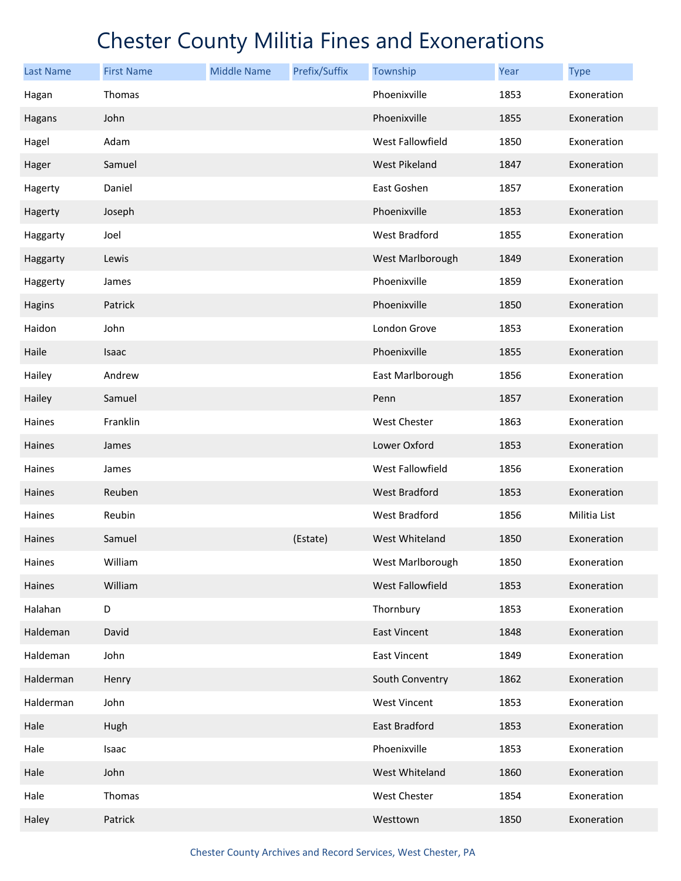| <b>Last Name</b> | <b>First Name</b> | <b>Middle Name</b> | Prefix/Suffix | Township             | Year | <b>Type</b>  |
|------------------|-------------------|--------------------|---------------|----------------------|------|--------------|
| Hagan            | Thomas            |                    |               | Phoenixville         | 1853 | Exoneration  |
| Hagans           | John              |                    |               | Phoenixville         | 1855 | Exoneration  |
| Hagel            | Adam              |                    |               | West Fallowfield     | 1850 | Exoneration  |
| Hager            | Samuel            |                    |               | <b>West Pikeland</b> | 1847 | Exoneration  |
| Hagerty          | Daniel            |                    |               | East Goshen          | 1857 | Exoneration  |
| Hagerty          | Joseph            |                    |               | Phoenixville         | 1853 | Exoneration  |
| Haggarty         | Joel              |                    |               | West Bradford        | 1855 | Exoneration  |
| Haggarty         | Lewis             |                    |               | West Marlborough     | 1849 | Exoneration  |
| Haggerty         | James             |                    |               | Phoenixville         | 1859 | Exoneration  |
| Hagins           | Patrick           |                    |               | Phoenixville         | 1850 | Exoneration  |
| Haidon           | John              |                    |               | London Grove         | 1853 | Exoneration  |
| Haile            | Isaac             |                    |               | Phoenixville         | 1855 | Exoneration  |
| Hailey           | Andrew            |                    |               | East Marlborough     | 1856 | Exoneration  |
| Hailey           | Samuel            |                    |               | Penn                 | 1857 | Exoneration  |
| Haines           | Franklin          |                    |               | West Chester         | 1863 | Exoneration  |
| Haines           | James             |                    |               | Lower Oxford         | 1853 | Exoneration  |
| Haines           | James             |                    |               | West Fallowfield     | 1856 | Exoneration  |
| Haines           | Reuben            |                    |               | <b>West Bradford</b> | 1853 | Exoneration  |
| Haines           | Reubin            |                    |               | West Bradford        | 1856 | Militia List |
| Haines           | Samuel            |                    | (Estate)      | West Whiteland       | 1850 | Exoneration  |
| Haines           | William           |                    |               | West Marlborough     | 1850 | Exoneration  |
| Haines           | William           |                    |               | West Fallowfield     | 1853 | Exoneration  |
| Halahan          | D                 |                    |               | Thornbury            | 1853 | Exoneration  |
| Haldeman         | David             |                    |               | <b>East Vincent</b>  | 1848 | Exoneration  |
| Haldeman         | John              |                    |               | East Vincent         | 1849 | Exoneration  |
| Halderman        | Henry             |                    |               | South Conventry      | 1862 | Exoneration  |
| Halderman        | John              |                    |               | <b>West Vincent</b>  | 1853 | Exoneration  |
| Hale             | Hugh              |                    |               | East Bradford        | 1853 | Exoneration  |
| Hale             | Isaac             |                    |               | Phoenixville         | 1853 | Exoneration  |
| Hale             | John              |                    |               | West Whiteland       | 1860 | Exoneration  |
| Hale             | Thomas            |                    |               | West Chester         | 1854 | Exoneration  |
| Haley            | Patrick           |                    |               | Westtown             | 1850 | Exoneration  |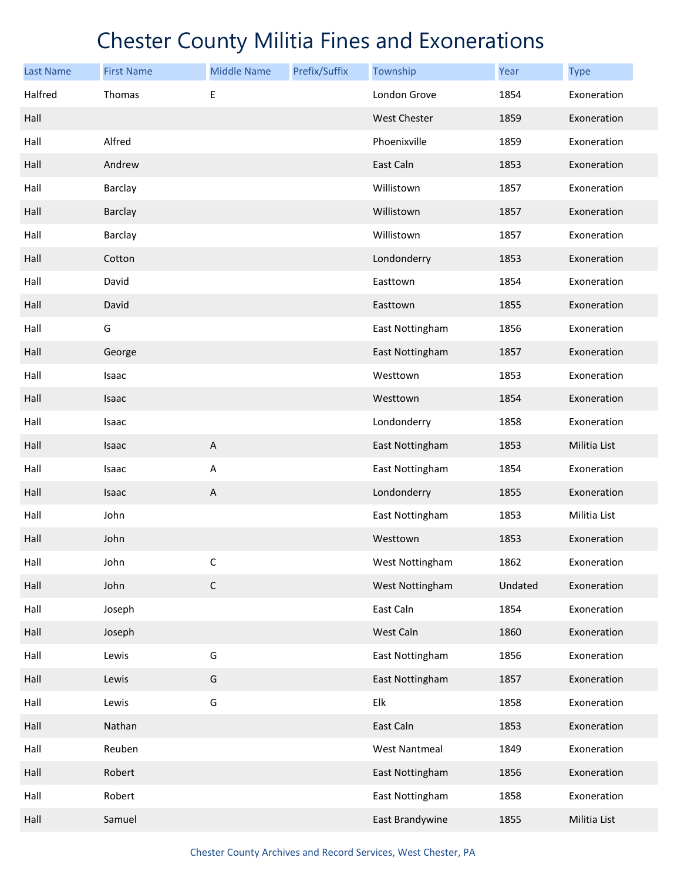| <b>Last Name</b> | <b>First Name</b> | <b>Middle Name</b>        | Prefix/Suffix | Township             | Year    | <b>Type</b>  |
|------------------|-------------------|---------------------------|---------------|----------------------|---------|--------------|
| Halfred          | Thomas            | Е                         |               | London Grove         | 1854    | Exoneration  |
| Hall             |                   |                           |               | <b>West Chester</b>  | 1859    | Exoneration  |
| Hall             | Alfred            |                           |               | Phoenixville         | 1859    | Exoneration  |
| Hall             | Andrew            |                           |               | East Caln            | 1853    | Exoneration  |
| Hall             | Barclay           |                           |               | Willistown           | 1857    | Exoneration  |
| Hall             | Barclay           |                           |               | Willistown           | 1857    | Exoneration  |
| Hall             | Barclay           |                           |               | Willistown           | 1857    | Exoneration  |
| Hall             | Cotton            |                           |               | Londonderry          | 1853    | Exoneration  |
| Hall             | David             |                           |               | Easttown             | 1854    | Exoneration  |
| Hall             | David             |                           |               | Easttown             | 1855    | Exoneration  |
| Hall             | G                 |                           |               | East Nottingham      | 1856    | Exoneration  |
| Hall             | George            |                           |               | East Nottingham      | 1857    | Exoneration  |
| Hall             | Isaac             |                           |               | Westtown             | 1853    | Exoneration  |
| Hall             | Isaac             |                           |               | Westtown             | 1854    | Exoneration  |
| Hall             | Isaac             |                           |               | Londonderry          | 1858    | Exoneration  |
| Hall             | Isaac             | $\boldsymbol{\mathsf{A}}$ |               | East Nottingham      | 1853    | Militia List |
| Hall             | Isaac             | $\boldsymbol{\mathsf{A}}$ |               | East Nottingham      | 1854    | Exoneration  |
| Hall             | Isaac             | $\overline{A}$            |               | Londonderry          | 1855    | Exoneration  |
| Hall             | John              |                           |               | East Nottingham      | 1853    | Militia List |
| Hall             | John              |                           |               | Westtown             | 1853    | Exoneration  |
| Hall             | John              | С                         |               | West Nottingham      | 1862    | Exoneration  |
| Hall             | John              | $\mathsf C$               |               | West Nottingham      | Undated | Exoneration  |
| Hall             | Joseph            |                           |               | East Caln            | 1854    | Exoneration  |
| Hall             | Joseph            |                           |               | West Caln            | 1860    | Exoneration  |
| Hall             | Lewis             | G                         |               | East Nottingham      | 1856    | Exoneration  |
| Hall             | Lewis             | G                         |               | East Nottingham      | 1857    | Exoneration  |
| Hall             | Lewis             | G                         |               | Elk                  | 1858    | Exoneration  |
| Hall             | Nathan            |                           |               | East Caln            | 1853    | Exoneration  |
| Hall             | Reuben            |                           |               | <b>West Nantmeal</b> | 1849    | Exoneration  |
| Hall             | Robert            |                           |               | East Nottingham      | 1856    | Exoneration  |
| Hall             | Robert            |                           |               | East Nottingham      | 1858    | Exoneration  |
| Hall             | Samuel            |                           |               | East Brandywine      | 1855    | Militia List |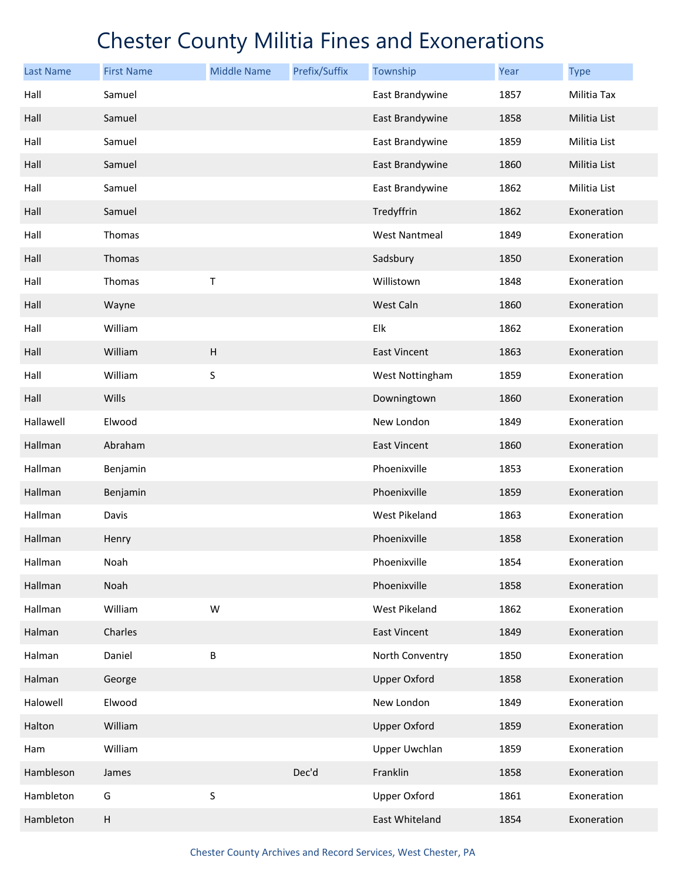| <b>Last Name</b> | <b>First Name</b> | <b>Middle Name</b> | Prefix/Suffix | Township             | Year | <b>Type</b>  |
|------------------|-------------------|--------------------|---------------|----------------------|------|--------------|
| Hall             | Samuel            |                    |               | East Brandywine      | 1857 | Militia Tax  |
| Hall             | Samuel            |                    |               | East Brandywine      | 1858 | Militia List |
| Hall             | Samuel            |                    |               | East Brandywine      | 1859 | Militia List |
| Hall             | Samuel            |                    |               | East Brandywine      | 1860 | Militia List |
| Hall             | Samuel            |                    |               | East Brandywine      | 1862 | Militia List |
| Hall             | Samuel            |                    |               | Tredyffrin           | 1862 | Exoneration  |
| Hall             | Thomas            |                    |               | <b>West Nantmeal</b> | 1849 | Exoneration  |
| Hall             | Thomas            |                    |               | Sadsbury             | 1850 | Exoneration  |
| Hall             | Thomas            | Т                  |               | Willistown           | 1848 | Exoneration  |
| Hall             | Wayne             |                    |               | West Caln            | 1860 | Exoneration  |
| Hall             | William           |                    |               | Elk                  | 1862 | Exoneration  |
| Hall             | William           | H                  |               | <b>East Vincent</b>  | 1863 | Exoneration  |
| Hall             | William           | S                  |               | West Nottingham      | 1859 | Exoneration  |
| Hall             | Wills             |                    |               | Downingtown          | 1860 | Exoneration  |
| Hallawell        | Elwood            |                    |               | New London           | 1849 | Exoneration  |
| Hallman          | Abraham           |                    |               | <b>East Vincent</b>  | 1860 | Exoneration  |
| Hallman          | Benjamin          |                    |               | Phoenixville         | 1853 | Exoneration  |
| Hallman          | Benjamin          |                    |               | Phoenixville         | 1859 | Exoneration  |
| Hallman          | Davis             |                    |               | West Pikeland        | 1863 | Exoneration  |
| Hallman          | Henry             |                    |               | Phoenixville         | 1858 | Exoneration  |
| Hallman          | Noah              |                    |               | Phoenixville         | 1854 | Exoneration  |
| Hallman          | Noah              |                    |               | Phoenixville         | 1858 | Exoneration  |
| Hallman          | William           | W                  |               | West Pikeland        | 1862 | Exoneration  |
| Halman           | Charles           |                    |               | East Vincent         | 1849 | Exoneration  |
| Halman           | Daniel            | B                  |               | North Conventry      | 1850 | Exoneration  |
| Halman           | George            |                    |               | <b>Upper Oxford</b>  | 1858 | Exoneration  |
| Halowell         | Elwood            |                    |               | New London           | 1849 | Exoneration  |
| Halton           | William           |                    |               | <b>Upper Oxford</b>  | 1859 | Exoneration  |
| Ham              | William           |                    |               | <b>Upper Uwchlan</b> | 1859 | Exoneration  |
| Hambleson        | James             |                    | Dec'd         | Franklin             | 1858 | Exoneration  |
| Hambleton        | G                 | S                  |               | <b>Upper Oxford</b>  | 1861 | Exoneration  |
| Hambleton        | $\sf H$           |                    |               | East Whiteland       | 1854 | Exoneration  |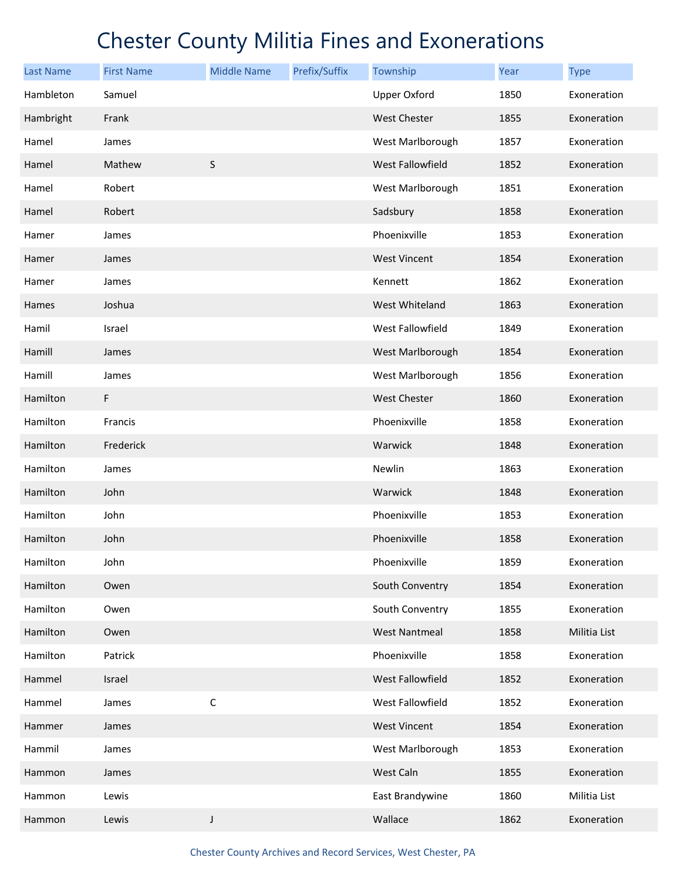| <b>Last Name</b> | <b>First Name</b> | <b>Middle Name</b> | Prefix/Suffix | Township             | Year | <b>Type</b>  |
|------------------|-------------------|--------------------|---------------|----------------------|------|--------------|
| Hambleton        | Samuel            |                    |               | <b>Upper Oxford</b>  | 1850 | Exoneration  |
| Hambright        | Frank             |                    |               | <b>West Chester</b>  | 1855 | Exoneration  |
| Hamel            | James             |                    |               | West Marlborough     | 1857 | Exoneration  |
| Hamel            | Mathew            | S                  |               | West Fallowfield     | 1852 | Exoneration  |
| Hamel            | Robert            |                    |               | West Marlborough     | 1851 | Exoneration  |
| Hamel            | Robert            |                    |               | Sadsbury             | 1858 | Exoneration  |
| Hamer            | James             |                    |               | Phoenixville         | 1853 | Exoneration  |
| Hamer            | James             |                    |               | <b>West Vincent</b>  | 1854 | Exoneration  |
| Hamer            | James             |                    |               | Kennett              | 1862 | Exoneration  |
| Hames            | Joshua            |                    |               | West Whiteland       | 1863 | Exoneration  |
| Hamil            | Israel            |                    |               | West Fallowfield     | 1849 | Exoneration  |
| Hamill           | James             |                    |               | West Marlborough     | 1854 | Exoneration  |
| Hamill           | James             |                    |               | West Marlborough     | 1856 | Exoneration  |
| Hamilton         | F                 |                    |               | <b>West Chester</b>  | 1860 | Exoneration  |
| Hamilton         | Francis           |                    |               | Phoenixville         | 1858 | Exoneration  |
| Hamilton         | Frederick         |                    |               | Warwick              | 1848 | Exoneration  |
| Hamilton         | James             |                    |               | Newlin               | 1863 | Exoneration  |
| Hamilton         | John              |                    |               | Warwick              | 1848 | Exoneration  |
| Hamilton         | John              |                    |               | Phoenixville         | 1853 | Exoneration  |
| Hamilton         | John              |                    |               | Phoenixville         | 1858 | Exoneration  |
| Hamilton         | John              |                    |               | Phoenixville         | 1859 | Exoneration  |
| Hamilton         | Owen              |                    |               | South Conventry      | 1854 | Exoneration  |
| Hamilton         | Owen              |                    |               | South Conventry      | 1855 | Exoneration  |
| Hamilton         | Owen              |                    |               | <b>West Nantmeal</b> | 1858 | Militia List |
| Hamilton         | Patrick           |                    |               | Phoenixville         | 1858 | Exoneration  |
| Hammel           | Israel            |                    |               | West Fallowfield     | 1852 | Exoneration  |
| Hammel           | James             | $\mathsf C$        |               | West Fallowfield     | 1852 | Exoneration  |
| Hammer           | James             |                    |               | <b>West Vincent</b>  | 1854 | Exoneration  |
| Hammil           | James             |                    |               | West Marlborough     | 1853 | Exoneration  |
| Hammon           | James             |                    |               | West Caln            | 1855 | Exoneration  |
| Hammon           | Lewis             |                    |               | East Brandywine      | 1860 | Militia List |
| Hammon           | Lewis             | J                  |               | Wallace              | 1862 | Exoneration  |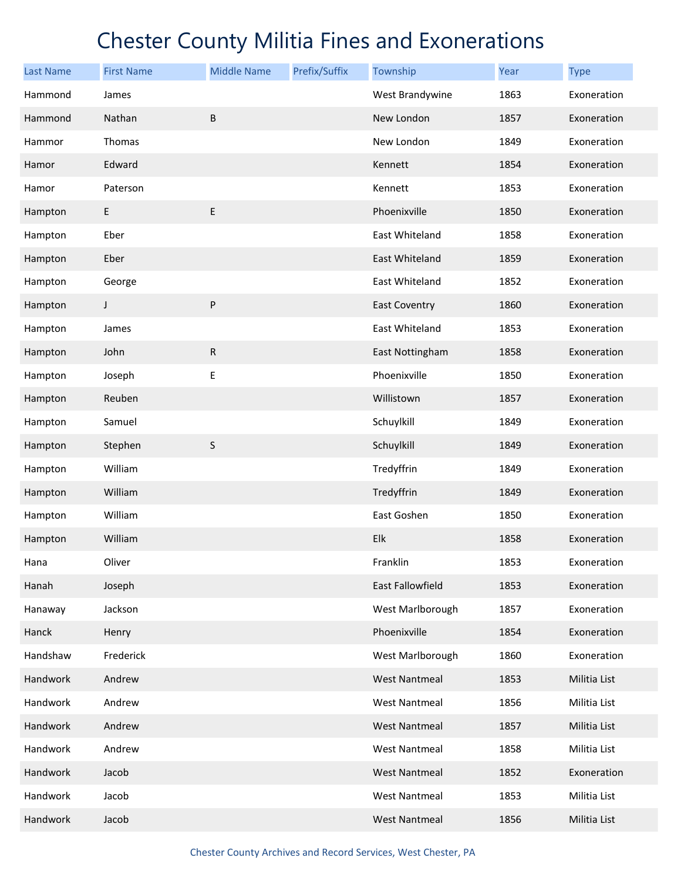| <b>Last Name</b> | <b>First Name</b> | <b>Middle Name</b> | Prefix/Suffix | Township             | <b>Year</b> | <b>Type</b>  |
|------------------|-------------------|--------------------|---------------|----------------------|-------------|--------------|
| Hammond          | James             |                    |               | West Brandywine      | 1863        | Exoneration  |
| Hammond          | Nathan            | $\sf B$            |               | New London           | 1857        | Exoneration  |
| Hammor           | Thomas            |                    |               | New London           | 1849        | Exoneration  |
| Hamor            | Edward            |                    |               | Kennett              | 1854        | Exoneration  |
| Hamor            | Paterson          |                    |               | Kennett              | 1853        | Exoneration  |
| Hampton          | E                 | $\sf E$            |               | Phoenixville         | 1850        | Exoneration  |
| Hampton          | Eber              |                    |               | East Whiteland       | 1858        | Exoneration  |
| Hampton          | Eber              |                    |               | East Whiteland       | 1859        | Exoneration  |
| Hampton          | George            |                    |               | East Whiteland       | 1852        | Exoneration  |
| Hampton          | $\mathsf{I}$      | $\sf P$            |               | <b>East Coventry</b> | 1860        | Exoneration  |
| Hampton          | James             |                    |               | East Whiteland       | 1853        | Exoneration  |
| Hampton          | John              | ${\sf R}$          |               | East Nottingham      | 1858        | Exoneration  |
| Hampton          | Joseph            | E                  |               | Phoenixville         | 1850        | Exoneration  |
| Hampton          | Reuben            |                    |               | Willistown           | 1857        | Exoneration  |
| Hampton          | Samuel            |                    |               | Schuylkill           | 1849        | Exoneration  |
| Hampton          | Stephen           | S                  |               | Schuylkill           | 1849        | Exoneration  |
| Hampton          | William           |                    |               | Tredyffrin           | 1849        | Exoneration  |
| Hampton          | William           |                    |               | Tredyffrin           | 1849        | Exoneration  |
| Hampton          | William           |                    |               | East Goshen          | 1850        | Exoneration  |
| Hampton          | William           |                    |               | Elk                  | 1858        | Exoneration  |
| Hana             | Oliver            |                    |               | Franklin             | 1853        | Exoneration  |
| Hanah            | Joseph            |                    |               | East Fallowfield     | 1853        | Exoneration  |
| Hanaway          | Jackson           |                    |               | West Marlborough     | 1857        | Exoneration  |
| Hanck            | Henry             |                    |               | Phoenixville         | 1854        | Exoneration  |
| Handshaw         | Frederick         |                    |               | West Marlborough     | 1860        | Exoneration  |
| Handwork         | Andrew            |                    |               | <b>West Nantmeal</b> | 1853        | Militia List |
| Handwork         | Andrew            |                    |               | <b>West Nantmeal</b> | 1856        | Militia List |
| Handwork         | Andrew            |                    |               | <b>West Nantmeal</b> | 1857        | Militia List |
| Handwork         | Andrew            |                    |               | <b>West Nantmeal</b> | 1858        | Militia List |
| Handwork         | Jacob             |                    |               | <b>West Nantmeal</b> | 1852        | Exoneration  |
| Handwork         | Jacob             |                    |               | <b>West Nantmeal</b> | 1853        | Militia List |
| Handwork         | Jacob             |                    |               | <b>West Nantmeal</b> | 1856        | Militia List |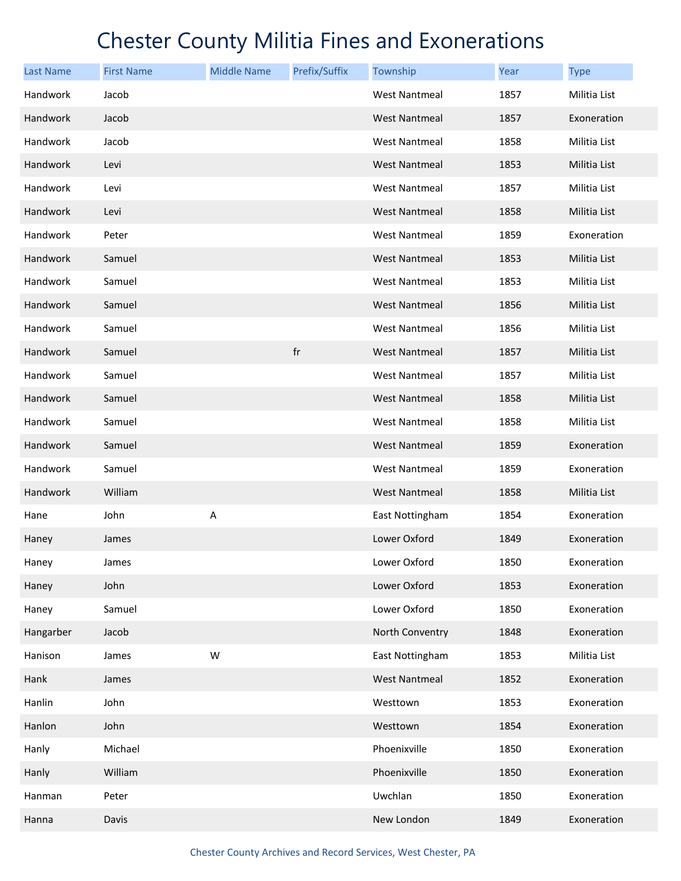| <b>Last Name</b> | <b>First Name</b> | <b>Middle Name</b> | Prefix/Suffix | Township             | Year | <b>Type</b>         |
|------------------|-------------------|--------------------|---------------|----------------------|------|---------------------|
| Handwork         | Jacob             |                    |               | <b>West Nantmeal</b> | 1857 | Militia List        |
| Handwork         | Jacob             |                    |               | <b>West Nantmeal</b> | 1857 | Exoneration         |
| Handwork         | Jacob             |                    |               | <b>West Nantmeal</b> | 1858 | Militia List        |
| Handwork         | Levi              |                    |               | <b>West Nantmeal</b> | 1853 | Militia List        |
| Handwork         | Levi              |                    |               | <b>West Nantmeal</b> | 1857 | Militia List        |
| Handwork         | Levi              |                    |               | <b>West Nantmeal</b> | 1858 | Militia List        |
| Handwork         | Peter             |                    |               | <b>West Nantmeal</b> | 1859 | Exoneration         |
| Handwork         | Samuel            |                    |               | <b>West Nantmeal</b> | 1853 | Militia List        |
| Handwork         | Samuel            |                    |               | <b>West Nantmeal</b> | 1853 | Militia List        |
| Handwork         | Samuel            |                    |               | <b>West Nantmeal</b> | 1856 | <b>Militia List</b> |
| Handwork         | Samuel            |                    |               | <b>West Nantmeal</b> | 1856 | Militia List        |
| Handwork         | Samuel            |                    | $\sf fr$      | <b>West Nantmeal</b> | 1857 | Militia List        |
| Handwork         | Samuel            |                    |               | <b>West Nantmeal</b> | 1857 | Militia List        |
| Handwork         | Samuel            |                    |               | <b>West Nantmeal</b> | 1858 | Militia List        |
| Handwork         | Samuel            |                    |               | <b>West Nantmeal</b> | 1858 | Militia List        |
| Handwork         | Samuel            |                    |               | <b>West Nantmeal</b> | 1859 | Exoneration         |
| Handwork         | Samuel            |                    |               | <b>West Nantmeal</b> | 1859 | Exoneration         |
| Handwork         | William           |                    |               | <b>West Nantmeal</b> | 1858 | Militia List        |
| Hane             | John              | A                  |               | East Nottingham      | 1854 | Exoneration         |
| Haney            | James             |                    |               | Lower Oxford         | 1849 | Exoneration         |
| Haney            | James             |                    |               | Lower Oxford         | 1850 | Exoneration         |
| Haney            | John              |                    |               | Lower Oxford         | 1853 | Exoneration         |
| Haney            | Samuel            |                    |               | Lower Oxford         | 1850 | Exoneration         |
| Hangarber        | Jacob             |                    |               | North Conventry      | 1848 | Exoneration         |
| Hanison          | James             | W                  |               | East Nottingham      | 1853 | Militia List        |
| Hank             | James             |                    |               | <b>West Nantmeal</b> | 1852 | Exoneration         |
| Hanlin           | John              |                    |               | Westtown             | 1853 | Exoneration         |
| Hanlon           | John              |                    |               | Westtown             | 1854 | Exoneration         |
| Hanly            | Michael           |                    |               | Phoenixville         | 1850 | Exoneration         |
| Hanly            | William           |                    |               | Phoenixville         | 1850 | Exoneration         |
| Hanman           | Peter             |                    |               | Uwchlan              | 1850 | Exoneration         |
| Hanna            | Davis             |                    |               | New London           | 1849 | Exoneration         |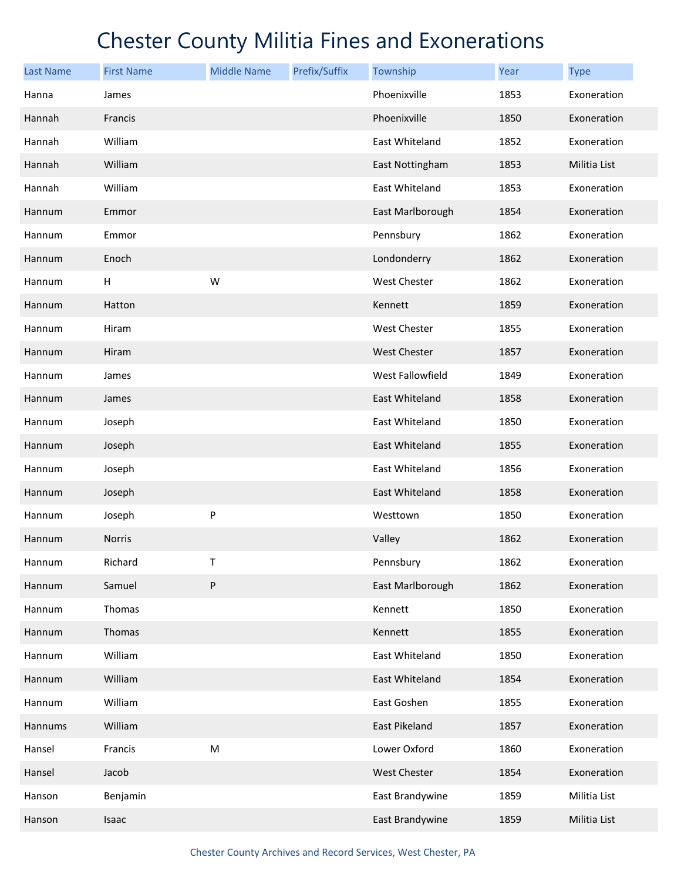| <b>Last Name</b> | <b>First Name</b> | <b>Middle Name</b> | Prefix/Suffix | Township            | <b>Year</b> | <b>Type</b>  |
|------------------|-------------------|--------------------|---------------|---------------------|-------------|--------------|
| Hanna            | James             |                    |               | Phoenixville        | 1853        | Exoneration  |
| Hannah           | Francis           |                    |               | Phoenixville        | 1850        | Exoneration  |
| Hannah           | William           |                    |               | East Whiteland      | 1852        | Exoneration  |
| Hannah           | William           |                    |               | East Nottingham     | 1853        | Militia List |
| Hannah           | William           |                    |               | East Whiteland      | 1853        | Exoneration  |
| Hannum           | Emmor             |                    |               | East Marlborough    | 1854        | Exoneration  |
| Hannum           | Emmor             |                    |               | Pennsbury           | 1862        | Exoneration  |
| Hannum           | Enoch             |                    |               | Londonderry         | 1862        | Exoneration  |
| Hannum           | Н                 | W                  |               | West Chester        | 1862        | Exoneration  |
| Hannum           | Hatton            |                    |               | Kennett             | 1859        | Exoneration  |
| Hannum           | Hiram             |                    |               | West Chester        | 1855        | Exoneration  |
| Hannum           | Hiram             |                    |               | <b>West Chester</b> | 1857        | Exoneration  |
| Hannum           | James             |                    |               | West Fallowfield    | 1849        | Exoneration  |
| Hannum           | James             |                    |               | East Whiteland      | 1858        | Exoneration  |
| Hannum           | Joseph            |                    |               | East Whiteland      | 1850        | Exoneration  |
| Hannum           | Joseph            |                    |               | East Whiteland      | 1855        | Exoneration  |
| Hannum           | Joseph            |                    |               | East Whiteland      | 1856        | Exoneration  |
| Hannum           | Joseph            |                    |               | East Whiteland      | 1858        | Exoneration  |
| Hannum           | Joseph            | P                  |               | Westtown            | 1850        | Exoneration  |
| Hannum           | <b>Norris</b>     |                    |               | Valley              | 1862        | Exoneration  |
| Hannum           | Richard           | Т                  |               | Pennsbury           | 1862        | Exoneration  |
| Hannum           | Samuel            | ${\sf P}$          |               | East Marlborough    | 1862        | Exoneration  |
| Hannum           | Thomas            |                    |               | Kennett             | 1850        | Exoneration  |
| Hannum           | Thomas            |                    |               | Kennett             | 1855        | Exoneration  |
| Hannum           | William           |                    |               | East Whiteland      | 1850        | Exoneration  |
| Hannum           | William           |                    |               | East Whiteland      | 1854        | Exoneration  |
| Hannum           | William           |                    |               | East Goshen         | 1855        | Exoneration  |
| Hannums          | William           |                    |               | East Pikeland       | 1857        | Exoneration  |
| Hansel           | Francis           | ${\sf M}$          |               | Lower Oxford        | 1860        | Exoneration  |
| Hansel           | Jacob             |                    |               | <b>West Chester</b> | 1854        | Exoneration  |
| Hanson           | Benjamin          |                    |               | East Brandywine     | 1859        | Militia List |
| Hanson           | Isaac             |                    |               | East Brandywine     | 1859        | Militia List |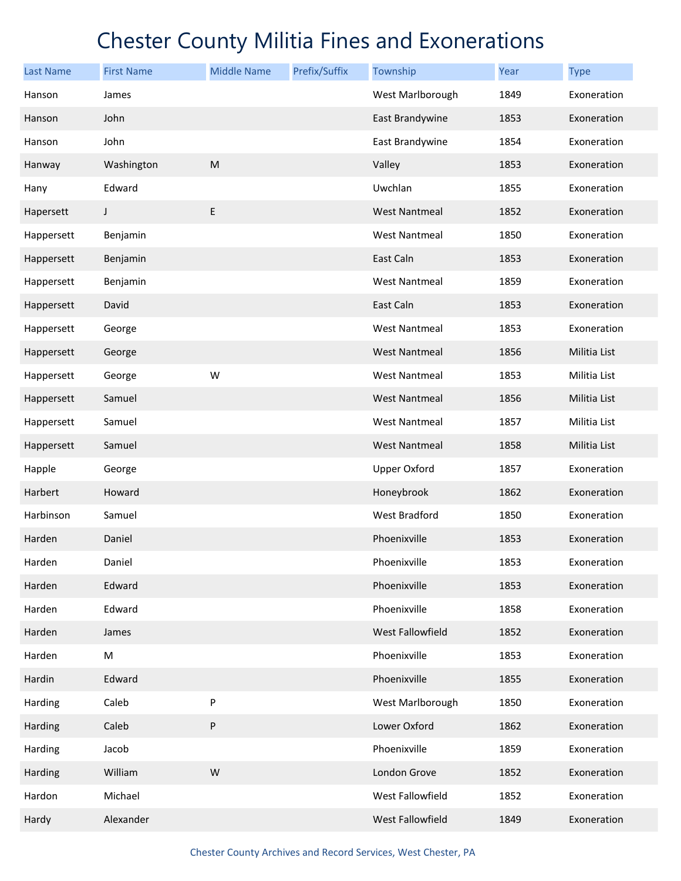| <b>Last Name</b> | <b>First Name</b> | <b>Middle Name</b> | Prefix/Suffix | Township             | Year | <b>Type</b>  |
|------------------|-------------------|--------------------|---------------|----------------------|------|--------------|
| Hanson           | James             |                    |               | West Marlborough     | 1849 | Exoneration  |
| Hanson           | John              |                    |               | East Brandywine      | 1853 | Exoneration  |
| Hanson           | John              |                    |               | East Brandywine      | 1854 | Exoneration  |
| Hanway           | Washington        | M                  |               | Valley               | 1853 | Exoneration  |
| Hany             | Edward            |                    |               | Uwchlan              | 1855 | Exoneration  |
| Hapersett        | $\mathsf J$       | E                  |               | <b>West Nantmeal</b> | 1852 | Exoneration  |
| Happersett       | Benjamin          |                    |               | <b>West Nantmeal</b> | 1850 | Exoneration  |
| Happersett       | Benjamin          |                    |               | East Caln            | 1853 | Exoneration  |
| Happersett       | Benjamin          |                    |               | <b>West Nantmeal</b> | 1859 | Exoneration  |
| Happersett       | David             |                    |               | East Caln            | 1853 | Exoneration  |
| Happersett       | George            |                    |               | <b>West Nantmeal</b> | 1853 | Exoneration  |
| Happersett       | George            |                    |               | <b>West Nantmeal</b> | 1856 | Militia List |
| Happersett       | George            | W                  |               | <b>West Nantmeal</b> | 1853 | Militia List |
| Happersett       | Samuel            |                    |               | <b>West Nantmeal</b> | 1856 | Militia List |
| Happersett       | Samuel            |                    |               | West Nantmeal        | 1857 | Militia List |
| Happersett       | Samuel            |                    |               | <b>West Nantmeal</b> | 1858 | Militia List |
| Happle           | George            |                    |               | <b>Upper Oxford</b>  | 1857 | Exoneration  |
| Harbert          | Howard            |                    |               | Honeybrook           | 1862 | Exoneration  |
| Harbinson        | Samuel            |                    |               | West Bradford        | 1850 | Exoneration  |
| Harden           | Daniel            |                    |               | Phoenixville         | 1853 | Exoneration  |
| Harden           | Daniel            |                    |               | Phoenixville         | 1853 | Exoneration  |
| Harden           | Edward            |                    |               | Phoenixville         | 1853 | Exoneration  |
| Harden           | Edward            |                    |               | Phoenixville         | 1858 | Exoneration  |
| Harden           | James             |                    |               | West Fallowfield     | 1852 | Exoneration  |
| Harden           | M                 |                    |               | Phoenixville         | 1853 | Exoneration  |
| Hardin           | Edward            |                    |               | Phoenixville         | 1855 | Exoneration  |
| Harding          | Caleb             | ${\sf P}$          |               | West Marlborough     | 1850 | Exoneration  |
| Harding          | Caleb             | $\sf P$            |               | Lower Oxford         | 1862 | Exoneration  |
| Harding          | Jacob             |                    |               | Phoenixville         | 1859 | Exoneration  |
| Harding          | William           | ${\sf W}$          |               | London Grove         | 1852 | Exoneration  |
| Hardon           | Michael           |                    |               | West Fallowfield     | 1852 | Exoneration  |
| Hardy            | Alexander         |                    |               | West Fallowfield     | 1849 | Exoneration  |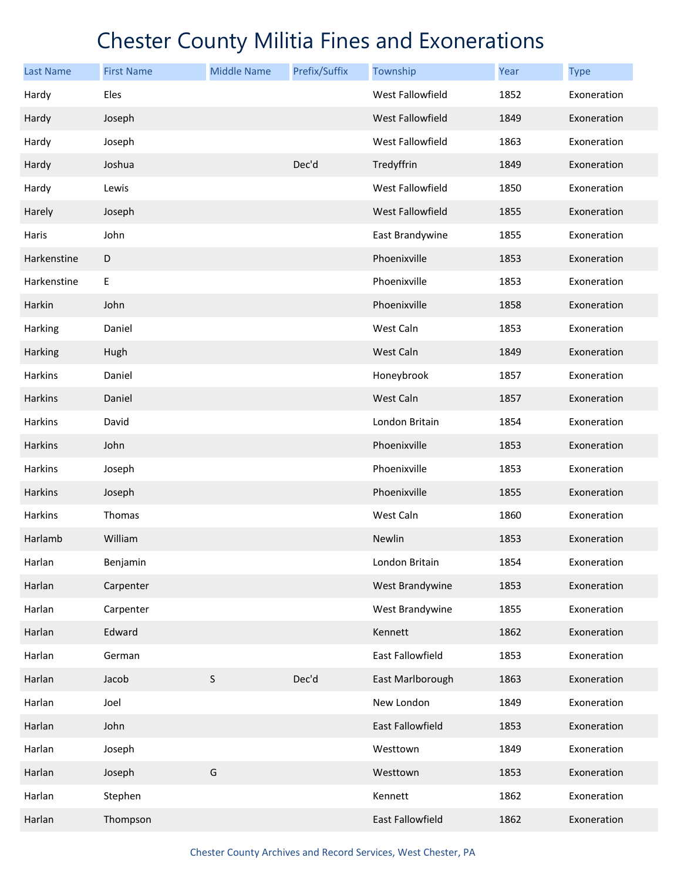| <b>Last Name</b> | <b>First Name</b> | <b>Middle Name</b> | Prefix/Suffix | Township                | Year | <b>Type</b> |
|------------------|-------------------|--------------------|---------------|-------------------------|------|-------------|
| Hardy            | Eles              |                    |               | West Fallowfield        | 1852 | Exoneration |
| Hardy            | Joseph            |                    |               | <b>West Fallowfield</b> | 1849 | Exoneration |
| Hardy            | Joseph            |                    |               | West Fallowfield        | 1863 | Exoneration |
| Hardy            | Joshua            |                    | Dec'd         | Tredyffrin              | 1849 | Exoneration |
| Hardy            | Lewis             |                    |               | West Fallowfield        | 1850 | Exoneration |
| Harely           | Joseph            |                    |               | <b>West Fallowfield</b> | 1855 | Exoneration |
| Haris            | John              |                    |               | East Brandywine         | 1855 | Exoneration |
| Harkenstine      | D                 |                    |               | Phoenixville            | 1853 | Exoneration |
| Harkenstine      | E                 |                    |               | Phoenixville            | 1853 | Exoneration |
| Harkin           | John              |                    |               | Phoenixville            | 1858 | Exoneration |
| Harking          | Daniel            |                    |               | West Caln               | 1853 | Exoneration |
| Harking          | Hugh              |                    |               | West Caln               | 1849 | Exoneration |
| Harkins          | Daniel            |                    |               | Honeybrook              | 1857 | Exoneration |
| Harkins          | Daniel            |                    |               | West Caln               | 1857 | Exoneration |
| Harkins          | David             |                    |               | London Britain          | 1854 | Exoneration |
| Harkins          | John              |                    |               | Phoenixville            | 1853 | Exoneration |
| Harkins          | Joseph            |                    |               | Phoenixville            | 1853 | Exoneration |
| Harkins          | Joseph            |                    |               | Phoenixville            | 1855 | Exoneration |
| Harkins          | Thomas            |                    |               | West Caln               | 1860 | Exoneration |
| Harlamb          | William           |                    |               | Newlin                  | 1853 | Exoneration |
| Harlan           | Benjamin          |                    |               | London Britain          | 1854 | Exoneration |
| Harlan           | Carpenter         |                    |               | West Brandywine         | 1853 | Exoneration |
| Harlan           | Carpenter         |                    |               | West Brandywine         | 1855 | Exoneration |
| Harlan           | Edward            |                    |               | Kennett                 | 1862 | Exoneration |
| Harlan           | German            |                    |               | East Fallowfield        | 1853 | Exoneration |
| Harlan           | Jacob             | $\sf S$            | Dec'd         | East Marlborough        | 1863 | Exoneration |
| Harlan           | Joel              |                    |               | New London              | 1849 | Exoneration |
| Harlan           | John              |                    |               | East Fallowfield        | 1853 | Exoneration |
| Harlan           | Joseph            |                    |               | Westtown                | 1849 | Exoneration |
| Harlan           | Joseph            | G                  |               | Westtown                | 1853 | Exoneration |
| Harlan           | Stephen           |                    |               | Kennett                 | 1862 | Exoneration |
| Harlan           | Thompson          |                    |               | East Fallowfield        | 1862 | Exoneration |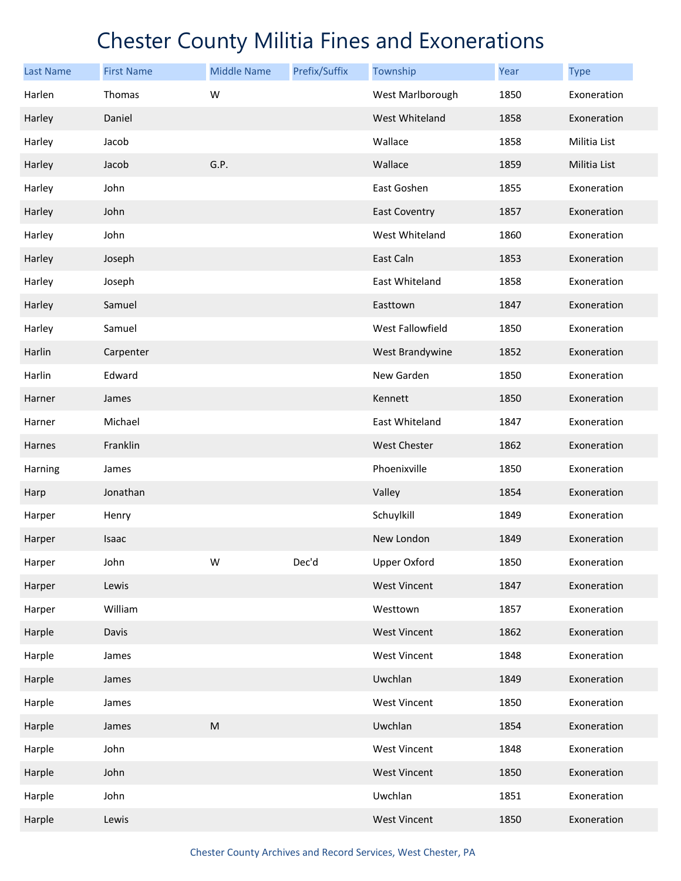| <b>Last Name</b> | <b>First Name</b> | <b>Middle Name</b> | Prefix/Suffix | Township             | <b>Year</b> | <b>Type</b>  |
|------------------|-------------------|--------------------|---------------|----------------------|-------------|--------------|
| Harlen           | Thomas            | W                  |               | West Marlborough     | 1850        | Exoneration  |
| Harley           | Daniel            |                    |               | West Whiteland       | 1858        | Exoneration  |
| Harley           | Jacob             |                    |               | Wallace              | 1858        | Militia List |
| Harley           | Jacob             | G.P.               |               | Wallace              | 1859        | Militia List |
| Harley           | John              |                    |               | East Goshen          | 1855        | Exoneration  |
| Harley           | John              |                    |               | <b>East Coventry</b> | 1857        | Exoneration  |
| Harley           | John              |                    |               | West Whiteland       | 1860        | Exoneration  |
| Harley           | Joseph            |                    |               | East Caln            | 1853        | Exoneration  |
| Harley           | Joseph            |                    |               | East Whiteland       | 1858        | Exoneration  |
| Harley           | Samuel            |                    |               | Easttown             | 1847        | Exoneration  |
| Harley           | Samuel            |                    |               | West Fallowfield     | 1850        | Exoneration  |
| Harlin           | Carpenter         |                    |               | West Brandywine      | 1852        | Exoneration  |
| Harlin           | Edward            |                    |               | New Garden           | 1850        | Exoneration  |
| Harner           | James             |                    |               | Kennett              | 1850        | Exoneration  |
| Harner           | Michael           |                    |               | East Whiteland       | 1847        | Exoneration  |
| Harnes           | Franklin          |                    |               | <b>West Chester</b>  | 1862        | Exoneration  |
| Harning          | James             |                    |               | Phoenixville         | 1850        | Exoneration  |
| Harp             | Jonathan          |                    |               | Valley               | 1854        | Exoneration  |
| Harper           | Henry             |                    |               | Schuylkill           | 1849        | Exoneration  |
| Harper           | Isaac             |                    |               | New London           | 1849        | Exoneration  |
| Harper           | John              | W                  | Dec'd         | <b>Upper Oxford</b>  | 1850        | Exoneration  |
| Harper           | Lewis             |                    |               | <b>West Vincent</b>  | 1847        | Exoneration  |
| Harper           | William           |                    |               | Westtown             | 1857        | Exoneration  |
| Harple           | Davis             |                    |               | <b>West Vincent</b>  | 1862        | Exoneration  |
| Harple           | James             |                    |               | <b>West Vincent</b>  | 1848        | Exoneration  |
| Harple           | James             |                    |               | Uwchlan              | 1849        | Exoneration  |
| Harple           | James             |                    |               | <b>West Vincent</b>  | 1850        | Exoneration  |
| Harple           | James             | ${\sf M}$          |               | Uwchlan              | 1854        | Exoneration  |
| Harple           | John              |                    |               | <b>West Vincent</b>  | 1848        | Exoneration  |
| Harple           | John              |                    |               | <b>West Vincent</b>  | 1850        | Exoneration  |
| Harple           | John              |                    |               | Uwchlan              | 1851        | Exoneration  |
| Harple           | Lewis             |                    |               | <b>West Vincent</b>  | 1850        | Exoneration  |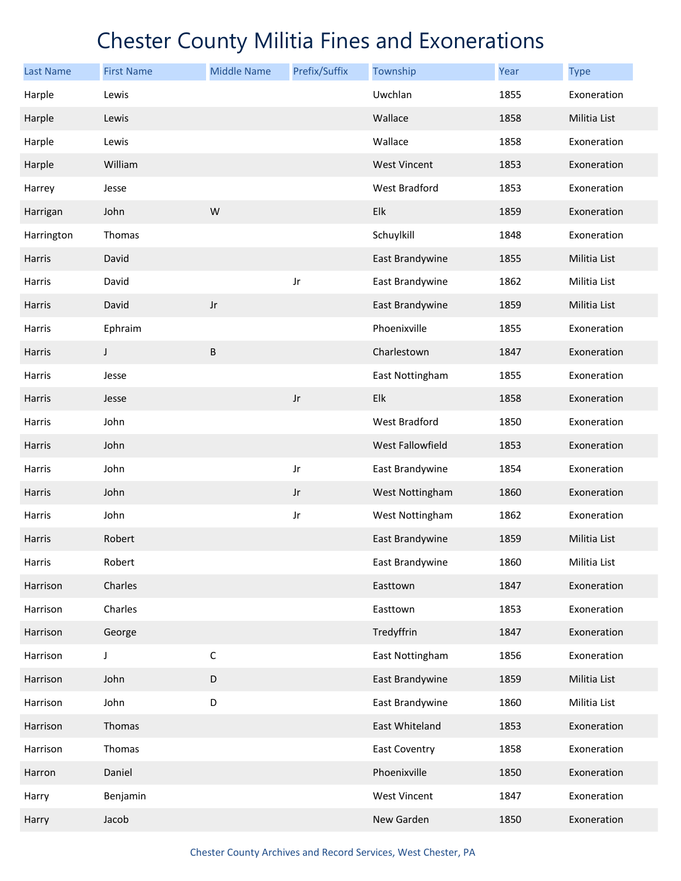| <b>Last Name</b> | <b>First Name</b> | <b>Middle Name</b> | Prefix/Suffix          | Township            | Year | <b>Type</b>  |
|------------------|-------------------|--------------------|------------------------|---------------------|------|--------------|
| Harple           | Lewis             |                    |                        | Uwchlan             | 1855 | Exoneration  |
| Harple           | Lewis             |                    |                        | Wallace             | 1858 | Militia List |
| Harple           | Lewis             |                    |                        | Wallace             | 1858 | Exoneration  |
| Harple           | William           |                    |                        | <b>West Vincent</b> | 1853 | Exoneration  |
| Harrey           | Jesse             |                    |                        | West Bradford       | 1853 | Exoneration  |
| Harrigan         | John              | W                  |                        | Elk                 | 1859 | Exoneration  |
| Harrington       | Thomas            |                    |                        | Schuylkill          | 1848 | Exoneration  |
| Harris           | David             |                    |                        | East Brandywine     | 1855 | Militia List |
| Harris           | David             |                    | Jr                     | East Brandywine     | 1862 | Militia List |
| <b>Harris</b>    | David             | $_{\rm Jr}$        |                        | East Brandywine     | 1859 | Militia List |
| Harris           | Ephraim           |                    |                        | Phoenixville        | 1855 | Exoneration  |
| Harris           | J                 | $\sf B$            |                        | Charlestown         | 1847 | Exoneration  |
| Harris           | Jesse             |                    |                        | East Nottingham     | 1855 | Exoneration  |
| Harris           | Jesse             |                    | $_{\rm Jr}$            | Elk                 | 1858 | Exoneration  |
| Harris           | John              |                    |                        | West Bradford       | 1850 | Exoneration  |
| Harris           | John              |                    |                        | West Fallowfield    | 1853 | Exoneration  |
| Harris           | John              |                    | Jr                     | East Brandywine     | 1854 | Exoneration  |
| Harris           | John              |                    | $\mathsf{J}\mathsf{r}$ | West Nottingham     | 1860 | Exoneration  |
| Harris           | John              |                    | Jr                     | West Nottingham     | 1862 | Exoneration  |
| Harris           | Robert            |                    |                        | East Brandywine     | 1859 | Militia List |
| Harris           | Robert            |                    |                        | East Brandywine     | 1860 | Militia List |
| Harrison         | Charles           |                    |                        | Easttown            | 1847 | Exoneration  |
| Harrison         | Charles           |                    |                        | Easttown            | 1853 | Exoneration  |
| Harrison         | George            |                    |                        | Tredyffrin          | 1847 | Exoneration  |
| Harrison         | J                 | $\mathsf C$        |                        | East Nottingham     | 1856 | Exoneration  |
| Harrison         | John              | $\mathsf D$        |                        | East Brandywine     | 1859 | Militia List |
| Harrison         | John              | D                  |                        | East Brandywine     | 1860 | Militia List |
| Harrison         | Thomas            |                    |                        | East Whiteland      | 1853 | Exoneration  |
| Harrison         | Thomas            |                    |                        | East Coventry       | 1858 | Exoneration  |
| Harron           | Daniel            |                    |                        | Phoenixville        | 1850 | Exoneration  |
| Harry            | Benjamin          |                    |                        | <b>West Vincent</b> | 1847 | Exoneration  |
| Harry            | Jacob             |                    |                        | New Garden          | 1850 | Exoneration  |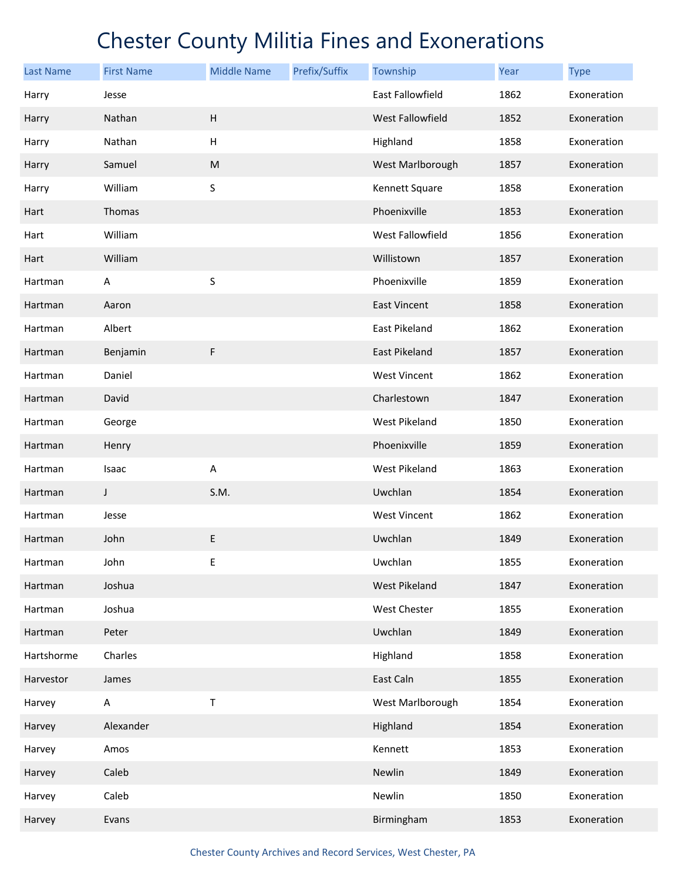| <b>Last Name</b> | <b>First Name</b> | <b>Middle Name</b>        | Prefix/Suffix | Township            | Year | <b>Type</b> |
|------------------|-------------------|---------------------------|---------------|---------------------|------|-------------|
| Harry            | Jesse             |                           |               | East Fallowfield    | 1862 | Exoneration |
| Harry            | Nathan            | H                         |               | West Fallowfield    | 1852 | Exoneration |
| Harry            | Nathan            | $\boldsymbol{\mathsf{H}}$ |               | Highland            | 1858 | Exoneration |
| Harry            | Samuel            | ${\sf M}$                 |               | West Marlborough    | 1857 | Exoneration |
| Harry            | William           | S                         |               | Kennett Square      | 1858 | Exoneration |
| Hart             | Thomas            |                           |               | Phoenixville        | 1853 | Exoneration |
| Hart             | William           |                           |               | West Fallowfield    | 1856 | Exoneration |
| Hart             | William           |                           |               | Willistown          | 1857 | Exoneration |
| Hartman          | Α                 | S                         |               | Phoenixville        | 1859 | Exoneration |
| Hartman          | Aaron             |                           |               | East Vincent        | 1858 | Exoneration |
| Hartman          | Albert            |                           |               | East Pikeland       | 1862 | Exoneration |
| Hartman          | Benjamin          | F                         |               | East Pikeland       | 1857 | Exoneration |
| Hartman          | Daniel            |                           |               | <b>West Vincent</b> | 1862 | Exoneration |
| Hartman          | David             |                           |               | Charlestown         | 1847 | Exoneration |
| Hartman          | George            |                           |               | West Pikeland       | 1850 | Exoneration |
| Hartman          | Henry             |                           |               | Phoenixville        | 1859 | Exoneration |
| Hartman          | Isaac             | Α                         |               | West Pikeland       | 1863 | Exoneration |
| Hartman          | J                 | S.M.                      |               | Uwchlan             | 1854 | Exoneration |
| Hartman          | Jesse             |                           |               | <b>West Vincent</b> | 1862 | Exoneration |
| Hartman          | John              | E                         |               | Uwchlan             | 1849 | Exoneration |
| Hartman          | John              | $\sf E$                   |               | Uwchlan             | 1855 | Exoneration |
| Hartman          | Joshua            |                           |               | West Pikeland       | 1847 | Exoneration |
| Hartman          | Joshua            |                           |               | West Chester        | 1855 | Exoneration |
| Hartman          | Peter             |                           |               | Uwchlan             | 1849 | Exoneration |
| Hartshorme       | Charles           |                           |               | Highland            | 1858 | Exoneration |
| Harvestor        | James             |                           |               | East Caln           | 1855 | Exoneration |
| Harvey           | A                 | Τ                         |               | West Marlborough    | 1854 | Exoneration |
| Harvey           | Alexander         |                           |               | Highland            | 1854 | Exoneration |
| Harvey           | Amos              |                           |               | Kennett             | 1853 | Exoneration |
| Harvey           | Caleb             |                           |               | Newlin              | 1849 | Exoneration |
| Harvey           | Caleb             |                           |               | Newlin              | 1850 | Exoneration |
| Harvey           | Evans             |                           |               | Birmingham          | 1853 | Exoneration |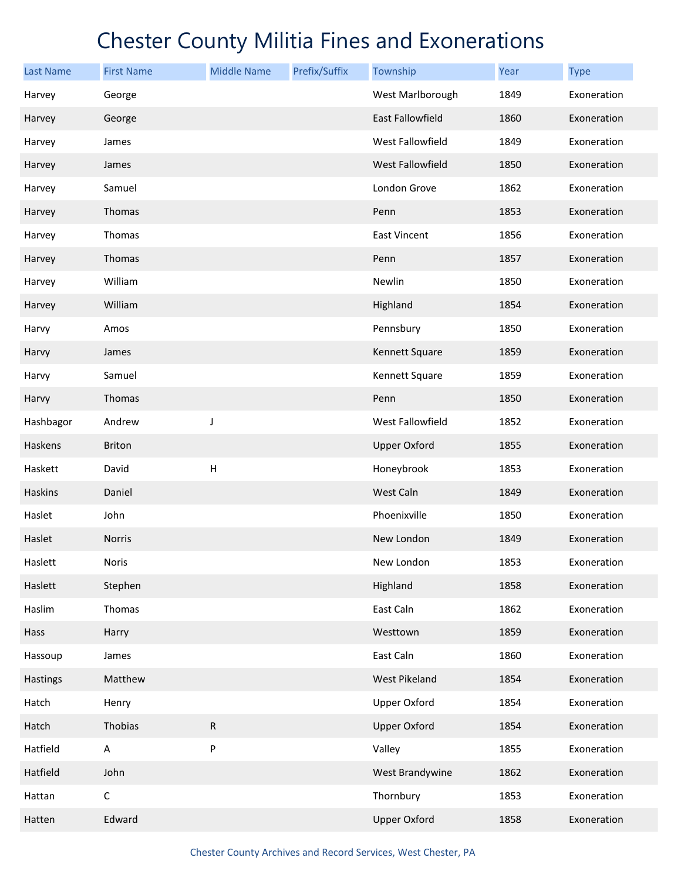| Last Name      | <b>First Name</b> | <b>Middle Name</b> | Prefix/Suffix | Township             | Year | <b>Type</b> |
|----------------|-------------------|--------------------|---------------|----------------------|------|-------------|
| Harvey         | George            |                    |               | West Marlborough     | 1849 | Exoneration |
| Harvey         | George            |                    |               | East Fallowfield     | 1860 | Exoneration |
| Harvey         | James             |                    |               | West Fallowfield     | 1849 | Exoneration |
| Harvey         | James             |                    |               | West Fallowfield     | 1850 | Exoneration |
| Harvey         | Samuel            |                    |               | London Grove         | 1862 | Exoneration |
| Harvey         | Thomas            |                    |               | Penn                 | 1853 | Exoneration |
| Harvey         | Thomas            |                    |               | <b>East Vincent</b>  | 1856 | Exoneration |
| Harvey         | Thomas            |                    |               | Penn                 | 1857 | Exoneration |
| Harvey         | William           |                    |               | Newlin               | 1850 | Exoneration |
| Harvey         | William           |                    |               | Highland             | 1854 | Exoneration |
| Harvy          | Amos              |                    |               | Pennsbury            | 1850 | Exoneration |
| Harvy          | James             |                    |               | Kennett Square       | 1859 | Exoneration |
| Harvy          | Samuel            |                    |               | Kennett Square       | 1859 | Exoneration |
| Harvy          | Thomas            |                    |               | Penn                 | 1850 | Exoneration |
| Hashbagor      | Andrew            | J                  |               | West Fallowfield     | 1852 | Exoneration |
| Haskens        | <b>Briton</b>     |                    |               | <b>Upper Oxford</b>  | 1855 | Exoneration |
| Haskett        | David             | H                  |               | Honeybrook           | 1853 | Exoneration |
| <b>Haskins</b> | Daniel            |                    |               | West Caln            | 1849 | Exoneration |
| Haslet         | John              |                    |               | Phoenixville         | 1850 | Exoneration |
| Haslet         | <b>Norris</b>     |                    |               | New London           | 1849 | Exoneration |
| Haslett        | Noris             |                    |               | New London           | 1853 | Exoneration |
| Haslett        | Stephen           |                    |               | Highland             | 1858 | Exoneration |
| Haslim         | Thomas            |                    |               | East Caln            | 1862 | Exoneration |
| Hass           | Harry             |                    |               | Westtown             | 1859 | Exoneration |
| Hassoup        | James             |                    |               | East Caln            | 1860 | Exoneration |
| Hastings       | Matthew           |                    |               | <b>West Pikeland</b> | 1854 | Exoneration |
| Hatch          | Henry             |                    |               | <b>Upper Oxford</b>  | 1854 | Exoneration |
| Hatch          | Thobias           | ${\sf R}$          |               | <b>Upper Oxford</b>  | 1854 | Exoneration |
| Hatfield       | A                 | ${\sf P}$          |               | Valley               | 1855 | Exoneration |
| Hatfield       | John              |                    |               | West Brandywine      | 1862 | Exoneration |
| Hattan         | $\mathsf C$       |                    |               | Thornbury            | 1853 | Exoneration |
| Hatten         | Edward            |                    |               | <b>Upper Oxford</b>  | 1858 | Exoneration |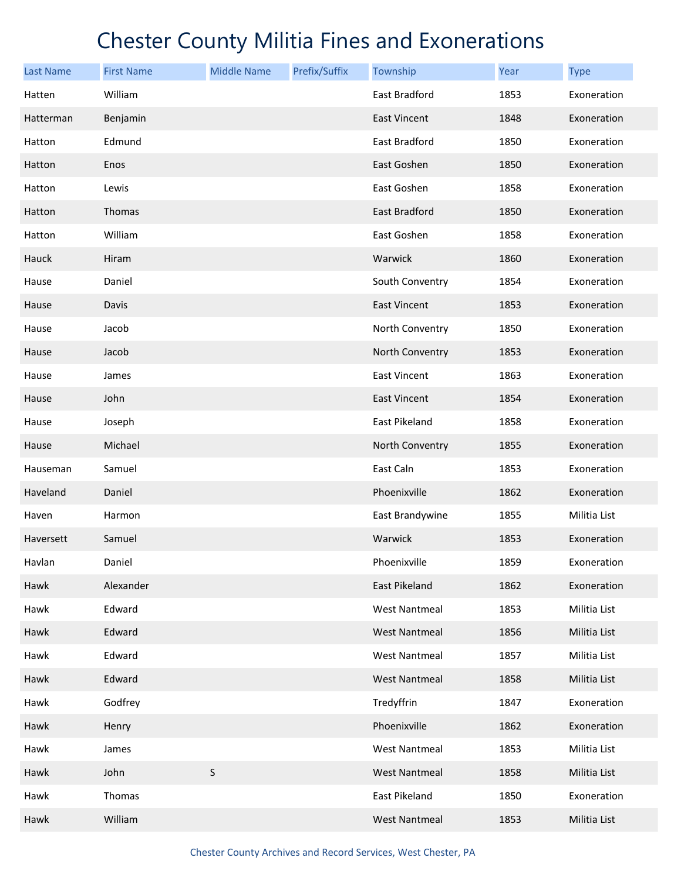| <b>Last Name</b> | <b>First Name</b> | <b>Middle Name</b> | Prefix/Suffix | Township             | <b>Year</b> | <b>Type</b>  |
|------------------|-------------------|--------------------|---------------|----------------------|-------------|--------------|
| Hatten           | William           |                    |               | East Bradford        | 1853        | Exoneration  |
| Hatterman        | Benjamin          |                    |               | East Vincent         | 1848        | Exoneration  |
| Hatton           | Edmund            |                    |               | East Bradford        | 1850        | Exoneration  |
| Hatton           | Enos              |                    |               | East Goshen          | 1850        | Exoneration  |
| Hatton           | Lewis             |                    |               | East Goshen          | 1858        | Exoneration  |
| Hatton           | Thomas            |                    |               | East Bradford        | 1850        | Exoneration  |
| Hatton           | William           |                    |               | East Goshen          | 1858        | Exoneration  |
| Hauck            | Hiram             |                    |               | Warwick              | 1860        | Exoneration  |
| Hause            | Daniel            |                    |               | South Conventry      | 1854        | Exoneration  |
| Hause            | Davis             |                    |               | East Vincent         | 1853        | Exoneration  |
| Hause            | Jacob             |                    |               | North Conventry      | 1850        | Exoneration  |
| Hause            | Jacob             |                    |               | North Conventry      | 1853        | Exoneration  |
| Hause            | James             |                    |               | <b>East Vincent</b>  | 1863        | Exoneration  |
| Hause            | John              |                    |               | <b>East Vincent</b>  | 1854        | Exoneration  |
| Hause            | Joseph            |                    |               | East Pikeland        | 1858        | Exoneration  |
| Hause            | Michael           |                    |               | North Conventry      | 1855        | Exoneration  |
| Hauseman         | Samuel            |                    |               | East Caln            | 1853        | Exoneration  |
| Haveland         | Daniel            |                    |               | Phoenixville         | 1862        | Exoneration  |
| Haven            | Harmon            |                    |               | East Brandywine      | 1855        | Militia List |
| Haversett        | Samuel            |                    |               | Warwick              | 1853        | Exoneration  |
| Havlan           | Daniel            |                    |               | Phoenixville         | 1859        | Exoneration  |
| Hawk             | Alexander         |                    |               | East Pikeland        | 1862        | Exoneration  |
| Hawk             | Edward            |                    |               | <b>West Nantmeal</b> | 1853        | Militia List |
| Hawk             | Edward            |                    |               | West Nantmeal        | 1856        | Militia List |
| Hawk             | Edward            |                    |               | <b>West Nantmeal</b> | 1857        | Militia List |
| Hawk             | Edward            |                    |               | <b>West Nantmeal</b> | 1858        | Militia List |
| Hawk             | Godfrey           |                    |               | Tredyffrin           | 1847        | Exoneration  |
| Hawk             | Henry             |                    |               | Phoenixville         | 1862        | Exoneration  |
| Hawk             | James             |                    |               | <b>West Nantmeal</b> | 1853        | Militia List |
| Hawk             | John              | S                  |               | <b>West Nantmeal</b> | 1858        | Militia List |
| Hawk             | Thomas            |                    |               | East Pikeland        | 1850        | Exoneration  |
| Hawk             | William           |                    |               | <b>West Nantmeal</b> | 1853        | Militia List |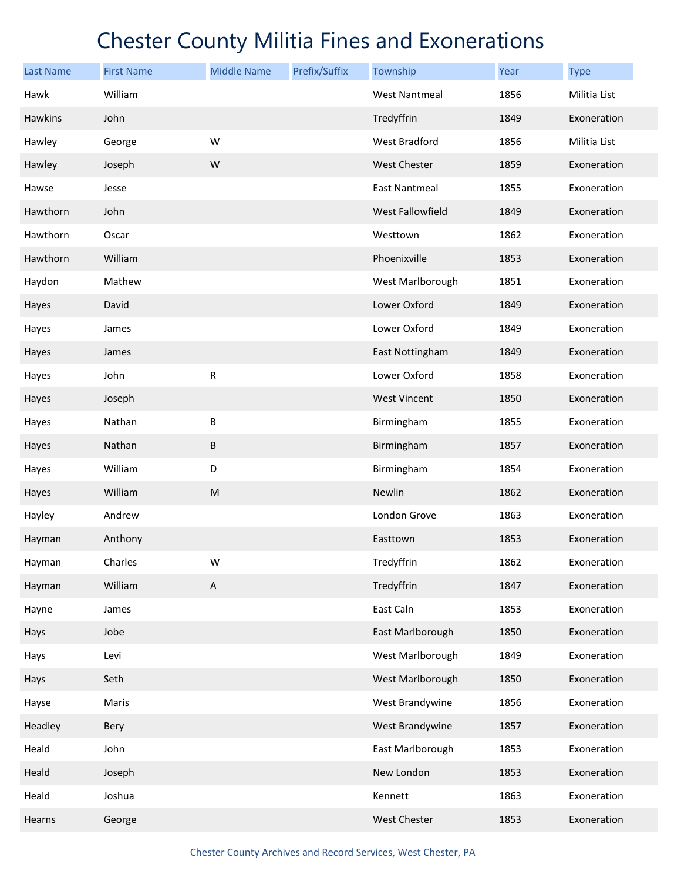| <b>Last Name</b> | <b>First Name</b> | <b>Middle Name</b>        | Prefix/Suffix | Township                | Year | <b>Type</b>  |
|------------------|-------------------|---------------------------|---------------|-------------------------|------|--------------|
| Hawk             | William           |                           |               | <b>West Nantmeal</b>    | 1856 | Militia List |
| <b>Hawkins</b>   | John              |                           |               | Tredyffrin              | 1849 | Exoneration  |
| Hawley           | George            | W                         |               | <b>West Bradford</b>    | 1856 | Militia List |
| Hawley           | Joseph            | W                         |               | <b>West Chester</b>     | 1859 | Exoneration  |
| Hawse            | Jesse             |                           |               | <b>East Nantmeal</b>    | 1855 | Exoneration  |
| Hawthorn         | John              |                           |               | <b>West Fallowfield</b> | 1849 | Exoneration  |
| Hawthorn         | Oscar             |                           |               | Westtown                | 1862 | Exoneration  |
| Hawthorn         | William           |                           |               | Phoenixville            | 1853 | Exoneration  |
| Haydon           | Mathew            |                           |               | West Marlborough        | 1851 | Exoneration  |
| Hayes            | David             |                           |               | Lower Oxford            | 1849 | Exoneration  |
| Hayes            | James             |                           |               | Lower Oxford            | 1849 | Exoneration  |
| Hayes            | James             |                           |               | East Nottingham         | 1849 | Exoneration  |
| Hayes            | John              | ${\sf R}$                 |               | Lower Oxford            | 1858 | Exoneration  |
| Hayes            | Joseph            |                           |               | <b>West Vincent</b>     | 1850 | Exoneration  |
| Hayes            | Nathan            | B                         |               | Birmingham              | 1855 | Exoneration  |
| Hayes            | Nathan            | $\sf B$                   |               | Birmingham              | 1857 | Exoneration  |
| Hayes            | William           | D                         |               | Birmingham              | 1854 | Exoneration  |
| Hayes            | William           | M                         |               | Newlin                  | 1862 | Exoneration  |
| Hayley           | Andrew            |                           |               | London Grove            | 1863 | Exoneration  |
| Hayman           | Anthony           |                           |               | Easttown                | 1853 | Exoneration  |
| Hayman           | Charles           | W                         |               | Tredyffrin              | 1862 | Exoneration  |
| Hayman           | William           | $\boldsymbol{\mathsf{A}}$ |               | Tredyffrin              | 1847 | Exoneration  |
| Hayne            | James             |                           |               | East Caln               | 1853 | Exoneration  |
| Hays             | Jobe              |                           |               | East Marlborough        | 1850 | Exoneration  |
| Hays             | Levi              |                           |               | West Marlborough        | 1849 | Exoneration  |
| Hays             | Seth              |                           |               | West Marlborough        | 1850 | Exoneration  |
| Hayse            | Maris             |                           |               | West Brandywine         | 1856 | Exoneration  |
| Headley          | Bery              |                           |               | West Brandywine         | 1857 | Exoneration  |
| Heald            | John              |                           |               | East Marlborough        | 1853 | Exoneration  |
| Heald            | Joseph            |                           |               | New London              | 1853 | Exoneration  |
| Heald            | Joshua            |                           |               | Kennett                 | 1863 | Exoneration  |
| Hearns           | George            |                           |               | West Chester            | 1853 | Exoneration  |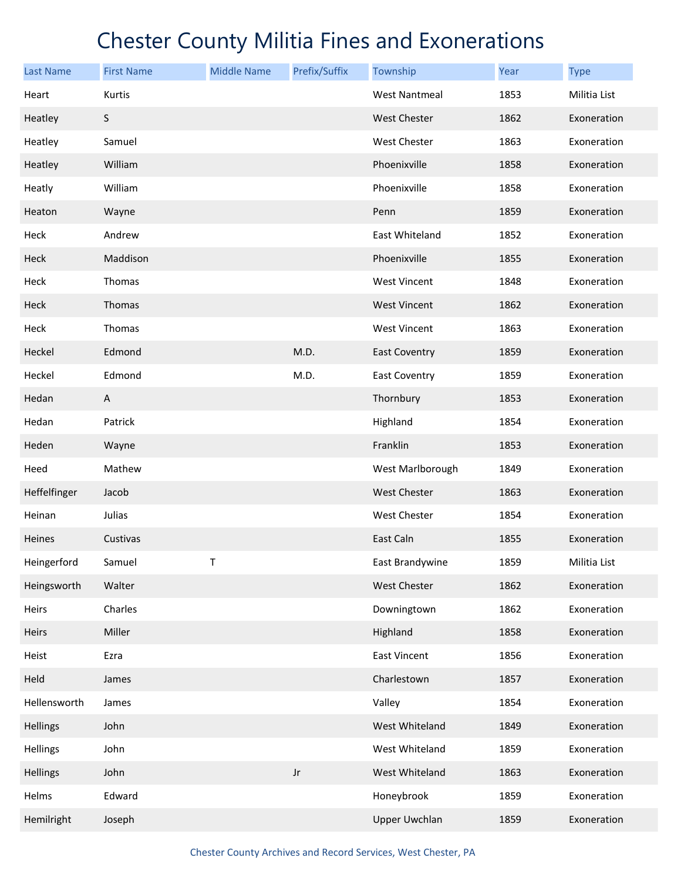| <b>Last Name</b> | <b>First Name</b> | <b>Middle Name</b> | Prefix/Suffix          | Township             | Year | <b>Type</b>  |
|------------------|-------------------|--------------------|------------------------|----------------------|------|--------------|
| Heart            | Kurtis            |                    |                        | <b>West Nantmeal</b> | 1853 | Militia List |
| Heatley          | $\sf S$           |                    |                        | <b>West Chester</b>  | 1862 | Exoneration  |
| Heatley          | Samuel            |                    |                        | <b>West Chester</b>  | 1863 | Exoneration  |
| Heatley          | William           |                    |                        | Phoenixville         | 1858 | Exoneration  |
| Heatly           | William           |                    |                        | Phoenixville         | 1858 | Exoneration  |
| Heaton           | Wayne             |                    |                        | Penn                 | 1859 | Exoneration  |
| Heck             | Andrew            |                    |                        | East Whiteland       | 1852 | Exoneration  |
| Heck             | Maddison          |                    |                        | Phoenixville         | 1855 | Exoneration  |
| Heck             | Thomas            |                    |                        | <b>West Vincent</b>  | 1848 | Exoneration  |
| Heck             | Thomas            |                    |                        | <b>West Vincent</b>  | 1862 | Exoneration  |
| Heck             | Thomas            |                    |                        | <b>West Vincent</b>  | 1863 | Exoneration  |
| Heckel           | Edmond            |                    | M.D.                   | <b>East Coventry</b> | 1859 | Exoneration  |
| Heckel           | Edmond            |                    | M.D.                   | <b>East Coventry</b> | 1859 | Exoneration  |
| Hedan            | A                 |                    |                        | Thornbury            | 1853 | Exoneration  |
| Hedan            | Patrick           |                    |                        | Highland             | 1854 | Exoneration  |
| Heden            | Wayne             |                    |                        | Franklin             | 1853 | Exoneration  |
| Heed             | Mathew            |                    |                        | West Marlborough     | 1849 | Exoneration  |
| Heffelfinger     | Jacob             |                    |                        | <b>West Chester</b>  | 1863 | Exoneration  |
| Heinan           | Julias            |                    |                        | <b>West Chester</b>  | 1854 | Exoneration  |
| Heines           | Custivas          |                    |                        | East Caln            | 1855 | Exoneration  |
| Heingerford      | Samuel            | Τ                  |                        | East Brandywine      | 1859 | Militia List |
| Heingsworth      | Walter            |                    |                        | West Chester         | 1862 | Exoneration  |
| Heirs            | Charles           |                    |                        | Downingtown          | 1862 | Exoneration  |
| Heirs            | Miller            |                    |                        | Highland             | 1858 | Exoneration  |
| Heist            | Ezra              |                    |                        | East Vincent         | 1856 | Exoneration  |
| Held             | James             |                    |                        | Charlestown          | 1857 | Exoneration  |
| Hellensworth     | James             |                    |                        | Valley               | 1854 | Exoneration  |
| <b>Hellings</b>  | John              |                    |                        | West Whiteland       | 1849 | Exoneration  |
| Hellings         | John              |                    |                        | West Whiteland       | 1859 | Exoneration  |
| <b>Hellings</b>  | John              |                    | $\mathsf{J}\mathsf{r}$ | West Whiteland       | 1863 | Exoneration  |
| Helms            | Edward            |                    |                        | Honeybrook           | 1859 | Exoneration  |
| Hemilright       | Joseph            |                    |                        | <b>Upper Uwchlan</b> | 1859 | Exoneration  |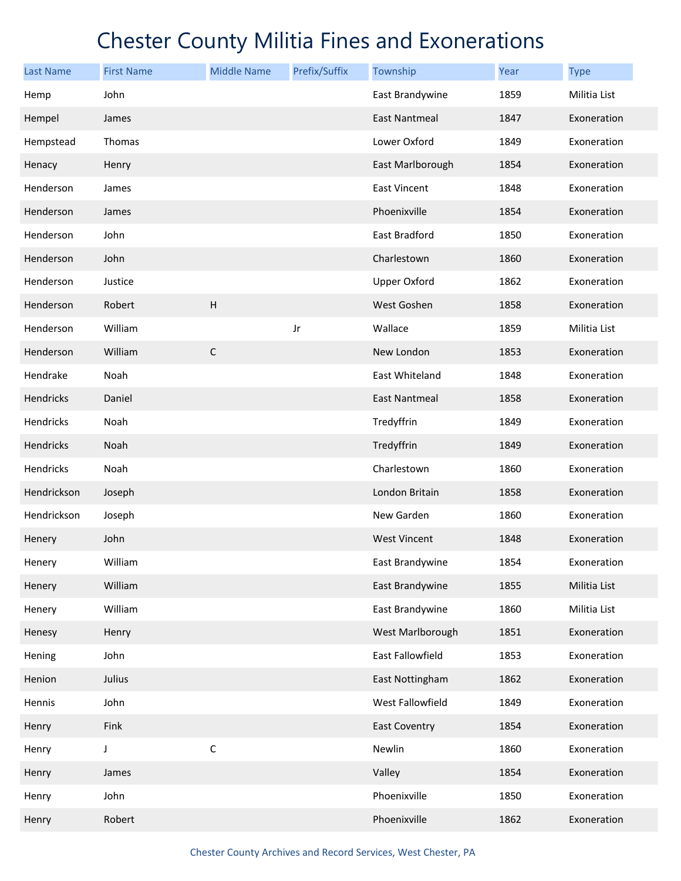| <b>Last Name</b> | <b>First Name</b> | <b>Middle Name</b> | Prefix/Suffix | Township             | Year | <b>Type</b>  |
|------------------|-------------------|--------------------|---------------|----------------------|------|--------------|
| Hemp             | John              |                    |               | East Brandywine      | 1859 | Militia List |
| Hempel           | James             |                    |               | <b>East Nantmeal</b> | 1847 | Exoneration  |
| Hempstead        | Thomas            |                    |               | Lower Oxford         | 1849 | Exoneration  |
| Henacy           | Henry             |                    |               | East Marlborough     | 1854 | Exoneration  |
| Henderson        | James             |                    |               | <b>East Vincent</b>  | 1848 | Exoneration  |
| Henderson        | James             |                    |               | Phoenixville         | 1854 | Exoneration  |
| Henderson        | John              |                    |               | East Bradford        | 1850 | Exoneration  |
| Henderson        | John              |                    |               | Charlestown          | 1860 | Exoneration  |
| Henderson        | Justice           |                    |               | <b>Upper Oxford</b>  | 1862 | Exoneration  |
| Henderson        | Robert            | $\overline{H}$     |               | West Goshen          | 1858 | Exoneration  |
| Henderson        | William           |                    | Jr            | Wallace              | 1859 | Militia List |
| Henderson        | William           | $\mathsf C$        |               | New London           | 1853 | Exoneration  |
| Hendrake         | Noah              |                    |               | East Whiteland       | 1848 | Exoneration  |
| Hendricks        | Daniel            |                    |               | <b>East Nantmeal</b> | 1858 | Exoneration  |
| Hendricks        | Noah              |                    |               | Tredyffrin           | 1849 | Exoneration  |
| Hendricks        | Noah              |                    |               | Tredyffrin           | 1849 | Exoneration  |
| Hendricks        | Noah              |                    |               | Charlestown          | 1860 | Exoneration  |
| Hendrickson      | Joseph            |                    |               | London Britain       | 1858 | Exoneration  |
| Hendrickson      | Joseph            |                    |               | New Garden           | 1860 | Exoneration  |
| Henery           | John              |                    |               | <b>West Vincent</b>  | 1848 | Exoneration  |
| Henery           | William           |                    |               | East Brandywine      | 1854 | Exoneration  |
| Henery           | William           |                    |               | East Brandywine      | 1855 | Militia List |
| Henery           | William           |                    |               | East Brandywine      | 1860 | Militia List |
| Henesy           | Henry             |                    |               | West Marlborough     | 1851 | Exoneration  |
| Hening           | John              |                    |               | East Fallowfield     | 1853 | Exoneration  |
| Henion           | Julius            |                    |               | East Nottingham      | 1862 | Exoneration  |
| Hennis           | John              |                    |               | West Fallowfield     | 1849 | Exoneration  |
| Henry            | Fink              |                    |               | <b>East Coventry</b> | 1854 | Exoneration  |
| Henry            | J                 | $\mathsf C$        |               | Newlin               | 1860 | Exoneration  |
| Henry            | James             |                    |               | Valley               | 1854 | Exoneration  |
| Henry            | John              |                    |               | Phoenixville         | 1850 | Exoneration  |
| Henry            | Robert            |                    |               | Phoenixville         | 1862 | Exoneration  |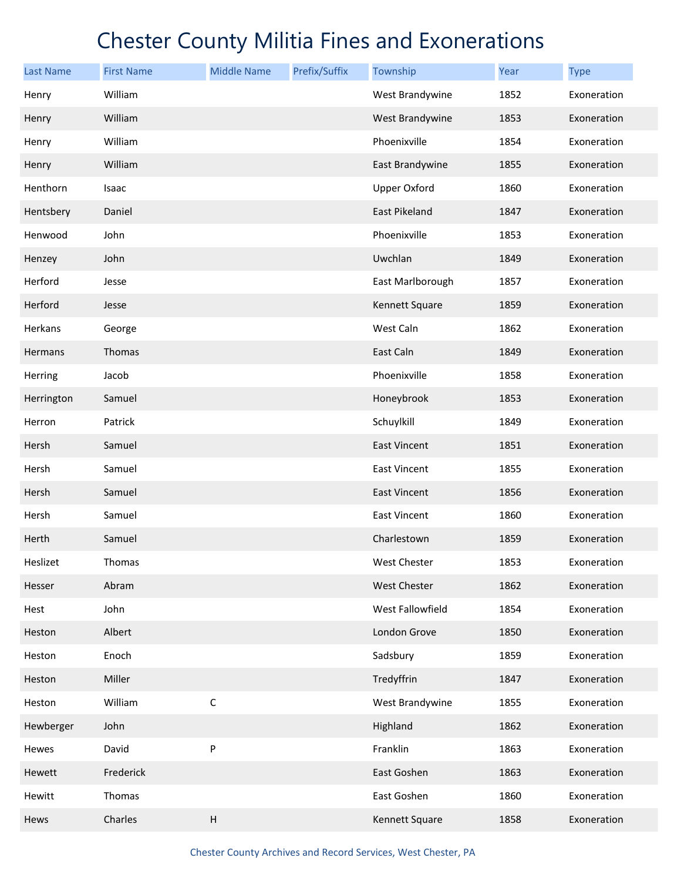| <b>Last Name</b> | <b>First Name</b> | <b>Middle Name</b> | Prefix/Suffix | Township            | Year | <b>Type</b> |
|------------------|-------------------|--------------------|---------------|---------------------|------|-------------|
| Henry            | William           |                    |               | West Brandywine     | 1852 | Exoneration |
| Henry            | William           |                    |               | West Brandywine     | 1853 | Exoneration |
| Henry            | William           |                    |               | Phoenixville        | 1854 | Exoneration |
| Henry            | William           |                    |               | East Brandywine     | 1855 | Exoneration |
| Henthorn         | Isaac             |                    |               | <b>Upper Oxford</b> | 1860 | Exoneration |
| Hentsbery        | Daniel            |                    |               | East Pikeland       | 1847 | Exoneration |
| Henwood          | John              |                    |               | Phoenixville        | 1853 | Exoneration |
| Henzey           | John              |                    |               | Uwchlan             | 1849 | Exoneration |
| Herford          | Jesse             |                    |               | East Marlborough    | 1857 | Exoneration |
| Herford          | Jesse             |                    |               | Kennett Square      | 1859 | Exoneration |
| Herkans          | George            |                    |               | West Caln           | 1862 | Exoneration |
| Hermans          | Thomas            |                    |               | East Caln           | 1849 | Exoneration |
| Herring          | Jacob             |                    |               | Phoenixville        | 1858 | Exoneration |
| Herrington       | Samuel            |                    |               | Honeybrook          | 1853 | Exoneration |
| Herron           | Patrick           |                    |               | Schuylkill          | 1849 | Exoneration |
| Hersh            | Samuel            |                    |               | <b>East Vincent</b> | 1851 | Exoneration |
| Hersh            | Samuel            |                    |               | <b>East Vincent</b> | 1855 | Exoneration |
| Hersh            | Samuel            |                    |               | East Vincent        | 1856 | Exoneration |
| Hersh            | Samuel            |                    |               | <b>East Vincent</b> | 1860 | Exoneration |
| Herth            | Samuel            |                    |               | Charlestown         | 1859 | Exoneration |
| Heslizet         | Thomas            |                    |               | West Chester        | 1853 | Exoneration |
| Hesser           | Abram             |                    |               | West Chester        | 1862 | Exoneration |
| Hest             | John              |                    |               | West Fallowfield    | 1854 | Exoneration |
| Heston           | Albert            |                    |               | London Grove        | 1850 | Exoneration |
| Heston           | Enoch             |                    |               | Sadsbury            | 1859 | Exoneration |
| Heston           | Miller            |                    |               | Tredyffrin          | 1847 | Exoneration |
| Heston           | William           | $\mathsf C$        |               | West Brandywine     | 1855 | Exoneration |
| Hewberger        | John              |                    |               | Highland            | 1862 | Exoneration |
| Hewes            | David             | ${\sf P}$          |               | Franklin            | 1863 | Exoneration |
| Hewett           | Frederick         |                    |               | East Goshen         | 1863 | Exoneration |
| Hewitt           | Thomas            |                    |               | East Goshen         | 1860 | Exoneration |
| Hews             | Charles           | $\overline{H}$     |               | Kennett Square      | 1858 | Exoneration |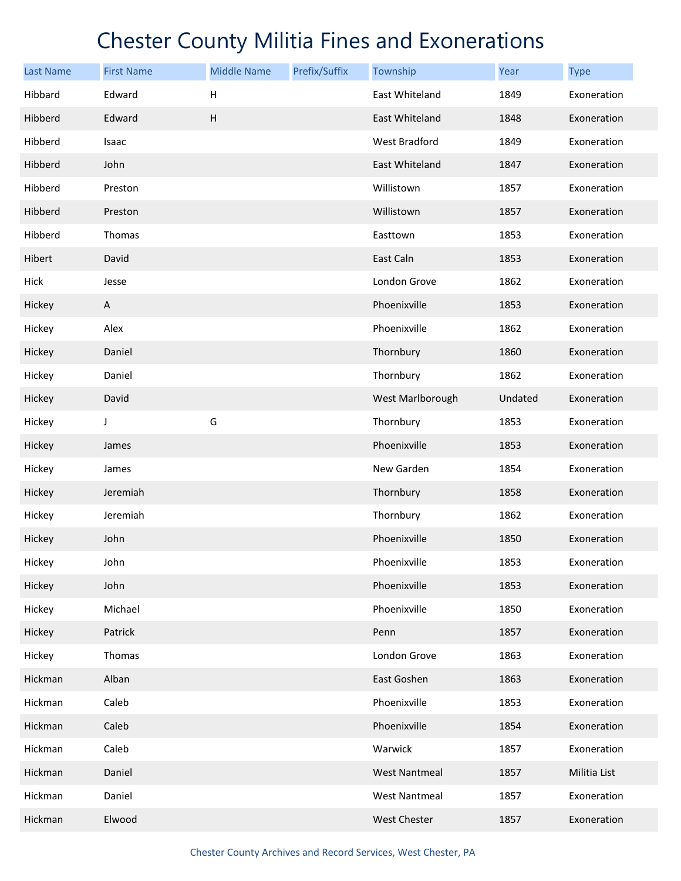| <b>Last Name</b> | <b>First Name</b> | <b>Middle Name</b>        | Prefix/Suffix | Township             | Year    | <b>Type</b>  |
|------------------|-------------------|---------------------------|---------------|----------------------|---------|--------------|
| Hibbard          | Edward            | Н                         |               | East Whiteland       | 1849    | Exoneration  |
| Hibberd          | Edward            | $\boldsymbol{\mathsf{H}}$ |               | East Whiteland       | 1848    | Exoneration  |
| Hibberd          | Isaac             |                           |               | West Bradford        | 1849    | Exoneration  |
| Hibberd          | John              |                           |               | East Whiteland       | 1847    | Exoneration  |
| Hibberd          | Preston           |                           |               | Willistown           | 1857    | Exoneration  |
| Hibberd          | Preston           |                           |               | Willistown           | 1857    | Exoneration  |
| Hibberd          | Thomas            |                           |               | Easttown             | 1853    | Exoneration  |
| Hibert           | David             |                           |               | East Caln            | 1853    | Exoneration  |
| Hick             | Jesse             |                           |               | London Grove         | 1862    | Exoneration  |
| Hickey           | A                 |                           |               | Phoenixville         | 1853    | Exoneration  |
| Hickey           | Alex              |                           |               | Phoenixville         | 1862    | Exoneration  |
| Hickey           | Daniel            |                           |               | Thornbury            | 1860    | Exoneration  |
| Hickey           | Daniel            |                           |               | Thornbury            | 1862    | Exoneration  |
| Hickey           | David             |                           |               | West Marlborough     | Undated | Exoneration  |
| Hickey           | J                 | G                         |               | Thornbury            | 1853    | Exoneration  |
| Hickey           | James             |                           |               | Phoenixville         | 1853    | Exoneration  |
| Hickey           | James             |                           |               | New Garden           | 1854    | Exoneration  |
| Hickey           | Jeremiah          |                           |               | Thornbury            | 1858    | Exoneration  |
| Hickey           | Jeremiah          |                           |               | Thornbury            | 1862    | Exoneration  |
| Hickey           | John              |                           |               | Phoenixville         | 1850    | Exoneration  |
| Hickey           | John              |                           |               | Phoenixville         | 1853    | Exoneration  |
| Hickey           | John              |                           |               | Phoenixville         | 1853    | Exoneration  |
| Hickey           | Michael           |                           |               | Phoenixville         | 1850    | Exoneration  |
| Hickey           | Patrick           |                           |               | Penn                 | 1857    | Exoneration  |
| Hickey           | Thomas            |                           |               | London Grove         | 1863    | Exoneration  |
| Hickman          | Alban             |                           |               | East Goshen          | 1863    | Exoneration  |
| Hickman          | Caleb             |                           |               | Phoenixville         | 1853    | Exoneration  |
| Hickman          | Caleb             |                           |               | Phoenixville         | 1854    | Exoneration  |
| Hickman          | Caleb             |                           |               | Warwick              | 1857    | Exoneration  |
| Hickman          | Daniel            |                           |               | <b>West Nantmeal</b> | 1857    | Militia List |
| Hickman          | Daniel            |                           |               | <b>West Nantmeal</b> | 1857    | Exoneration  |
| Hickman          | Elwood            |                           |               | West Chester         | 1857    | Exoneration  |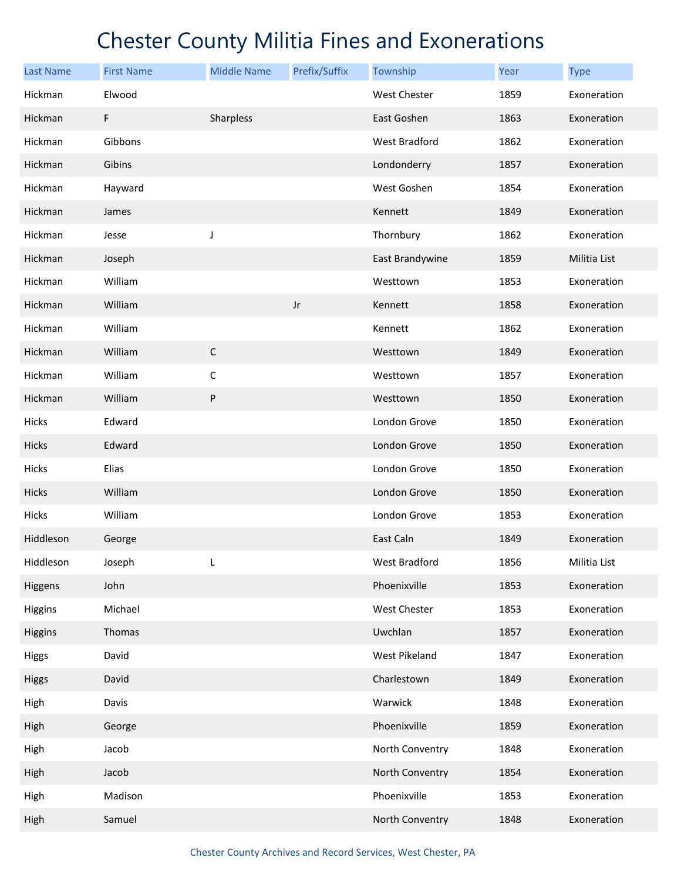| <b>Last Name</b> | <b>First Name</b> | <b>Middle Name</b> | Prefix/Suffix | Township        | Year | <b>Type</b>  |
|------------------|-------------------|--------------------|---------------|-----------------|------|--------------|
| Hickman          | Elwood            |                    |               | West Chester    | 1859 | Exoneration  |
| Hickman          | F                 | Sharpless          |               | East Goshen     | 1863 | Exoneration  |
| Hickman          | Gibbons           |                    |               | West Bradford   | 1862 | Exoneration  |
| Hickman          | Gibins            |                    |               | Londonderry     | 1857 | Exoneration  |
| Hickman          | Hayward           |                    |               | West Goshen     | 1854 | Exoneration  |
| Hickman          | James             |                    |               | Kennett         | 1849 | Exoneration  |
| Hickman          | Jesse             | J                  |               | Thornbury       | 1862 | Exoneration  |
| Hickman          | Joseph            |                    |               | East Brandywine | 1859 | Militia List |
| Hickman          | William           |                    |               | Westtown        | 1853 | Exoneration  |
| Hickman          | William           |                    | $_{\rm Jr}$   | Kennett         | 1858 | Exoneration  |
| Hickman          | William           |                    |               | Kennett         | 1862 | Exoneration  |
| Hickman          | William           | $\mathsf C$        |               | Westtown        | 1849 | Exoneration  |
| Hickman          | William           | $\mathsf C$        |               | Westtown        | 1857 | Exoneration  |
| Hickman          | William           | ${\sf P}$          |               | Westtown        | 1850 | Exoneration  |
| Hicks            | Edward            |                    |               | London Grove    | 1850 | Exoneration  |
| Hicks            | Edward            |                    |               | London Grove    | 1850 | Exoneration  |
| Hicks            | Elias             |                    |               | London Grove    | 1850 | Exoneration  |
| Hicks            | William           |                    |               | London Grove    | 1850 | Exoneration  |
| Hicks            | William           |                    |               | London Grove    | 1853 | Exoneration  |
| Hiddleson        | George            |                    |               | East Caln       | 1849 | Exoneration  |
| Hiddleson        | Joseph            | L                  |               | West Bradford   | 1856 | Militia List |
| Higgens          | John              |                    |               | Phoenixville    | 1853 | Exoneration  |
| Higgins          | Michael           |                    |               | West Chester    | 1853 | Exoneration  |
| Higgins          | Thomas            |                    |               | Uwchlan         | 1857 | Exoneration  |
| Higgs            | David             |                    |               | West Pikeland   | 1847 | Exoneration  |
| Higgs            | David             |                    |               | Charlestown     | 1849 | Exoneration  |
| High             | Davis             |                    |               | Warwick         | 1848 | Exoneration  |
| High             | George            |                    |               | Phoenixville    | 1859 | Exoneration  |
| High             | Jacob             |                    |               | North Conventry | 1848 | Exoneration  |
| High             | Jacob             |                    |               | North Conventry | 1854 | Exoneration  |
| High             | Madison           |                    |               | Phoenixville    | 1853 | Exoneration  |
| High             | Samuel            |                    |               | North Conventry | 1848 | Exoneration  |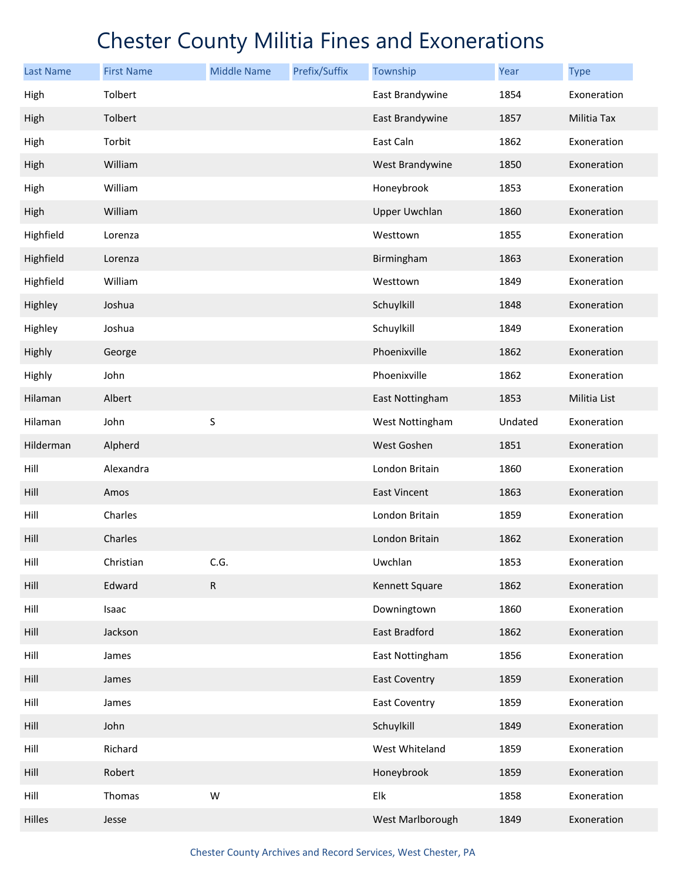| <b>Last Name</b> | <b>First Name</b> | <b>Middle Name</b> | Prefix/Suffix | Township             | Year    | <b>Type</b>  |
|------------------|-------------------|--------------------|---------------|----------------------|---------|--------------|
| High             | Tolbert           |                    |               | East Brandywine      | 1854    | Exoneration  |
| High             | Tolbert           |                    |               | East Brandywine      | 1857    | Militia Tax  |
| High             | Torbit            |                    |               | East Caln            | 1862    | Exoneration  |
| High             | William           |                    |               | West Brandywine      | 1850    | Exoneration  |
| High             | William           |                    |               | Honeybrook           | 1853    | Exoneration  |
| High             | William           |                    |               | <b>Upper Uwchlan</b> | 1860    | Exoneration  |
| Highfield        | Lorenza           |                    |               | Westtown             | 1855    | Exoneration  |
| Highfield        | Lorenza           |                    |               | Birmingham           | 1863    | Exoneration  |
| Highfield        | William           |                    |               | Westtown             | 1849    | Exoneration  |
| Highley          | Joshua            |                    |               | Schuylkill           | 1848    | Exoneration  |
| Highley          | Joshua            |                    |               | Schuylkill           | 1849    | Exoneration  |
| Highly           | George            |                    |               | Phoenixville         | 1862    | Exoneration  |
| Highly           | John              |                    |               | Phoenixville         | 1862    | Exoneration  |
| Hilaman          | Albert            |                    |               | East Nottingham      | 1853    | Militia List |
| Hilaman          | John              | S                  |               | West Nottingham      | Undated | Exoneration  |
| Hilderman        | Alpherd           |                    |               | West Goshen          | 1851    | Exoneration  |
| Hill             | Alexandra         |                    |               | London Britain       | 1860    | Exoneration  |
| Hill             | Amos              |                    |               | <b>East Vincent</b>  | 1863    | Exoneration  |
| Hill             | Charles           |                    |               | London Britain       | 1859    | Exoneration  |
| Hill             | Charles           |                    |               | London Britain       | 1862    | Exoneration  |
| Hill             | Christian         | C.G.               |               | Uwchlan              | 1853    | Exoneration  |
| Hill             | Edward            | ${\sf R}$          |               | Kennett Square       | 1862    | Exoneration  |
| Hill             | Isaac             |                    |               | Downingtown          | 1860    | Exoneration  |
| Hill             | Jackson           |                    |               | East Bradford        | 1862    | Exoneration  |
| Hill             | James             |                    |               | East Nottingham      | 1856    | Exoneration  |
| Hill             | James             |                    |               | <b>East Coventry</b> | 1859    | Exoneration  |
| Hill             | James             |                    |               | <b>East Coventry</b> | 1859    | Exoneration  |
| Hill             | John              |                    |               | Schuylkill           | 1849    | Exoneration  |
| Hill             | Richard           |                    |               | West Whiteland       | 1859    | Exoneration  |
| Hill             | Robert            |                    |               | Honeybrook           | 1859    | Exoneration  |
| Hill             | Thomas            | W                  |               | Elk                  | 1858    | Exoneration  |
| Hilles           | Jesse             |                    |               | West Marlborough     | 1849    | Exoneration  |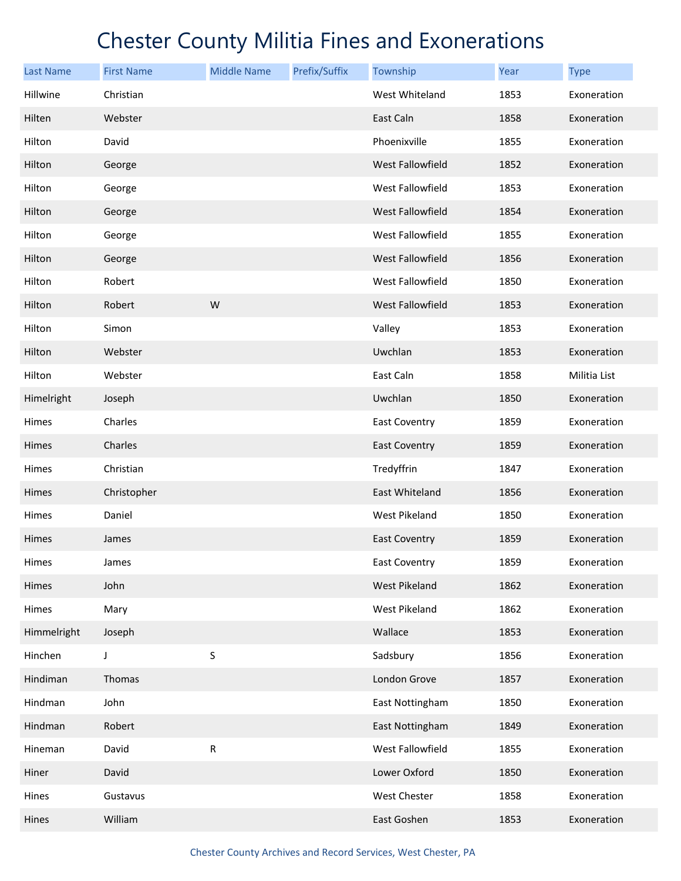| <b>Last Name</b> | <b>First Name</b> | <b>Middle Name</b> | Prefix/Suffix | Township                | Year | <b>Type</b>  |
|------------------|-------------------|--------------------|---------------|-------------------------|------|--------------|
| Hillwine         | Christian         |                    |               | West Whiteland          | 1853 | Exoneration  |
| Hilten           | Webster           |                    |               | East Caln               | 1858 | Exoneration  |
| Hilton           | David             |                    |               | Phoenixville            | 1855 | Exoneration  |
| Hilton           | George            |                    |               | West Fallowfield        | 1852 | Exoneration  |
| Hilton           | George            |                    |               | West Fallowfield        | 1853 | Exoneration  |
| Hilton           | George            |                    |               | <b>West Fallowfield</b> | 1854 | Exoneration  |
| Hilton           | George            |                    |               | West Fallowfield        | 1855 | Exoneration  |
| Hilton           | George            |                    |               | West Fallowfield        | 1856 | Exoneration  |
| Hilton           | Robert            |                    |               | West Fallowfield        | 1850 | Exoneration  |
| Hilton           | Robert            | W                  |               | <b>West Fallowfield</b> | 1853 | Exoneration  |
| Hilton           | Simon             |                    |               | Valley                  | 1853 | Exoneration  |
| Hilton           | Webster           |                    |               | Uwchlan                 | 1853 | Exoneration  |
| Hilton           | Webster           |                    |               | East Caln               | 1858 | Militia List |
| Himelright       | Joseph            |                    |               | Uwchlan                 | 1850 | Exoneration  |
| Himes            | Charles           |                    |               | East Coventry           | 1859 | Exoneration  |
| Himes            | Charles           |                    |               | <b>East Coventry</b>    | 1859 | Exoneration  |
| Himes            | Christian         |                    |               | Tredyffrin              | 1847 | Exoneration  |
| Himes            | Christopher       |                    |               | East Whiteland          | 1856 | Exoneration  |
| Himes            | Daniel            |                    |               | West Pikeland           | 1850 | Exoneration  |
| Himes            | James             |                    |               | <b>East Coventry</b>    | 1859 | Exoneration  |
| Himes            | James             |                    |               | <b>East Coventry</b>    | 1859 | Exoneration  |
| Himes            | John              |                    |               | <b>West Pikeland</b>    | 1862 | Exoneration  |
| Himes            | Mary              |                    |               | West Pikeland           | 1862 | Exoneration  |
| Himmelright      | Joseph            |                    |               | Wallace                 | 1853 | Exoneration  |
| Hinchen          | J                 | S                  |               | Sadsbury                | 1856 | Exoneration  |
| Hindiman         | Thomas            |                    |               | London Grove            | 1857 | Exoneration  |
| Hindman          | John              |                    |               | East Nottingham         | 1850 | Exoneration  |
| Hindman          | Robert            |                    |               | East Nottingham         | 1849 | Exoneration  |
| Hineman          | David             | ${\sf R}$          |               | West Fallowfield        | 1855 | Exoneration  |
| Hiner            | David             |                    |               | Lower Oxford            | 1850 | Exoneration  |
| Hines            | Gustavus          |                    |               | West Chester            | 1858 | Exoneration  |
| Hines            | William           |                    |               | East Goshen             | 1853 | Exoneration  |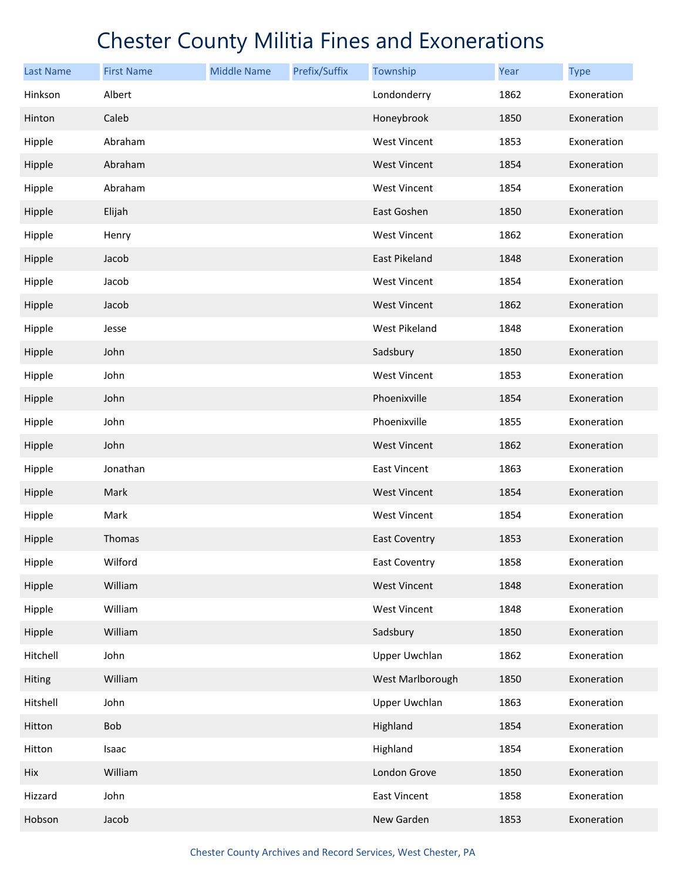| Last Name | <b>First Name</b> | <b>Middle Name</b> | Prefix/Suffix | Township             | Year | <b>Type</b> |
|-----------|-------------------|--------------------|---------------|----------------------|------|-------------|
| Hinkson   | Albert            |                    |               | Londonderry          | 1862 | Exoneration |
| Hinton    | Caleb             |                    |               | Honeybrook           | 1850 | Exoneration |
| Hipple    | Abraham           |                    |               | <b>West Vincent</b>  | 1853 | Exoneration |
| Hipple    | Abraham           |                    |               | <b>West Vincent</b>  | 1854 | Exoneration |
| Hipple    | Abraham           |                    |               | <b>West Vincent</b>  | 1854 | Exoneration |
| Hipple    | Elijah            |                    |               | East Goshen          | 1850 | Exoneration |
| Hipple    | Henry             |                    |               | <b>West Vincent</b>  | 1862 | Exoneration |
| Hipple    | Jacob             |                    |               | East Pikeland        | 1848 | Exoneration |
| Hipple    | Jacob             |                    |               | <b>West Vincent</b>  | 1854 | Exoneration |
| Hipple    | Jacob             |                    |               | <b>West Vincent</b>  | 1862 | Exoneration |
| Hipple    | Jesse             |                    |               | West Pikeland        | 1848 | Exoneration |
| Hipple    | John              |                    |               | Sadsbury             | 1850 | Exoneration |
| Hipple    | John              |                    |               | <b>West Vincent</b>  | 1853 | Exoneration |
| Hipple    | John              |                    |               | Phoenixville         | 1854 | Exoneration |
| Hipple    | John              |                    |               | Phoenixville         | 1855 | Exoneration |
| Hipple    | John              |                    |               | <b>West Vincent</b>  | 1862 | Exoneration |
| Hipple    | Jonathan          |                    |               | <b>East Vincent</b>  | 1863 | Exoneration |
| Hipple    | Mark              |                    |               | <b>West Vincent</b>  | 1854 | Exoneration |
| Hipple    | Mark              |                    |               | <b>West Vincent</b>  | 1854 | Exoneration |
| Hipple    | Thomas            |                    |               | <b>East Coventry</b> | 1853 | Exoneration |
| Hipple    | Wilford           |                    |               | East Coventry        | 1858 | Exoneration |
| Hipple    | William           |                    |               | <b>West Vincent</b>  | 1848 | Exoneration |
| Hipple    | William           |                    |               | <b>West Vincent</b>  | 1848 | Exoneration |
| Hipple    | William           |                    |               | Sadsbury             | 1850 | Exoneration |
| Hitchell  | John              |                    |               | <b>Upper Uwchlan</b> | 1862 | Exoneration |
| Hiting    | William           |                    |               | West Marlborough     | 1850 | Exoneration |
| Hitshell  | John              |                    |               | <b>Upper Uwchlan</b> | 1863 | Exoneration |
| Hitton    | Bob               |                    |               | Highland             | 1854 | Exoneration |
| Hitton    | Isaac             |                    |               | Highland             | 1854 | Exoneration |
| Hix       | William           |                    |               | London Grove         | 1850 | Exoneration |
| Hizzard   | John              |                    |               | East Vincent         | 1858 | Exoneration |
| Hobson    | Jacob             |                    |               | New Garden           | 1853 | Exoneration |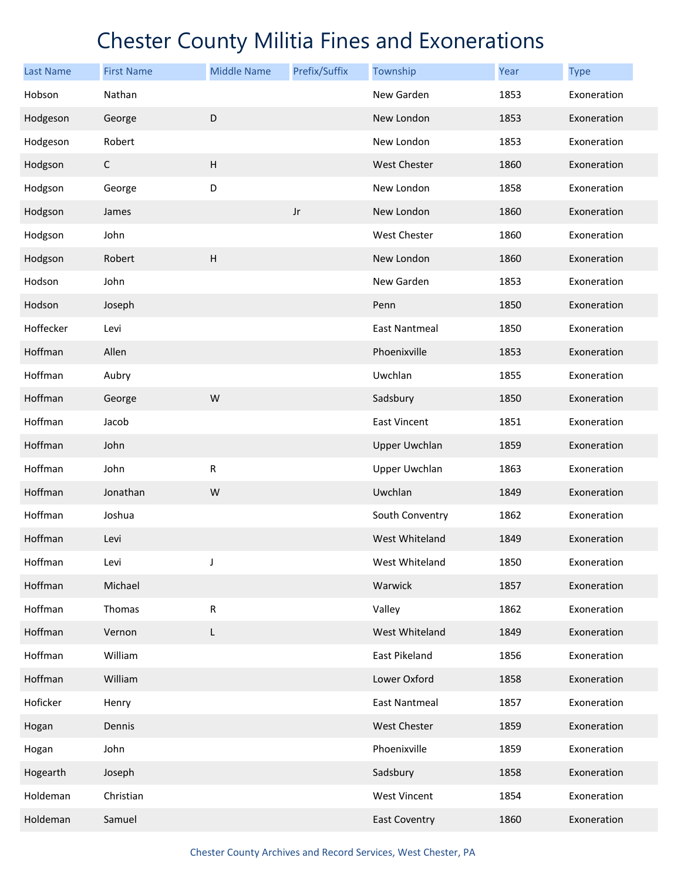| <b>Last Name</b> | <b>First Name</b> | <b>Middle Name</b> | Prefix/Suffix | Township             | Year | <b>Type</b> |
|------------------|-------------------|--------------------|---------------|----------------------|------|-------------|
| Hobson           | Nathan            |                    |               | New Garden           | 1853 | Exoneration |
| Hodgeson         | George            | D                  |               | New London           | 1853 | Exoneration |
| Hodgeson         | Robert            |                    |               | New London           | 1853 | Exoneration |
| Hodgson          | $\mathsf{C}$      | $\mathsf{H}%$      |               | <b>West Chester</b>  | 1860 | Exoneration |
| Hodgson          | George            | D                  |               | New London           | 1858 | Exoneration |
| Hodgson          | James             |                    | $_{\rm Jr}$   | New London           | 1860 | Exoneration |
| Hodgson          | John              |                    |               | West Chester         | 1860 | Exoneration |
| Hodgson          | Robert            | $\mathsf{H}%$      |               | New London           | 1860 | Exoneration |
| Hodson           | John              |                    |               | New Garden           | 1853 | Exoneration |
| Hodson           | Joseph            |                    |               | Penn                 | 1850 | Exoneration |
| Hoffecker        | Levi              |                    |               | <b>East Nantmeal</b> | 1850 | Exoneration |
| Hoffman          | Allen             |                    |               | Phoenixville         | 1853 | Exoneration |
| Hoffman          | Aubry             |                    |               | Uwchlan              | 1855 | Exoneration |
| Hoffman          | George            | W                  |               | Sadsbury             | 1850 | Exoneration |
| Hoffman          | Jacob             |                    |               | East Vincent         | 1851 | Exoneration |
| Hoffman          | John              |                    |               | <b>Upper Uwchlan</b> | 1859 | Exoneration |
| Hoffman          | John              | R                  |               | <b>Upper Uwchlan</b> | 1863 | Exoneration |
| Hoffman          | Jonathan          | W                  |               | Uwchlan              | 1849 | Exoneration |
| Hoffman          | Joshua            |                    |               | South Conventry      | 1862 | Exoneration |
| Hoffman          | Levi              |                    |               | West Whiteland       | 1849 | Exoneration |
| Hoffman          | Levi              | J                  |               | West Whiteland       | 1850 | Exoneration |
| Hoffman          | Michael           |                    |               | Warwick              | 1857 | Exoneration |
| Hoffman          | Thomas            | ${\sf R}$          |               | Valley               | 1862 | Exoneration |
| Hoffman          | Vernon            | L                  |               | West Whiteland       | 1849 | Exoneration |
| Hoffman          | William           |                    |               | <b>East Pikeland</b> | 1856 | Exoneration |
| Hoffman          | William           |                    |               | Lower Oxford         | 1858 | Exoneration |
| Hoficker         | Henry             |                    |               | <b>East Nantmeal</b> | 1857 | Exoneration |
| Hogan            | Dennis            |                    |               | West Chester         | 1859 | Exoneration |
| Hogan            | John              |                    |               | Phoenixville         | 1859 | Exoneration |
| Hogearth         | Joseph            |                    |               | Sadsbury             | 1858 | Exoneration |
| Holdeman         | Christian         |                    |               | <b>West Vincent</b>  | 1854 | Exoneration |
| Holdeman         | Samuel            |                    |               | <b>East Coventry</b> | 1860 | Exoneration |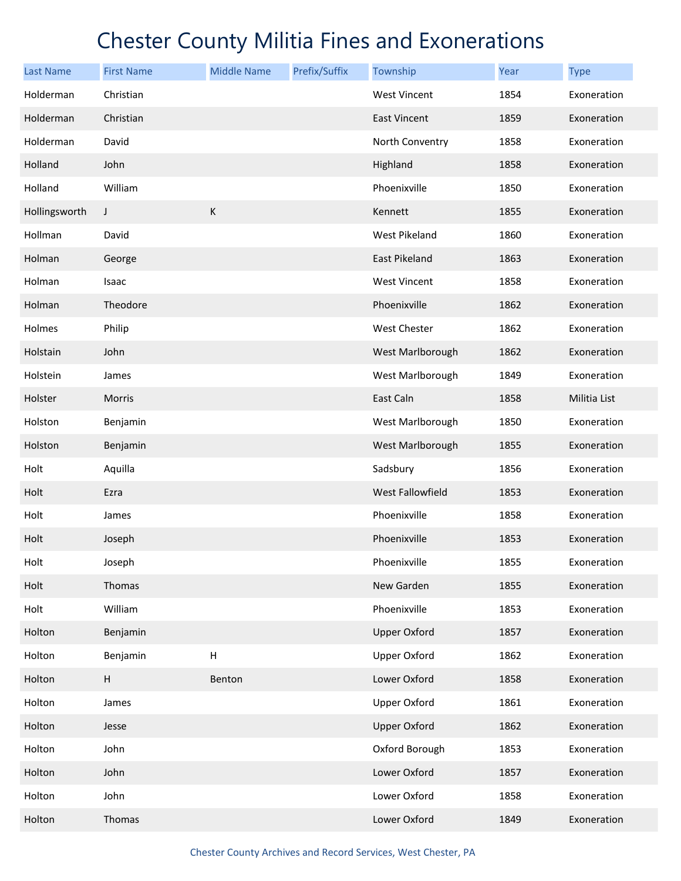| <b>Last Name</b> | <b>First Name</b> | <b>Middle Name</b>        | Prefix/Suffix | Township                | Year | <b>Type</b>  |
|------------------|-------------------|---------------------------|---------------|-------------------------|------|--------------|
| Holderman        | Christian         |                           |               | <b>West Vincent</b>     | 1854 | Exoneration  |
| Holderman        | Christian         |                           |               | <b>East Vincent</b>     | 1859 | Exoneration  |
| Holderman        | David             |                           |               | North Conventry         | 1858 | Exoneration  |
| Holland          | John              |                           |               | Highland                | 1858 | Exoneration  |
| Holland          | William           |                           |               | Phoenixville            | 1850 | Exoneration  |
| Hollingsworth    | J                 | $\mathsf K$               |               | Kennett                 | 1855 | Exoneration  |
| Hollman          | David             |                           |               | West Pikeland           | 1860 | Exoneration  |
| Holman           | George            |                           |               | East Pikeland           | 1863 | Exoneration  |
| Holman           | Isaac             |                           |               | <b>West Vincent</b>     | 1858 | Exoneration  |
| Holman           | Theodore          |                           |               | Phoenixville            | 1862 | Exoneration  |
| Holmes           | Philip            |                           |               | <b>West Chester</b>     | 1862 | Exoneration  |
| Holstain         | John              |                           |               | West Marlborough        | 1862 | Exoneration  |
| Holstein         | James             |                           |               | West Marlborough        | 1849 | Exoneration  |
| Holster          | Morris            |                           |               | East Caln               | 1858 | Militia List |
| Holston          | Benjamin          |                           |               | West Marlborough        | 1850 | Exoneration  |
| Holston          | Benjamin          |                           |               | West Marlborough        | 1855 | Exoneration  |
| Holt             | Aquilla           |                           |               | Sadsbury                | 1856 | Exoneration  |
| Holt             | Ezra              |                           |               | <b>West Fallowfield</b> | 1853 | Exoneration  |
| Holt             | James             |                           |               | Phoenixville            | 1858 | Exoneration  |
| Holt             | Joseph            |                           |               | Phoenixville            | 1853 | Exoneration  |
| Holt             | Joseph            |                           |               | Phoenixville            | 1855 | Exoneration  |
| Holt             | Thomas            |                           |               | New Garden              | 1855 | Exoneration  |
| Holt             | William           |                           |               | Phoenixville            | 1853 | Exoneration  |
| Holton           | Benjamin          |                           |               | <b>Upper Oxford</b>     | 1857 | Exoneration  |
| Holton           | Benjamin          | $\boldsymbol{\mathsf{H}}$ |               | <b>Upper Oxford</b>     | 1862 | Exoneration  |
| Holton           | H                 | Benton                    |               | Lower Oxford            | 1858 | Exoneration  |
| Holton           | James             |                           |               | <b>Upper Oxford</b>     | 1861 | Exoneration  |
| Holton           | Jesse             |                           |               | <b>Upper Oxford</b>     | 1862 | Exoneration  |
| Holton           | John              |                           |               | Oxford Borough          | 1853 | Exoneration  |
| Holton           | John              |                           |               | Lower Oxford            | 1857 | Exoneration  |
| Holton           | John              |                           |               | Lower Oxford            | 1858 | Exoneration  |
| Holton           | Thomas            |                           |               | Lower Oxford            | 1849 | Exoneration  |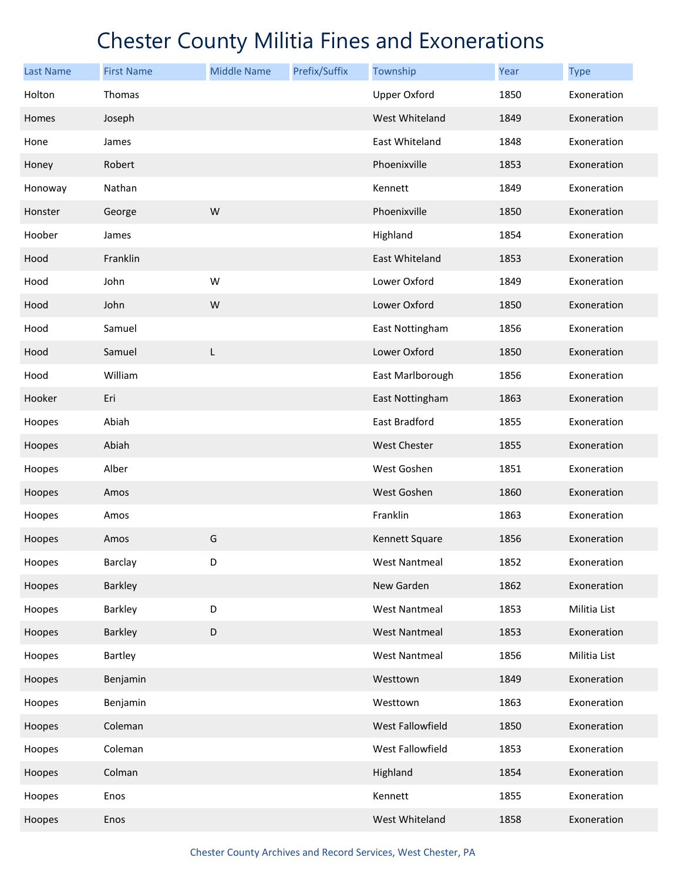| <b>Last Name</b> | <b>First Name</b> | <b>Middle Name</b> | Prefix/Suffix | Township             | Year | <b>Type</b>  |
|------------------|-------------------|--------------------|---------------|----------------------|------|--------------|
| Holton           | Thomas            |                    |               | <b>Upper Oxford</b>  | 1850 | Exoneration  |
| Homes            | Joseph            |                    |               | West Whiteland       | 1849 | Exoneration  |
| Hone             | James             |                    |               | East Whiteland       | 1848 | Exoneration  |
| Honey            | Robert            |                    |               | Phoenixville         | 1853 | Exoneration  |
| Honoway          | Nathan            |                    |               | Kennett              | 1849 | Exoneration  |
| Honster          | George            | W                  |               | Phoenixville         | 1850 | Exoneration  |
| Hoober           | James             |                    |               | Highland             | 1854 | Exoneration  |
| Hood             | Franklin          |                    |               | East Whiteland       | 1853 | Exoneration  |
| Hood             | John              | W                  |               | Lower Oxford         | 1849 | Exoneration  |
| Hood             | John              | W                  |               | Lower Oxford         | 1850 | Exoneration  |
| Hood             | Samuel            |                    |               | East Nottingham      | 1856 | Exoneration  |
| Hood             | Samuel            | L                  |               | Lower Oxford         | 1850 | Exoneration  |
| Hood             | William           |                    |               | East Marlborough     | 1856 | Exoneration  |
| Hooker           | Eri               |                    |               | East Nottingham      | 1863 | Exoneration  |
| Hoopes           | Abiah             |                    |               | East Bradford        | 1855 | Exoneration  |
| Hoopes           | Abiah             |                    |               | <b>West Chester</b>  | 1855 | Exoneration  |
| Hoopes           | Alber             |                    |               | West Goshen          | 1851 | Exoneration  |
| Hoopes           | Amos              |                    |               | West Goshen          | 1860 | Exoneration  |
| Hoopes           | Amos              |                    |               | Franklin             | 1863 | Exoneration  |
| Hoopes           | Amos              | G                  |               | Kennett Square       | 1856 | Exoneration  |
| Hoopes           | Barclay           | D                  |               | <b>West Nantmeal</b> | 1852 | Exoneration  |
| Hoopes           | Barkley           |                    |               | New Garden           | 1862 | Exoneration  |
| Hoopes           | Barkley           | D                  |               | <b>West Nantmeal</b> | 1853 | Militia List |
| Hoopes           | Barkley           | D                  |               | <b>West Nantmeal</b> | 1853 | Exoneration  |
| Hoopes           | Bartley           |                    |               | West Nantmeal        | 1856 | Militia List |
| Hoopes           | Benjamin          |                    |               | Westtown             | 1849 | Exoneration  |
| Hoopes           | Benjamin          |                    |               | Westtown             | 1863 | Exoneration  |
| Hoopes           | Coleman           |                    |               | West Fallowfield     | 1850 | Exoneration  |
| Hoopes           | Coleman           |                    |               | West Fallowfield     | 1853 | Exoneration  |
| Hoopes           | Colman            |                    |               | Highland             | 1854 | Exoneration  |
| Hoopes           | Enos              |                    |               | Kennett              | 1855 | Exoneration  |
| Hoopes           | Enos              |                    |               | West Whiteland       | 1858 | Exoneration  |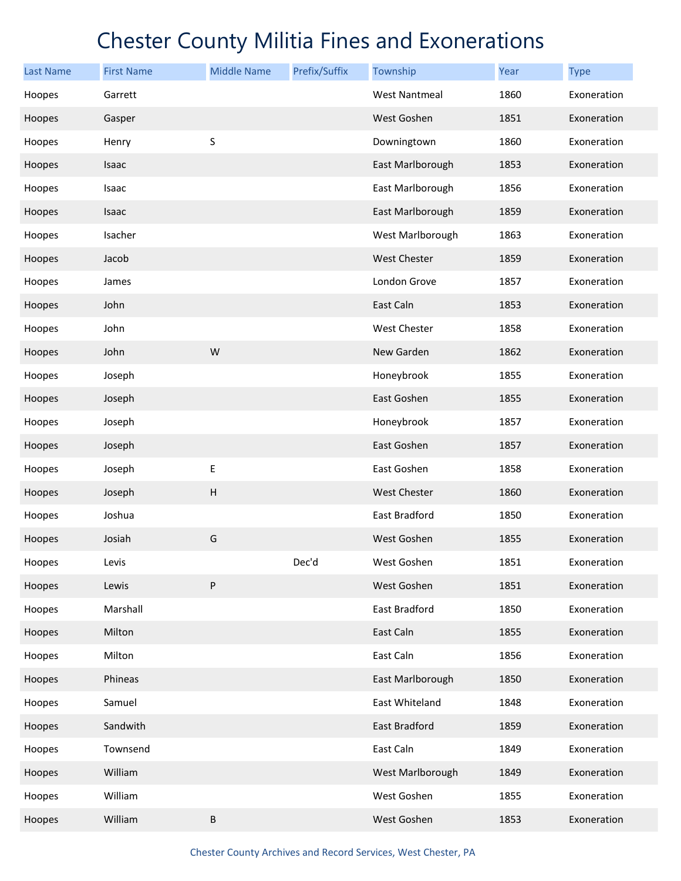| <b>Last Name</b> | <b>First Name</b> | <b>Middle Name</b>        | Prefix/Suffix | Township             | <b>Year</b> | <b>Type</b> |
|------------------|-------------------|---------------------------|---------------|----------------------|-------------|-------------|
| Hoopes           | Garrett           |                           |               | <b>West Nantmeal</b> | 1860        | Exoneration |
| Hoopes           | Gasper            |                           |               | West Goshen          | 1851        | Exoneration |
| Hoopes           | Henry             | $\sf S$                   |               | Downingtown          | 1860        | Exoneration |
| Hoopes           | Isaac             |                           |               | East Marlborough     | 1853        | Exoneration |
| Hoopes           | Isaac             |                           |               | East Marlborough     | 1856        | Exoneration |
| Hoopes           | Isaac             |                           |               | East Marlborough     | 1859        | Exoneration |
| Hoopes           | Isacher           |                           |               | West Marlborough     | 1863        | Exoneration |
| Hoopes           | Jacob             |                           |               | <b>West Chester</b>  | 1859        | Exoneration |
| Hoopes           | James             |                           |               | London Grove         | 1857        | Exoneration |
| Hoopes           | John              |                           |               | East Caln            | 1853        | Exoneration |
| Hoopes           | John              |                           |               | <b>West Chester</b>  | 1858        | Exoneration |
| Hoopes           | John              | W                         |               | New Garden           | 1862        | Exoneration |
| Hoopes           | Joseph            |                           |               | Honeybrook           | 1855        | Exoneration |
| Hoopes           | Joseph            |                           |               | East Goshen          | 1855        | Exoneration |
| Hoopes           | Joseph            |                           |               | Honeybrook           | 1857        | Exoneration |
| Hoopes           | Joseph            |                           |               | East Goshen          | 1857        | Exoneration |
| Hoopes           | Joseph            | Е                         |               | East Goshen          | 1858        | Exoneration |
| Hoopes           | Joseph            | $\boldsymbol{\mathsf{H}}$ |               | <b>West Chester</b>  | 1860        | Exoneration |
| Hoopes           | Joshua            |                           |               | East Bradford        | 1850        | Exoneration |
| Hoopes           | Josiah            | G                         |               | West Goshen          | 1855        | Exoneration |
| Hoopes           | Levis             |                           | Dec'd         | West Goshen          | 1851        | Exoneration |
| Hoopes           | Lewis             | ${\sf P}$                 |               | West Goshen          | 1851        | Exoneration |
| Hoopes           | Marshall          |                           |               | East Bradford        | 1850        | Exoneration |
| Hoopes           | Milton            |                           |               | East Caln            | 1855        | Exoneration |
| Hoopes           | Milton            |                           |               | East Caln            | 1856        | Exoneration |
| Hoopes           | Phineas           |                           |               | East Marlborough     | 1850        | Exoneration |
| Hoopes           | Samuel            |                           |               | East Whiteland       | 1848        | Exoneration |
| Hoopes           | Sandwith          |                           |               | East Bradford        | 1859        | Exoneration |
| Hoopes           | Townsend          |                           |               | East Caln            | 1849        | Exoneration |
| Hoopes           | William           |                           |               | West Marlborough     | 1849        | Exoneration |
| Hoopes           | William           |                           |               | West Goshen          | 1855        | Exoneration |
| Hoopes           | William           | $\sf B$                   |               | West Goshen          | 1853        | Exoneration |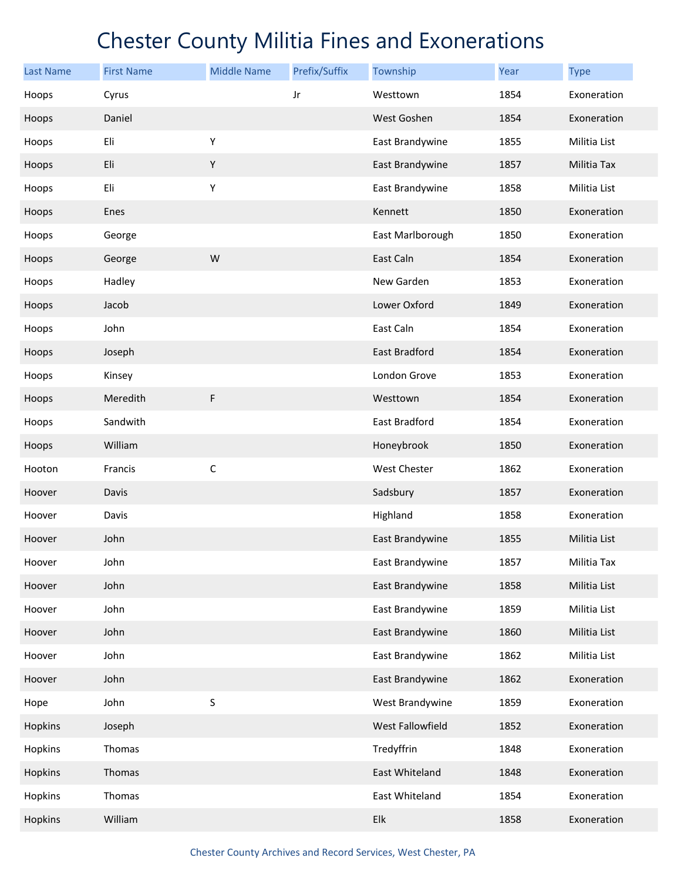| <b>Last Name</b> | <b>First Name</b> | <b>Middle Name</b> | Prefix/Suffix | Township             | Year | <b>Type</b>  |
|------------------|-------------------|--------------------|---------------|----------------------|------|--------------|
| Hoops            | Cyrus             |                    | Jr            | Westtown             | 1854 | Exoneration  |
| Hoops            | Daniel            |                    |               | West Goshen          | 1854 | Exoneration  |
| Hoops            | Eli               | Υ                  |               | East Brandywine      | 1855 | Militia List |
| Hoops            | Eli               | Υ                  |               | East Brandywine      | 1857 | Militia Tax  |
| Hoops            | Eli               | Υ                  |               | East Brandywine      | 1858 | Militia List |
| Hoops            | Enes              |                    |               | Kennett              | 1850 | Exoneration  |
| Hoops            | George            |                    |               | East Marlborough     | 1850 | Exoneration  |
| Hoops            | George            | W                  |               | East Caln            | 1854 | Exoneration  |
| Hoops            | Hadley            |                    |               | New Garden           | 1853 | Exoneration  |
| Hoops            | Jacob             |                    |               | Lower Oxford         | 1849 | Exoneration  |
| Hoops            | John              |                    |               | East Caln            | 1854 | Exoneration  |
| Hoops            | Joseph            |                    |               | <b>East Bradford</b> | 1854 | Exoneration  |
| Hoops            | Kinsey            |                    |               | London Grove         | 1853 | Exoneration  |
| Hoops            | Meredith          | $\mathsf F$        |               | Westtown             | 1854 | Exoneration  |
| Hoops            | Sandwith          |                    |               | East Bradford        | 1854 | Exoneration  |
| Hoops            | William           |                    |               | Honeybrook           | 1850 | Exoneration  |
| Hooton           | Francis           | $\mathsf C$        |               | <b>West Chester</b>  | 1862 | Exoneration  |
| Hoover           | Davis             |                    |               | Sadsbury             | 1857 | Exoneration  |
| Hoover           | Davis             |                    |               | Highland             | 1858 | Exoneration  |
| Hoover           | John              |                    |               | East Brandywine      | 1855 | Militia List |
| Hoover           | John              |                    |               | East Brandywine      | 1857 | Militia Tax  |
| Hoover           | John              |                    |               | East Brandywine      | 1858 | Militia List |
| Hoover           | John              |                    |               | East Brandywine      | 1859 | Militia List |
| Hoover           | John              |                    |               | East Brandywine      | 1860 | Militia List |
| Hoover           | John              |                    |               | East Brandywine      | 1862 | Militia List |
| Hoover           | John              |                    |               | East Brandywine      | 1862 | Exoneration  |
| Hope             | John              | $\sf S$            |               | West Brandywine      | 1859 | Exoneration  |
| Hopkins          | Joseph            |                    |               | West Fallowfield     | 1852 | Exoneration  |
| Hopkins          | Thomas            |                    |               | Tredyffrin           | 1848 | Exoneration  |
| Hopkins          | Thomas            |                    |               | East Whiteland       | 1848 | Exoneration  |
| Hopkins          | Thomas            |                    |               | East Whiteland       | 1854 | Exoneration  |
| Hopkins          | William           |                    |               | Elk                  | 1858 | Exoneration  |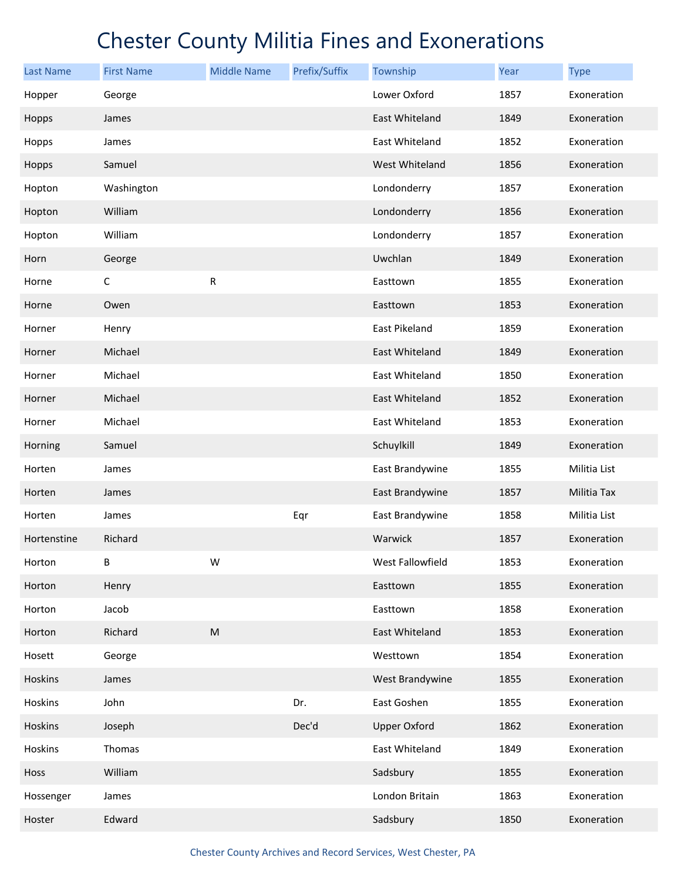| <b>Last Name</b> | <b>First Name</b> | <b>Middle Name</b> | Prefix/Suffix | Township            | Year | <b>Type</b>  |
|------------------|-------------------|--------------------|---------------|---------------------|------|--------------|
| Hopper           | George            |                    |               | Lower Oxford        | 1857 | Exoneration  |
| Hopps            | James             |                    |               | East Whiteland      | 1849 | Exoneration  |
| Hopps            | James             |                    |               | East Whiteland      | 1852 | Exoneration  |
| Hopps            | Samuel            |                    |               | West Whiteland      | 1856 | Exoneration  |
| Hopton           | Washington        |                    |               | Londonderry         | 1857 | Exoneration  |
| Hopton           | William           |                    |               | Londonderry         | 1856 | Exoneration  |
| Hopton           | William           |                    |               | Londonderry         | 1857 | Exoneration  |
| Horn             | George            |                    |               | Uwchlan             | 1849 | Exoneration  |
| Horne            | $\mathsf{C}$      | ${\sf R}$          |               | Easttown            | 1855 | Exoneration  |
| Horne            | Owen              |                    |               | Easttown            | 1853 | Exoneration  |
| Horner           | Henry             |                    |               | East Pikeland       | 1859 | Exoneration  |
| Horner           | Michael           |                    |               | East Whiteland      | 1849 | Exoneration  |
| Horner           | Michael           |                    |               | East Whiteland      | 1850 | Exoneration  |
| Horner           | Michael           |                    |               | East Whiteland      | 1852 | Exoneration  |
| Horner           | Michael           |                    |               | East Whiteland      | 1853 | Exoneration  |
| Horning          | Samuel            |                    |               | Schuylkill          | 1849 | Exoneration  |
| Horten           | James             |                    |               | East Brandywine     | 1855 | Militia List |
| Horten           | James             |                    |               | East Brandywine     | 1857 | Militia Tax  |
| Horten           | James             |                    | Eqr           | East Brandywine     | 1858 | Militia List |
| Hortenstine      | Richard           |                    |               | Warwick             | 1857 | Exoneration  |
| Horton           | B                 | W                  |               | West Fallowfield    | 1853 | Exoneration  |
| Horton           | Henry             |                    |               | Easttown            | 1855 | Exoneration  |
| Horton           | Jacob             |                    |               | Easttown            | 1858 | Exoneration  |
| Horton           | Richard           | ${\sf M}$          |               | East Whiteland      | 1853 | Exoneration  |
| Hosett           | George            |                    |               | Westtown            | 1854 | Exoneration  |
| <b>Hoskins</b>   | James             |                    |               | West Brandywine     | 1855 | Exoneration  |
| Hoskins          | John              |                    | Dr.           | East Goshen         | 1855 | Exoneration  |
| Hoskins          | Joseph            |                    | Dec'd         | <b>Upper Oxford</b> | 1862 | Exoneration  |
| Hoskins          | Thomas            |                    |               | East Whiteland      | 1849 | Exoneration  |
| Hoss             | William           |                    |               | Sadsbury            | 1855 | Exoneration  |
| Hossenger        | James             |                    |               | London Britain      | 1863 | Exoneration  |
| Hoster           | Edward            |                    |               | Sadsbury            | 1850 | Exoneration  |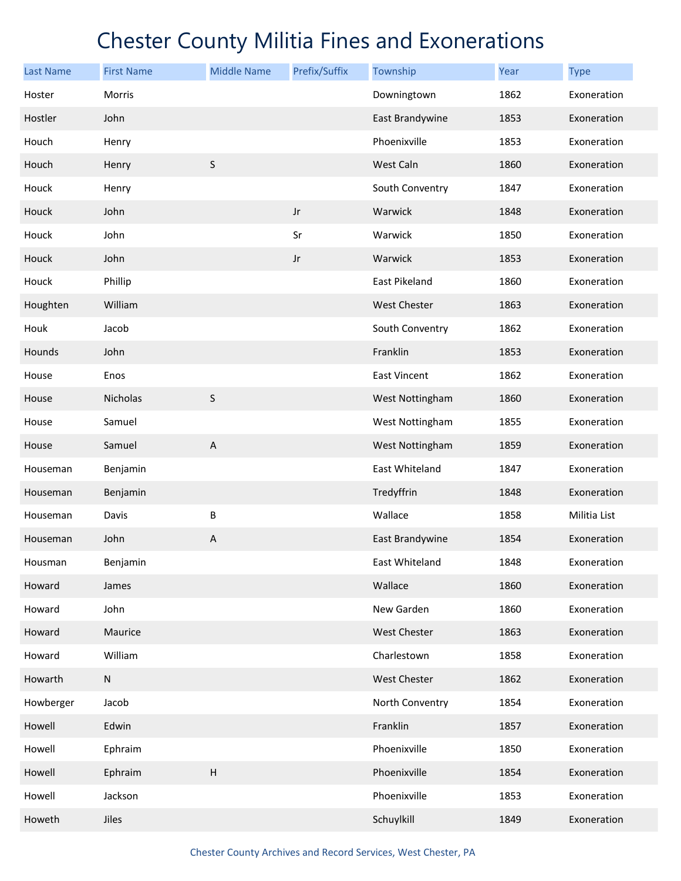| <b>Last Name</b> | <b>First Name</b> | <b>Middle Name</b>        | Prefix/Suffix | Township            | Year | <b>Type</b>  |
|------------------|-------------------|---------------------------|---------------|---------------------|------|--------------|
| Hoster           | Morris            |                           |               | Downingtown         | 1862 | Exoneration  |
| Hostler          | John              |                           |               | East Brandywine     | 1853 | Exoneration  |
| Houch            | Henry             |                           |               | Phoenixville        | 1853 | Exoneration  |
| Houch            | Henry             | $\sf S$                   |               | West Caln           | 1860 | Exoneration  |
| Houck            | Henry             |                           |               | South Conventry     | 1847 | Exoneration  |
| Houck            | John              |                           | $_{\rm Jr}$   | Warwick             | 1848 | Exoneration  |
| Houck            | John              |                           | Sr            | Warwick             | 1850 | Exoneration  |
| Houck            | John              |                           | $_{\rm Jr}$   | Warwick             | 1853 | Exoneration  |
| Houck            | Phillip           |                           |               | East Pikeland       | 1860 | Exoneration  |
| Houghten         | William           |                           |               | <b>West Chester</b> | 1863 | Exoneration  |
| Houk             | Jacob             |                           |               | South Conventry     | 1862 | Exoneration  |
| Hounds           | John              |                           |               | Franklin            | 1853 | Exoneration  |
| House            | Enos              |                           |               | East Vincent        | 1862 | Exoneration  |
| House            | Nicholas          | $\sf S$                   |               | West Nottingham     | 1860 | Exoneration  |
| House            | Samuel            |                           |               | West Nottingham     | 1855 | Exoneration  |
| House            | Samuel            | $\boldsymbol{\mathsf{A}}$ |               | West Nottingham     | 1859 | Exoneration  |
| Houseman         | Benjamin          |                           |               | East Whiteland      | 1847 | Exoneration  |
| Houseman         | Benjamin          |                           |               | Tredyffrin          | 1848 | Exoneration  |
| Houseman         | Davis             | B                         |               | Wallace             | 1858 | Militia List |
| Houseman         | John              | A                         |               | East Brandywine     | 1854 | Exoneration  |
| Housman          | Benjamin          |                           |               | East Whiteland      | 1848 | Exoneration  |
| Howard           | James             |                           |               | Wallace             | 1860 | Exoneration  |
| Howard           | John              |                           |               | New Garden          | 1860 | Exoneration  |
| Howard           | Maurice           |                           |               | <b>West Chester</b> | 1863 | Exoneration  |
| Howard           | William           |                           |               | Charlestown         | 1858 | Exoneration  |
| Howarth          | ${\sf N}$         |                           |               | West Chester        | 1862 | Exoneration  |
| Howberger        | Jacob             |                           |               | North Conventry     | 1854 | Exoneration  |
| Howell           | Edwin             |                           |               | Franklin            | 1857 | Exoneration  |
| Howell           | Ephraim           |                           |               | Phoenixville        | 1850 | Exoneration  |
| Howell           | Ephraim           | $\boldsymbol{\mathsf{H}}$ |               | Phoenixville        | 1854 | Exoneration  |
| Howell           | Jackson           |                           |               | Phoenixville        | 1853 | Exoneration  |
| Howeth           | Jiles             |                           |               | Schuylkill          | 1849 | Exoneration  |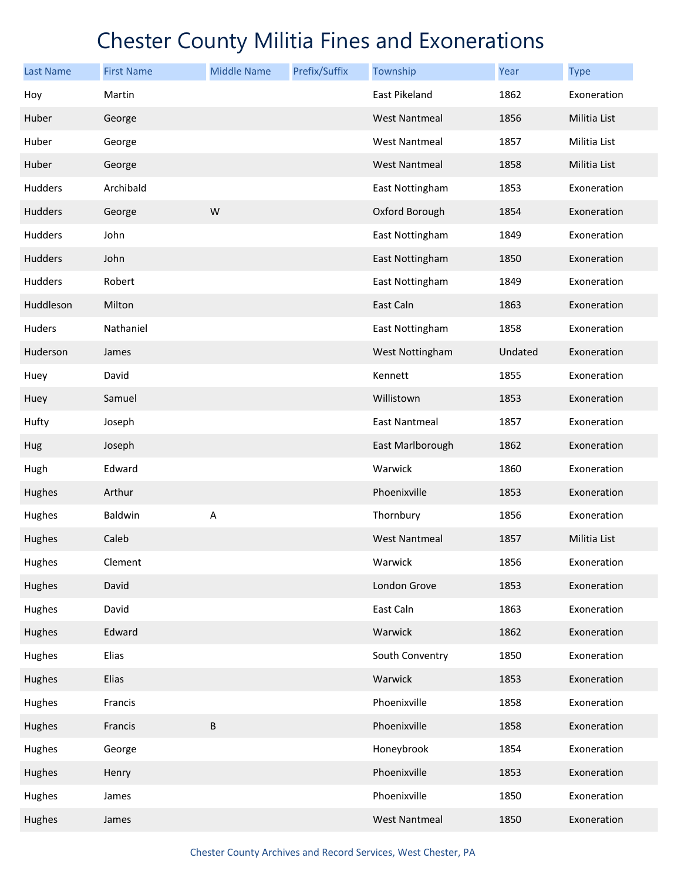| Last Name      | <b>First Name</b> | <b>Middle Name</b> | Prefix/Suffix | Township             | Year    | <b>Type</b>  |
|----------------|-------------------|--------------------|---------------|----------------------|---------|--------------|
| Hoy            | Martin            |                    |               | <b>East Pikeland</b> | 1862    | Exoneration  |
| Huber          | George            |                    |               | <b>West Nantmeal</b> | 1856    | Militia List |
| Huber          | George            |                    |               | <b>West Nantmeal</b> | 1857    | Militia List |
| Huber          | George            |                    |               | <b>West Nantmeal</b> | 1858    | Militia List |
| Hudders        | Archibald         |                    |               | East Nottingham      | 1853    | Exoneration  |
| Hudders        | George            | W                  |               | Oxford Borough       | 1854    | Exoneration  |
| Hudders        | John              |                    |               | East Nottingham      | 1849    | Exoneration  |
| <b>Hudders</b> | John              |                    |               | East Nottingham      | 1850    | Exoneration  |
| Hudders        | Robert            |                    |               | East Nottingham      | 1849    | Exoneration  |
| Huddleson      | Milton            |                    |               | East Caln            | 1863    | Exoneration  |
| Huders         | Nathaniel         |                    |               | East Nottingham      | 1858    | Exoneration  |
| Huderson       | James             |                    |               | West Nottingham      | Undated | Exoneration  |
| Huey           | David             |                    |               | Kennett              | 1855    | Exoneration  |
| Huey           | Samuel            |                    |               | Willistown           | 1853    | Exoneration  |
| Hufty          | Joseph            |                    |               | <b>East Nantmeal</b> | 1857    | Exoneration  |
| Hug            | Joseph            |                    |               | East Marlborough     | 1862    | Exoneration  |
| Hugh           | Edward            |                    |               | Warwick              | 1860    | Exoneration  |
| Hughes         | Arthur            |                    |               | Phoenixville         | 1853    | Exoneration  |
| Hughes         | Baldwin           | Α                  |               | Thornbury            | 1856    | Exoneration  |
| Hughes         | Caleb             |                    |               | <b>West Nantmeal</b> | 1857    | Militia List |
| Hughes         | Clement           |                    |               | Warwick              | 1856    | Exoneration  |
| Hughes         | David             |                    |               | London Grove         | 1853    | Exoneration  |
| Hughes         | David             |                    |               | East Caln            | 1863    | Exoneration  |
| Hughes         | Edward            |                    |               | Warwick              | 1862    | Exoneration  |
| Hughes         | Elias             |                    |               | South Conventry      | 1850    | Exoneration  |
| Hughes         | Elias             |                    |               | Warwick              | 1853    | Exoneration  |
| Hughes         | Francis           |                    |               | Phoenixville         | 1858    | Exoneration  |
| Hughes         | Francis           | $\sf B$            |               | Phoenixville         | 1858    | Exoneration  |
| Hughes         | George            |                    |               | Honeybrook           | 1854    | Exoneration  |
| Hughes         | Henry             |                    |               | Phoenixville         | 1853    | Exoneration  |
| Hughes         | James             |                    |               | Phoenixville         | 1850    | Exoneration  |
| Hughes         | James             |                    |               | <b>West Nantmeal</b> | 1850    | Exoneration  |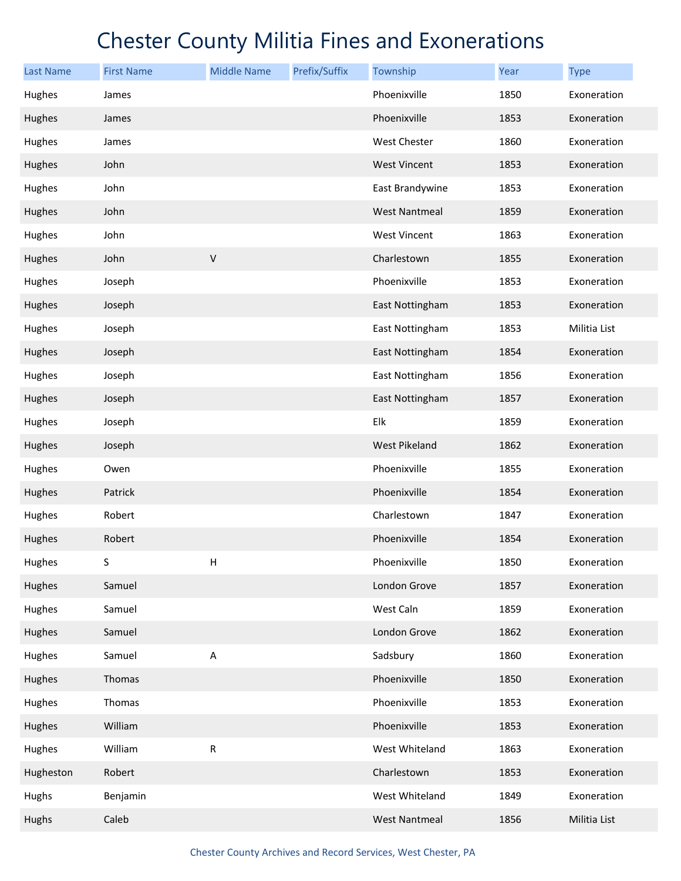| <b>Last Name</b> | <b>First Name</b> | <b>Middle Name</b>        | Prefix/Suffix | Township             | Year | <b>Type</b>  |
|------------------|-------------------|---------------------------|---------------|----------------------|------|--------------|
| Hughes           | James             |                           |               | Phoenixville         | 1850 | Exoneration  |
| Hughes           | James             |                           |               | Phoenixville         | 1853 | Exoneration  |
| Hughes           | James             |                           |               | West Chester         | 1860 | Exoneration  |
| Hughes           | John              |                           |               | <b>West Vincent</b>  | 1853 | Exoneration  |
| Hughes           | John              |                           |               | East Brandywine      | 1853 | Exoneration  |
| Hughes           | John              |                           |               | <b>West Nantmeal</b> | 1859 | Exoneration  |
| Hughes           | John              |                           |               | West Vincent         | 1863 | Exoneration  |
| Hughes           | John              | $\mathsf V$               |               | Charlestown          | 1855 | Exoneration  |
| Hughes           | Joseph            |                           |               | Phoenixville         | 1853 | Exoneration  |
| Hughes           | Joseph            |                           |               | East Nottingham      | 1853 | Exoneration  |
| Hughes           | Joseph            |                           |               | East Nottingham      | 1853 | Militia List |
| Hughes           | Joseph            |                           |               | East Nottingham      | 1854 | Exoneration  |
| Hughes           | Joseph            |                           |               | East Nottingham      | 1856 | Exoneration  |
| Hughes           | Joseph            |                           |               | East Nottingham      | 1857 | Exoneration  |
| Hughes           | Joseph            |                           |               | Elk                  | 1859 | Exoneration  |
| Hughes           | Joseph            |                           |               | <b>West Pikeland</b> | 1862 | Exoneration  |
| Hughes           | Owen              |                           |               | Phoenixville         | 1855 | Exoneration  |
| Hughes           | Patrick           |                           |               | Phoenixville         | 1854 | Exoneration  |
| Hughes           | Robert            |                           |               | Charlestown          | 1847 | Exoneration  |
| Hughes           | Robert            |                           |               | Phoenixville         | 1854 | Exoneration  |
| Hughes           | S                 | Н                         |               | Phoenixville         | 1850 | Exoneration  |
| Hughes           | Samuel            |                           |               | London Grove         | 1857 | Exoneration  |
| Hughes           | Samuel            |                           |               | West Caln            | 1859 | Exoneration  |
| Hughes           | Samuel            |                           |               | London Grove         | 1862 | Exoneration  |
| Hughes           | Samuel            | $\boldsymbol{\mathsf{A}}$ |               | Sadsbury             | 1860 | Exoneration  |
| Hughes           | Thomas            |                           |               | Phoenixville         | 1850 | Exoneration  |
| Hughes           | Thomas            |                           |               | Phoenixville         | 1853 | Exoneration  |
| Hughes           | William           |                           |               | Phoenixville         | 1853 | Exoneration  |
| Hughes           | William           | R                         |               | West Whiteland       | 1863 | Exoneration  |
| Hugheston        | Robert            |                           |               | Charlestown          | 1853 | Exoneration  |
| Hughs            | Benjamin          |                           |               | West Whiteland       | 1849 | Exoneration  |
| Hughs            | Caleb             |                           |               | <b>West Nantmeal</b> | 1856 | Militia List |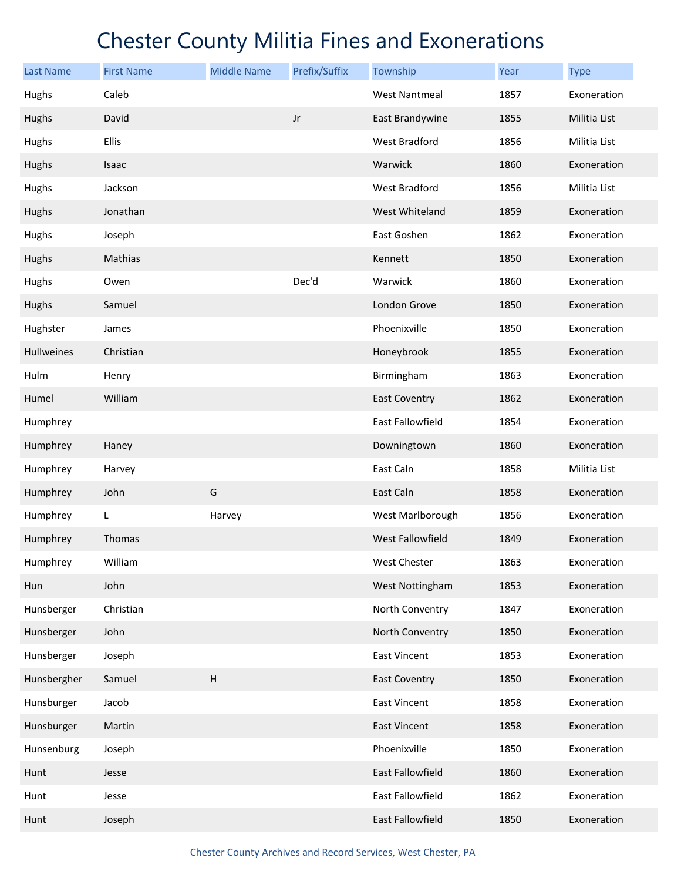| Last Name         | <b>First Name</b> | <b>Middle Name</b> | Prefix/Suffix | Township             | Year | <b>Type</b>  |
|-------------------|-------------------|--------------------|---------------|----------------------|------|--------------|
| Hughs             | Caleb             |                    |               | <b>West Nantmeal</b> | 1857 | Exoneration  |
| Hughs             | David             |                    | $_{\rm Jr}$   | East Brandywine      | 1855 | Militia List |
| Hughs             | Ellis             |                    |               | West Bradford        | 1856 | Militia List |
| Hughs             | Isaac             |                    |               | Warwick              | 1860 | Exoneration  |
| Hughs             | Jackson           |                    |               | <b>West Bradford</b> | 1856 | Militia List |
| Hughs             | Jonathan          |                    |               | West Whiteland       | 1859 | Exoneration  |
| Hughs             | Joseph            |                    |               | East Goshen          | 1862 | Exoneration  |
| Hughs             | Mathias           |                    |               | Kennett              | 1850 | Exoneration  |
| Hughs             | Owen              |                    | Dec'd         | Warwick              | 1860 | Exoneration  |
| Hughs             | Samuel            |                    |               | London Grove         | 1850 | Exoneration  |
| Hughster          | James             |                    |               | Phoenixville         | 1850 | Exoneration  |
| <b>Hullweines</b> | Christian         |                    |               | Honeybrook           | 1855 | Exoneration  |
| Hulm              | Henry             |                    |               | Birmingham           | 1863 | Exoneration  |
| Humel             | William           |                    |               | <b>East Coventry</b> | 1862 | Exoneration  |
| Humphrey          |                   |                    |               | East Fallowfield     | 1854 | Exoneration  |
| Humphrey          | Haney             |                    |               | Downingtown          | 1860 | Exoneration  |
| Humphrey          | Harvey            |                    |               | East Caln            | 1858 | Militia List |
| Humphrey          | John              | G                  |               | East Caln            | 1858 | Exoneration  |
| Humphrey          | L.                | Harvey             |               | West Marlborough     | 1856 | Exoneration  |
| Humphrey          | Thomas            |                    |               | West Fallowfield     | 1849 | Exoneration  |
| Humphrey          | William           |                    |               | West Chester         | 1863 | Exoneration  |
| Hun               | John              |                    |               | West Nottingham      | 1853 | Exoneration  |
| Hunsberger        | Christian         |                    |               | North Conventry      | 1847 | Exoneration  |
| Hunsberger        | John              |                    |               | North Conventry      | 1850 | Exoneration  |
| Hunsberger        | Joseph            |                    |               | East Vincent         | 1853 | Exoneration  |
| Hunsbergher       | Samuel            | H                  |               | <b>East Coventry</b> | 1850 | Exoneration  |
| Hunsburger        | Jacob             |                    |               | <b>East Vincent</b>  | 1858 | Exoneration  |
| Hunsburger        | Martin            |                    |               | <b>East Vincent</b>  | 1858 | Exoneration  |
| Hunsenburg        | Joseph            |                    |               | Phoenixville         | 1850 | Exoneration  |
| Hunt              | Jesse             |                    |               | East Fallowfield     | 1860 | Exoneration  |
| Hunt              | Jesse             |                    |               | East Fallowfield     | 1862 | Exoneration  |
| Hunt              | Joseph            |                    |               | East Fallowfield     | 1850 | Exoneration  |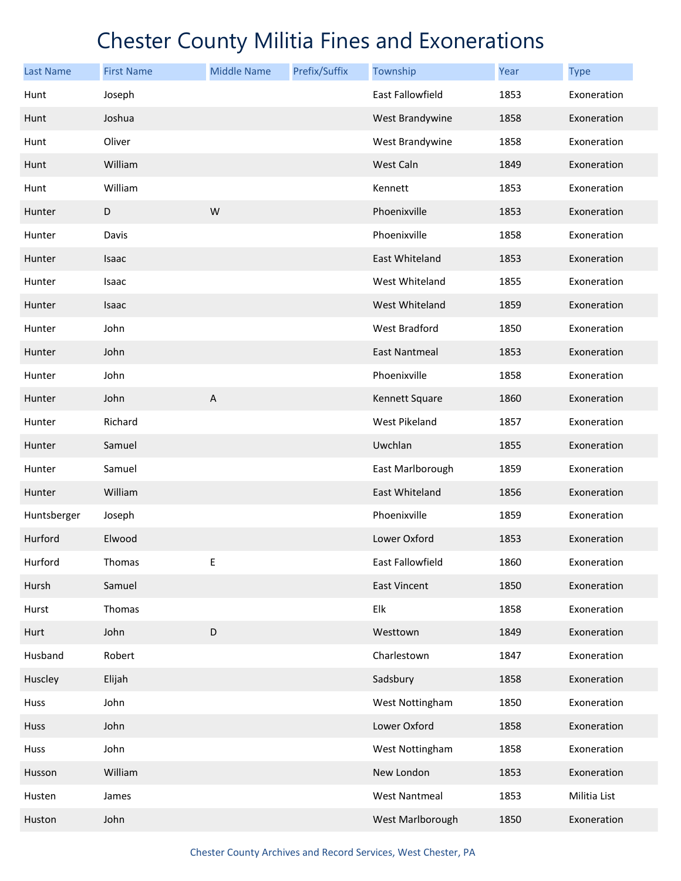| <b>Last Name</b> | <b>First Name</b> | <b>Middle Name</b> | Prefix/Suffix | Township                | Year | <b>Type</b>  |
|------------------|-------------------|--------------------|---------------|-------------------------|------|--------------|
| Hunt             | Joseph            |                    |               | <b>East Fallowfield</b> | 1853 | Exoneration  |
| Hunt             | Joshua            |                    |               | West Brandywine         | 1858 | Exoneration  |
| Hunt             | Oliver            |                    |               | West Brandywine         | 1858 | Exoneration  |
| Hunt             | William           |                    |               | West Caln               | 1849 | Exoneration  |
| Hunt             | William           |                    |               | Kennett                 | 1853 | Exoneration  |
| Hunter           | D                 | W                  |               | Phoenixville            | 1853 | Exoneration  |
| Hunter           | Davis             |                    |               | Phoenixville            | 1858 | Exoneration  |
| Hunter           | Isaac             |                    |               | East Whiteland          | 1853 | Exoneration  |
| Hunter           | Isaac             |                    |               | West Whiteland          | 1855 | Exoneration  |
| Hunter           | Isaac             |                    |               | West Whiteland          | 1859 | Exoneration  |
| Hunter           | John              |                    |               | West Bradford           | 1850 | Exoneration  |
| Hunter           | John              |                    |               | <b>East Nantmeal</b>    | 1853 | Exoneration  |
| Hunter           | John              |                    |               | Phoenixville            | 1858 | Exoneration  |
| Hunter           | John              | $\mathsf A$        |               | Kennett Square          | 1860 | Exoneration  |
| Hunter           | Richard           |                    |               | West Pikeland           | 1857 | Exoneration  |
| Hunter           | Samuel            |                    |               | Uwchlan                 | 1855 | Exoneration  |
| Hunter           | Samuel            |                    |               | East Marlborough        | 1859 | Exoneration  |
| Hunter           | William           |                    |               | East Whiteland          | 1856 | Exoneration  |
| Huntsberger      | Joseph            |                    |               | Phoenixville            | 1859 | Exoneration  |
| Hurford          | Elwood            |                    |               | Lower Oxford            | 1853 | Exoneration  |
| Hurford          | Thomas            | E                  |               | East Fallowfield        | 1860 | Exoneration  |
| Hursh            | Samuel            |                    |               | <b>East Vincent</b>     | 1850 | Exoneration  |
| Hurst            | Thomas            |                    |               | Elk                     | 1858 | Exoneration  |
| Hurt             | John              | D                  |               | Westtown                | 1849 | Exoneration  |
| Husband          | Robert            |                    |               | Charlestown             | 1847 | Exoneration  |
| Huscley          | Elijah            |                    |               | Sadsbury                | 1858 | Exoneration  |
| Huss             | John              |                    |               | West Nottingham         | 1850 | Exoneration  |
| Huss             | John              |                    |               | Lower Oxford            | 1858 | Exoneration  |
| Huss             | John              |                    |               | West Nottingham         | 1858 | Exoneration  |
| Husson           | William           |                    |               | New London              | 1853 | Exoneration  |
| Husten           | James             |                    |               | <b>West Nantmeal</b>    | 1853 | Militia List |
| Huston           | John              |                    |               | West Marlborough        | 1850 | Exoneration  |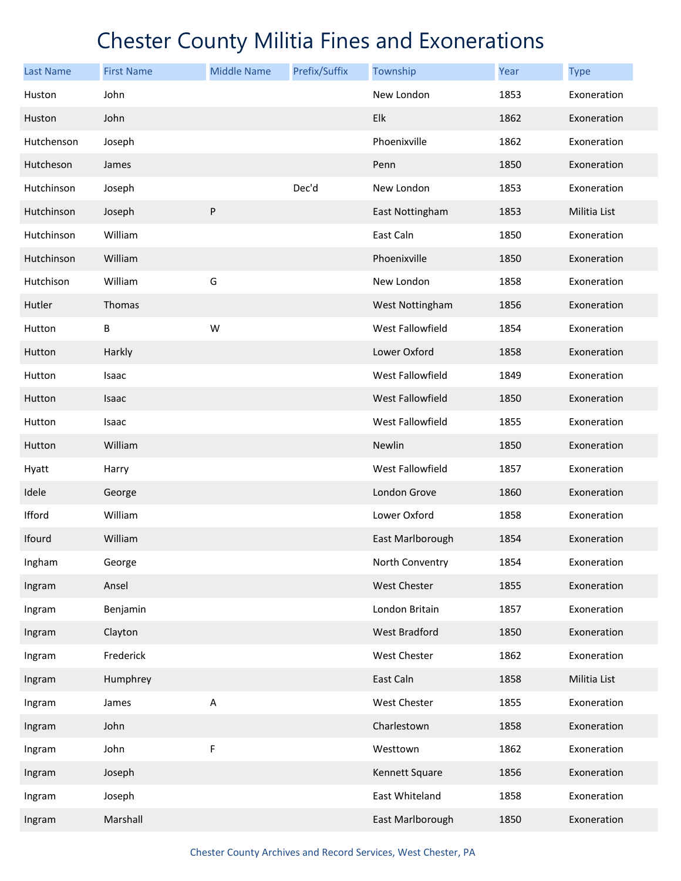| <b>Last Name</b> | <b>First Name</b> | <b>Middle Name</b>        | Prefix/Suffix | Township                | Year | <b>Type</b>  |
|------------------|-------------------|---------------------------|---------------|-------------------------|------|--------------|
| Huston           | John              |                           |               | New London              | 1853 | Exoneration  |
| Huston           | John              |                           |               | Elk                     | 1862 | Exoneration  |
| Hutchenson       | Joseph            |                           |               | Phoenixville            | 1862 | Exoneration  |
| Hutcheson        | James             |                           |               | Penn                    | 1850 | Exoneration  |
| Hutchinson       | Joseph            |                           | Dec'd         | New London              | 1853 | Exoneration  |
| Hutchinson       | Joseph            | ${\sf P}$                 |               | East Nottingham         | 1853 | Militia List |
| Hutchinson       | William           |                           |               | East Caln               | 1850 | Exoneration  |
| Hutchinson       | William           |                           |               | Phoenixville            | 1850 | Exoneration  |
| Hutchison        | William           | G                         |               | New London              | 1858 | Exoneration  |
| Hutler           | Thomas            |                           |               | West Nottingham         | 1856 | Exoneration  |
| Hutton           | B                 | W                         |               | West Fallowfield        | 1854 | Exoneration  |
| Hutton           | Harkly            |                           |               | Lower Oxford            | 1858 | Exoneration  |
| Hutton           | Isaac             |                           |               | West Fallowfield        | 1849 | Exoneration  |
| Hutton           | Isaac             |                           |               | <b>West Fallowfield</b> | 1850 | Exoneration  |
| Hutton           | Isaac             |                           |               | West Fallowfield        | 1855 | Exoneration  |
| Hutton           | William           |                           |               | Newlin                  | 1850 | Exoneration  |
| Hyatt            | Harry             |                           |               | West Fallowfield        | 1857 | Exoneration  |
| Idele            | George            |                           |               | London Grove            | 1860 | Exoneration  |
| Ifford           | William           |                           |               | Lower Oxford            | 1858 | Exoneration  |
| Ifourd           | William           |                           |               | East Marlborough        | 1854 | Exoneration  |
| Ingham           | George            |                           |               | North Conventry         | 1854 | Exoneration  |
| Ingram           | Ansel             |                           |               | West Chester            | 1855 | Exoneration  |
| Ingram           | Benjamin          |                           |               | London Britain          | 1857 | Exoneration  |
| Ingram           | Clayton           |                           |               | <b>West Bradford</b>    | 1850 | Exoneration  |
| Ingram           | Frederick         |                           |               | West Chester            | 1862 | Exoneration  |
| Ingram           | Humphrey          |                           |               | East Caln               | 1858 | Militia List |
| Ingram           | James             | $\boldsymbol{\mathsf{A}}$ |               | West Chester            | 1855 | Exoneration  |
| Ingram           | John              |                           |               | Charlestown             | 1858 | Exoneration  |
| Ingram           | John              | F                         |               | Westtown                | 1862 | Exoneration  |
| Ingram           | Joseph            |                           |               | Kennett Square          | 1856 | Exoneration  |
| Ingram           | Joseph            |                           |               | East Whiteland          | 1858 | Exoneration  |
| Ingram           | Marshall          |                           |               | East Marlborough        | 1850 | Exoneration  |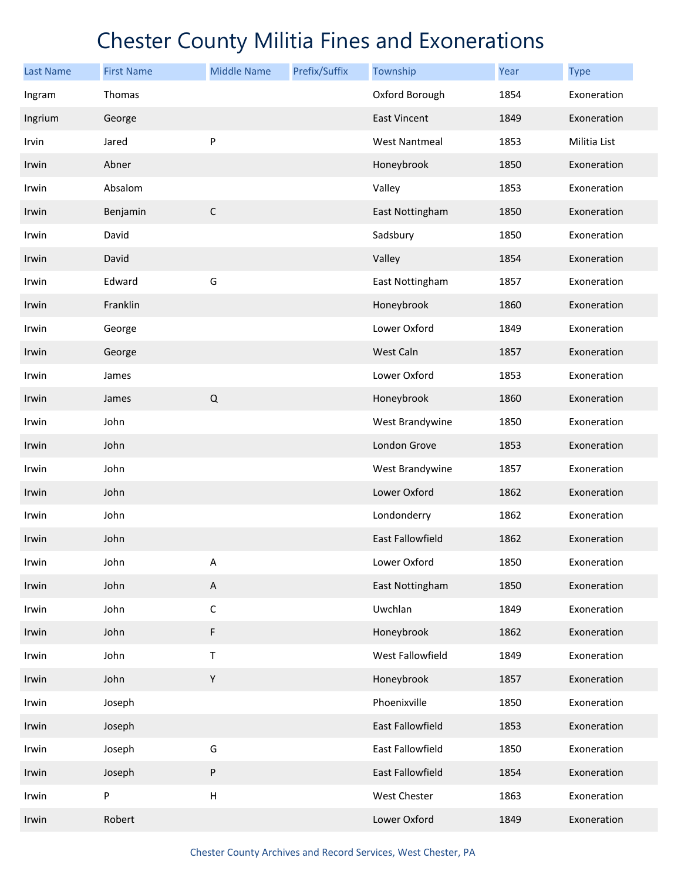| <b>Last Name</b> | <b>First Name</b> | <b>Middle Name</b>        | Prefix/Suffix | Township             | Year | <b>Type</b>  |
|------------------|-------------------|---------------------------|---------------|----------------------|------|--------------|
| Ingram           | Thomas            |                           |               | Oxford Borough       | 1854 | Exoneration  |
| Ingrium          | George            |                           |               | <b>East Vincent</b>  | 1849 | Exoneration  |
| Irvin            | Jared             | P                         |               | <b>West Nantmeal</b> | 1853 | Militia List |
| Irwin            | Abner             |                           |               | Honeybrook           | 1850 | Exoneration  |
| Irwin            | Absalom           |                           |               | Valley               | 1853 | Exoneration  |
| Irwin            | Benjamin          | $\mathsf C$               |               | East Nottingham      | 1850 | Exoneration  |
| Irwin            | David             |                           |               | Sadsbury             | 1850 | Exoneration  |
| Irwin            | David             |                           |               | Valley               | 1854 | Exoneration  |
| Irwin            | Edward            | G                         |               | East Nottingham      | 1857 | Exoneration  |
| Irwin            | Franklin          |                           |               | Honeybrook           | 1860 | Exoneration  |
| Irwin            | George            |                           |               | Lower Oxford         | 1849 | Exoneration  |
| Irwin            | George            |                           |               | West Caln            | 1857 | Exoneration  |
| Irwin            | James             |                           |               | Lower Oxford         | 1853 | Exoneration  |
| Irwin            | James             | $\mathsf Q$               |               | Honeybrook           | 1860 | Exoneration  |
| Irwin            | John              |                           |               | West Brandywine      | 1850 | Exoneration  |
| Irwin            | John              |                           |               | London Grove         | 1853 | Exoneration  |
| Irwin            | John              |                           |               | West Brandywine      | 1857 | Exoneration  |
| Irwin            | John              |                           |               | Lower Oxford         | 1862 | Exoneration  |
| Irwin            | John              |                           |               | Londonderry          | 1862 | Exoneration  |
| Irwin            | John              |                           |               | East Fallowfield     | 1862 | Exoneration  |
| Irwin            | John              | Α                         |               | Lower Oxford         | 1850 | Exoneration  |
| Irwin            | John              | $\sf A$                   |               | East Nottingham      | 1850 | Exoneration  |
| Irwin            | John              | $\mathsf C$               |               | Uwchlan              | 1849 | Exoneration  |
| Irwin            | John              | F                         |               | Honeybrook           | 1862 | Exoneration  |
| Irwin            | John              | Τ                         |               | West Fallowfield     | 1849 | Exoneration  |
| Irwin            | John              | Υ                         |               | Honeybrook           | 1857 | Exoneration  |
| Irwin            | Joseph            |                           |               | Phoenixville         | 1850 | Exoneration  |
| Irwin            | Joseph            |                           |               | East Fallowfield     | 1853 | Exoneration  |
| Irwin            | Joseph            | G                         |               | East Fallowfield     | 1850 | Exoneration  |
| Irwin            | Joseph            | ${\sf P}$                 |               | East Fallowfield     | 1854 | Exoneration  |
| Irwin            | P                 | $\boldsymbol{\mathsf{H}}$ |               | West Chester         | 1863 | Exoneration  |
| Irwin            | Robert            |                           |               | Lower Oxford         | 1849 | Exoneration  |